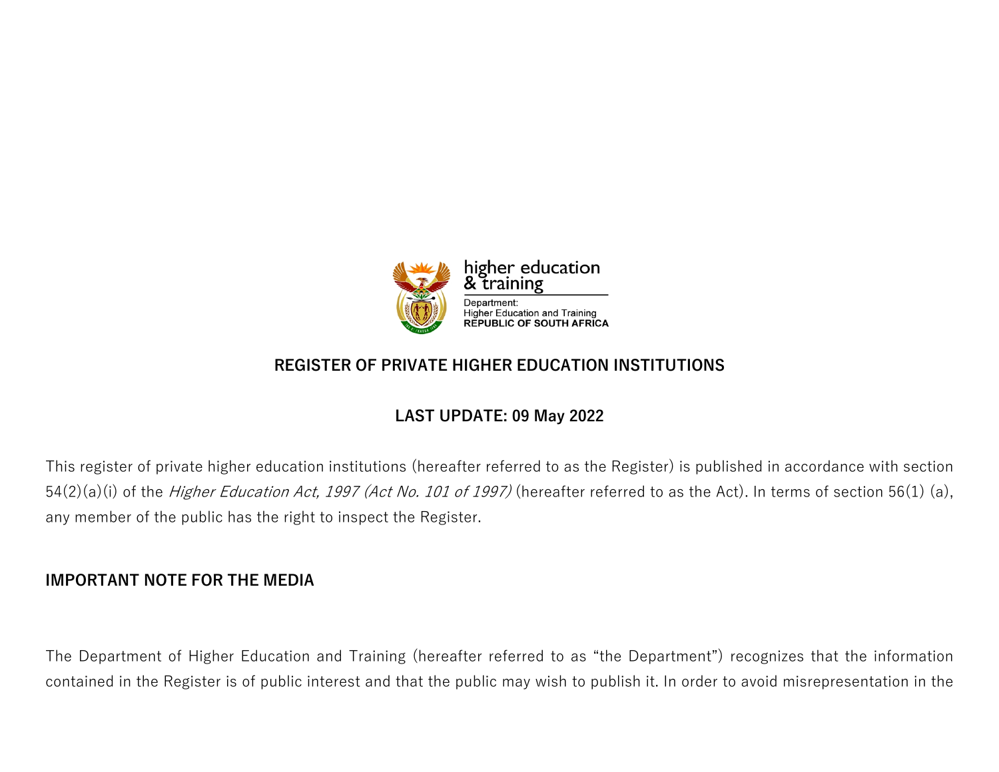

# **REGISTER OF PRIVATE HIGHER EDUCATION INSTITUTIONS**

# **LAST UPDATE: 09 May 2022**

This register of private higher education institutions (hereafter referred to as the Register) is published in accordance with section 54(2)(a)(i) of the *Higher Education Act, 1997 (Act No. 101 of 1997)* (hereafter referred to as the Act). In terms of section 56(1) (a), any member of the public has the right to inspect the Register.

# **IMPORTANT NOTE FOR THE MEDIA**

The Department of Higher Education and Training (hereafter referred to as "the Department") recognizes that the information contained in the Register is of public interest and that the public may wish to publish it. In order to avoid misrepresentation in the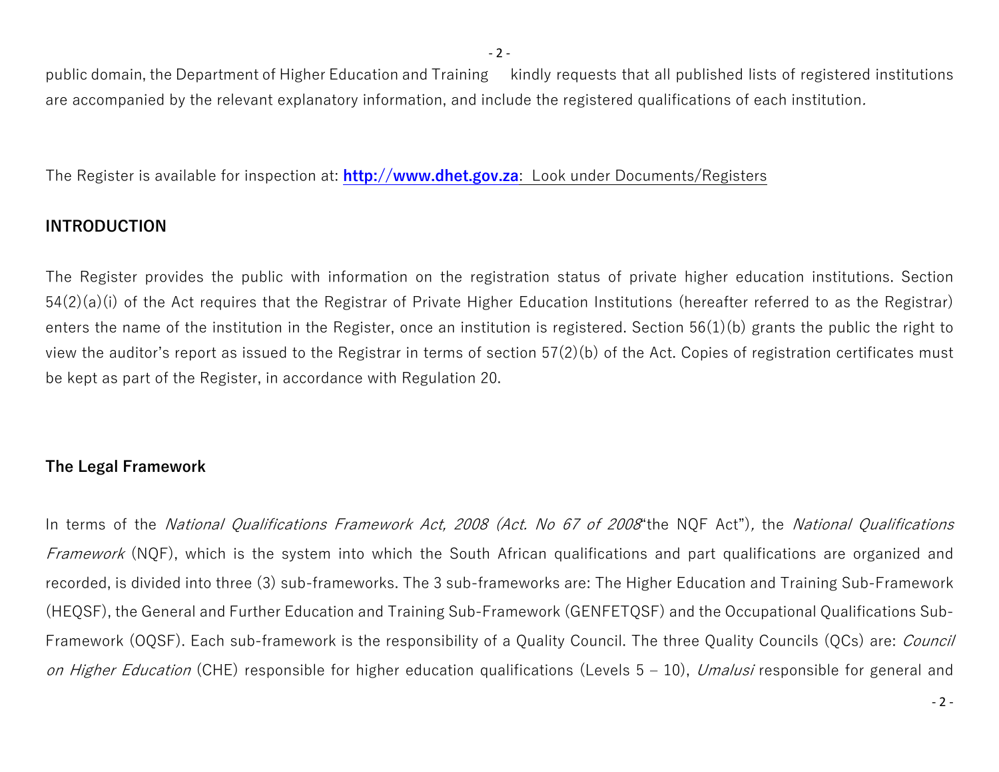public domain, the Department of Higher Education and Training kindly requests that all published lists of registered institutions are accompanied by the relevant explanatory information, and include the registered qualifications of each institution*.*

The Register is available for inspection at: **[http://www.dhet.gov.za](http://www.dhet.gov.za/)**: Look under Documents/Registers

## **INTRODUCTION**

The Register provides the public with information on the registration status of private higher education institutions. Section 54(2)(a)(i) of the Act requires that the Registrar of Private Higher Education Institutions (hereafter referred to as the Registrar) enters the name of the institution in the Register, once an institution is registered. Section 56(1)(b) grants the public the right to view the auditor's report as issued to the Registrar in terms of section 57(2)(b) of the Act. Copies of registration certificates must be kept as part of the Register, in accordance with Regulation 20.

# **The Legal Framework**

In terms of the *National Qualifications Framework Act, 2008 (Act. No 67 of 2008*"the NQF Act")*,* the *National Qualifications Framework* (NQF), which is the system into which the South African qualifications and part qualifications are organized and recorded, is divided into three (3) sub-frameworks. The 3 sub-frameworks are: The Higher Education and Training Sub-Framework (HEQSF), the General and Further Education and Training Sub-Framework (GENFETQSF) and the Occupational Qualifications Sub-Framework (OQSF). Each sub-framework is the responsibility of a Quality Council. The three Quality Councils (QCs) are: *Council on Higher Education* (CHE) responsible for higher education qualifications (Levels 5 – 10), *Umalusi* responsible for general and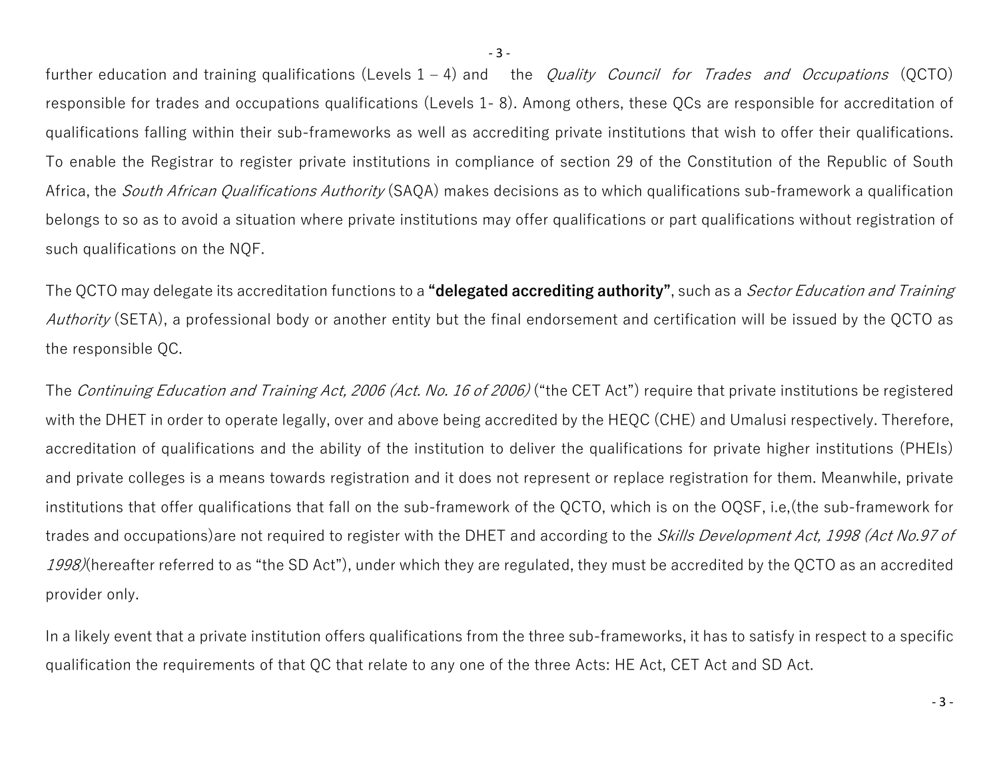further education and training qualifications (Levels 1 – 4) and the *Quality Council for Trades and Occupations* (QCTO) responsible for trades and occupations qualifications (Levels 1- 8). Among others, these QCs are responsible for accreditation of qualifications falling within their sub-frameworks as well as accrediting private institutions that wish to offer their qualifications. To enable the Registrar to register private institutions in compliance of section 29 of the Constitution of the Republic of South Africa, the *South African Qualifications Authority* (SAQA) makes decisions as to which qualifications sub-framework a qualification belongs to so as to avoid a situation where private institutions may offer qualifications or part qualifications without registration of such qualifications on the NQF.

The QCTO may delegate its accreditation functions to a **"delegated accrediting authority"**, such as a *Sector Education and Training Authority* (SETA), a professional body or another entity but the final endorsement and certification will be issued by the QCTO as the responsible QC.

The *Continuing Education and Training Act, 2006 (Act. No. 16 of 2006)* ("the CET Act") require that private institutions be registered with the DHET in order to operate legally, over and above being accredited by the HEQC (CHE) and Umalusi respectively. Therefore, accreditation of qualifications and the ability of the institution to deliver the qualifications for private higher institutions (PHEIs) and private colleges is a means towards registration and it does not represent or replace registration for them. Meanwhile, private institutions that offer qualifications that fall on the sub-framework of the QCTO, which is on the OQSF, i.e,(the sub-framework for trades and occupations)are not required to register with the DHET and according to the *Skills Development Act, 1998 (Act No.97 of 1998)*(hereafter referred to as "the SD Act"), under which they are regulated, they must be accredited by the QCTO as an accredited provider only.

In a likely event that a private institution offers qualifications from the three sub-frameworks, it has to satisfy in respect to a specific qualification the requirements of that QC that relate to any one of the three Acts: HE Act, CET Act and SD Act.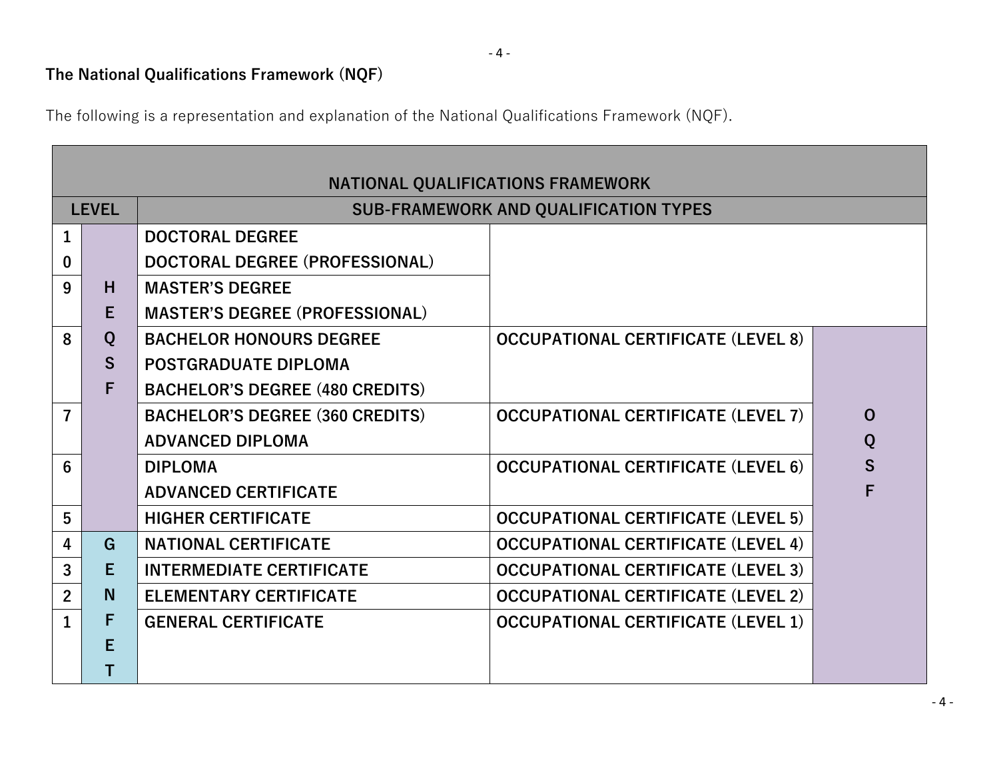# **The National Qualifications Framework (NQF)**

The following is a representation and explanation of the National Qualifications Framework (NQF).

|                | NATIONAL QUALIFICATIONS FRAMEWORK |                                        |                                              |          |  |  |  |
|----------------|-----------------------------------|----------------------------------------|----------------------------------------------|----------|--|--|--|
|                | <b>LEVEL</b>                      |                                        | <b>SUB-FRAMEWORK AND QUALIFICATION TYPES</b> |          |  |  |  |
| $\mathbf{1}$   |                                   | <b>DOCTORAL DEGREE</b>                 |                                              |          |  |  |  |
| $\bf{0}$       |                                   | DOCTORAL DEGREE (PROFESSIONAL)         |                                              |          |  |  |  |
| 9              | H                                 | <b>MASTER'S DEGREE</b>                 |                                              |          |  |  |  |
|                | Е                                 | <b>MASTER'S DEGREE (PROFESSIONAL)</b>  |                                              |          |  |  |  |
| 8              | Q                                 | <b>BACHELOR HONOURS DEGREE</b>         | <b>OCCUPATIONAL CERTIFICATE (LEVEL 8)</b>    |          |  |  |  |
|                | S.                                | <b>POSTGRADUATE DIPLOMA</b>            |                                              |          |  |  |  |
|                | F                                 | <b>BACHELOR'S DEGREE (480 CREDITS)</b> |                                              |          |  |  |  |
| $\overline{7}$ |                                   | <b>BACHELOR'S DEGREE (360 CREDITS)</b> | <b>OCCUPATIONAL CERTIFICATE (LEVEL 7)</b>    | $\Omega$ |  |  |  |
|                |                                   | <b>ADVANCED DIPLOMA</b>                |                                              | Q        |  |  |  |
| 6              |                                   | <b>DIPLOMA</b>                         | <b>OCCUPATIONAL CERTIFICATE (LEVEL 6)</b>    | S        |  |  |  |
|                |                                   | <b>ADVANCED CERTIFICATE</b>            |                                              | F        |  |  |  |
| 5              |                                   | <b>HIGHER CERTIFICATE</b>              | <b>OCCUPATIONAL CERTIFICATE (LEVEL 5)</b>    |          |  |  |  |
| 4              | G                                 | <b>NATIONAL CERTIFICATE</b>            | <b>OCCUPATIONAL CERTIFICATE (LEVEL 4)</b>    |          |  |  |  |
| 3              | E                                 | <b>INTERMEDIATE CERTIFICATE</b>        | <b>OCCUPATIONAL CERTIFICATE (LEVEL 3)</b>    |          |  |  |  |
| $2^{\circ}$    | N.                                | <b>ELEMENTARY CERTIFICATE</b>          | <b>OCCUPATIONAL CERTIFICATE (LEVEL 2)</b>    |          |  |  |  |
| $\mathbf{1}$   | F                                 | <b>GENERAL CERTIFICATE</b>             | <b>OCCUPATIONAL CERTIFICATE (LEVEL 1)</b>    |          |  |  |  |
|                | Е                                 |                                        |                                              |          |  |  |  |
|                |                                   |                                        |                                              |          |  |  |  |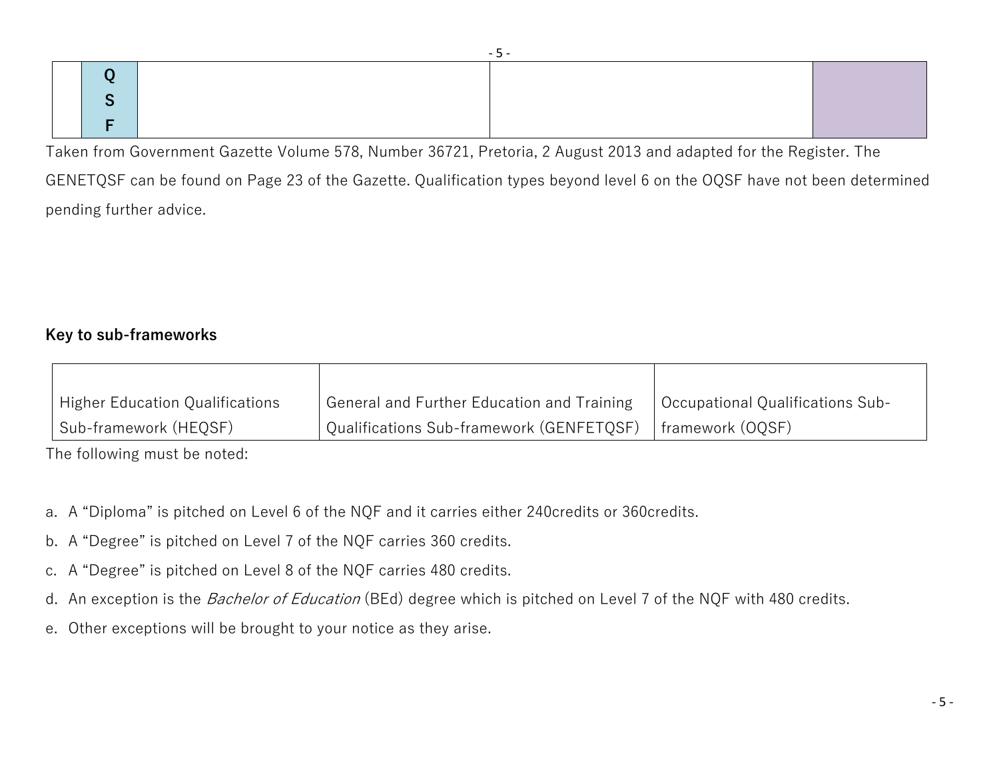Taken from Government Gazette Volume 578, Number 36721, Pretoria, 2 August 2013 and adapted for the Register. The

GENETQSF can be found on Page 23 of the Gazette. Qualification types beyond level 6 on the OQSF have not been determined pending further advice.

## **Key to sub-frameworks**

| <sup>1</sup> Higher Education Qualifications | General and Further Education and Training | Occupational Qualifications Sub- |
|----------------------------------------------|--------------------------------------------|----------------------------------|
| Sub-framework (HEQSF)                        | Qualifications Sub-framework (GENFETQSF)   | framework (OQSF)                 |

The following must be noted:

- a. A "Diploma" is pitched on Level 6 of the NQF and it carries either 240credits or 360credits.
- b. A "Degree" is pitched on Level 7 of the NQF carries 360 credits.
- c. A "Degree" is pitched on Level 8 of the NQF carries 480 credits.
- d. An exception is the *Bachelor of Education* (BEd) degree which is pitched on Level 7 of the NQF with 480 credits.
- e. Other exceptions will be brought to your notice as they arise.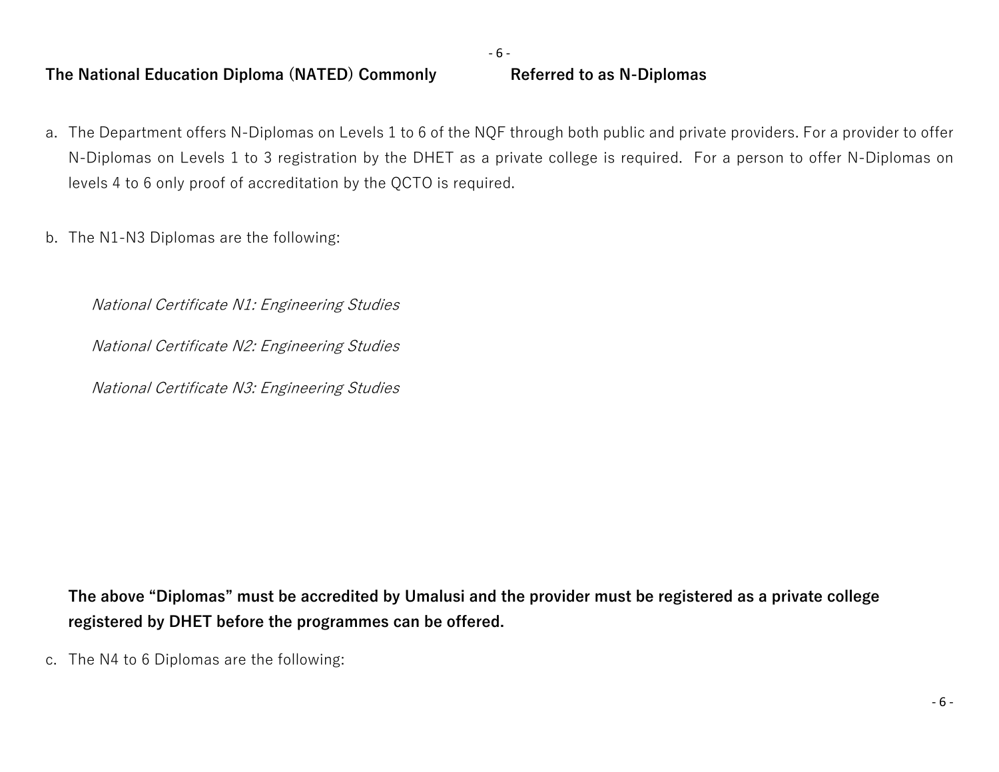- 6 -

#### **The National Education Diploma (NATED) Commonly Referred to as N-Diplomas**

- a. The Department offers N-Diplomas on Levels 1 to 6 of the NQF through both public and private providers. For a provider to offer N-Diplomas on Levels 1 to 3 registration by the DHET as a private college is required. For a person to offer N-Diplomas on levels 4 to 6 only proof of accreditation by the QCTO is required.
- b. The N1-N3 Diplomas are the following:

*National Certificate N1: Engineering Studies*

*National Certificate N2: Engineering Studies*

*National Certificate N3: Engineering Studies*

**The above "Diplomas" must be accredited by Umalusi and the provider must be registered as a private college registered by DHET before the programmes can be offered.**

c. The N4 to 6 Diplomas are the following: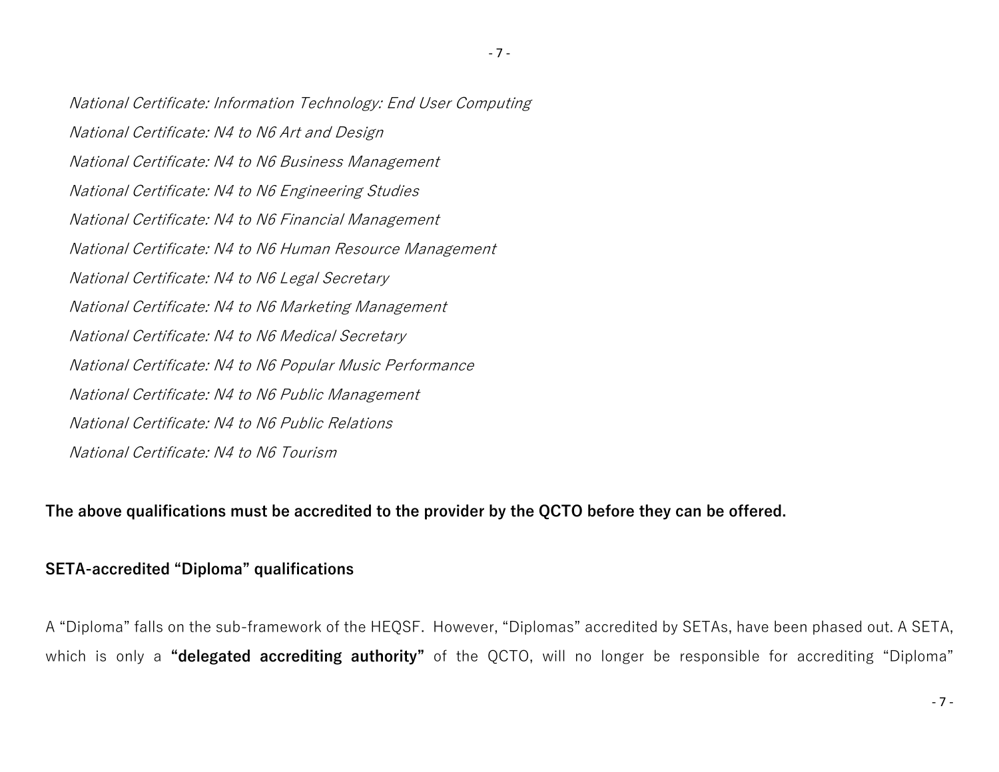*National Certificate: Information Technology: End User Computing National Certificate: N4 to N6 Art and Design National Certificate: N4 to N6 Business Management National Certificate: N4 to N6 Engineering Studies National Certificate: N4 to N6 Financial Management National Certificate: N4 to N6 Human Resource Management National Certificate: N4 to N6 Legal Secretary National Certificate: N4 to N6 Marketing Management National Certificate: N4 to N6 Medical Secretary National Certificate: N4 to N6 Popular Music Performance National Certificate: N4 to N6 Public Management National Certificate: N4 to N6 Public Relations National Certificate: N4 to N6 Tourism*

**The above qualifications must be accredited to the provider by the QCTO before they can be offered.**

#### **SETA-accredited "Diploma" qualifications**

A "Diploma" falls on the sub-framework of the HEQSF. However, "Diplomas" accredited by SETAs, have been phased out. A SETA, which is only a **"delegated accrediting authority"** of the QCTO, will no longer be responsible for accrediting "Diploma"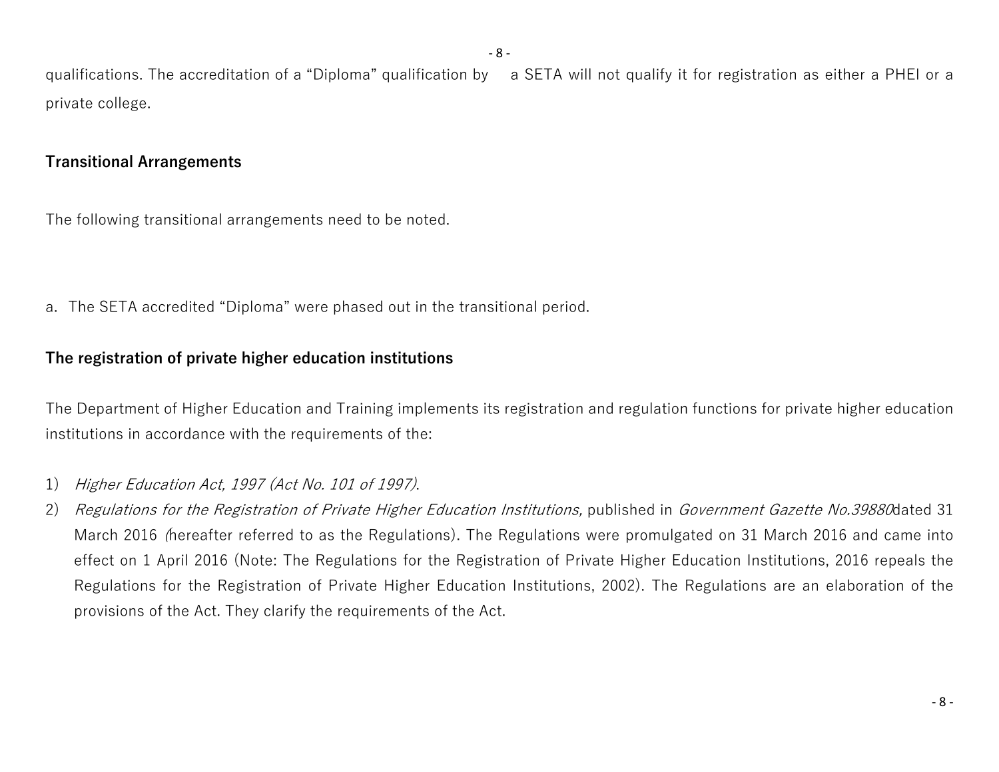qualifications. The accreditation of a "Diploma" qualification by a SETA will not qualify it for registration as either a PHEI or a private college.

### **Transitional Arrangements**

The following transitional arrangements need to be noted.

a. The SETA accredited "Diploma" were phased out in the transitional period.

# **The registration of private higher education institutions**

The Department of Higher Education and Training implements its registration and regulation functions for private higher education institutions in accordance with the requirements of the:

- 1) *Higher Education Act, 1997 (Act No. 101 of 1997)*.
- 2) *Regulations for the Registration of Private Higher Education Institutions, published in <i>Government Gazette No.39880*dated 31 March 2016 *(*hereafter referred to as the Regulations). The Regulations were promulgated on 31 March 2016 and came into effect on 1 April 2016 (Note: The Regulations for the Registration of Private Higher Education Institutions, 2016 repeals the Regulations for the Registration of Private Higher Education Institutions, 2002). The Regulations are an elaboration of the provisions of the Act. They clarify the requirements of the Act.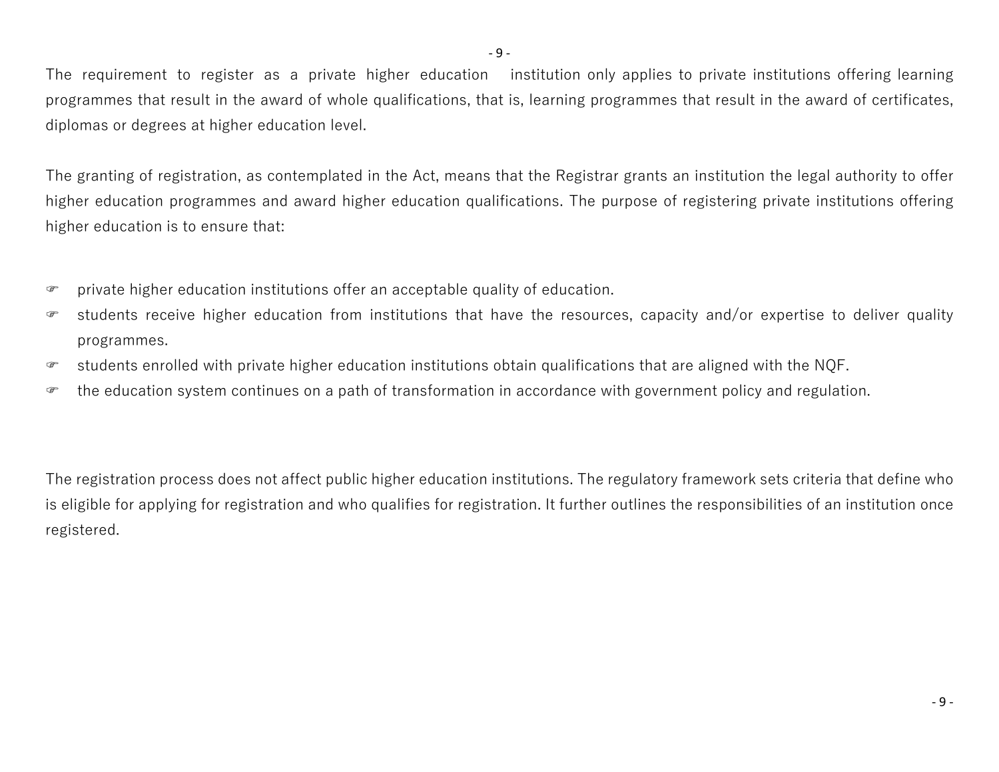- 9 -

The requirement to register as a private higher education institution only applies to private institutions offering learning programmes that result in the award of whole qualifications, that is, learning programmes that result in the award of certificates, diplomas or degrees at higher education level.

The granting of registration, as contemplated in the Act, means that the Registrar grants an institution the legal authority to offer higher education programmes and award higher education qualifications. The purpose of registering private institutions offering higher education is to ensure that:

- private higher education institutions offer an acceptable quality of education.
- students receive higher education from institutions that have the resources, capacity and/or expertise to deliver quality programmes.
- students enrolled with private higher education institutions obtain qualifications that are aligned with the NQF.
- the education system continues on a path of transformation in accordance with government policy and regulation.

The registration process does not affect public higher education institutions. The regulatory framework sets criteria that define who is eligible for applying for registration and who qualifies for registration. It further outlines the responsibilities of an institution once registered.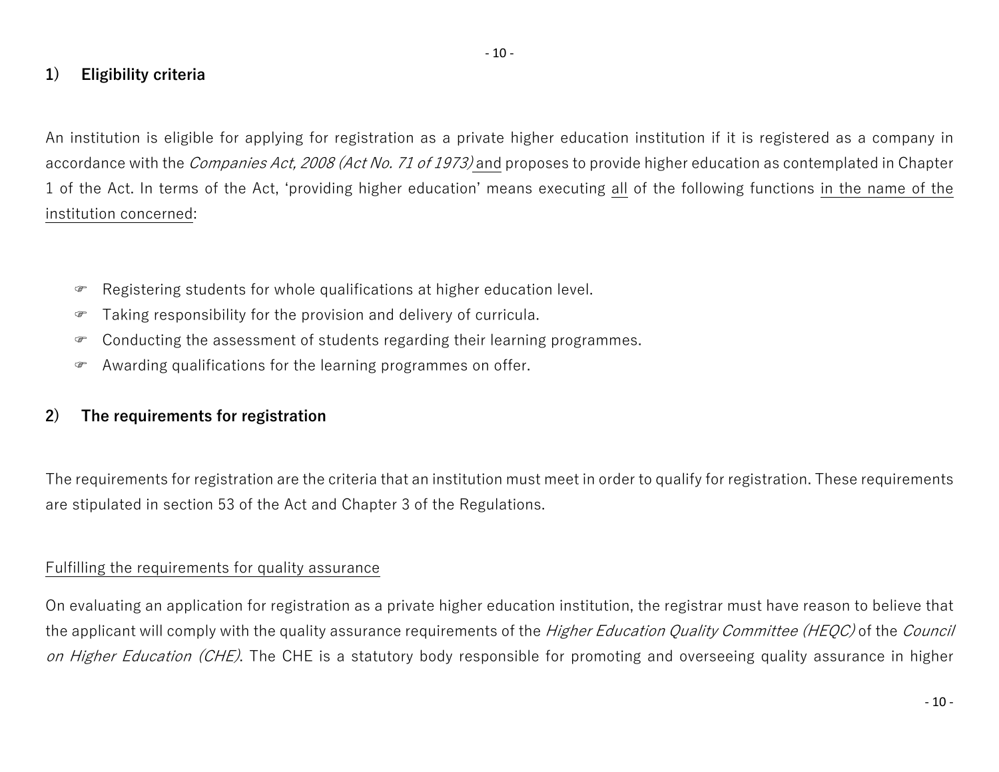# **1) Eligibility criteria**

An institution is eligible for applying for registration as a private higher education institution if it is registered as a company in accordance with the *Companies Act, 2008 (Act No. 71 of 1973)* and proposes to provide higher education as contemplated in Chapter 1 of the Act. In terms of the Act, 'providing higher education' means executing all of the following functions in the name of the institution concerned:

- Registering students for whole qualifications at higher education level.
- Taking responsibility for the provision and delivery of curricula.
- Conducting the assessment of students regarding their learning programmes.
- Awarding qualifications for the learning programmes on offer.

# **2) The requirements for registration**

The requirements for registration are the criteria that an institution must meet in order to qualify for registration. These requirements are stipulated in section 53 of the Act and Chapter 3 of the Regulations.

### Fulfilling the requirements for quality assurance

On evaluating an application for registration as a private higher education institution, the registrar must have reason to believe that the applicant will comply with the quality assurance requirements of the *Higher Education Quality Committee (HEQC)* of the *Council on Higher Education (CHE)*. The CHE is a statutory body responsible for promoting and overseeing quality assurance in higher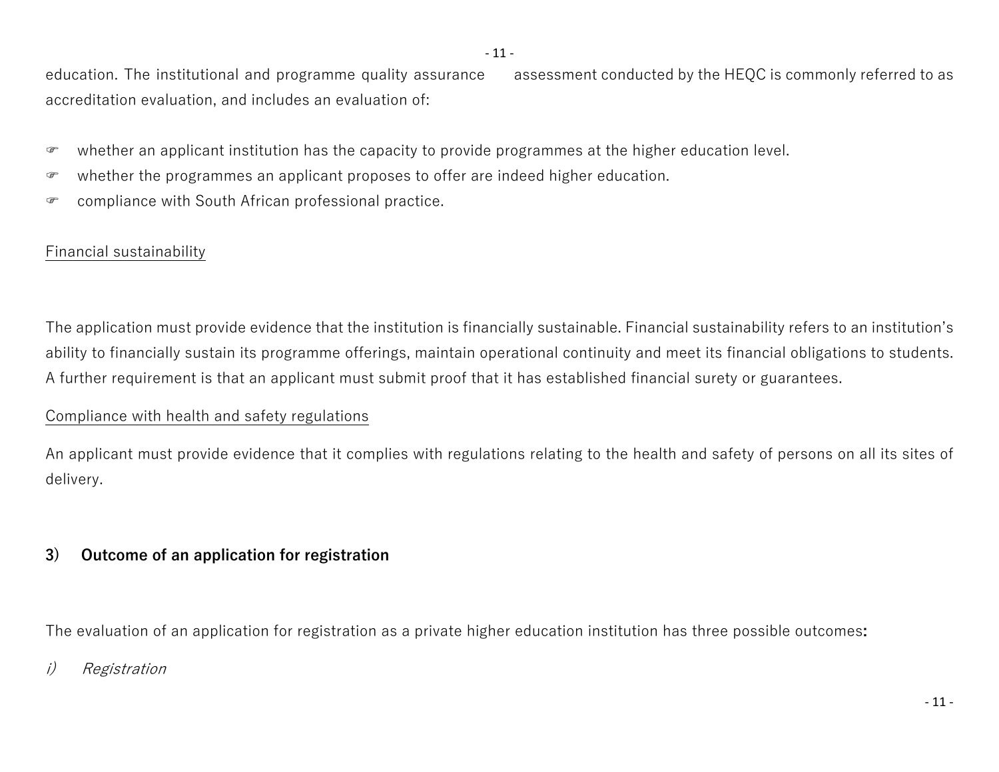education. The institutional and programme quality assurance assessment conducted by the HEQC is commonly referred to as accreditation evaluation, and includes an evaluation of:

- whether an applicant institution has the capacity to provide programmes at the higher education level.
- whether the programmes an applicant proposes to offer are indeed higher education.
- compliance with South African professional practice.

# Financial sustainability

The application must provide evidence that the institution is financially sustainable. Financial sustainability refers to an institution's ability to financially sustain its programme offerings, maintain operational continuity and meet its financial obligations to students. A further requirement is that an applicant must submit proof that it has established financial surety or guarantees.

# Compliance with health and safety regulations

An applicant must provide evidence that it complies with regulations relating to the health and safety of persons on all its sites of delivery.

# **3) Outcome of an application for registration**

The evaluation of an application for registration as a private higher education institution has three possible outcomes**:**

# *i) Registration*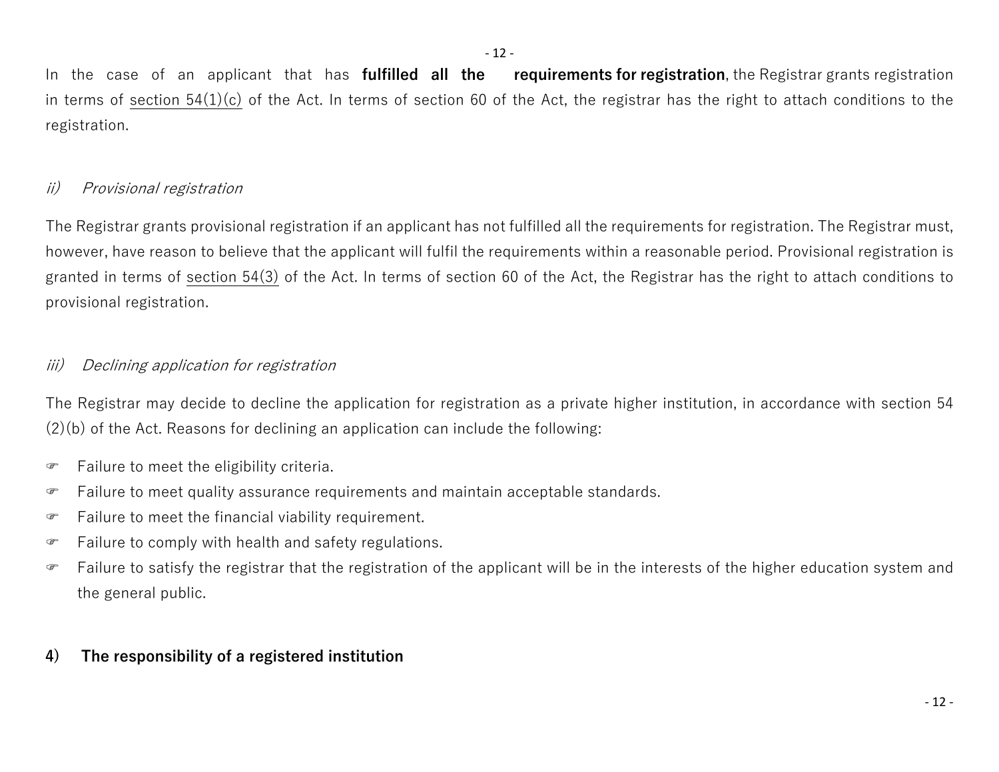In the case of an applicant that has **fulfilled all the requirements for registration**, the Registrar grants registration in terms of section  $54(1)(c)$  of the Act. In terms of section 60 of the Act, the registrar has the right to attach conditions to the registration.

# *ii) Provisional registration*

The Registrar grants provisional registration if an applicant has not fulfilled all the requirements for registration. The Registrar must, however, have reason to believe that the applicant will fulfil the requirements within a reasonable period. Provisional registration is granted in terms of section 54(3) of the Act. In terms of section 60 of the Act, the Registrar has the right to attach conditions to provisional registration.

# *iii) Declining application for registration*

The Registrar may decide to decline the application for registration as a private higher institution, in accordance with section 54 (2)(b) of the Act. Reasons for declining an application can include the following:

- Failure to meet the eligibility criteria.
- Failure to meet quality assurance requirements and maintain acceptable standards.
- Failure to meet the financial viability requirement.
- Failure to comply with health and safety regulations.
- Failure to satisfy the registrar that the registration of the applicant will be in the interests of the higher education system and the general public.

# **4) The responsibility of a registered institution**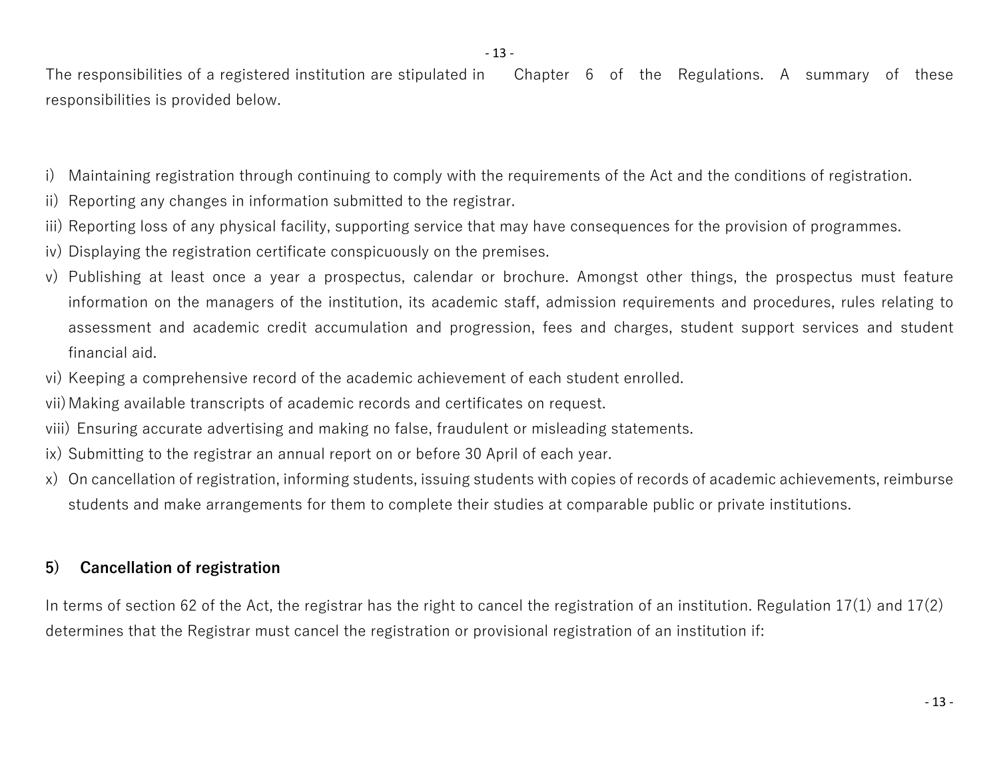The responsibilities of a registered institution are stipulated in Chapter 6 of the Regulations. A summary of these responsibilities is provided below.

- i) Maintaining registration through continuing to comply with the requirements of the Act and the conditions of registration.
- ii) Reporting any changes in information submitted to the registrar.
- iii) Reporting loss of any physical facility, supporting service that may have consequences for the provision of programmes.
- iv) Displaying the registration certificate conspicuously on the premises.
- v) Publishing at least once a year a prospectus, calendar or brochure. Amongst other things, the prospectus must feature information on the managers of the institution, its academic staff, admission requirements and procedures, rules relating to assessment and academic credit accumulation and progression, fees and charges, student support services and student financial aid.
- vi) Keeping a comprehensive record of the academic achievement of each student enrolled.

vii)Making available transcripts of academic records and certificates on request.

viii) Ensuring accurate advertising and making no false, fraudulent or misleading statements.

- ix) Submitting to the registrar an annual report on or before 30 April of each year.
- x) On cancellation of registration, informing students, issuing students with copies of records of academic achievements, reimburse students and make arrangements for them to complete their studies at comparable public or private institutions.

# **5) Cancellation of registration**

In terms of section 62 of the Act, the registrar has the right to cancel the registration of an institution. Regulation 17(1) and 17(2) determines that the Registrar must cancel the registration or provisional registration of an institution if: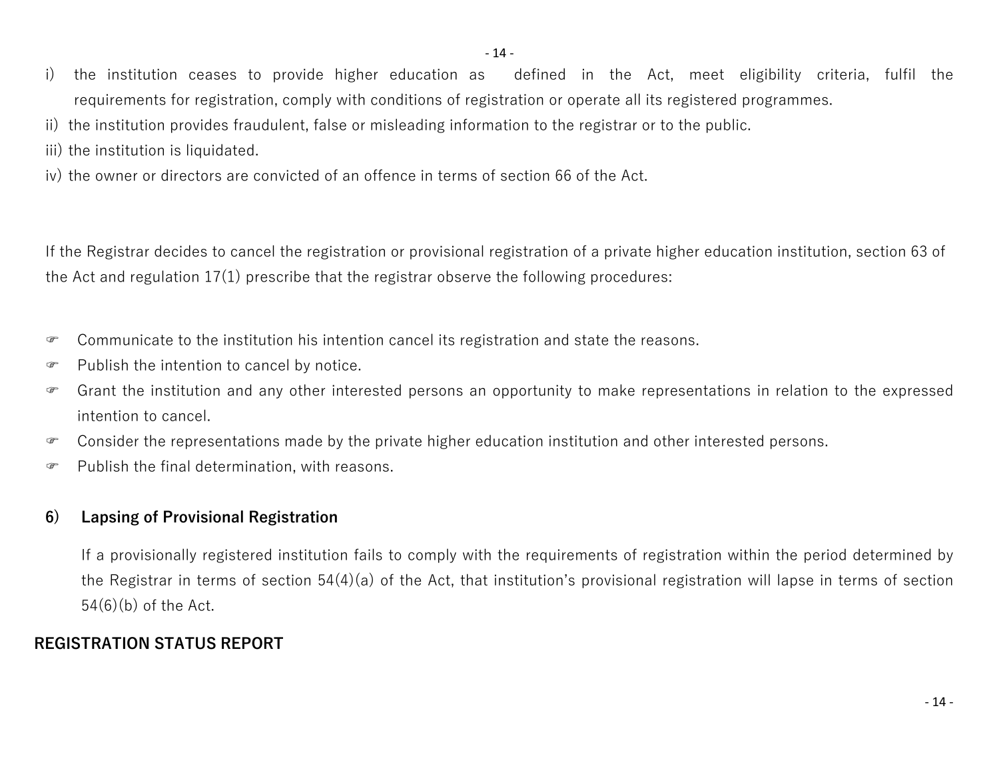- i) the institution ceases to provide higher education as defined in the Act, meet eligibility criteria, fulfil the requirements for registration, comply with conditions of registration or operate all its registered programmes.
- ii) the institution provides fraudulent, false or misleading information to the registrar or to the public.
- iii) the institution is liquidated.
- iv) the owner or directors are convicted of an offence in terms of section 66 of the Act.

If the Registrar decides to cancel the registration or provisional registration of a private higher education institution, section 63 of the Act and regulation 17(1) prescribe that the registrar observe the following procedures:

- Communicate to the institution his intention cancel its registration and state the reasons.
- Publish the intention to cancel by notice.
- Grant the institution and any other interested persons an opportunity to make representations in relation to the expressed intention to cancel.
- Consider the representations made by the private higher education institution and other interested persons.
- $\mathcal{F}$  Publish the final determination, with reasons.

#### **6) Lapsing of Provisional Registration**

If a provisionally registered institution fails to comply with the requirements of registration within the period determined by the Registrar in terms of section 54(4)(a) of the Act, that institution's provisional registration will lapse in terms of section 54(6)(b) of the Act.

#### **REGISTRATION STATUS REPORT**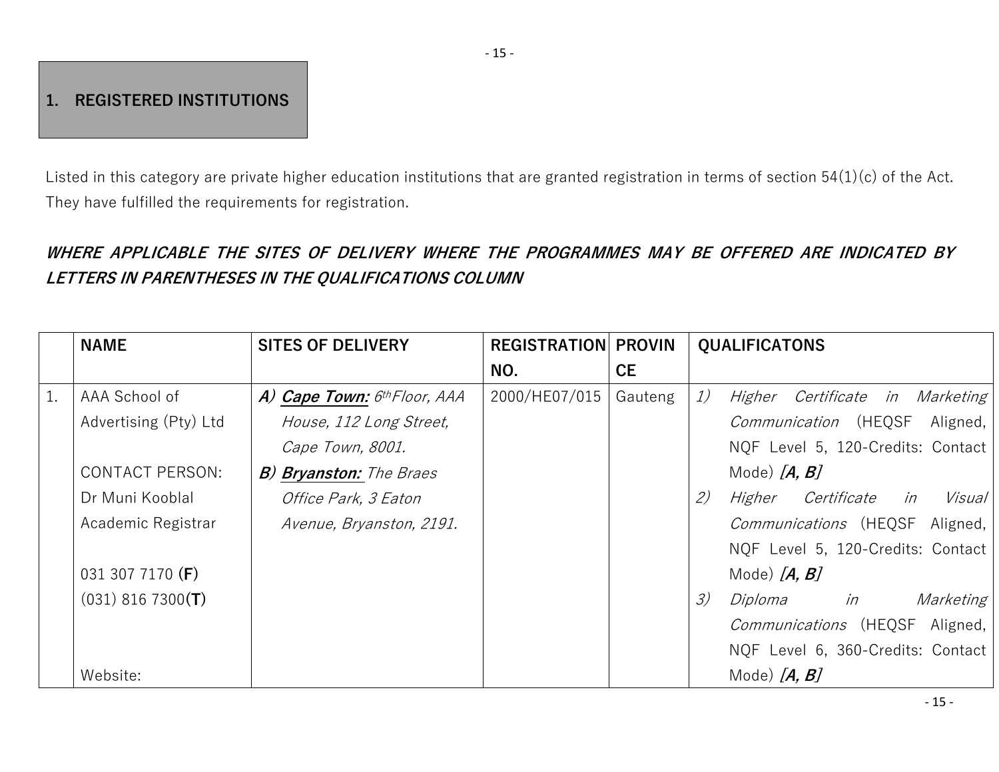# **1. REGISTERED INSTITUTIONS**

Listed in this category are private higher education institutions that are granted registration in terms of section 54(1)(c) of the Act. They have fulfilled the requirements for registration.

# *WHERE APPLICABLE THE SITES OF DELIVERY WHERE THE PROGRAMMES MAY BE OFFERED ARE INDICATED BY LETTERS IN PARENTHESES IN THE QUALIFICATIONS COLUMN*

|    | <b>NAME</b>            | <b>SITES OF DELIVERY</b>       | <b>REGISTRATION PROVIN</b> |           | <b>QUALIFICATONS</b>                             |
|----|------------------------|--------------------------------|----------------------------|-----------|--------------------------------------------------|
|    |                        |                                | NO.                        | <b>CE</b> |                                                  |
| 1. | AAA School of          | A) Cape Town: 6th Floor, AAA   | 2000/HE07/015              | Gauteng   | 1)<br>Certificate in Marketing<br>Higher         |
|    | Advertising (Pty) Ltd  | House, 112 Long Street,        |                            |           | <i>Communication</i> (HEQSF Aligned,             |
|    |                        | Cape Town, 8001.               |                            |           | NQF Level 5, 120-Credits: Contact                |
|    | <b>CONTACT PERSON:</b> | <b>B) Bryanston:</b> The Braes |                            |           | Mode) $[A, B]$                                   |
|    | Dr Muni Kooblal        | <i>Office Park, 3 Eaton</i>    |                            |           | (2)<br>Visual<br>Higher<br><i>Certificate in</i> |
|    | Academic Registrar     | Avenue, Bryanston, 2191.       |                            |           | Communications (HEQSF Aligned,                   |
|    |                        |                                |                            |           | NQF Level 5, 120-Credits: Contact                |
|    | 031 307 7170 (F)       |                                |                            |           | Mode) $[A, B]$                                   |
|    | $(031)$ 816 7300(T)    |                                |                            |           | $\mathcal{Z}$<br>Diploma<br>Marketing<br>in      |
|    |                        |                                |                            |           | <i>Communications</i> (HEQSF Aligned,            |
|    |                        |                                |                            |           | NQF Level 6, 360-Credits: Contact                |
|    | Website:               |                                |                            |           | Mode) $[A, B]$                                   |

- 15 -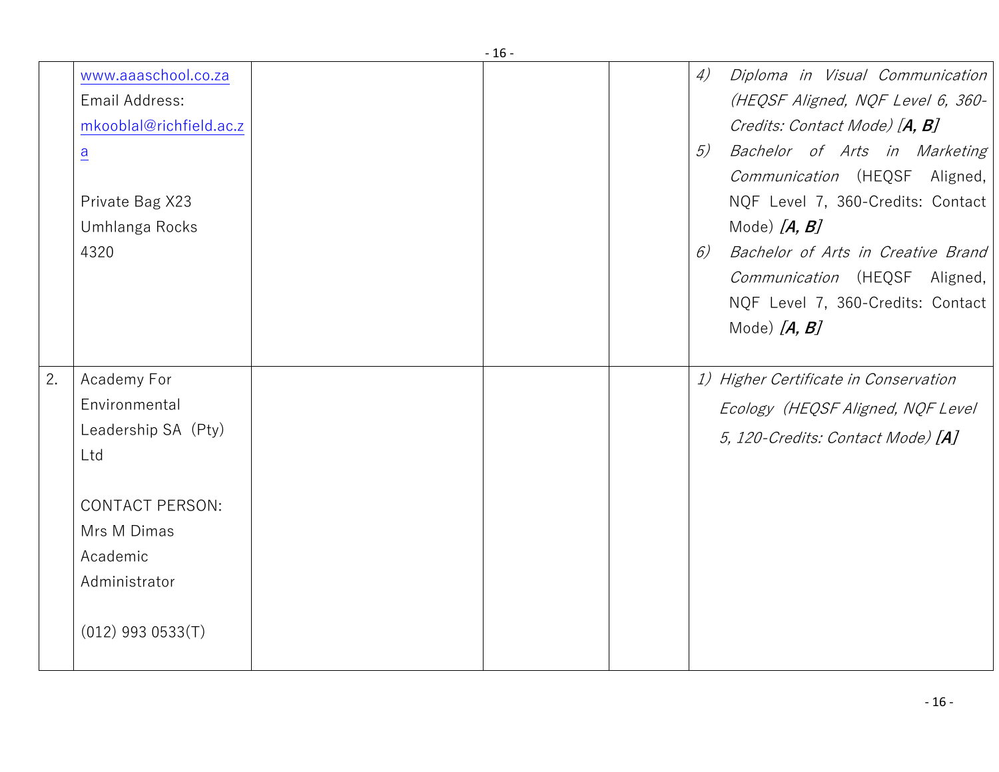|    |                                                                                                                                                         | - 10 - |                |                                                                                                                                                                                                                                                                                                                                                                     |
|----|---------------------------------------------------------------------------------------------------------------------------------------------------------|--------|----------------|---------------------------------------------------------------------------------------------------------------------------------------------------------------------------------------------------------------------------------------------------------------------------------------------------------------------------------------------------------------------|
|    | www.aaaschool.co.za<br>Email Address:<br>mkooblal@richfield.ac.z<br>$\underline{a}$<br>Private Bag X23<br>Umhlanga Rocks<br>4320                        |        | 4)<br>5)<br>6) | Diploma in Visual Communication<br>(HEQSF Aligned, NQF Level 6, 360-<br>Credits: Contact Mode) [A, B]<br>Bachelor of Arts in Marketing<br>Communication (HEQSF Aligned,<br>NQF Level 7, 360-Credits: Contact<br>Mode) $[A, B]$<br>Bachelor of Arts in Creative Brand<br><i>Communication</i> (HEQSF Aligned,<br>NQF Level 7, 360-Credits: Contact<br>Mode) $[A, B]$ |
| 2. | Academy For<br>Environmental<br>Leadership SA (Pty)<br>Ltd<br><b>CONTACT PERSON:</b><br>Mrs M Dimas<br>Academic<br>Administrator<br>$(012)$ 993 0533(T) |        |                | 1) Higher Certificate in Conservation<br>Ecology (HEQSF Aligned, NQF Level<br>5, 120-Credits: Contact Mode) [A]                                                                                                                                                                                                                                                     |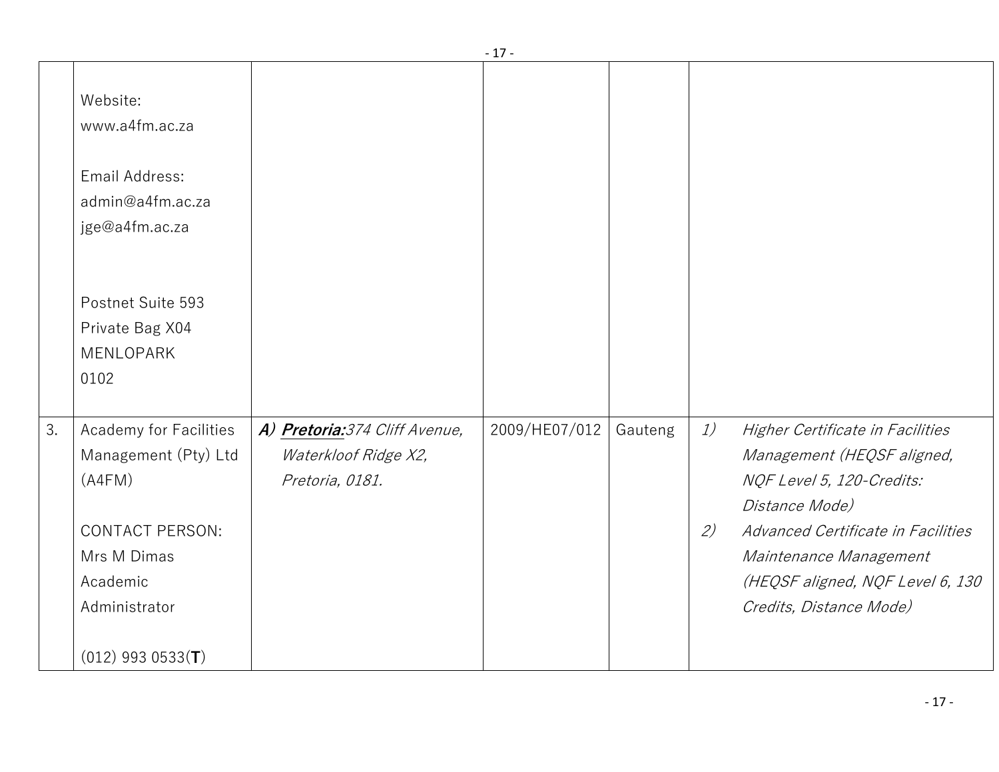|    |                                                                                                                                |                                                                           | <b>L</b>      |         |           |                                                                                                                                                                                                                                              |
|----|--------------------------------------------------------------------------------------------------------------------------------|---------------------------------------------------------------------------|---------------|---------|-----------|----------------------------------------------------------------------------------------------------------------------------------------------------------------------------------------------------------------------------------------------|
|    | Website:<br>www.a4fm.ac.za                                                                                                     |                                                                           |               |         |           |                                                                                                                                                                                                                                              |
|    | Email Address:<br>admin@a4fm.ac.za<br>jge@a4fm.ac.za                                                                           |                                                                           |               |         |           |                                                                                                                                                                                                                                              |
|    | Postnet Suite 593<br>Private Bag X04<br>MENLOPARK<br>0102                                                                      |                                                                           |               |         |           |                                                                                                                                                                                                                                              |
| 3. | Academy for Facilities<br>Management (Pty) Ltd<br>(A4FM)<br><b>CONTACT PERSON:</b><br>Mrs M Dimas<br>Academic<br>Administrator | A) Pretoria: 374 Cliff Avenue,<br>Waterkloof Ridge X2,<br>Pretoria, 0181. | 2009/HE07/012 | Gauteng | 1)<br>(2) | Higher Certificate in Facilities<br>Management (HEQSF aligned,<br>NQF Level 5, 120-Credits:<br>Distance Mode)<br>Advanced Certificate in Facilities<br>Maintenance Management<br>(HEQSF aligned, NQF Level 6, 130<br>Credits, Distance Mode) |
|    | $(012)$ 993 0533(T)                                                                                                            |                                                                           |               |         |           |                                                                                                                                                                                                                                              |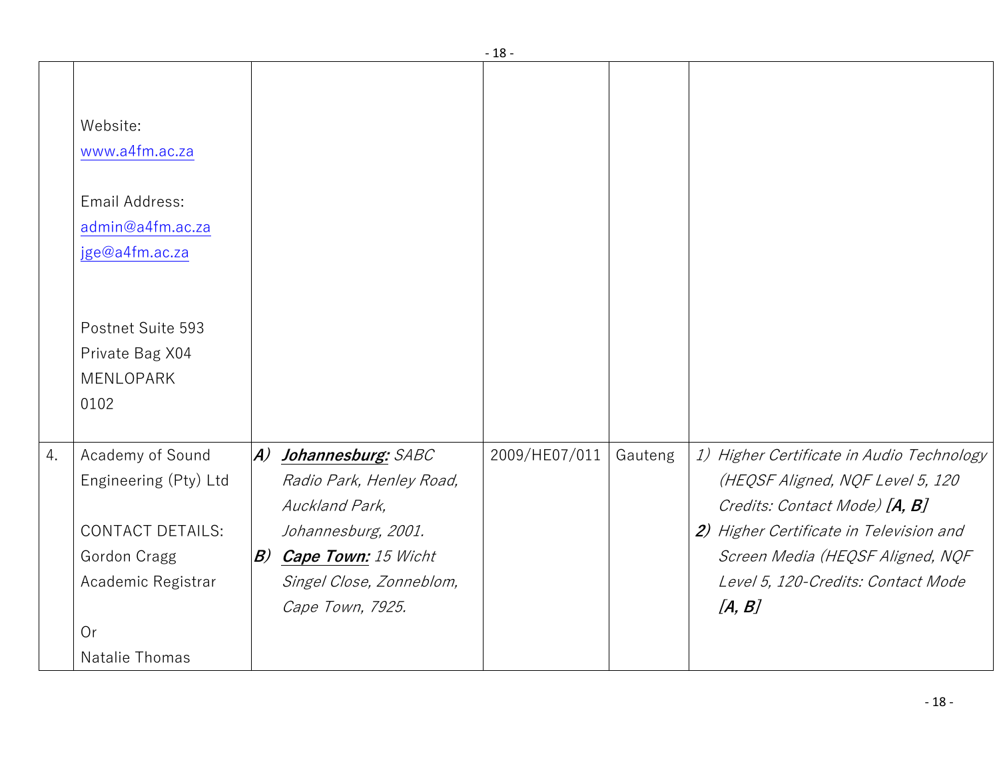|    |                                                                                                                  |                                                                                                                                                                                         | ∸             |         |                                                                                                                                                                                                                                               |
|----|------------------------------------------------------------------------------------------------------------------|-----------------------------------------------------------------------------------------------------------------------------------------------------------------------------------------|---------------|---------|-----------------------------------------------------------------------------------------------------------------------------------------------------------------------------------------------------------------------------------------------|
|    | Website:<br>www.a4fm.ac.za                                                                                       |                                                                                                                                                                                         |               |         |                                                                                                                                                                                                                                               |
|    | Email Address:<br>admin@a4fm.ac.za<br>jge@a4fm.ac.za                                                             |                                                                                                                                                                                         |               |         |                                                                                                                                                                                                                                               |
|    | Postnet Suite 593<br>Private Bag X04<br>MENLOPARK<br>0102                                                        |                                                                                                                                                                                         |               |         |                                                                                                                                                                                                                                               |
| 4. | Academy of Sound<br>Engineering (Pty) Ltd<br><b>CONTACT DETAILS:</b><br>Gordon Cragg<br>Academic Registrar<br>Or | $ A\rangle$<br>Johannesburg: SABC<br>Radio Park, Henley Road,<br>Auckland Park,<br>Johannesburg, 2001.<br><b>B) Cape Town:</b> 15 Wicht<br>Singel Close, Zonneblom,<br>Cape Town, 7925. | 2009/HE07/011 | Gauteng | 1) Higher Certificate in Audio Technology<br>(HEQSF Aligned, NQF Level 5, 120<br>Credits: Contact Mode) [A, B]<br>2) Higher Certificate in Television and<br>Screen Media (HEQSF Aligned, NQF<br>Level 5, 120-Credits: Contact Mode<br>[A, B] |
|    | Natalie Thomas                                                                                                   |                                                                                                                                                                                         |               |         |                                                                                                                                                                                                                                               |

- 18 -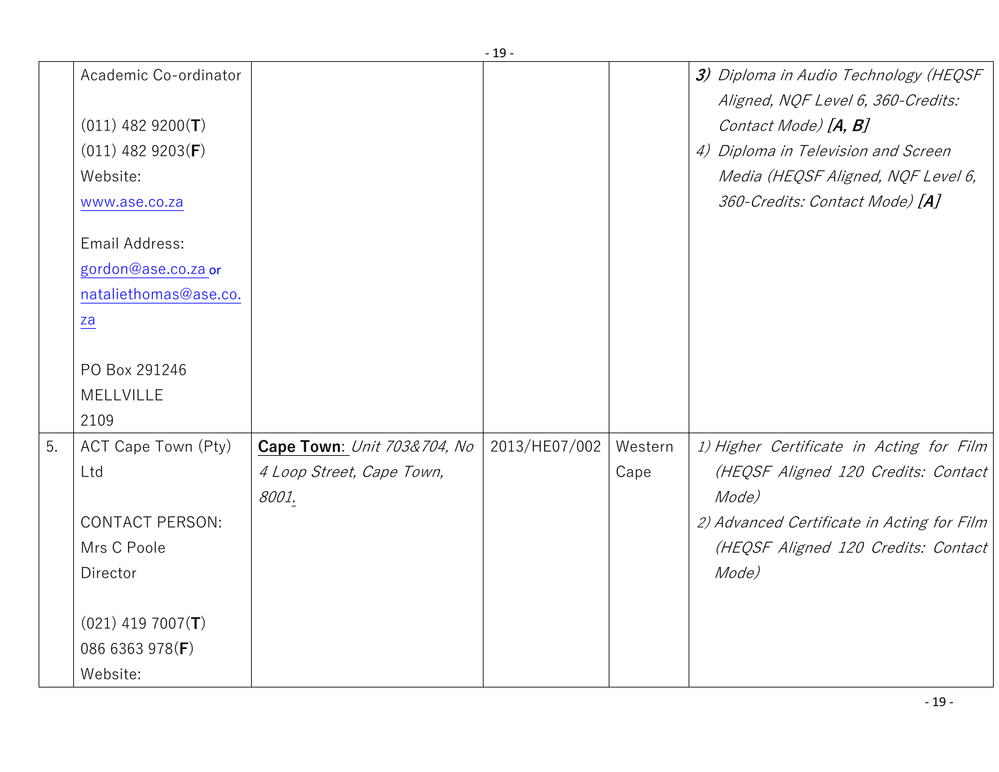|    |                                                                                                                                                                                                                               |                                                                   | - 19 -        |                 |                                                                                                                                                                                                                    |
|----|-------------------------------------------------------------------------------------------------------------------------------------------------------------------------------------------------------------------------------|-------------------------------------------------------------------|---------------|-----------------|--------------------------------------------------------------------------------------------------------------------------------------------------------------------------------------------------------------------|
|    | Academic Co-ordinator<br>$(011)$ 482 9200(T)<br>$(011)$ 482 9203(F)<br>Website:<br>www.ase.co.za<br>Email Address:<br>gordon@ase.co.za or<br>nataliethomas@ase.co.<br>$\underline{\mathsf{za}}$<br>PO Box 291246<br>MELLVILLE |                                                                   |               |                 | 3) Diploma in Audio Technology (HEQSF<br>Aligned, NQF Level 6, 360-Credits:<br>Contact Mode) [A, B]<br>4) Diploma in Television and Screen<br>Media (HEQSF Aligned, NQF Level 6,<br>360-Credits: Contact Mode) [A] |
|    | 2109                                                                                                                                                                                                                          |                                                                   |               |                 |                                                                                                                                                                                                                    |
| 5. | ACT Cape Town (Pty)<br>Ltd<br><b>CONTACT PERSON:</b><br>Mrs C Poole<br>Director<br>$(021)$ 419 7007(T)                                                                                                                        | Cape Town: Unit 703&704, No<br>4 Loop Street, Cape Town,<br>8001. | 2013/HE07/002 | Western<br>Cape | 1) Higher Certificate in Acting for Film<br>(HEQSF Aligned 120 Credits: Contact<br>Mode)<br>2) Advanced Certificate in Acting for Film<br>(HEQSF Aligned 120 Credits: Contact<br>Mode)                             |
|    | 086 6363 978(F)<br>Website:                                                                                                                                                                                                   |                                                                   |               |                 |                                                                                                                                                                                                                    |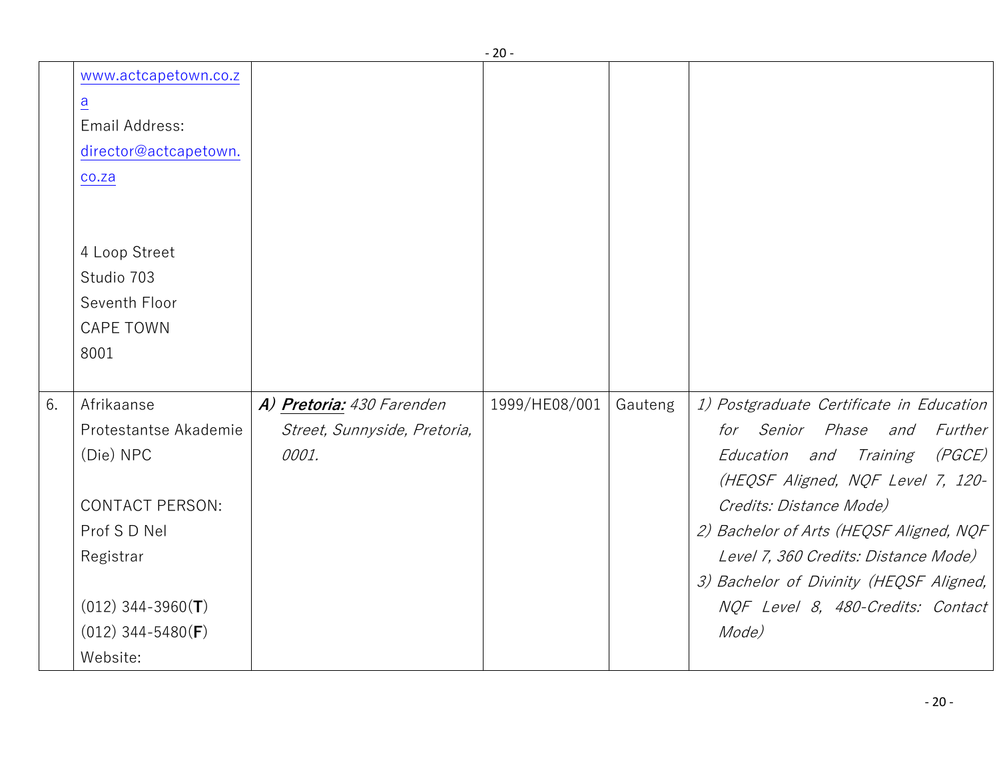|    |                                                                                                                           |                              | ∠∪            |         |                                          |
|----|---------------------------------------------------------------------------------------------------------------------------|------------------------------|---------------|---------|------------------------------------------|
|    | www.actcapetown.co.z<br>$\overline{a}$<br>Email Address:<br>director@actcapetown.<br>co.za<br>4 Loop Street<br>Studio 703 |                              |               |         |                                          |
|    | Seventh Floor                                                                                                             |                              |               |         |                                          |
|    | <b>CAPE TOWN</b>                                                                                                          |                              |               |         |                                          |
|    | 8001                                                                                                                      |                              |               |         |                                          |
|    |                                                                                                                           |                              |               |         |                                          |
| 6. | Afrikaanse                                                                                                                | A) Pretoria: 430 Farenden    | 1999/HE08/001 | Gauteng | 1) Postgraduate Certificate in Education |
|    | Protestantse Akademie                                                                                                     | Street, Sunnyside, Pretoria, |               |         | for Senior Phase and<br>Further          |
|    | (Die) NPC                                                                                                                 | 0001.                        |               |         | Education and Training<br>(PGCE)         |
|    |                                                                                                                           |                              |               |         | (HEQSF Aligned, NQF Level 7, 120-        |
|    | <b>CONTACT PERSON:</b>                                                                                                    |                              |               |         | Credits: Distance Mode)                  |
|    | Prof S D Nel                                                                                                              |                              |               |         | 2) Bachelor of Arts (HEQSF Aligned, NQF  |
|    | Registrar                                                                                                                 |                              |               |         | Level 7, 360 Credits: Distance Mode)     |
|    |                                                                                                                           |                              |               |         | 3) Bachelor of Divinity (HEQSF Aligned,  |
|    | $(012)$ 344-3960(T)                                                                                                       |                              |               |         | NQF Level 8, 480-Credits: Contact        |
|    | $(012)$ 344-5480(F)                                                                                                       |                              |               |         | Mode)                                    |
|    | Website:                                                                                                                  |                              |               |         |                                          |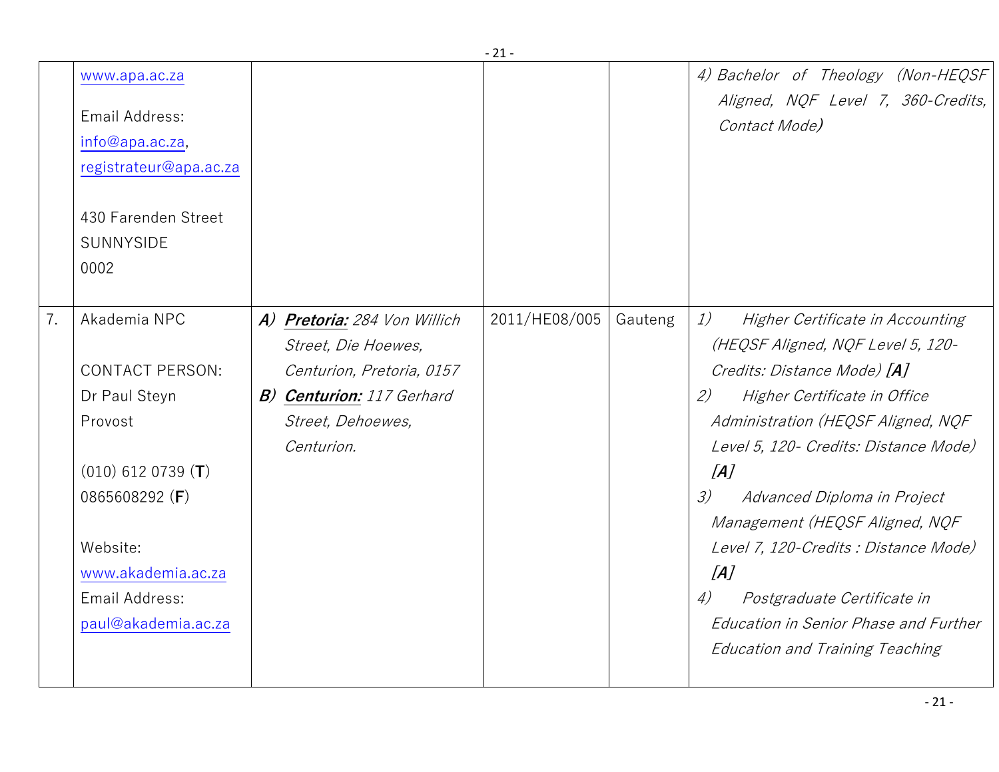|    |                                                                                                                                                                                         |                                                                                                                                                         | $\sim$        |         |                                                                                                                                                                                                                                                                                                                                                                                                                                                                                                                   |
|----|-----------------------------------------------------------------------------------------------------------------------------------------------------------------------------------------|---------------------------------------------------------------------------------------------------------------------------------------------------------|---------------|---------|-------------------------------------------------------------------------------------------------------------------------------------------------------------------------------------------------------------------------------------------------------------------------------------------------------------------------------------------------------------------------------------------------------------------------------------------------------------------------------------------------------------------|
|    | www.apa.ac.za<br>Email Address:<br>info@apa.ac.za,<br>registrateur@apa.ac.za                                                                                                            |                                                                                                                                                         |               |         | 4) Bachelor of Theology (Non-HEQSF<br>Aligned, NQF Level 7, 360-Credits,<br>Contact Mode)                                                                                                                                                                                                                                                                                                                                                                                                                         |
|    | 430 Farenden Street<br>SUNNYSIDE<br>0002                                                                                                                                                |                                                                                                                                                         |               |         |                                                                                                                                                                                                                                                                                                                                                                                                                                                                                                                   |
| 7. | Akademia NPC<br><b>CONTACT PERSON:</b><br>Dr Paul Steyn<br>Provost<br>$(010)$ 612 0739 (T)<br>0865608292 (F)<br>Website:<br>www.akademia.ac.za<br>Email Address:<br>paul@akademia.ac.za | A) Pretoria: 284 Von Willich<br>Street, Die Hoewes,<br>Centurion, Pretoria, 0157<br><b>B) Centurion:</b> 117 Gerhard<br>Street, Dehoewes,<br>Centurion. | 2011/HE08/005 | Gauteng | 1)<br>Higher Certificate in Accounting<br>(HEQSF Aligned, NQF Level 5, 120-<br>Credits: Distance Mode) [A]<br>(2)<br>Higher Certificate in Office<br>Administration (HEQSF Aligned, NQF<br>Level 5, 120 - Credits: Distance Mode)<br>[A]<br>3)<br>Advanced Diploma in Project<br>Management (HEQSF Aligned, NQF<br>Level 7, 120-Credits : Distance Mode)<br>[A]<br>$\left( \frac{1}{2} \right)$<br>Postgraduate Certificate in<br>Education in Senior Phase and Further<br><b>Education and Training Teaching</b> |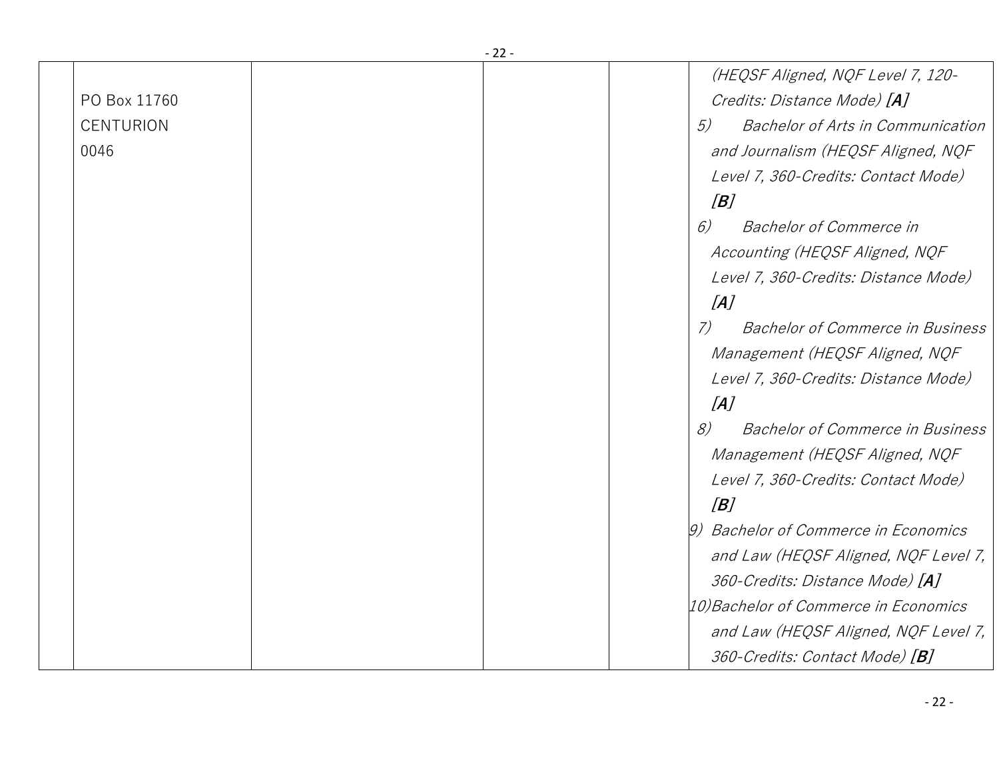|                  | - 22 - |                  |                                                |
|------------------|--------|------------------|------------------------------------------------|
|                  |        |                  | (HEQSF Aligned, NQF Level 7, 120-              |
| PO Box 11760     |        |                  | Credits: Distance Mode) [A]                    |
| <b>CENTURION</b> |        |                  | <b>Bachelor of Arts in Communication</b><br>5) |
| 0046             |        |                  | and Journalism (HEQSF Aligned, NQF             |
|                  |        |                  | Level 7, 360-Credits: Contact Mode)            |
|                  |        |                  | [B]                                            |
|                  |        |                  | 6)<br><b>Bachelor of Commerce in</b>           |
|                  |        |                  | Accounting (HEQSF Aligned, NQF                 |
|                  |        |                  | Level 7, 360-Credits: Distance Mode)           |
|                  |        |                  | [A]                                            |
|                  |        |                  | (7)<br><b>Bachelor of Commerce in Business</b> |
|                  |        |                  | Management (HEQSF Aligned, NQF                 |
|                  |        |                  | Level 7, 360-Credits: Distance Mode)           |
|                  |        |                  | [A]                                            |
|                  |        |                  | 8)<br><b>Bachelor of Commerce in Business</b>  |
|                  |        |                  | Management (HEQSF Aligned, NQF                 |
|                  |        |                  | Level 7, 360-Credits: Contact Mode)            |
|                  |        |                  | [B]                                            |
|                  |        | $\left g\right)$ | <b>Bachelor of Commerce in Economics</b>       |
|                  |        |                  | and Law (HEQSF Aligned, NQF Level 7,           |
|                  |        |                  | 360-Credits: Distance Mode) [A]                |
|                  |        |                  | 10)Bachelor of Commerce in Economics           |
|                  |        |                  | and Law (HEQSF Aligned, NQF Level 7,           |
|                  |        |                  | 360-Credits: Contact Mode) [B]                 |
|                  |        |                  |                                                |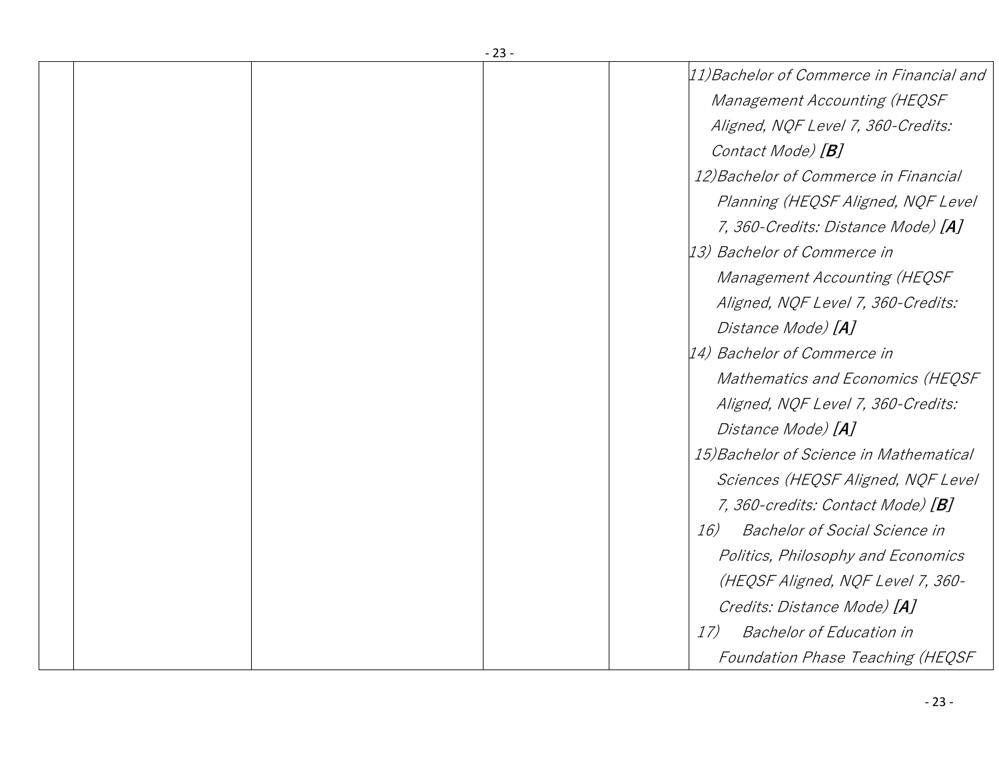|  | - 23 -                                      |
|--|---------------------------------------------|
|  | 11) Bachelor of Commerce in Financial and   |
|  | Management Accounting (HEQSF                |
|  | Aligned, NQF Level 7, 360-Credits:          |
|  | Contact Mode) [ <b>B</b> ]                  |
|  | 12) Bachelor of Commerce in Financial       |
|  | Planning (HEQSF Aligned, NQF Level          |
|  | 7, 360-Credits: Distance Mode) [A]          |
|  | [13] Bachelor of Commerce in                |
|  | Management Accounting (HEQSF                |
|  | Aligned, NQF Level 7, 360-Credits:          |
|  | Distance Mode) [A]                          |
|  | [14] Bachelor of Commerce in                |
|  | Mathematics and Economics (HEQSF            |
|  | Aligned, NQF Level 7, 360-Credits:          |
|  | Distance Mode) [A]                          |
|  | 15) Bachelor of Science in Mathematical     |
|  | Sciences (HEQSF Aligned, NQF Level          |
|  | 7, 360-credits: Contact Mode) [B]           |
|  | <b>Bachelor of Social Science in</b><br>16) |
|  | Politics, Philosophy and Economics          |
|  | (HEQSF Aligned, NQF Level 7, 360-           |
|  | Credits: Distance Mode) [A]                 |
|  | <b>Bachelor of Education in</b><br>17)      |
|  | Foundation Phase Teaching (HEQSF            |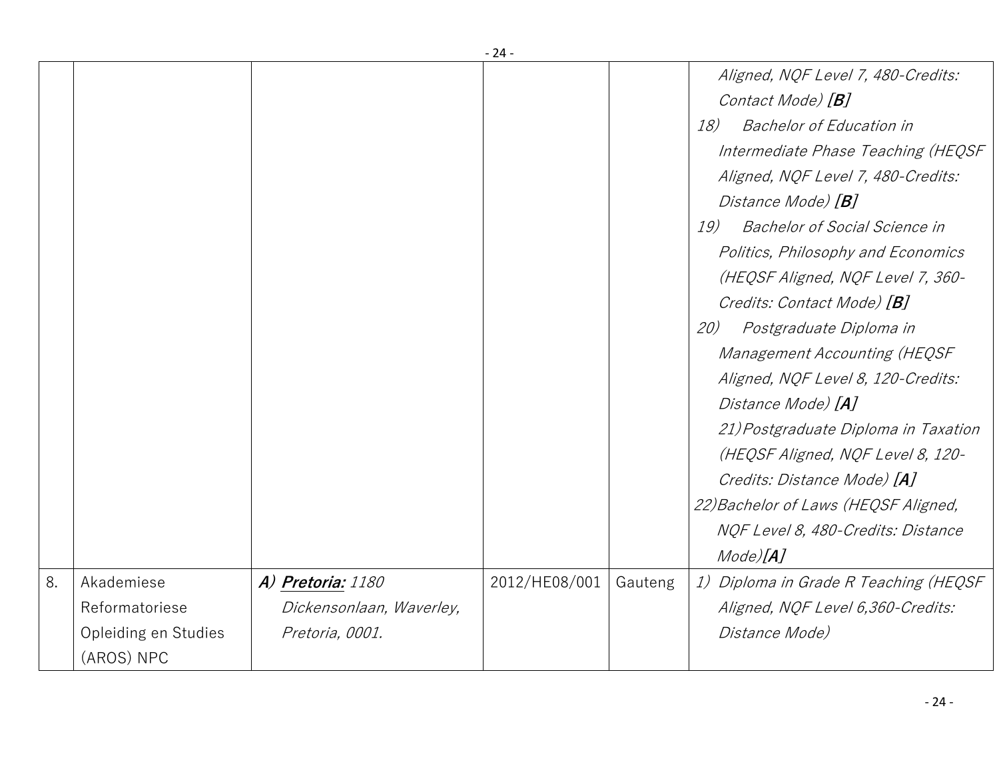|    |                      |                          | - 24 -        |         |                                             |
|----|----------------------|--------------------------|---------------|---------|---------------------------------------------|
|    |                      |                          |               |         | Aligned, NQF Level 7, 480-Credits:          |
|    |                      |                          |               |         | Contact Mode) [B]                           |
|    |                      |                          |               |         | <b>Bachelor of Education in</b><br>18)      |
|    |                      |                          |               |         | Intermediate Phase Teaching (HEQSF          |
|    |                      |                          |               |         | Aligned, NQF Level 7, 480-Credits:          |
|    |                      |                          |               |         | Distance Mode) [ <b>B</b> ]                 |
|    |                      |                          |               |         | <b>Bachelor of Social Science in</b><br>19) |
|    |                      |                          |               |         | Politics, Philosophy and Economics          |
|    |                      |                          |               |         | (HEQSF Aligned, NQF Level 7, 360-           |
|    |                      |                          |               |         | Credits: Contact Mode) [B]                  |
|    |                      |                          |               |         | Postgraduate Diploma in<br>20)              |
|    |                      |                          |               |         | Management Accounting (HEQSF                |
|    |                      |                          |               |         | Aligned, NQF Level 8, 120-Credits:          |
|    |                      |                          |               |         | Distance Mode) [A]                          |
|    |                      |                          |               |         | 21) Postgraduate Diploma in Taxation        |
|    |                      |                          |               |         | (HEQSF Aligned, NQF Level 8, 120-           |
|    |                      |                          |               |         | Credits: Distance Mode) [A]                 |
|    |                      |                          |               |         | 22) Bachelor of Laws (HEQSF Aligned,        |
|    |                      |                          |               |         | NQF Level 8, 480-Credits: Distance          |
|    |                      |                          |               |         | Mode)[A]                                    |
| 8. | Akademiese           | A) Pretoria: 1180        | 2012/HE08/001 | Gauteng | 1) Diploma in Grade R Teaching (HEQSF       |
|    | Reformatoriese       | Dickensonlaan, Waverley, |               |         | Aligned, NQF Level 6,360-Credits:           |
|    | Opleiding en Studies | Pretoria, 0001.          |               |         | <i>Distance Mode)</i>                       |
|    | (AROS) NPC           |                          |               |         |                                             |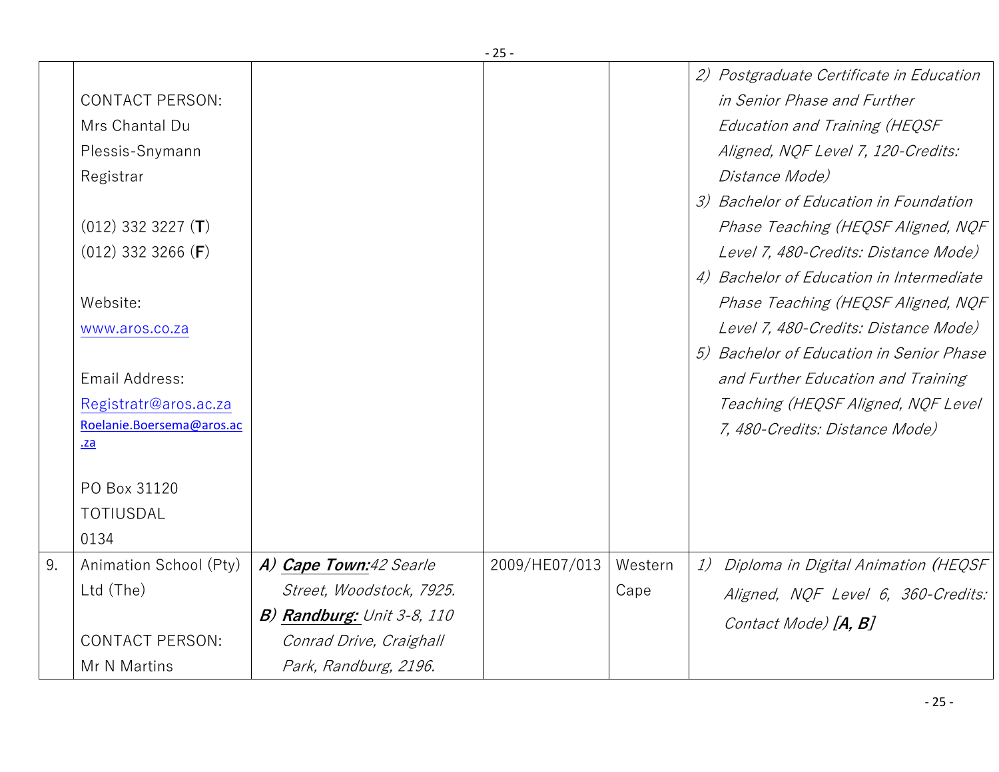|    |                           |                            | - 25 -        |         |                                           |
|----|---------------------------|----------------------------|---------------|---------|-------------------------------------------|
|    |                           |                            |               |         | 2) Postgraduate Certificate in Education  |
|    | <b>CONTACT PERSON:</b>    |                            |               |         | in Senior Phase and Further               |
|    | Mrs Chantal Du            |                            |               |         | Education and Training (HEQSF             |
|    | Plessis-Snymann           |                            |               |         | Aligned, NQF Level 7, 120-Credits:        |
|    | Registrar                 |                            |               |         | Distance Mode)                            |
|    |                           |                            |               |         | 3) Bachelor of Education in Foundation    |
|    | $(012)$ 332 3227 (T)      |                            |               |         | Phase Teaching (HEQSF Aligned, NQF        |
|    | $(012)$ 332 3266 (F)      |                            |               |         | Level 7, 480-Credits: Distance Mode)      |
|    |                           |                            |               |         | 4) Bachelor of Education in Intermediate  |
|    | Website:                  |                            |               |         | Phase Teaching (HEQSF Aligned, NQF        |
|    | www.aros.co.za            |                            |               |         | Level 7, 480-Credits: Distance Mode)      |
|    |                           |                            |               |         | 5) Bachelor of Education in Senior Phase  |
|    | Email Address:            |                            |               |         | and Further Education and Training        |
|    | Registratr@aros.ac.za     |                            |               |         | Teaching (HEQSF Aligned, NQF Level        |
|    | Roelanie.Boersema@aros.ac |                            |               |         | 7, 480-Credits: Distance Mode)            |
|    | .za                       |                            |               |         |                                           |
|    | PO Box 31120              |                            |               |         |                                           |
|    | TOTIUSDAL                 |                            |               |         |                                           |
|    | 0134                      |                            |               |         |                                           |
| 9. | Animation School (Pty)    | A) Cape Town:42 Searle     | 2009/HE07/013 | Western | 1)<br>Diploma in Digital Animation (HEQSF |
|    | Ltd (The)                 | Street, Woodstock, 7925.   |               | Cape    | Aligned, NQF Level 6, 360-Credits:        |
|    |                           | B) Randburg: Unit 3-8, 110 |               |         |                                           |
|    | <b>CONTACT PERSON:</b>    | Conrad Drive, Craighall    |               |         | Contact Mode) [A, B]                      |
|    | Mr N Martins              | Park, Randburg, 2196.      |               |         |                                           |
|    |                           |                            |               |         |                                           |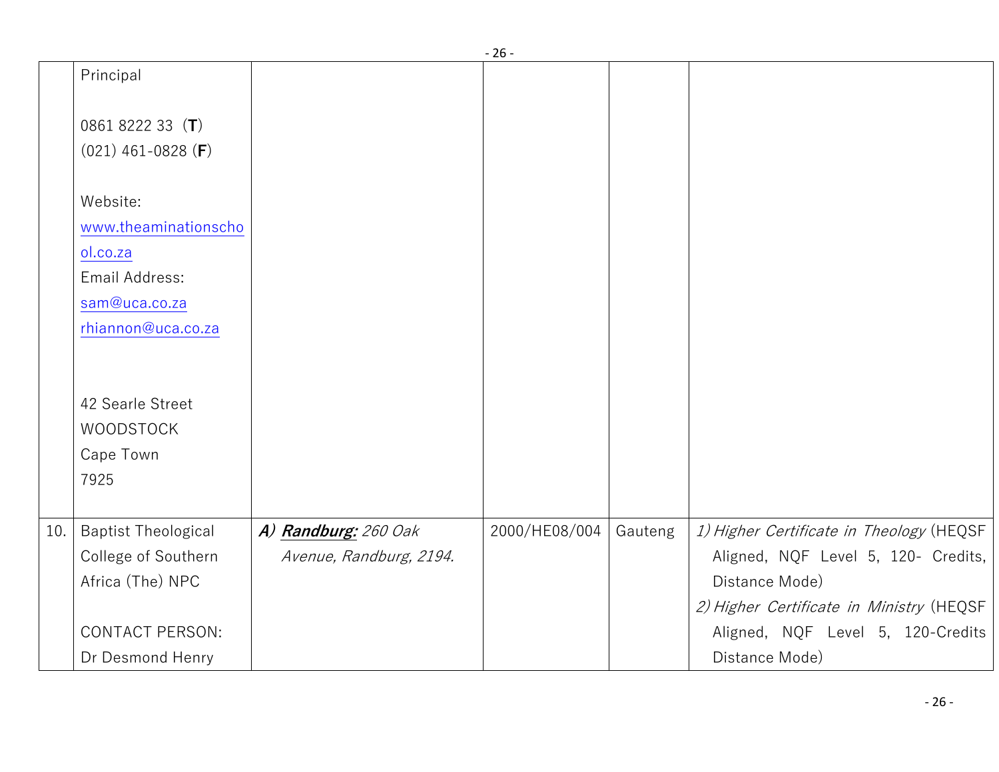|     |                            |                         | $-26-$        |         |                                          |
|-----|----------------------------|-------------------------|---------------|---------|------------------------------------------|
|     | Principal                  |                         |               |         |                                          |
|     |                            |                         |               |         |                                          |
|     | 0861 8222 33 $(T)$         |                         |               |         |                                          |
|     | $(021)$ 461-0828 (F)       |                         |               |         |                                          |
|     |                            |                         |               |         |                                          |
|     | Website:                   |                         |               |         |                                          |
|     | www.theaminationscho       |                         |               |         |                                          |
|     | ol.co.za                   |                         |               |         |                                          |
|     | Email Address:             |                         |               |         |                                          |
|     | sam@uca.co.za              |                         |               |         |                                          |
|     | rhiannon@uca.co.za         |                         |               |         |                                          |
|     |                            |                         |               |         |                                          |
|     |                            |                         |               |         |                                          |
|     | 42 Searle Street           |                         |               |         |                                          |
|     | <b>WOODSTOCK</b>           |                         |               |         |                                          |
|     | Cape Town                  |                         |               |         |                                          |
|     | 7925                       |                         |               |         |                                          |
|     |                            |                         |               |         |                                          |
| 10. | <b>Baptist Theological</b> | A) Randburg: 260 Oak    | 2000/HE08/004 | Gauteng | 1) Higher Certificate in Theology (HEQSF |
|     | College of Southern        | Avenue, Randburg, 2194. |               |         | Aligned, NQF Level 5, 120- Credits,      |
|     | Africa (The) NPC           |                         |               |         | Distance Mode)                           |
|     |                            |                         |               |         | 2) Higher Certificate in Ministry (HEQSF |
|     | <b>CONTACT PERSON:</b>     |                         |               |         | Aligned, NQF Level 5, 120-Credits        |
|     | Dr Desmond Henry           |                         |               |         | Distance Mode)                           |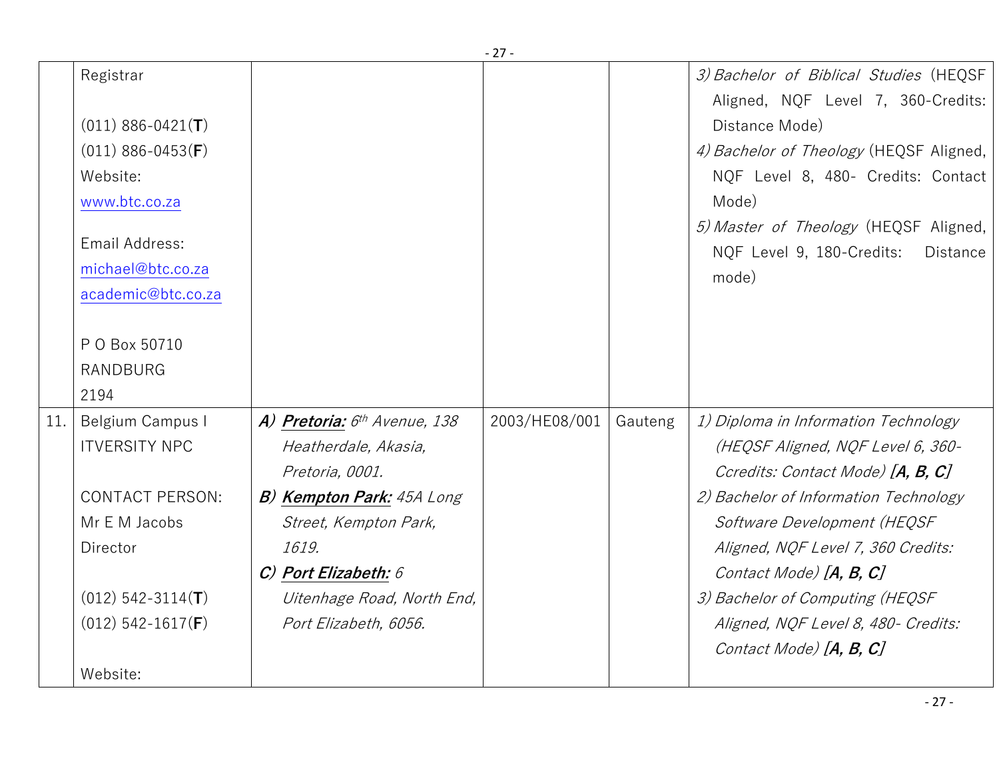|     |                                     |                                          | - 21 -        |         |                                                                                                |
|-----|-------------------------------------|------------------------------------------|---------------|---------|------------------------------------------------------------------------------------------------|
|     | Registrar                           |                                          |               |         | 3) Bachelor of Biblical Studies (HEQSF<br>Aligned, NQF Level 7, 360-Credits:                   |
|     | $(011)$ 886-0421(T)                 |                                          |               |         | Distance Mode)                                                                                 |
|     | $(011)$ 886-0453(F)                 |                                          |               |         | 4) Bachelor of Theology (HEQSF Aligned,                                                        |
|     | Website:                            |                                          |               |         | NQF Level 8, 480- Credits: Contact                                                             |
|     | www.btc.co.za                       |                                          |               |         | Mode)                                                                                          |
|     | Email Address:<br>michael@btc.co.za |                                          |               |         | 5) Master of Theology (HEQSF Aligned,<br>NQF Level 9, 180-Credits:<br><b>Distance</b><br>mode) |
|     | academic@btc.co.za                  |                                          |               |         |                                                                                                |
|     | P O Box 50710                       |                                          |               |         |                                                                                                |
|     | <b>RANDBURG</b>                     |                                          |               |         |                                                                                                |
|     | 2194                                |                                          |               |         |                                                                                                |
| 11. | Belgium Campus I                    | A) Pretoria: 6 <sup>th</sup> Avenue, 138 | 2003/HE08/001 | Gauteng | 1) Diploma in Information Technology                                                           |
|     | <b>ITVERSITY NPC</b>                | Heatherdale, Akasia,                     |               |         | (HEQSF Aligned, NQF Level 6, 360-                                                              |
|     |                                     | Pretoria, 0001.                          |               |         | Ccredits: Contact Mode) [A, B, C]                                                              |
|     | <b>CONTACT PERSON:</b>              | <b>B) Kempton Park:</b> 45A Long         |               |         | 2) Bachelor of Information Technology                                                          |
|     | Mr E M Jacobs                       | Street, Kempton Park,                    |               |         | Software Development (HEQSF                                                                    |
|     | Director                            | 1619.                                    |               |         | Aligned, NQF Level 7, 360 Credits:                                                             |
|     |                                     | $C$ ) Port Elizabeth: $6$                |               |         | Contact Mode) $[A, B, C]$                                                                      |
|     | $(012)$ 542-3114(T)                 | Uitenhage Road, North End,               |               |         | 3) Bachelor of Computing (HEQSF                                                                |
|     | $(012)$ 542-1617( <b>F</b> )        | Port Elizabeth, 6056.                    |               |         | Aligned, NQF Level 8, 480- Credits:                                                            |
|     |                                     |                                          |               |         | Contact Mode) $[A, B, C]$                                                                      |
|     | Website:                            |                                          |               |         |                                                                                                |
|     |                                     |                                          |               |         |                                                                                                |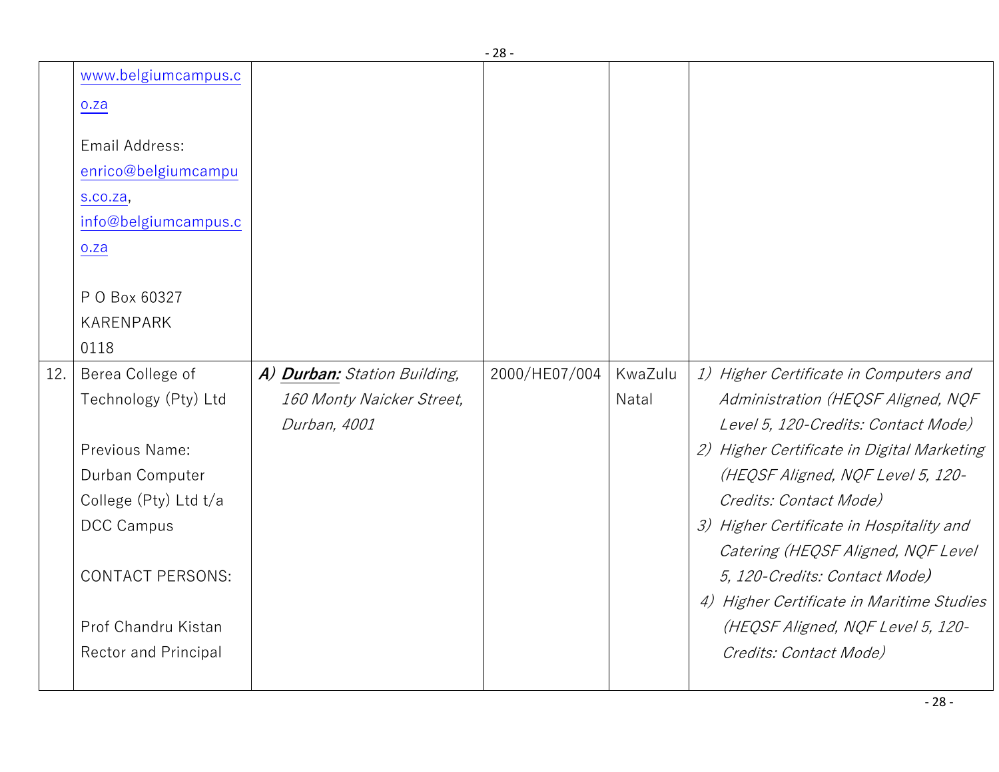|     |                                                                                  |                                                           | ںے            |                  |                                                                                                                                                                                                                                    |
|-----|----------------------------------------------------------------------------------|-----------------------------------------------------------|---------------|------------------|------------------------------------------------------------------------------------------------------------------------------------------------------------------------------------------------------------------------------------|
|     | www.belgiumcampus.c<br>0.2a<br>Email Address:<br>enrico@belgiumcampu<br>s.co.za, |                                                           |               |                  |                                                                                                                                                                                                                                    |
|     | info@belgiumcampus.c                                                             |                                                           |               |                  |                                                                                                                                                                                                                                    |
|     | 0.2a                                                                             |                                                           |               |                  |                                                                                                                                                                                                                                    |
|     | P O Box 60327<br><b>KARENPARK</b><br>0118                                        |                                                           |               |                  |                                                                                                                                                                                                                                    |
| 12. | Berea College of<br>Technology (Pty) Ltd                                         | A) Durban: Station Building,<br>160 Monty Naicker Street, | 2000/HE07/004 | KwaZulu<br>Natal | 1) Higher Certificate in Computers and<br>Administration (HEQSF Aligned, NQF                                                                                                                                                       |
|     | Previous Name:<br>Durban Computer<br>College (Pty) Ltd t/a<br><b>DCC Campus</b>  | Durban, 4001                                              |               |                  | Level 5, 120-Credits: Contact Mode)<br>2) Higher Certificate in Digital Marketing<br>(HEQSF Aligned, NQF Level 5, 120-<br>Credits: Contact Mode)<br>3) Higher Certificate in Hospitality and<br>Catering (HEQSF Aligned, NQF Level |
|     | <b>CONTACT PERSONS:</b><br>Prof Chandru Kistan                                   |                                                           |               |                  | 5, 120-Credits: Contact Mode)<br>4) Higher Certificate in Maritime Studies<br>(HEQSF Aligned, NQF Level 5, 120-                                                                                                                    |
|     | <b>Rector and Principal</b>                                                      |                                                           |               |                  | Credits: Contact Mode)                                                                                                                                                                                                             |
|     |                                                                                  |                                                           |               |                  |                                                                                                                                                                                                                                    |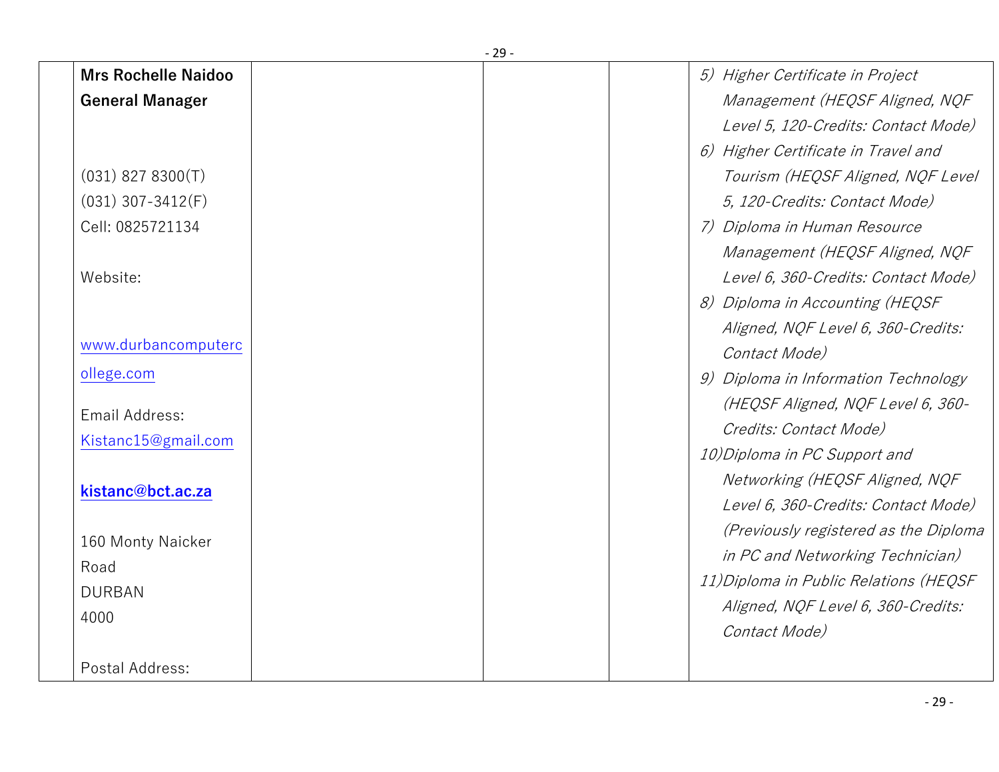|                            | - 29 -                                 |
|----------------------------|----------------------------------------|
| <b>Mrs Rochelle Naidoo</b> | 5) Higher Certificate in Project       |
| <b>General Manager</b>     | Management (HEQSF Aligned, NQF         |
|                            | Level 5, 120-Credits: Contact Mode)    |
|                            | 6) Higher Certificate in Travel and    |
| $(031)$ 827 8300(T)        | Tourism (HEQSF Aligned, NQF Level      |
| $(031)$ 307-3412(F)        | 5, 120-Credits: Contact Mode)          |
| Cell: 0825721134           | 7) Diploma in Human Resource           |
|                            | Management (HEQSF Aligned, NQF         |
| Website:                   | Level 6, 360-Credits: Contact Mode)    |
|                            | 8) Diploma in Accounting (HEQSF        |
|                            | Aligned, NQF Level 6, 360-Credits:     |
| www.durbancomputerc        | Contact Mode)                          |
| ollege.com                 | 9) Diploma in Information Technology   |
| Email Address:             | (HEQSF Aligned, NQF Level 6, 360-      |
| Kistanc15@gmail.com        | Credits: Contact Mode)                 |
|                            | 10) Diploma in PC Support and          |
| kistanc@bct.ac.za          | Networking (HEQSF Aligned, NQF         |
|                            | Level 6, 360-Credits: Contact Mode)    |
| 160 Monty Naicker          | (Previously registered as the Diploma  |
| Road                       | in PC and Networking Technician)       |
| <b>DURBAN</b>              | 11) Diploma in Public Relations (HEQSF |
| 4000                       | Aligned, NQF Level 6, 360-Credits:     |
|                            | Contact Mode)                          |
| Postal Address:            |                                        |
|                            |                                        |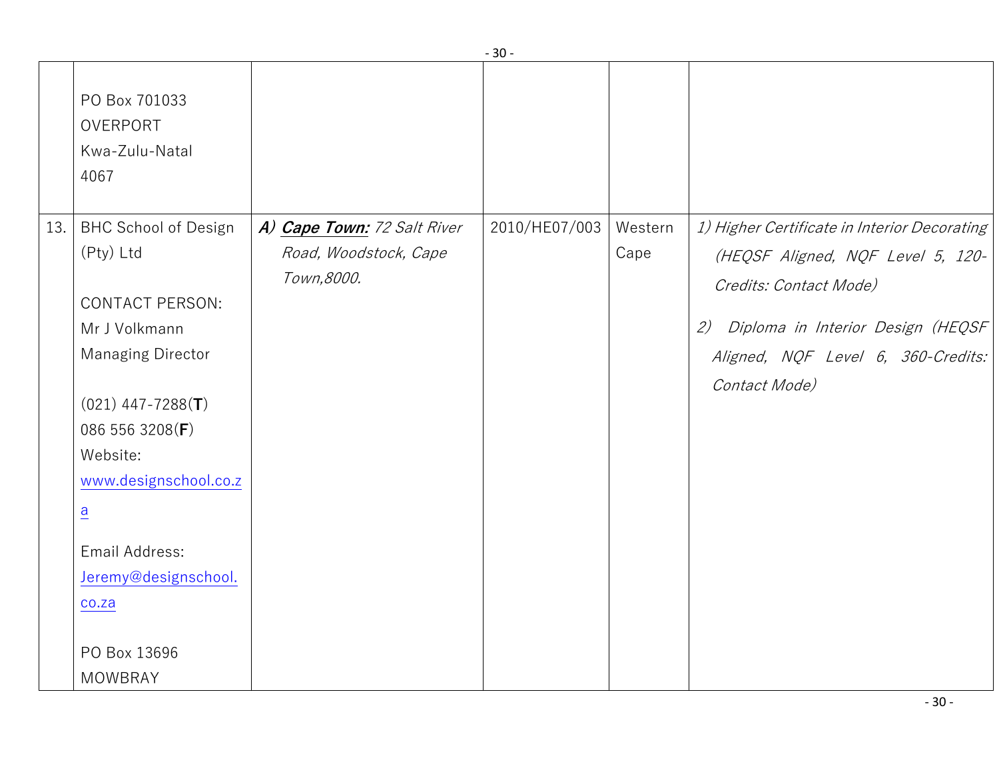|     |                                                                                                                                                                                                                                                                    |                                                                     | JU            |         |                                                                                                                                                                                                                |
|-----|--------------------------------------------------------------------------------------------------------------------------------------------------------------------------------------------------------------------------------------------------------------------|---------------------------------------------------------------------|---------------|---------|----------------------------------------------------------------------------------------------------------------------------------------------------------------------------------------------------------------|
| 13. | PO Box 701033<br>OVERPORT<br>Kwa-Zulu-Natal<br>4067                                                                                                                                                                                                                |                                                                     | 2010/HE07/003 | Western |                                                                                                                                                                                                                |
|     | <b>BHC School of Design</b><br>(Pty) Ltd<br><b>CONTACT PERSON:</b><br>Mr J Volkmann<br><b>Managing Director</b><br>$(021)$ 447-7288(T)<br>086 556 3208(F)<br>Website:<br>www.designschool.co.z<br>$\frac{a}{b}$<br>Email Address:<br>Jeremy@designschool.<br>co.za | A) Cape Town: 72 Salt River<br>Road, Woodstock, Cape<br>Town, 8000. |               | Cape    | 1) Higher Certificate in Interior Decorating<br>(HEQSF Aligned, NQF Level 5, 120-<br>Credits: Contact Mode)<br>Diploma in Interior Design (HEQSF<br>(2)<br>Aligned, NQF Level 6, 360-Credits:<br>Contact Mode) |
|     | PO Box 13696<br><b>MOWBRAY</b>                                                                                                                                                                                                                                     |                                                                     |               |         |                                                                                                                                                                                                                |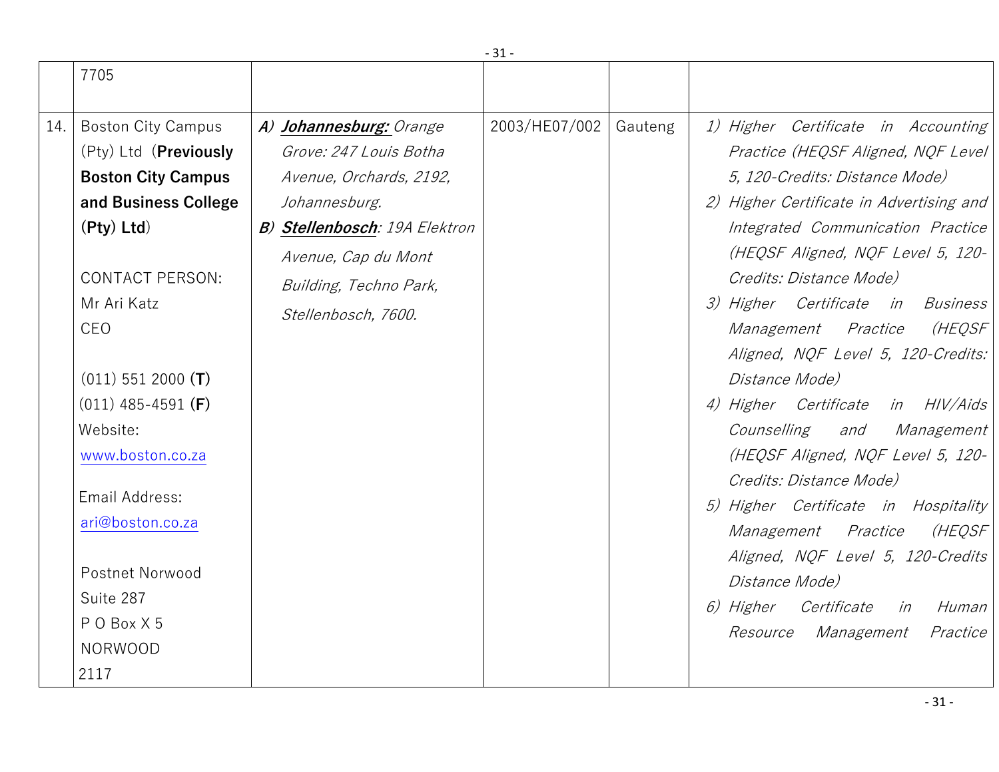|     | 7705                                                                                                                                                                                                                                                                                                                                                                               |                                                                                                                                                                                                        |               |         |                                                                                                                                                                                                                                                                                                                                                                                                                                                                                                                                                                                                                                                                                                                                                    |
|-----|------------------------------------------------------------------------------------------------------------------------------------------------------------------------------------------------------------------------------------------------------------------------------------------------------------------------------------------------------------------------------------|--------------------------------------------------------------------------------------------------------------------------------------------------------------------------------------------------------|---------------|---------|----------------------------------------------------------------------------------------------------------------------------------------------------------------------------------------------------------------------------------------------------------------------------------------------------------------------------------------------------------------------------------------------------------------------------------------------------------------------------------------------------------------------------------------------------------------------------------------------------------------------------------------------------------------------------------------------------------------------------------------------------|
| 14. | <b>Boston City Campus</b><br>(Pty) Ltd ( <b>Previously</b><br><b>Boston City Campus</b><br>and Business College<br>$(Pty)$ Ltd)<br><b>CONTACT PERSON:</b><br>Mr Ari Katz<br>CEO<br>$(011)$ 551 2000 (T)<br>$(011)$ 485-4591 (F)<br>Website:<br>www.boston.co.za<br>Email Address:<br>ari@boston.co.za<br><b>Postnet Norwood</b><br>Suite 287<br>POBox X5<br><b>NORWOOD</b><br>2117 | A) Johannesburg: Orange<br>Grove: 247 Louis Botha<br>Avenue, Orchards, 2192,<br>Johannesburg.<br>B) Stellenbosch: 19A Elektron<br>Avenue, Cap du Mont<br>Building, Techno Park,<br>Stellenbosch, 7600. | 2003/HE07/002 | Gauteng | 1) Higher Certificate in Accounting<br>Practice (HEQSF Aligned, NQF Level<br>5, 120-Credits: Distance Mode)<br>2) Higher Certificate in Advertising and<br>Integrated Communication Practice<br>(HEQSF Aligned, NQF Level 5, 120-<br>Credits: Distance Mode)<br>3) Higher Certificate in Business<br>(HEQSF<br>Management Practice<br>Aligned, NQF Level 5, 120-Credits:<br>Distance Mode)<br>4) Higher Certificate in HIV/Aids<br>Counselling<br>and<br><i>Management</i><br>(HEQSF Aligned, NQF Level 5, 120-<br>Credits: Distance Mode)<br>5) Higher Certificate in Hospitality<br>(HEQSF<br>Management Practice<br>Aligned, NQF Level 5, 120-Credits<br>Distance Mode)<br>6) Higher Certificate in<br>Human<br>Resource Management<br>Practice |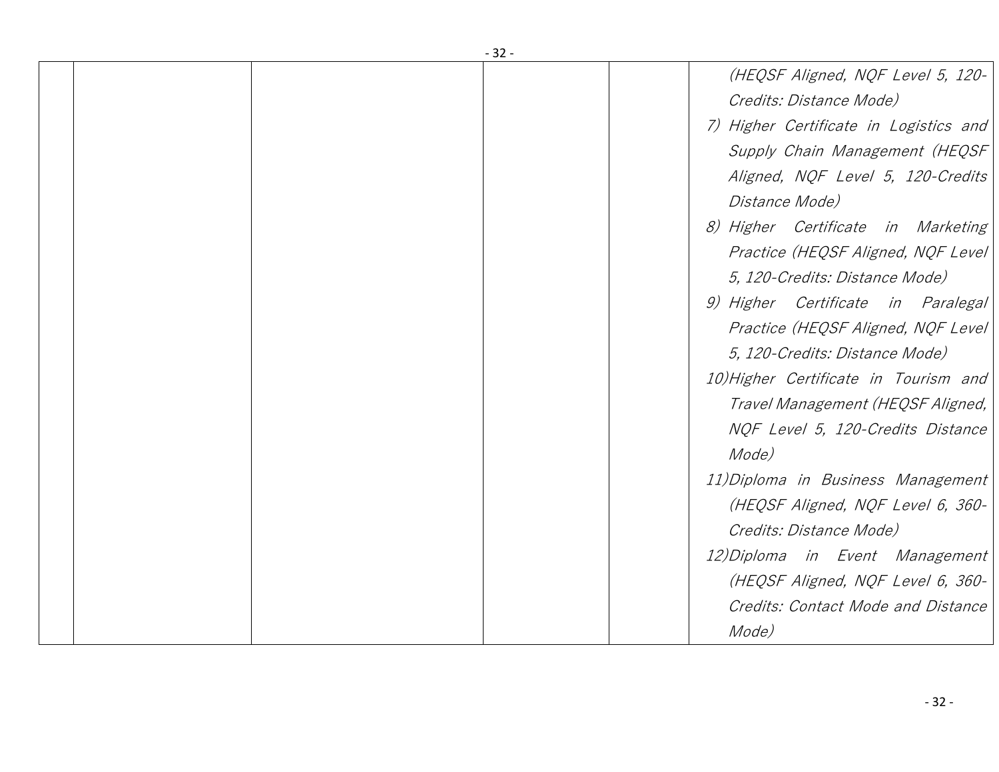| $-32-$                                 |
|----------------------------------------|
| (HEQSF Aligned, NQF Level 5, 120-      |
| Credits: Distance Mode)                |
| 7) Higher Certificate in Logistics and |
| Supply Chain Management (HEQSF         |
| Aligned, NQF Level 5, 120-Credits      |
| <i>Distance Mode)</i>                  |
| 8) Higher Certificate in Marketing     |
| Practice (HEQSF Aligned, NQF Level     |
| 5, 120-Credits: Distance Mode)         |
| 9) Higher Certificate in Paralegal     |
| Practice (HEQSF Aligned, NQF Level)    |
| 5, 120-Credits: Distance Mode)         |
| 10) Higher Certificate in Tourism and  |
| Travel Management (HEQSF Aligned,      |
| NQF Level 5, 120-Credits Distance      |
| Mode)                                  |
| 11) Diploma in Business Management     |
| (HEQSF Aligned, NQF Level 6, 360-      |
| Credits: Distance Mode)                |
| 12) Diploma in Event Management        |
| (HEQSF Aligned, NQF Level 6, 360-      |
| Credits: Contact Mode and Distance     |
| Mode)                                  |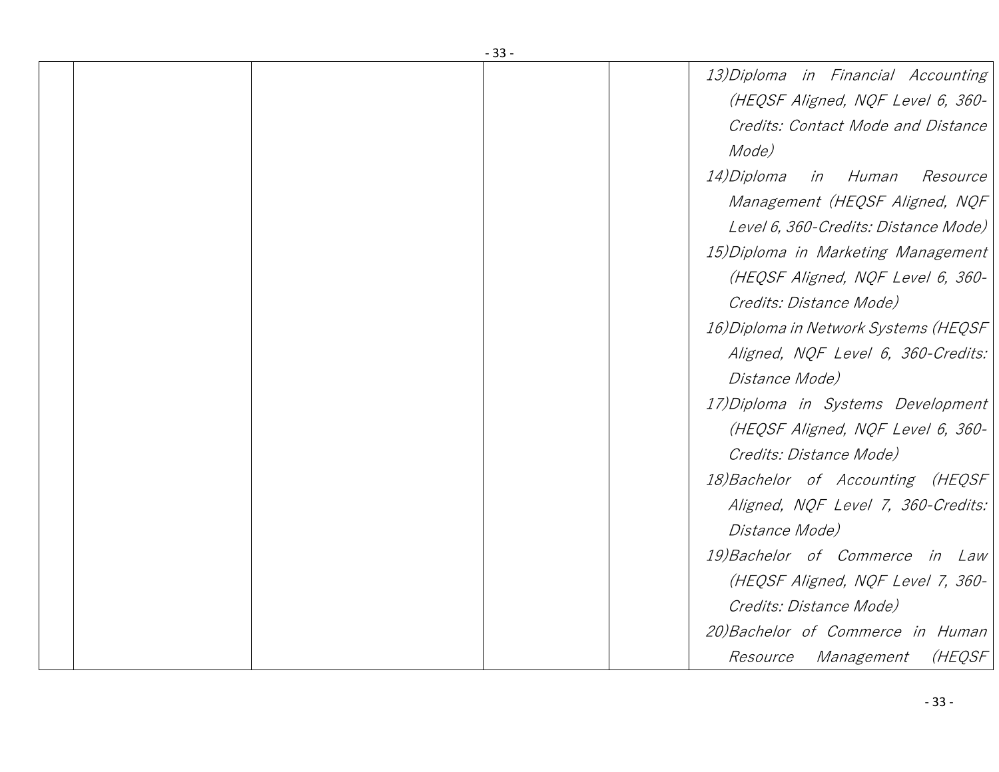| - 33 - |                                                  |  |  |  |
|--------|--------------------------------------------------|--|--|--|
|        | 13) Diploma in Financial Accounting              |  |  |  |
|        | (HEQSF Aligned, NQF Level 6, 360-                |  |  |  |
|        | Credits: Contact Mode and Distance               |  |  |  |
|        | Mode)                                            |  |  |  |
|        | <i>14)Diploma</i><br>in Human<br><i>Resource</i> |  |  |  |
|        | Management (HEQSF Aligned, NQF                   |  |  |  |
|        | Level 6, 360-Credits: Distance Mode)             |  |  |  |
|        | 15) Diploma in Marketing Management              |  |  |  |
|        | (HEQSF Aligned, NQF Level 6, 360-                |  |  |  |
|        | Credits: Distance Mode)                          |  |  |  |
|        | 16) Diploma in Network Systems (HEQSF            |  |  |  |
|        | Aligned, NQF Level 6, 360-Credits:               |  |  |  |
|        | Distance Mode)                                   |  |  |  |
|        | 17) Diploma in Systems Development               |  |  |  |
|        | (HEQSF Aligned, NQF Level 6, 360-                |  |  |  |
|        | Credits: Distance Mode)                          |  |  |  |
|        | 18) Bachelor of Accounting (HEQSF                |  |  |  |
|        | Aligned, NQF Level 7, 360-Credits:               |  |  |  |
|        | Distance Mode)                                   |  |  |  |
|        | 19) Bachelor of Commerce in Law                  |  |  |  |
|        | (HEQSF Aligned, NQF Level 7, 360-                |  |  |  |
|        | Credits: Distance Mode)                          |  |  |  |
|        | 20) Bachelor of Commerce in Human                |  |  |  |
|        | (HEQSF<br><i>Resource Management</i>             |  |  |  |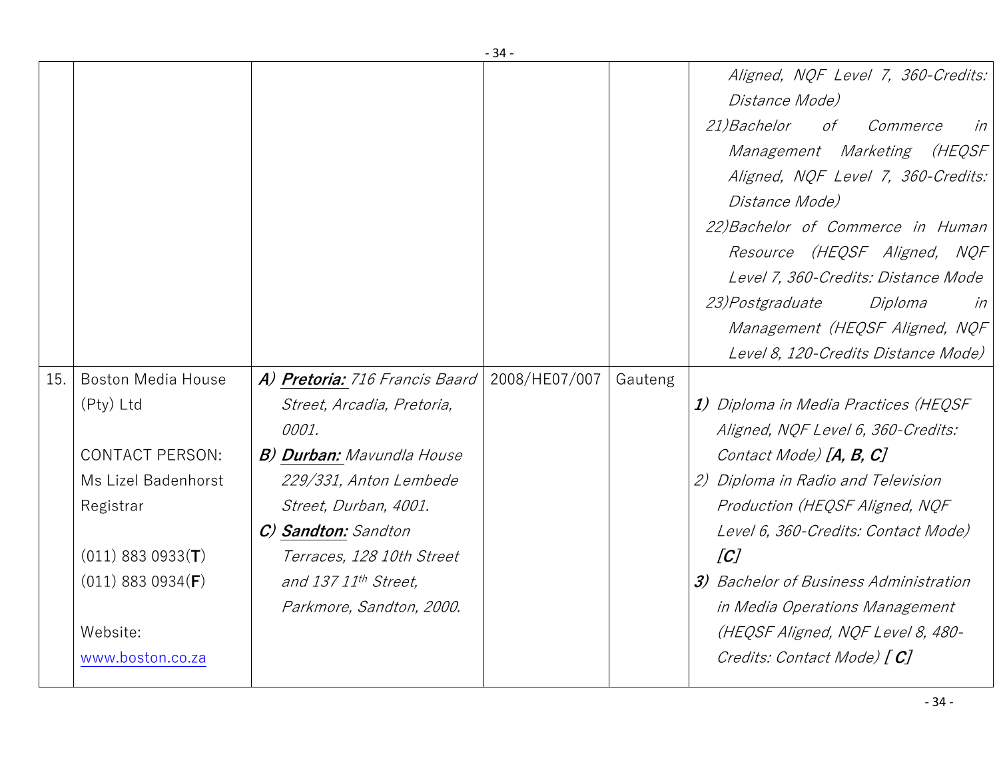|     |                                                                                                                                                                                             |                                                                                                                                                                                                                                                                      | - 34 -        |         |                                                                                                                                                                                                                                                                                                                                                                                    |
|-----|---------------------------------------------------------------------------------------------------------------------------------------------------------------------------------------------|----------------------------------------------------------------------------------------------------------------------------------------------------------------------------------------------------------------------------------------------------------------------|---------------|---------|------------------------------------------------------------------------------------------------------------------------------------------------------------------------------------------------------------------------------------------------------------------------------------------------------------------------------------------------------------------------------------|
|     |                                                                                                                                                                                             |                                                                                                                                                                                                                                                                      |               |         | Aligned, NQF Level 7, 360-Credits:<br>Distance Mode)<br><i>21)Bachelor</i><br>of<br>Commerce<br>in<br>Management Marketing (HEQSF<br>Aligned, NQF Level 7, 360-Credits:<br>Distance Mode)<br>22) Bachelor of Commerce in Human<br>Resource (HEQSF Aligned, NQF<br>Level 7, 360-Credits: Distance Mode<br><i>23)Postgraduate</i><br>Diploma<br>in<br>Management (HEQSF Aligned, NQF |
|     |                                                                                                                                                                                             |                                                                                                                                                                                                                                                                      |               |         | Level 8, 120-Credits Distance Mode)                                                                                                                                                                                                                                                                                                                                                |
| 15. | <b>Boston Media House</b><br>(Pty) Ltd<br><b>CONTACT PERSON:</b><br>Ms Lizel Badenhorst<br>Registrar<br>$(011)$ 883 0933(T)<br>$(011)$ 883 0934( <b>F</b> )<br>Website:<br>www.boston.co.za | A) Pretoria: 716 Francis Baard<br>Street, Arcadia, Pretoria,<br>0001.<br><b>B) Durban:</b> Mavundla House<br>229/331, Anton Lembede<br>Street, Durban, 4001.<br>C) Sandton: Sandton<br>Terraces, 128 10th Street<br>and 137 11th Street,<br>Parkmore, Sandton, 2000. | 2008/HE07/007 | Gauteng | 1) Diploma in Media Practices (HEQSF<br>Aligned, NQF Level 6, 360-Credits:<br>Contact Mode) [A, B, C]<br>2) Diploma in Radio and Television<br>Production (HEQSF Aligned, NQF<br>Level 6, 360-Credits: Contact Mode)<br> C <br>3) Bachelor of Business Administration<br>in Media Operations Management<br>(HEQSF Aligned, NQF Level 8, 480-<br>Credits: Contact Mode) [C]         |
|     |                                                                                                                                                                                             |                                                                                                                                                                                                                                                                      |               |         |                                                                                                                                                                                                                                                                                                                                                                                    |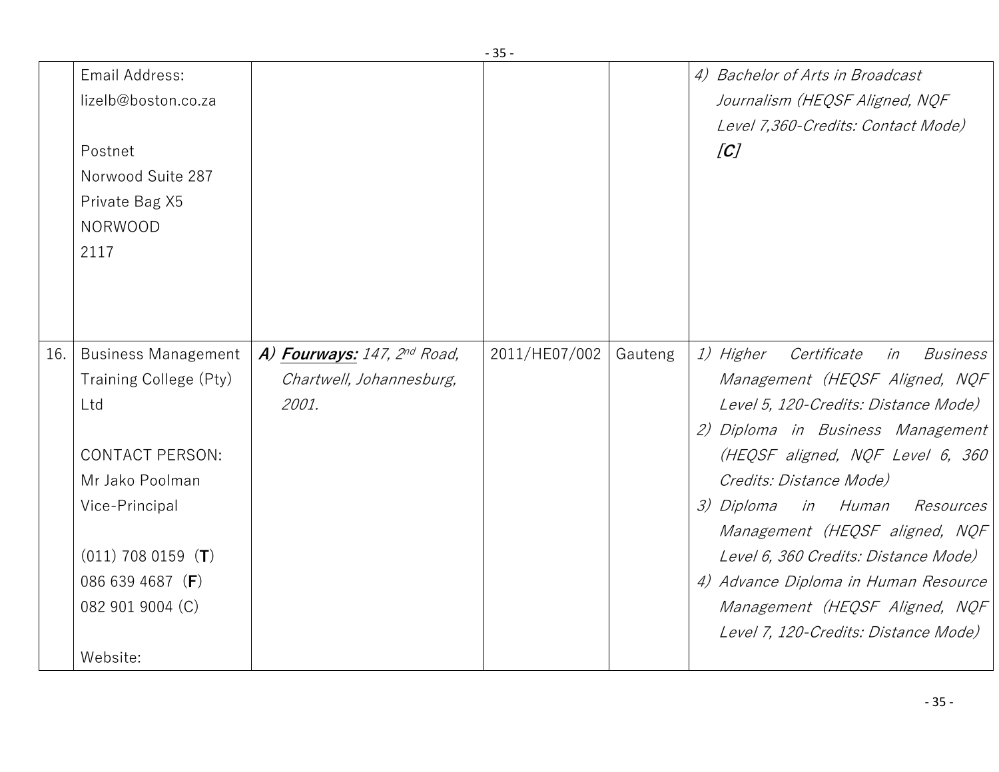|     | Email Address:<br>lizelb@boston.co.za<br>Postnet<br>Norwood Suite 287<br>Private Bag X5<br><b>NORWOOD</b><br>2117                                                                                               |                                                                  |               |         | 4) Bachelor of Arts in Broadcast<br>Journalism (HEQSF Aligned, NQF<br>Level 7,360-Credits: Contact Mode)<br>[C]                                                                                                                                                                                                                                                                                                                                                           |
|-----|-----------------------------------------------------------------------------------------------------------------------------------------------------------------------------------------------------------------|------------------------------------------------------------------|---------------|---------|---------------------------------------------------------------------------------------------------------------------------------------------------------------------------------------------------------------------------------------------------------------------------------------------------------------------------------------------------------------------------------------------------------------------------------------------------------------------------|
| 16. | <b>Business Management</b><br>Training College (Pty)<br>Ltd<br><b>CONTACT PERSON:</b><br>Mr Jako Poolman<br>Vice-Principal<br>$(011)$ 708 0159 ( <b>T</b> )<br>086 639 4687 (F)<br>082 901 9004 (C)<br>Website: | A) Fourways: 147, 2nd Road,<br>Chartwell, Johannesburg,<br>2001. | 2011/HE07/002 | Gauteng | <i>1)</i> Higher<br>Certificate<br><b>Business</b><br>in<br>Management (HEQSF Aligned, NQF<br>Level 5, 120-Credits: Distance Mode)<br>2) Diploma in Business Management<br>(HEQSF aligned, NQF Level 6, 360<br>Credits: Distance Mode)<br>in Human<br>3) Diploma<br>Resources<br>Management (HEQSF aligned, NQF<br>Level 6, 360 Credits: Distance Mode)<br>4) Advance Diploma in Human Resource<br>Management (HEQSF Aligned, NQF<br>Level 7, 120-Credits: Distance Mode) |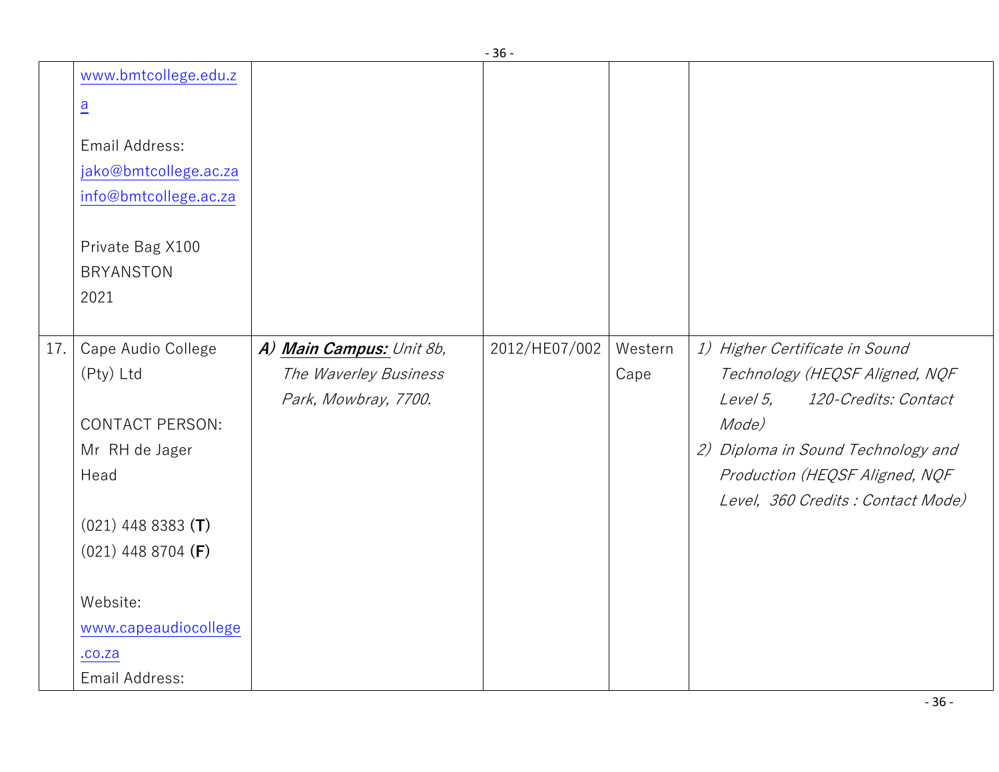|     |                        |                          | JU            |         |                                    |
|-----|------------------------|--------------------------|---------------|---------|------------------------------------|
|     | www.bmtcollege.edu.z   |                          |               |         |                                    |
|     | $\overline{a}$         |                          |               |         |                                    |
|     | Email Address:         |                          |               |         |                                    |
|     | jako@bmtcollege.ac.za  |                          |               |         |                                    |
|     | info@bmtcollege.ac.za  |                          |               |         |                                    |
|     | Private Bag X100       |                          |               |         |                                    |
|     | <b>BRYANSTON</b>       |                          |               |         |                                    |
|     | 2021                   |                          |               |         |                                    |
|     |                        |                          |               |         |                                    |
| 17. | Cape Audio College     | A) Main Campus: Unit 8b, | 2012/HE07/002 | Western | 1) Higher Certificate in Sound     |
|     | (Pty) Ltd              | The Waverley Business    |               | Cape    | Technology (HEQSF Aligned, NQF     |
|     |                        | Park, Mowbray, 7700.     |               |         | Level 5,<br>120-Credits: Contact   |
|     | <b>CONTACT PERSON:</b> |                          |               |         | Mode)                              |
|     | Mr RH de Jager         |                          |               |         | 2) Diploma in Sound Technology and |
|     | Head                   |                          |               |         | Production (HEQSF Aligned, NQF     |
|     |                        |                          |               |         | Level, 360 Credits : Contact Mode) |
|     | $(021)$ 448 8383 (T)   |                          |               |         |                                    |
|     | $(021)$ 448 8704 (F)   |                          |               |         |                                    |
|     |                        |                          |               |         |                                    |
|     | Website:               |                          |               |         |                                    |
|     | www.capeaudiocollege   |                          |               |         |                                    |
|     | .00.2a                 |                          |               |         |                                    |
|     | Email Address:         |                          |               |         |                                    |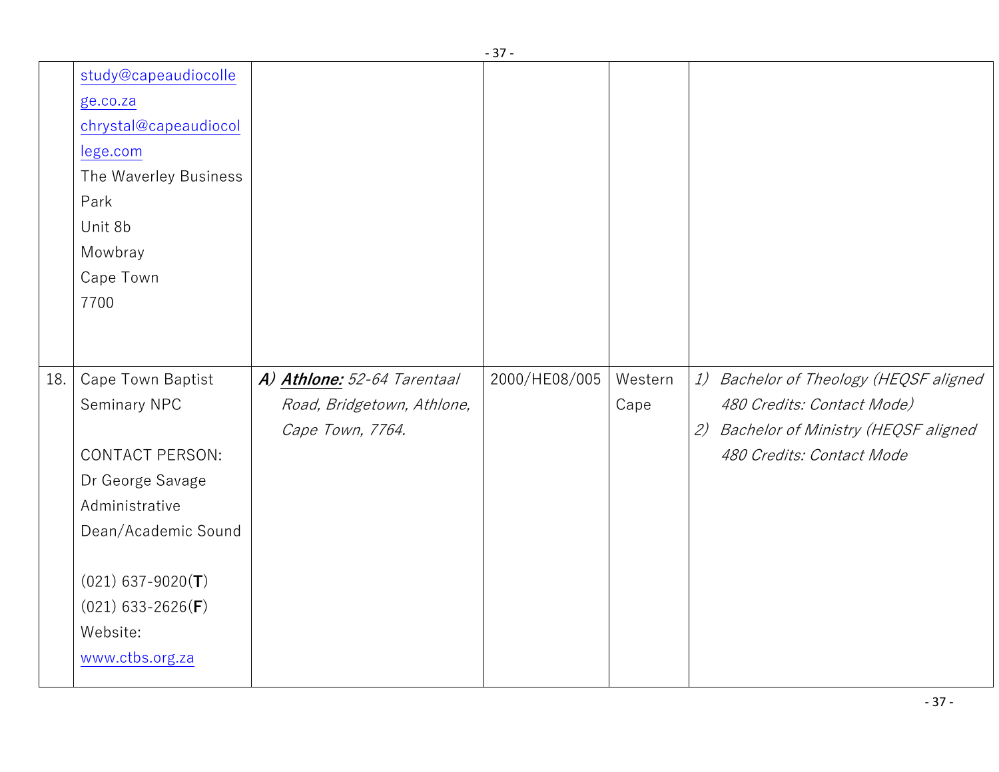|     |                              |                             | - ر -         |         |                                        |
|-----|------------------------------|-----------------------------|---------------|---------|----------------------------------------|
|     | study@capeaudiocolle         |                             |               |         |                                        |
|     | ge.co.za                     |                             |               |         |                                        |
|     | chrystal@capeaudiocol        |                             |               |         |                                        |
|     | lege.com                     |                             |               |         |                                        |
|     | The Waverley Business        |                             |               |         |                                        |
|     | Park                         |                             |               |         |                                        |
|     | Unit 8b                      |                             |               |         |                                        |
|     | Mowbray                      |                             |               |         |                                        |
|     | Cape Town                    |                             |               |         |                                        |
|     | 7700                         |                             |               |         |                                        |
|     |                              |                             |               |         |                                        |
|     |                              |                             |               |         |                                        |
| 18. | Cape Town Baptist            | A) Athlone: 52-64 Tarentaal | 2000/HE08/005 | Western | 1) Bachelor of Theology (HEQSF aligned |
|     | Seminary NPC                 | Road, Bridgetown, Athlone,  |               | Cape    | 480 Credits: Contact Mode)             |
|     |                              | Cape Town, 7764.            |               |         | 2) Bachelor of Ministry (HEQSF aligned |
|     | <b>CONTACT PERSON:</b>       |                             |               |         | 480 Credits: Contact Mode              |
|     | Dr George Savage             |                             |               |         |                                        |
|     | Administrative               |                             |               |         |                                        |
|     | Dean/Academic Sound          |                             |               |         |                                        |
|     |                              |                             |               |         |                                        |
|     | $(021)$ 637-9020(T)          |                             |               |         |                                        |
|     |                              |                             |               |         |                                        |
|     | $(021)$ 633-2626( <b>F</b> ) |                             |               |         |                                        |
|     | Website:                     |                             |               |         |                                        |
|     | www.ctbs.org.za              |                             |               |         |                                        |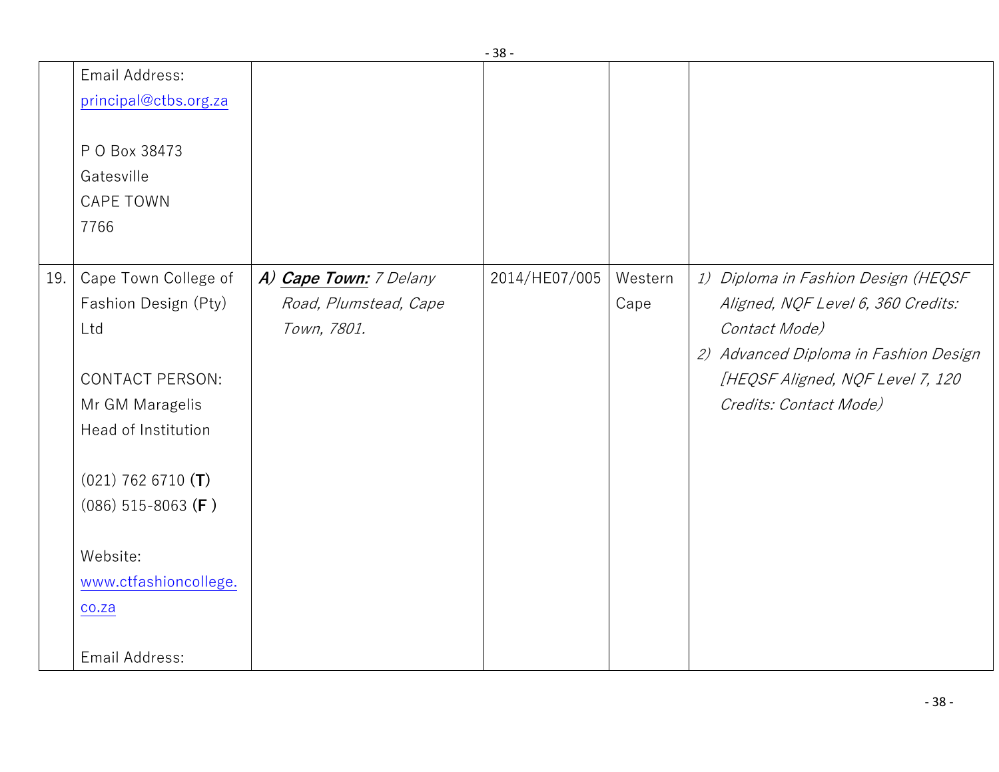|     |                        |                        | ັບ            |         |                                       |
|-----|------------------------|------------------------|---------------|---------|---------------------------------------|
|     | Email Address:         |                        |               |         |                                       |
|     | principal@ctbs.org.za  |                        |               |         |                                       |
|     |                        |                        |               |         |                                       |
|     | P O Box 38473          |                        |               |         |                                       |
|     | Gatesville             |                        |               |         |                                       |
|     | <b>CAPE TOWN</b>       |                        |               |         |                                       |
|     | 7766                   |                        |               |         |                                       |
|     |                        |                        |               |         |                                       |
| 19. | Cape Town College of   | A) Cape Town: 7 Delany | 2014/HE07/005 | Western | 1) Diploma in Fashion Design (HEQSF   |
|     | Fashion Design (Pty)   | Road, Plumstead, Cape  |               | Cape    | Aligned, NQF Level 6, 360 Credits:    |
|     | Ltd                    | Town, 7801.            |               |         | Contact Mode)                         |
|     |                        |                        |               |         | 2) Advanced Diploma in Fashion Design |
|     | <b>CONTACT PERSON:</b> |                        |               |         | [HEQSF Aligned, NQF Level 7, 120      |
|     | Mr GM Maragelis        |                        |               |         | Credits: Contact Mode)                |
|     | Head of Institution    |                        |               |         |                                       |
|     |                        |                        |               |         |                                       |
|     | $(021)$ 762 6710 (T)   |                        |               |         |                                       |
|     | $(086)$ 515-8063 (F)   |                        |               |         |                                       |
|     |                        |                        |               |         |                                       |
|     | Website:               |                        |               |         |                                       |
|     | www.ctfashioncollege.  |                        |               |         |                                       |
|     | co.za                  |                        |               |         |                                       |
|     |                        |                        |               |         |                                       |
|     | Email Address:         |                        |               |         |                                       |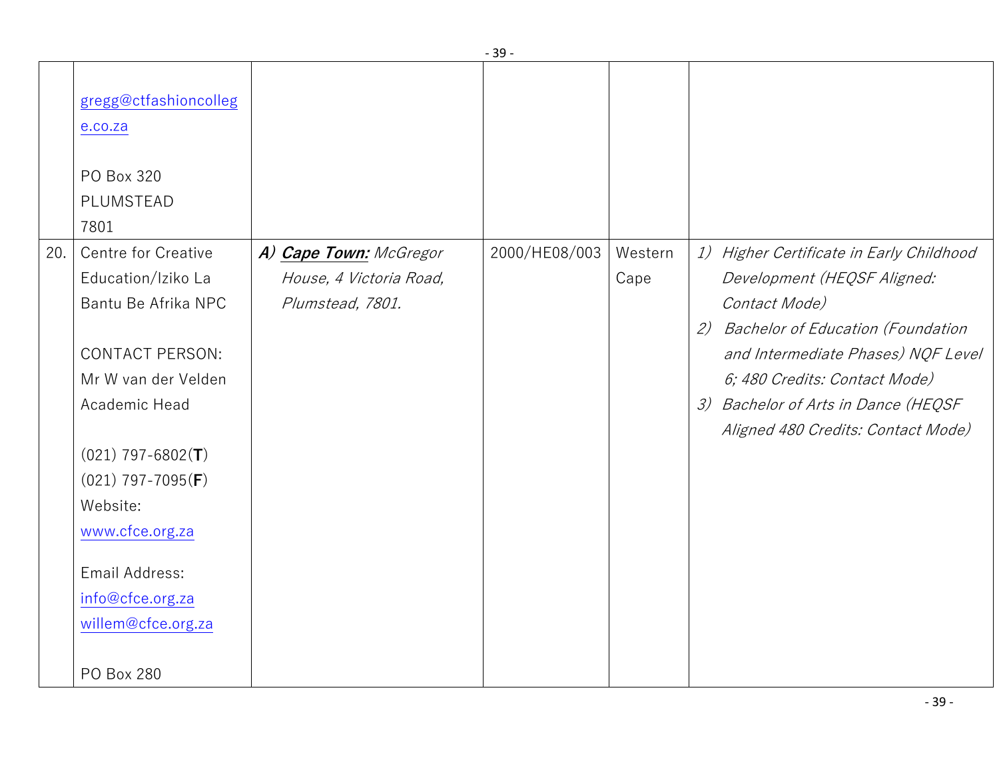|     | gregg@ctfashioncolleg<br>e.co.za<br>PO Box 320<br>PLUMSTEAD<br>7801                                                                                                                                                                                                                       |                                                                       |               |                 |                                                                                                                                                                                                                                                                                                              |
|-----|-------------------------------------------------------------------------------------------------------------------------------------------------------------------------------------------------------------------------------------------------------------------------------------------|-----------------------------------------------------------------------|---------------|-----------------|--------------------------------------------------------------------------------------------------------------------------------------------------------------------------------------------------------------------------------------------------------------------------------------------------------------|
| 20. | Centre for Creative<br>Education/Iziko La<br>Bantu Be Afrika NPC<br><b>CONTACT PERSON:</b><br>Mr W van der Velden<br>Academic Head<br>$(021)$ 797-6802(T)<br>$(021)$ 797-7095(F)<br>Website:<br>www.cfce.org.za<br>Email Address:<br>info@cfce.org.za<br>willem@cfce.org.za<br>PO Box 280 | A) Cape Town: McGregor<br>House, 4 Victoria Road,<br>Plumstead, 7801. | 2000/HE08/003 | Western<br>Cape | 1) Higher Certificate in Early Childhood<br>Development (HEQSF Aligned:<br>Contact Mode)<br><b>Bachelor of Education (Foundation</b><br>2)<br>and Intermediate Phases) NQF Level<br>6; 480 Credits: Contact Mode)<br>Bachelor of Arts in Dance (HEQSF<br>$\mathcal{Z}$<br>Aligned 480 Credits: Contact Mode) |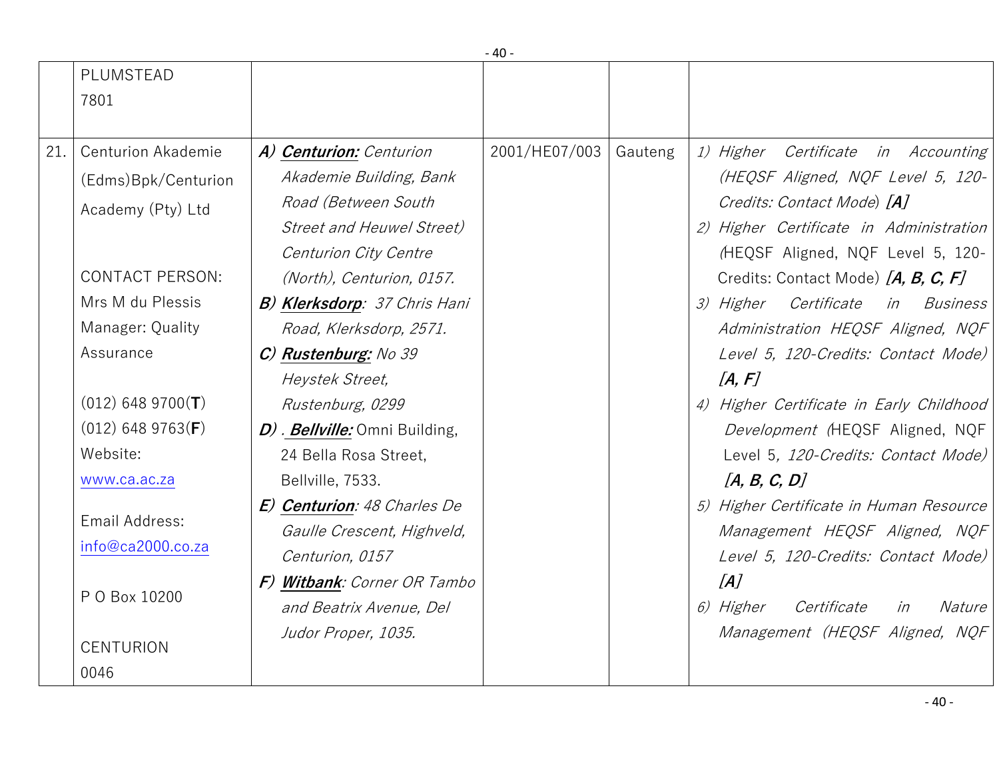|     | PLUMSTEAD                 |                                      |               |         |                                                        |
|-----|---------------------------|--------------------------------------|---------------|---------|--------------------------------------------------------|
|     | 7801                      |                                      |               |         |                                                        |
|     |                           |                                      |               |         |                                                        |
| 21. | <b>Centurion Akademie</b> | A) Centurion: Centurion              | 2001/HE07/003 | Gauteng | 1) Higher Certificate in Accounting                    |
|     | (Edms)Bpk/Centurion       | Akademie Building, Bank              |               |         | (HEQSF Aligned, NQF Level 5, 120-                      |
|     | Academy (Pty) Ltd         | Road (Between South                  |               |         | Credits: Contact Mode) [A]                             |
|     |                           | <b>Street and Heuwel Street)</b>     |               |         | 2) Higher Certificate in Administration                |
|     |                           | Centurion City Centre                |               |         | (HEQSF Aligned, NQF Level 5, 120-                      |
|     | <b>CONTACT PERSON:</b>    | (North), Centurion, 0157.            |               |         | Credits: Contact Mode) [A, B, C, F]                    |
|     | Mrs M du Plessis          | <b>B) Klerksdorp</b> : 37 Chris Hani |               |         | 3) Higher Certificate in Business                      |
|     | Manager: Quality          | Road, Klerksdorp, 2571.              |               |         | Administration HEQSF Aligned, NQF                      |
|     | Assurance                 | C) Rustenburg: No 39                 |               |         | Level 5, 120-Credits: Contact Mode)                    |
|     |                           | Heystek Street,                      |               |         | [A, F]                                                 |
|     | $(012)$ 648 9700(T)       | Rustenburg, 0299                     |               |         | 4) Higher Certificate in Early Childhood               |
|     | $(012)$ 648 9763(F)       | D). Bellville: Omni Building,        |               |         | Development (HEQSF Aligned, NQF                        |
|     | Website:                  | 24 Bella Rosa Street,                |               |         | Level 5, 120-Credits: Contact Mode)                    |
|     | www.ca.ac.za              | Bellville, 7533.                     |               |         | [A, B, C, D]                                           |
|     |                           | E) Centurion: 48 Charles De          |               |         | 5) Higher Certificate in Human Resource                |
|     | Email Address:            | Gaulle Crescent, Highveld,           |               |         | Management HEQSF Aligned, NQF                          |
|     | info@ca2000.co.za         | Centurion, 0157                      |               |         | Level 5, 120-Credits: Contact Mode)                    |
|     |                           | F) Witbank: Corner OR Tambo          |               |         | [A]                                                    |
|     | P O Box 10200             | and Beatrix Avenue, Del              |               |         | <i>6) Higher</i><br>Certificate<br><i>Nature</i><br>in |
|     |                           | Judor Proper, 1035.                  |               |         | Management (HEQSF Aligned, NQF                         |
|     | <b>CENTURION</b>          |                                      |               |         |                                                        |
|     | 0046                      |                                      |               |         |                                                        |

- 40 -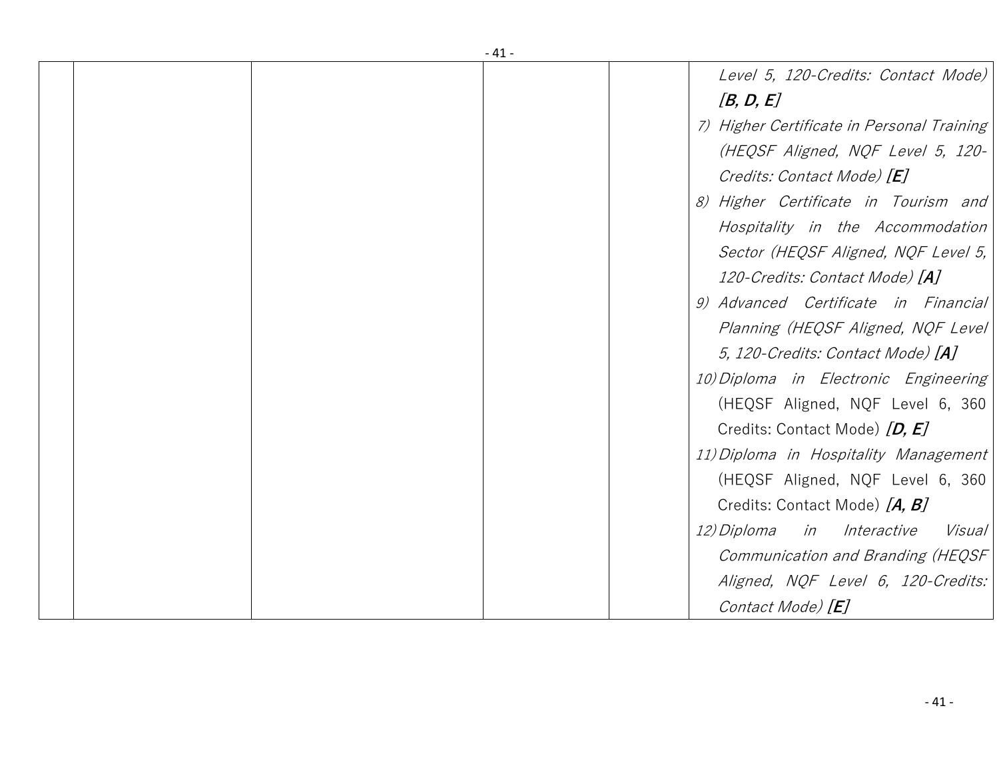|  | - 41 -                                     |
|--|--------------------------------------------|
|  | Level 5, 120-Credits: Contact Mode)        |
|  | [B, D, E]                                  |
|  | 7) Higher Certificate in Personal Training |
|  | (HEQSF Aligned, NQF Level 5, 120-          |
|  | Credits: Contact Mode) [E]                 |
|  | 8) Higher Certificate in Tourism and       |
|  | Hospitality in the Accommodation           |
|  | Sector (HEQSF Aligned, NQF Level 5,        |
|  | 120-Credits: Contact Mode) [A]             |
|  | 9) Advanced Certificate in Financial       |
|  | Planning (HEQSF Aligned, NQF Level)        |
|  | 5, 120-Credits: Contact Mode) [A]          |
|  | 10) Diploma in Electronic Engineering      |
|  | (HEQSF Aligned, NQF Level 6, 360           |
|  | Credits: Contact Mode) [D, E]              |
|  | 11) Diploma in Hospitality Management      |
|  | (HEQSF Aligned, NQF Level 6, 360           |
|  | Credits: Contact Mode) [A, B]              |
|  | 12) Diploma<br>Interactive<br>in<br>Visual |
|  | Communication and Branding (HEQSF          |
|  | Aligned, NQF Level 6, 120-Credits:         |
|  | Contact Mode) [E]                          |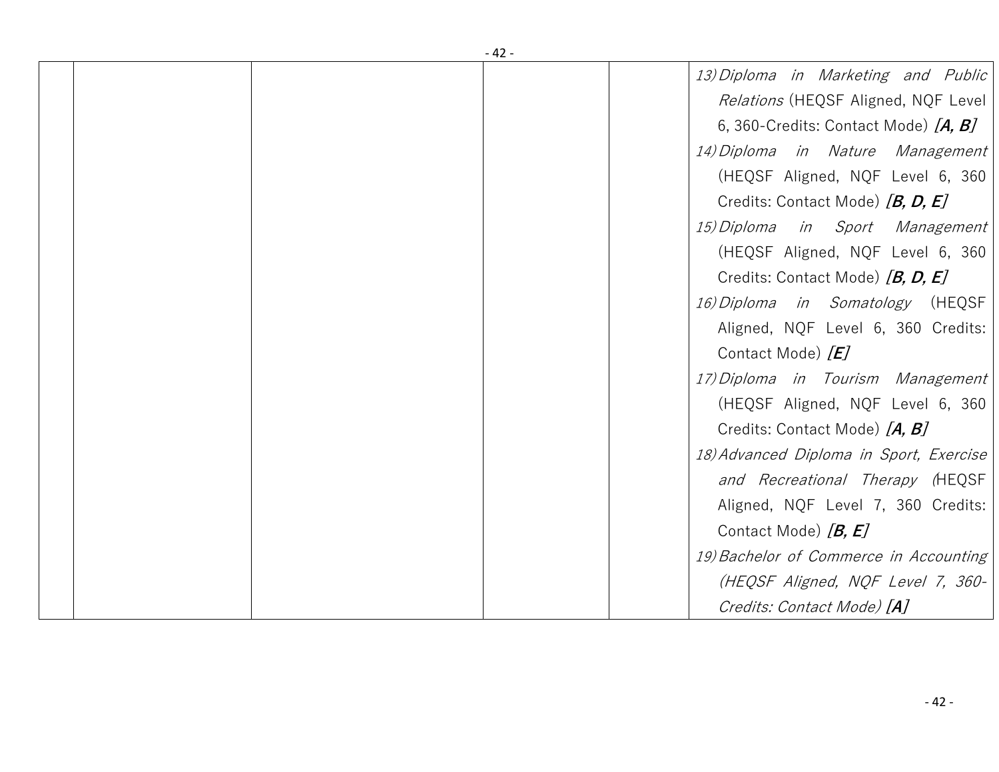| - 42 - |  |  |                                         |
|--------|--|--|-----------------------------------------|
|        |  |  | 13) Diploma in Marketing and Public     |
|        |  |  | Relations (HEQSF Aligned, NQF Level     |
|        |  |  | 6, 360-Credits: Contact Mode) $[A, B]$  |
|        |  |  | 14) Diploma in Nature Management        |
|        |  |  | (HEQSF Aligned, NQF Level 6, 360        |
|        |  |  | Credits: Contact Mode) [B, D, E]        |
|        |  |  | 15) Diploma in Sport Management         |
|        |  |  | (HEQSF Aligned, NQF Level 6, 360        |
|        |  |  | Credits: Contact Mode) [B, D, E]        |
|        |  |  | 16) Diploma in Somatology (HEQSF        |
|        |  |  | Aligned, NQF Level 6, 360 Credits:      |
|        |  |  | Contact Mode) $[E]$                     |
|        |  |  | 17) Diploma in Tourism Management       |
|        |  |  | (HEQSF Aligned, NQF Level 6, 360        |
|        |  |  | Credits: Contact Mode) [A, B]           |
|        |  |  | 18) Advanced Diploma in Sport, Exercise |
|        |  |  | and Recreational Therapy (HEQSF         |
|        |  |  | Aligned, NQF Level 7, 360 Credits:      |
|        |  |  | Contact Mode) $[B, E]$                  |
|        |  |  | 19) Bachelor of Commerce in Accounting  |
|        |  |  | (HEQSF Aligned, NQF Level 7, 360-       |
|        |  |  | Credits: Contact Mode) [A]              |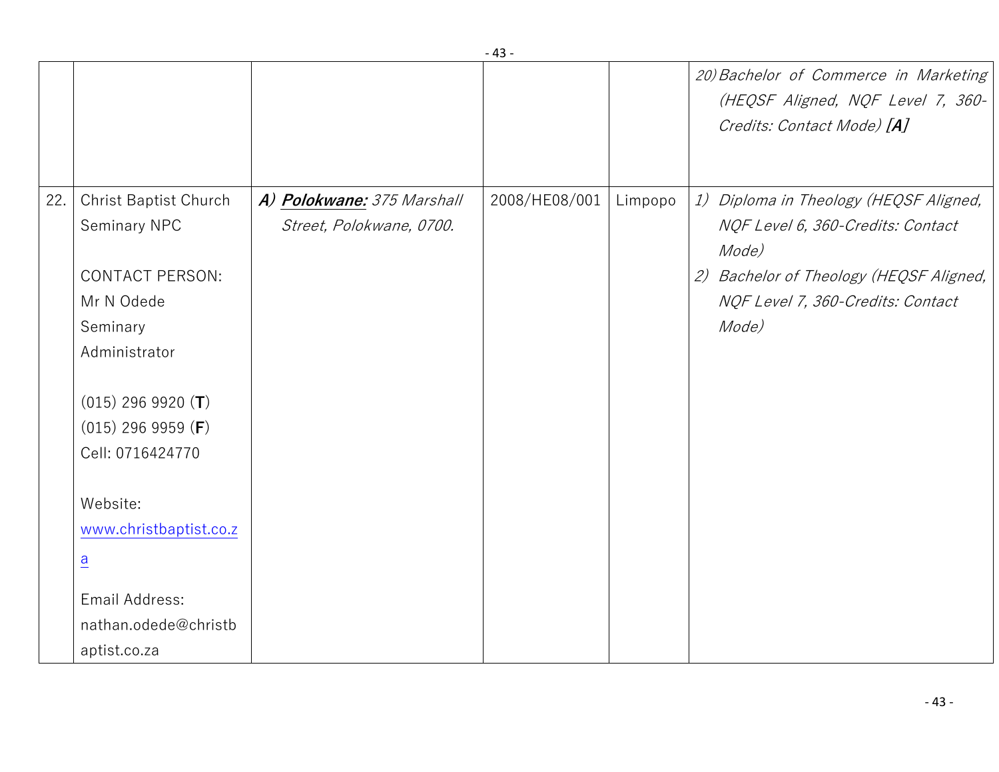|     |                                                                                                                                                                                                                                                                                                           |                                                        |               |         | 20) Bachelor of Commerce in Marketing<br>(HEQSF Aligned, NQF Level 7, 360-<br>Credits: Contact Mode) [A]                                                                      |
|-----|-----------------------------------------------------------------------------------------------------------------------------------------------------------------------------------------------------------------------------------------------------------------------------------------------------------|--------------------------------------------------------|---------------|---------|-------------------------------------------------------------------------------------------------------------------------------------------------------------------------------|
| 22. | Christ Baptist Church<br>Seminary NPC<br><b>CONTACT PERSON:</b><br>Mr N Odede<br>Seminary<br>Administrator<br>$(015)$ 296 9920 (T)<br>$(015)$ 296 9959 ( <b>F</b> )<br>Cell: 0716424770<br>Website:<br>www.christbaptist.co.z<br>$\overline{a}$<br>Email Address:<br>nathan.odede@christb<br>aptist.co.za | A) Polokwane: 375 Marshall<br>Street, Polokwane, 0700. | 2008/HE08/001 | Limpopo | 1) Diploma in Theology (HEQSF Aligned,<br>NQF Level 6, 360-Credits: Contact<br>Mode)<br>2) Bachelor of Theology (HEQSF Aligned,<br>NQF Level 7, 360-Credits: Contact<br>Mode) |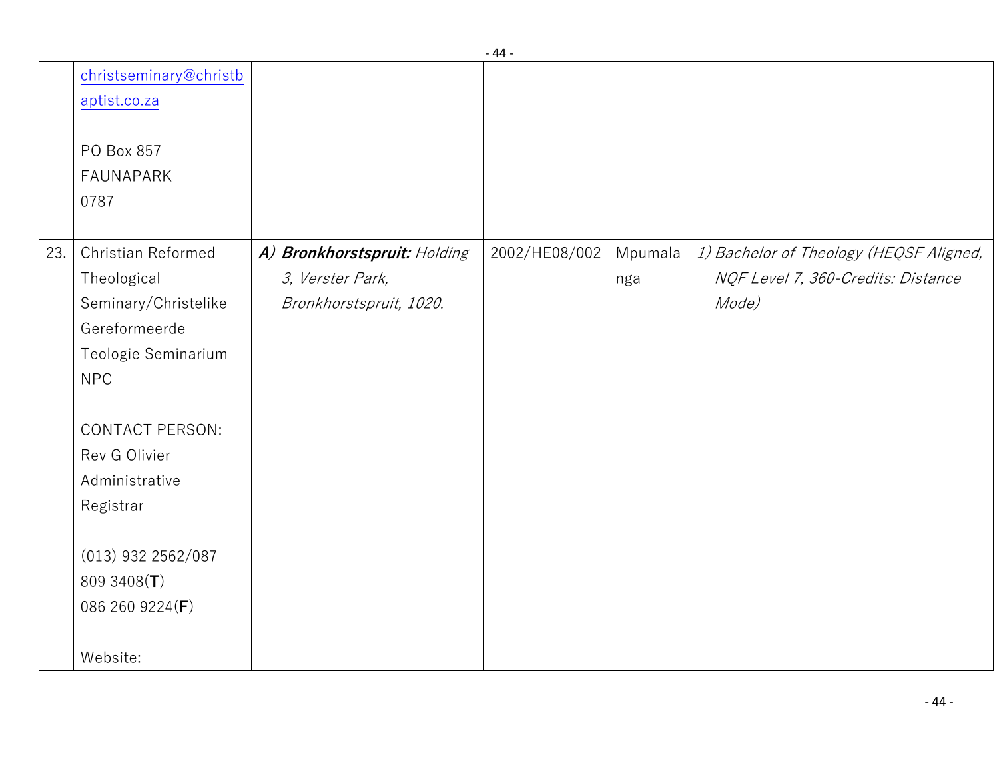|     |                                                                                                                                                                                                                                                        |                                                                             | ᅮ             |                |                                                                                        |
|-----|--------------------------------------------------------------------------------------------------------------------------------------------------------------------------------------------------------------------------------------------------------|-----------------------------------------------------------------------------|---------------|----------------|----------------------------------------------------------------------------------------|
|     | christseminary@christb<br>aptist.co.za                                                                                                                                                                                                                 |                                                                             |               |                |                                                                                        |
|     | PO Box 857<br><b>FAUNAPARK</b><br>0787                                                                                                                                                                                                                 |                                                                             |               |                |                                                                                        |
| 23. | Christian Reformed<br>Theological<br>Seminary/Christelike<br>Gereformeerde<br>Teologie Seminarium<br><b>NPC</b><br><b>CONTACT PERSON:</b><br>Rev G Olivier<br>Administrative<br>Registrar<br>$(013)$ 932 2562/087<br>809 3408 $(T)$<br>086 260 9224(F) | A) Bronkhorstspruit: Holding<br>3, Verster Park,<br>Bronkhorstspruit, 1020. | 2002/HE08/002 | Mpumala<br>nga | 1) Bachelor of Theology (HEQSF Aligned,<br>NQF Level 7, 360-Credits: Distance<br>Mode) |
|     | Website:                                                                                                                                                                                                                                               |                                                                             |               |                |                                                                                        |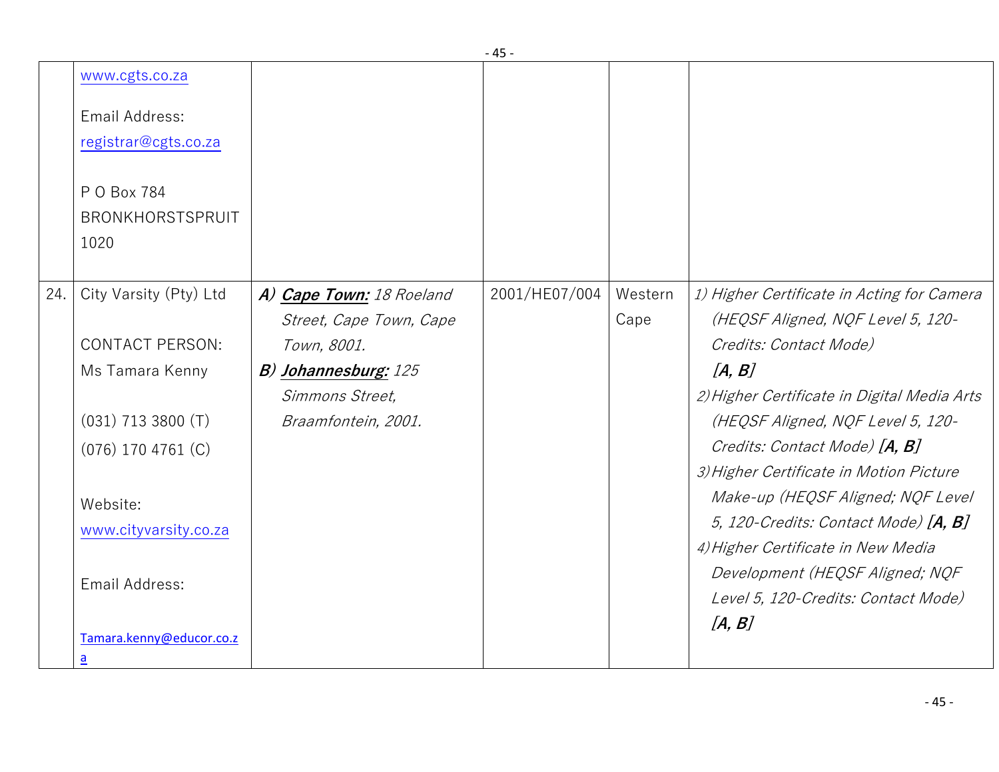|     | www.cgts.co.za           |                             |               |         |                                             |
|-----|--------------------------|-----------------------------|---------------|---------|---------------------------------------------|
|     | Email Address:           |                             |               |         |                                             |
|     | registrar@cgts.co.za     |                             |               |         |                                             |
|     | P O Box 784              |                             |               |         |                                             |
|     | BRONKHORSTSPRUIT         |                             |               |         |                                             |
|     | 1020                     |                             |               |         |                                             |
|     |                          |                             |               |         |                                             |
| 24. | City Varsity (Pty) Ltd   | A) Cape Town: 18 Roeland    | 2001/HE07/004 | Western | 1) Higher Certificate in Acting for Camera  |
|     |                          | Street, Cape Town, Cape     |               | Cape    | (HEQSF Aligned, NQF Level 5, 120-           |
|     | <b>CONTACT PERSON:</b>   | Town, 8001.                 |               |         | Credits: Contact Mode)                      |
|     | Ms Tamara Kenny          | <b>B)</b> Johannesburg: 125 |               |         | [A, B]                                      |
|     |                          | Simmons Street,             |               |         | 2) Higher Certificate in Digital Media Arts |
|     | $(031)$ 713 3800 (T)     | Braamfontein, 2001.         |               |         | (HEQSF Aligned, NQF Level 5, 120-           |
|     | $(076)$ 170 4761 $(C)$   |                             |               |         | Credits: Contact Mode) [A, B]               |
|     |                          |                             |               |         | 3) Higher Certificate in Motion Picture     |
|     | Website:                 |                             |               |         | Make-up (HEQSF Aligned; NQF Level           |
|     | www.cityvarsity.co.za    |                             |               |         | 5, 120-Credits: Contact Mode) $[A, B]$      |
|     |                          |                             |               |         | 4) Higher Certificate in New Media          |
|     |                          |                             |               |         | Development (HEQSF Aligned; NQF             |
|     | Email Address:           |                             |               |         | Level 5, 120-Credits: Contact Mode)         |
|     |                          |                             |               |         | [A, B]                                      |
|     | Tamara.kenny@educor.co.z |                             |               |         |                                             |
|     | $\underline{a}$          |                             |               |         |                                             |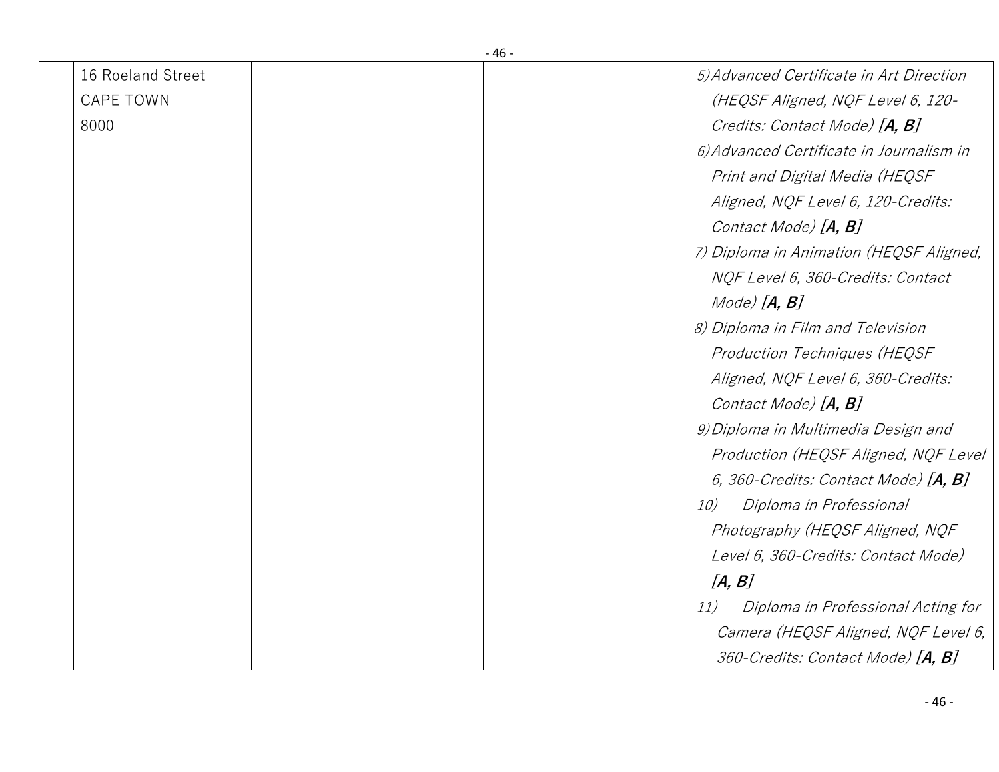| 16 Roeland Street |  | 5) Advanced Certificate in Art Direction  |
|-------------------|--|-------------------------------------------|
| <b>CAPE TOWN</b>  |  | (HEQSF Aligned, NQF Level 6, 120-         |
| 8000              |  | Credits: Contact Mode) [A, B]             |
|                   |  | 6) Advanced Certificate in Journalism in  |
|                   |  | Print and Digital Media (HEQSF            |
|                   |  | Aligned, NQF Level 6, 120-Credits:        |
|                   |  | Contact Mode) [A, B]                      |
|                   |  | 7) Diploma in Animation (HEQSF Aligned,   |
|                   |  | NQF Level 6, 360-Credits: Contact         |
|                   |  | $Mode)$ $[A, B]$                          |
|                   |  | 8) Diploma in Film and Television         |
|                   |  | Production Techniques (HEQSF              |
|                   |  | Aligned, NQF Level 6, 360-Credits:        |
|                   |  | Contact Mode) [A, B]                      |
|                   |  | 9) Diploma in Multimedia Design and       |
|                   |  | Production (HEQSF Aligned, NQF Level      |
|                   |  | 6, 360-Credits: Contact Mode) $[A, B]$    |
|                   |  | 10)<br>Diploma in Professional            |
|                   |  | Photography (HEQSF Aligned, NQF           |
|                   |  | Level 6, 360-Credits: Contact Mode)       |
|                   |  | [A, B]                                    |
|                   |  | Diploma in Professional Acting for<br>11) |
|                   |  | Camera (HEQSF Aligned, NQF Level 6,       |
|                   |  | 360-Credits: Contact Mode) [A, B]         |
|                   |  |                                           |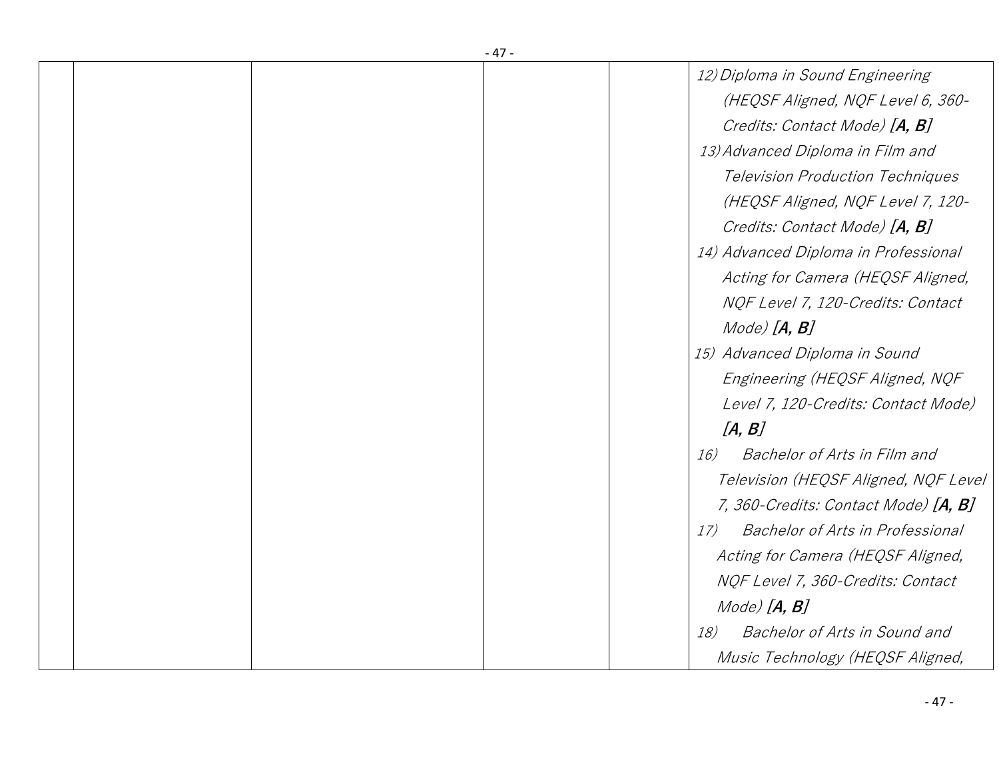|  | -47-                                           |
|--|------------------------------------------------|
|  | 12) Diploma in Sound Engineering               |
|  | (HEQSF Aligned, NQF Level 6, 360-              |
|  | Credits: Contact Mode) [A, B]                  |
|  | 13) Advanced Diploma in Film and               |
|  | <b>Television Production Techniques</b>        |
|  | (HEQSF Aligned, NQF Level 7, 120-              |
|  | Credits: Contact Mode) [A, B]                  |
|  | 14) Advanced Diploma in Professional           |
|  | Acting for Camera (HEQSF Aligned,              |
|  | NQF Level 7, 120-Credits: Contact              |
|  | $Mode)$ $[A, B]$                               |
|  | 15) Advanced Diploma in Sound                  |
|  | Engineering (HEQSF Aligned, NQF                |
|  | Level 7, 120-Credits: Contact Mode)            |
|  | [A, B]                                         |
|  | Bachelor of Arts in Film and<br>16)            |
|  | Television (HEQSF Aligned, NQF Level           |
|  | 7, 360-Credits: Contact Mode) [ <b>A, B</b> ]  |
|  | <b>Bachelor of Arts in Professional</b><br>17) |
|  | Acting for Camera (HEQSF Aligned,              |
|  | NQF Level 7, 360-Credits: Contact              |
|  | $Mode)$ $[A, B]$                               |
|  | Bachelor of Arts in Sound and<br>18)           |
|  | Music Technology (HEQSF Aligned,               |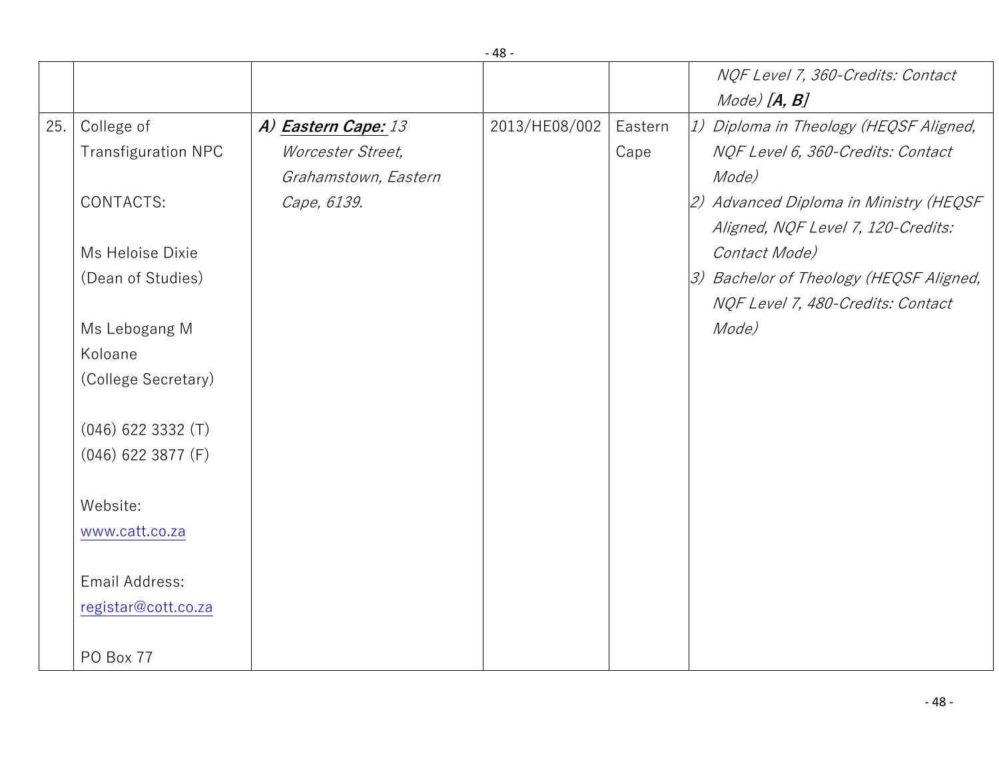|     |                            |                      |               |         | NQF Level 7, 360-Credits: Contact                                            |
|-----|----------------------------|----------------------|---------------|---------|------------------------------------------------------------------------------|
|     |                            |                      |               |         | $Mode)$ $[A, B]$                                                             |
| 25. | College of                 | A) Eastern Cape: 13  | 2013/HE08/002 | Eastern | 1) Diploma in Theology (HEQSF Aligned,                                       |
|     | <b>Transfiguration NPC</b> | Worcester Street,    |               | Cape    | NQF Level 6, 360-Credits: Contact                                            |
|     |                            | Grahamstown, Eastern |               |         | Mode)                                                                        |
|     | CONTACTS:                  | Cape, 6139.          |               |         | 2) Advanced Diploma in Ministry (HEQSF<br>Aligned, NQF Level 7, 120-Credits: |
|     | Ms Heloise Dixie           |                      |               |         | Contact Mode)                                                                |
|     | (Dean of Studies)          |                      |               |         | 3) Bachelor of Theology (HEQSF Aligned,                                      |
|     |                            |                      |               |         | NQF Level 7, 480-Credits: Contact                                            |
|     | Ms Lebogang M              |                      |               |         | Mode)                                                                        |
|     | Koloane                    |                      |               |         |                                                                              |
|     | (College Secretary)        |                      |               |         |                                                                              |
|     | $(046)$ 622 3332 $(T)$     |                      |               |         |                                                                              |
|     | $(046)$ 622 3877 (F)       |                      |               |         |                                                                              |
|     |                            |                      |               |         |                                                                              |
|     | Website:                   |                      |               |         |                                                                              |
|     | www.catt.co.za             |                      |               |         |                                                                              |
|     | Email Address:             |                      |               |         |                                                                              |
|     | registar@cott.co.za        |                      |               |         |                                                                              |
|     |                            |                      |               |         |                                                                              |
|     | PO Box 77                  |                      |               |         |                                                                              |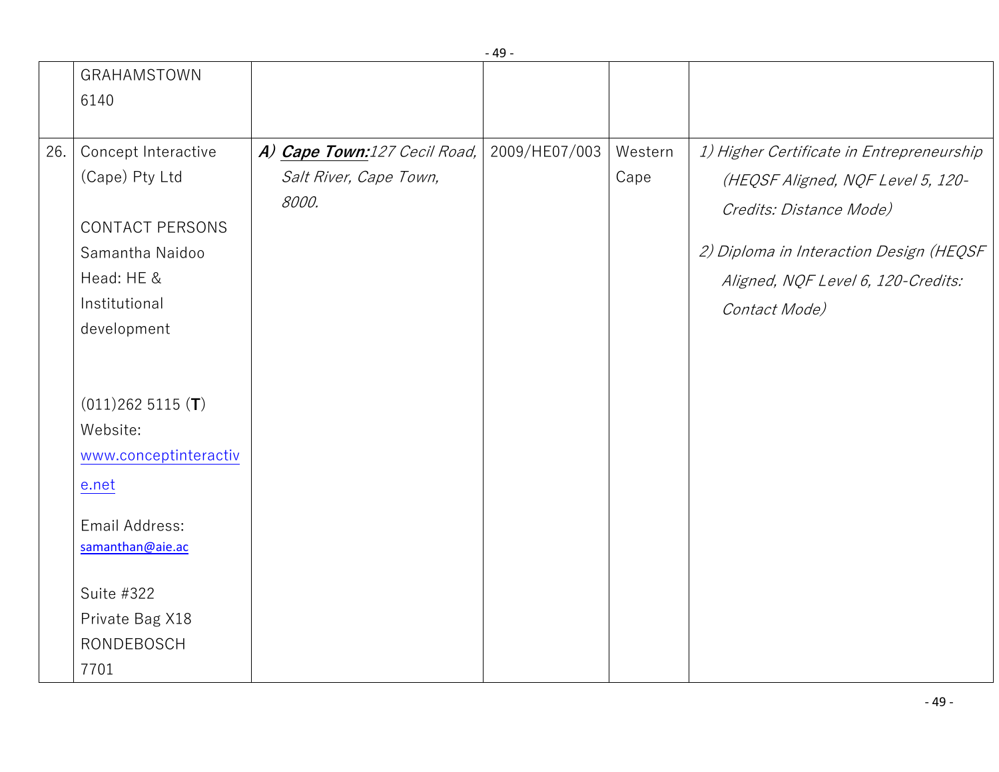|     | GRAHAMSTOWN                                                                                      |                                                                 |               |                 |                                                                                                                                                                                            |
|-----|--------------------------------------------------------------------------------------------------|-----------------------------------------------------------------|---------------|-----------------|--------------------------------------------------------------------------------------------------------------------------------------------------------------------------------------------|
|     | 6140                                                                                             |                                                                 |               |                 |                                                                                                                                                                                            |
| 26. | Concept Interactive<br>(Cape) Pty Ltd<br><b>CONTACT PERSONS</b><br>Samantha Naidoo<br>Head: HE & | A) Cape Town:127 Cecil Road,<br>Salt River, Cape Town,<br>8000. | 2009/HE07/003 | Western<br>Cape | 1) Higher Certificate in Entrepreneurship<br>(HEQSF Aligned, NQF Level 5, 120-<br>Credits: Distance Mode)<br>2) Diploma in Interaction Design (HEQSF<br>Aligned, NQF Level 6, 120-Credits: |
|     | Institutional<br>development                                                                     |                                                                 |               |                 | Contact Mode)                                                                                                                                                                              |
|     | $(011)2625115$ (T)<br>Website:<br>www.conceptinteractiv                                          |                                                                 |               |                 |                                                                                                                                                                                            |
|     | e.net                                                                                            |                                                                 |               |                 |                                                                                                                                                                                            |
|     | Email Address:<br>samanthan@aie.ac                                                               |                                                                 |               |                 |                                                                                                                                                                                            |
|     | Suite #322<br>Private Bag X18<br><b>RONDEBOSCH</b><br>7701                                       |                                                                 |               |                 |                                                                                                                                                                                            |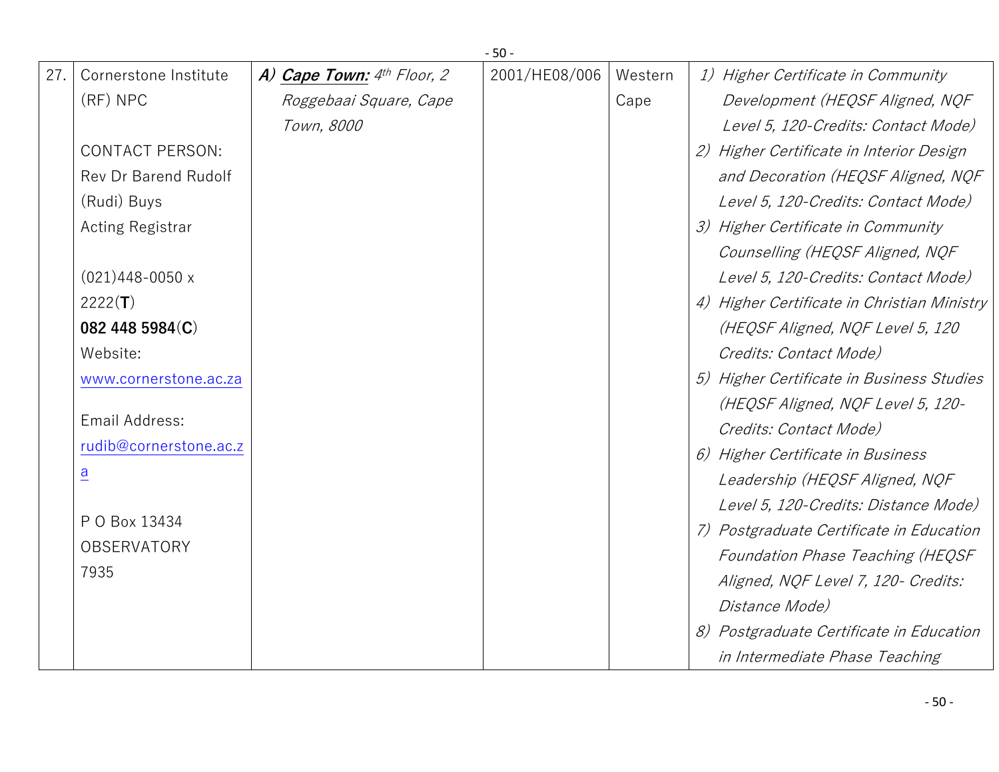|     | $-50-$                 |                              |               |         |                                             |  |
|-----|------------------------|------------------------------|---------------|---------|---------------------------------------------|--|
| 27. | Cornerstone Institute  | A) Cape Town: $4th$ Floor, 2 | 2001/HE08/006 | Western | 1) Higher Certificate in Community          |  |
|     | (RF) NPC               | Roggebaai Square, Cape       |               | Cape    | Development (HEQSF Aligned, NQF             |  |
|     |                        | Town, 8000                   |               |         | Level 5, 120-Credits: Contact Mode)         |  |
|     | <b>CONTACT PERSON:</b> |                              |               |         | 2) Higher Certificate in Interior Design    |  |
|     | Rev Dr Barend Rudolf   |                              |               |         | and Decoration (HEQSF Aligned, NQF          |  |
|     | (Rudi) Buys            |                              |               |         | Level 5, 120-Credits: Contact Mode)         |  |
|     | Acting Registrar       |                              |               |         | 3) Higher Certificate in Community          |  |
|     |                        |                              |               |         | Counselling (HEQSF Aligned, NQF             |  |
|     | $(021)448 - 0050x$     |                              |               |         | Level 5, 120-Credits: Contact Mode)         |  |
|     | 2222(T)                |                              |               |         | 4) Higher Certificate in Christian Ministry |  |
|     | 082 448 5984(C)        |                              |               |         | (HEQSF Aligned, NQF Level 5, 120            |  |
|     | Website:               |                              |               |         | Credits: Contact Mode)                      |  |
|     | www.cornerstone.ac.za  |                              |               |         | 5) Higher Certificate in Business Studies   |  |
|     |                        |                              |               |         | (HEQSF Aligned, NQF Level 5, 120-           |  |
|     | Email Address:         |                              |               |         | Credits: Contact Mode)                      |  |
|     | rudib@cornerstone.ac.z |                              |               |         | 6) Higher Certificate in Business           |  |
|     | $\overline{a}$         |                              |               |         | Leadership (HEQSF Aligned, NQF              |  |
|     |                        |                              |               |         | Level 5, 120-Credits: Distance Mode)        |  |
|     | P O Box 13434          |                              |               |         | 7) Postgraduate Certificate in Education    |  |
|     | OBSERVATORY            |                              |               |         | Foundation Phase Teaching (HEQSF            |  |
|     | 7935                   |                              |               |         | Aligned, NQF Level 7, 120- Credits:         |  |
|     |                        |                              |               |         | Distance Mode)                              |  |
|     |                        |                              |               |         | 8) Postgraduate Certificate in Education    |  |
|     |                        |                              |               |         | in Intermediate Phase Teaching              |  |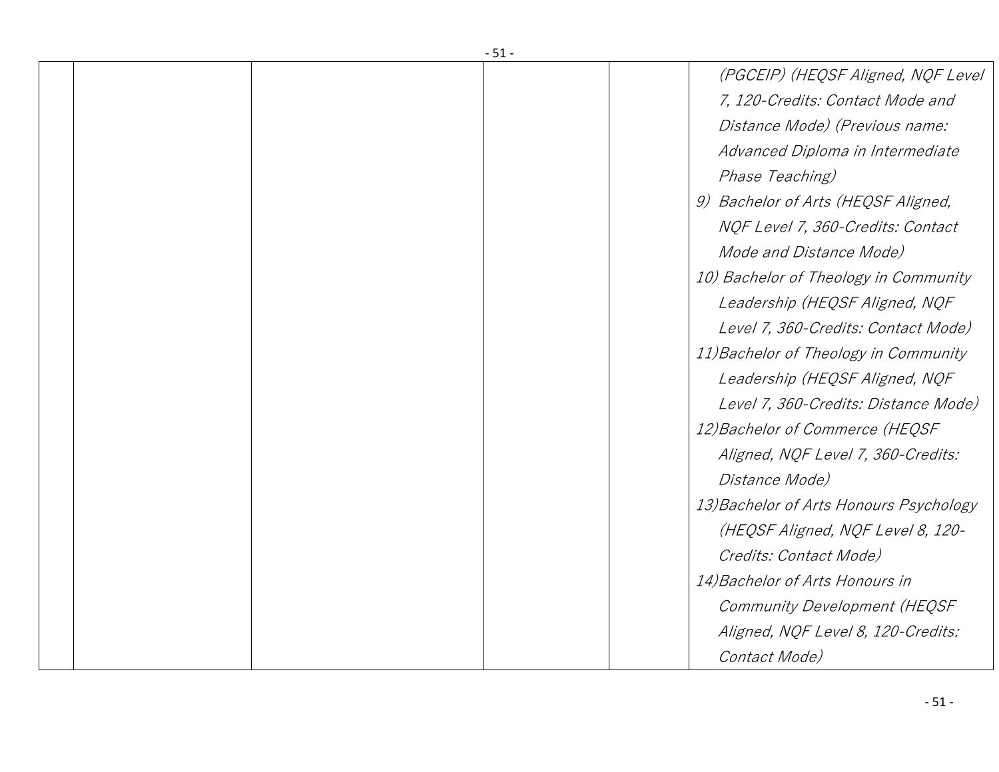| - 51 - |  |  |  |                                         |
|--------|--|--|--|-----------------------------------------|
|        |  |  |  | (PGCEIP) (HEQSF Aligned, NQF Level      |
|        |  |  |  | 7, 120-Credits: Contact Mode and        |
|        |  |  |  | Distance Mode) (Previous name:          |
|        |  |  |  | Advanced Diploma in Intermediate        |
|        |  |  |  | Phase Teaching)                         |
|        |  |  |  | 9) Bachelor of Arts (HEQSF Aligned,     |
|        |  |  |  | NQF Level 7, 360-Credits: Contact       |
|        |  |  |  | Mode and Distance Mode)                 |
|        |  |  |  | 10) Bachelor of Theology in Community   |
|        |  |  |  | Leadership (HEQSF Aligned, NQF          |
|        |  |  |  | Level 7, 360-Credits: Contact Mode)     |
|        |  |  |  | 11) Bachelor of Theology in Community   |
|        |  |  |  | Leadership (HEQSF Aligned, NQF          |
|        |  |  |  | Level 7, 360-Credits: Distance Mode)    |
|        |  |  |  | 12) Bachelor of Commerce (HEQSF         |
|        |  |  |  | Aligned, NQF Level 7, 360-Credits:      |
|        |  |  |  | Distance Mode)                          |
|        |  |  |  | 13) Bachelor of Arts Honours Psychology |
|        |  |  |  | (HEQSF Aligned, NQF Level 8, 120-       |
|        |  |  |  | Credits: Contact Mode)                  |
|        |  |  |  | 14) Bachelor of Arts Honours in         |
|        |  |  |  | Community Development (HEQSF            |
|        |  |  |  | Aligned, NQF Level 8, 120-Credits:      |
|        |  |  |  | Contact Mode)                           |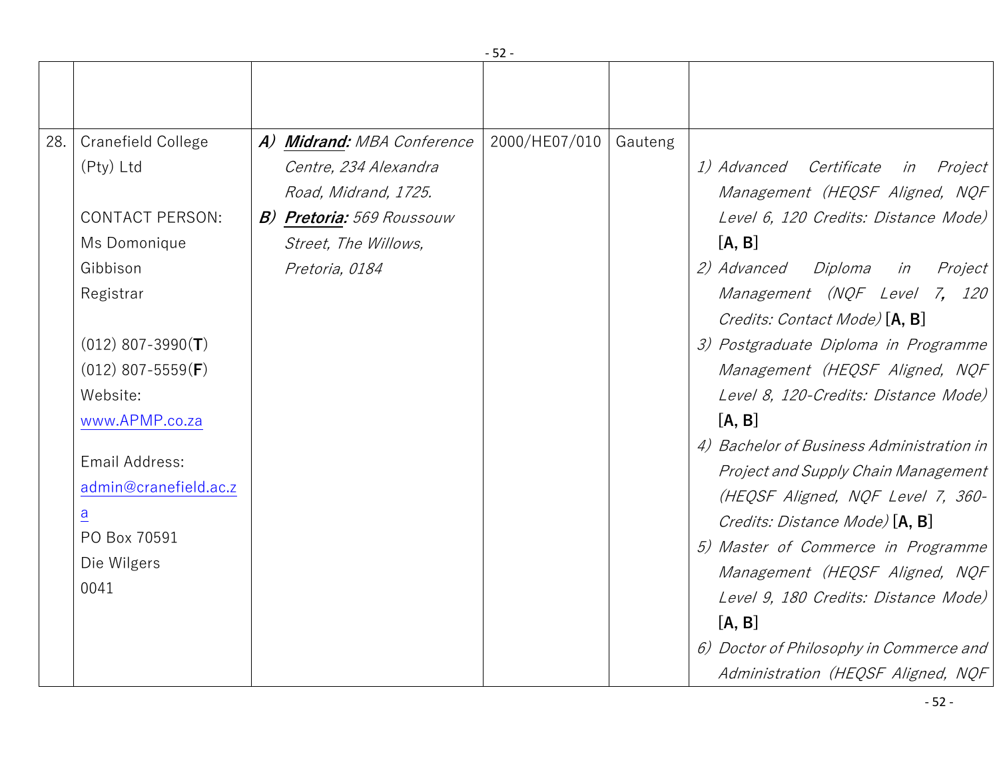| 28. | <b>Cranefield College</b><br>(Pty) Ltd<br><b>CONTACT PERSON:</b>                                                           | A) Midrand: MBA Conference<br>Centre, 234 Alexandra<br>Road, Midrand, 1725.<br><b>B) Pretoria:</b> 569 Roussouw | 2000/HE07/010 | Gauteng | 1) Advanced Certificate in Project<br>Management (HEQSF Aligned, NQF<br>Level 6, 120 Credits: Distance Mode)                                                                                                                                                                                                                                                       |
|-----|----------------------------------------------------------------------------------------------------------------------------|-----------------------------------------------------------------------------------------------------------------|---------------|---------|--------------------------------------------------------------------------------------------------------------------------------------------------------------------------------------------------------------------------------------------------------------------------------------------------------------------------------------------------------------------|
|     | Ms Domonique<br>Gibbison<br>Registrar<br>$(012)$ 807-3990(T)<br>$(012)$ 807-5559( <b>F</b> )<br>Website:<br>www.APMP.co.za | Street, The Willows,<br>Pretoria, 0184                                                                          |               |         | [A, B]<br>2) Advanced Diploma<br>in<br>Project<br>Management (NQF Level 7, 120<br>Credits: Contact Mode) [A, B]<br>3) Postgraduate Diploma in Programme<br>Management (HEQSF Aligned, NQF<br>Level 8, 120-Credits: Distance Mode)<br>[A, B]                                                                                                                        |
|     | Email Address:<br>admin@cranefield.ac.z<br>a<br>PO Box 70591<br>Die Wilgers<br>0041                                        |                                                                                                                 |               |         | 4) Bachelor of Business Administration in<br>Project and Supply Chain Management<br>(HEQSF Aligned, NQF Level 7, 360-<br>Credits: Distance Mode) [A, B]<br>5) Master of Commerce in Programme<br>Management (HEQSF Aligned, NQF<br>Level 9, 180 Credits: Distance Mode)<br>[A, B]<br>6) Doctor of Philosophy in Commerce and<br>Administration (HEQSF Aligned, NQF |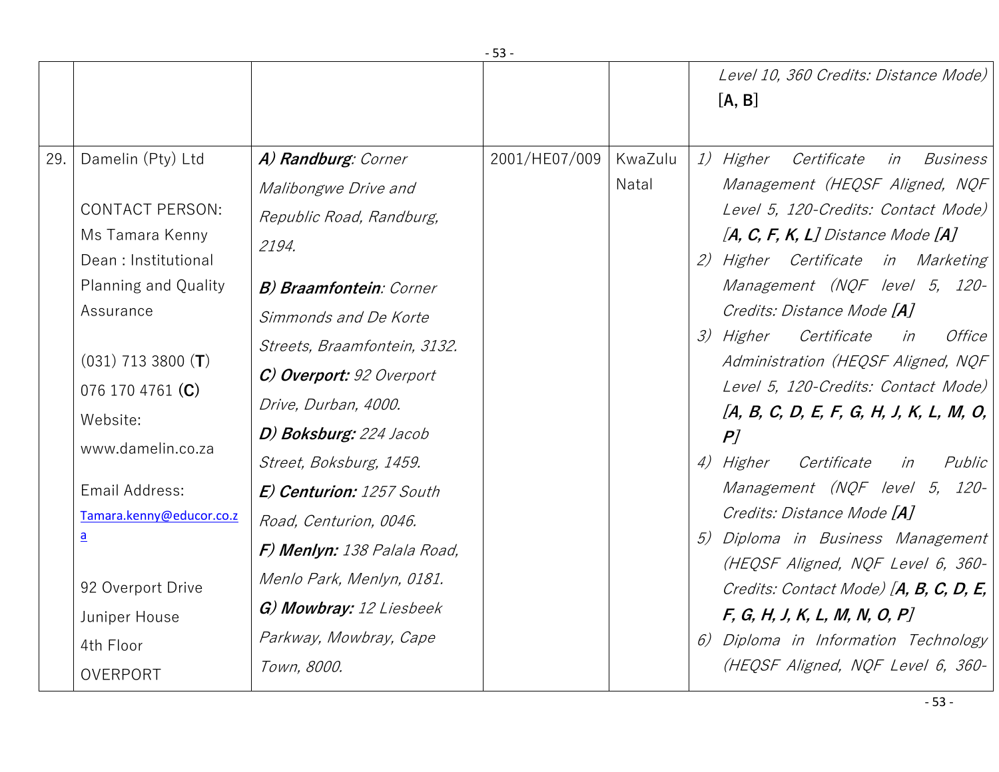|     |                                                                                                                                                                                                                                                                                                                                           |                                                                                                                                                                                                                                                                                                                                                                                                                                                                            |               |                  | Level 10, 360 Credits: Distance Mode)<br>[A, B]                                                                                                                                                                                                                                                                                                                                                                                                                                                                                                                                                                                                                                                                                                                                                                 |
|-----|-------------------------------------------------------------------------------------------------------------------------------------------------------------------------------------------------------------------------------------------------------------------------------------------------------------------------------------------|----------------------------------------------------------------------------------------------------------------------------------------------------------------------------------------------------------------------------------------------------------------------------------------------------------------------------------------------------------------------------------------------------------------------------------------------------------------------------|---------------|------------------|-----------------------------------------------------------------------------------------------------------------------------------------------------------------------------------------------------------------------------------------------------------------------------------------------------------------------------------------------------------------------------------------------------------------------------------------------------------------------------------------------------------------------------------------------------------------------------------------------------------------------------------------------------------------------------------------------------------------------------------------------------------------------------------------------------------------|
| 29. | Damelin (Pty) Ltd<br><b>CONTACT PERSON:</b><br>Ms Tamara Kenny<br>Dean: Institutional<br>Planning and Quality<br>Assurance<br>$(031)$ 713 3800 (T)<br>076 170 4761 $(C)$<br>Website:<br>www.damelin.co.za<br>Email Address:<br>Tamara.kenny@educor.co.z<br>$\underline{a}$<br>92 Overport Drive<br>Juniper House<br>4th Floor<br>OVERPORT | A) Randburg: Corner<br>Malibongwe Drive and<br>Republic Road, Randburg,<br>2194.<br><b>B) Braamfontein: Corner</b><br>Simmonds and De Korte<br>Streets, Braamfontein, 3132.<br>C) Overport: 92 Overport<br>Drive, Durban, 4000.<br>D) Boksburg: 224 Jacob<br>Street, Boksburg, 1459.<br>E) Centurion: 1257 South<br>Road, Centurion, 0046.<br>F) Menlyn: 138 Palala Road,<br>Menlo Park, Menlyn, 0181.<br>G) Mowbray: 12 Liesbeek<br>Parkway, Mowbray, Cape<br>Town, 8000. | 2001/HE07/009 | KwaZulu<br>Natal | <i>1) Higher</i><br>Certificate<br>in<br><i>Business</i><br>Management (HEQSF Aligned, NQF<br>Level 5, 120-Credits: Contact Mode)<br>$[A, C, F, K, L]$ Distance Mode $[A]$<br>Higher Certificate in Marketing<br>2)<br>Management (NQF level 5, 120-<br>Credits: Distance Mode [A]<br>3) Higher<br>Certificate<br>Office<br>in<br>Administration (HEQSF Aligned, NQF<br>Level 5, 120-Credits: Contact Mode)<br>$[A, B, C, D, E, F, G, H, J, K, L, M, O,$<br>P<br>4) Higher<br>Certificate<br>Public<br>in<br>Management (NQF level 5, 120-<br>Credits: Distance Mode [A]<br>Diploma in Business Management<br>5)<br>(HEQSF Aligned, NQF Level 6, 360-<br>Credits: Contact Mode) [A, B, C, D, E,<br>F, G, H, J, K, L, M, N, O, P<br>Diploma in Information Technology<br>6)<br>(HEQSF Aligned, NQF Level 6, 360- |
|     |                                                                                                                                                                                                                                                                                                                                           |                                                                                                                                                                                                                                                                                                                                                                                                                                                                            |               |                  |                                                                                                                                                                                                                                                                                                                                                                                                                                                                                                                                                                                                                                                                                                                                                                                                                 |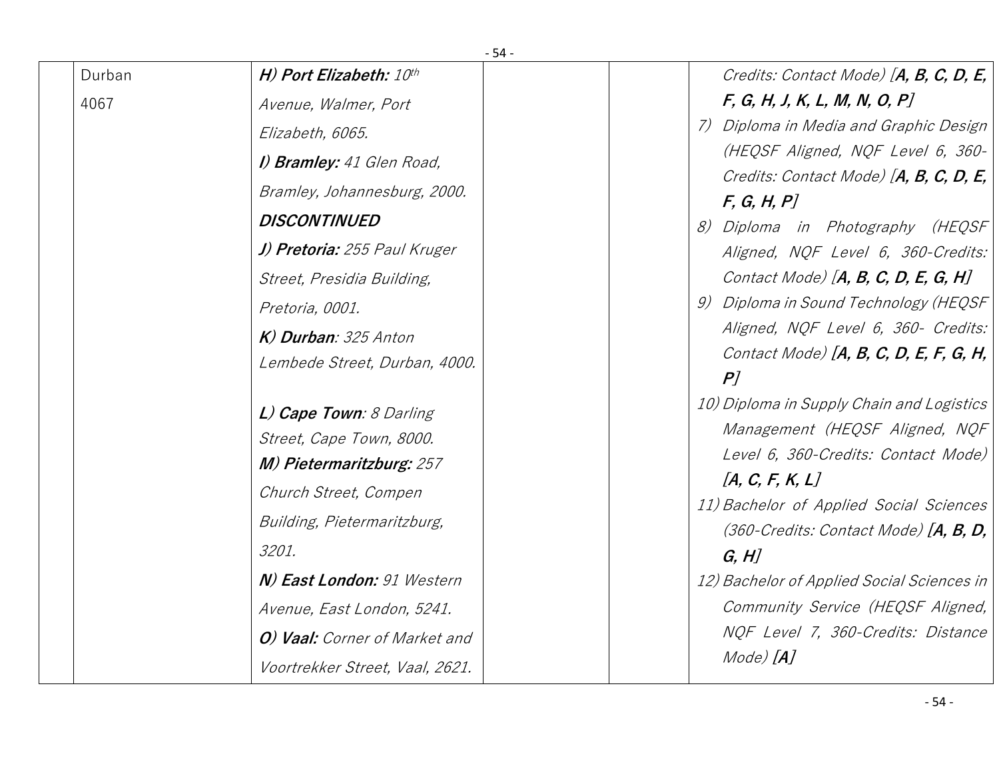| $-54-$ |                                  |                                                            |  |  |  |  |
|--------|----------------------------------|------------------------------------------------------------|--|--|--|--|
| Durban | H) Port Elizabeth: 10th          | Credits: Contact Mode) [A, B, C, D, E,                     |  |  |  |  |
| 4067   | Avenue, Walmer, Port             | F, G, H, J, K, L, M, N, O, P                               |  |  |  |  |
|        | Elizabeth, 6065.                 | 7) Diploma in Media and Graphic Design                     |  |  |  |  |
|        | I) <b>Bramley:</b> 41 Glen Road, | (HEQSF Aligned, NQF Level 6, 360-                          |  |  |  |  |
|        | Bramley, Johannesburg, 2000.     | Credits: Contact Mode) [A, B, C, D, E,                     |  |  |  |  |
|        | <b>DISCONTINUED</b>              | F, G, H, P<br>8) Diploma in Photography (HEQSF             |  |  |  |  |
|        | J) Pretoria: 255 Paul Kruger     | Aligned, NQF Level 6, 360-Credits:                         |  |  |  |  |
|        | Street, Presidia Building,       | Contact Mode) [ $A, B, C, D, E, G, H$ ]                    |  |  |  |  |
|        | Pretoria, 0001.                  | 9) Diploma in Sound Technology (HEQSF                      |  |  |  |  |
|        | K) Durban: 325 Anton             | Aligned, NQF Level 6, 360- Credits:                        |  |  |  |  |
|        | Lembede Street, Durban, 4000.    | Contact Mode) $[A, B, C, D, E, F, G, H,$                   |  |  |  |  |
|        |                                  | P                                                          |  |  |  |  |
|        | L) Cape Town: 8 Darling          | 10) Diploma in Supply Chain and Logistics                  |  |  |  |  |
|        | Street, Cape Town, 8000.         | Management (HEQSF Aligned, NQF                             |  |  |  |  |
|        | <b>M) Pietermaritzburg: 257</b>  | Level 6, 360-Credits: Contact Mode)                        |  |  |  |  |
|        | Church Street, Compen            | [A, C, F, K, L]<br>11) Bachelor of Applied Social Sciences |  |  |  |  |
|        | Building, Pietermaritzburg,      | $(360$ -Credits: Contact Mode) [A, B, D,                   |  |  |  |  |
|        | 3201.                            | G, H                                                       |  |  |  |  |
|        | N) East London: 91 Western       | 12) Bachelor of Applied Social Sciences in                 |  |  |  |  |
|        | Avenue, East London, 5241.       | Community Service (HEQSF Aligned,                          |  |  |  |  |
|        | O) Vaal: Corner of Market and    | NQF Level 7, 360-Credits: Distance                         |  |  |  |  |
|        | Voortrekker Street, Vaal, 2621.  | Mode) [ <b>A</b> ]                                         |  |  |  |  |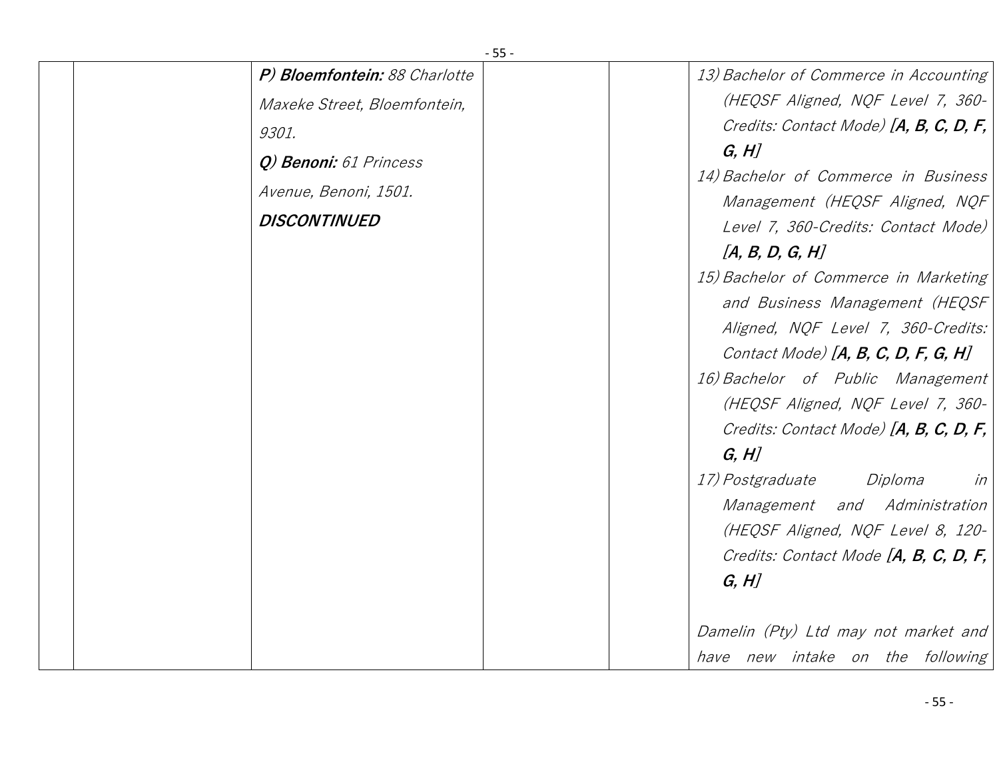| P) Bloemfontein: 88 Charlotte                                                                                   | 13) Bachelor of Commerce in Accounting                                                                                                                                                                                                                                                                                                                                                                                                                                                                                                                                                                                                                                                                                                                |
|-----------------------------------------------------------------------------------------------------------------|-------------------------------------------------------------------------------------------------------------------------------------------------------------------------------------------------------------------------------------------------------------------------------------------------------------------------------------------------------------------------------------------------------------------------------------------------------------------------------------------------------------------------------------------------------------------------------------------------------------------------------------------------------------------------------------------------------------------------------------------------------|
| Maxeke Street, Bloemfontein,<br>9301.<br>Q) Benoni: 61 Princess<br>Avenue, Benoni, 1501.<br><b>DISCONTINUED</b> | (HEQSF Aligned, NQF Level 7, 360-<br>Credits: Contact Mode) [A, B, C, D, F,<br>G, H<br>14) Bachelor of Commerce in Business<br>Management (HEQSF Aligned, NQF<br>Level 7, 360-Credits: Contact Mode)<br>[A, B, D, G, H]<br>15) Bachelor of Commerce in Marketing<br>and Business Management (HEQSF<br>Aligned, NQF Level 7, 360-Credits:<br>Contact Mode) $[A, B, C, D, F, G, H]$<br>16) Bachelor of Public Management<br>(HEQSF Aligned, NQF Level 7, 360-<br>Credits: Contact Mode) [A, B, C, D, F,<br>G, H<br>17) Postgraduate<br>Diploma<br>in<br>Management and Administration<br>(HEQSF Aligned, NQF Level 8, 120-<br>Credits: Contact Mode [A, B, C, D, F,<br>G, H<br>Damelin (Pty) Ltd may not market and<br>have new intake on the following |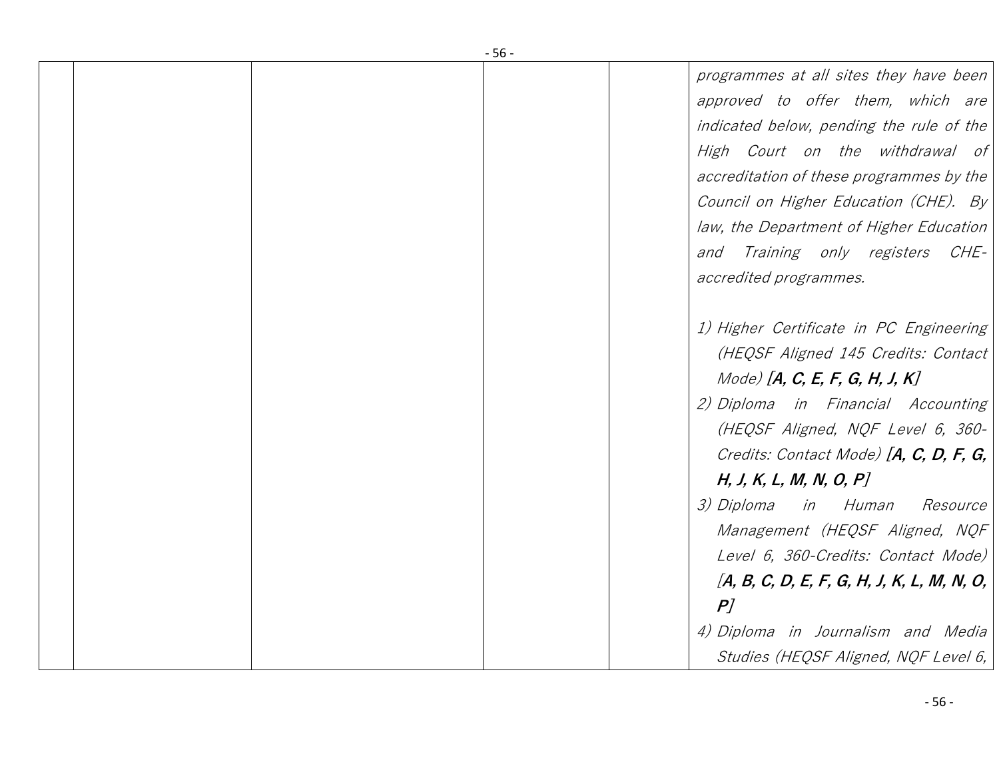| $-56-$ |                                              |  |  |
|--------|----------------------------------------------|--|--|
|        | programmes at all sites they have been       |  |  |
|        | approved to offer them, which are            |  |  |
|        | indicated below, pending the rule of the     |  |  |
|        | High Court on the withdrawal of              |  |  |
|        | accreditation of these programmes by the     |  |  |
|        | Council on Higher Education (CHE). By        |  |  |
|        | law, the Department of Higher Education      |  |  |
|        | and Training only registers CHE-             |  |  |
|        | accredited programmes.                       |  |  |
|        |                                              |  |  |
|        | 1) Higher Certificate in PC Engineering      |  |  |
|        | (HEQSF Aligned 145 Credits: Contact          |  |  |
|        | Mode) [A, C, E, F, G, H, J, K]               |  |  |
|        | 2) Diploma in Financial Accounting           |  |  |
|        | (HEQSF Aligned, NQF Level 6, 360-            |  |  |
|        | Credits: Contact Mode) [A, C, D, F, G,       |  |  |
|        | H, J, K, L, M, N, O, P                       |  |  |
|        | 3) Diploma<br>in Human<br><i>Resource</i>    |  |  |
|        | Management (HEQSF Aligned, NQF               |  |  |
|        | Level 6, 360-Credits: Contact Mode)          |  |  |
|        | $[A, B, C, D, E, F, G, H, J, K, L, M, N, O,$ |  |  |
|        | P                                            |  |  |
|        | 4) Diploma in Journalism and Media           |  |  |
|        | Studies (HEQSF Aligned, NQF Level 6,         |  |  |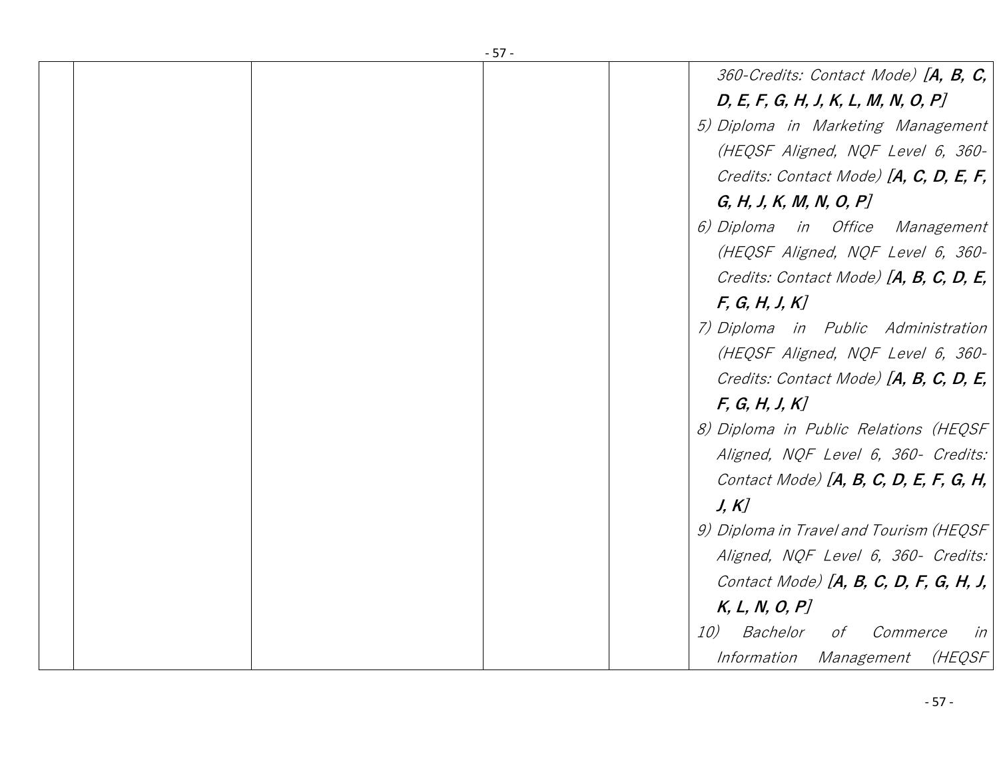| $-57-$                                   |
|------------------------------------------|
| 360-Credits: Contact Mode) [A, B, C,     |
| D, E, F, G, H, J, K, L, M, N, O, P       |
| 5) Diploma in Marketing Management       |
| (HEQSF Aligned, NQF Level 6, 360-        |
| Credits: Contact Mode) [A, C, D, E, F,   |
| G, H, J, K, M, N, O, P                   |
| 6) Diploma in Office Management          |
| (HEQSF Aligned, NQF Level 6, 360-        |
| Credits: Contact Mode) [A, B, C, D, E,   |
| F, G, H, J, K                            |
| 7) Diploma in Public Administration      |
| (HEQSF Aligned, NQF Level 6, 360-        |
| Credits: Contact Mode) [A, B, C, D, E,   |
| F, G, H, J, K                            |
| 8) Diploma in Public Relations (HEQSF    |
| Aligned, NQF Level 6, 360- Credits:      |
| Contact Mode) $[A, B, C, D, E, F, G, H,$ |
| J, K                                     |
| 9) Diploma in Travel and Tourism (HEQSF  |
| Aligned, NQF Level 6, 360- Credits:      |
| Contact Mode) $[A, B, C, D, F, G, H, J,$ |
| K, L, N, O, P                            |
| Bachelor<br>10)<br>Commerce<br>of<br>in  |
| Information Management<br>(HEQSF         |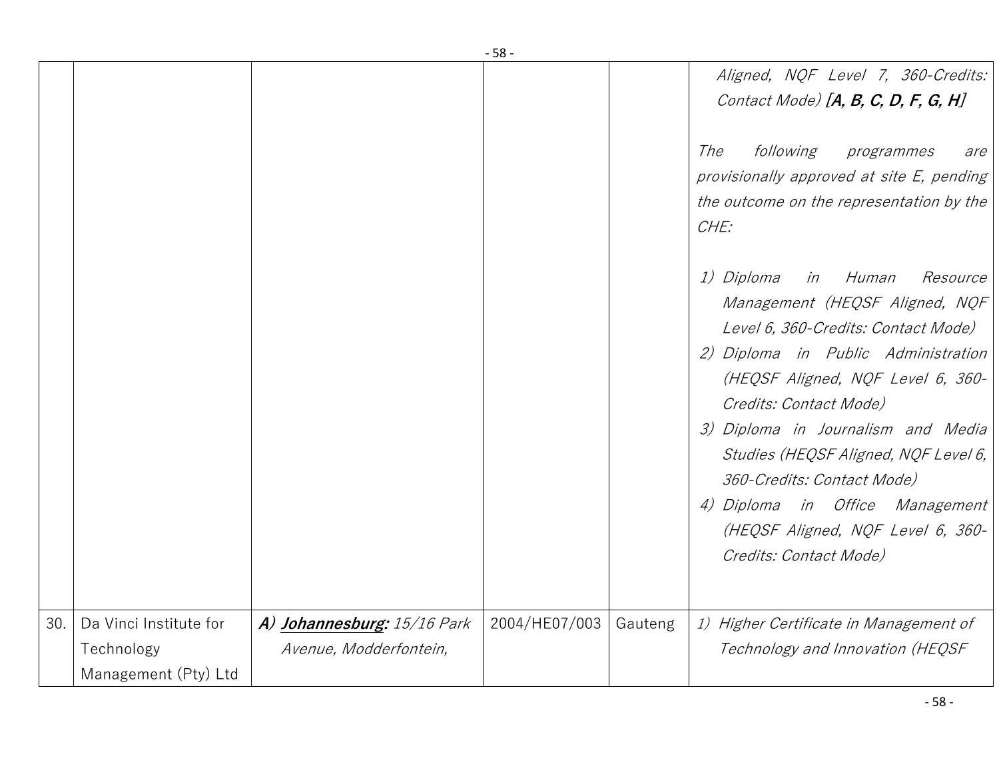|     |                        |                             | - 58 -        |         |                                                                                                                                                                                                                                                                                                                                                                                                                                        |
|-----|------------------------|-----------------------------|---------------|---------|----------------------------------------------------------------------------------------------------------------------------------------------------------------------------------------------------------------------------------------------------------------------------------------------------------------------------------------------------------------------------------------------------------------------------------------|
|     |                        |                             |               |         | Aligned, NQF Level 7, 360-Credits:<br>Contact Mode) [A, B, C, D, F, G, H]                                                                                                                                                                                                                                                                                                                                                              |
|     |                        |                             |               |         | following<br>The<br>programmes<br>are<br>provisionally approved at site E, pending<br>the outcome on the representation by the<br>CHE:                                                                                                                                                                                                                                                                                                 |
|     |                        |                             |               |         | 1) Diploma<br>in Human<br><i>Resource</i><br>Management (HEQSF Aligned, NQF<br>Level 6, 360-Credits: Contact Mode)<br>2) Diploma in Public Administration<br>(HEQSF Aligned, NQF Level 6, 360-<br>Credits: Contact Mode)<br>3) Diploma in Journalism and Media<br>Studies (HEQSF Aligned, NQF Level 6,<br>360-Credits: Contact Mode)<br>4) Diploma in Office Management<br>(HEQSF Aligned, NQF Level 6, 360-<br>Credits: Contact Mode) |
| 30. | Da Vinci Institute for | A) Johannesburg: 15/16 Park | 2004/HE07/003 | Gauteng | 1) Higher Certificate in Management of                                                                                                                                                                                                                                                                                                                                                                                                 |
|     | Technology             | Avenue, Modderfontein,      |               |         | Technology and Innovation (HEQSF                                                                                                                                                                                                                                                                                                                                                                                                       |
|     | Management (Pty) Ltd   |                             |               |         |                                                                                                                                                                                                                                                                                                                                                                                                                                        |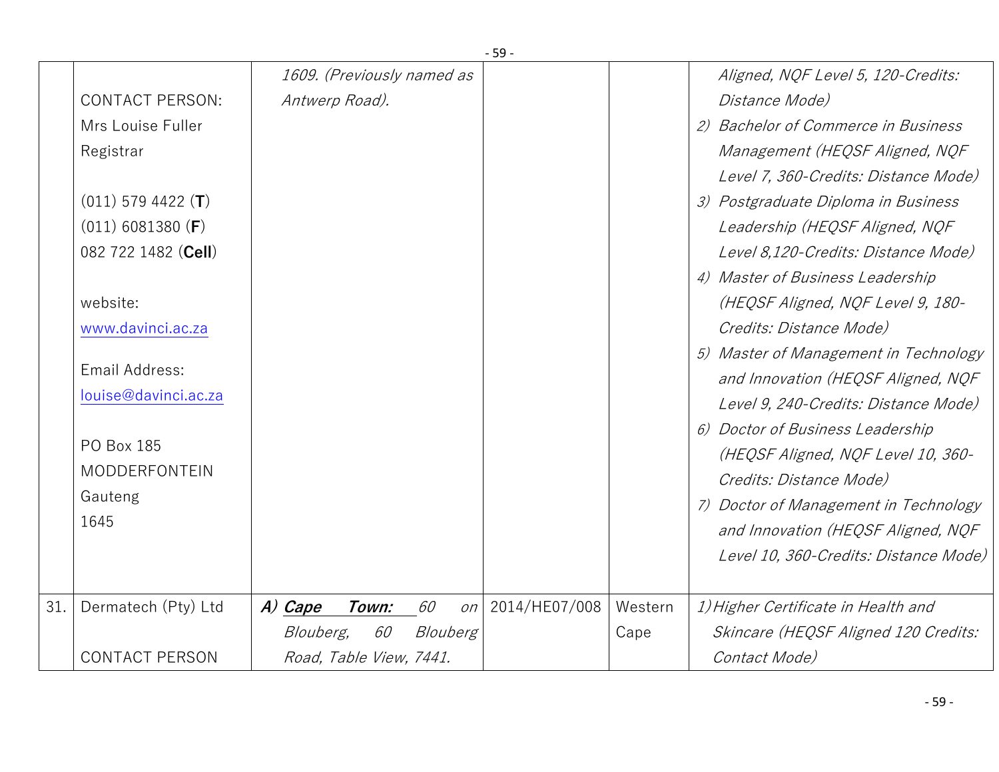|     |                        |                                    | ב-            |         |                                       |
|-----|------------------------|------------------------------------|---------------|---------|---------------------------------------|
|     |                        | 1609. (Previously named as         |               |         | Aligned, NQF Level 5, 120-Credits:    |
|     | <b>CONTACT PERSON:</b> | Antwerp Road).                     |               |         | Distance Mode)                        |
|     | Mrs Louise Fuller      |                                    |               |         | 2) Bachelor of Commerce in Business   |
|     | Registrar              |                                    |               |         | Management (HEQSF Aligned, NQF        |
|     |                        |                                    |               |         | Level 7, 360-Credits: Distance Mode)  |
|     | $(011)$ 579 4422 (T)   |                                    |               |         | 3) Postgraduate Diploma in Business   |
|     | $(011)$ 6081380 (F)    |                                    |               |         | Leadership (HEQSF Aligned, NQF        |
|     | 082 722 1482 (Cell)    |                                    |               |         | Level 8,120-Credits: Distance Mode)   |
|     |                        |                                    |               |         | 4) Master of Business Leadership      |
|     | website:               |                                    |               |         | (HEQSF Aligned, NQF Level 9, 180-     |
|     | www.davinci.ac.za      |                                    |               |         | Credits: Distance Mode)               |
|     |                        |                                    |               |         | 5) Master of Management in Technology |
|     | Email Address:         |                                    |               |         | and Innovation (HEQSF Aligned, NQF    |
|     | louise@davinci.ac.za   |                                    |               |         | Level 9, 240-Credits: Distance Mode)  |
|     |                        |                                    |               |         | 6) Doctor of Business Leadership      |
|     | PO Box 185             |                                    |               |         | (HEQSF Aligned, NQF Level 10, 360-    |
|     | <b>MODDERFONTEIN</b>   |                                    |               |         | Credits: Distance Mode)               |
|     | Gauteng                |                                    |               |         | 7) Doctor of Management in Technology |
|     | 1645                   |                                    |               |         | and Innovation (HEQSF Aligned, NQF    |
|     |                        |                                    |               |         | Level 10, 360-Credits: Distance Mode) |
|     |                        |                                    |               |         |                                       |
| 31. | Dermatech (Pty) Ltd    | 60<br>A) Cape<br>Town:<br>on       | 2014/HE07/008 | Western | 1) Higher Certificate in Health and   |
|     |                        | 60<br><i>Blouberg,</i><br>Blouberg |               | Cape    | Skincare (HEQSF Aligned 120 Credits:  |
|     | <b>CONTACT PERSON</b>  | Road, Table View, 7441.            |               |         | Contact Mode)                         |
|     |                        |                                    |               |         |                                       |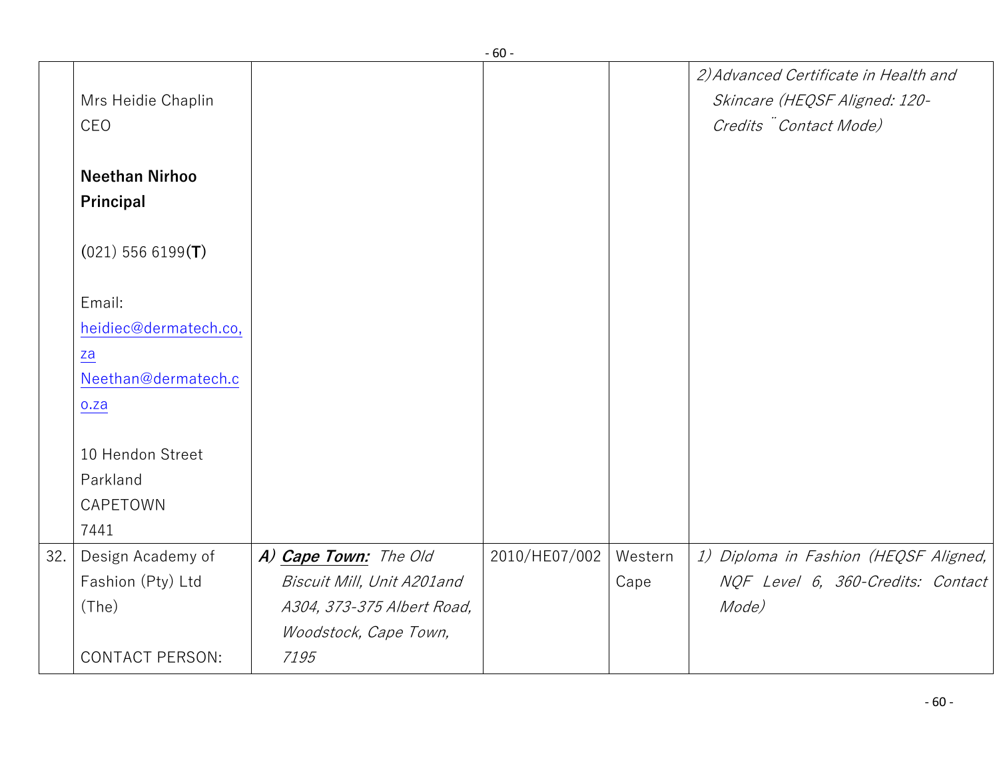|     |                                    |                            | - טט -        |         |                                                                                                 |
|-----|------------------------------------|----------------------------|---------------|---------|-------------------------------------------------------------------------------------------------|
|     | Mrs Heidie Chaplin<br>CEO          |                            |               |         | 2) Advanced Certificate in Health and<br>Skincare (HEQSF Aligned: 120-<br>Credits Contact Mode) |
|     | <b>Neethan Nirhoo</b><br>Principal |                            |               |         |                                                                                                 |
|     | $(021)$ 556 6199(T)                |                            |               |         |                                                                                                 |
|     | Email:                             |                            |               |         |                                                                                                 |
|     | heidiec@dermatech.co,              |                            |               |         |                                                                                                 |
|     | za                                 |                            |               |         |                                                                                                 |
|     | Neethan@dermatech.c                |                            |               |         |                                                                                                 |
|     | 0.2a                               |                            |               |         |                                                                                                 |
|     | 10 Hendon Street                   |                            |               |         |                                                                                                 |
|     | Parkland                           |                            |               |         |                                                                                                 |
|     | CAPETOWN                           |                            |               |         |                                                                                                 |
|     | 7441                               |                            |               |         |                                                                                                 |
| 32. | Design Academy of                  | A) Cape Town: The Old      | 2010/HE07/002 | Western | 1) Diploma in Fashion (HEQSF Aligned,                                                           |
|     | Fashion (Pty) Ltd                  | Biscuit Mill, Unit A201and |               | Cape    | NQF Level 6, 360-Credits: Contact                                                               |
|     | (The)                              | A304, 373-375 Albert Road, |               |         | Mode)                                                                                           |
|     |                                    | Woodstock, Cape Town,      |               |         |                                                                                                 |
|     | <b>CONTACT PERSON:</b>             | 7195                       |               |         |                                                                                                 |
|     |                                    |                            |               |         |                                                                                                 |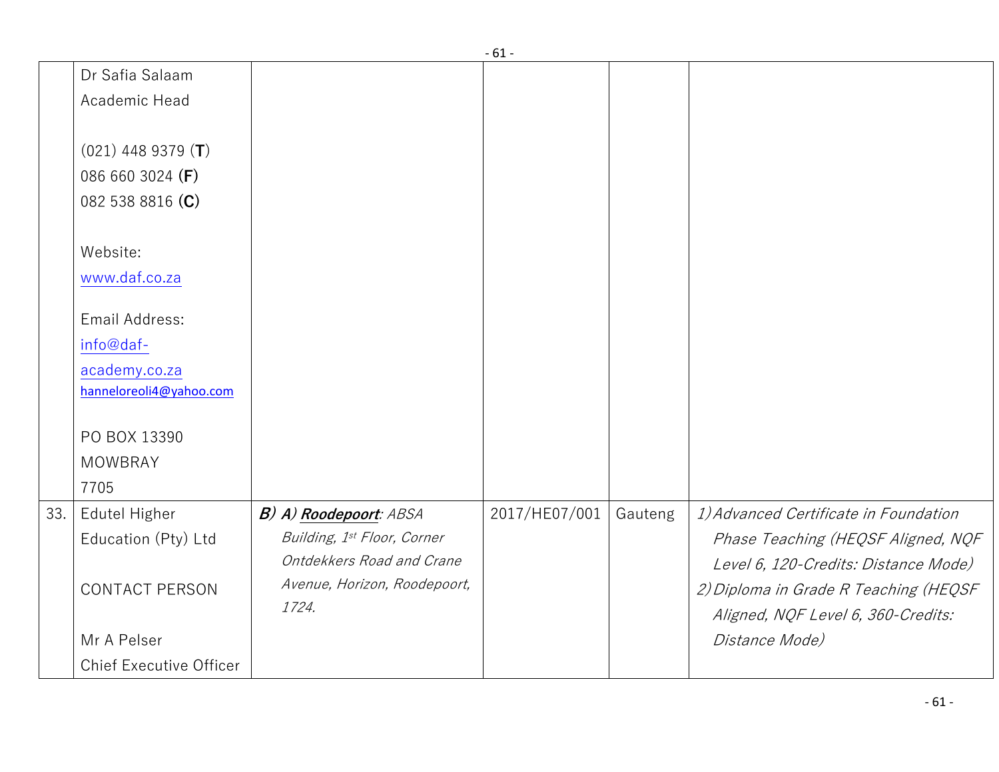|     |                                                                                                                          |                                                                                                   | - 10 -        |         |                                                                                                                                                                             |
|-----|--------------------------------------------------------------------------------------------------------------------------|---------------------------------------------------------------------------------------------------|---------------|---------|-----------------------------------------------------------------------------------------------------------------------------------------------------------------------------|
|     | Dr Safia Salaam                                                                                                          |                                                                                                   |               |         |                                                                                                                                                                             |
|     | Academic Head                                                                                                            |                                                                                                   |               |         |                                                                                                                                                                             |
|     | $(021)$ 448 9379 (T)<br>086 660 3024 (F)<br>082 538 8816 (C)<br>Website:<br>www.daf.co.za<br>Email Address:<br>info@daf- |                                                                                                   |               |         |                                                                                                                                                                             |
|     | academy.co.za                                                                                                            |                                                                                                   |               |         |                                                                                                                                                                             |
|     | hanneloreoli4@yahoo.com                                                                                                  |                                                                                                   |               |         |                                                                                                                                                                             |
|     | PO BOX 13390<br><b>MOWBRAY</b><br>7705                                                                                   |                                                                                                   |               |         |                                                                                                                                                                             |
| 33. | Edutel Higher                                                                                                            | B) A) Roodepoort: ABSA                                                                            | 2017/HE07/001 | Gauteng | 1) Advanced Certificate in Foundation                                                                                                                                       |
|     | Education (Pty) Ltd<br><b>CONTACT PERSON</b><br>Mr A Pelser                                                              | Building, 1st Floor, Corner<br>Ontdekkers Road and Crane<br>Avenue, Horizon, Roodepoort,<br>1724. |               |         | Phase Teaching (HEQSF Aligned, NQF<br>Level 6, 120-Credits: Distance Mode)<br>2) Diploma in Grade R Teaching (HEQSF<br>Aligned, NQF Level 6, 360-Credits:<br>Distance Mode) |
|     | <b>Chief Executive Officer</b>                                                                                           |                                                                                                   |               |         |                                                                                                                                                                             |
|     |                                                                                                                          |                                                                                                   |               |         |                                                                                                                                                                             |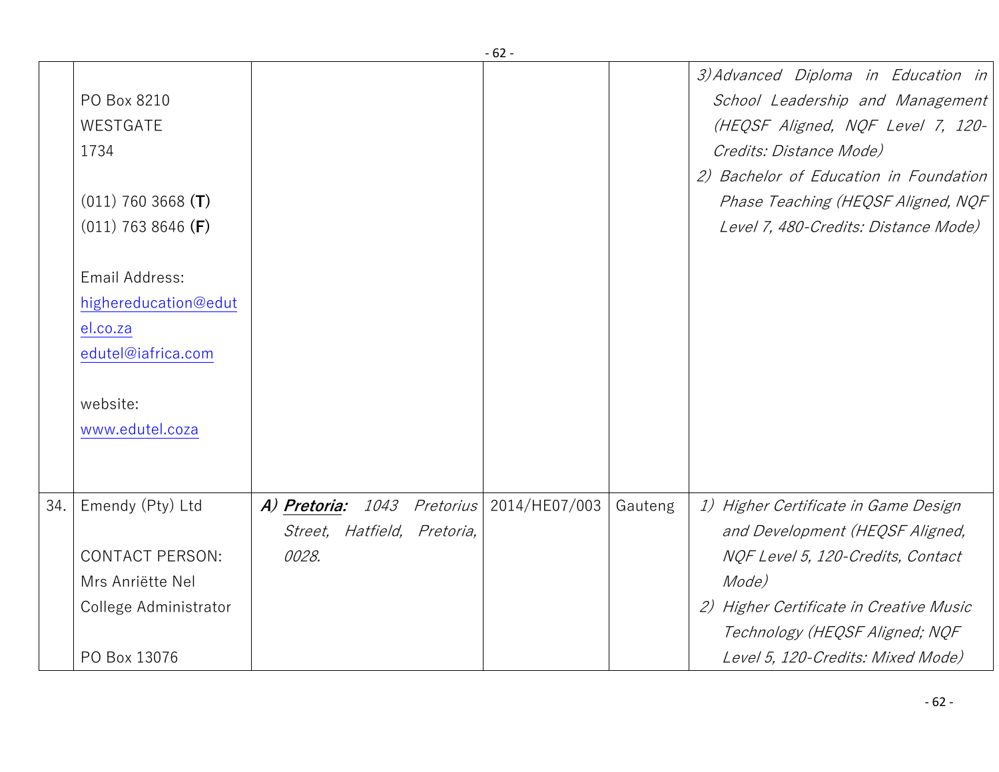|     |                                                                                                                                                                                            |                                                                               | - oz -        |         |                                                                                                                                                                                                                                                                 |
|-----|--------------------------------------------------------------------------------------------------------------------------------------------------------------------------------------------|-------------------------------------------------------------------------------|---------------|---------|-----------------------------------------------------------------------------------------------------------------------------------------------------------------------------------------------------------------------------------------------------------------|
|     | PO Box 8210<br>WESTGATE<br>1734<br>$(011)$ 760 3668 (T)<br>$(011)$ 763 8646 (F)<br>Email Address:<br>highereducation@edut<br>el.co.za<br>edutel@iafrica.com<br>website:<br>www.edutel.coza |                                                                               |               |         | 3) Advanced Diploma in Education in<br>School Leadership and Management<br>(HEQSF Aligned, NQF Level 7, 120-<br>Credits: Distance Mode)<br>2) Bachelor of Education in Foundation<br>Phase Teaching (HEQSF Aligned, NQF<br>Level 7, 480-Credits: Distance Mode) |
| 34. | Emendy (Pty) Ltd<br><b>CONTACT PERSON:</b><br>Mrs Anriëtte Nel<br>College Administrator<br>PO Box 13076                                                                                    | A) Pretoria:<br><i>1043 Pretorius</i><br>Street, Hatfield, Pretoria,<br>0028. | 2014/HE07/003 | Gauteng | 1) Higher Certificate in Game Design<br>and Development (HEQSF Aligned,<br>NQF Level 5, 120-Credits, Contact<br>Mode)<br>2) Higher Certificate in Creative Music<br>Technology (HEQSF Aligned; NQF<br>Level 5, 120-Credits: Mixed Mode)                         |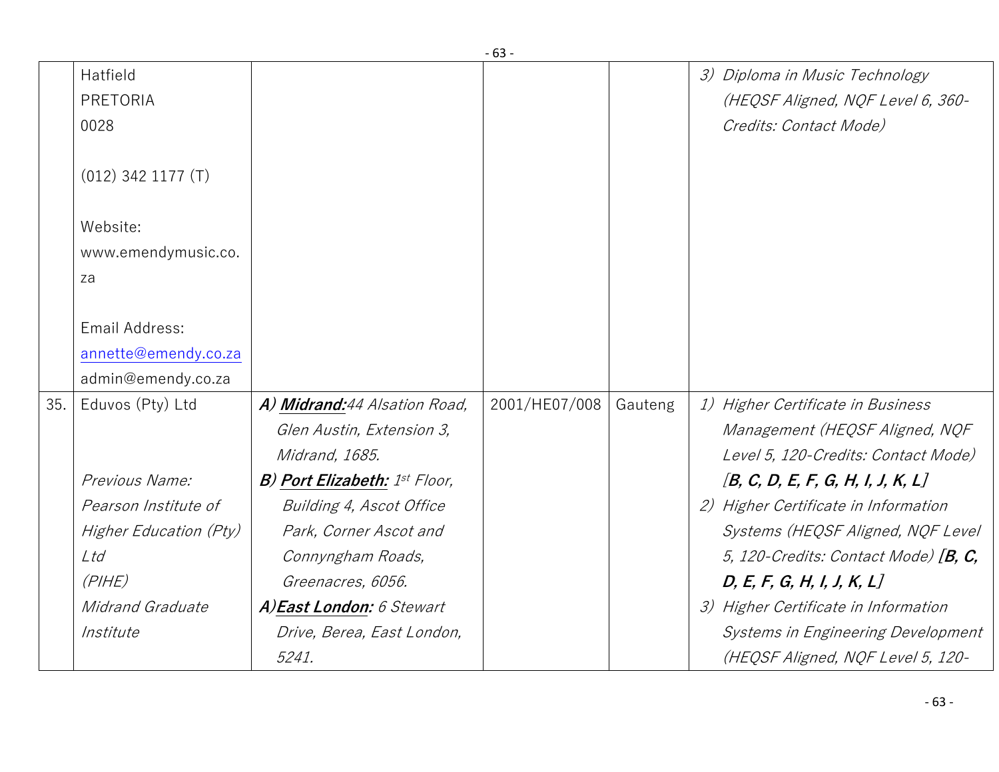|     |                                     |                                      | - כס -        |         |                                                                                               |
|-----|-------------------------------------|--------------------------------------|---------------|---------|-----------------------------------------------------------------------------------------------|
|     | Hatfield<br><b>PRETORIA</b><br>0028 |                                      |               |         | 3) Diploma in Music Technology<br>(HEQSF Aligned, NQF Level 6, 360-<br>Credits: Contact Mode) |
|     | $(012)$ 342 1177 $(T)$              |                                      |               |         |                                                                                               |
|     | Website:                            |                                      |               |         |                                                                                               |
|     | www.emendymusic.co.                 |                                      |               |         |                                                                                               |
|     | za                                  |                                      |               |         |                                                                                               |
|     |                                     |                                      |               |         |                                                                                               |
|     | Email Address:                      |                                      |               |         |                                                                                               |
|     | annette@emendy.co.za                |                                      |               |         |                                                                                               |
|     | admin@emendy.co.za                  |                                      |               |         |                                                                                               |
| 35. | Eduvos (Pty) Ltd                    | A) Midrand:44 Alsation Road,         | 2001/HE07/008 | Gauteng | 1) Higher Certificate in Business                                                             |
|     |                                     | Glen Austin, Extension 3,            |               |         | Management (HEQSF Aligned, NQF                                                                |
|     |                                     | Midrand, 1685.                       |               |         | Level 5, 120-Credits: Contact Mode)                                                           |
|     | Previous Name:                      | <b>B) Port Elizabeth:</b> 1st Floor, |               |         | [B, C, D, E, F, G, H, I, J, K, L]                                                             |
|     | Pearson Institute of                | Building 4, Ascot Office             |               |         | 2) Higher Certificate in Information                                                          |
|     | Higher Education (Pty)              | Park, Corner Ascot and               |               |         | Systems (HEQSF Aligned, NQF Level                                                             |
|     | Ltd                                 | Connyngham Roads,                    |               |         | 5, 120-Credits: Contact Mode) $[B, C,$                                                        |
|     | (PIHE)                              | Greenacres, 6056.                    |               |         | D, E, F, G, H, I, J, K, L                                                                     |
|     | Midrand Graduate                    | A)East London: 6 Stewart             |               |         | 3) Higher Certificate in Information                                                          |
|     | Institute                           | Drive, Berea, East London,           |               |         | Systems in Engineering Development                                                            |
|     |                                     | 5241.                                |               |         | (HEQSF Aligned, NQF Level 5, 120-                                                             |
|     |                                     |                                      |               |         |                                                                                               |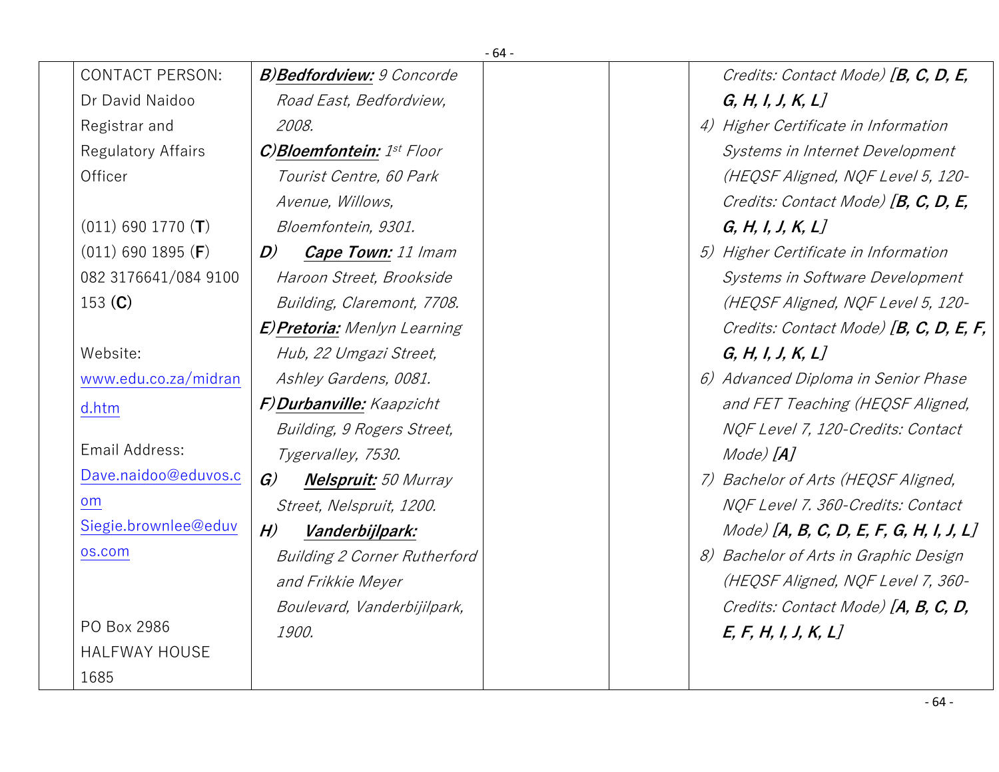|                           |                                              | - 64 -                                    |
|---------------------------|----------------------------------------------|-------------------------------------------|
| <b>CONTACT PERSON:</b>    | <b>B)Bedfordview: 9 Concorde</b>             | Credits: Contact Mode) [B, C, D, E,       |
| Dr David Naidoo           | Road East, Bedfordview,                      | G, H, I, J, K, L                          |
| Registrar and             | 2008.                                        | 4) Higher Certificate in Information      |
| <b>Regulatory Affairs</b> | C)Bloemfontein: 1st Floor                    | Systems in Internet Development           |
| Officer                   | Tourist Centre, 60 Park                      | (HEQSF Aligned, NQF Level 5, 120-         |
|                           | Avenue, Willows,                             | Credits: Contact Mode) [B, C, D, E,       |
| $(011)$ 690 1770 (T)      | Bloemfontein, 9301.                          | G, H, I, J, K, L                          |
| $(011)$ 690 1895 (F)      | $\bm{D}$<br><b>Cape Town:</b> 11 Imam        | 5) Higher Certificate in Information      |
| 082 3176641/084 9100      | Haroon Street, Brookside                     | Systems in Software Development           |
| 153 $(C)$                 | Building, Claremont, 7708.                   | (HEQSF Aligned, NQF Level 5, 120-         |
|                           | <b>E) Pretoria:</b> Menlyn Learning          | Credits: Contact Mode) [B, C, D, E, F,    |
| Website:                  | Hub, 22 Umgazi Street,                       | G, H, I, J, K, L                          |
| www.edu.co.za/midran      | Ashley Gardens, 0081.                        | 6) Advanced Diploma in Senior Phase       |
| d.htm                     | F) Durbanville: Kaapzicht                    | and FET Teaching (HEQSF Aligned,          |
|                           | Building, 9 Rogers Street,                   | NQF Level 7, 120-Credits: Contact         |
| Email Address:            | Tygervalley, 7530.                           | Mode) [ <b>A</b> ]                        |
| Dave.naidoo@eduvos.c      | $\mathcal{G}$<br><b>Nelspruit:</b> 50 Murray | 7) Bachelor of Arts (HEQSF Aligned,       |
| <b>om</b>                 | Street, Nelspruit, 1200.                     | NQF Level 7. 360-Credits: Contact         |
| Siegie.brownlee@eduv      | H)<br>Vanderbijlpark:                        | $Model$ [A, B, C, D, E, F, G, H, I, J, L] |
| os.com                    | <b>Building 2 Corner Rutherford</b>          | 8) Bachelor of Arts in Graphic Design     |
|                           | and Frikkie Meyer                            | (HEQSF Aligned, NQF Level 7, 360-         |
|                           | Boulevard, Vanderbijilpark,                  | Credits: Contact Mode) [A, B, C, D,       |
| PO Box 2986               | 1900.                                        | E, F, H, I, J, K, L                       |
| <b>HALFWAY HOUSE</b>      |                                              |                                           |
| 1685                      |                                              |                                           |

- 64 -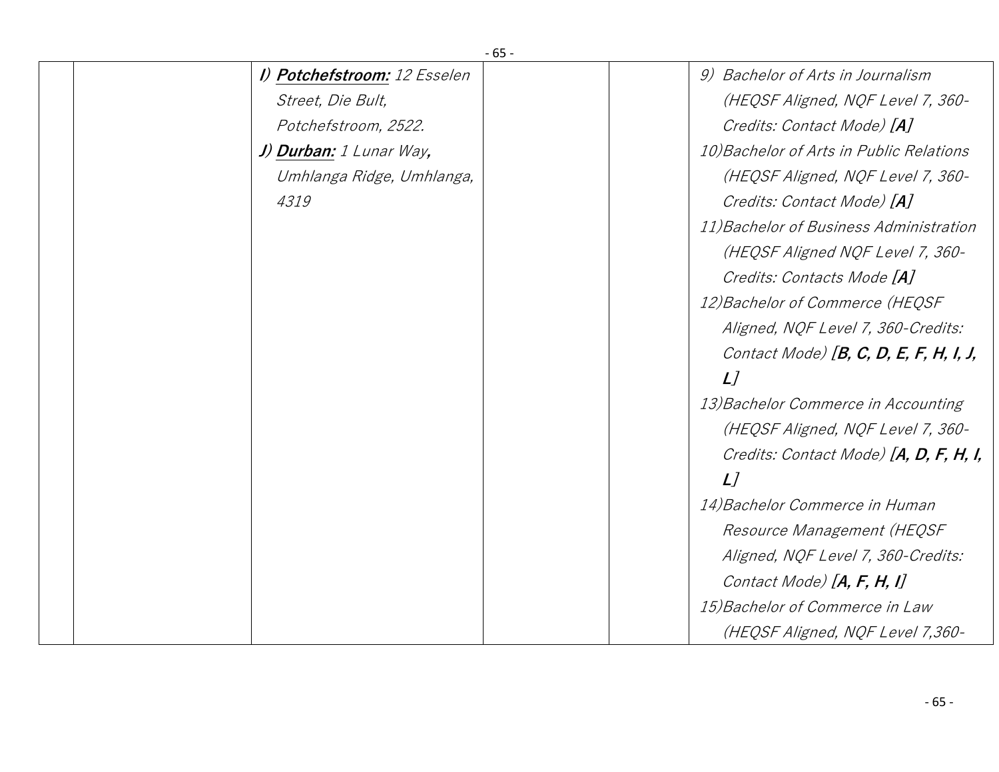| $-65-$                       |                                          |
|------------------------------|------------------------------------------|
| I) Potchefstroom: 12 Esselen | 9) Bachelor of Arts in Journalism        |
| Street, Die Bult,            | (HEQSF Aligned, NQF Level 7, 360-        |
| Potchefstroom, 2522.         | Credits: Contact Mode) [A]               |
| J) Durban: 1 Lunar Way,      | 10) Bachelor of Arts in Public Relations |
| Umhlanga Ridge, Umhlanga,    | (HEQSF Aligned, NQF Level 7, 360-        |
| 4319                         | Credits: Contact Mode) [A]               |
|                              | 11) Bachelor of Business Administration  |
|                              | (HEQSF Aligned NQF Level 7, 360-         |
|                              | Credits: Contacts Mode [A]               |
|                              | 12) Bachelor of Commerce (HEQSF          |
|                              | Aligned, NQF Level 7, 360-Credits:       |
|                              | Contact Mode) $[B, C, D, E, F, H, I, J,$ |
|                              | L                                        |
|                              | 13) Bachelor Commerce in Accounting      |
|                              | (HEQSF Aligned, NQF Level 7, 360-        |
|                              | Credits: Contact Mode) [A, D, F, H, I,   |
|                              | L                                        |
|                              | 14) Bachelor Commerce in Human           |
|                              | Resource Management (HEQSF               |
|                              | Aligned, NQF Level 7, 360-Credits:       |
|                              | Contact Mode) $[A, F, H, I]$             |
|                              | 15) Bachelor of Commerce in Law          |
|                              | (HEQSF Aligned, NQF Level 7,360-         |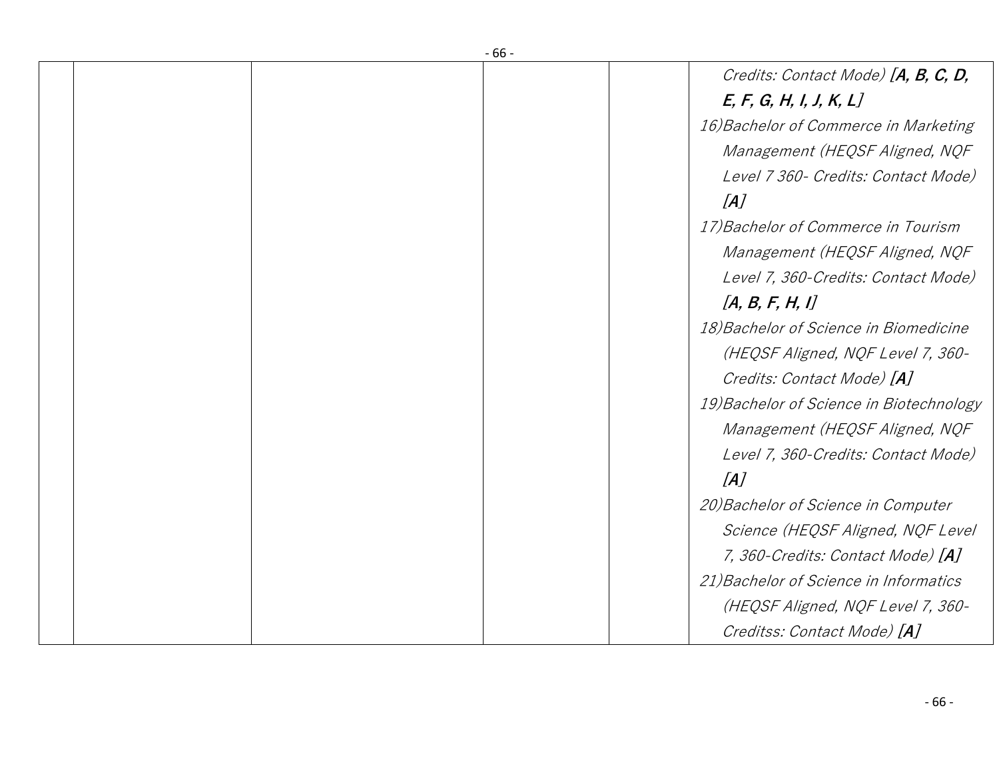|  | - 00 - |                                          |
|--|--------|------------------------------------------|
|  |        | Credits: Contact Mode) [A, B, C, D,      |
|  |        | E, F, G, H, I, J, K, L                   |
|  |        | 16) Bachelor of Commerce in Marketing    |
|  |        | Management (HEQSF Aligned, NQF           |
|  |        | Level 7 360- Credits: Contact Mode)      |
|  |        | [A]                                      |
|  |        | 17) Bachelor of Commerce in Tourism      |
|  |        | Management (HEQSF Aligned, NQF           |
|  |        | Level 7, 360-Credits: Contact Mode)      |
|  |        | [A, B, F, H, I]                          |
|  |        | 18) Bachelor of Science in Biomedicine   |
|  |        | (HEQSF Aligned, NQF Level 7, 360-        |
|  |        | Credits: Contact Mode) [A]               |
|  |        | 19) Bachelor of Science in Biotechnology |
|  |        | Management (HEQSF Aligned, NQF           |
|  |        | Level 7, 360-Credits: Contact Mode)      |
|  |        | [A]                                      |
|  |        | 20) Bachelor of Science in Computer      |
|  |        | Science (HEQSF Aligned, NQF Level        |
|  |        | 7, 360-Credits: Contact Mode) [A]        |
|  |        | 21) Bachelor of Science in Informatics   |
|  |        | (HEQSF Aligned, NQF Level 7, 360-        |
|  |        | Creditss: Contact Mode) [A]              |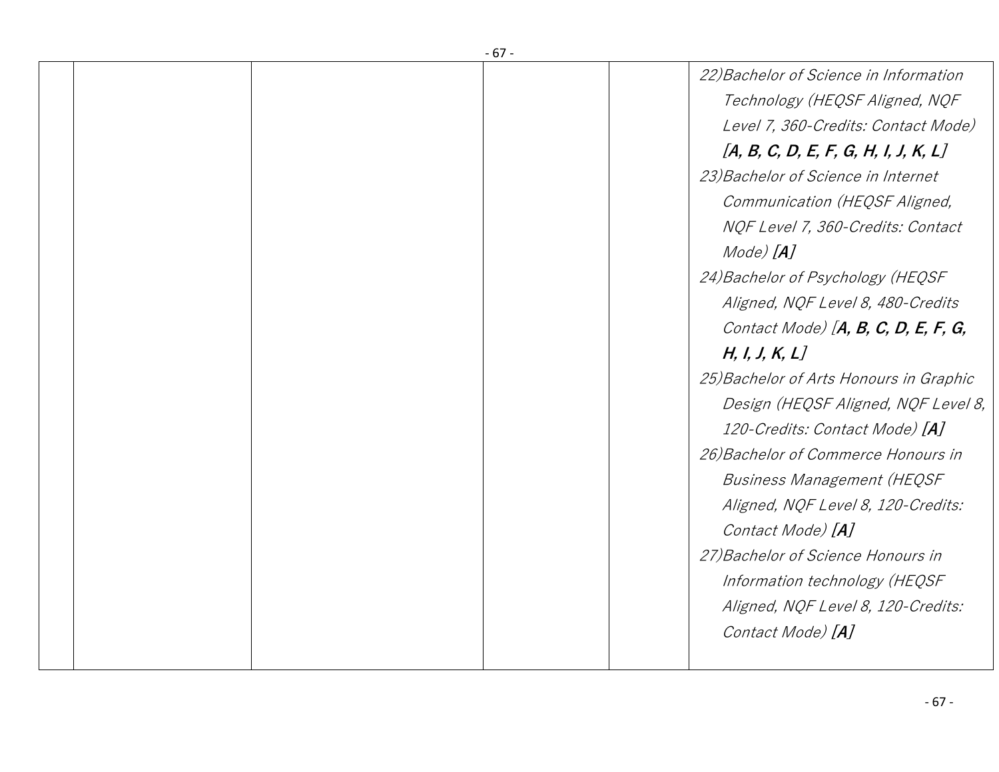| $-67-$ |                                                                                                                                                                                                                                                                                                                                                                                                                                                                                                                                                                                                                                |
|--------|--------------------------------------------------------------------------------------------------------------------------------------------------------------------------------------------------------------------------------------------------------------------------------------------------------------------------------------------------------------------------------------------------------------------------------------------------------------------------------------------------------------------------------------------------------------------------------------------------------------------------------|
|        | 22) Bachelor of Science in Information<br>Technology (HEQSF Aligned, NQF<br>Level 7, 360-Credits: Contact Mode)<br>[A, B, C, D, E, F, G, H, I, J, K, L]<br>23) Bachelor of Science in Internet<br>Communication (HEQSF Aligned,<br>NQF Level 7, 360-Credits: Contact<br>Mode) [ <b>A</b> ]<br>24) Bachelor of Psychology (HEQSF<br>Aligned, NQF Level 8, 480-Credits<br>Contact Mode) $[A, B, C, D, E, F, G,$<br>H, I, J, K, L<br>25) Bachelor of Arts Honours in Graphic<br>Design (HEQSF Aligned, NQF Level 8,<br>120-Credits: Contact Mode) [A]<br>26) Bachelor of Commerce Honours in<br><b>Business Management (HEQSF</b> |
|        | Aligned, NQF Level 8, 120-Credits:<br>Contact Mode) [A]<br>27) Bachelor of Science Honours in<br>Information technology (HEQSF<br>Aligned, NQF Level 8, 120-Credits:<br>Contact Mode) [A]                                                                                                                                                                                                                                                                                                                                                                                                                                      |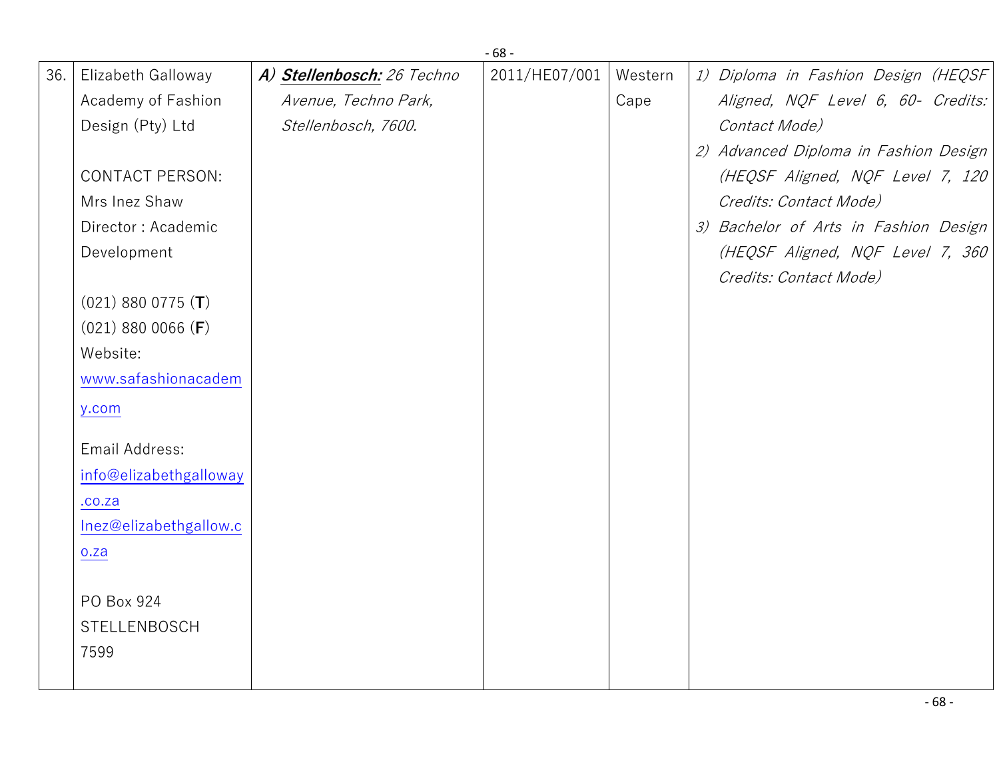|     |                        |                            | $-68-$        |         |                                       |
|-----|------------------------|----------------------------|---------------|---------|---------------------------------------|
| 36. | Elizabeth Galloway     | A) Stellenbosch: 26 Techno | 2011/HE07/001 | Western | 1) Diploma in Fashion Design (HEQSF   |
|     | Academy of Fashion     | Avenue, Techno Park,       |               | Cape    | Aligned, NQF Level 6, 60- Credits:    |
|     | Design (Pty) Ltd       | Stellenbosch, 7600.        |               |         | Contact Mode)                         |
|     |                        |                            |               |         | 2) Advanced Diploma in Fashion Design |
|     | <b>CONTACT PERSON:</b> |                            |               |         | (HEQSF Aligned, NQF Level 7, 120      |
|     | Mrs Inez Shaw          |                            |               |         | Credits: Contact Mode)                |
|     | Director: Academic     |                            |               |         | 3) Bachelor of Arts in Fashion Design |
|     | Development            |                            |               |         | (HEQSF Aligned, NQF Level 7, 360      |
|     |                        |                            |               |         | Credits: Contact Mode)                |
|     | $(021)$ 880 0775 (T)   |                            |               |         |                                       |
|     | $(021)$ 880 0066 (F)   |                            |               |         |                                       |
|     | Website:               |                            |               |         |                                       |
|     | www.safashionacadem    |                            |               |         |                                       |
|     | y.com                  |                            |               |         |                                       |
|     | Email Address:         |                            |               |         |                                       |
|     | info@elizabethgalloway |                            |               |         |                                       |
|     | .00.2a                 |                            |               |         |                                       |
|     | Inez@elizabethgallow.c |                            |               |         |                                       |
|     | o.za                   |                            |               |         |                                       |
|     |                        |                            |               |         |                                       |
|     | PO Box 924             |                            |               |         |                                       |
|     | STELLENBOSCH           |                            |               |         |                                       |
|     | 7599                   |                            |               |         |                                       |
|     |                        |                            |               |         |                                       |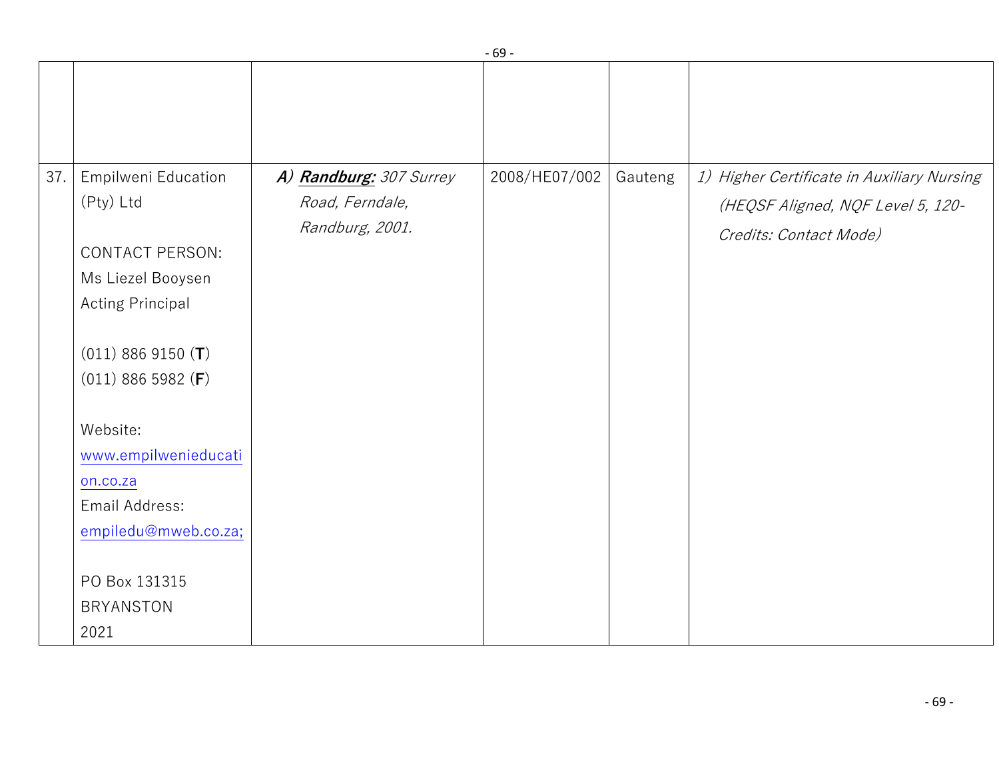|     |                         |                         | - vz -        |         |                                            |
|-----|-------------------------|-------------------------|---------------|---------|--------------------------------------------|
| 37. | Empilweni Education     | A) Randburg: 307 Surrey | 2008/HE07/002 | Gauteng | 1) Higher Certificate in Auxiliary Nursing |
|     | (Pty) Ltd               | Road, Ferndale,         |               |         | (HEQSF Aligned, NQF Level 5, 120-          |
|     |                         | Randburg, 2001.         |               |         |                                            |
|     | <b>CONTACT PERSON:</b>  |                         |               |         | Credits: Contact Mode)                     |
|     | Ms Liezel Booysen       |                         |               |         |                                            |
|     | <b>Acting Principal</b> |                         |               |         |                                            |
|     |                         |                         |               |         |                                            |
|     | $(011)$ 886 9150 (T)    |                         |               |         |                                            |
|     | $(011)$ 886 5982 (F)    |                         |               |         |                                            |
|     |                         |                         |               |         |                                            |
|     | Website:                |                         |               |         |                                            |
|     | www.empilwenieducati    |                         |               |         |                                            |
|     | on.co.za                |                         |               |         |                                            |
|     | Email Address:          |                         |               |         |                                            |
|     | empiledu@mweb.co.za;    |                         |               |         |                                            |
|     |                         |                         |               |         |                                            |
|     | PO Box 131315           |                         |               |         |                                            |
|     | <b>BRYANSTON</b>        |                         |               |         |                                            |
|     | 2021                    |                         |               |         |                                            |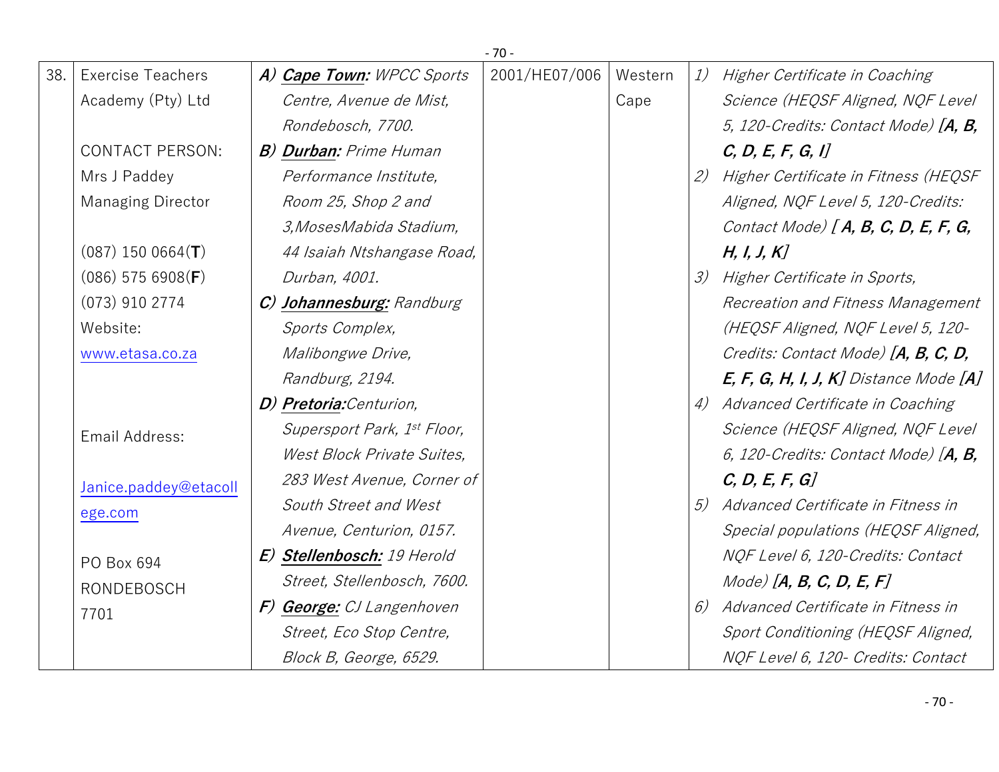|     |                          |                               | $-70-$        |         |               |                                           |
|-----|--------------------------|-------------------------------|---------------|---------|---------------|-------------------------------------------|
| 38. | <b>Exercise Teachers</b> | A) Cape Town: WPCC Sports     | 2001/HE07/006 | Western | 1)            | Higher Certificate in Coaching            |
|     | Academy (Pty) Ltd        | Centre, Avenue de Mist,       |               | Cape    |               | Science (HEQSF Aligned, NQF Level         |
|     |                          | Rondebosch, 7700.             |               |         |               | 5, 120-Credits: Contact Mode) $[A, B, C]$ |
|     | <b>CONTACT PERSON:</b>   | <b>B) Durban:</b> Prime Human |               |         |               | C, D, E, F, G, I                          |
|     | Mrs J Paddey             | Performance Institute,        |               |         | (2)           | Higher Certificate in Fitness (HEQSF      |
|     | <b>Managing Director</b> | Room 25, Shop 2 and           |               |         |               | Aligned, NQF Level 5, 120-Credits:        |
|     |                          | 3, Moses Mabida Stadium,      |               |         |               | Contact Mode) [A, B, C, D, E, F, G,       |
|     | $(087)$ 150 0664(T)      | 44 Isaiah Ntshangase Road,    |               |         |               | H, I, J, K                                |
|     | $(086)$ 575 6908(F)      | Durban, 4001.                 |               |         | $\mathcal{Z}$ | Higher Certificate in Sports,             |
|     | $(073)$ 910 2774         | C) Johannesburg: Randburg     |               |         |               | Recreation and Fitness Management         |
|     | Website:                 | Sports Complex,               |               |         |               | (HEQSF Aligned, NQF Level 5, 120-         |
|     | www.etasa.co.za          | Malibongwe Drive,             |               |         |               | Credits: Contact Mode) [A, B, C, D,       |
|     |                          | Randburg, 2194.               |               |         |               | $E, F, G, H, I, J, K$ ] Distance Mode [A] |
|     |                          | D) Pretoria: Centurion,       |               |         | 4)            | Advanced Certificate in Coaching          |
|     | Email Address:           | Supersport Park, 1st Floor,   |               |         |               | Science (HEQSF Aligned, NQF Level         |
|     |                          | West Block Private Suites,    |               |         |               | 6, 120-Credits: Contact Mode) $[A, B,$    |
|     | Janice.paddey@etacoll    | 283 West Avenue, Corner of    |               |         |               | C, D, E, F, G                             |
|     | ege.com                  | South Street and West         |               |         | 5)            | Advanced Certificate in Fitness in        |
|     |                          | Avenue, Centurion, 0157.      |               |         |               | Special populations (HEQSF Aligned,       |
|     | PO Box 694               | E) Stellenbosch: 19 Herold    |               |         |               | NQF Level 6, 120-Credits: Contact         |
|     | <b>RONDEBOSCH</b>        | Street, Stellenbosch, 7600.   |               |         |               | $Mode)$ [A, B, C, D, E, F]                |
|     | 7701                     | F) George: CJ Langenhoven     |               |         | 6)            | Advanced Certificate in Fitness in        |
|     |                          | Street, Eco Stop Centre,      |               |         |               | Sport Conditioning (HEQSF Aligned,        |
|     |                          | Block B, George, 6529.        |               |         |               | NQF Level 6, 120- Credits: Contact        |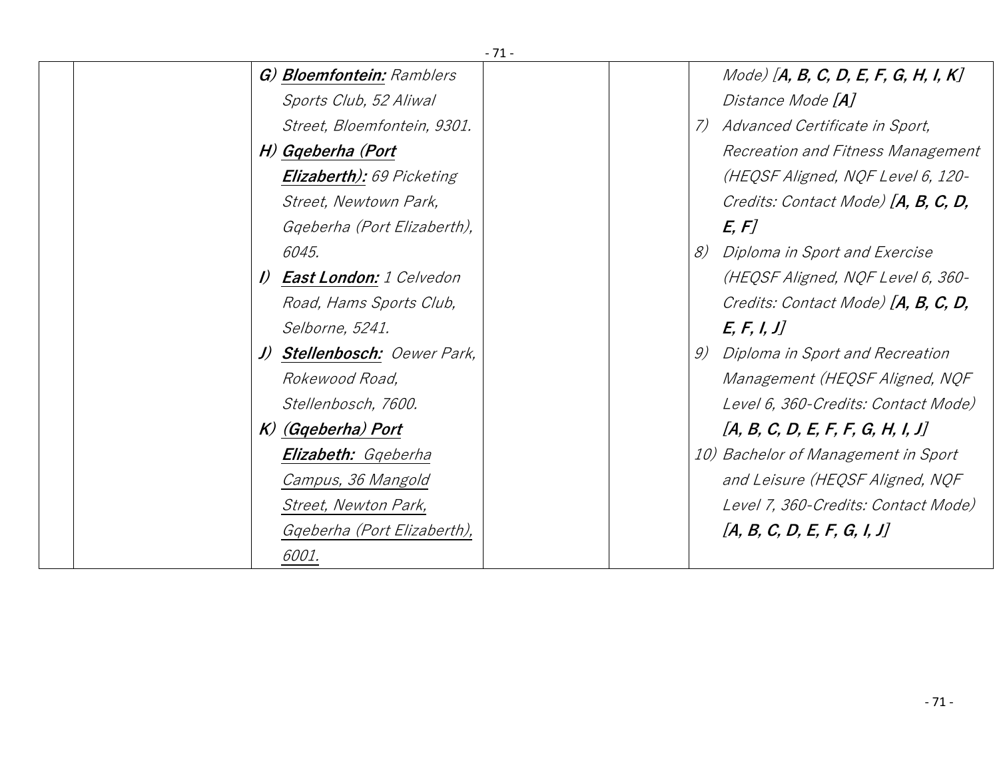| $-71-$                                          |                                                 |
|-------------------------------------------------|-------------------------------------------------|
| G) Bloemfontein: Ramblers                       | $Model$ [A, B, C, D, E, F, G, H, I, K]          |
| Sports Club, 52 Aliwal                          | Distance Mode [ <b>A</b> ]                      |
| Street, Bloemfontein, 9301.                     | Advanced Certificate in Sport,<br>$\mathcal{L}$ |
| H) Gqeberha (Port                               | Recreation and Fitness Management               |
| <b>Elizaberth):</b> 69 Picketing                | (HEQSF Aligned, NQF Level 6, 120-               |
| Street, Newtown Park,                           | Credits: Contact Mode) [A, B, C, D,             |
| Ggeberha (Port Elizaberth),                     | E, F                                            |
| 6045.                                           | 8)<br>Diploma in Sport and Exercise             |
| <b>East London:</b> 1 Celvedon<br>$\mathcal{D}$ | (HEQSF Aligned, NQF Level 6, 360-               |
| Road, Hams Sports Club,                         | Credits: Contact Mode) [A, B, C, D,             |
| Selborne, 5241.                                 | E, F, I, J                                      |
| J) Stellenbosch: Oewer Park,                    | Diploma in Sport and Recreation<br>9)           |
| Rokewood Road,                                  | Management (HEQSF Aligned, NQF                  |
| Stellenbosch, 7600.                             | Level 6, 360-Credits: Contact Mode)             |
| K) (Gqeberha) Port                              | [A, B, C, D, E, F, F, G, H, I, J]               |
| Elizabeth: Ggeberha                             | 10) Bachelor of Management in Sport             |
| Campus, 36 Mangold                              | and Leisure (HEQSF Aligned, NQF                 |
| Street, Newton Park,                            | Level 7, 360-Credits: Contact Mode)             |
| Ggeberha (Port Elizaberth),                     | [A, B, C, D, E, F, G, I, J]                     |
| 6001.                                           |                                                 |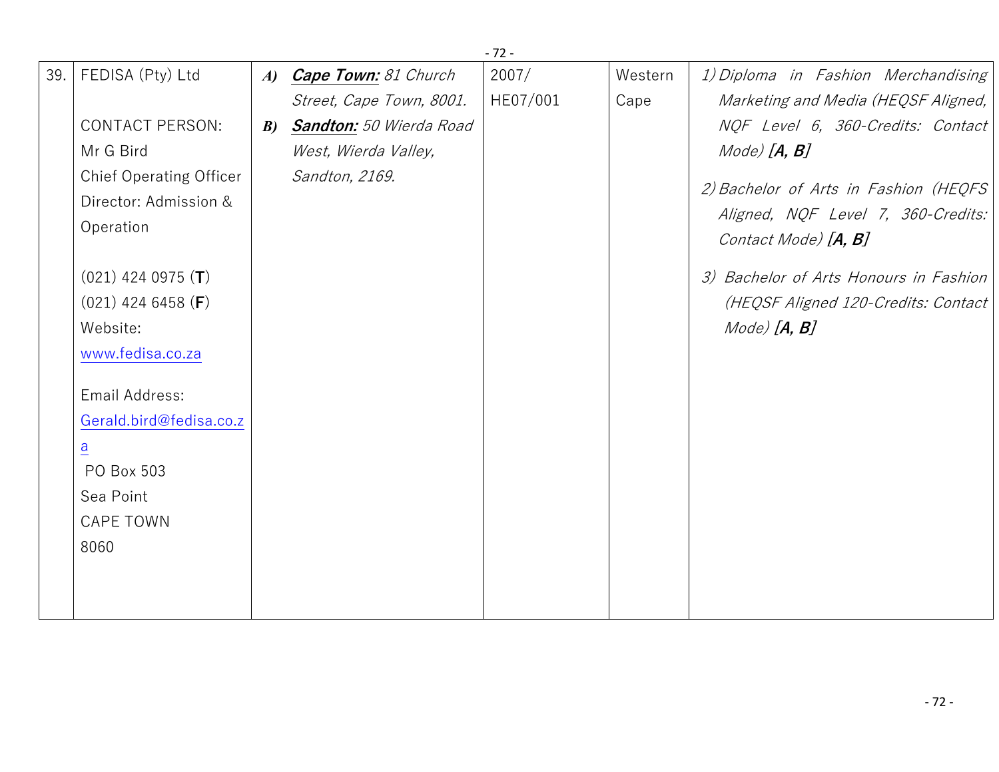| 2007/<br>FEDISA (Pty) Ltd<br>Cape Town: 81 Church<br>Western<br>1) Diploma in Fashion Merchandising<br>39.<br>$\boldsymbol{A}$<br>HE07/001<br>Marketing and Media (HEQSF Aligned,<br>Street, Cape Town, 8001.<br>Cape<br><b>CONTACT PERSON:</b><br><b>Sandton:</b> 50 Wierda Road<br>NQF Level 6, 360-Credits: Contact<br>$\boldsymbol{B}$<br>$Mode)$ $[A, B]$<br>Mr G Bird<br>West, Wierda Valley, |  |
|-----------------------------------------------------------------------------------------------------------------------------------------------------------------------------------------------------------------------------------------------------------------------------------------------------------------------------------------------------------------------------------------------------|--|
|                                                                                                                                                                                                                                                                                                                                                                                                     |  |
|                                                                                                                                                                                                                                                                                                                                                                                                     |  |
|                                                                                                                                                                                                                                                                                                                                                                                                     |  |
|                                                                                                                                                                                                                                                                                                                                                                                                     |  |
| <b>Chief Operating Officer</b><br>Sandton, 2169.                                                                                                                                                                                                                                                                                                                                                    |  |
| 2) Bachelor of Arts in Fashion (HEQFS<br>Director: Admission &                                                                                                                                                                                                                                                                                                                                      |  |
| Aligned, NQF Level 7, 360-Credits:<br>Operation<br>Contact Mode) [A, B]                                                                                                                                                                                                                                                                                                                             |  |
| $(021)$ 424 0975 (T)<br>3) Bachelor of Arts Honours in Fashion                                                                                                                                                                                                                                                                                                                                      |  |
| $(021)$ 424 6458 ( <b>F</b> )<br>(HEQSF Aligned 120-Credits: Contact                                                                                                                                                                                                                                                                                                                                |  |
| $Mode)$ $[A, B]$<br>Website:                                                                                                                                                                                                                                                                                                                                                                        |  |
| www.fedisa.co.za                                                                                                                                                                                                                                                                                                                                                                                    |  |
| Email Address:                                                                                                                                                                                                                                                                                                                                                                                      |  |
| Gerald.bird@fedisa.co.z                                                                                                                                                                                                                                                                                                                                                                             |  |
| $\overline{a}$                                                                                                                                                                                                                                                                                                                                                                                      |  |
| PO Box 503                                                                                                                                                                                                                                                                                                                                                                                          |  |
| Sea Point                                                                                                                                                                                                                                                                                                                                                                                           |  |
| <b>CAPE TOWN</b>                                                                                                                                                                                                                                                                                                                                                                                    |  |
| 8060                                                                                                                                                                                                                                                                                                                                                                                                |  |
|                                                                                                                                                                                                                                                                                                                                                                                                     |  |
|                                                                                                                                                                                                                                                                                                                                                                                                     |  |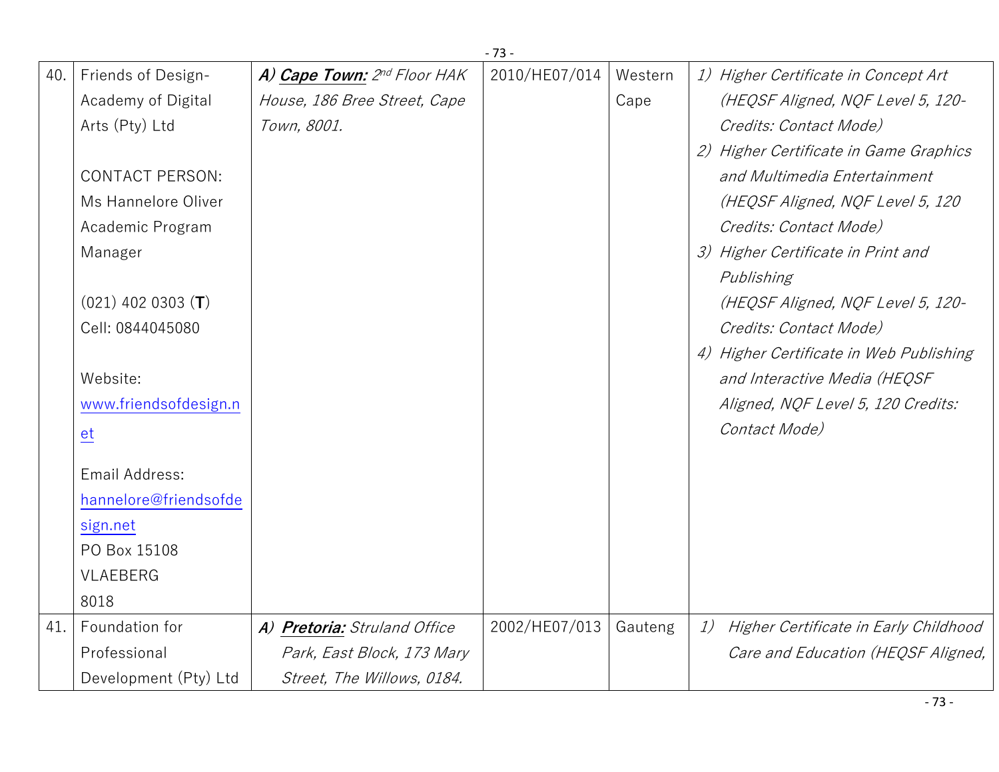|     |                        |                              | $-73-$        |         |                                          |
|-----|------------------------|------------------------------|---------------|---------|------------------------------------------|
| 40. | Friends of Design-     | A) Cape Town: 2nd Floor HAK  | 2010/HE07/014 | Western | 1) Higher Certificate in Concept Art     |
|     | Academy of Digital     | House, 186 Bree Street, Cape |               | Cape    | (HEQSF Aligned, NQF Level 5, 120-        |
|     | Arts (Pty) Ltd         | Town, 8001.                  |               |         | Credits: Contact Mode)                   |
|     |                        |                              |               |         | 2) Higher Certificate in Game Graphics   |
|     | <b>CONTACT PERSON:</b> |                              |               |         | and Multimedia Entertainment             |
|     | Ms Hannelore Oliver    |                              |               |         | (HEQSF Aligned, NQF Level 5, 120         |
|     | Academic Program       |                              |               |         | Credits: Contact Mode)                   |
|     | Manager                |                              |               |         | 3) Higher Certificate in Print and       |
|     |                        |                              |               |         | Publishing                               |
|     | $(021)$ 402 0303 (T)   |                              |               |         | (HEQSF Aligned, NQF Level 5, 120-        |
|     | Cell: 0844045080       |                              |               |         | Credits: Contact Mode)                   |
|     |                        |                              |               |         | 4) Higher Certificate in Web Publishing  |
|     | Website:               |                              |               |         | and Interactive Media (HEQSF             |
|     | www.friendsofdesign.n  |                              |               |         | Aligned, NQF Level 5, 120 Credits:       |
|     | $e$ t                  |                              |               |         | Contact Mode)                            |
|     |                        |                              |               |         |                                          |
|     | Email Address:         |                              |               |         |                                          |
|     | hannelore@friendsofde  |                              |               |         |                                          |
|     | sign.net               |                              |               |         |                                          |
|     | PO Box 15108           |                              |               |         |                                          |
|     | VLAEBERG               |                              |               |         |                                          |
|     | 8018                   |                              |               |         |                                          |
| 41. | Foundation for         | A) Pretoria: Struland Office | 2002/HE07/013 | Gauteng | 1) Higher Certificate in Early Childhood |
|     | Professional           | Park, East Block, 173 Mary   |               |         | Care and Education (HEQSF Aligned,       |
|     | Development (Pty) Ltd  | Street, The Willows, 0184.   |               |         |                                          |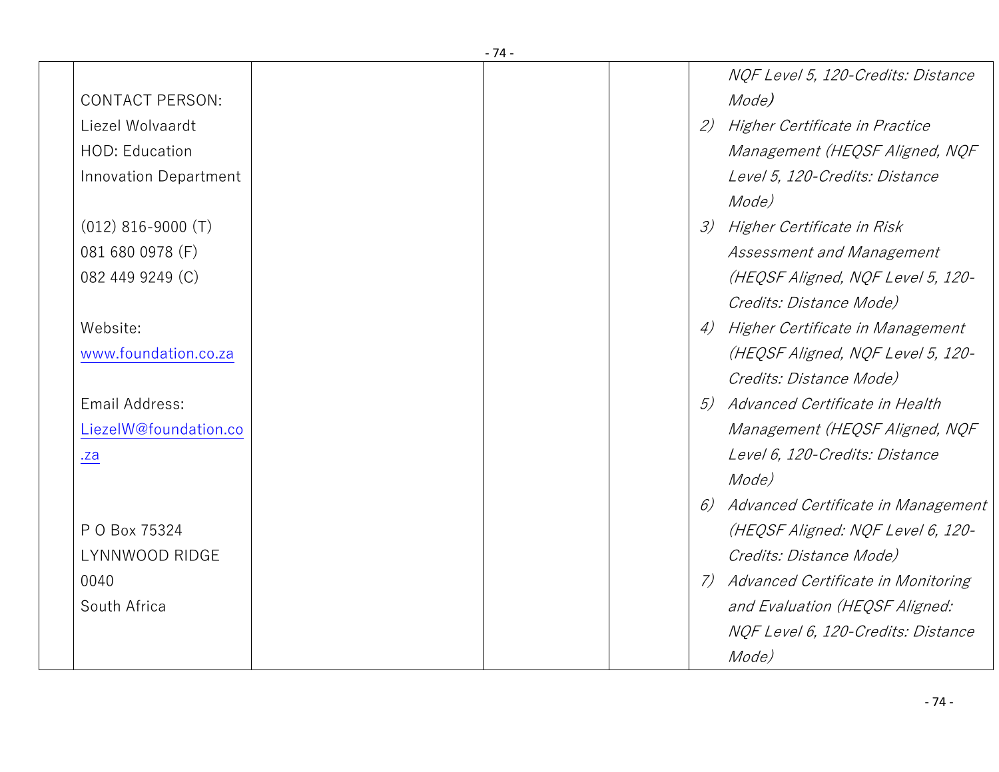|                        | - 74 - |               |                                       |
|------------------------|--------|---------------|---------------------------------------|
|                        |        |               | NQF Level 5, 120-Credits: Distance    |
| <b>CONTACT PERSON:</b> |        |               | Mode)                                 |
| Liezel Wolvaardt       |        | 2)            | Higher Certificate in Practice        |
| HOD: Education         |        |               | Management (HEQSF Aligned, NQF        |
| Innovation Department  |        |               | Level 5, 120-Credits: Distance        |
|                        |        |               | Mode)                                 |
| $(012)$ 816-9000 (T)   |        | $\mathcal{Z}$ | Higher Certificate in Risk            |
| 081 680 0978 (F)       |        |               | Assessment and Management             |
| 082 449 9249 (C)       |        |               | (HEQSF Aligned, NQF Level 5, 120-     |
|                        |        |               | Credits: Distance Mode)               |
| Website:               |        | 4)            | Higher Certificate in Management      |
| www.foundation.co.za   |        |               | (HEQSF Aligned, NQF Level 5, 120-     |
|                        |        |               | Credits: Distance Mode)               |
| Email Address:         |        | 5)            | Advanced Certificate in Health        |
| LiezelW@foundation.co  |        |               | Management (HEQSF Aligned, NQF        |
| .za                    |        |               | Level 6, 120-Credits: Distance        |
|                        |        |               | Mode)                                 |
|                        |        | 6)            | Advanced Certificate in Management    |
| P O Box 75324          |        |               | (HEQSF Aligned: NQF Level 6, 120-     |
| LYNNWOOD RIDGE         |        |               | Credits: Distance Mode)               |
| 0040                   |        |               | 7) Advanced Certificate in Monitoring |
| South Africa           |        |               | and Evaluation (HEQSF Aligned:        |
|                        |        |               | NQF Level 6, 120-Credits: Distance    |
|                        |        |               | Mode)                                 |
|                        |        |               |                                       |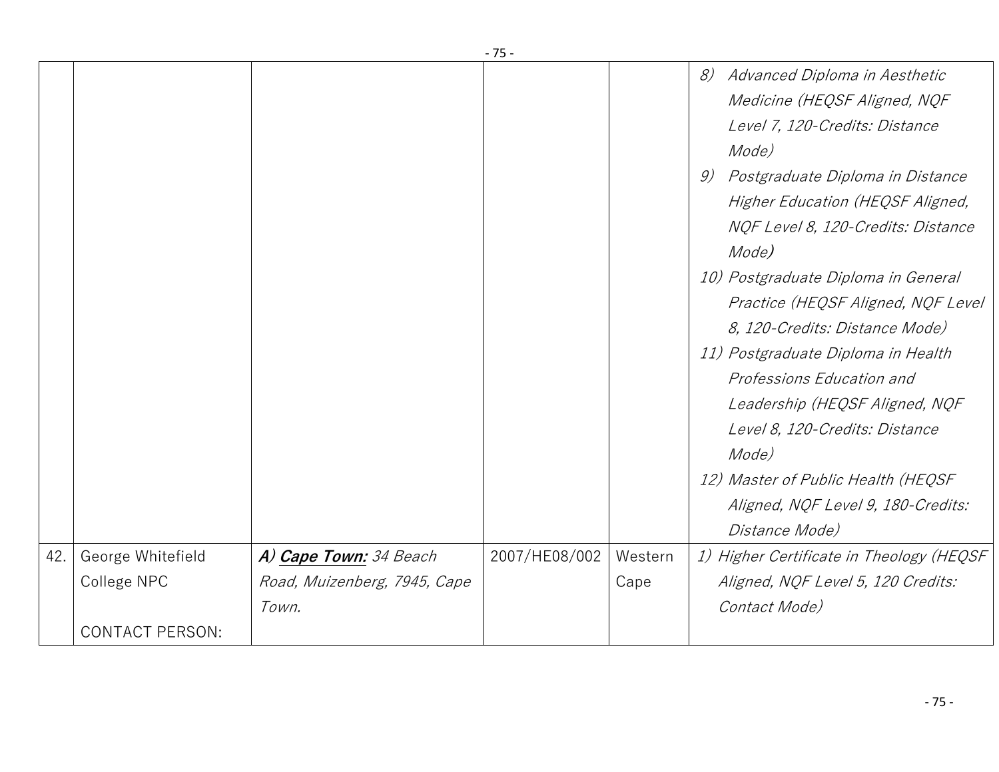|     |                        |                              | - 75 -        |         |                                                                                                                                              |
|-----|------------------------|------------------------------|---------------|---------|----------------------------------------------------------------------------------------------------------------------------------------------|
|     |                        |                              |               |         | 8)<br>Advanced Diploma in Aesthetic<br>Medicine (HEQSF Aligned, NQF                                                                          |
|     |                        |                              |               |         | Level 7, 120-Credits: Distance<br>Mode)                                                                                                      |
|     |                        |                              |               |         | Postgraduate Diploma in Distance<br>9)<br>Higher Education (HEQSF Aligned,<br>NQF Level 8, 120-Credits: Distance<br>Mode)                    |
|     |                        |                              |               |         | 10) Postgraduate Diploma in General<br>Practice (HEQSF Aligned, NQF Level<br>8, 120-Credits: Distance Mode)                                  |
|     |                        |                              |               |         | 11) Postgraduate Diploma in Health<br>Professions Education and<br>Leadership (HEQSF Aligned, NQF<br>Level 8, 120-Credits: Distance<br>Mode) |
|     |                        |                              |               |         | 12) Master of Public Health (HEQSF<br>Aligned, NQF Level 9, 180-Credits:<br>Distance Mode)                                                   |
| 42. | George Whitefield      | A) Cape Town: 34 Beach       | 2007/HE08/002 | Western | 1) Higher Certificate in Theology (HEQSF                                                                                                     |
|     | College NPC            | Road, Muizenberg, 7945, Cape |               | Cape    | Aligned, NQF Level 5, 120 Credits:                                                                                                           |
|     |                        | Town.                        |               |         | Contact Mode)                                                                                                                                |
|     | <b>CONTACT PERSON:</b> |                              |               |         |                                                                                                                                              |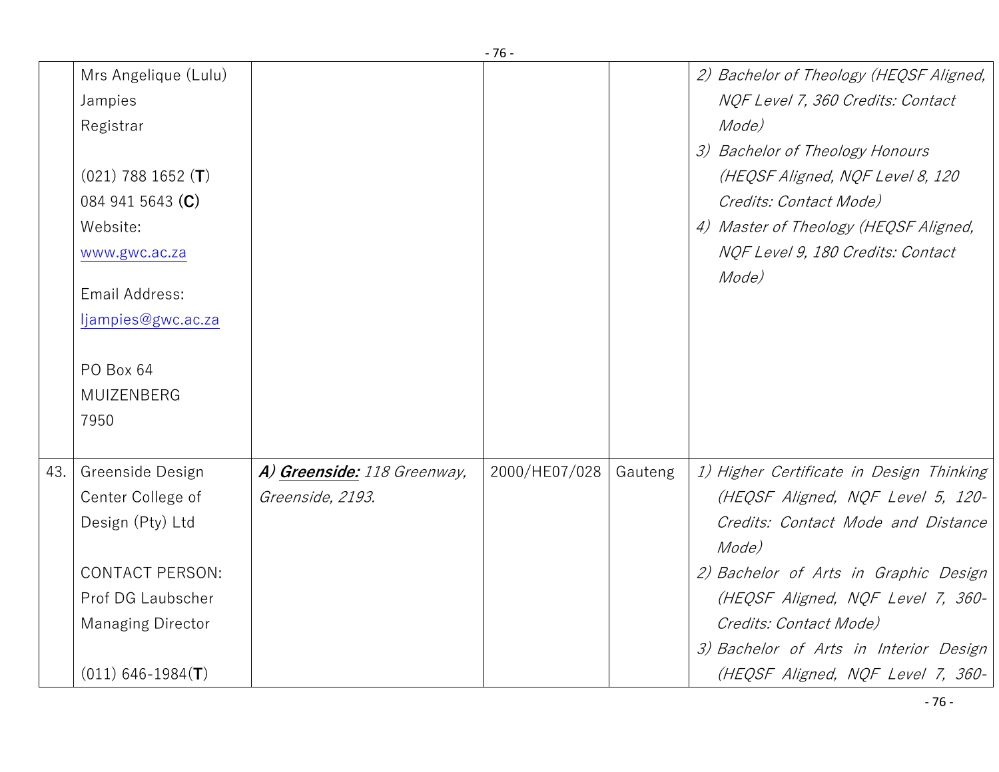|     |                                                                                                                                                                                                    |                                                 | - 76 -        |         |                                                                                                                                                                                                                                                                                                                     |
|-----|----------------------------------------------------------------------------------------------------------------------------------------------------------------------------------------------------|-------------------------------------------------|---------------|---------|---------------------------------------------------------------------------------------------------------------------------------------------------------------------------------------------------------------------------------------------------------------------------------------------------------------------|
|     | Mrs Angelique (Lulu)<br>Jampies<br>Registrar<br>$(021)$ 788 1652 $(T)$<br>084 941 5643 (C)<br>Website:<br>www.gwc.ac.za<br>Email Address:<br>ljampies@gwc.ac.za<br>PO Box 64<br>MUIZENBERG<br>7950 |                                                 |               |         | 2) Bachelor of Theology (HEQSF Aligned,<br>NQF Level 7, 360 Credits: Contact<br>Mode)<br>3) Bachelor of Theology Honours<br>(HEQSF Aligned, NQF Level 8, 120<br>Credits: Contact Mode)<br>4) Master of Theology (HEQSF Aligned,<br>NQF Level 9, 180 Credits: Contact<br>Mode)                                       |
| 43. | Greenside Design<br>Center College of<br>Design (Pty) Ltd<br><b>CONTACT PERSON:</b><br>Prof DG Laubscher<br><b>Managing Director</b><br>$(011)$ 646-1984(T)                                        | A) Greenside: 118 Greenway,<br>Greenside, 2193. | 2000/HE07/028 | Gauteng | 1) Higher Certificate in Design Thinking<br>(HEQSF Aligned, NQF Level 5, 120-<br>Credits: Contact Mode and Distance<br>Mode)<br>2) Bachelor of Arts in Graphic Design<br>(HEQSF Aligned, NQF Level 7, 360-<br>Credits: Contact Mode)<br>3) Bachelor of Arts in Interior Design<br>(HEQSF Aligned, NQF Level 7, 360- |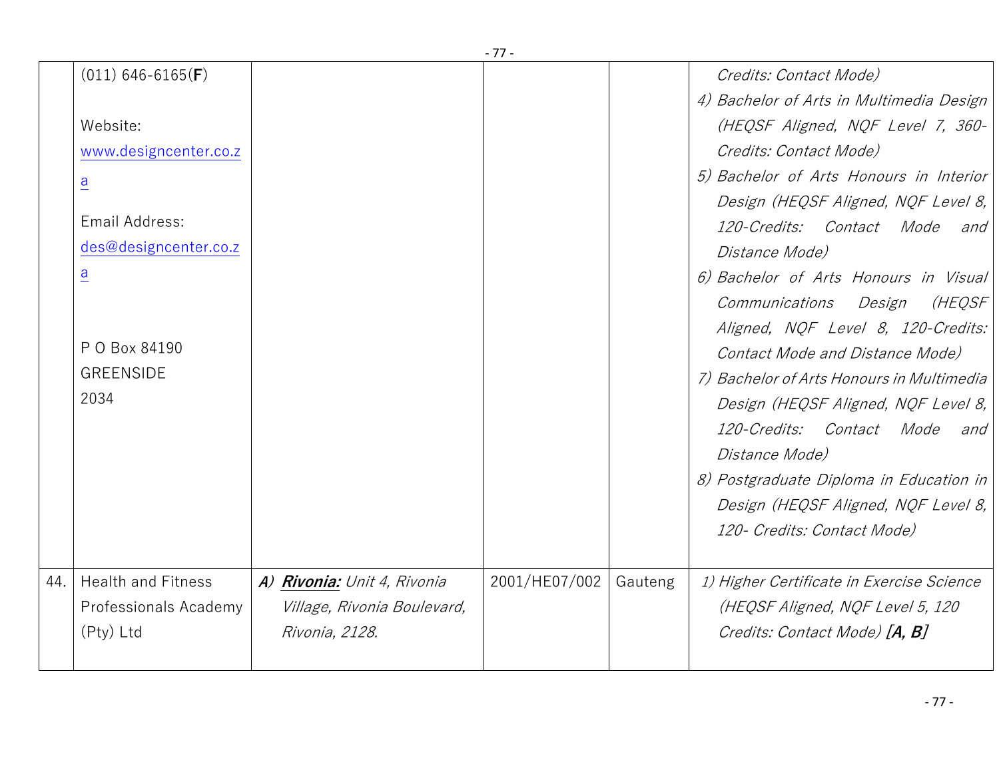|     |                              |                             | - 77 -        |         |                                           |
|-----|------------------------------|-----------------------------|---------------|---------|-------------------------------------------|
|     | $(011)$ 646-6165( <b>F</b> ) |                             |               |         | Credits: Contact Mode)                    |
|     |                              |                             |               |         | 4) Bachelor of Arts in Multimedia Design  |
|     | Website:                     |                             |               |         | (HEQSF Aligned, NQF Level 7, 360-         |
|     | www.designcenter.co.z        |                             |               |         | Credits: Contact Mode)                    |
|     | $\overline{a}$               |                             |               |         | 5) Bachelor of Arts Honours in Interior   |
|     |                              |                             |               |         | Design (HEQSF Aligned, NQF Level 8,       |
|     | Email Address:               |                             |               |         | 120-Credits: Contact Mode<br>and          |
|     | des@designcenter.co.z        |                             |               |         | Distance Mode)                            |
|     | $\overline{a}$               |                             |               |         | 6) Bachelor of Arts Honours in Visual     |
|     |                              |                             |               |         | (HEQSF<br>Communications<br>Design        |
|     |                              |                             |               |         | Aligned, NQF Level 8, 120-Credits:        |
|     | P O Box 84190                |                             |               |         | Contact Mode and Distance Mode)           |
|     | <b>GREENSIDE</b>             |                             |               |         | 7) Bachelor of Arts Honours in Multimedia |
|     | 2034                         |                             |               |         | Design (HEQSF Aligned, NQF Level 8,       |
|     |                              |                             |               |         | 120-Credits: Contact Mode and             |
|     |                              |                             |               |         | Distance Mode)                            |
|     |                              |                             |               |         | 8) Postgraduate Diploma in Education in   |
|     |                              |                             |               |         | Design (HEQSF Aligned, NQF Level 8,       |
|     |                              |                             |               |         | 120- Credits: Contact Mode)               |
|     |                              |                             |               |         |                                           |
| 44. | <b>Health and Fitness</b>    | A) Rivonia: Unit 4, Rivonia | 2001/HE07/002 | Gauteng | 1) Higher Certificate in Exercise Science |
|     | Professionals Academy        | Village, Rivonia Boulevard, |               |         | (HEQSF Aligned, NQF Level 5, 120          |
|     | (Pty) Ltd                    | Rivonia, 2128.              |               |         | Credits: Contact Mode) [A, B]             |
|     |                              |                             |               |         |                                           |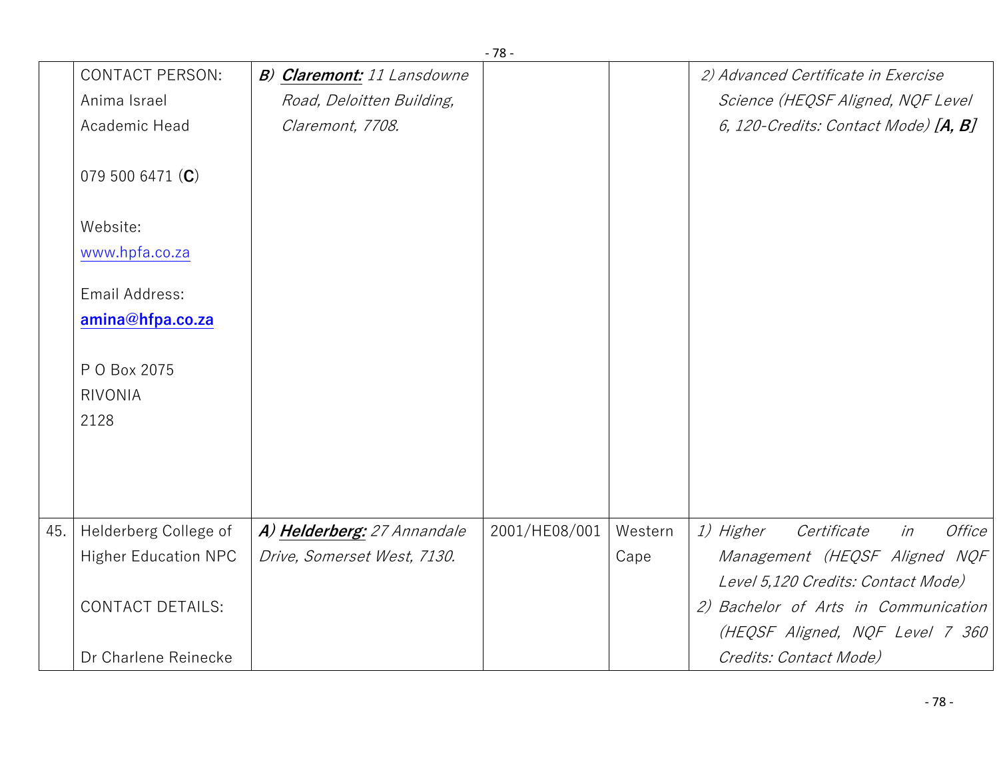|     |                             |                             | - 70 -        |         |                                                 |
|-----|-----------------------------|-----------------------------|---------------|---------|-------------------------------------------------|
|     | <b>CONTACT PERSON:</b>      | B) Claremont: 11 Lansdowne  |               |         | 2) Advanced Certificate in Exercise             |
|     | Anima Israel                | Road, Deloitten Building,   |               |         | Science (HEQSF Aligned, NQF Level               |
|     | Academic Head               | Claremont, 7708.            |               |         | 6, 120-Credits: Contact Mode) $[A, B]$          |
|     | 079 500 6471 (C)            |                             |               |         |                                                 |
|     | Website:                    |                             |               |         |                                                 |
|     | www.hpfa.co.za              |                             |               |         |                                                 |
|     | Email Address:              |                             |               |         |                                                 |
|     | amina@hfpa.co.za            |                             |               |         |                                                 |
|     | P O Box 2075                |                             |               |         |                                                 |
|     | <b>RIVONIA</b>              |                             |               |         |                                                 |
|     | 2128                        |                             |               |         |                                                 |
|     |                             |                             |               |         |                                                 |
|     |                             |                             |               |         |                                                 |
|     |                             |                             |               |         |                                                 |
| 45. | Helderberg College of       | A) Helderberg: 27 Annandale | 2001/HE08/001 | Western | 1) Higher<br>in<br><i>Office</i><br>Certificate |
|     | <b>Higher Education NPC</b> | Drive, Somerset West, 7130. |               | Cape    | Management (HEQSF Aligned NQF                   |
|     |                             |                             |               |         | Level 5,120 Credits: Contact Mode)              |
|     | <b>CONTACT DETAILS:</b>     |                             |               |         | 2) Bachelor of Arts in Communication            |
|     |                             |                             |               |         | (HEQSF Aligned, NQF Level 7 360                 |
|     | Dr Charlene Reinecke        |                             |               |         | Credits: Contact Mode)                          |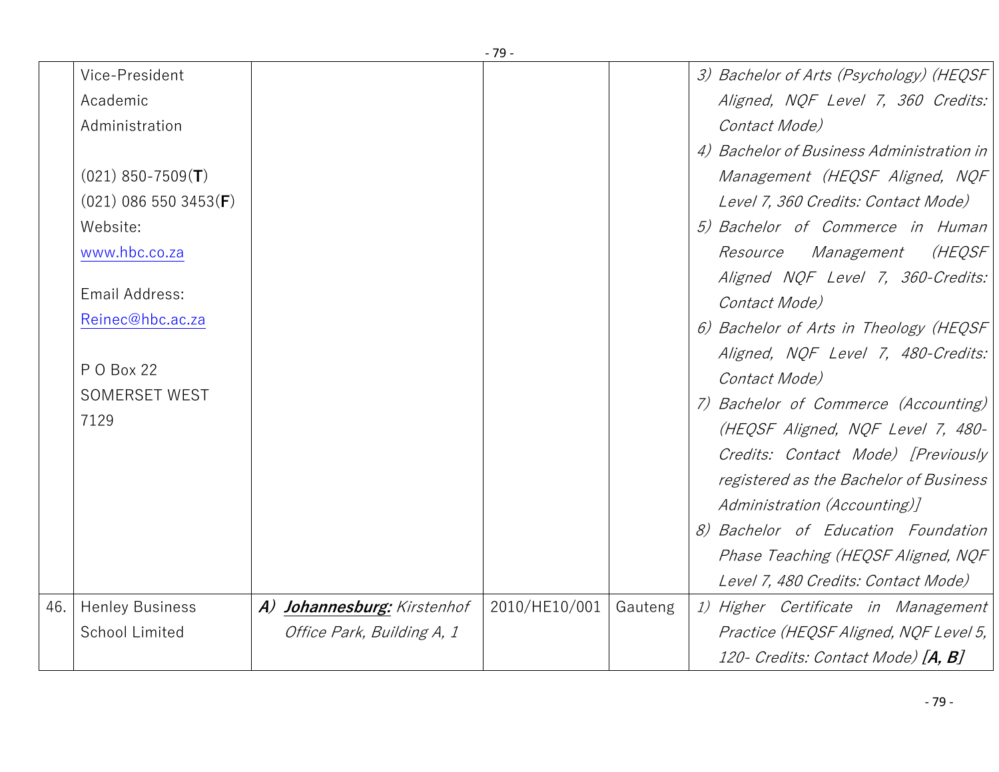|     |                         |                             | - 79 -        |         |                                           |
|-----|-------------------------|-----------------------------|---------------|---------|-------------------------------------------|
|     | Vice-President          |                             |               |         | 3) Bachelor of Arts (Psychology) (HEQSF   |
|     | Academic                |                             |               |         | Aligned, NQF Level 7, 360 Credits:        |
|     | Administration          |                             |               |         | Contact Mode)                             |
|     |                         |                             |               |         | 4) Bachelor of Business Administration in |
|     | $(021)$ 850-7509 $(T)$  |                             |               |         | Management (HEQSF Aligned, NQF            |
|     | $(021)$ 086 550 3453(F) |                             |               |         | Level 7, 360 Credits: Contact Mode)       |
|     | Website:                |                             |               |         | 5) Bachelor of Commerce in Human          |
|     | www.hbc.co.za           |                             |               |         | (HEQSF<br>Management<br>Resource          |
|     |                         |                             |               |         | Aligned NQF Level 7, 360-Credits:         |
|     | Email Address:          |                             |               |         | Contact Mode)                             |
|     | Reinec@hbc.ac.za        |                             |               |         | 6) Bachelor of Arts in Theology (HEQSF    |
|     |                         |                             |               |         | Aligned, NQF Level 7, 480-Credits:        |
|     | P O Box 22              |                             |               |         | Contact Mode)                             |
|     | <b>SOMERSET WEST</b>    |                             |               |         | 7) Bachelor of Commerce (Accounting)      |
|     | 7129                    |                             |               |         | (HEQSF Aligned, NQF Level 7, 480-         |
|     |                         |                             |               |         | Credits: Contact Mode) [Previously        |
|     |                         |                             |               |         | registered as the Bachelor of Business    |
|     |                         |                             |               |         | Administration (Accounting)]              |
|     |                         |                             |               |         | 8) Bachelor of Education Foundation       |
|     |                         |                             |               |         | Phase Teaching (HEQSF Aligned, NQF        |
|     |                         |                             |               |         | Level 7, 480 Credits: Contact Mode)       |
| 46. | <b>Henley Business</b>  | A) Johannesburg: Kirstenhof | 2010/HE10/001 | Gauteng | 1) Higher Certificate in Management       |
|     | <b>School Limited</b>   | Office Park, Building A, 1  |               |         | Practice (HEQSF Aligned, NQF Level 5,     |
|     |                         |                             |               |         | 120- Credits: Contact Mode) [A, B]        |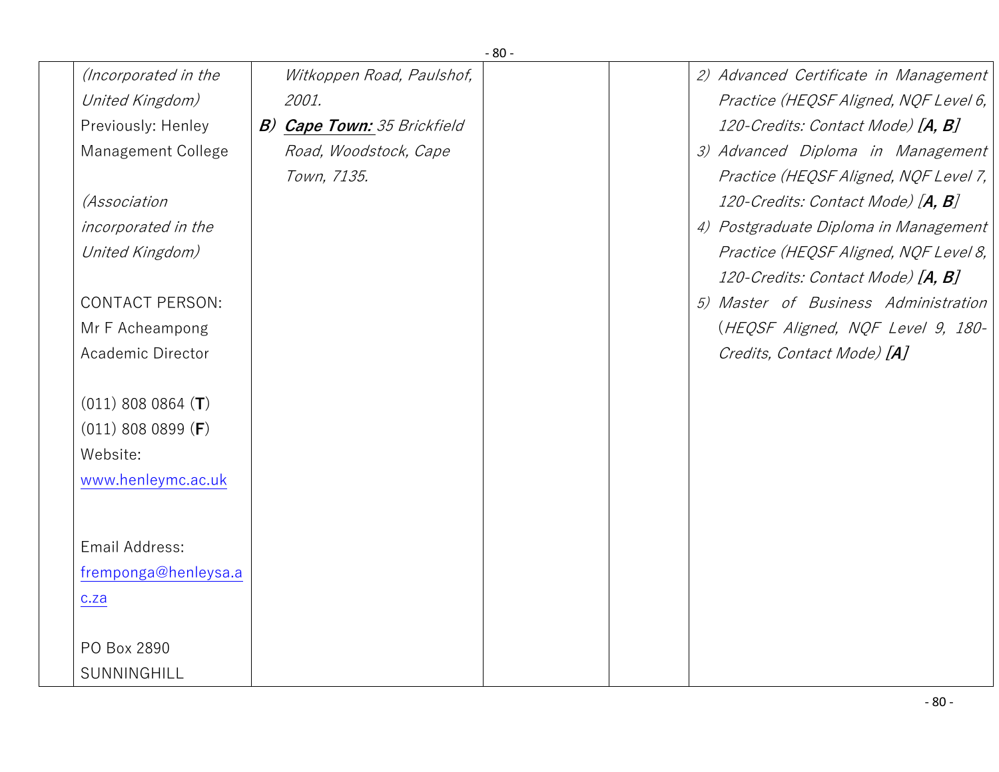|                        |                                    | $-80-$ |                                       |
|------------------------|------------------------------------|--------|---------------------------------------|
| (Incorporated in the   | Witkoppen Road, Paulshof,          |        | 2) Advanced Certificate in Management |
| United Kingdom)        | 2001.                              |        | Practice (HEQSF Aligned, NQF Level 6, |
| Previously: Henley     | <b>B) Cape Town:</b> 35 Brickfield |        | 120-Credits: Contact Mode) [A, B]     |
| Management College     | Road, Woodstock, Cape              |        | 3) Advanced Diploma in Management     |
|                        | Town, 7135.                        |        | Practice (HEQSF Aligned, NQF Level 7, |
| <i>(Association</i>    |                                    |        | 120-Credits: Contact Mode) [A, B]     |
| incorporated in the    |                                    |        | 4) Postgraduate Diploma in Management |
| United Kingdom)        |                                    |        | Practice (HEQSF Aligned, NQF Level 8, |
|                        |                                    |        | 120-Credits: Contact Mode) [A, B]     |
| <b>CONTACT PERSON:</b> |                                    |        | 5) Master of Business Administration  |
| Mr F Acheampong        |                                    |        | (HEQSF Aligned, NQF Level 9, 180-     |
| Academic Director      |                                    |        | Credits, Contact Mode) [A]            |
|                        |                                    |        |                                       |
| $(011)$ 808 0864 $(T)$ |                                    |        |                                       |
| $(011)$ 808 0899 (F)   |                                    |        |                                       |
| Website:               |                                    |        |                                       |
| www.henleymc.ac.uk     |                                    |        |                                       |
|                        |                                    |        |                                       |
| Email Address:         |                                    |        |                                       |
| fremponga@henleysa.a   |                                    |        |                                       |
|                        |                                    |        |                                       |
| c.za                   |                                    |        |                                       |
| PO Box 2890            |                                    |        |                                       |
| SUNNINGHILL            |                                    |        |                                       |
|                        |                                    |        |                                       |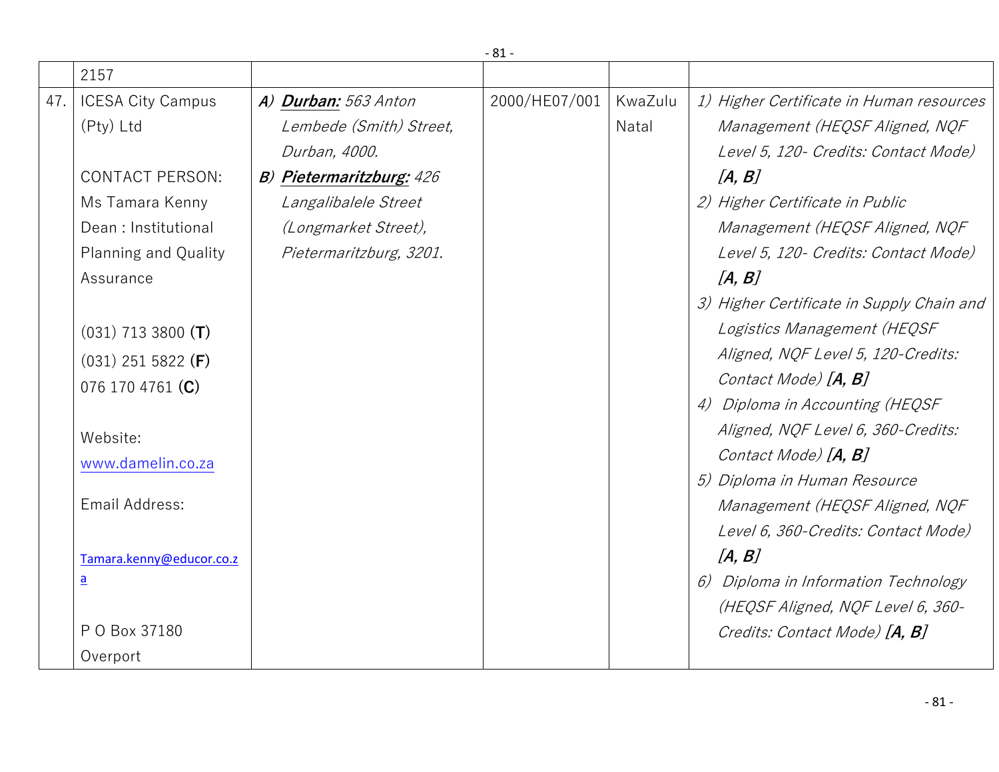|     |                          |                                 | $-81-$        |         |                                           |
|-----|--------------------------|---------------------------------|---------------|---------|-------------------------------------------|
|     | 2157                     |                                 |               |         |                                           |
| 47. | <b>ICESA City Campus</b> | A) Durban: 563 Anton            | 2000/HE07/001 | KwaZulu | 1) Higher Certificate in Human resources  |
|     | (Pty) Ltd                | Lembede (Smith) Street,         |               | Natal   | Management (HEQSF Aligned, NQF            |
|     |                          | Durban, 4000.                   |               |         | Level 5, 120 - Credits: Contact Mode)     |
|     | <b>CONTACT PERSON:</b>   | <b>B) Pietermaritzburg: 426</b> |               |         | [A, B]                                    |
|     | Ms Tamara Kenny          | Langalibalele Street            |               |         | 2) Higher Certificate in Public           |
|     | Dean: Institutional      | (Longmarket Street),            |               |         | Management (HEQSF Aligned, NQF            |
|     | Planning and Quality     | Pietermaritzburg, 3201.         |               |         | Level 5, 120 - Credits: Contact Mode)     |
|     | Assurance                |                                 |               |         | [A, B]                                    |
|     |                          |                                 |               |         | 3) Higher Certificate in Supply Chain and |
|     | $(031)$ 713 3800 (T)     |                                 |               |         | Logistics Management (HEQSF               |
|     | $(031)$ 251 5822 (F)     |                                 |               |         | Aligned, NQF Level 5, 120-Credits:        |
|     | 076 170 4761 (C)         |                                 |               |         | Contact Mode) [A, B]                      |
|     |                          |                                 |               |         | 4) Diploma in Accounting (HEQSF           |
|     | Website:                 |                                 |               |         | Aligned, NQF Level 6, 360-Credits:        |
|     | www.damelin.co.za        |                                 |               |         | Contact Mode) [ <b>A, B</b> ]             |
|     |                          |                                 |               |         | 5) Diploma in Human Resource              |
|     | Email Address:           |                                 |               |         | Management (HEQSF Aligned, NQF            |
|     |                          |                                 |               |         | Level 6, 360-Credits: Contact Mode)       |
|     | Tamara.kenny@educor.co.z |                                 |               |         | [A, B]                                    |
|     | $\overline{\mathbf{a}}$  |                                 |               |         | 6) Diploma in Information Technology      |
|     |                          |                                 |               |         | (HEQSF Aligned, NQF Level 6, 360-         |
|     | P O Box 37180            |                                 |               |         | Credits: Contact Mode) [A, B]             |
|     | Overport                 |                                 |               |         |                                           |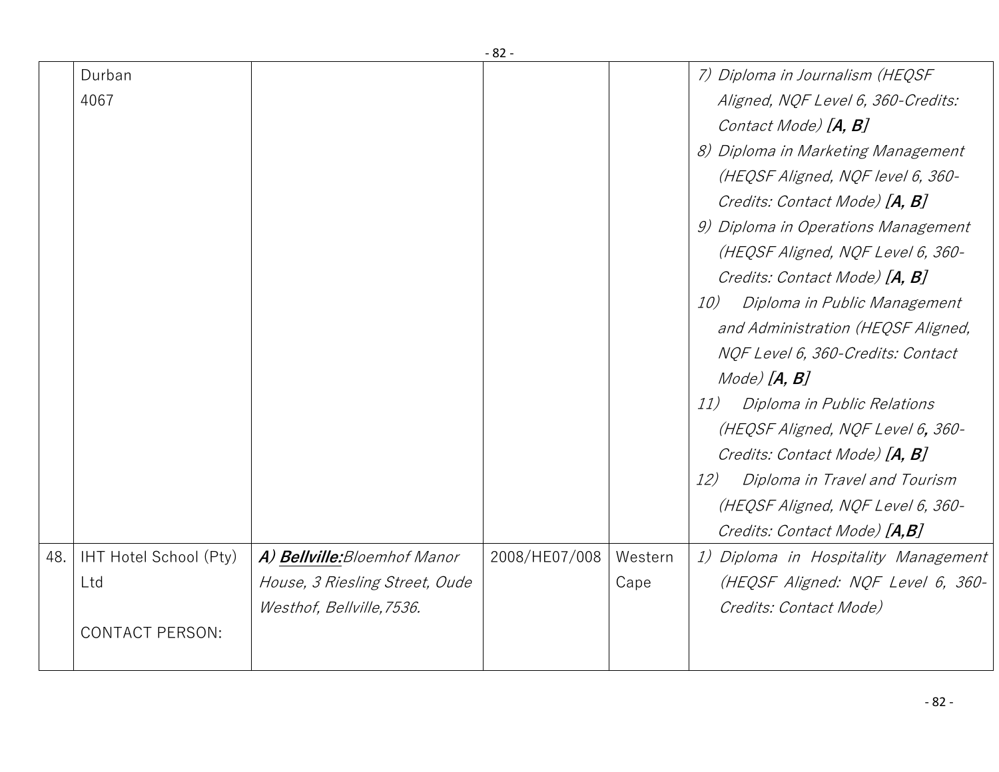|     | Durban<br>4067                                          |                                                                                             |               |                 | 7) Diploma in Journalism (HEQSF<br>Aligned, NQF Level 6, 360-Credits:<br>Contact Mode) [A, B]<br>8) Diploma in Marketing Management<br>(HEQSF Aligned, NQF level 6, 360-<br>Credits: Contact Mode) [A, B]<br>9) Diploma in Operations Management<br>(HEQSF Aligned, NQF Level 6, 360-<br>Credits: Contact Mode) [A, B]<br>Diploma in Public Management<br>10)<br>and Administration (HEQSF Aligned,<br>NQF Level 6, 360-Credits: Contact<br>$Mode)$ $[A, B]$<br>Diploma in Public Relations<br>11)<br>(HEQSF Aligned, NQF Level 6, 360-<br>Credits: Contact Mode) [A, B]<br>Diploma in Travel and Tourism<br>12)<br>(HEQSF Aligned, NQF Level 6, 360- |
|-----|---------------------------------------------------------|---------------------------------------------------------------------------------------------|---------------|-----------------|-------------------------------------------------------------------------------------------------------------------------------------------------------------------------------------------------------------------------------------------------------------------------------------------------------------------------------------------------------------------------------------------------------------------------------------------------------------------------------------------------------------------------------------------------------------------------------------------------------------------------------------------------------|
|     |                                                         |                                                                                             |               |                 | Credits: Contact Mode) [A,B]                                                                                                                                                                                                                                                                                                                                                                                                                                                                                                                                                                                                                          |
| 48. | IHT Hotel School (Pty)<br>Ltd<br><b>CONTACT PERSON:</b> | A) Bellville: Bloemhof Manor<br>House, 3 Riesling Street, Oude<br>Westhof, Bellville, 7536. | 2008/HE07/008 | Western<br>Cape | 1) Diploma in Hospitality Management<br>(HEQSF Aligned: NQF Level 6, 360-<br>Credits: Contact Mode)                                                                                                                                                                                                                                                                                                                                                                                                                                                                                                                                                   |
|     |                                                         |                                                                                             |               |                 |                                                                                                                                                                                                                                                                                                                                                                                                                                                                                                                                                                                                                                                       |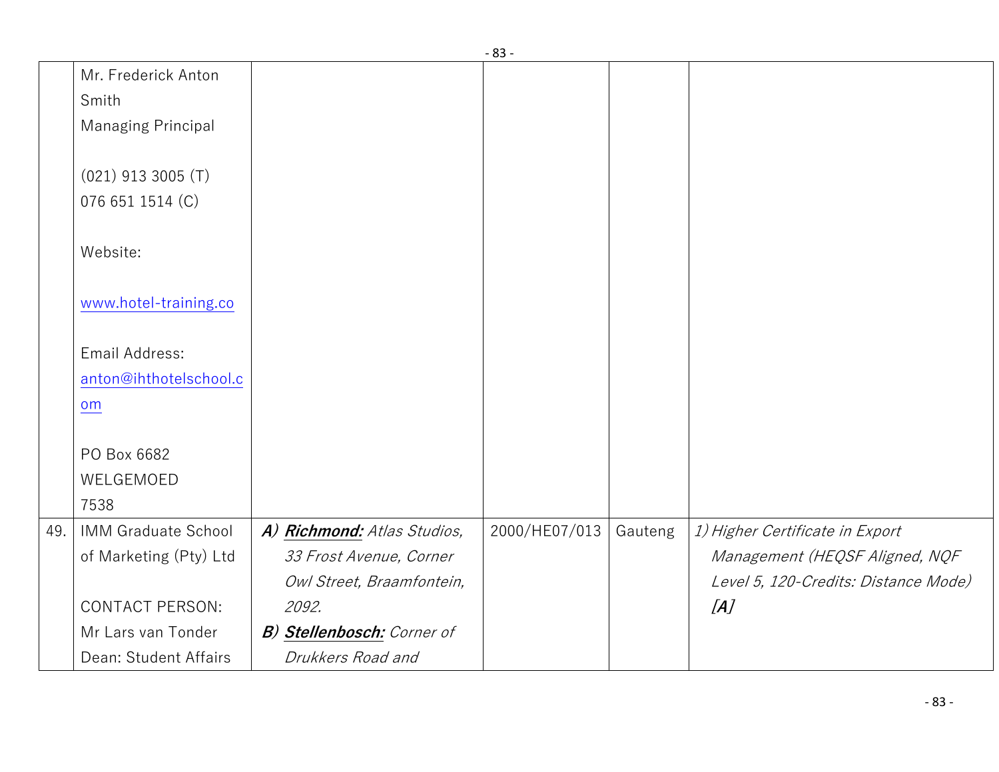| Mr. Frederick Anton        |                                                                                                           |               |         |                                      |
|----------------------------|-----------------------------------------------------------------------------------------------------------|---------------|---------|--------------------------------------|
| Smith                      |                                                                                                           |               |         |                                      |
| <b>Managing Principal</b>  |                                                                                                           |               |         |                                      |
|                            |                                                                                                           |               |         |                                      |
| $(021)$ 913 3005 (T)       |                                                                                                           |               |         |                                      |
| 076 651 1514 (C)           |                                                                                                           |               |         |                                      |
|                            |                                                                                                           |               |         |                                      |
|                            |                                                                                                           |               |         |                                      |
|                            |                                                                                                           |               |         |                                      |
|                            |                                                                                                           |               |         |                                      |
|                            |                                                                                                           |               |         |                                      |
|                            |                                                                                                           |               |         |                                      |
|                            |                                                                                                           |               |         |                                      |
| om                         |                                                                                                           |               |         |                                      |
|                            |                                                                                                           |               |         |                                      |
|                            |                                                                                                           |               |         |                                      |
|                            |                                                                                                           |               |         |                                      |
| 7538                       |                                                                                                           |               |         |                                      |
| <b>IMM Graduate School</b> | A) Richmond: Atlas Studios,                                                                               | 2000/HE07/013 | Gauteng | 1) Higher Certificate in Export      |
| of Marketing (Pty) Ltd     | 33 Frost Avenue, Corner                                                                                   |               |         | Management (HEQSF Aligned, NQF       |
|                            | Owl Street, Braamfontein,                                                                                 |               |         | Level 5, 120-Credits: Distance Mode) |
| <b>CONTACT PERSON:</b>     | 2092.                                                                                                     |               |         | [A]                                  |
| Mr Lars van Tonder         | <b>B) Stellenbosch:</b> Corner of                                                                         |               |         |                                      |
| Dean: Student Affairs      | Drukkers Road and                                                                                         |               |         |                                      |
|                            | Website:<br>www.hotel-training.co<br>Email Address:<br>anton@ihthotelschool.c<br>PO Box 6682<br>WELGEMOED |               | - 83 -  |                                      |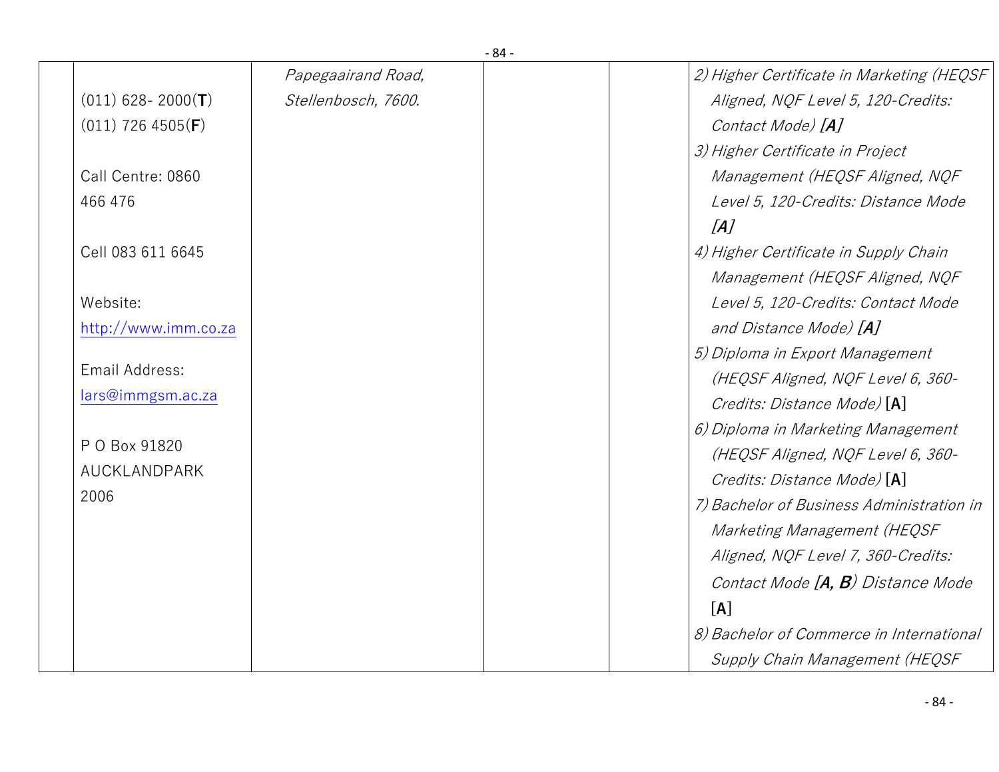|                              | - 04 -              |                                           |
|------------------------------|---------------------|-------------------------------------------|
|                              | Papegaairand Road,  | 2) Higher Certificate in Marketing (HEQSF |
| $(011)$ 628-2000(T)          | Stellenbosch, 7600. | Aligned, NQF Level 5, 120-Credits:        |
| $(011)$ 726 4505( <b>F</b> ) |                     | Contact Mode) [A]                         |
|                              |                     | 3) Higher Certificate in Project          |
| Call Centre: 0860            |                     | Management (HEQSF Aligned, NQF            |
| 466 476                      |                     | Level 5, 120-Credits: Distance Mode       |
|                              |                     | [A]                                       |
| Cell 083 611 6645            |                     | 4) Higher Certificate in Supply Chain     |
|                              |                     | Management (HEQSF Aligned, NQF            |
| Website:                     |                     | Level 5, 120-Credits: Contact Mode        |
| http://www.imm.co.za         |                     | and Distance Mode) [A]                    |
|                              |                     | 5) Diploma in Export Management           |
| Email Address:               |                     | (HEQSF Aligned, NQF Level 6, 360-         |
| lars@immgsm.ac.za            |                     | Credits: Distance Mode) [A]               |
|                              |                     | 6) Diploma in Marketing Management        |
| P O Box 91820                |                     | (HEQSF Aligned, NQF Level 6, 360-         |
| AUCKLANDPARK                 |                     | Credits: Distance Mode) [A]               |
| 2006                         |                     | 7) Bachelor of Business Administration in |
|                              |                     | Marketing Management (HEQSF               |
|                              |                     | Aligned, NQF Level 7, 360-Credits:        |
|                              |                     | Contact Mode [A, B) Distance Mode         |
|                              |                     | [A]                                       |
|                              |                     | 8) Bachelor of Commerce in International  |
|                              |                     | Supply Chain Management (HEQSF            |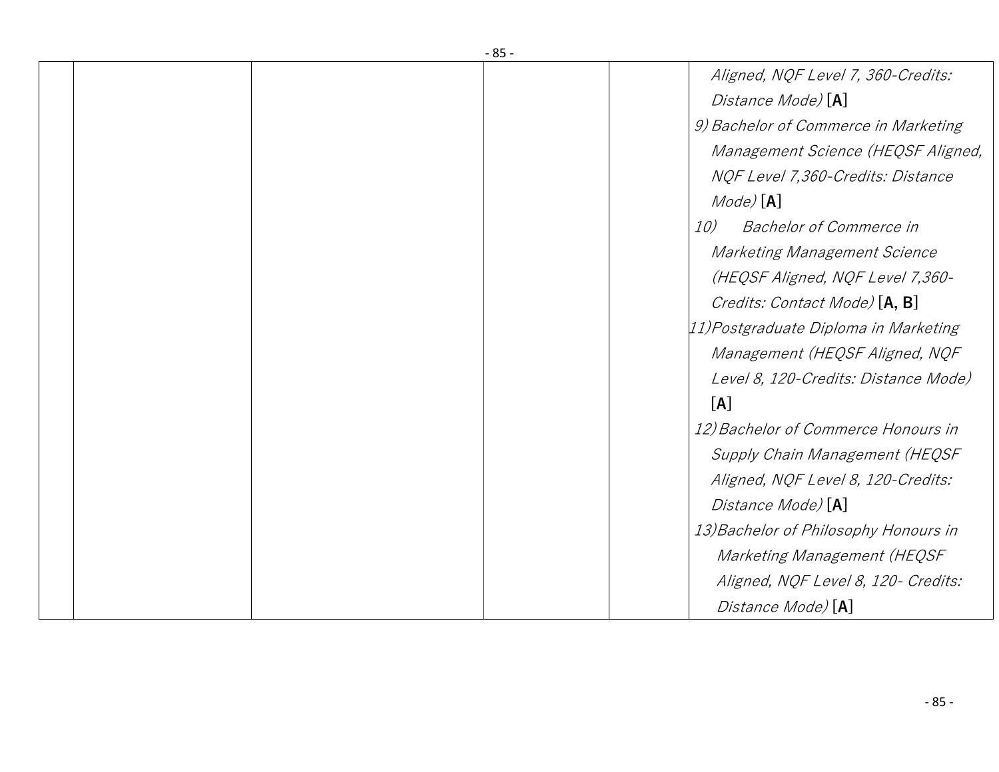|  | - 65 - |                                       |
|--|--------|---------------------------------------|
|  |        | Aligned, NQF Level 7, 360-Credits:    |
|  |        | Distance Mode) [A]                    |
|  |        | 9) Bachelor of Commerce in Marketing  |
|  |        | Management Science (HEQSF Aligned,    |
|  |        | NQF Level 7,360-Credits: Distance     |
|  |        | $Mode$ $[A]$                          |
|  |        | 10)<br><b>Bachelor of Commerce in</b> |
|  |        | Marketing Management Science          |
|  |        | (HEQSF Aligned, NQF Level 7,360-      |
|  |        | Credits: Contact Mode) [A, B]         |
|  |        | 11) Postgraduate Diploma in Marketing |
|  |        | Management (HEQSF Aligned, NQF        |
|  |        | Level 8, 120-Credits: Distance Mode)  |
|  |        | [A]                                   |
|  |        | 12) Bachelor of Commerce Honours in   |
|  |        | Supply Chain Management (HEQSF        |
|  |        | Aligned, NQF Level 8, 120-Credits:    |
|  |        | Distance Mode) [A]                    |
|  |        | 13) Bachelor of Philosophy Honours in |
|  |        | Marketing Management (HEQSF           |
|  |        | Aligned, NQF Level 8, 120- Credits:   |
|  |        | Distance Mode) [A]                    |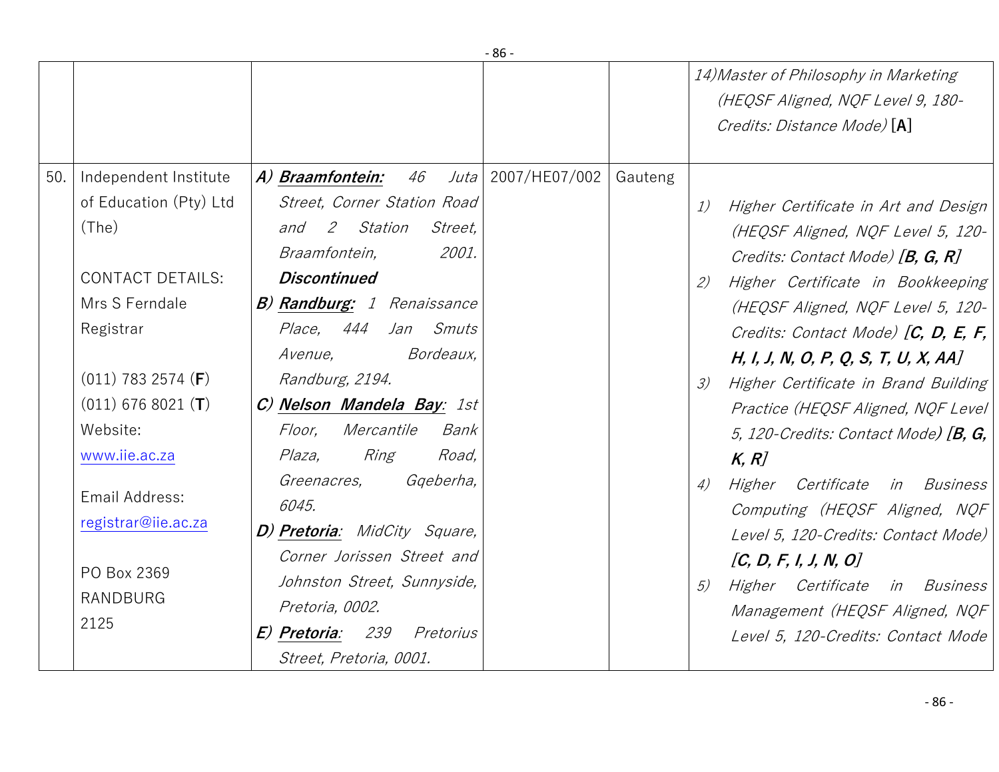|     |                                                                                                                                                                                                                                                                                      |                                                                                                                                                                                                                                                                                                                                                                                                                                                                                                                                                                           | - סט          |         |                                                                                                                                                                                                                                                                                                                                                                                                                                                                                                                                                                                                                                                                                      |
|-----|--------------------------------------------------------------------------------------------------------------------------------------------------------------------------------------------------------------------------------------------------------------------------------------|---------------------------------------------------------------------------------------------------------------------------------------------------------------------------------------------------------------------------------------------------------------------------------------------------------------------------------------------------------------------------------------------------------------------------------------------------------------------------------------------------------------------------------------------------------------------------|---------------|---------|--------------------------------------------------------------------------------------------------------------------------------------------------------------------------------------------------------------------------------------------------------------------------------------------------------------------------------------------------------------------------------------------------------------------------------------------------------------------------------------------------------------------------------------------------------------------------------------------------------------------------------------------------------------------------------------|
|     |                                                                                                                                                                                                                                                                                      |                                                                                                                                                                                                                                                                                                                                                                                                                                                                                                                                                                           |               |         | 14) Master of Philosophy in Marketing<br>(HEQSF Aligned, NQF Level 9, 180-<br>Credits: Distance Mode) [A]                                                                                                                                                                                                                                                                                                                                                                                                                                                                                                                                                                            |
| 50. | Independent Institute<br>of Education (Pty) Ltd<br>(The)<br><b>CONTACT DETAILS:</b><br>Mrs S Ferndale<br>Registrar<br>$(011)$ 783 2574 ( <b>F</b> )<br>$(011)$ 676 8021 (T)<br>Website:<br>www.iie.ac.za<br>Email Address:<br>registrar@iie.ac.za<br>PO Box 2369<br>RANDBURG<br>2125 | A) Braamfontein: 46<br>Juta  <br>Street, Corner Station Road<br>and 2 Station<br><i>Street,</i><br>2001.<br>Braamfontein,<br><b>Discontinued</b><br><b>B) Randburg:</b> 1 Renaissance<br><i>Place, 444</i><br>Jan Smuts<br>Bordeaux,<br>Avenue,<br>Randburg, 2194.<br>C) Nelson Mandela Bay: 1st<br>Mercantile<br>Floor,<br>Bank<br>Plaza,<br>Ring<br>Road,<br>Gqeberha,<br>Greenacres,<br>6045.<br>D) Pretoria: MidCity Square,<br>Corner Jorissen Street and<br>Johnston Street, Sunnyside,<br>Pretoria, 0002.<br>E) Pretoria: 239 Pretorius<br>Street, Pretoria, 0001. | 2007/HE07/002 | Gauteng | Higher Certificate in Art and Design<br>1)<br>(HEQSF Aligned, NQF Level 5, 120-<br>Credits: Contact Mode) [B, G, R]<br>Higher Certificate in Bookkeeping<br>(2)<br>(HEQSF Aligned, NQF Level 5, 120-<br>Credits: Contact Mode) $[C, D, E, F,$<br>H, I, J, N, O, P, Q, S, T, U, X, AA]<br>Higher Certificate in Brand Building<br>3)<br>Practice (HEQSF Aligned, NQF Level<br>5, 120-Credits: Contact Mode) $[B, G,$<br>K, R<br>Higher Certificate in Business<br>4)<br>Computing (HEQSF Aligned, NQF<br>Level 5, 120-Credits: Contact Mode)<br>[C, D, F, I, J, N, O]<br>Higher Certificate in Business<br>5)<br>Management (HEQSF Aligned, NQF<br>Level 5, 120-Credits: Contact Mode |
|     |                                                                                                                                                                                                                                                                                      |                                                                                                                                                                                                                                                                                                                                                                                                                                                                                                                                                                           |               |         |                                                                                                                                                                                                                                                                                                                                                                                                                                                                                                                                                                                                                                                                                      |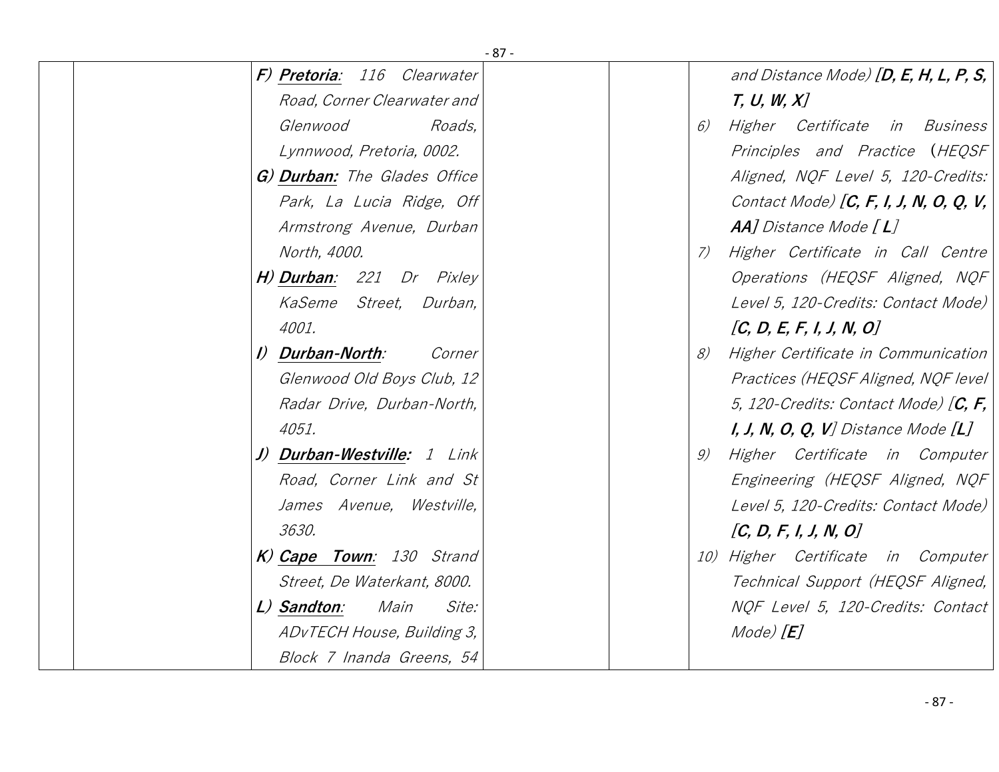|                                     | $-87-$                                       |
|-------------------------------------|----------------------------------------------|
| F) Pretoria: 116 Clearwater         | and Distance Mode) $[D, E, H, L, P, S,$      |
| Road, Corner Clearwater and         | T, U, W, X                                   |
| Glenwood<br>Roads,                  | Higher Certificate in Business<br>6)         |
| Lynnwood, Pretoria, 0002.           | Principles and Practice (HEQSF               |
| G) Durban: The Glades Office        | Aligned, NQF Level 5, 120-Credits:           |
| Park, La Lucia Ridge, Off           | Contact Mode) [C, F, I, J, N, O, Q, V,       |
| Armstrong Avenue, Durban            | $AA$ ] Distance Mode $[L]$                   |
| North, 4000.                        | Higher Certificate in Call Centre<br>7)      |
| H) Durban: 221 Dr Pixley            | Operations (HEQSF Aligned, NQF               |
| KaSeme Street, Durban,              | Level 5, 120-Credits: Contact Mode)          |
| 4001.                               | [C, D, E, F, I, J, N, O]                     |
| I) Durban-North:<br>Corner          | Higher Certificate in Communication<br>8)    |
| Glenwood Old Boys Club, 12          | Practices (HEQSF Aligned, NQF level          |
| Radar Drive, Durban-North,          | 5, 120-Credits: Contact Mode) $[C, F,$       |
| 4051.                               | <i>I, J, N, O, Q, V] Distance Mode</i> $[L]$ |
| J) Durban-Westville: 1 Link         | Higher Certificate in Computer<br>9)         |
| Road, Corner Link and St            | Engineering (HEQSF Aligned, NQF              |
| James Avenue, Westville,            | Level 5, 120-Credits: Contact Mode)          |
| 3630.                               | [C, D, F, I, J, N, O]                        |
| K) Cape Town: 130 Strand            | 10) Higher Certificate in Computer           |
| Street, De Waterkant, 8000.         | Technical Support (HEQSF Aligned,            |
| L) Sandton:<br>Main<br><i>Site:</i> | NQF Level 5, 120-Credits: Contact            |
| ADvTECH House, Building 3,          | Mode) [ <b>E</b> ]                           |
| Block 7 Inanda Greens, 54           |                                              |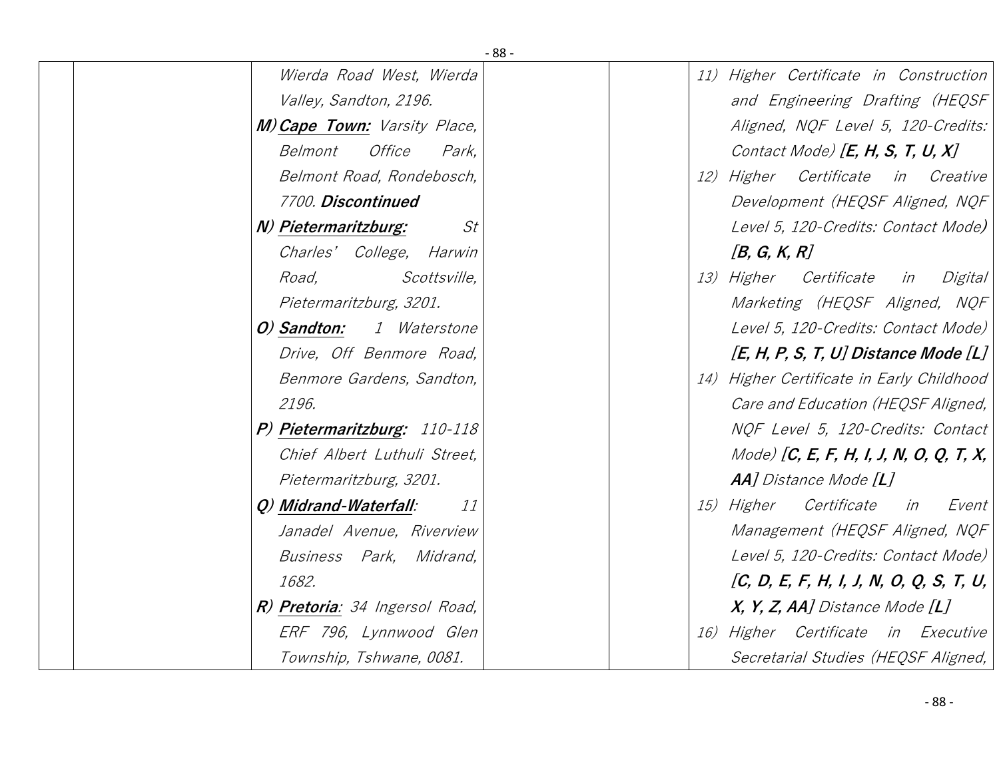| $-88-$                              |                                           |
|-------------------------------------|-------------------------------------------|
| Wierda Road West, Wierda            | 11) Higher Certificate in Construction    |
| Valley, Sandton, 2196.              | and Engineering Drafting (HEQSF           |
| <b>M) Cape Town:</b> Varsity Place, | Aligned, NQF Level 5, 120-Credits:        |
| Office<br>Belmont<br>Park,          | Contact Mode) [ $E, H, S, T, U, X$ ]      |
| Belmont Road, Rondebosch,           | 12) Higher Certificate in Creative        |
| 7700. Discontinued                  | Development (HEQSF Aligned, NQF           |
| N) Pietermaritzburg:<br>St          | Level 5, 120-Credits: Contact Mode)       |
| Charles' College, Harwin            | [B, G, K, R]                              |
| Road,<br><i>Scottsville,</i>        | 13) Higher Certificate<br>Digital<br>in   |
| Pietermaritzburg, 3201.             | Marketing (HEQSF Aligned, NQF             |
| O) Sandton:<br><i>1 Waterstone</i>  | Level 5, 120-Credits: Contact Mode)       |
| Drive, Off Benmore Road,            | $[E, H, P, S, T, U]$ Distance Mode $[L]$  |
| Benmore Gardens, Sandton,           | 14) Higher Certificate in Early Childhood |
| 2196.                               | Care and Education (HEQSF Aligned,        |
| P) Pietermaritzburg: 110-118        | NOF Level 5, 120-Credits: Contact         |
| Chief Albert Luthuli Street,        | Mode) [C, E, F, H, I, J, N, O, Q, T, X,   |
| Pietermaritzburg, 3201.             | <b>AA</b> ] Distance Mode [ <b>L</b> ]    |
| Q) Midrand-Waterfall:<br><i>11</i>  | Certificate<br>15) Higher<br>in<br>Event  |
| Janadel Avenue, Riverview           | Management (HEQSF Aligned, NQF            |
| Business Park, Midrand,             | Level 5, 120-Credits: Contact Mode)       |
| 1682.                               | [C, D, E, F, H, I, J, N, O, Q, S, T, U,   |
| R) Pretoria: 34 Ingersol Road,      | $X, Y, Z, AA$ Distance Mode $[L]$         |
| ERF 796, Lynnwood Glen              | 16) Higher Certificate in Executive       |
| Township, Tshwane, 0081.            | Secretarial Studies (HEQSF Aligned,       |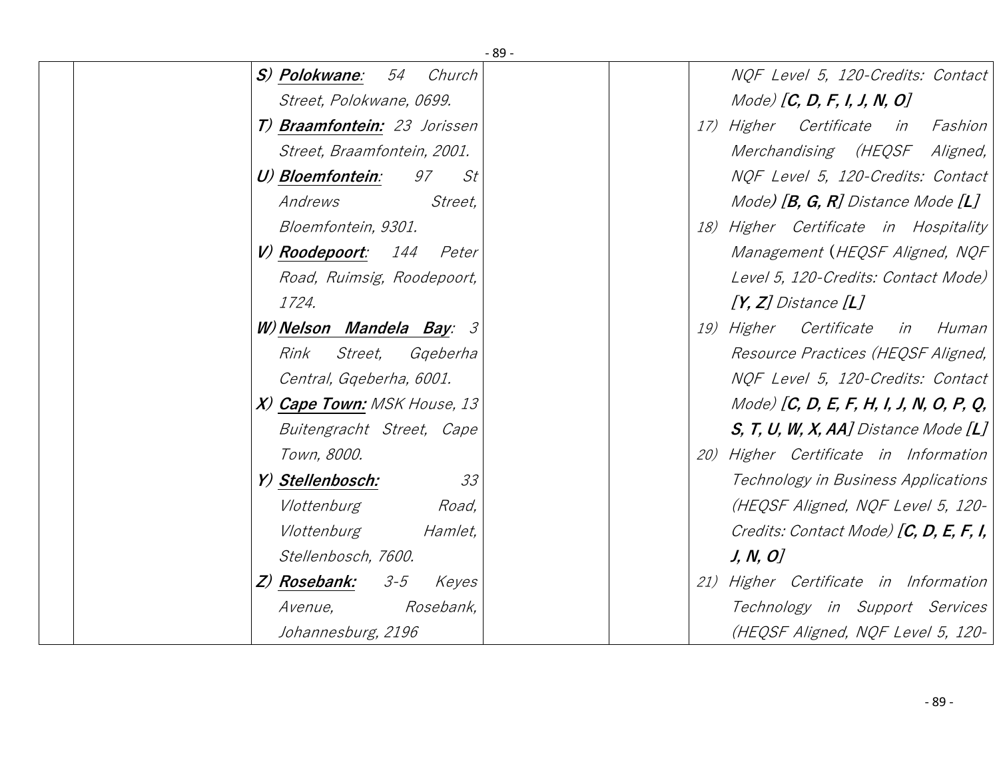|                                    | $-89-$                                            |
|------------------------------------|---------------------------------------------------|
| S) Polokwane: 54<br>Church         | NQF Level 5, 120-Credits: Contact                 |
| Street, Polokwane, 0699.           | Mode) [ $C$ , $D$ , $F$ , $I$ , $J$ , $N$ , $O$ ] |
| T) Braamfontein: 23 Jorissen       | 17) Higher Certificate in Fashion                 |
| Street, Braamfontein, 2001.        | Merchandising (HEQSF Aligned,                     |
| 97<br>U) Bloemfontein:<br>St       | NQF Level 5, 120-Credits: Contact                 |
| Andrews<br>Street,                 | Mode) $[B, G, R]$ Distance Mode $[L]$             |
| Bloemfontein, 9301.                | 18) Higher Certificate in Hospitality             |
| V) Roodepoort: 144 Peter           | Management (HEQSF Aligned, NQF                    |
| Road, Ruimsig, Roodepoort,         | Level 5, 120-Credits: Contact Mode)               |
| 1724.                              | $[Y, Z]$ Distance $[L]$                           |
| W) Nelson Mandela Bay: 3           | 19) Higher Certificate in Human                   |
| Rink<br><i>Street,</i><br>Ggeberha | Resource Practices (HEQSF Aligned,                |
| Central, Ggeberha, 6001.           | NQF Level 5, 120-Credits: Contact                 |
| X) Cape Town: MSK House, 13        | Mode) [C, D, E, F, H, I, J, N, O, P, Q,           |
| Buitengracht Street, Cape          | $S, T, U, W, X, AA$ Distance Mode $[L]$           |
| Town, 8000.                        | 20) Higher Certificate in Information             |
| Y) Stellenbosch:<br>33             | Technology in Business Applications               |
| Vlottenburg<br>Road,               | (HEQSF Aligned, NQF Level 5, 120-                 |
| Vlottenburg<br><i>Hamlet,</i>      | Credits: Contact Mode) $[C, D, E, F, I,$          |
| Stellenbosch, 7600.                | J, N, O                                           |
| Z) Rosebank:<br>$3 - 5$<br>Keyes   | 21) Higher Certificate in Information             |
| Rosebank,<br><i>Avenue,</i>        | Technology in Support Services                    |
| Johannesburg, 2196                 | (HEQSF Aligned, NQF Level 5, 120-                 |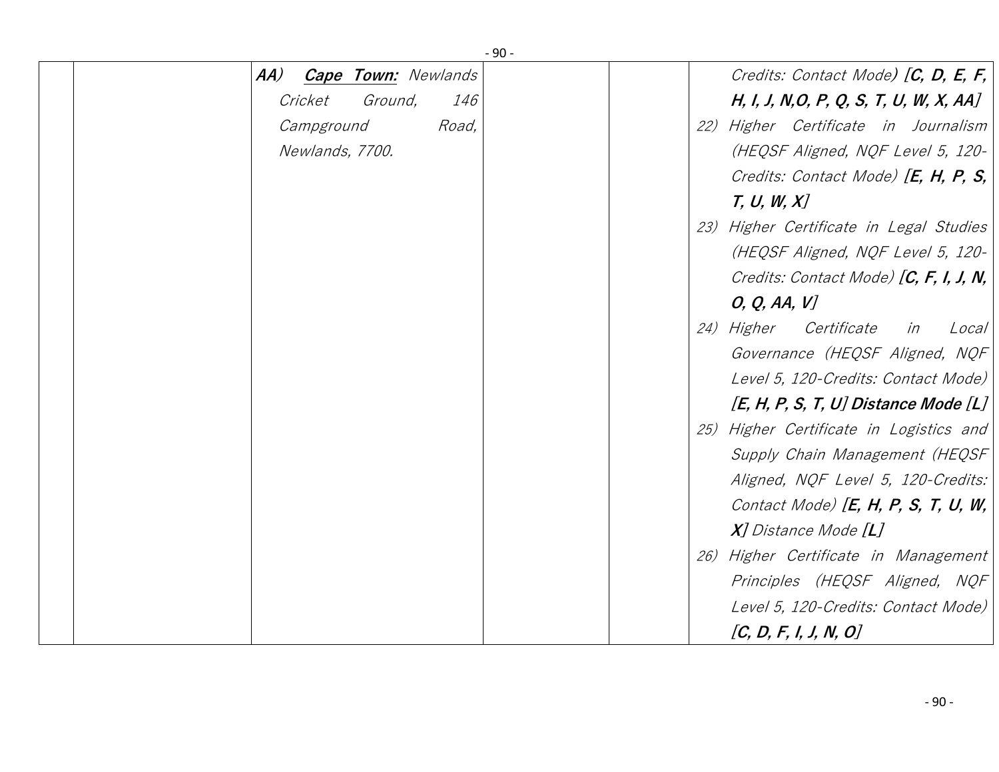| $-90-$                            |                                          |
|-----------------------------------|------------------------------------------|
| AA)<br><b>Cape Town: Newlands</b> | Credits: Contact Mode) $[C, D, E, F,$    |
| Cricket<br>Ground,<br><i>146</i>  | H, I, J, N, O, P, Q, S, T, U, W, X, AA]  |
| Campground<br>Road,               | 22) Higher Certificate in Journalism     |
| Newlands, 7700.                   | (HEQSF Aligned, NQF Level 5, 120-        |
|                                   | Credits: Contact Mode) $[E, H, P, S,$    |
|                                   | T, U, W, X                               |
|                                   | 23) Higher Certificate in Legal Studies  |
|                                   | (HEQSF Aligned, NQF Level 5, 120-        |
|                                   | Credits: Contact Mode) $[C, F, I, J, N,$ |
|                                   | O, Q, AA, V                              |
|                                   | 24) Higher Certificate<br>Local<br>in    |
|                                   | Governance (HEQSF Aligned, NQF           |
|                                   | Level 5, 120-Credits: Contact Mode)      |
|                                   | $[E, H, P, S, T, U]$ Distance Mode $[L]$ |
|                                   | 25) Higher Certificate in Logistics and  |
|                                   | Supply Chain Management (HEQSF           |
|                                   | Aligned, NQF Level 5, 120-Credits:       |
|                                   | Contact Mode) $[E, H, P, S, T, U, W,$    |
|                                   | $X$ ] Distance Mode $[L]$                |
|                                   | 26) Higher Certificate in Management     |
|                                   | Principles (HEQSF Aligned, NQF           |
|                                   | Level 5, 120-Credits: Contact Mode)      |
|                                   | [C, D, F, I, J, N, O]                    |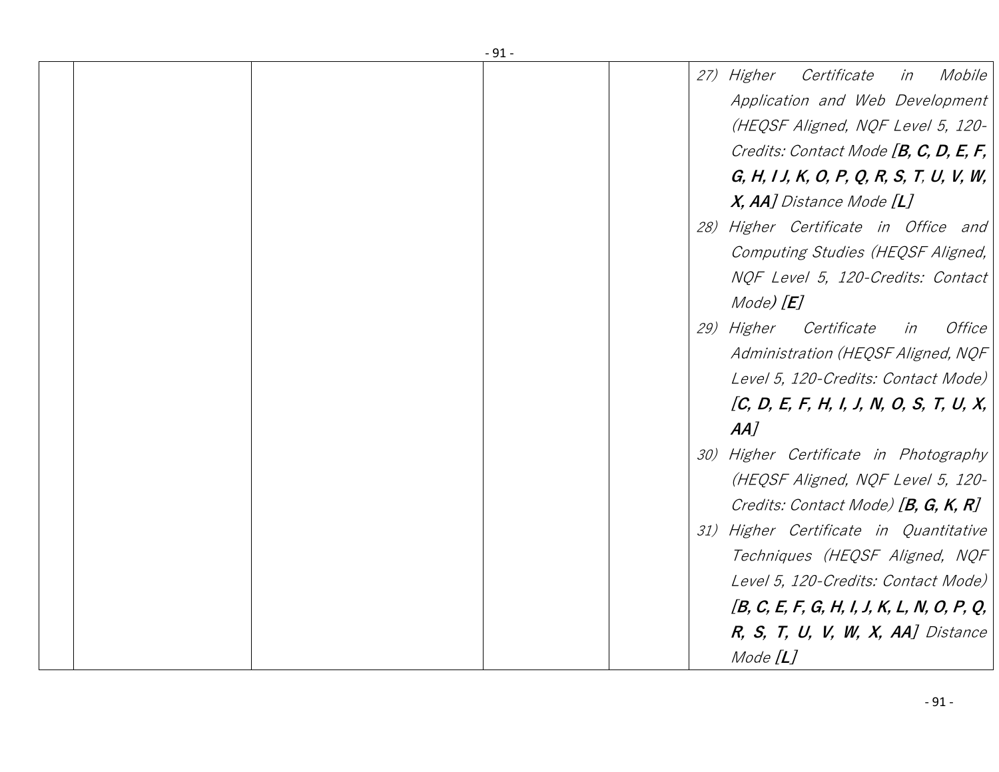|  | $-91-$ |                                              |
|--|--------|----------------------------------------------|
|  |        | Certificate<br>Mobile<br>27) Higher<br>in    |
|  |        | Application and Web Development              |
|  |        | (HEQSF Aligned, NQF Level 5, 120-            |
|  |        | Credits: Contact Mode [B, C, D, E, F,        |
|  |        | $G, H, IJ, K, O, P, Q, R, S, T, U, V, W,$    |
|  |        | $X$ , AA] Distance Mode $[L]$                |
|  |        | 28) Higher Certificate in Office and         |
|  |        | Computing Studies (HEQSF Aligned,            |
|  |        | NQF Level 5, 120-Credits: Contact            |
|  |        | $Mode$ $[E]$                                 |
|  |        | 29) Higher Certificate<br>Office<br>in       |
|  |        | Administration (HEQSF Aligned, NQF           |
|  |        | Level 5, 120-Credits: Contact Mode)          |
|  |        | [C, D, E, F, H, I, J, N, O, S, T, U, X,      |
|  |        |                                              |
|  |        | $AA$ ]                                       |
|  |        | 30) Higher Certificate in Photography        |
|  |        | (HEQSF Aligned, NQF Level 5, 120-            |
|  |        | Credits: Contact Mode) [B, G, K, R]          |
|  |        | 31) Higher Certificate in Quantitative       |
|  |        | Techniques (HEQSF Aligned, NQF               |
|  |        | Level 5, 120-Credits: Contact Mode)          |
|  |        | $[B, C, E, F, G, H, I, J, K, L, N, O, P, Q,$ |
|  |        | $R, S, T, U, V, W, X, AA$ Distance           |
|  |        | Mode $[L]$                                   |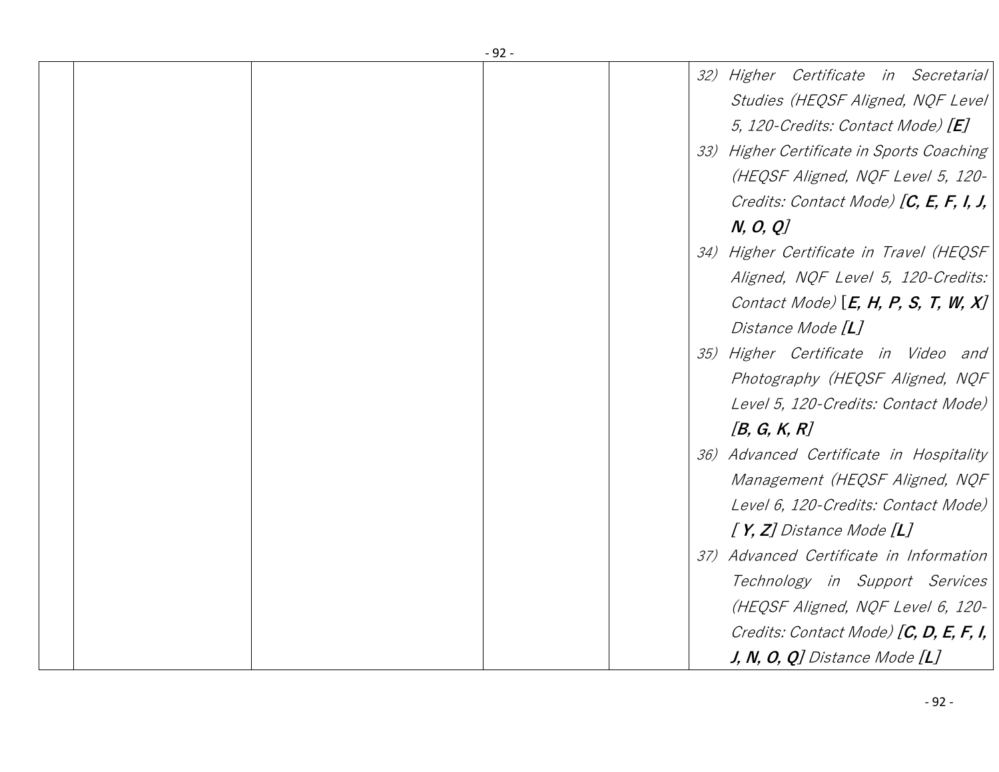|  | $-92-$ |                                           |
|--|--------|-------------------------------------------|
|  |        | 32) Higher Certificate in Secretarial     |
|  |        | Studies (HEQSF Aligned, NQF Level)        |
|  |        | 5, 120-Credits: Contact Mode) [E]         |
|  |        | 33) Higher Certificate in Sports Coaching |
|  |        | (HEQSF Aligned, NQF Level 5, 120-         |
|  |        | Credits: Contact Mode) $[C, E, F, I, J,$  |
|  |        | N, O, Q                                   |
|  |        | 34) Higher Certificate in Travel (HEQSF   |
|  |        | Aligned, NQF Level 5, 120-Credits:        |
|  |        | Contact Mode) $[E, H, P, S, T, W, X]$     |
|  |        | Distance Mode [L]                         |
|  |        | 35) Higher Certificate in Video and       |
|  |        | Photography (HEQSF Aligned, NQF           |
|  |        | Level 5, 120-Credits: Contact Mode)       |
|  |        | [B, G, K, R]                              |
|  |        | 36) Advanced Certificate in Hospitality   |
|  |        | Management (HEQSF Aligned, NQF            |
|  |        | Level 6, 120-Credits: Contact Mode)       |
|  |        | $[Y, Z]$ Distance Mode $[L]$              |
|  |        | 37) Advanced Certificate in Information   |
|  |        | Technology in Support Services            |
|  |        | (HEQSF Aligned, NQF Level 6, 120-         |
|  |        | Credits: Contact Mode) $[C, D, E, F, I,$  |
|  |        | $J, N, O, Q$ ] Distance Mode [L]          |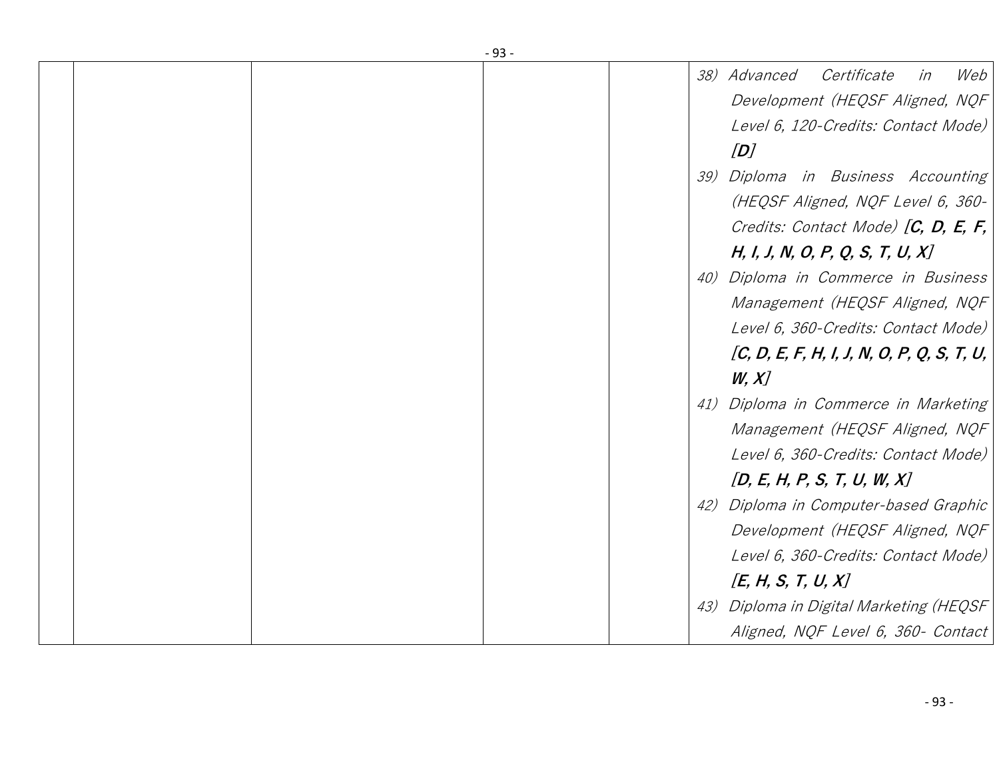|  | $-93-$ |     |                                            |
|--|--------|-----|--------------------------------------------|
|  |        |     | Web<br>38) Advanced<br>Certificate<br>in   |
|  |        |     | Development (HEQSF Aligned, NQF            |
|  |        |     | Level 6, 120-Credits: Contact Mode)        |
|  |        |     | [D]                                        |
|  |        | 39) | Diploma in Business Accounting             |
|  |        |     | (HEQSF Aligned, NQF Level 6, 360-          |
|  |        |     |                                            |
|  |        |     | Credits: Contact Mode) $[C, D, E, F,$      |
|  |        |     | H, I, J, N, O, P, Q, S, T, U, X]           |
|  |        | 40) | Diploma in Commerce in Business            |
|  |        |     | Management (HEQSF Aligned, NQF             |
|  |        |     | Level 6, 360-Credits: Contact Mode)        |
|  |        |     | [C, D, E, F, H, I, J, N, O, P, Q, S, T, U, |
|  |        |     | W, X                                       |
|  |        | 41) | Diploma in Commerce in Marketing           |
|  |        |     | Management (HEQSF Aligned, NQF             |
|  |        |     | Level 6, 360-Credits: Contact Mode)        |
|  |        |     | [D, E, H, P, S, T, U, W, X]                |
|  |        |     | 42) Diploma in Computer-based Graphic      |
|  |        |     | Development (HEQSF Aligned, NQF            |
|  |        |     | Level 6, 360-Credits: Contact Mode)        |
|  |        |     | [E, H, S, T, U, X]                         |
|  |        | 43) | Diploma in Digital Marketing (HEQSF        |
|  |        |     | Aligned, NQF Level 6, 360- Contact         |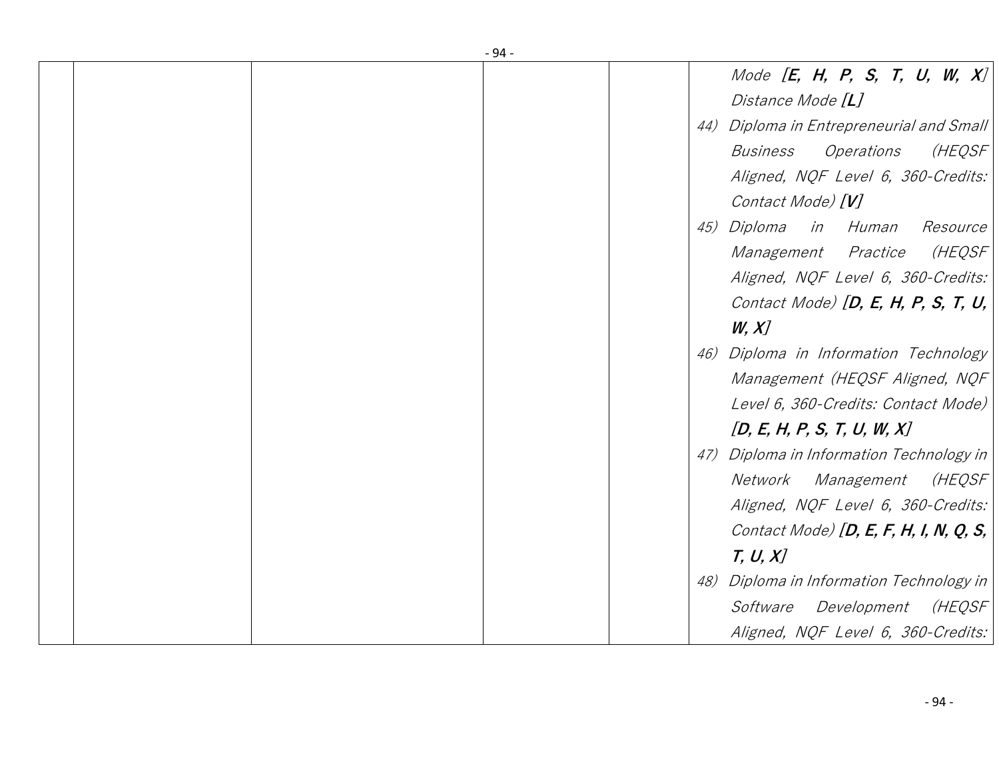|  | $-94-$ |                                          |
|--|--------|------------------------------------------|
|  |        | Mode [E, H, P, S, T, U, W, $X$ ]         |
|  |        | Distance Mode [L]                        |
|  |        | 44) Diploma in Entrepreneurial and Small |
|  |        | (HEQSF<br><b>Business</b><br>Operations  |
|  |        | Aligned, NQF Level 6, 360-Credits:       |
|  |        | Contact Mode) [V]                        |
|  |        | 45) Diploma<br>in Human<br>Resource      |
|  |        | (HEQSF<br>Management Practice            |
|  |        | Aligned, NQF Level 6, 360-Credits:       |
|  |        | Contact Mode) $[D, E, H, P, S, T, U,$    |
|  |        | W, X                                     |
|  | 46)    | Diploma in Information Technology        |
|  |        | Management (HEQSF Aligned, NQF           |
|  |        | Level 6, 360-Credits: Contact Mode)      |
|  |        | [D, E, H, P, S, T, U, W, X]              |
|  | 47)    | Diploma in Information Technology in     |
|  |        | (HEQSF<br>Network<br><i>Management</i>   |
|  |        | Aligned, NQF Level 6, 360-Credits:       |
|  |        | Contact Mode) [D, E, F, H, I, N, Q, S,   |
|  |        | T, U, X                                  |
|  | 48)    | Diploma in Information Technology in     |
|  |        | Software<br>Development<br>(HEQSF        |
|  |        | Aligned, NQF Level 6, 360-Credits:       |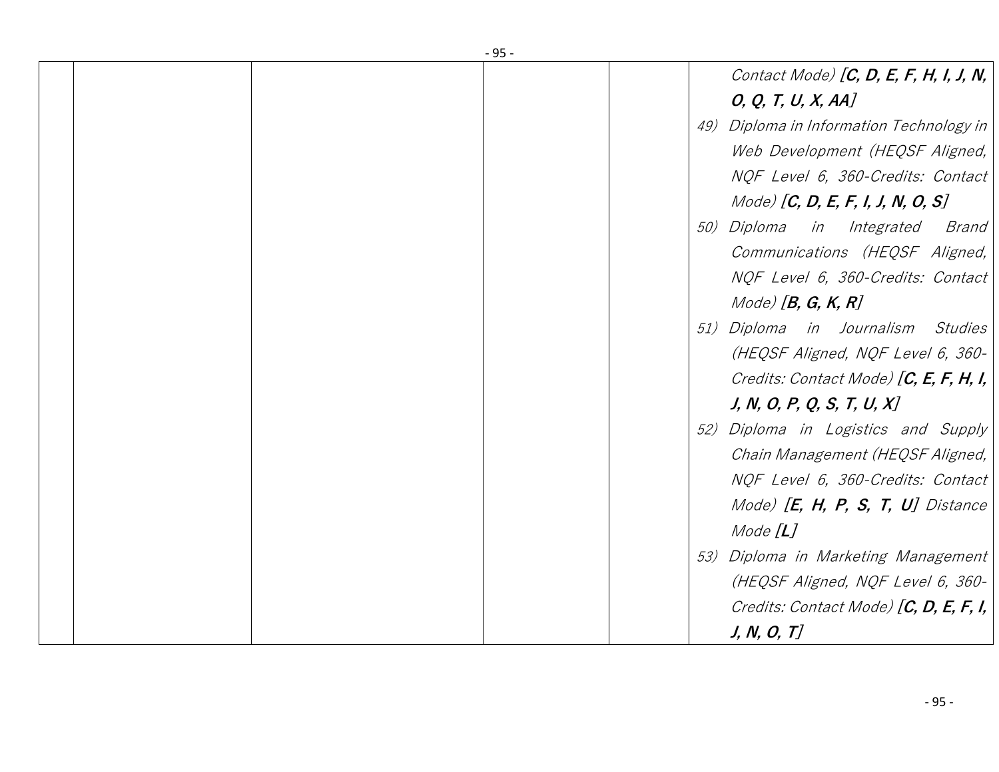|  | $-95-$ |     |                                              |
|--|--------|-----|----------------------------------------------|
|  |        |     | Contact Mode) $[C, D, E, F, H, I, J, N,$     |
|  |        |     | O, Q, T, U, X, AA                            |
|  |        | 49) | Diploma in Information Technology in         |
|  |        |     | Web Development (HEQSF Aligned,              |
|  |        |     | NQF Level 6, 360-Credits: Contact            |
|  |        |     | $Model$ [C, D, E, F, I, J, N, O, S]          |
|  |        |     | <i>50) Diploma</i><br>in Integrated<br>Brand |
|  |        |     | Communications (HEQSF Aligned,               |
|  |        |     | NQF Level 6, 360-Credits: Contact            |
|  |        |     | $Mode)$ [B, G, K, R]                         |
|  |        | 51) | Diploma in Journalism Studies                |
|  |        |     | (HEQSF Aligned, NQF Level 6, 360-            |
|  |        |     | Credits: Contact Mode) [C, E, F, H, I,       |
|  |        |     | J, N, O, P, Q, S, T, U, X                    |
|  |        | 52) | Diploma in Logistics and Supply              |
|  |        |     | Chain Management (HEQSF Aligned,             |
|  |        |     | NQF Level 6, 360-Credits: Contact            |
|  |        |     | Mode) $[E, H, P, S, T, U]$ Distance          |
|  |        |     | Mode $[L]$                                   |
|  |        |     | 53) Diploma in Marketing Management          |
|  |        |     | (HEQSF Aligned, NQF Level 6, 360-            |
|  |        |     | Credits: Contact Mode) $[C, D, E, F, I, I)$  |
|  |        |     | J, N, O, T                                   |
|  |        |     |                                              |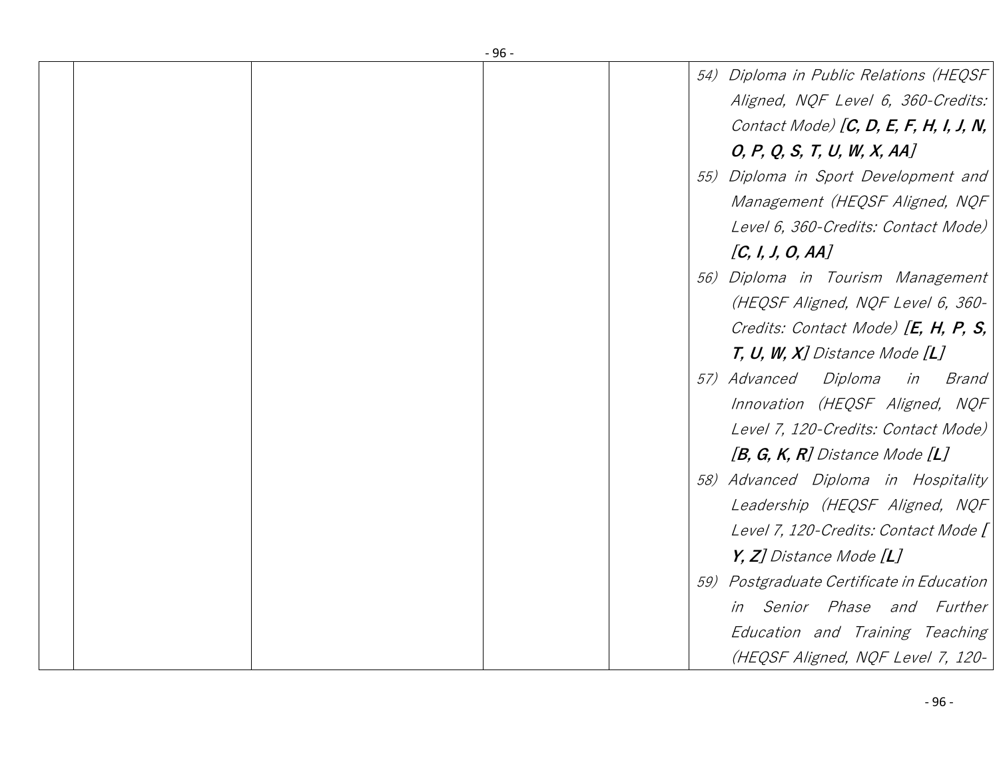|  | $-96-$ |                                                                                                                                                        |
|--|--------|--------------------------------------------------------------------------------------------------------------------------------------------------------|
|  |        | 54) Diploma in Public Relations (HEQSF<br>Aligned, NQF Level 6, 360-Credits:<br>Contact Mode) $[C, D, E, F, H, I, J, N,$<br>O, P, Q, S, T, U, W, X, AA |
|  |        | 55) Diploma in Sport Development and<br>Management (HEQSF Aligned, NQF<br>Level 6, 360-Credits: Contact Mode)<br>[C, I, J, O, AA]                      |
|  |        | 56) Diploma in Tourism Management<br>(HEQSF Aligned, NQF Level 6, 360-<br>Credits: Contact Mode) $[E, H, P, S,$<br>$T, U, W, X$ ] Distance Mode [L]    |
|  |        | 57) Advanced Diploma<br>Brand<br>in<br>Innovation (HEQSF Aligned, NQF<br>Level 7, 120-Credits: Contact Mode)<br>$[B, G, K, R]$ Distance Mode $[L]$     |
|  |        | 58) Advanced Diploma in Hospitality<br>Leadership (HEQSF Aligned, NQF<br>Level 7, 120-Credits: Contact Mode [<br>$Y, Z$ ] Distance Mode $[L]$          |
|  |        | 59) Postgraduate Certificate in Education<br>in Senior Phase and Further<br>Education and Training Teaching<br>(HEQSF Aligned, NQF Level 7, 120-       |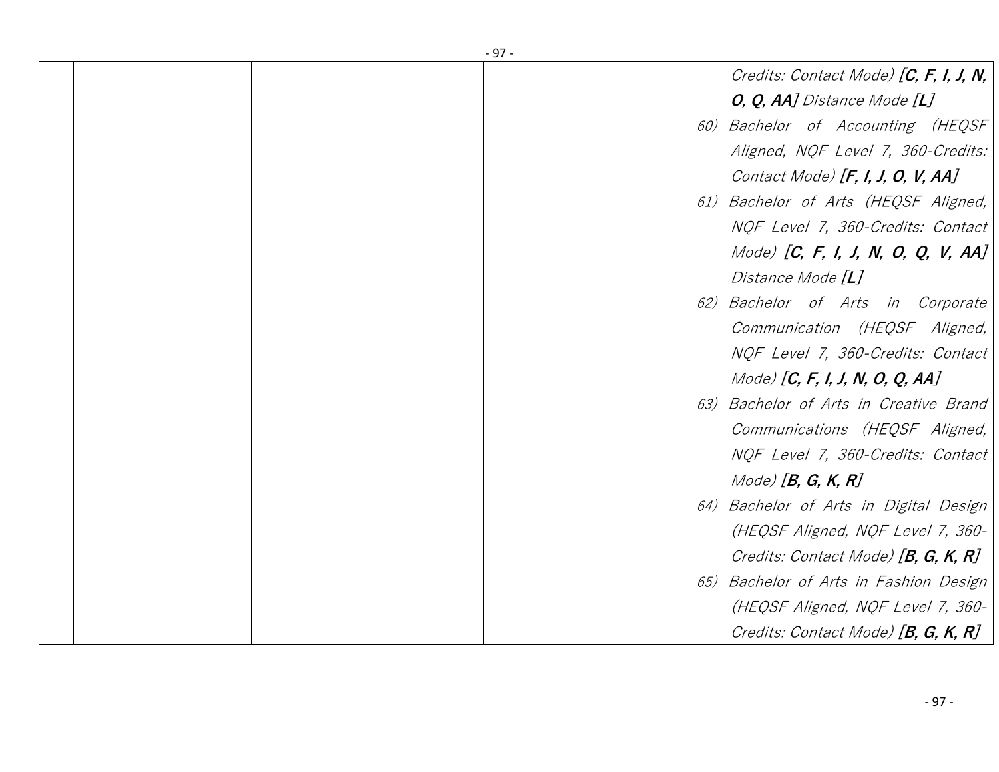| $-97-$                                    |
|-------------------------------------------|
| Credits: Contact Mode) $[C, F, I, J, N,$  |
| <i>O, Q, AA] Distance Mode [L]</i>        |
| Bachelor of Accounting (HEQSF<br>60)      |
| Aligned, NQF Level 7, 360-Credits:        |
| Contact Mode) $[F, I, J, O, V, AA]$       |
| 61) Bachelor of Arts (HEQSF Aligned,      |
| NQF Level 7, 360-Credits: Contact         |
| Mode) $[C, F, I, J, N, O, Q, V, AA]$      |
| Distance Mode [L]                         |
| Bachelor of Arts in Corporate<br>62)      |
| Communication (HEQSF Aligned,             |
| NQF Level 7, 360-Credits: Contact         |
| Mode) [ $C, F, I, J, N, O, Q, AA$ ]       |
| Bachelor of Arts in Creative Brand<br>63) |
| Communications (HEQSF Aligned,            |
| NQF Level 7, 360-Credits: Contact         |
| $Mode$ [B, G, K, R]                       |
| 64) Bachelor of Arts in Digital Design    |
| (HEQSF Aligned, NQF Level 7, 360-         |
| Credits: Contact Mode) [B, G, K, R]       |
| Bachelor of Arts in Fashion Design<br>65) |
| (HEQSF Aligned, NQF Level 7, 360-         |
| Credits: Contact Mode) [B, G, K, R]       |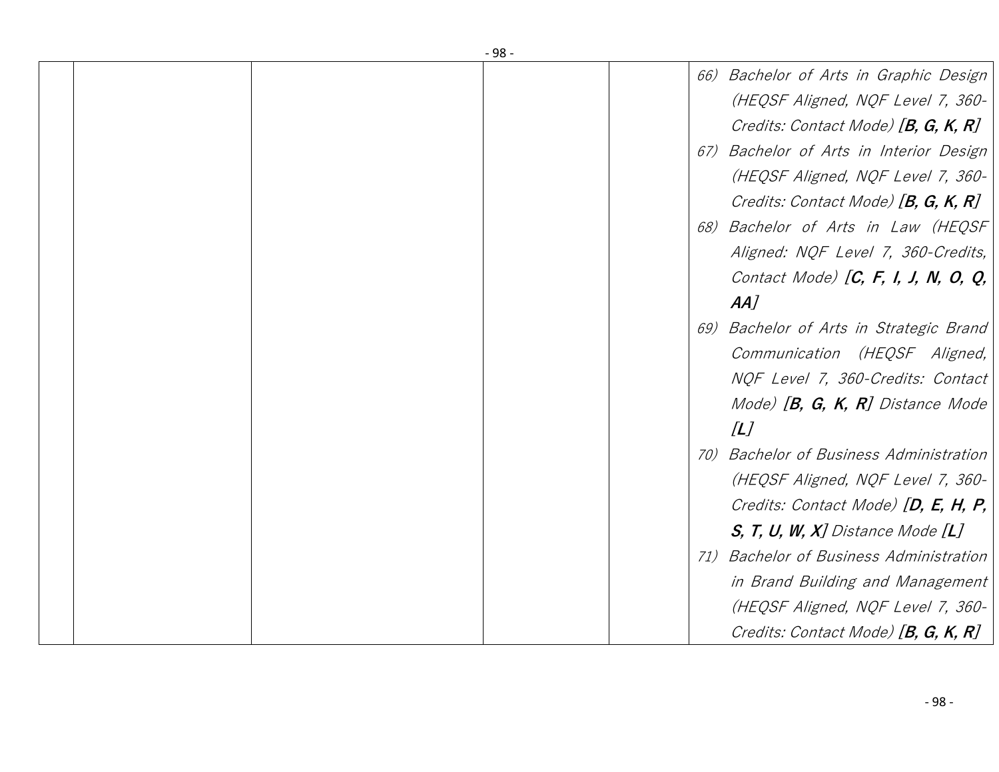|  | - 98 - |                                                   |  |
|--|--------|---------------------------------------------------|--|
|  |        | 66)<br>Bachelor of Arts in Graphic Design         |  |
|  |        | (HEQSF Aligned, NQF Level 7, 360-                 |  |
|  |        | Credits: Contact Mode) [B, G, K, R]               |  |
|  |        | Bachelor of Arts in Interior Design<br>67)        |  |
|  |        | (HEQSF Aligned, NQF Level 7, 360-                 |  |
|  |        | Credits: Contact Mode) [B, G, K, R]               |  |
|  |        | Bachelor of Arts in Law (HEQSF<br>68)             |  |
|  |        | Aligned: NQF Level 7, 360-Credits,                |  |
|  |        | Contact Mode) $[C, F, I, J, N, O, Q,$             |  |
|  |        | AA                                                |  |
|  |        | Bachelor of Arts in Strategic Brand<br>69)        |  |
|  |        | Communication (HEQSF Aligned,                     |  |
|  |        | NQF Level 7, 360-Credits: Contact                 |  |
|  |        | Mode) $[B, G, K, R]$ Distance Mode                |  |
|  |        | [L]                                               |  |
|  |        | <b>Bachelor of Business Administration</b><br>70) |  |
|  |        |                                                   |  |
|  |        | (HEQSF Aligned, NQF Level 7, 360-                 |  |
|  |        | Credits: Contact Mode) [D, E, H, P,               |  |
|  |        | $S$ , T, U, W, X] Distance Mode $[L]$             |  |
|  |        | <b>Bachelor of Business Administration</b><br>71) |  |
|  |        | in Brand Building and Management                  |  |
|  |        | (HEQSF Aligned, NQF Level 7, 360-                 |  |
|  |        | Credits: Contact Mode) [B, G, K, R]               |  |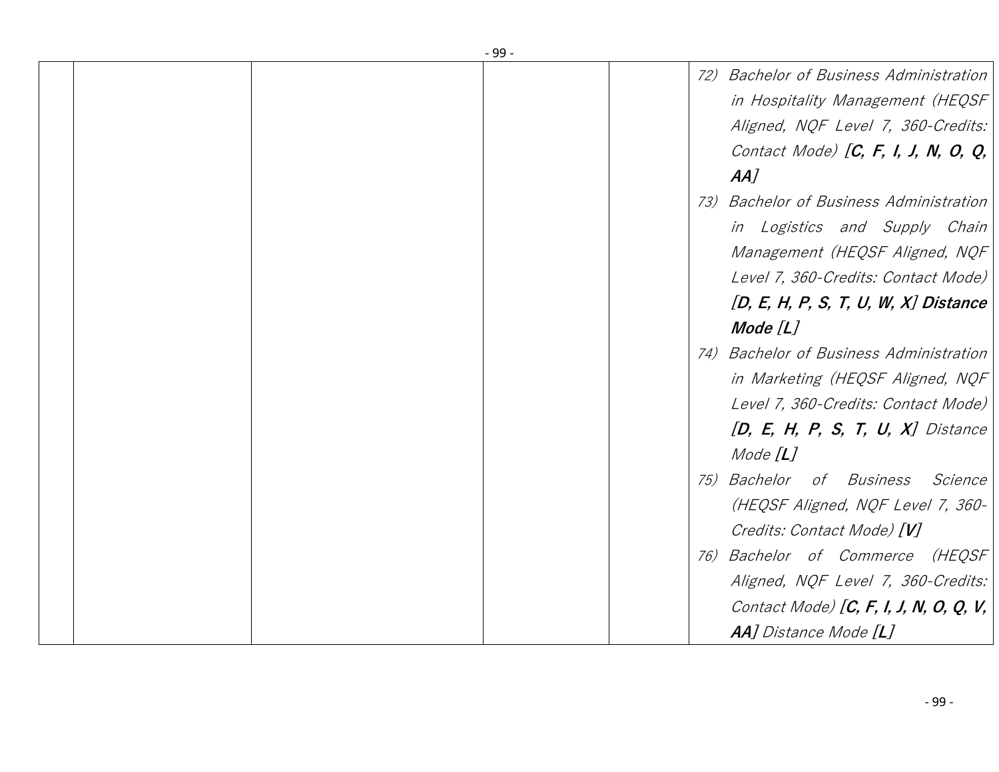|  |  | $-99-$ |                                         |
|--|--|--------|-----------------------------------------|
|  |  |        | 72) Bachelor of Business Administration |
|  |  |        | in Hospitality Management (HEQSF        |
|  |  |        | Aligned, NQF Level 7, 360-Credits:      |
|  |  |        | Contact Mode) $[C, F, I, J, N, O, Q,$   |
|  |  |        | AA                                      |
|  |  |        | 73) Bachelor of Business Administration |
|  |  |        | in Logistics and Supply Chain           |
|  |  |        | Management (HEQSF Aligned, NQF          |
|  |  |        | Level 7, 360-Credits: Contact Mode)     |
|  |  |        | [D, E, H, P, S, T, U, W, X] Distance    |
|  |  |        | Mode $[L]$                              |
|  |  |        | 74) Bachelor of Business Administration |
|  |  |        | in Marketing (HEQSF Aligned, NQF        |
|  |  |        | Level 7, 360-Credits: Contact Mode)     |
|  |  |        | $[D, E, H, P, S, T, U, X]$ Distance     |
|  |  |        | Mode $[L]$                              |
|  |  |        | 75) Bachelor of Business<br>Science     |
|  |  |        | (HEQSF Aligned, NQF Level 7, 360-       |
|  |  |        | Credits: Contact Mode) [V]              |
|  |  |        | 76) Bachelor of Commerce (HEQSF         |
|  |  |        | Aligned, NQF Level 7, 360-Credits:      |
|  |  |        |                                         |
|  |  |        | AA] Distance Mode [L]                   |
|  |  |        | Contact Mode) [C, F, I, J, N, O, Q, V,  |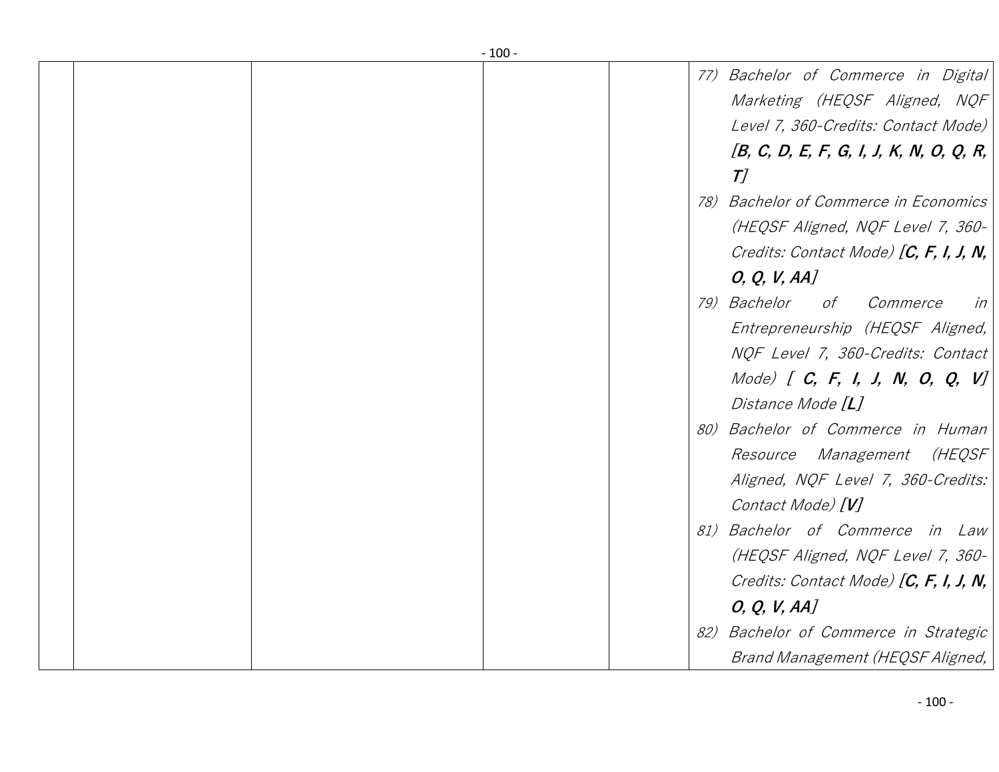|  | $-100-$ |                                                                                                                                                                       |
|--|---------|-----------------------------------------------------------------------------------------------------------------------------------------------------------------------|
|  |         | 77) Bachelor of Commerce in Digital<br>Marketing (HEQSF Aligned, NQF)<br>Level 7, 360-Credits: Contact Mode)                                                          |
|  |         | [B, C, D, E, F, G, I, J, K, N, O, Q, R,<br>T/                                                                                                                         |
|  |         | 78) Bachelor of Commerce in Economics<br>(HEQSF Aligned, NQF Level 7, 360-<br>Credits: Contact Mode) [C, F, I, J, N, $ $<br>O, Q, V, AA                               |
|  |         | 79) Bachelor<br>of Commerce<br>in<br>Entrepreneurship (HEQSF Aligned,<br>NQF Level 7, 360-Credits: Contact<br>Mode) $[ C, F, I, J, N, O, Q, V ]$<br>Distance Mode [L] |
|  |         | 80) Bachelor of Commerce in Human<br>Resource Management (HEQSF<br>Aligned, NQF Level 7, 360-Credits:<br>Contact Mode) [V]                                            |
|  |         | 81) Bachelor of Commerce in Law<br>(HEQSF Aligned, NQF Level 7, 360-<br>Credits: Contact Mode) $[C, F, I, J, N,$<br>O, Q, V, AA                                       |
|  |         | 82) Bachelor of Commerce in Strategic<br>Brand Management (HEQSF Aligned,                                                                                             |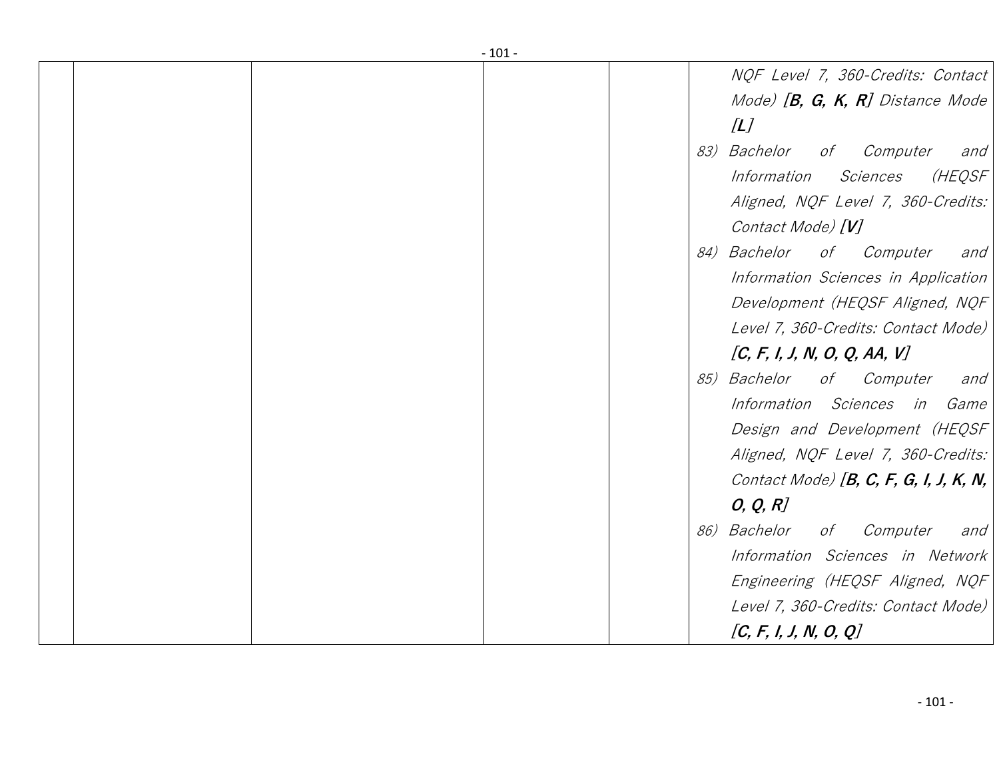|  | $-101 -$ |                                           |
|--|----------|-------------------------------------------|
|  |          | NQF Level 7, 360-Credits: Contact         |
|  |          | Mode) $[B, G, K, R]$ Distance Mode        |
|  |          | [L]                                       |
|  | 83)      | <i>Bachelor</i><br>of<br>Computer<br>and  |
|  |          | (HEQSF<br>Information<br>Sciences         |
|  |          | Aligned, NQF Level 7, 360-Credits:        |
|  |          | Contact Mode) [V]                         |
|  |          | 84) Bachelor<br>of<br>Computer<br>and     |
|  |          | Information Sciences in Application       |
|  |          | Development (HEQSF Aligned, NQF           |
|  |          | Level 7, 360-Credits: Contact Mode)       |
|  |          |                                           |
|  |          | [C, F, I, J, N, O, Q, AA, V]              |
|  |          | 85) Bachelor<br>of Computer<br>and        |
|  |          | Information Sciences<br>in<br><i>Game</i> |
|  |          | Design and Development (HEQSF             |
|  |          | Aligned, NQF Level 7, 360-Credits:        |
|  |          | Contact Mode) $[B, C, F, G, I, J, K, N,$  |
|  |          | O, Q, R                                   |
|  | 86)      | <i>Bachelor</i><br>Computer<br>of<br>and  |
|  |          | Information Sciences in Network           |
|  |          | Engineering (HEQSF Aligned, NQF           |
|  |          | Level 7, 360-Credits: Contact Mode)       |
|  |          | [C, F, I, J, N, O, Q]                     |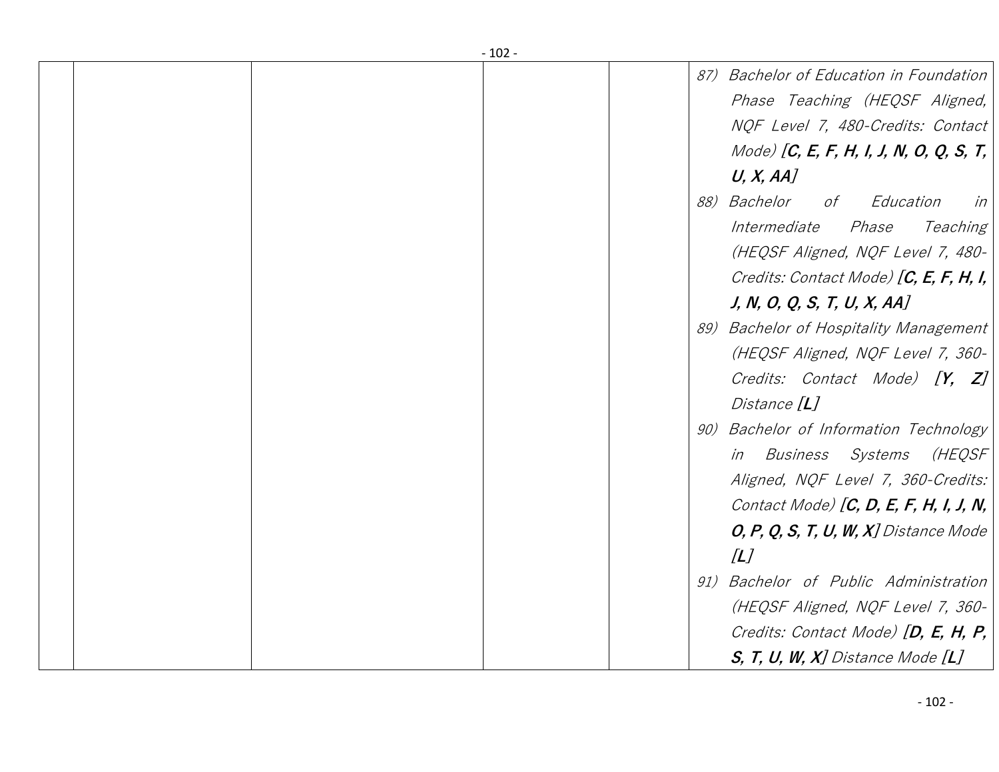| $-102 -$ |                                          |
|----------|------------------------------------------|
|          | 87) Bachelor of Education in Foundation  |
|          | Phase Teaching (HEQSF Aligned,           |
|          | NQF Level 7, 480-Credits: Contact        |
|          | Mode) [C, E, F, H, I, J, N, O, Q, S, T,  |
|          | U, X, AA                                 |
|          | 88) Bachelor<br>of<br>Education<br>in    |
|          | Intermediate<br><i>Phase</i><br>Teaching |
|          | (HEQSF Aligned, NQF Level 7, 480-        |
|          | Credits: Contact Mode) $[C, E, F, H, I,$ |
|          | J, N, O, Q, S, T, U, X, AA               |
|          | 89) Bachelor of Hospitality Management   |
|          | (HEQSF Aligned, NQF Level 7, 360-        |
|          | Credits: Contact Mode) [Y, Z]            |
|          | Distance [ <b>L</b> ]                    |
|          | 90) Bachelor of Information Technology   |
|          | in Business Systems<br>(HEQSF            |
|          | Aligned, NQF Level 7, 360-Credits:       |
|          | Contact Mode) $[C, D, E, F, H, I, J, N,$ |
|          | $O, P, Q, S, T, U, W, X$ ] Distance Mode |
|          | /L                                       |
|          | 91) Bachelor of Public Administration    |
|          | (HEQSF Aligned, NQF Level 7, 360-        |
|          | Credits: Contact Mode) $[D, E, H, P,$    |
|          | $S$ , T, U, W, X] Distance Mode $[L]$    |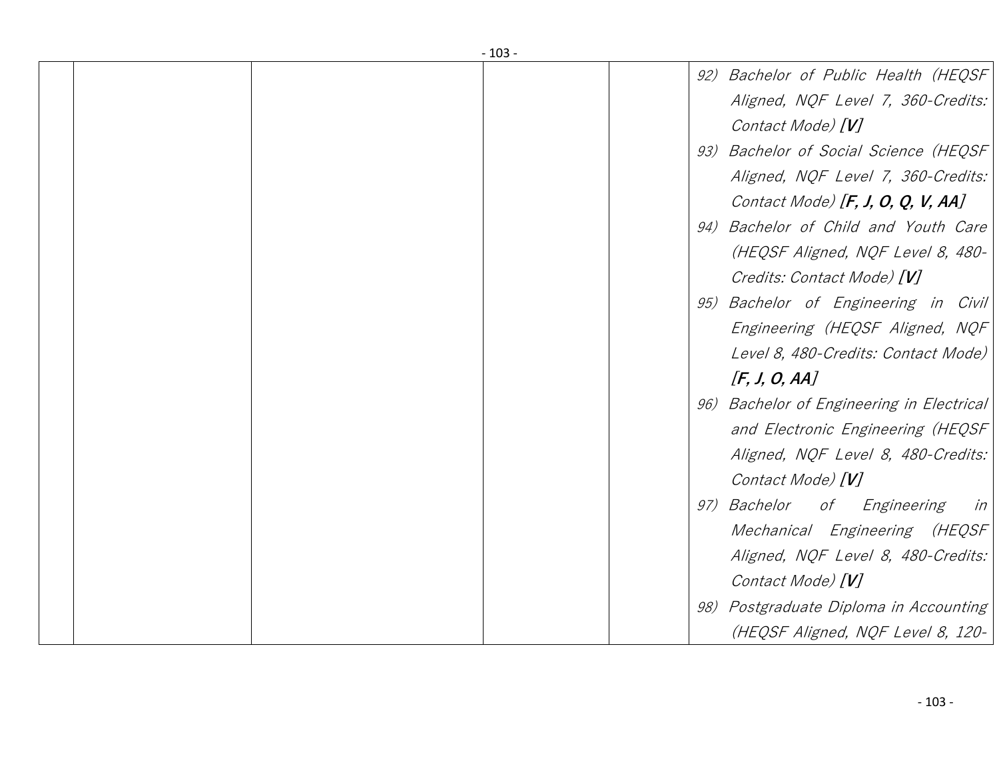|  | $-103-$                                   |
|--|-------------------------------------------|
|  | 92) Bachelor of Public Health (HEQSF)     |
|  | Aligned, NQF Level 7, 360-Credits:        |
|  | Contact Mode) [V]                         |
|  | 93) Bachelor of Social Science (HEQSF     |
|  | Aligned, NQF Level 7, 360-Credits:        |
|  | Contact Mode) $[F, J, O, Q, V, AA]$       |
|  | 94) Bachelor of Child and Youth Care      |
|  | (HEQSF Aligned, NQF Level 8, 480-         |
|  | Credits: Contact Mode) [V]                |
|  | 95) Bachelor of Engineering in Civil      |
|  | Engineering (HEQSF Aligned, NQF           |
|  | Level 8, 480-Credits: Contact Mode)       |
|  | [F, J, O, AA]                             |
|  | 96) Bachelor of Engineering in Electrical |
|  |                                           |
|  | and Electronic Engineering (HEQSF         |
|  | Aligned, NQF Level 8, 480-Credits:        |
|  | Contact Mode) [V]                         |
|  | 97) Bachelor of Engineering<br>in         |
|  | Mechanical Engineering (HEQSF             |
|  | Aligned, NQF Level 8, 480-Credits:        |
|  | Contact Mode) [V]                         |
|  | 98) Postgraduate Diploma in Accounting    |
|  | (HEQSF Aligned, NQF Level 8, 120-         |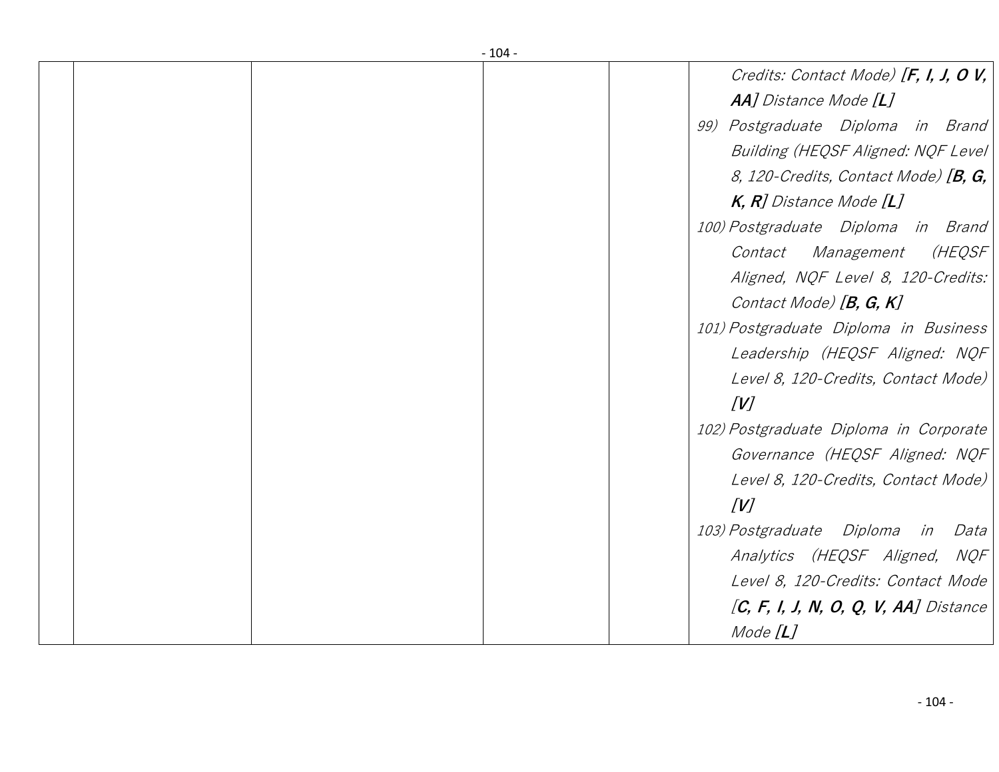|  | $-104-$ |                                           |
|--|---------|-------------------------------------------|
|  |         | Credits: Contact Mode) [F, I, J, O V, $ $ |
|  |         | <b>AA]</b> Distance Mode [ <b>L</b> ]     |
|  |         | 99) Postgraduate Diploma in Brand         |
|  |         | Building (HEQSF Aligned: NQF Level)       |
|  |         | 8, 120-Credits, Contact Mode) $[B, G,$    |
|  |         | $K$ , R] Distance Mode $[L]$              |
|  |         | 100) Postgraduate Diploma in Brand        |
|  |         | <i>Management</i><br>(HEQSF<br>Contact    |
|  |         | Aligned, NQF Level 8, 120-Credits:        |
|  |         | Contact Mode) [B, G, K]                   |
|  |         | 101) Postgraduate Diploma in Business     |
|  |         | Leadership (HEQSF Aligned: NQF            |
|  |         | Level 8, 120-Credits, Contact Mode)       |
|  |         | V                                         |
|  |         | 102) Postgraduate Diploma in Corporate    |
|  |         | Governance (HEQSF Aligned: NQF            |
|  |         | Level 8, 120-Credits, Contact Mode)       |
|  |         | [V]                                       |
|  |         | 103) Postgraduate Diploma in<br>Data      |
|  |         | Analytics (HEQSF Aligned, NQF             |
|  |         | Level 8, 120-Credits: Contact Mode        |
|  |         | $[C, F, I, J, N, O, Q, V, AA]$ Distance   |
|  |         | Mode $[L]$                                |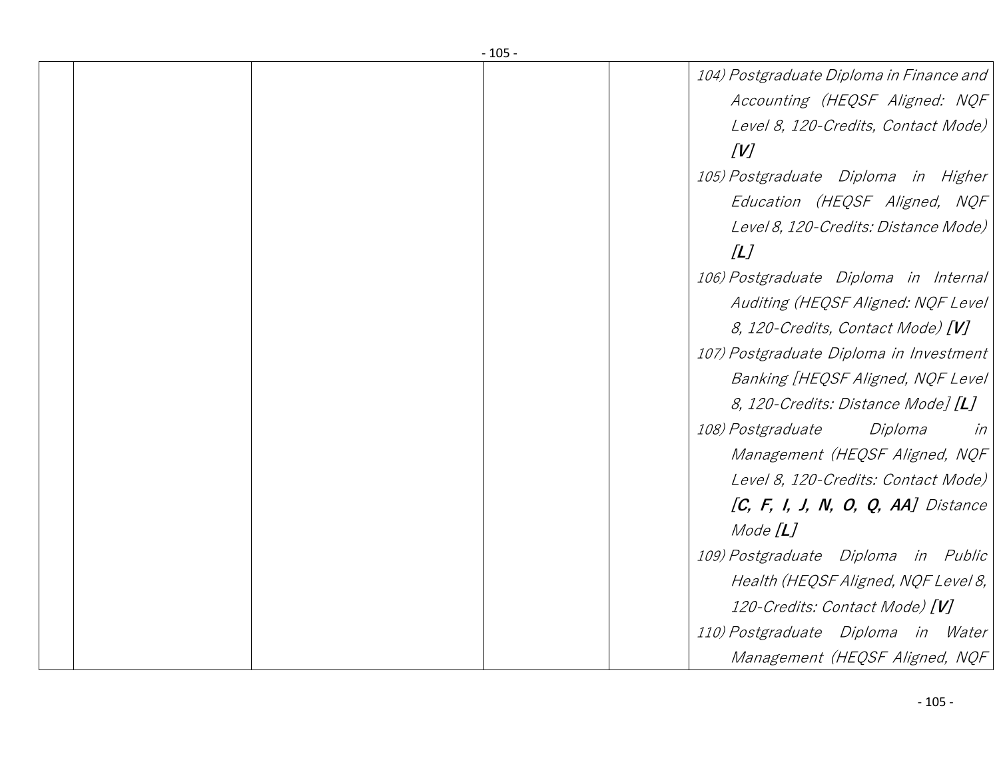| - 105 - |                                           |
|---------|-------------------------------------------|
|         | 104) Postgraduate Diploma in Finance and  |
|         | Accounting (HEQSF Aligned: NQF            |
|         | Level 8, 120-Credits, Contact Mode)       |
|         | [V]                                       |
|         | 105) Postgraduate Diploma in Higher       |
|         | Education (HEQSF Aligned, NQF             |
|         | Level 8, 120-Credits: Distance Mode)      |
|         | [L]                                       |
|         | 106) Postgraduate Diploma in Internal     |
|         | Auditing (HEQSF Aligned: NQF Level        |
|         | 8, 120-Credits, Contact Mode) [V]         |
|         | 107) Postgraduate Diploma in Investment   |
|         | Banking [HEQSF Aligned, NQF Level         |
|         | 8, 120-Credits: Distance Mode] [L]        |
|         | <i>108) Postgraduate</i><br>Diploma<br>in |
|         | Management (HEQSF Aligned, NQF            |
|         | Level 8, 120-Credits: Contact Mode)       |
|         | $[C, F, I, J, N, O, Q, AA]$ Distance      |
|         | Mode $[L]$                                |
|         | 109) Postgraduate Diploma in Public       |
|         | Health (HEQSF Aligned, NQF Level 8,       |
|         | 120-Credits: Contact Mode) [V]            |
|         | 110) Postgraduate Diploma in Water        |
|         | Management (HEQSF Aligned, NQF            |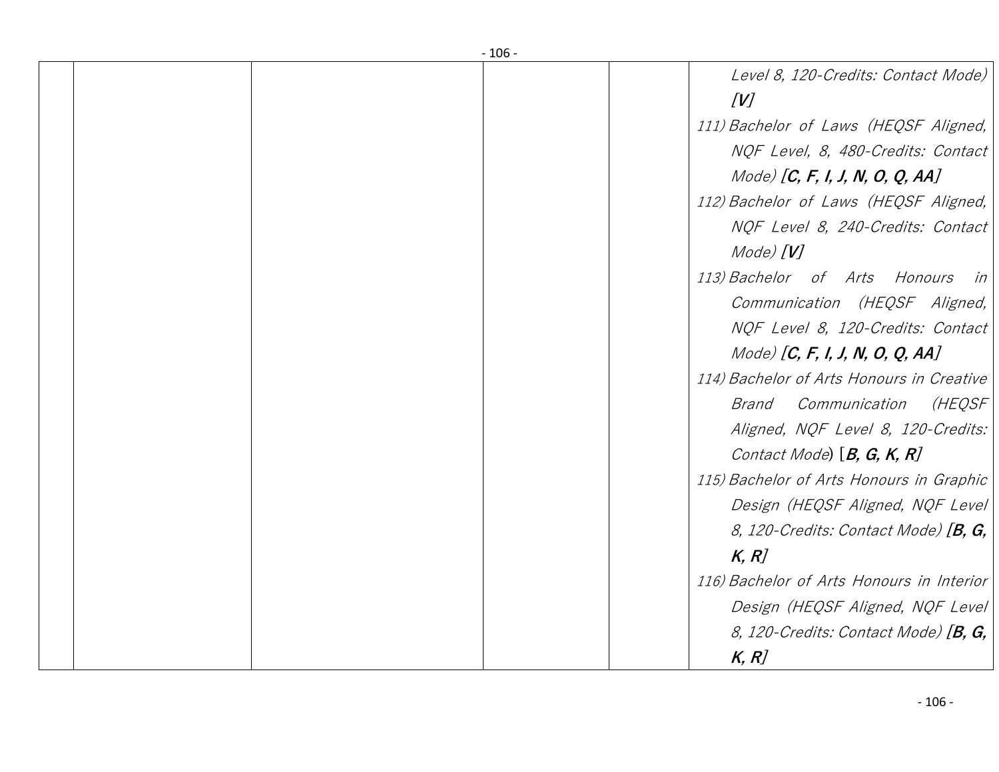|  | - 106 - |                                            |
|--|---------|--------------------------------------------|
|  |         | Level 8, 120-Credits: Contact Mode)<br>[V] |
|  |         | 111) Bachelor of Laws (HEQSF Aligned,      |
|  |         | NQF Level, 8, 480-Credits: Contact         |
|  |         | Mode) [ $C, F, I, J, N, O, Q, AA$ ]        |
|  |         | 112) Bachelor of Laws (HEQSF Aligned,      |
|  |         | NQF Level 8, 240-Credits: Contact          |
|  |         | Mode) $[V]$                                |
|  |         | 113) Bachelor of Arts Honours<br>in        |
|  |         | Communication (HEQSF Aligned,              |
|  |         | NQF Level 8, 120-Credits: Contact          |
|  |         | Mode) [ $C, F, I, J, N, O, Q, AA$ ]        |
|  |         | 114) Bachelor of Arts Honours in Creative  |
|  |         | (HEQSF<br>Communication<br>Brand           |
|  |         | Aligned, NQF Level 8, 120-Credits:         |
|  |         | Contact Mode) $[B, G, K, R]$               |
|  |         | 115) Bachelor of Arts Honours in Graphic   |
|  |         | Design (HEQSF Aligned, NQF Level)          |
|  |         | 8, 120-Credits: Contact Mode) $[B, G,$     |
|  |         | K, R                                       |
|  |         | 116) Bachelor of Arts Honours in Interior  |
|  |         | Design (HEQSF Aligned, NQF Level)          |
|  |         | 8, 120-Credits: Contact Mode) $[B, G,$     |
|  |         | K, R                                       |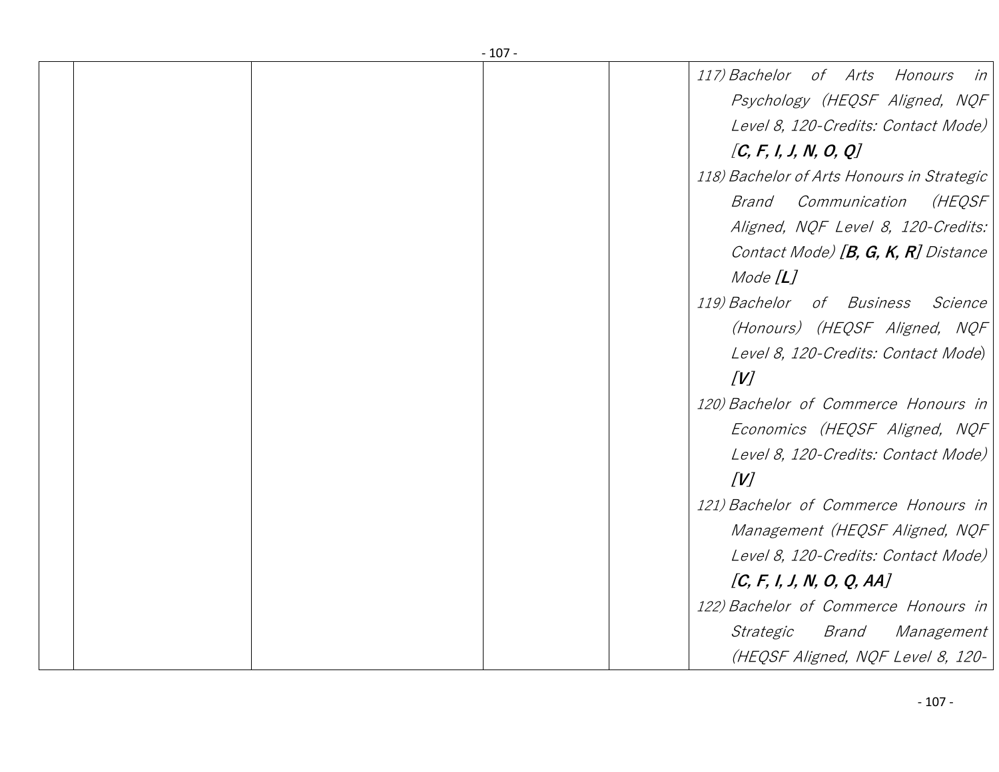|  | - 107 - |                                            |
|--|---------|--------------------------------------------|
|  |         | 117) Bachelor of Arts Honours<br>in        |
|  |         | Psychology (HEQSF Aligned, NQF             |
|  |         | Level 8, 120-Credits: Contact Mode)        |
|  |         | [C, F, I, J, N, O, Q]                      |
|  |         | 118) Bachelor of Arts Honours in Strategic |
|  |         | (HEQSF<br>Brand Communication              |
|  |         | Aligned, NQF Level 8, 120-Credits:         |
|  |         | Contact Mode) $[B, G, K, R]$ Distance      |
|  |         | Mode $[L]$                                 |
|  |         | 119) Bachelor of Business<br>Science       |
|  |         | (Honours) (HEQSF Aligned, NQF              |
|  |         | Level 8, 120-Credits: Contact Mode)        |
|  |         | [V]                                        |
|  |         | 120) Bachelor of Commerce Honours in       |
|  |         | Economics (HEQSF Aligned, NQF              |
|  |         | Level 8, 120-Credits: Contact Mode)        |
|  |         | [V]                                        |
|  |         | 121) Bachelor of Commerce Honours in       |
|  |         | Management (HEQSF Aligned, NQF             |
|  |         | Level 8, 120-Credits: Contact Mode)        |
|  |         | [C, F, I, J, N, O, Q, AA]                  |
|  |         | 122) Bachelor of Commerce Honours in       |
|  |         | Brand<br><i>Strategic</i><br>Management    |
|  |         | (HEQSF Aligned, NQF Level 8, 120-          |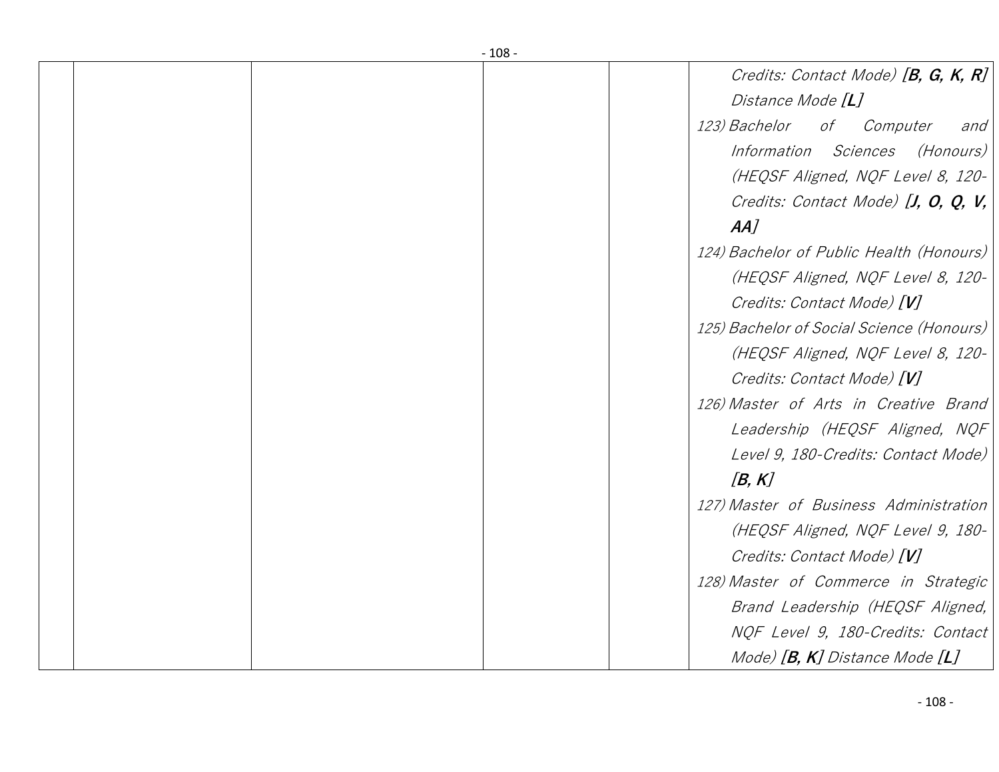| - 108 - |                                               |
|---------|-----------------------------------------------|
|         | Credits: Contact Mode) [B, G, K, R]           |
|         | Distance Mode [L]                             |
|         | <i>123) Bachelor</i><br>of<br>Computer<br>and |
|         | Information Sciences<br>(Honours)             |
|         | (HEQSF Aligned, NQF Level 8, 120-             |
|         | Credits: Contact Mode) $[J, 0, Q, V, J)$      |
|         | AA                                            |
|         | 124) Bachelor of Public Health (Honours)      |
|         | (HEQSF Aligned, NQF Level 8, 120-             |
|         | Credits: Contact Mode) [V]                    |
|         | 125) Bachelor of Social Science (Honours)     |
|         | (HEQSF Aligned, NQF Level 8, 120-             |
|         | Credits: Contact Mode) [V]                    |
|         | 126) Master of Arts in Creative Brand         |
|         | Leadership (HEQSF Aligned, NQF)               |
|         | Level 9, 180-Credits: Contact Mode)           |
|         | [B, K]                                        |
|         | 127) Master of Business Administration        |
|         | (HEQSF Aligned, NQF Level 9, 180-             |
|         | Credits: Contact Mode) [V]                    |
|         | 128) Master of Commerce in Strategic          |
|         | Brand Leadership (HEQSF Aligned,              |
|         | NOF Level 9, 180-Credits: Contact             |
|         | Mode) $[B, K]$ Distance Mode $[L]$            |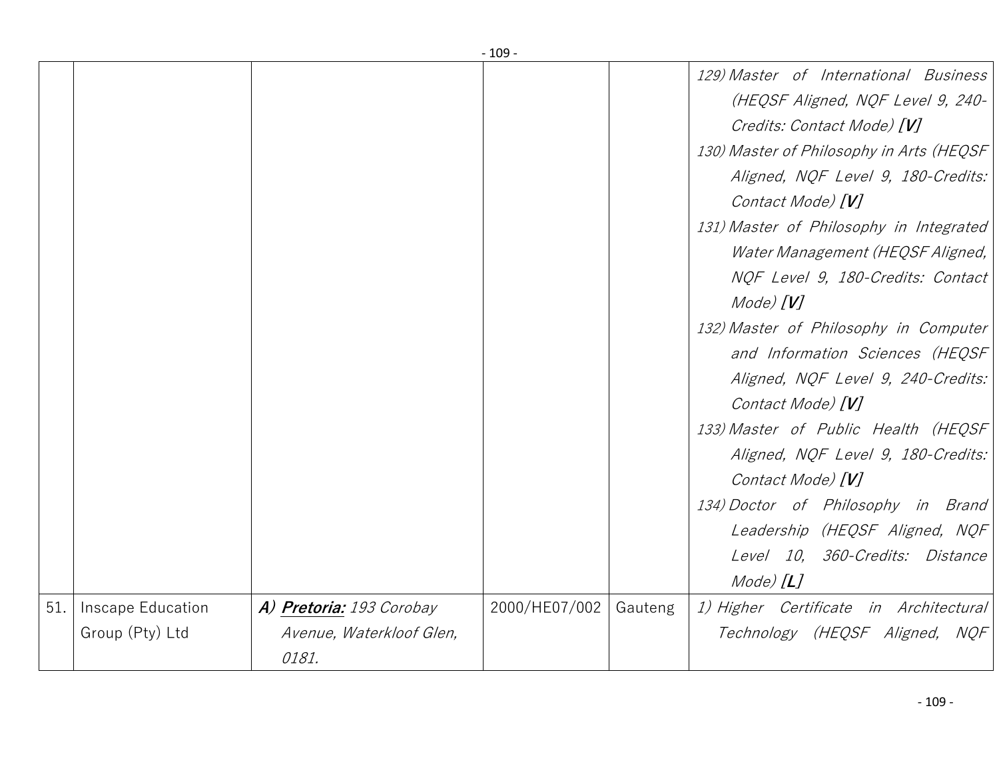|     |                   |                          | - 109 -       |         |                                                                            |
|-----|-------------------|--------------------------|---------------|---------|----------------------------------------------------------------------------|
|     |                   |                          |               |         | 129) Master of International Business<br>(HEQSF Aligned, NQF Level 9, 240- |
|     |                   |                          |               |         | Credits: Contact Mode) [V]                                                 |
|     |                   |                          |               |         | 130) Master of Philosophy in Arts (HEQSF                                   |
|     |                   |                          |               |         | Aligned, NQF Level 9, 180-Credits:                                         |
|     |                   |                          |               |         | Contact Mode) [V]                                                          |
|     |                   |                          |               |         |                                                                            |
|     |                   |                          |               |         | 131) Master of Philosophy in Integrated                                    |
|     |                   |                          |               |         | Water Management (HEQSF Aligned,                                           |
|     |                   |                          |               |         | NQF Level 9, 180-Credits: Contact                                          |
|     |                   |                          |               |         | Mode) $[V]$                                                                |
|     |                   |                          |               |         | 132) Master of Philosophy in Computer                                      |
|     |                   |                          |               |         | and Information Sciences (HEQSF                                            |
|     |                   |                          |               |         | Aligned, NQF Level 9, 240-Credits:                                         |
|     |                   |                          |               |         | Contact Mode) [V]                                                          |
|     |                   |                          |               |         | 133) Master of Public Health (HEQSF                                        |
|     |                   |                          |               |         | Aligned, NQF Level 9, 180-Credits:                                         |
|     |                   |                          |               |         | Contact Mode) [V]                                                          |
|     |                   |                          |               |         | 134) Doctor of Philosophy in Brand                                         |
|     |                   |                          |               |         | Leadership (HEQSF Aligned, NQF                                             |
|     |                   |                          |               |         | Level 10, 360-Credits: Distance                                            |
|     |                   |                          |               |         | Mode) $[L]$                                                                |
| 51. | Inscape Education | A) Pretoria: 193 Corobay | 2000/HE07/002 | Gauteng | 1) Higher Certificate in Architectural                                     |
|     | Group (Pty) Ltd   | Avenue, Waterkloof Glen, |               |         | Technology (HEQSF Aligned, NQF                                             |
|     |                   | 0181.                    |               |         |                                                                            |
|     |                   |                          |               |         |                                                                            |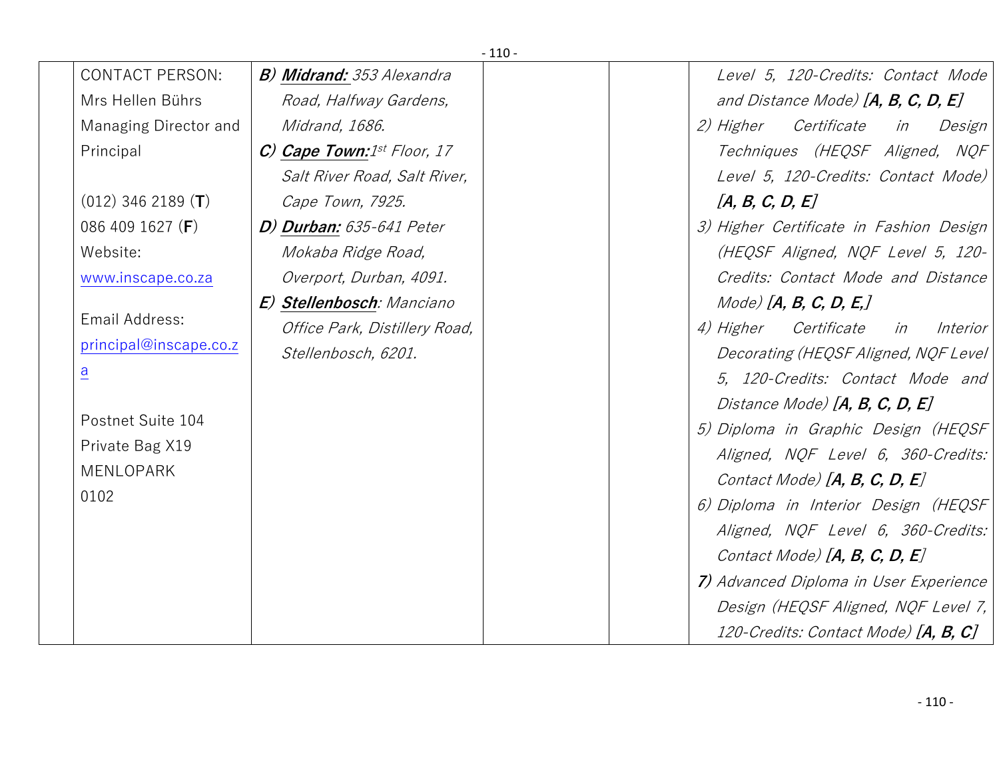| $-110-$                       |                                  |  |                                                   |  |  |
|-------------------------------|----------------------------------|--|---------------------------------------------------|--|--|
| <b>CONTACT PERSON:</b>        | <b>B) Midrand:</b> 353 Alexandra |  | Level 5, 120-Credits: Contact Mode                |  |  |
| Mrs Hellen Bührs              | Road, Halfway Gardens,           |  | and Distance Mode) $[A, B, C, D, E]$              |  |  |
| Managing Director and         | Midrand, 1686.                   |  | Certificate<br><i>2) Higher</i><br>in<br>Design   |  |  |
| Principal                     | $C)$ Cape Town: 1st Floor, 17    |  | Techniques (HEQSF Aligned, NQF                    |  |  |
|                               | Salt River Road, Salt River,     |  | Level 5, 120-Credits: Contact Mode)               |  |  |
| $(012)$ 346 2189 ( <b>T</b> ) | Cape Town, 7925.                 |  | [A, B, C, D, E]                                   |  |  |
| 086 409 1627 (F)              | D) Durban: 635-641 Peter         |  | 3) Higher Certificate in Fashion Design           |  |  |
| Website:                      | Mokaba Ridge Road,               |  | (HEQSF Aligned, NQF Level 5, 120-                 |  |  |
| www.inscape.co.za             | Overport, Durban, 4091.          |  | Credits: Contact Mode and Distance                |  |  |
|                               | E) Stellenbosch: Manciano        |  | $Mode)$ [A, B, C, D, E,]                          |  |  |
| Email Address:                | Office Park, Distillery Road,    |  | <i>4) Higher</i><br>Certificate<br>in<br>Interior |  |  |
| principal@inscape.co.z        | Stellenbosch, 6201.              |  | Decorating (HEQSF Aligned, NQF Level              |  |  |
| $\overline{a}$                |                                  |  | 5, 120-Credits: Contact Mode and                  |  |  |
|                               |                                  |  | Distance Mode) $[A, B, C, D, E]$                  |  |  |
| Postnet Suite 104             |                                  |  | 5) Diploma in Graphic Design (HEQSF               |  |  |
| Private Bag X19               |                                  |  | Aligned, NQF Level 6, 360-Credits:                |  |  |
| <b>MENLOPARK</b>              |                                  |  | Contact Mode) $[A, B, C, D, E]$                   |  |  |
| 0102                          |                                  |  | 6) Diploma in Interior Design (HEQSF              |  |  |
|                               |                                  |  | Aligned, NQF Level 6, 360-Credits:                |  |  |
|                               |                                  |  | Contact Mode) [A, B, C, D, E]                     |  |  |
|                               |                                  |  | 7) Advanced Diploma in User Experience            |  |  |
|                               |                                  |  | Design (HEQSF Aligned, NQF Level 7,               |  |  |
|                               |                                  |  | 120-Credits: Contact Mode) [ <b>A, B, C</b> ]     |  |  |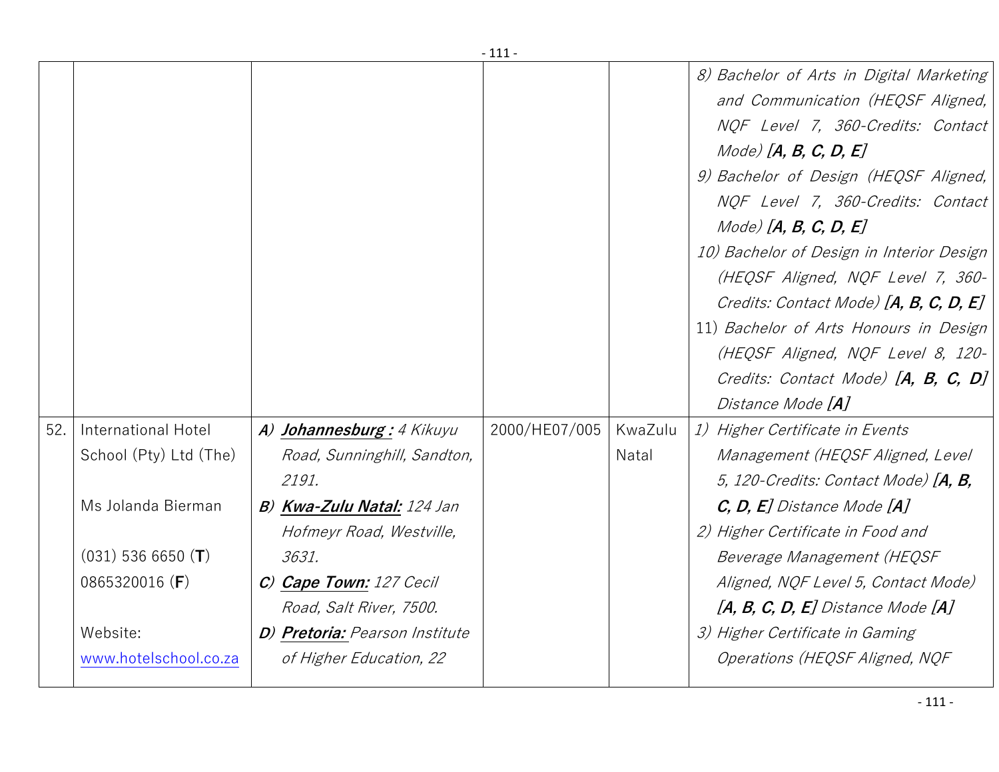|     |                        |                                   | +++           |         |                                                                                                                                                                                                                                                                                                                                                                                                                                                                                                                               |
|-----|------------------------|-----------------------------------|---------------|---------|-------------------------------------------------------------------------------------------------------------------------------------------------------------------------------------------------------------------------------------------------------------------------------------------------------------------------------------------------------------------------------------------------------------------------------------------------------------------------------------------------------------------------------|
|     |                        |                                   |               |         | 8) Bachelor of Arts in Digital Marketing<br>and Communication (HEQSF Aligned,<br>NQF Level 7, 360-Credits: Contact<br>$Mode)$ [A, B, C, D, E]<br>9) Bachelor of Design (HEQSF Aligned,<br>NQF Level 7, 360-Credits: Contact<br>$Mode)$ [A, B, C, D, E]<br>10) Bachelor of Design in Interior Design<br>(HEQSF Aligned, NQF Level 7, 360-<br>Credits: Contact Mode) [A, B, C, D, E]<br>11) Bachelor of Arts Honours in Design<br>(HEQSF Aligned, NQF Level 8, 120-<br>Credits: Contact Mode) [A, B, C, D]<br>Distance Mode [A] |
| 52. | International Hotel    | A) Johannesburg: 4 Kikuyu         | 2000/HE07/005 | KwaZulu | 1) Higher Certificate in Events                                                                                                                                                                                                                                                                                                                                                                                                                                                                                               |
|     | School (Pty) Ltd (The) | Road, Sunninghill, Sandton,       |               | Natal   | Management (HEQSF Aligned, Level                                                                                                                                                                                                                                                                                                                                                                                                                                                                                              |
|     |                        | 2191.                             |               |         | 5, 120-Credits: Contact Mode) $[A, B,$                                                                                                                                                                                                                                                                                                                                                                                                                                                                                        |
|     | Ms Jolanda Bierman     | <b>B) Kwa-Zulu Natal:</b> 124 Jan |               |         | $C, D, E$ ] Distance Mode $[A]$                                                                                                                                                                                                                                                                                                                                                                                                                                                                                               |
|     |                        | Hofmeyr Road, Westville,          |               |         | 2) Higher Certificate in Food and                                                                                                                                                                                                                                                                                                                                                                                                                                                                                             |
|     | $(031)$ 536 6650 (T)   | 3631.                             |               |         | Beverage Management (HEQSF                                                                                                                                                                                                                                                                                                                                                                                                                                                                                                    |
|     | 0865320016 (F)         | C) Cape Town: 127 Cecil           |               |         | Aligned, NQF Level 5, Contact Mode)                                                                                                                                                                                                                                                                                                                                                                                                                                                                                           |
|     |                        | Road, Salt River, 7500.           |               |         | $[A, B, C, D, E]$ Distance Mode $[A]$                                                                                                                                                                                                                                                                                                                                                                                                                                                                                         |
|     | Website:               | D) Pretoria: Pearson Institute    |               |         | 3) Higher Certificate in Gaming                                                                                                                                                                                                                                                                                                                                                                                                                                                                                               |
|     | www.hotelschool.co.za  | of Higher Education, 22           |               |         | Operations (HEQSF Aligned, NQF                                                                                                                                                                                                                                                                                                                                                                                                                                                                                                |
|     |                        |                                   |               |         |                                                                                                                                                                                                                                                                                                                                                                                                                                                                                                                               |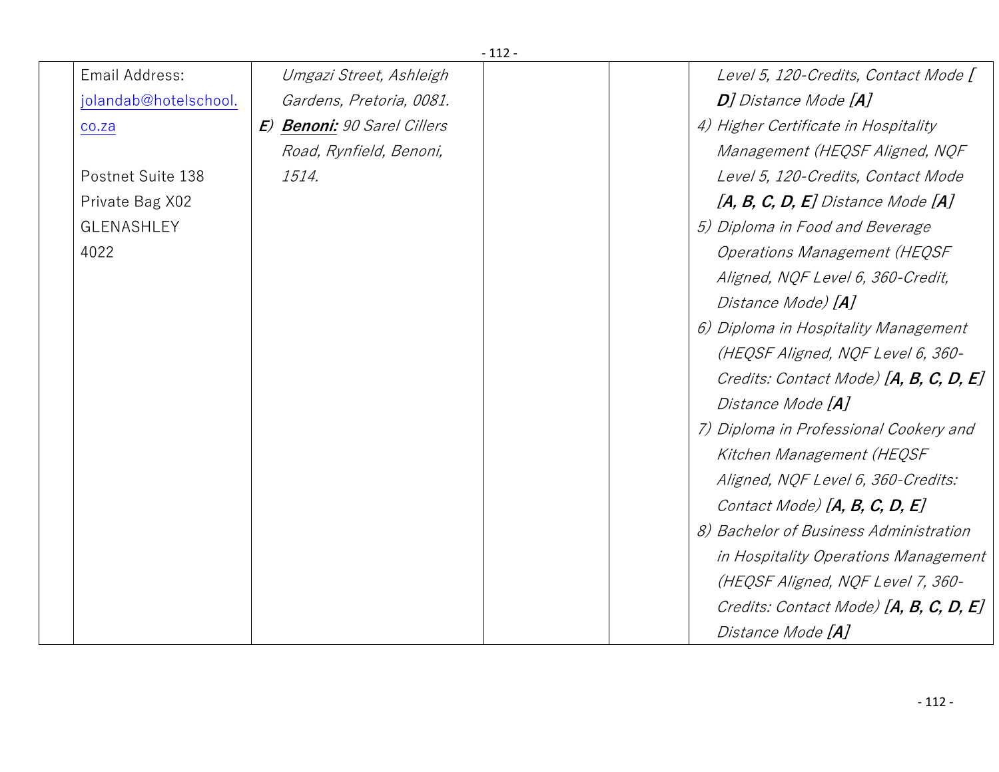|                       |                             | $-112-$ |                                        |
|-----------------------|-----------------------------|---------|----------------------------------------|
| Email Address:        | Umgazi Street, Ashleigh     |         | Level 5, 120-Credits, Contact Mode [   |
| jolandab@hotelschool. | Gardens, Pretoria, 0081.    |         | <b>D</b> ] Distance Mode [ <b>A</b> ]  |
| CO.Za                 | E) Benoni: 90 Sarel Cillers |         | 4) Higher Certificate in Hospitality   |
|                       | Road, Rynfield, Benoni,     |         | Management (HEQSF Aligned, NQF         |
| Postnet Suite 138     | 1514.                       |         | Level 5, 120-Credits, Contact Mode     |
| Private Bag X02       |                             |         | $[A, B, C, D, E]$ Distance Mode $[A]$  |
| <b>GLENASHLEY</b>     |                             |         | 5) Diploma in Food and Beverage        |
| 4022                  |                             |         | <b>Operations Management (HEQSF</b>    |
|                       |                             |         | Aligned, NQF Level 6, 360-Credit,      |
|                       |                             |         | Distance Mode) [A]                     |
|                       |                             |         | 6) Diploma in Hospitality Management   |
|                       |                             |         | (HEQSF Aligned, NQF Level 6, 360-      |
|                       |                             |         | Credits: Contact Mode) [A, B, C, D, E] |
|                       |                             |         | Distance Mode [A]                      |
|                       |                             |         | 7) Diploma in Professional Cookery and |
|                       |                             |         | Kitchen Management (HEQSF              |
|                       |                             |         | Aligned, NQF Level 6, 360-Credits:     |
|                       |                             |         | Contact Mode) $[A, B, C, D, E]$        |
|                       |                             |         | 8) Bachelor of Business Administration |
|                       |                             |         | in Hospitality Operations Management   |
|                       |                             |         | (HEQSF Aligned, NQF Level 7, 360-      |
|                       |                             |         | Credits: Contact Mode) [A, B, C, D, E] |
|                       |                             |         | Distance Mode [A]                      |
|                       |                             |         |                                        |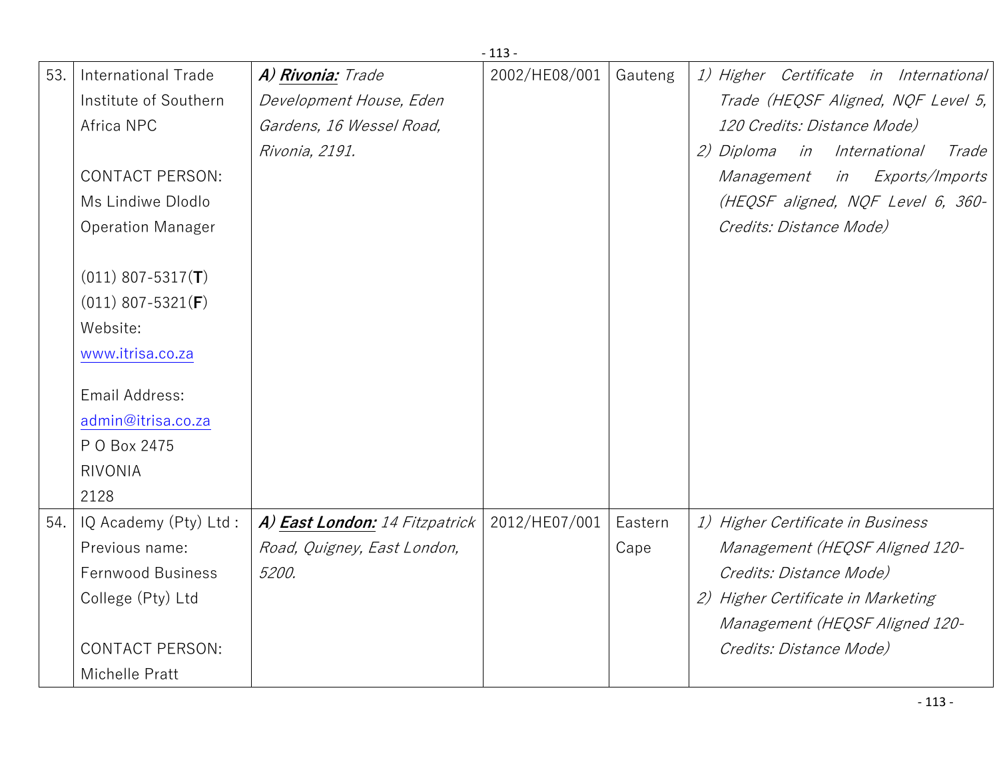|     |                              |                                | $-113-$       |         |                                                |
|-----|------------------------------|--------------------------------|---------------|---------|------------------------------------------------|
| 53. | International Trade          | A) Rivonia: Trade              | 2002/HE08/001 | Gauteng | 1) Higher Certificate in International         |
|     | Institute of Southern        | Development House, Eden        |               |         | Trade (HEQSF Aligned, NQF Level 5,             |
|     | Africa NPC                   | Gardens, 16 Wessel Road,       |               |         | 120 Credits: Distance Mode)                    |
|     |                              | Rivonia, 2191.                 |               |         | 2) Diploma<br><i>in International</i><br>Trade |
|     | <b>CONTACT PERSON:</b>       |                                |               |         | in Exports/Imports<br>Management               |
|     | Ms Lindiwe Dlodlo            |                                |               |         | (HEQSF aligned, NQF Level 6, 360-              |
|     | <b>Operation Manager</b>     |                                |               |         | Credits: Distance Mode)                        |
|     | $(011)$ 807-5317( <b>T</b> ) |                                |               |         |                                                |
|     | $(011)$ 807-5321(F)          |                                |               |         |                                                |
|     | Website:                     |                                |               |         |                                                |
|     | www.itrisa.co.za             |                                |               |         |                                                |
|     | Email Address:               |                                |               |         |                                                |
|     | admin@itrisa.co.za           |                                |               |         |                                                |
|     | P O Box 2475                 |                                |               |         |                                                |
|     | <b>RIVONIA</b>               |                                |               |         |                                                |
|     | 2128                         |                                |               |         |                                                |
| 54. | IQ Academy (Pty) Ltd:        | A) East London: 14 Fitzpatrick | 2012/HE07/001 | Eastern | 1) Higher Certificate in Business              |
|     | Previous name:               | Road, Quigney, East London,    |               | Cape    | Management (HEQSF Aligned 120-                 |
|     | Fernwood Business            | 5200.                          |               |         | Credits: Distance Mode)                        |
|     | College (Pty) Ltd            |                                |               |         | 2) Higher Certificate in Marketing             |
|     |                              |                                |               |         | Management (HEQSF Aligned 120-                 |
|     | <b>CONTACT PERSON:</b>       |                                |               |         | Credits: Distance Mode)                        |
|     | Michelle Pratt               |                                |               |         |                                                |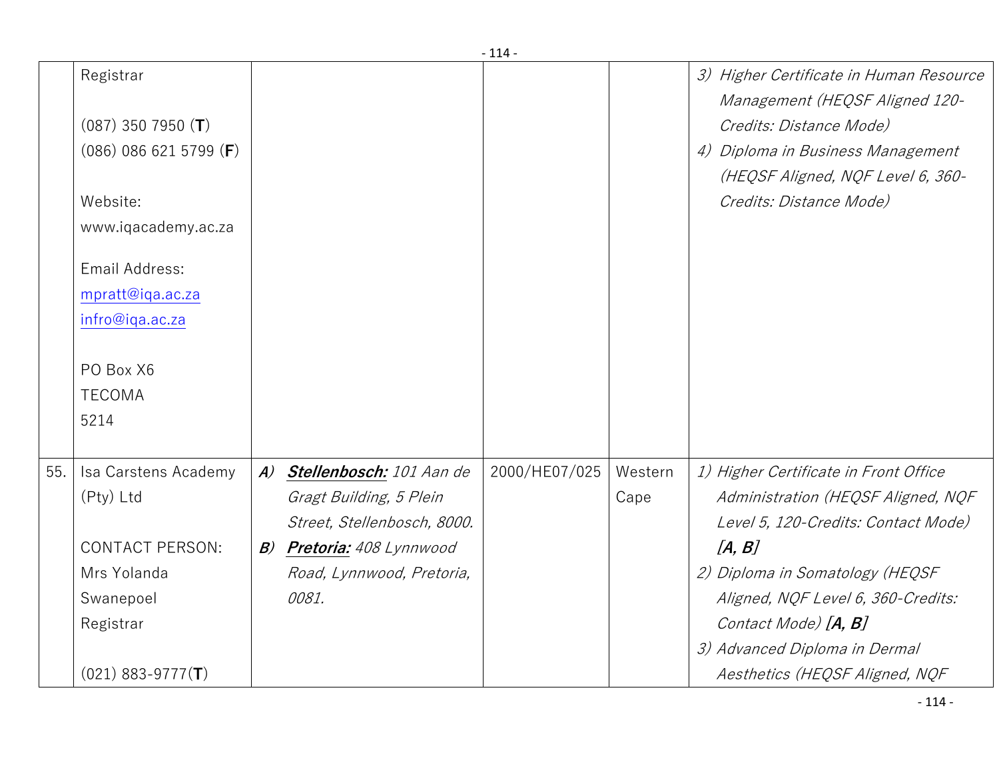|     |                          |                  |                               | - 114 -       |         |                                                                           |
|-----|--------------------------|------------------|-------------------------------|---------------|---------|---------------------------------------------------------------------------|
|     | Registrar                |                  |                               |               |         | 3) Higher Certificate in Human Resource<br>Management (HEQSF Aligned 120- |
|     | $(087)$ 350 7950 (T)     |                  |                               |               |         | Credits: Distance Mode)                                                   |
|     | $(086)$ 086 621 5799 (F) |                  |                               |               |         | 4) Diploma in Business Management                                         |
|     |                          |                  |                               |               |         | (HEQSF Aligned, NQF Level 6, 360-                                         |
|     | Website:                 |                  |                               |               |         | Credits: Distance Mode)                                                   |
|     | www.iqacademy.ac.za      |                  |                               |               |         |                                                                           |
|     | Email Address:           |                  |                               |               |         |                                                                           |
|     | mpratt@iqa.ac.za         |                  |                               |               |         |                                                                           |
|     | infro@iqa.ac.za          |                  |                               |               |         |                                                                           |
|     |                          |                  |                               |               |         |                                                                           |
|     | PO Box X6                |                  |                               |               |         |                                                                           |
|     | <b>TECOMA</b>            |                  |                               |               |         |                                                                           |
|     | 5214                     |                  |                               |               |         |                                                                           |
| 55. | Isa Carstens Academy     | $\boldsymbol{A}$ | Stellenbosch: 101 Aan de      | 2000/HE07/025 | Western | 1) Higher Certificate in Front Office                                     |
|     | (Pty) Ltd                |                  | Gragt Building, 5 Plein       |               | Cape    | Administration (HEQSF Aligned, NQF                                        |
|     |                          |                  | Street, Stellenbosch, 8000.   |               |         | Level 5, 120-Credits: Contact Mode)                                       |
|     | <b>CONTACT PERSON:</b>   | B)               | <b>Pretoria:</b> 408 Lynnwood |               |         | [A, B]                                                                    |
|     | Mrs Yolanda              |                  | Road, Lynnwood, Pretoria,     |               |         | 2) Diploma in Somatology (HEQSF                                           |
|     | Swanepoel                |                  | 0081.                         |               |         | Aligned, NQF Level 6, 360-Credits:                                        |
|     | Registrar                |                  |                               |               |         | Contact Mode) [ <b>A, B</b> ]                                             |
|     |                          |                  |                               |               |         | 3) Advanced Diploma in Dermal                                             |
|     | $(021)$ 883-9777 $(T)$   |                  |                               |               |         | Aesthetics (HEQSF Aligned, NQF                                            |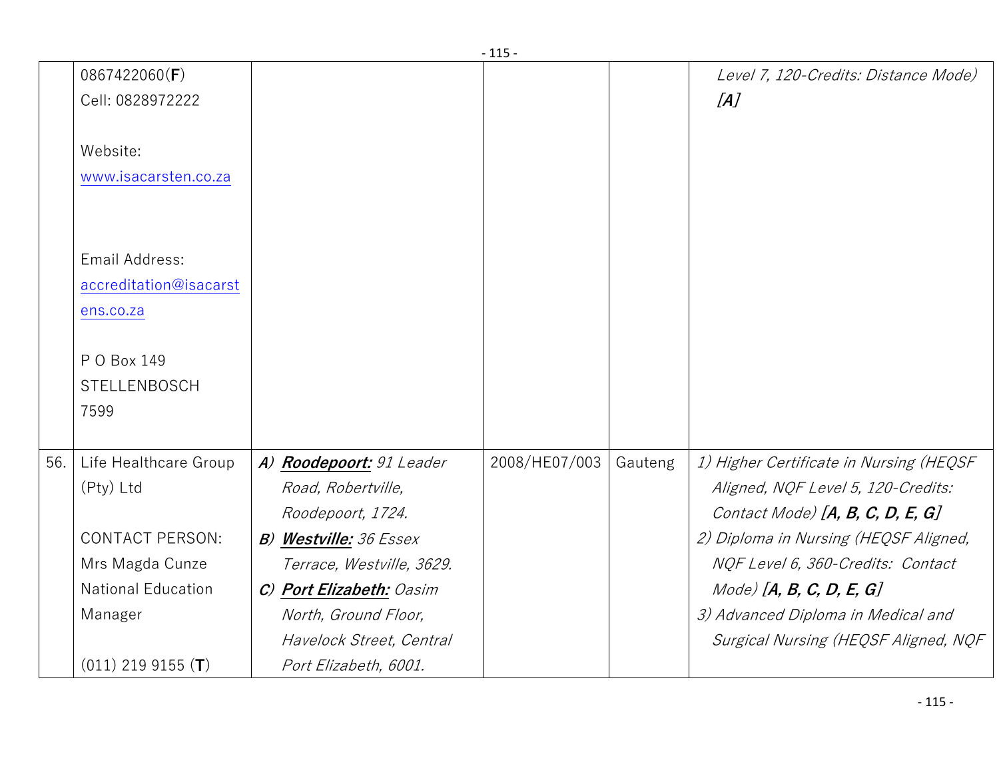|     |                           |                               | - 115 -       |         |                                         |
|-----|---------------------------|-------------------------------|---------------|---------|-----------------------------------------|
|     | 0867422060(F)             |                               |               |         | Level 7, 120-Credits: Distance Mode)    |
|     | Cell: 0828972222          |                               |               |         | [A]                                     |
|     |                           |                               |               |         |                                         |
|     | Website:                  |                               |               |         |                                         |
|     | www.isacarsten.co.za      |                               |               |         |                                         |
|     |                           |                               |               |         |                                         |
|     |                           |                               |               |         |                                         |
|     | Email Address:            |                               |               |         |                                         |
|     | accreditation@isacarst    |                               |               |         |                                         |
|     | ens.co.za                 |                               |               |         |                                         |
|     |                           |                               |               |         |                                         |
|     | P O Box 149               |                               |               |         |                                         |
|     | <b>STELLENBOSCH</b>       |                               |               |         |                                         |
|     | 7599                      |                               |               |         |                                         |
|     |                           |                               |               |         |                                         |
| 56. | Life Healthcare Group     | A) Roodepoort: 91 Leader      | 2008/HE07/003 | Gauteng | 1) Higher Certificate in Nursing (HEQSF |
|     | (Pty) Ltd                 | Road, Robertville,            |               |         | Aligned, NQF Level 5, 120-Credits:      |
|     |                           | Roodepoort, 1724.             |               |         | Contact Mode) $[A, B, C, D, E, G]$      |
|     | <b>CONTACT PERSON:</b>    | <b>B) Westville: 36 Essex</b> |               |         | 2) Diploma in Nursing (HEQSF Aligned,   |
|     | Mrs Magda Cunze           | Terrace, Westville, 3629.     |               |         | NQF Level 6, 360-Credits: Contact       |
|     | <b>National Education</b> | C) Port Elizabeth: Oasim      |               |         | $Mode)$ [A, B, C, D, E, G]              |
|     | Manager                   | North, Ground Floor,          |               |         | 3) Advanced Diploma in Medical and      |
|     |                           | Havelock Street, Central      |               |         | Surgical Nursing (HEQSF Aligned, NQF    |
|     | $(011)$ 219 9155 (T)      | Port Elizabeth, 6001.         |               |         |                                         |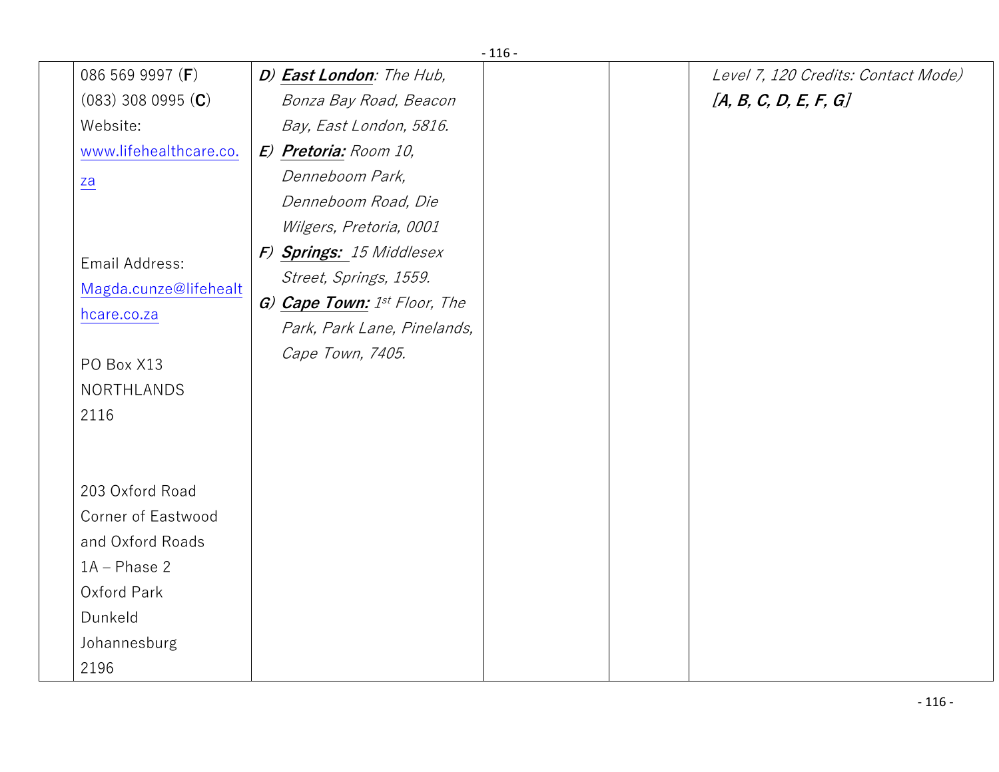|                  |                           |                              | - 110 - |                                     |
|------------------|---------------------------|------------------------------|---------|-------------------------------------|
|                  | 086 569 9997 (F)          | D) East London: The Hub,     |         | Level 7, 120 Credits: Contact Mode) |
|                  | $(083)$ 308 0995 $(C)$    | Bonza Bay Road, Beacon       |         | [A, B, C, D, E, F, G]               |
| Website:         |                           | Bay, East London, 5816.      |         |                                     |
|                  | www.lifehealthcare.co.    | E) Pretoria: Room 10,        |         |                                     |
| $\underline{z}a$ |                           | Denneboom Park,              |         |                                     |
|                  |                           | Denneboom Road, Die          |         |                                     |
|                  |                           | Wilgers, Pretoria, 0001      |         |                                     |
|                  | Email Address:            | F) Springs: 15 Middlesex     |         |                                     |
|                  |                           | Street, Springs, 1559.       |         |                                     |
|                  | Magda.cunze@lifehealt     | G) Cape Town: 1st Floor, The |         |                                     |
| hcare.co.za      |                           | Park, Park Lane, Pinelands,  |         |                                     |
|                  |                           | Cape Town, 7405.             |         |                                     |
|                  | PO Box X13                |                              |         |                                     |
|                  | <b>NORTHLANDS</b>         |                              |         |                                     |
| 2116             |                           |                              |         |                                     |
|                  |                           |                              |         |                                     |
|                  |                           |                              |         |                                     |
|                  | 203 Oxford Road           |                              |         |                                     |
|                  | <b>Corner of Eastwood</b> |                              |         |                                     |
|                  | and Oxford Roads          |                              |         |                                     |
|                  | $1A - Phase 2$            |                              |         |                                     |
|                  | Oxford Park               |                              |         |                                     |
| Dunkeld          |                           |                              |         |                                     |
|                  | Johannesburg              |                              |         |                                     |
| 2196             |                           |                              |         |                                     |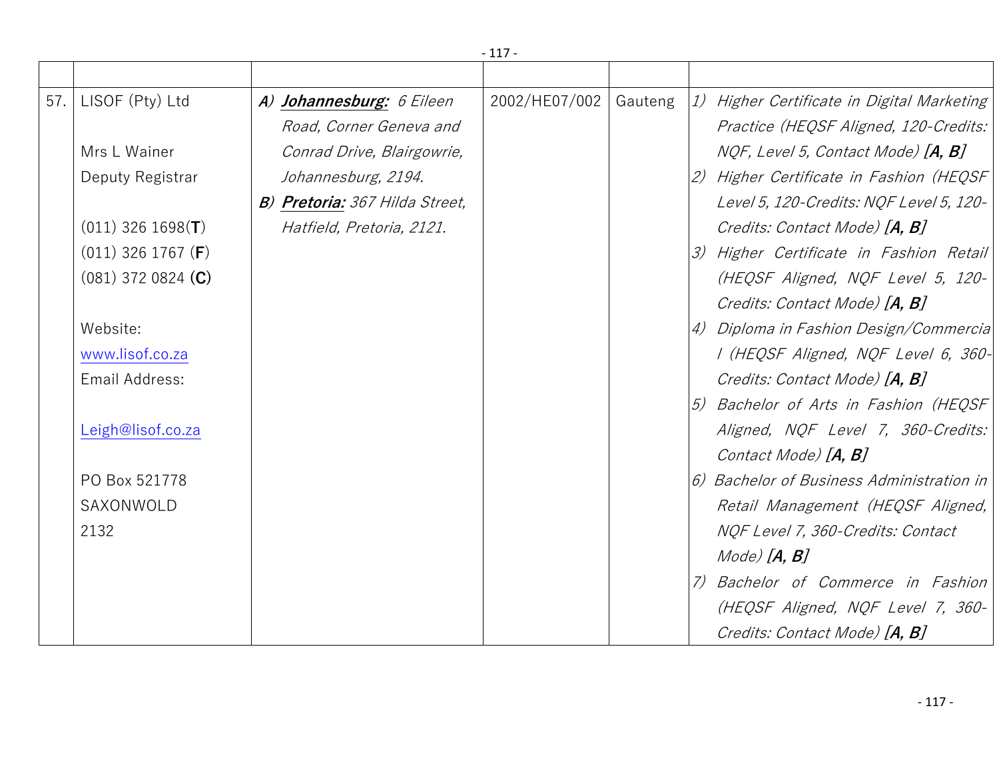|     |                               |                                | $-117-$       |         |                                                  |
|-----|-------------------------------|--------------------------------|---------------|---------|--------------------------------------------------|
|     |                               |                                |               |         |                                                  |
| 57. | LISOF (Pty) Ltd               | A) Johannesburg: 6 Eileen      | 2002/HE07/002 | Gauteng | 1) Higher Certificate in Digital Marketing       |
|     |                               | Road, Corner Geneva and        |               |         | Practice (HEQSF Aligned, 120-Credits:            |
|     | Mrs L Wainer                  | Conrad Drive, Blairgowrie,     |               |         | NQF, Level 5, Contact Mode) [A, B]               |
|     | Deputy Registrar              | Johannesburg, 2194.            |               |         | 2) Higher Certificate in Fashion (HEQSF          |
|     |                               | B) Pretoria: 367 Hilda Street, |               |         | Level 5, 120-Credits: NQF Level 5, 120-          |
|     | $(011)$ 326 1698(T)           | Hatfield, Pretoria, 2121.      |               |         | Credits: Contact Mode) [A, B]                    |
|     | $(011)$ 326 1767 ( <b>F</b> ) |                                |               |         | 3) Higher Certificate in Fashion Retail          |
|     | $(081)$ 372 0824 (C)          |                                |               |         | (HEQSF Aligned, NQF Level 5, 120-                |
|     |                               |                                |               |         | Credits: Contact Mode) [A, B]                    |
|     | Website:                      |                                |               |         | 4) Diploma in Fashion Design/Commercia           |
|     | www.lisof.co.za               |                                |               |         | I (HEQSF Aligned, NQF Level 6, 360-              |
|     | Email Address:                |                                |               |         | Credits: Contact Mode) [A, B]                    |
|     |                               |                                |               |         | 5) Bachelor of Arts in Fashion (HEQSF            |
|     | Leigh@lisof.co.za             |                                |               |         | Aligned, NQF Level 7, 360-Credits:               |
|     |                               |                                |               |         | Contact Mode) [A, B]                             |
|     | PO Box 521778                 |                                |               |         | $\ket{6}$ Bachelor of Business Administration in |
|     | SAXONWOLD                     |                                |               |         | Retail Management (HEQSF Aligned,                |
|     | 2132                          |                                |               |         | NQF Level 7, 360-Credits: Contact                |
|     |                               |                                |               |         | $Mode)$ $[A, B]$                                 |
|     |                               |                                |               |         | 7) Bachelor of Commerce in Fashion               |
|     |                               |                                |               |         | (HEQSF Aligned, NQF Level 7, 360-                |
|     |                               |                                |               |         | Credits: Contact Mode) [A, B]                    |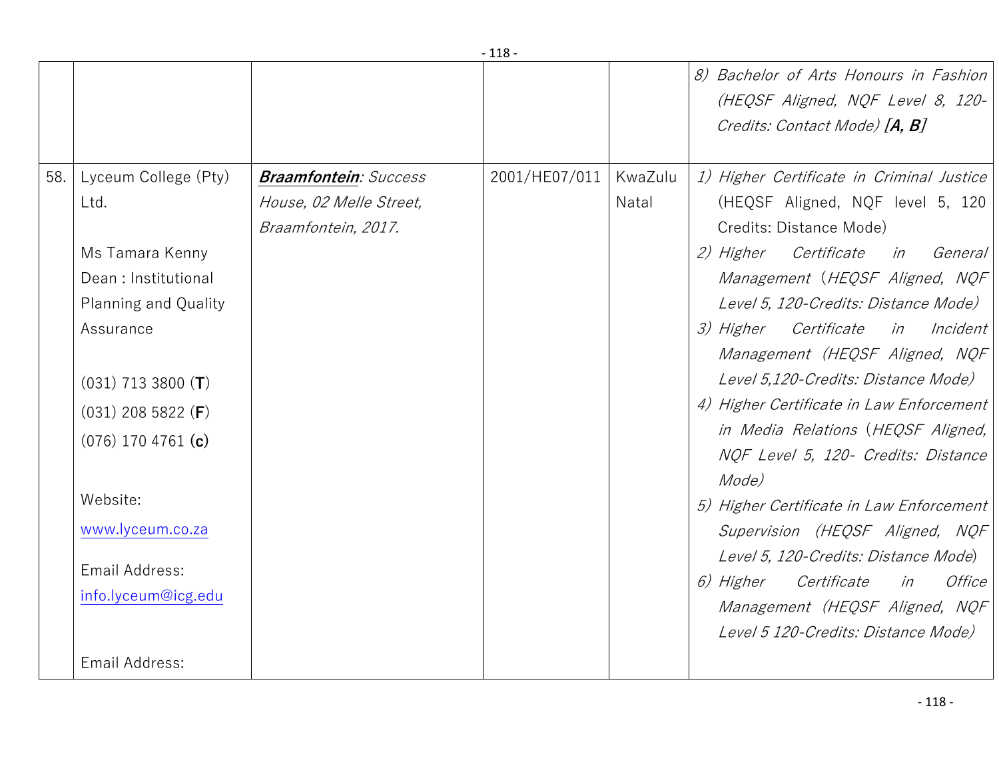|     |                        |                              |               |         | 8) Bachelor of Arts Honours in Fashion<br>(HEQSF Aligned, NQF Level 8, 120-<br>Credits: Contact Mode) [A, B] |
|-----|------------------------|------------------------------|---------------|---------|--------------------------------------------------------------------------------------------------------------|
| 58. | Lyceum College (Pty)   | <b>Braamfontein: Success</b> | 2001/HE07/011 | KwaZulu | 1) Higher Certificate in Criminal Justice                                                                    |
|     | Ltd.                   | House, 02 Melle Street,      |               | Natal   | (HEQSF Aligned, NQF level 5, 120                                                                             |
|     |                        | Braamfontein, 2017.          |               |         | Credits: Distance Mode)                                                                                      |
|     | Ms Tamara Kenny        |                              |               |         | 2) Higher Certificate in General                                                                             |
|     | Dean: Institutional    |                              |               |         | Management (HEQSF Aligned, NQF                                                                               |
|     | Planning and Quality   |                              |               |         | Level 5, 120-Credits: Distance Mode)                                                                         |
|     | Assurance              |                              |               |         | 3) Higher Certificate in Incident                                                                            |
|     |                        |                              |               |         | Management (HEQSF Aligned, NQF                                                                               |
|     | $(031)$ 713 3800 (T)   |                              |               |         | Level 5,120-Credits: Distance Mode)                                                                          |
|     | $(031)$ 208 5822 (F)   |                              |               |         | 4) Higher Certificate in Law Enforcement                                                                     |
|     | $(076)$ 170 4761 $(c)$ |                              |               |         | in Media Relations (HEQSF Aligned,                                                                           |
|     |                        |                              |               |         | NQF Level 5, 120- Credits: Distance                                                                          |
|     |                        |                              |               |         | Mode)                                                                                                        |
|     | Website:               |                              |               |         | 5) Higher Certificate in Law Enforcement                                                                     |
|     | www.lyceum.co.za       |                              |               |         | Supervision (HEQSF Aligned, NQF                                                                              |
|     | Email Address:         |                              |               |         | Level 5, 120-Credits: Distance Mode)                                                                         |
|     |                        |                              |               |         | Office<br><i>6) Higher</i><br><i>Certificate</i><br>in                                                       |
|     | info.lyceum@icg.edu    |                              |               |         | Management (HEQSF Aligned, NQF                                                                               |
|     |                        |                              |               |         | Level 5 120-Credits: Distance Mode)                                                                          |
|     | Email Address:         |                              |               |         |                                                                                                              |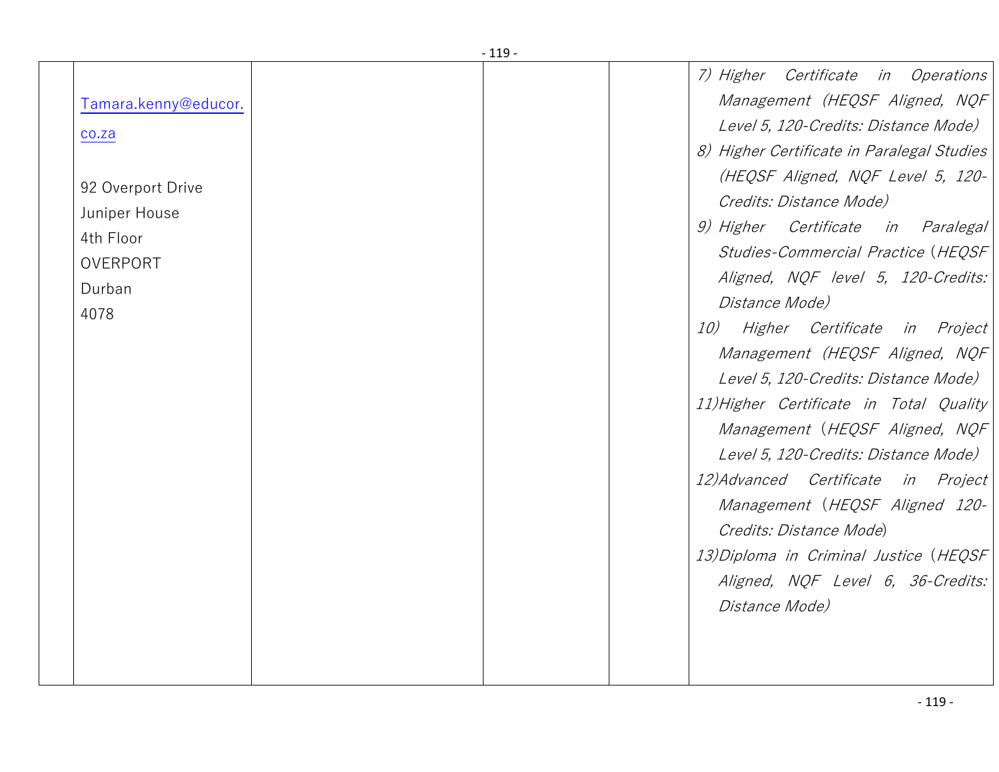| Tamara.kenny@educor.               |  | 7) Higher Certificate in Operations<br>Management (HEQSF Aligned, NQF                                                                                     |
|------------------------------------|--|-----------------------------------------------------------------------------------------------------------------------------------------------------------|
| co.za                              |  | Level 5, 120-Credits: Distance Mode)<br>8) Higher Certificate in Paralegal Studies<br>(HEQSF Aligned, NQF Level 5, 120-                                   |
| 92 Overport Drive<br>Juniper House |  | Credits: Distance Mode)                                                                                                                                   |
| 4th Floor<br>OVERPORT              |  | 9) Higher Certificate in Paralegal<br>Studies-Commercial Practice (HEQSF                                                                                  |
| Durban                             |  | Aligned, NQF level 5, 120-Credits:<br>Distance Mode)                                                                                                      |
| 4078                               |  | 10)<br>Higher Certificate in Project<br>Management (HEQSF Aligned, NQF<br>Level 5, 120-Credits: Distance Mode)<br>11) Higher Certificate in Total Quality |
|                                    |  | Management (HEQSF Aligned, NQF<br>Level 5, 120-Credits: Distance Mode)                                                                                    |
|                                    |  | 12) Advanced Certificate in Project<br>Management (HEQSF Aligned 120-<br>Credits: Distance Mode)                                                          |
|                                    |  | 13) Diploma in Criminal Justice (HEQSF<br>Aligned, NQF Level 6, 36-Credits:<br>Distance Mode)                                                             |
|                                    |  |                                                                                                                                                           |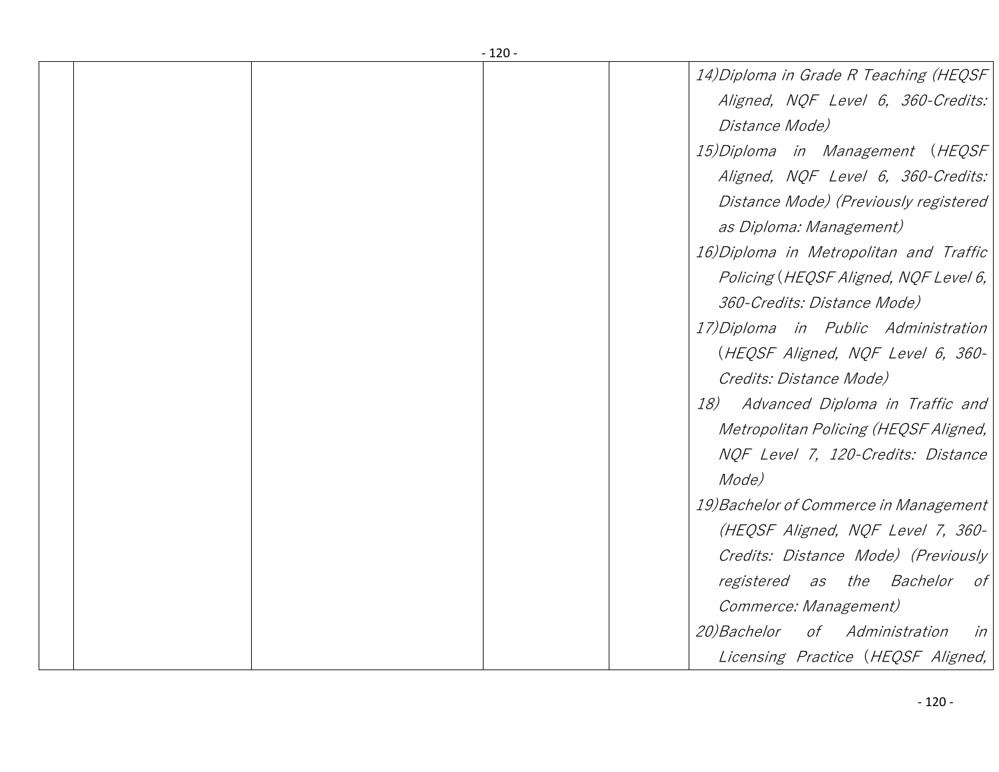|  | $-120-$                                 |
|--|-----------------------------------------|
|  | 14) Diploma in Grade R Teaching (HEQSF  |
|  | Aligned, NQF Level 6, 360-Credits:      |
|  | Distance Mode)                          |
|  | 15) Diploma in Management (HEQSF        |
|  | Aligned, NQF Level 6, 360-Credits:      |
|  | Distance Mode) (Previously registered   |
|  | as Diploma: Management)                 |
|  | 16) Diploma in Metropolitan and Traffic |
|  | Policing (HEQSF Aligned, NQF Level 6,   |
|  | 360-Credits: Distance Mode)             |
|  | 17) Diploma in Public Administration    |
|  | (HEQSF Aligned, NQF Level 6, 360-       |
|  | Credits: Distance Mode)                 |
|  | 18) Advanced Diploma in Traffic and     |
|  | Metropolitan Policing (HEQSF Aligned,   |
|  | NQF Level 7, 120-Credits: Distance      |
|  | Mode)                                   |
|  | 19) Bachelor of Commerce in Management  |
|  | (HEQSF Aligned, NQF Level 7, 360-       |
|  | Credits: Distance Mode) (Previously     |
|  | registered as the Bachelor of           |
|  | Commerce: Management)                   |
|  | 20) Bachelor of Administration<br>in    |
|  | Licensing Practice (HEQSF Aligned,      |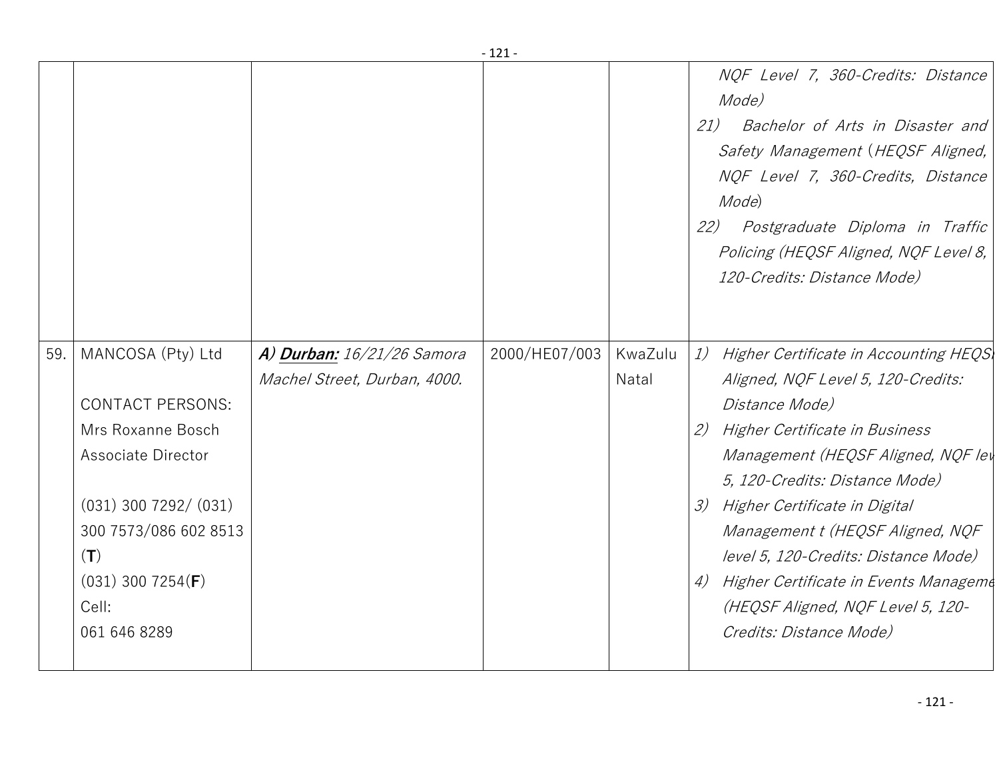|     |                                                                                                                                                                                                               |                                                                   | - 171 -       |                  |                                                                                                                                                                                                                                                                                                                                                                                                                                                 |
|-----|---------------------------------------------------------------------------------------------------------------------------------------------------------------------------------------------------------------|-------------------------------------------------------------------|---------------|------------------|-------------------------------------------------------------------------------------------------------------------------------------------------------------------------------------------------------------------------------------------------------------------------------------------------------------------------------------------------------------------------------------------------------------------------------------------------|
|     |                                                                                                                                                                                                               |                                                                   |               |                  | NQF Level 7, 360-Credits: Distance<br>Mode)<br>21)<br>Bachelor of Arts in Disaster and<br>Safety Management (HEQSF Aligned,<br>NQF Level 7, 360-Credits, Distance<br>Mode)<br>Postgraduate Diploma in Traffic<br>22)<br>Policing (HEQSF Aligned, NQF Level 8,<br>120-Credits: Distance Mode)                                                                                                                                                    |
| 59. | MANCOSA (Pty) Ltd<br><b>CONTACT PERSONS:</b><br>Mrs Roxanne Bosch<br>Associate Director<br>$(031)$ 300 7292/ $(031)$<br>300 7573/086 602 8513<br>(T)<br>$(031)$ 300 7254( <b>F</b> )<br>Cell:<br>061 646 8289 | <b>A) Durban:</b> 16/21/26 Samora<br>Machel Street, Durban, 4000. | 2000/HE07/003 | KwaZulu<br>Natal | 1)<br>Higher Certificate in Accounting HEQS<br>Aligned, NQF Level 5, 120-Credits:<br>Distance Mode)<br>2) Higher Certificate in Business<br>Management (HEQSF Aligned, NQF ley<br>5, 120-Credits: Distance Mode)<br>Higher Certificate in Digital<br>3)<br>Management t (HEQSF Aligned, NQF<br>level 5, 120-Credits: Distance Mode)<br>4) Higher Certificate in Events Manageme<br>(HEQSF Aligned, NQF Level 5, 120-<br>Credits: Distance Mode) |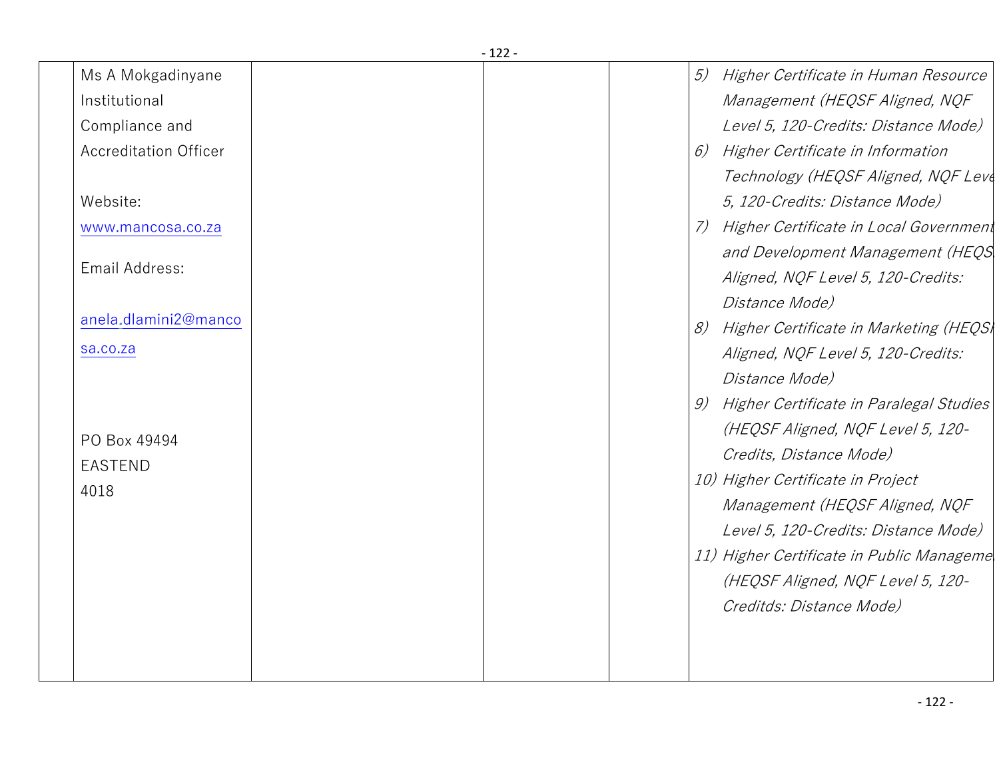| Ms A Mokgadinyane            | 5) | Higher Certificate in Human Resource       |
|------------------------------|----|--------------------------------------------|
| Institutional                |    | Management (HEQSF Aligned, NQF             |
| Compliance and               |    | Level 5, 120-Credits: Distance Mode)       |
| <b>Accreditation Officer</b> | 6) | Higher Certificate in Information          |
|                              |    | Technology (HEQSF Aligned, NQF Leve        |
| Website:                     |    | 5, 120-Credits: Distance Mode)             |
| www.mancosa.co.za            | 7) | Higher Certificate in Local Government     |
|                              |    | and Development Management (HEQS           |
| Email Address:               |    | Aligned, NQF Level 5, 120-Credits:         |
|                              |    | <i>Distance Mode)</i>                      |
| anela.dlamini2@manco         | 8) | Higher Certificate in Marketing (HEQS)     |
| sa.co.za                     |    | Aligned, NQF Level 5, 120-Credits:         |
|                              |    | Distance Mode)                             |
|                              |    | 9) Higher Certificate in Paralegal Studies |
| PO Box 49494                 |    | (HEQSF Aligned, NQF Level 5, 120-          |
| <b>EASTEND</b>               |    | Credits, Distance Mode)                    |
| 4018                         |    | 10) Higher Certificate in Project          |
|                              |    | Management (HEQSF Aligned, NQF             |
|                              |    | Level 5, 120-Credits: Distance Mode)       |
|                              |    | 11) Higher Certificate in Public Manageme  |
|                              |    | (HEQSF Aligned, NQF Level 5, 120-          |
|                              |    | Creditds: Distance Mode)                   |
|                              |    |                                            |
|                              |    |                                            |
|                              |    |                                            |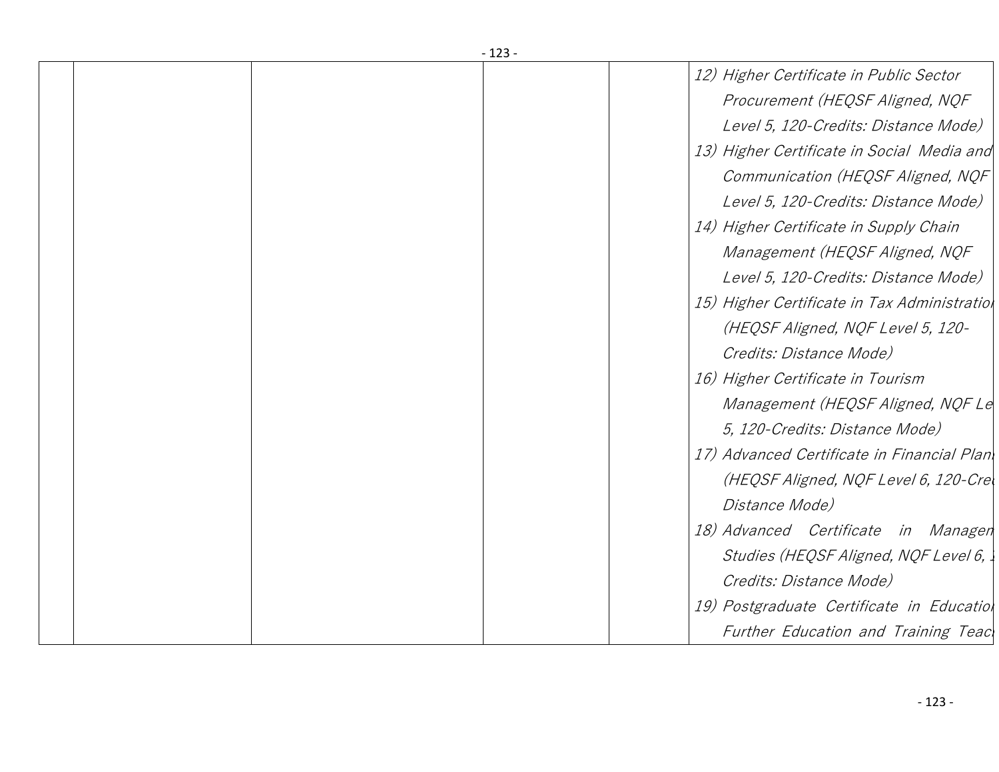|  | -123-                                        |
|--|----------------------------------------------|
|  | 12) Higher Certificate in Public Sector      |
|  | Procurement (HEQSF Aligned, NQF              |
|  | Level 5, 120-Credits: Distance Mode)         |
|  | 13) Higher Certificate in Social Media and   |
|  | Communication (HEQSF Aligned, NQF            |
|  | Level 5, 120-Credits: Distance Mode)         |
|  | 14) Higher Certificate in Supply Chain       |
|  | Management (HEQSF Aligned, NQF               |
|  | Level 5, 120-Credits: Distance Mode)         |
|  | 15) Higher Certificate in Tax Administratiol |
|  | (HEQSF Aligned, NQF Level 5, 120-            |
|  | Credits: Distance Mode)                      |
|  | 16) Higher Certificate in Tourism            |
|  | Management (HEQSF Aligned, NQF Le            |
|  | 5, 120-Credits: Distance Mode)               |
|  | 17) Advanced Certificate in Financial Plan   |
|  | (HEQSF Aligned, NQF Level 6, 120-Crel        |
|  | Distance Mode)                               |
|  | 18) Advanced Certificate in Managen          |
|  | Studies (HEQSF Aligned, NQF Level 6,         |
|  | Credits: Distance Mode)                      |
|  | 19) Postgraduate Certificate in Educatiol    |
|  | Further Education and Training Teac          |
|  |                                              |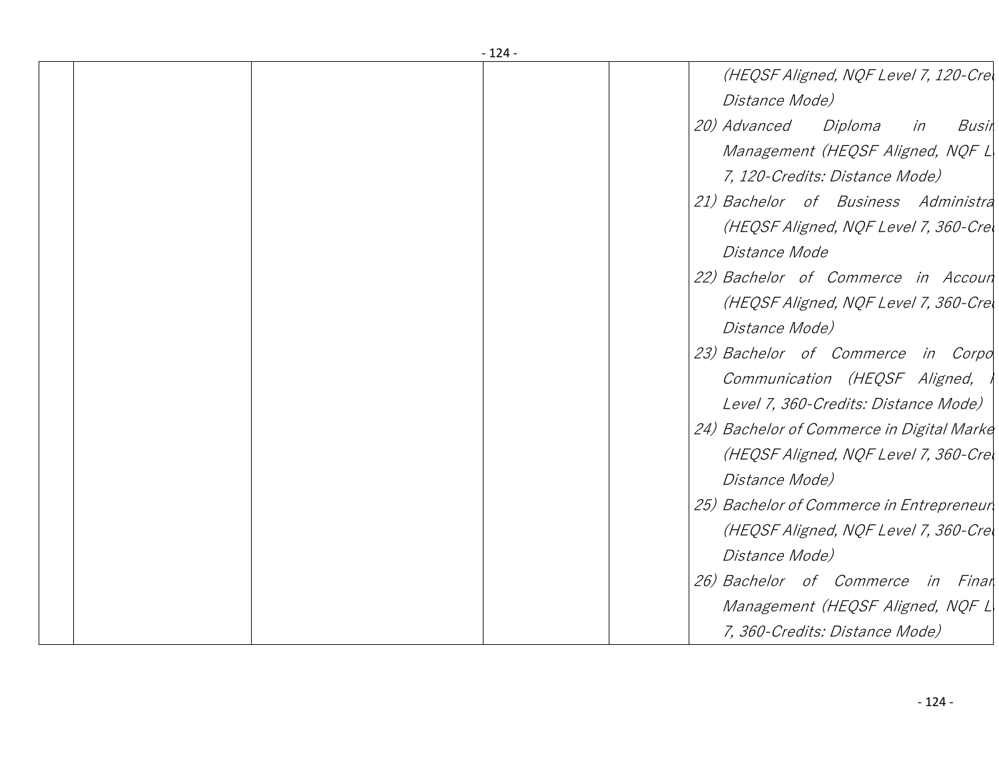| - 124 - |                                                         |
|---------|---------------------------------------------------------|
|         | (HEQSF Aligned, NQF Level 7, 120-Crel<br>Distance Mode) |
|         |                                                         |
|         | <i>20) Advanced</i><br>Diploma<br>in<br>Busin           |
|         | Management (HEQSF Aligned, NQF L                        |
|         | 7, 120-Credits: Distance Mode)                          |
|         | 21) Bachelor of Business Administra                     |
|         | (HEQSF Aligned, NQF Level 7, 360-Crel                   |
|         | Distance Mode                                           |
|         | 22) Bachelor of Commerce in Accoun                      |
|         | (HEQSF Aligned, NQF Level 7, 360-Crel                   |
|         | <i>Distance Mode)</i>                                   |
|         | 23) Bachelor of Commerce in Corpo                       |
|         | Communication (HEQSF Aligned,                           |
|         | Level 7, 360-Credits: Distance Mode)                    |
|         | 24) Bachelor of Commerce in Digital Marke               |
|         | (HEQSF Aligned, NQF Level 7, 360-Crel                   |
|         | Distance Mode)                                          |
|         | 25) Bachelor of Commerce in Entrepreneur                |
|         | (HEQSF Aligned, NQF Level 7, 360-Crel                   |
|         | Distance Mode)                                          |
|         | 26) Bachelor of Commerce in Final                       |
|         | Management (HEQSF Aligned, NQF L                        |
|         |                                                         |
|         | 7, 360-Credits: Distance Mode)                          |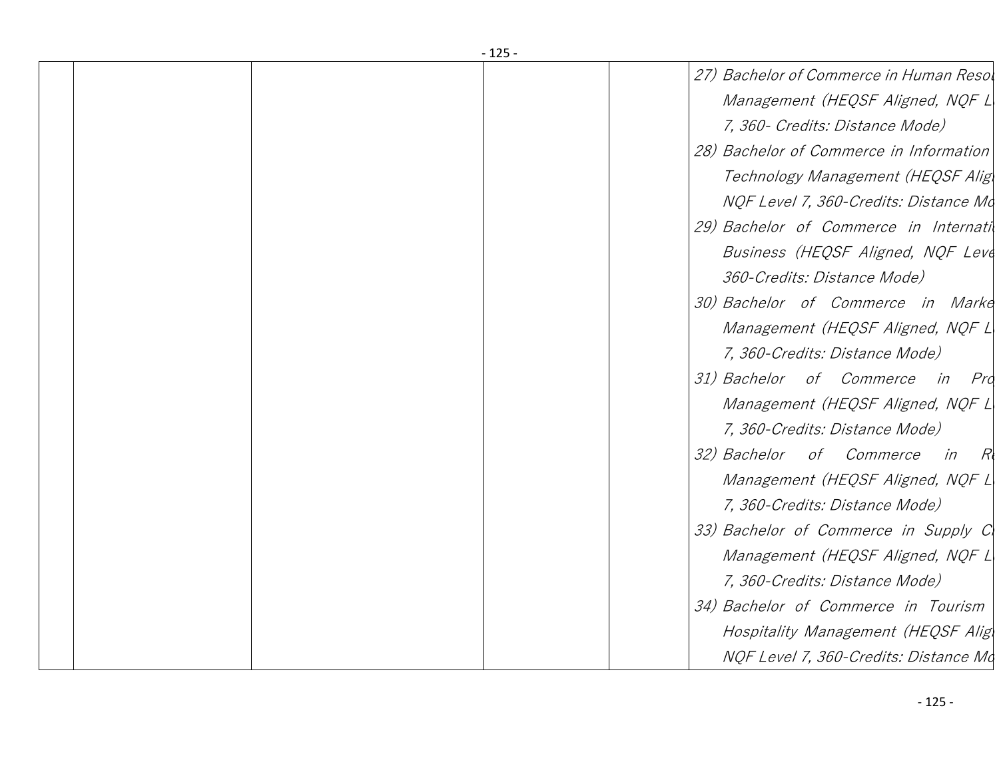| - 125 - |  |                                         |  |  |  |
|---------|--|-----------------------------------------|--|--|--|
|         |  | 27) Bachelor of Commerce in Human Resol |  |  |  |
|         |  | Management (HEQSF Aligned, NQF L        |  |  |  |
|         |  | 7, 360 - Credits: Distance Mode)        |  |  |  |
|         |  | 28) Bachelor of Commerce in Information |  |  |  |
|         |  | Technology Management (HEQSF Alig)      |  |  |  |
|         |  | NQF Level 7, 360-Credits: Distance Mo   |  |  |  |
|         |  | 29) Bachelor of Commerce in Internativ  |  |  |  |
|         |  | Business (HEQSF Aligned, NQF Leve       |  |  |  |
|         |  | 360-Credits: Distance Mode)             |  |  |  |
|         |  | 30) Bachelor of Commerce in Marke       |  |  |  |
|         |  | Management (HEQSF Aligned, NQF L        |  |  |  |
|         |  | 7, 360-Credits: Distance Mode)          |  |  |  |
|         |  | 31) Bachelor of Commerce in<br>Pro      |  |  |  |
|         |  | Management (HEQSF Aligned, NQF L        |  |  |  |
|         |  | 7, 360-Credits: Distance Mode)          |  |  |  |
|         |  | 32) Bachelor of Commerce<br>in<br>R     |  |  |  |
|         |  | Management (HEQSF Aligned, NQF L        |  |  |  |
|         |  | 7, 360-Credits: Distance Mode)          |  |  |  |
|         |  | 33) Bachelor of Commerce in Supply C    |  |  |  |
|         |  | Management (HEQSF Aligned, NQF L        |  |  |  |
|         |  | 7, 360-Credits: Distance Mode)          |  |  |  |
|         |  | 34) Bachelor of Commerce in Tourism     |  |  |  |
|         |  | Hospitality Management (HEQSF Alig)     |  |  |  |
|         |  | NQF Level 7, 360-Credits: Distance Mo   |  |  |  |
|         |  |                                         |  |  |  |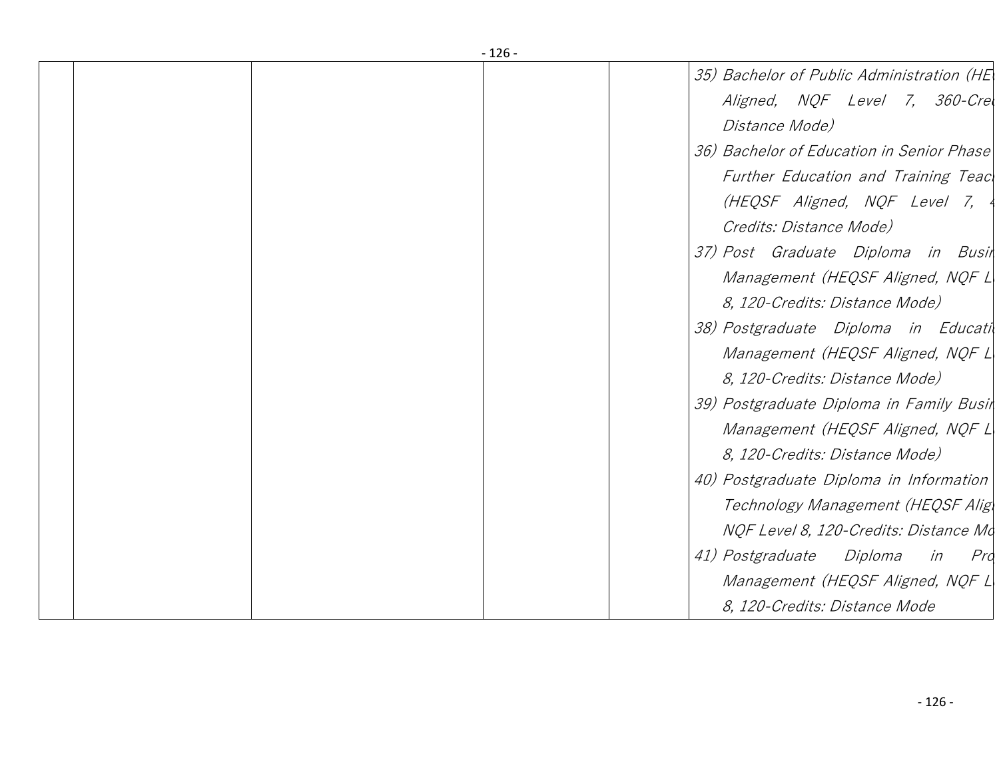| $-126-$ |                                                 |  |  |  |
|---------|-------------------------------------------------|--|--|--|
|         | 35) Bachelor of Public Administration (HE)      |  |  |  |
|         | Aligned, NQF Level 7, 360-Crel                  |  |  |  |
|         | Distance Mode)                                  |  |  |  |
|         | 36) Bachelor of Education in Senior Phase       |  |  |  |
|         | Further Education and Training Teac             |  |  |  |
|         | (HEQSF Aligned, NQF Level 7,                    |  |  |  |
|         | Credits: Distance Mode)                         |  |  |  |
|         | 37) Post Graduate Diploma in Busin              |  |  |  |
|         | Management (HEQSF Aligned, NQF L                |  |  |  |
|         | 8, 120-Credits: Distance Mode)                  |  |  |  |
|         | 38) Postgraduate Diploma in Educati             |  |  |  |
|         | Management (HEQSF Aligned, NQF L                |  |  |  |
|         | 8, 120-Credits: Distance Mode)                  |  |  |  |
|         | 39) Postgraduate Diploma in Family Busin        |  |  |  |
|         | Management (HEQSF Aligned, NQF L                |  |  |  |
|         | 8, 120-Credits: Distance Mode)                  |  |  |  |
|         | 40) Postgraduate Diploma in Information         |  |  |  |
|         | Technology Management (HEQSF Alig               |  |  |  |
|         | NQF Level 8, 120-Credits: Distance Mo           |  |  |  |
|         | <i>41) Postgraduate</i><br>Diploma<br>Pro<br>in |  |  |  |
|         | Management (HEQSF Aligned, NQF L                |  |  |  |
|         | 8, 120-Credits: Distance Mode                   |  |  |  |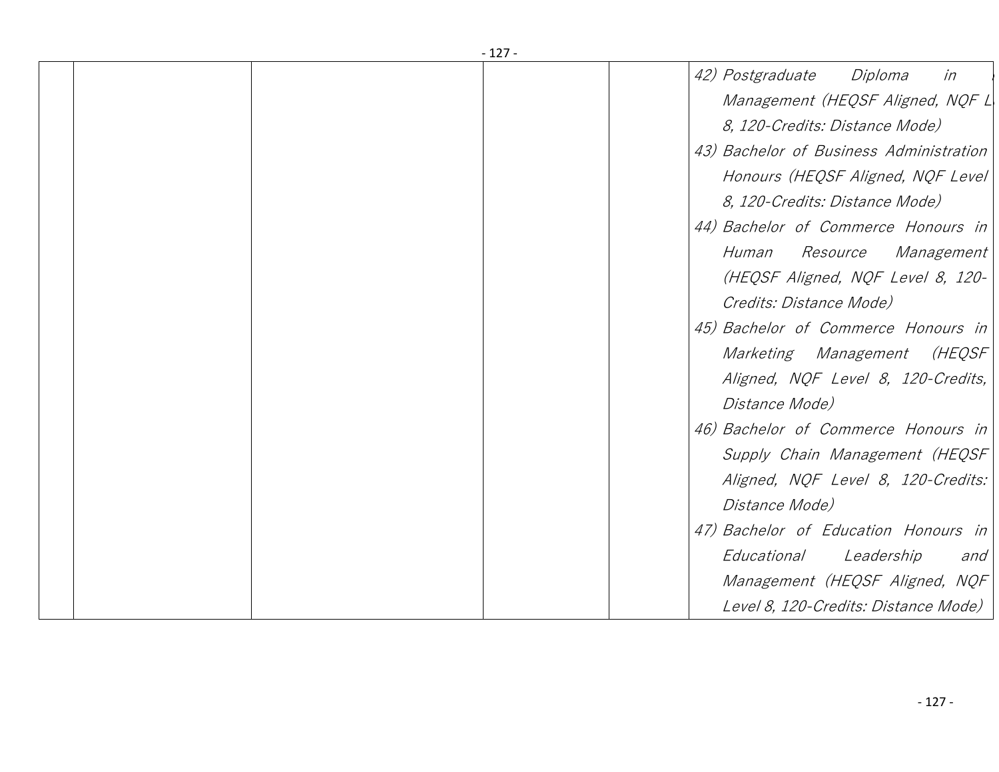| -127- |                                               |
|-------|-----------------------------------------------|
|       | 42) Postgraduate<br>Diploma<br>in             |
|       | Management (HEQSF Aligned, NQF L              |
|       | 8, 120-Credits: Distance Mode)                |
|       | 43) Bachelor of Business Administration       |
|       | Honours (HEQSF Aligned, NQF Level             |
|       | 8, 120-Credits: Distance Mode)                |
|       | 44) Bachelor of Commerce Honours in           |
|       | <i>Resource</i><br><i>Management</i><br>Human |
|       | (HEQSF Aligned, NQF Level 8, 120-             |
|       | Credits: Distance Mode)                       |
|       | 45) Bachelor of Commerce Honours in           |
|       | (HEQSF<br>Marketing Management                |
|       | Aligned, NQF Level 8, 120-Credits,            |
|       | <i>Distance Mode)</i>                         |
|       | 46) Bachelor of Commerce Honours in           |
|       | Supply Chain Management (HEQSF                |
|       | Aligned, NQF Level 8, 120-Credits:            |
|       | Distance Mode)                                |
|       | 47) Bachelor of Education Honours in          |
|       | Educational<br>Leadership<br>and              |
|       | Management (HEQSF Aligned, NQF                |
|       | Level 8, 120-Credits: Distance Mode)          |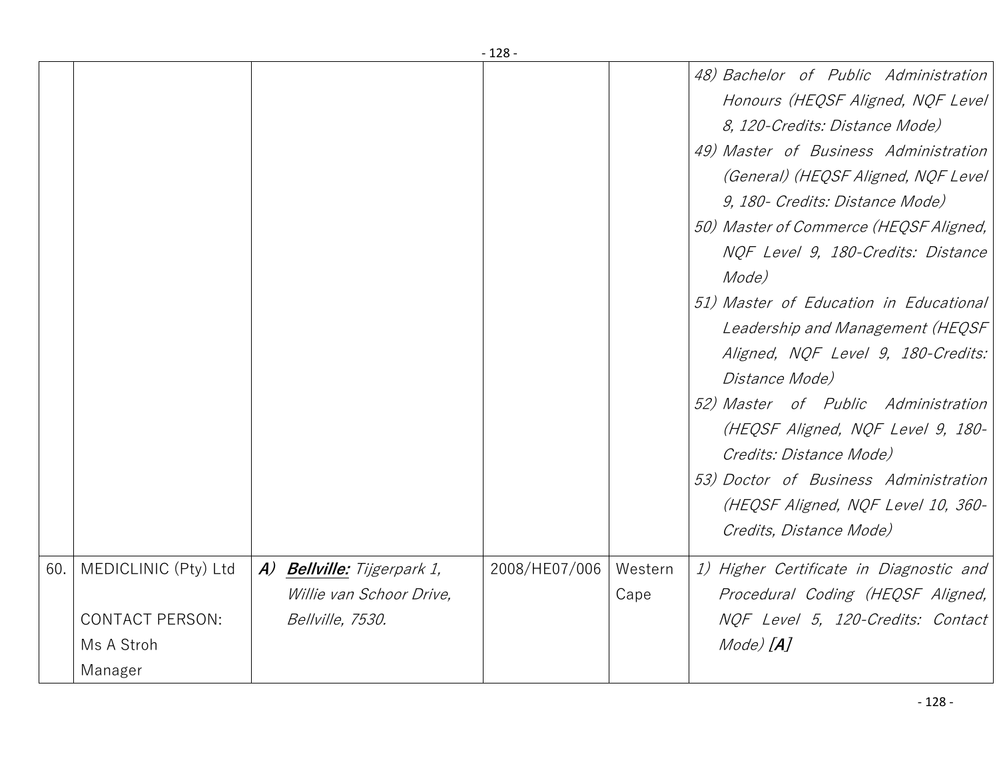|     |                                                                         |                                                                             | - 128 -       |                 |                                                                                                                                                                                                                                                                                                                                                                                                                                                                                                                                                                                                                                                                                    |
|-----|-------------------------------------------------------------------------|-----------------------------------------------------------------------------|---------------|-----------------|------------------------------------------------------------------------------------------------------------------------------------------------------------------------------------------------------------------------------------------------------------------------------------------------------------------------------------------------------------------------------------------------------------------------------------------------------------------------------------------------------------------------------------------------------------------------------------------------------------------------------------------------------------------------------------|
|     |                                                                         |                                                                             |               |                 | 48) Bachelor of Public Administration<br>Honours (HEQSF Aligned, NQF Level)<br>8, 120-Credits: Distance Mode)<br>49) Master of Business Administration<br>(General) (HEQSF Aligned, NQF Level)<br>9, 180 - Credits: Distance Mode)<br>50) Master of Commerce (HEQSF Aligned,<br>NQF Level 9, 180-Credits: Distance<br>Mode)<br>51) Master of Education in Educational<br>Leadership and Management (HEQSF<br>Aligned, NQF Level 9, 180-Credits:<br>Distance Mode)<br>52) Master of Public Administration<br>(HEQSF Aligned, NQF Level 9, 180-<br>Credits: Distance Mode)<br>53) Doctor of Business Administration<br>(HEQSF Aligned, NQF Level 10, 360-<br>Credits, Distance Mode) |
| 60. | MEDICLINIC (Pty) Ltd<br><b>CONTACT PERSON:</b><br>Ms A Stroh<br>Manager | A) Bellville: Tijgerpark 1,<br>Willie van Schoor Drive,<br>Bellville, 7530. | 2008/HE07/006 | Western<br>Cape | 1) Higher Certificate in Diagnostic and<br>Procedural Coding (HEQSF Aligned,<br>NOF Level 5, 120-Credits: Contact<br>Mode) [ <b>A</b> ]                                                                                                                                                                                                                                                                                                                                                                                                                                                                                                                                            |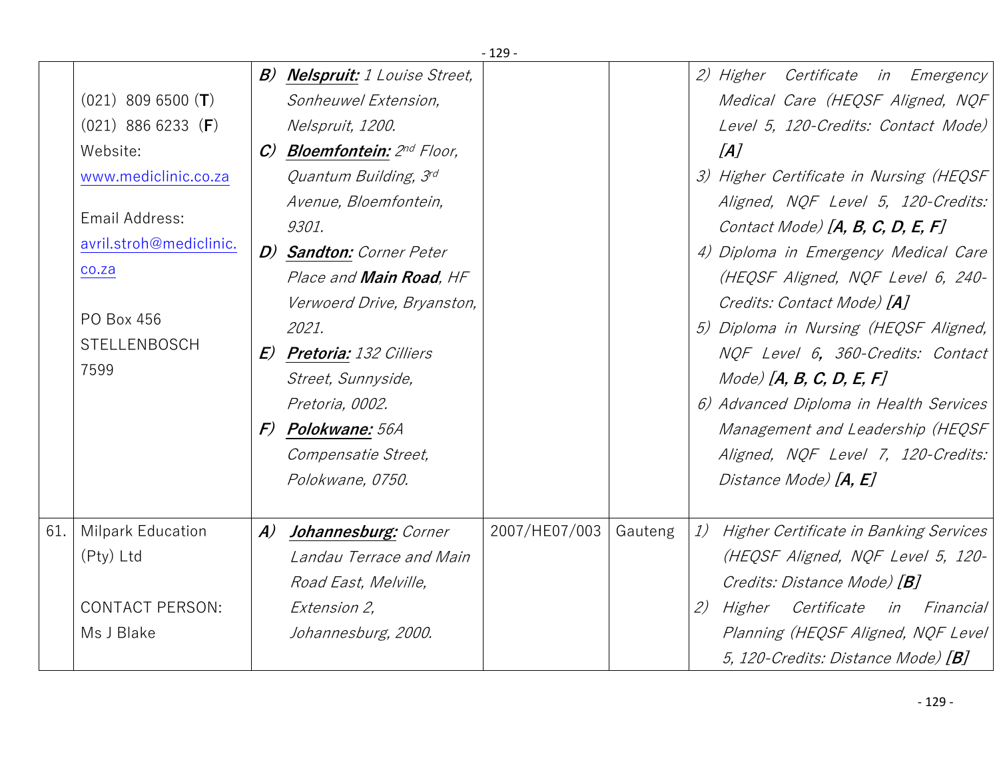|     |                                                                                                                                                                              |                  |                                                                                                                                                                                                                                                                                                                                                                                                                     | - 129 -       |         |    |                                                                                                                                                                                                                                                                                                                                                                                                                                                                                                                                                                                                                          |
|-----|------------------------------------------------------------------------------------------------------------------------------------------------------------------------------|------------------|---------------------------------------------------------------------------------------------------------------------------------------------------------------------------------------------------------------------------------------------------------------------------------------------------------------------------------------------------------------------------------------------------------------------|---------------|---------|----|--------------------------------------------------------------------------------------------------------------------------------------------------------------------------------------------------------------------------------------------------------------------------------------------------------------------------------------------------------------------------------------------------------------------------------------------------------------------------------------------------------------------------------------------------------------------------------------------------------------------------|
|     | $(021)$ 809 6500 (T)<br>$(021)$ 886 6233 (F)<br>Website:<br>www.mediclinic.co.za<br>Email Address:<br>avril.stroh@mediclinic.<br>co.za<br>PO Box 456<br>STELLENBOSCH<br>7599 | B)               | <b>Nelspruit:</b> 1 Louise Street,<br>Sonheuwel Extension,<br>Nelspruit, 1200.<br>C) Bloemfontein: 2nd Floor,<br>Quantum Building, 3rd<br>Avenue, Bloemfontein,<br>9301.<br>D) Sandton: Corner Peter<br>Place and Main Road, HF<br>Verwoerd Drive, Bryanston,<br>2021.<br><b>E) Pretoria:</b> 132 Cilliers<br>Street, Sunnyside,<br>Pretoria, 0002.<br>F) Polokwane: 56A<br>Compensatie Street,<br>Polokwane, 0750. |               |         |    | 2) Higher Certificate in Emergency<br>Medical Care (HEQSF Aligned, NQF<br>Level 5, 120-Credits: Contact Mode)<br>[A]<br>3) Higher Certificate in Nursing (HEQSF<br>Aligned, NQF Level 5, 120-Credits:<br>Contact Mode) $[A, B, C, D, E, F]$<br>4) Diploma in Emergency Medical Care<br>(HEQSF Aligned, NQF Level 6, 240-<br>Credits: Contact Mode) [A]<br>5) Diploma in Nursing (HEQSF Aligned,<br>NOF Level 6, 360-Credits: Contact<br>$Mode)$ [A, B, C, D, E, F]<br>6) Advanced Diploma in Health Services<br>Management and Leadership (HEQSF<br>Aligned, NQF Level 7, 120-Credits:<br>Distance Mode) [ <b>A, E</b> ] |
| 61. | <b>Milpark Education</b><br>(Pty) Ltd<br><b>CONTACT PERSON:</b><br>Ms J Blake                                                                                                | $\boldsymbol{A}$ | Johannesburg: Corner<br>Landau Terrace and Main<br>Road East, Melville,<br>Extension 2,<br>Johannesburg, 2000.                                                                                                                                                                                                                                                                                                      | 2007/HE07/003 | Gauteng | 2) | 1) Higher Certificate in Banking Services<br>(HEQSF Aligned, NQF Level 5, 120-<br>Credits: Distance Mode) [B]<br>Higher Certificate in Financial<br>Planning (HEQSF Aligned, NQF Level<br>5, 120-Credits: Distance Mode) [B]                                                                                                                                                                                                                                                                                                                                                                                             |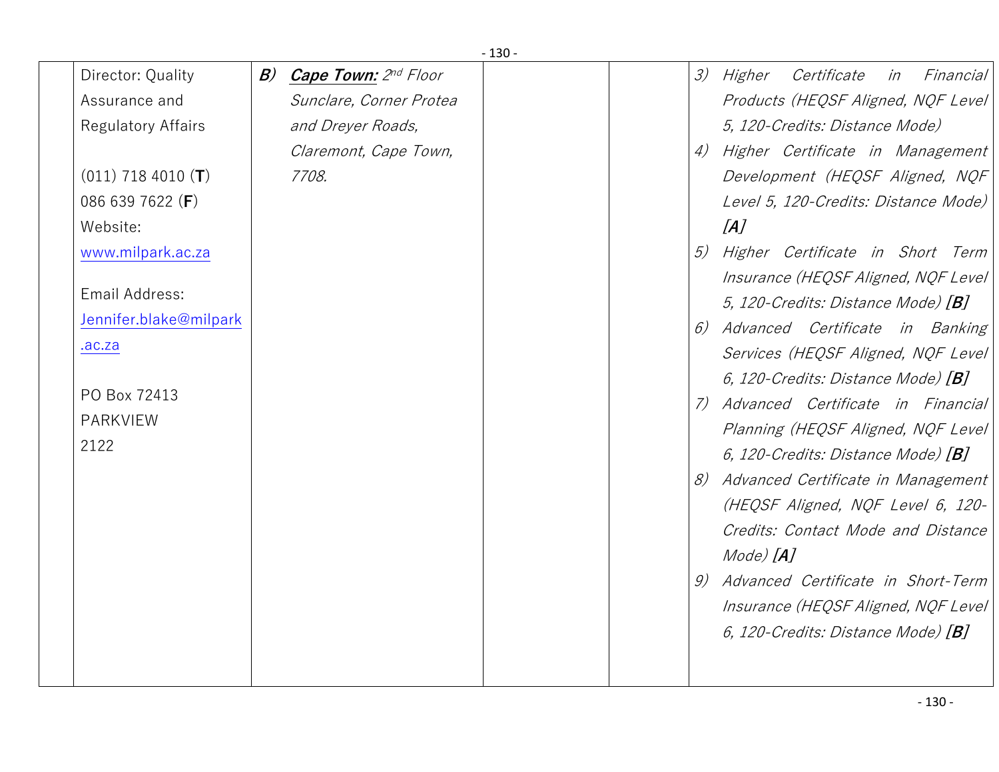|                        | $-130-$                           |                                                    |  |
|------------------------|-----------------------------------|----------------------------------------------------|--|
| Director: Quality      | B)<br><b>Cape Town:</b> 2nd Floor | Certificate<br><i>3) Higher</i><br>Financial<br>in |  |
| Assurance and          | Sunclare, Corner Protea           | Products (HEQSF Aligned, NQF Level                 |  |
| Regulatory Affairs     | and Dreyer Roads,                 | 5, 120-Credits: Distance Mode)                     |  |
|                        | Claremont, Cape Town,             | 4) Higher Certificate in Management                |  |
| $(011)$ 718 4010 (T)   | 7708.                             | Development (HEQSF Aligned, NQF                    |  |
| 086 639 7622 (F)       |                                   | Level 5, 120-Credits: Distance Mode)               |  |
| Website:               |                                   | [A]                                                |  |
| www.milpark.ac.za      |                                   | 5) Higher Certificate in Short Term                |  |
|                        |                                   | Insurance (HEQSF Aligned, NQF Level)               |  |
| Email Address:         |                                   | 5, 120-Credits: Distance Mode) [B]                 |  |
| Jennifer.blake@milpark |                                   | 6) Advanced Certificate in Banking                 |  |
| ac.za                  |                                   | Services (HEQSF Aligned, NQF Level                 |  |
|                        |                                   | 6, 120-Credits: Distance Mode) $[B]$               |  |
| PO Box 72413           |                                   | 7) Advanced Certificate in Financial               |  |
| <b>PARKVIEW</b>        |                                   | Planning (HEQSF Aligned, NQF Level                 |  |
| 2122                   |                                   | 6, 120-Credits: Distance Mode) $[B]$               |  |
|                        |                                   | 8) Advanced Certificate in Management              |  |
|                        |                                   | (HEQSF Aligned, NQF Level 6, 120-                  |  |
|                        |                                   | Credits: Contact Mode and Distance                 |  |
|                        |                                   | Mode) [ <b>A</b> ]                                 |  |
|                        |                                   | 9) Advanced Certificate in Short-Term              |  |
|                        |                                   | Insurance (HEQSF Aligned, NQF Level                |  |
|                        |                                   | 6, 120-Credits: Distance Mode) $[B]$               |  |
|                        |                                   |                                                    |  |
|                        |                                   |                                                    |  |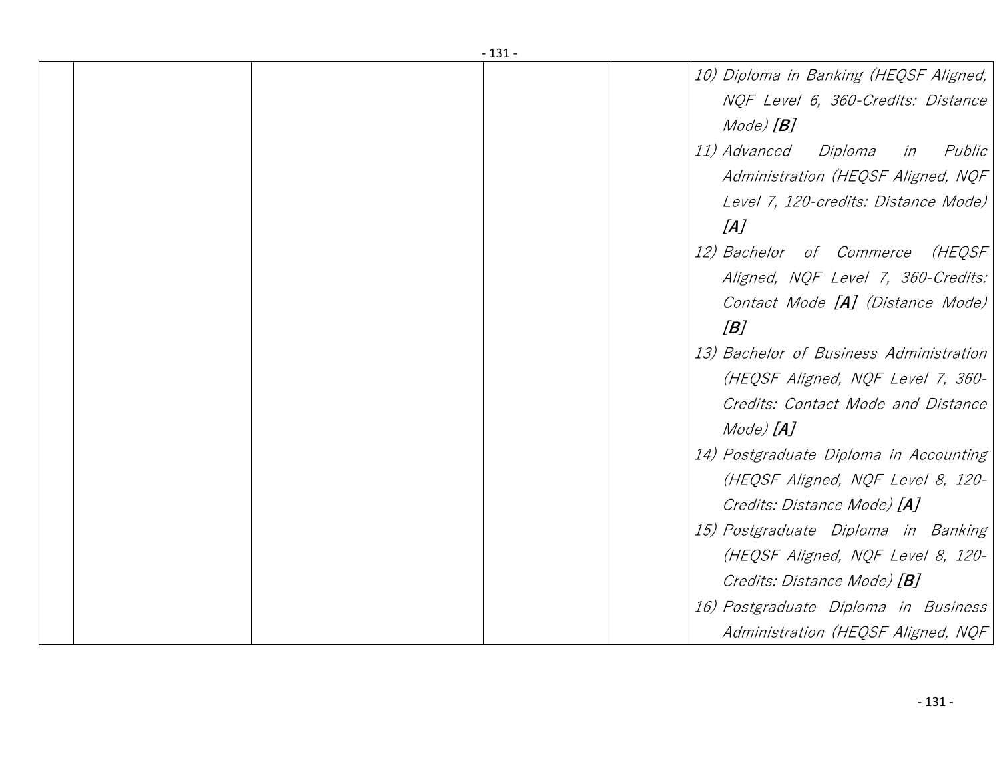| - 131 -                                        |
|------------------------------------------------|
| 10) Diploma in Banking (HEQSF Aligned,         |
| NQF Level 6, 360-Credits: Distance             |
| Mode) [ <b>B</b> ]                             |
| <i>11) Advanced</i><br>Diploma<br>Public<br>in |
| Administration (HEQSF Aligned, NQF             |
| Level 7, 120-credits: Distance Mode)           |
| [A]                                            |
|                                                |
| 12) Bachelor of Commerce<br>(HEQSF             |
| Aligned, NQF Level 7, 360-Credits:             |
| Contact Mode [A] (Distance Mode)               |
| B                                              |
| 13) Bachelor of Business Administration        |
| (HEQSF Aligned, NQF Level 7, 360-              |
| Credits: Contact Mode and Distance             |
| Mode) [ <b>A</b> ]                             |
| 14) Postgraduate Diploma in Accounting         |
| (HEQSF Aligned, NQF Level 8, 120-              |
| Credits: Distance Mode) [A]                    |
| 15) Postgraduate Diploma in Banking            |
| (HEQSF Aligned, NQF Level 8, 120-              |
| Credits: Distance Mode) [ <b>B</b> ]           |
| 16) Postgraduate Diploma in Business           |
| Administration (HEQSF Aligned, NQF             |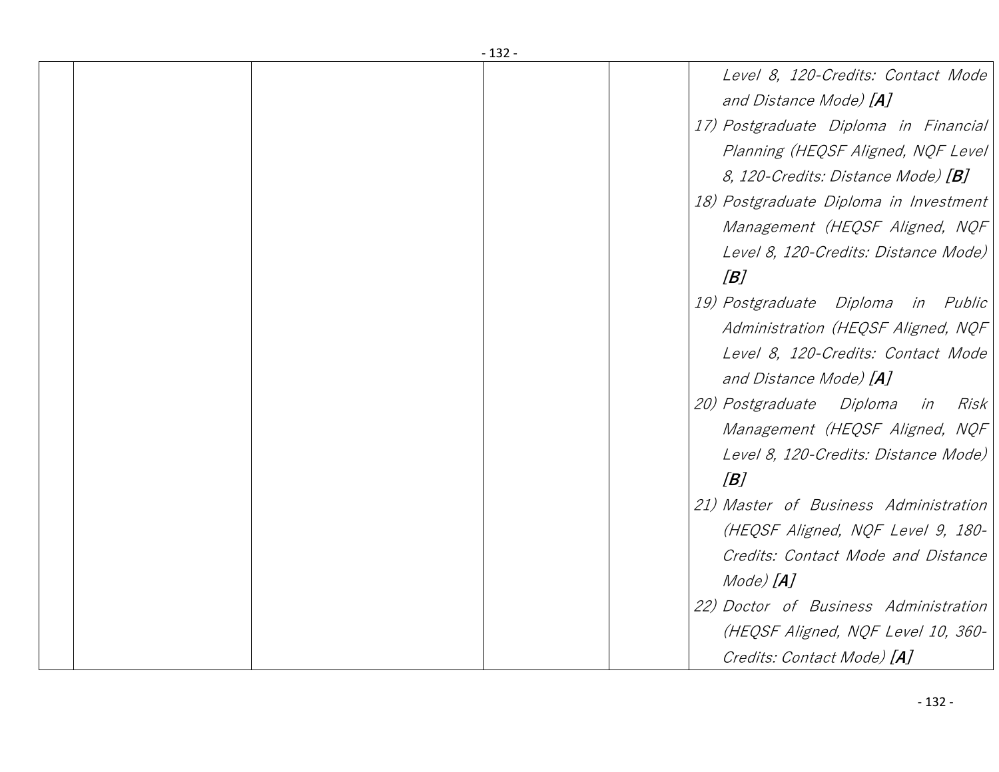| $-132-$ |                                                    |  |  |  |  |
|---------|----------------------------------------------------|--|--|--|--|
|         | Level 8, 120-Credits: Contact Mode                 |  |  |  |  |
|         | and Distance Mode) [A]                             |  |  |  |  |
|         | 17) Postgraduate Diploma in Financial              |  |  |  |  |
|         | Planning (HEQSF Aligned, NQF Level                 |  |  |  |  |
|         | <i>8, 120-Credits: Distance Mode)</i> [ <b>B</b> ] |  |  |  |  |
|         | 18) Postgraduate Diploma in Investment             |  |  |  |  |
|         | Management (HEQSF Aligned, NQF                     |  |  |  |  |
|         | Level 8, 120-Credits: Distance Mode)               |  |  |  |  |
|         | B                                                  |  |  |  |  |
|         | 19) Postgraduate Diploma in Public                 |  |  |  |  |
|         | Administration (HEQSF Aligned, NQF                 |  |  |  |  |
|         | Level 8, 120-Credits: Contact Mode                 |  |  |  |  |
|         | and Distance Mode) [A]                             |  |  |  |  |
|         | 20) Postgraduate Diploma<br>Risk<br>in             |  |  |  |  |
|         | Management (HEQSF Aligned, NQF                     |  |  |  |  |
|         | Level 8, 120-Credits: Distance Mode)               |  |  |  |  |
|         | B                                                  |  |  |  |  |
|         | 21) Master of Business Administration              |  |  |  |  |
|         | (HEQSF Aligned, NQF Level 9, 180-                  |  |  |  |  |
|         | Credits: Contact Mode and Distance                 |  |  |  |  |
|         | Mode) [ <b>A</b> ]                                 |  |  |  |  |
|         | 22) Doctor of Business Administration              |  |  |  |  |
|         | (HEQSF Aligned, NQF Level 10, 360-                 |  |  |  |  |
|         | Credits: Contact Mode) [A]                         |  |  |  |  |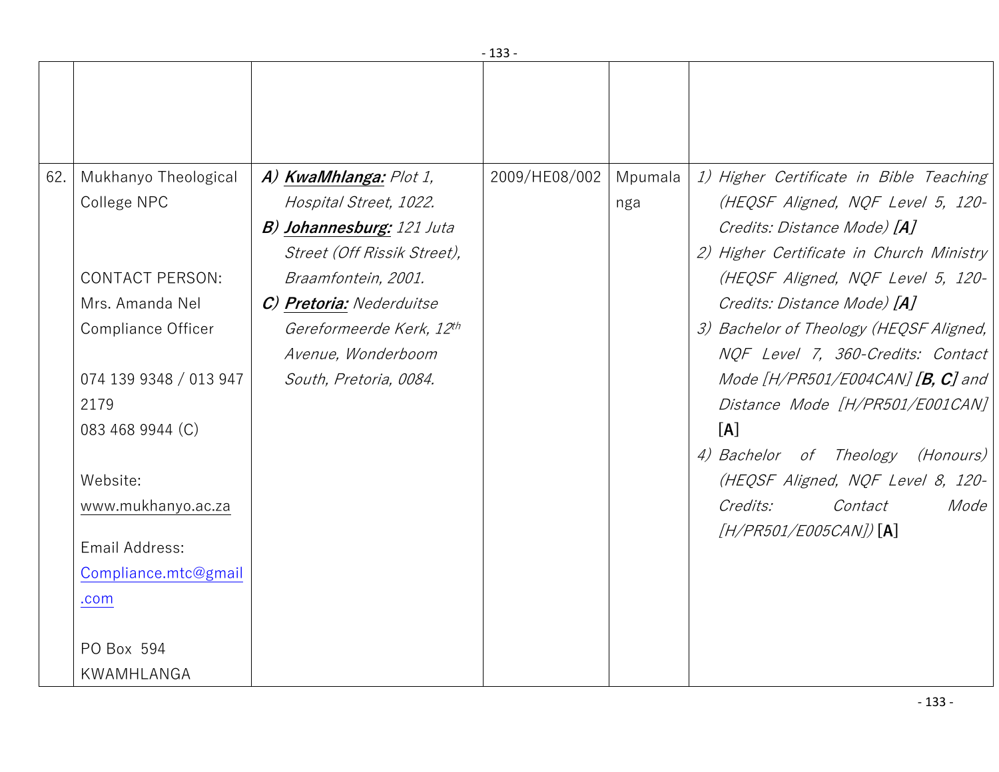|     |                                                    |                                                                                        | - ככד -       |                |                                                                                                              |
|-----|----------------------------------------------------|----------------------------------------------------------------------------------------|---------------|----------------|--------------------------------------------------------------------------------------------------------------|
| 62. | Mukhanyo Theological<br>College NPC                | A) KwaMhlanga: Plot 1,<br>Hospital Street, 1022.                                       | 2009/HE08/002 | Mpumala<br>nga | 1) Higher Certificate in Bible Teaching<br>(HEQSF Aligned, NQF Level 5, 120-                                 |
|     | <b>CONTACT PERSON:</b>                             | <b>B) Johannesburg:</b> 121 Juta<br>Street (Off Rissik Street),<br>Braamfontein, 2001. |               |                | Credits: Distance Mode) [A]<br>2) Higher Certificate in Church Ministry<br>(HEQSF Aligned, NQF Level 5, 120- |
|     | Mrs. Amanda Nel                                    | C) Pretoria: Nederduitse                                                               |               |                | Credits: Distance Mode) [A]                                                                                  |
|     | Compliance Officer                                 | Gereformeerde Kerk, 12th<br>Avenue, Wonderboom                                         |               |                | 3) Bachelor of Theology (HEQSF Aligned,<br>NOF Level 7, 360-Credits: Contact                                 |
|     | 074 139 9348 / 013 947<br>2179<br>083 468 9944 (C) | South, Pretoria, 0084.                                                                 |               |                | Mode $[H/PR501/E004CAN]$ [B, C] and<br>Distance Mode [H/PR501/E001CAN]                                       |
|     | Website:                                           |                                                                                        |               |                | [A]<br>4) Bachelor of Theology (Honours)<br>(HEQSF Aligned, NQF Level 8, 120-                                |
|     | www.mukhanyo.ac.za                                 |                                                                                        |               |                | Credits:<br>Contact<br>Mode                                                                                  |
|     | Email Address:                                     |                                                                                        |               |                | $[H/PR501/E005CAN])$ [A]                                                                                     |
|     | Compliance.mtc@gmail                               |                                                                                        |               |                |                                                                                                              |
|     | .com                                               |                                                                                        |               |                |                                                                                                              |
|     | PO Box 594                                         |                                                                                        |               |                |                                                                                                              |
|     | KWAMHLANGA                                         |                                                                                        |               |                |                                                                                                              |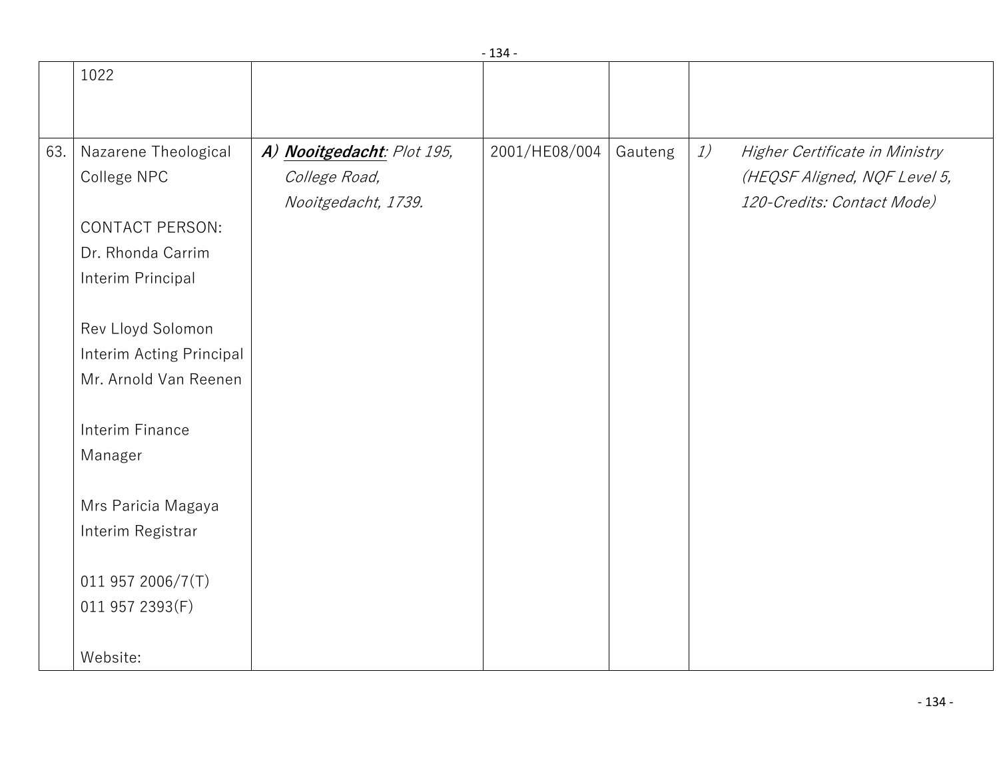|     |                          |                            | ᅩ┙┯           |         |    |                                |
|-----|--------------------------|----------------------------|---------------|---------|----|--------------------------------|
|     | 1022                     |                            |               |         |    |                                |
|     |                          |                            |               |         |    |                                |
|     |                          |                            |               |         |    |                                |
| 63. | Nazarene Theological     | A) Nooitgedacht: Plot 195, | 2001/HE08/004 | Gauteng | 1) | Higher Certificate in Ministry |
|     | College NPC              | College Road,              |               |         |    | (HEQSF Aligned, NQF Level 5,   |
|     |                          | Nooitgedacht, 1739.        |               |         |    | 120-Credits: Contact Mode)     |
|     | CONTACT PERSON:          |                            |               |         |    |                                |
|     | Dr. Rhonda Carrim        |                            |               |         |    |                                |
|     | Interim Principal        |                            |               |         |    |                                |
|     |                          |                            |               |         |    |                                |
|     | Rev Lloyd Solomon        |                            |               |         |    |                                |
|     | Interim Acting Principal |                            |               |         |    |                                |
|     | Mr. Arnold Van Reenen    |                            |               |         |    |                                |
|     |                          |                            |               |         |    |                                |
|     | Interim Finance          |                            |               |         |    |                                |
|     | Manager                  |                            |               |         |    |                                |
|     |                          |                            |               |         |    |                                |
|     | Mrs Paricia Magaya       |                            |               |         |    |                                |
|     | Interim Registrar        |                            |               |         |    |                                |
|     |                          |                            |               |         |    |                                |
|     | 011 957 2006/7(T)        |                            |               |         |    |                                |
|     | 011 957 2393(F)          |                            |               |         |    |                                |
|     |                          |                            |               |         |    |                                |
|     | Website:                 |                            |               |         |    |                                |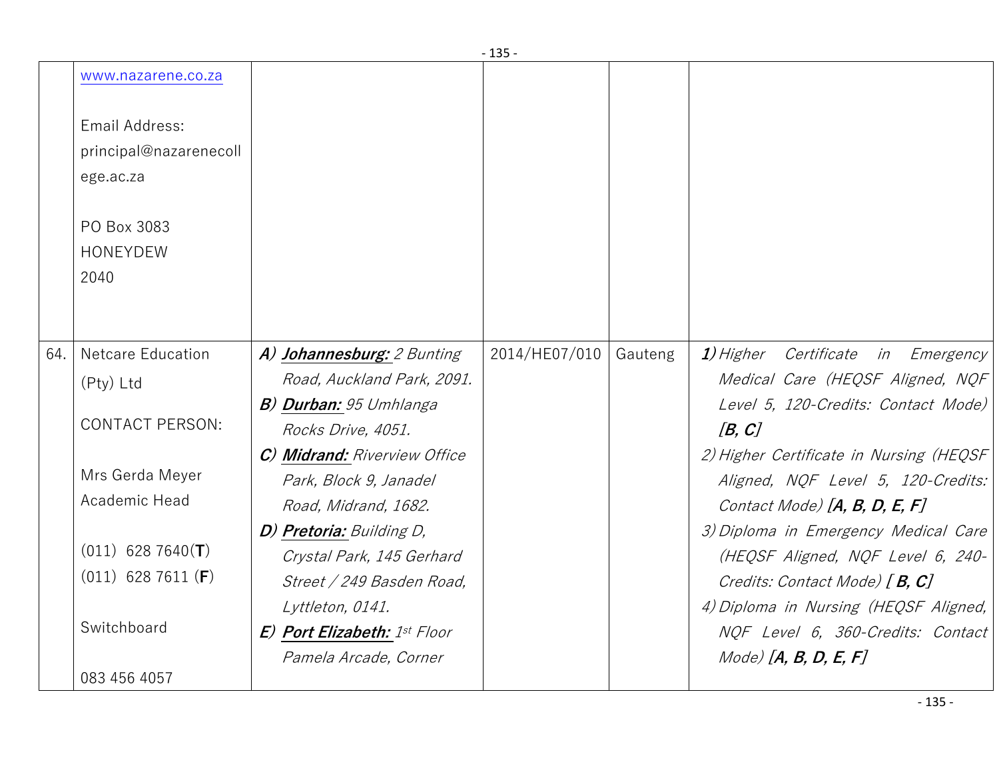|     | www.nazarene.co.za             |                                     |               |         |                                         |
|-----|--------------------------------|-------------------------------------|---------------|---------|-----------------------------------------|
|     | Email Address:                 |                                     |               |         |                                         |
|     | principal@nazarenecoll         |                                     |               |         |                                         |
|     | ege.ac.za                      |                                     |               |         |                                         |
|     | PO Box 3083<br><b>HONEYDEW</b> |                                     |               |         |                                         |
|     | 2040                           |                                     |               |         |                                         |
|     |                                |                                     |               |         |                                         |
| 64. | <b>Netcare Education</b>       | A) Johannesburg: 2 Bunting          | 2014/HE07/010 | Gauteng | 1) Higher Certificate in Emergency      |
|     | (Pty) Ltd                      | Road, Auckland Park, 2091.          |               |         | Medical Care (HEQSF Aligned, NQF        |
|     |                                | <b>B) Durban:</b> 95 Umhlanga       |               |         | Level 5, 120-Credits: Contact Mode)     |
|     | <b>CONTACT PERSON:</b>         | Rocks Drive, 4051.                  |               |         | [B, C]                                  |
|     |                                | C) Midrand: Riverview Office        |               |         | 2) Higher Certificate in Nursing (HEQSF |
|     | Mrs Gerda Meyer                | Park, Block 9, Janadel              |               |         | Aligned, NQF Level 5, 120-Credits:      |
|     | Academic Head                  | Road, Midrand, 1682.                |               |         | Contact Mode) $[A, B, D, E, F]$         |
|     |                                | D) Pretoria: Building D,            |               |         | 3) Diploma in Emergency Medical Care    |
|     | $(011)$ 628 7640(T)            | Crystal Park, 145 Gerhard           |               |         | (HEQSF Aligned, NQF Level 6, 240-       |
|     | $(011)$ 628 7611 (F)           | Street / 249 Basden Road,           |               |         | Credits: Contact Mode) $[B, C]$         |
|     |                                | Lyttleton, 0141.                    |               |         | 4) Diploma in Nursing (HEQSF Aligned,   |
|     | Switchboard                    | <b>E) Port Elizabeth:</b> 1st Floor |               |         | NOF Level 6, 360-Credits: Contact       |
|     |                                | Pamela Arcade, Corner               |               |         | $Mode)$ [A, B, D, E, F]                 |
|     | 083 456 4057                   |                                     |               |         |                                         |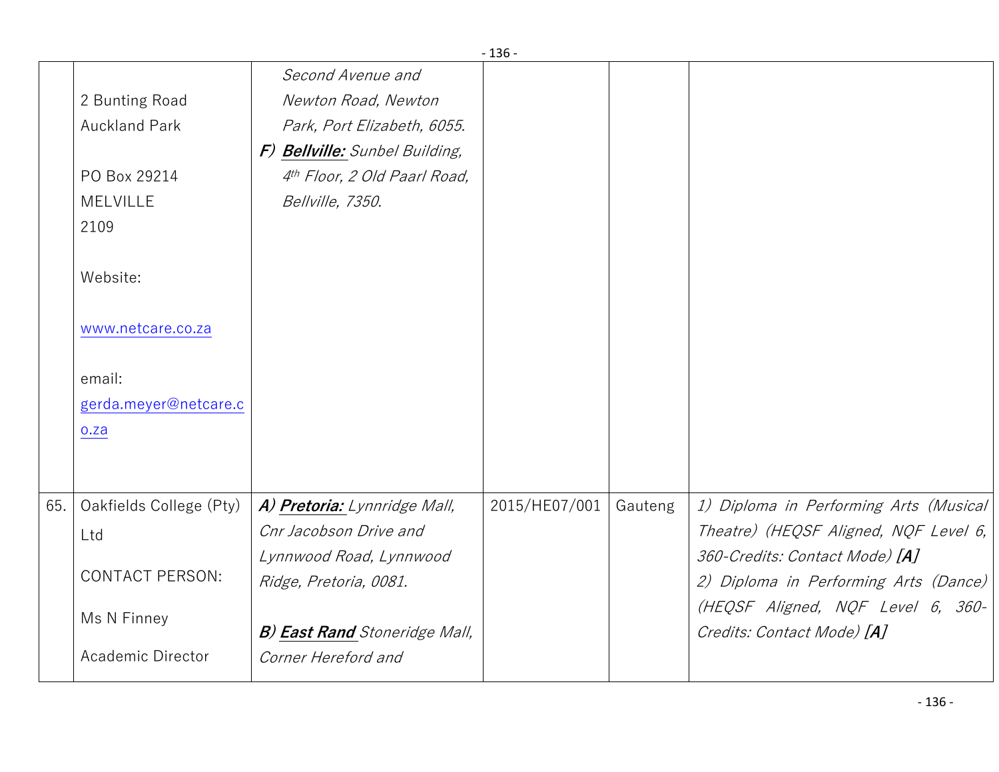|     |                         |                                          | - 136 -       |         |                                        |
|-----|-------------------------|------------------------------------------|---------------|---------|----------------------------------------|
|     |                         | Second Avenue and                        |               |         |                                        |
|     | 2 Bunting Road          | Newton Road, Newton                      |               |         |                                        |
|     | <b>Auckland Park</b>    | Park, Port Elizabeth, 6055.              |               |         |                                        |
|     |                         | F) Bellville: Sunbel Building,           |               |         |                                        |
|     | PO Box 29214            | 4 <sup>th</sup> Floor, 2 Old Paarl Road, |               |         |                                        |
|     | <b>MELVILLE</b>         | Bellville, 7350.                         |               |         |                                        |
|     | 2109                    |                                          |               |         |                                        |
|     |                         |                                          |               |         |                                        |
|     | Website:                |                                          |               |         |                                        |
|     |                         |                                          |               |         |                                        |
|     | www.netcare.co.za       |                                          |               |         |                                        |
|     |                         |                                          |               |         |                                        |
|     | email:                  |                                          |               |         |                                        |
|     | gerda.meyer@netcare.c   |                                          |               |         |                                        |
|     | o.za                    |                                          |               |         |                                        |
|     |                         |                                          |               |         |                                        |
|     |                         |                                          |               |         |                                        |
| 65. | Oakfields College (Pty) | A) Pretoria: Lynnridge Mall,             | 2015/HE07/001 | Gauteng | 1) Diploma in Performing Arts (Musical |
|     | Ltd                     | Cnr Jacobson Drive and                   |               |         | Theatre) (HEQSF Aligned, NQF Level 6,  |
|     |                         | Lynnwood Road, Lynnwood                  |               |         | 360-Credits: Contact Mode) [A]         |
|     | <b>CONTACT PERSON:</b>  | Ridge, Pretoria, 0081.                   |               |         | 2) Diploma in Performing Arts (Dance)  |
|     | Ms N Finney             |                                          |               |         | (HEQSF Aligned, NQF Level 6, 360-      |
|     |                         | <b>B) East Rand</b> Stoneridge Mall,     |               |         | Credits: Contact Mode) [A]             |
|     | Academic Director       | Corner Hereford and                      |               |         |                                        |
|     |                         |                                          |               |         |                                        |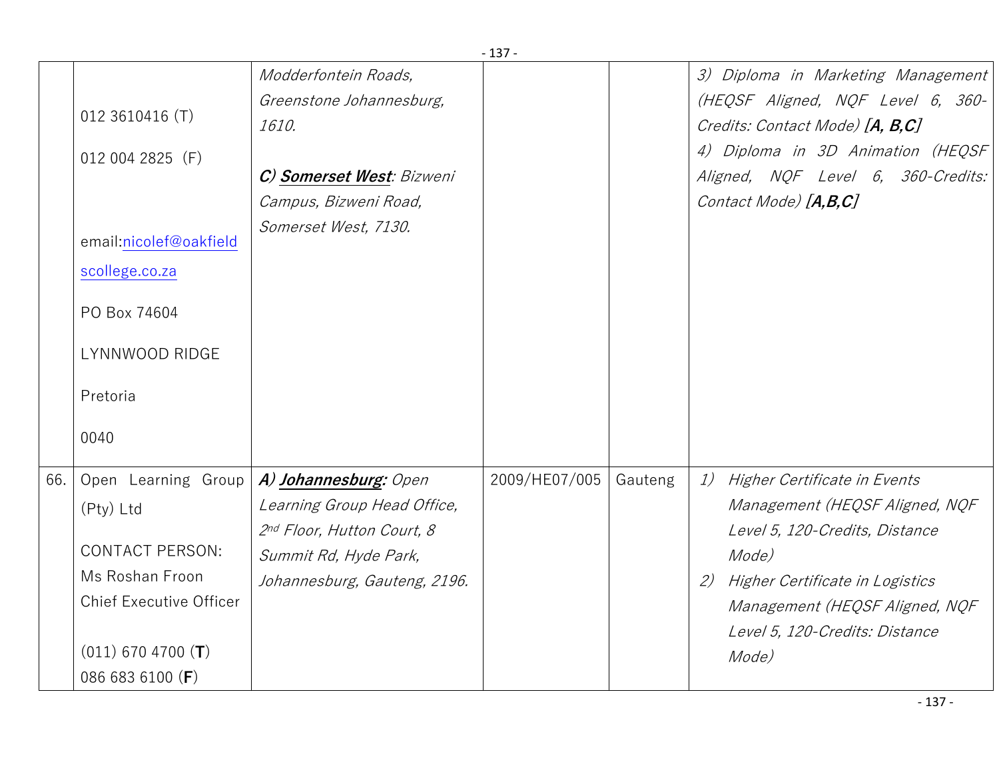|     | $-137-$                                  |                              |               |         |                                       |  |  |
|-----|------------------------------------------|------------------------------|---------------|---------|---------------------------------------|--|--|
|     |                                          | Modderfontein Roads,         |               |         | 3) Diploma in Marketing Management    |  |  |
|     |                                          | Greenstone Johannesburg,     |               |         | (HEQSF Aligned, NQF Level 6, 360-     |  |  |
|     | 012 3610416 (T)                          | 1610.                        |               |         | Credits: Contact Mode) [A, B,C]       |  |  |
|     | 012 004 2825 (F)                         |                              |               |         | 4) Diploma in 3D Animation (HEQSF)    |  |  |
|     |                                          | C) Somerset West: Bizweni    |               |         | Aligned, NQF Level 6, 360-Credits:    |  |  |
|     |                                          | Campus, Bizweni Road,        |               |         | Contact Mode) [A,B,C]                 |  |  |
|     | email:nicolef@oakfield<br>scollege.co.za | Somerset West, 7130.         |               |         |                                       |  |  |
|     | PO Box 74604                             |                              |               |         |                                       |  |  |
|     | LYNNWOOD RIDGE                           |                              |               |         |                                       |  |  |
|     | Pretoria                                 |                              |               |         |                                       |  |  |
|     | 0040                                     |                              |               |         |                                       |  |  |
| 66. | Open Learning Group                      | A) Johannesburg: Open        | 2009/HE07/005 | Gauteng | 1)<br>Higher Certificate in Events    |  |  |
|     | (Pty) Ltd                                | Learning Group Head Office,  |               |         | Management (HEQSF Aligned, NQF        |  |  |
|     |                                          | 2nd Floor, Hutton Court, 8   |               |         | Level 5, 120-Credits, Distance        |  |  |
|     | <b>CONTACT PERSON:</b>                   | Summit Rd, Hyde Park,        |               |         | Mode)                                 |  |  |
|     | Ms Roshan Froon                          | Johannesburg, Gauteng, 2196. |               |         | Higher Certificate in Logistics<br>2) |  |  |
|     | <b>Chief Executive Officer</b>           |                              |               |         | Management (HEQSF Aligned, NQF        |  |  |
|     |                                          |                              |               |         | Level 5, 120-Credits: Distance        |  |  |
|     | $(011)$ 670 4700 (T)                     |                              |               |         | Mode)                                 |  |  |
|     | 086 683 6100 (F)                         |                              |               |         |                                       |  |  |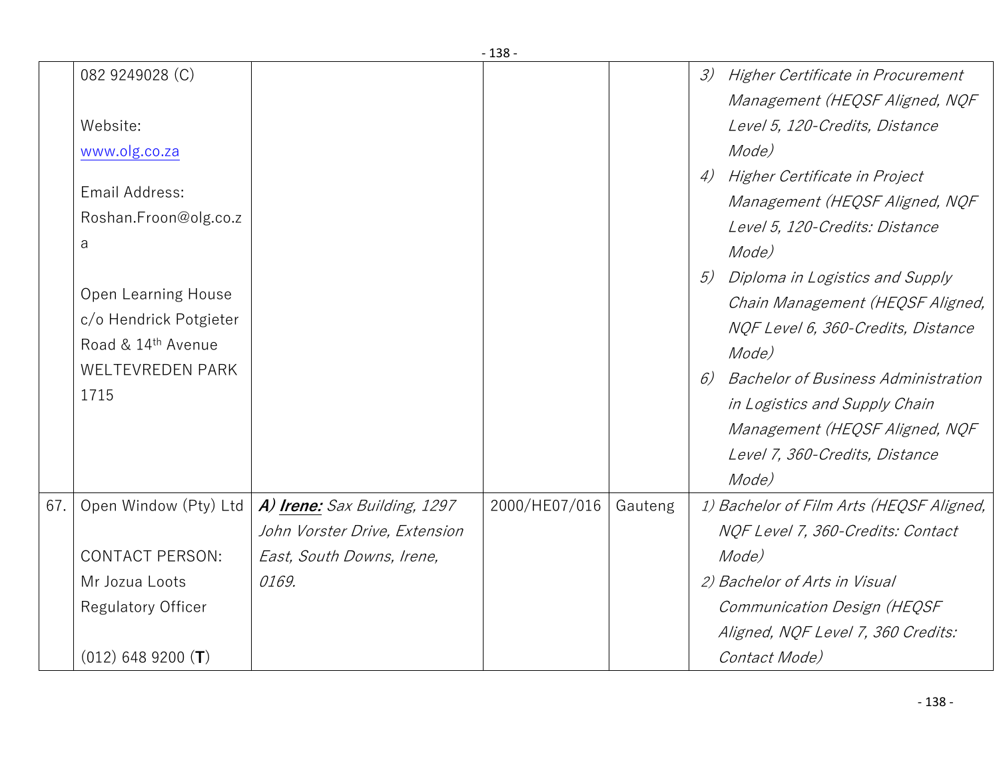|     |                                                                                                                                                                                                               |                                                               | ⊥⊃ບ           |         |                                                                                                                                                                                                                                                                                                                                                                                                                                                                                             |
|-----|---------------------------------------------------------------------------------------------------------------------------------------------------------------------------------------------------------------|---------------------------------------------------------------|---------------|---------|---------------------------------------------------------------------------------------------------------------------------------------------------------------------------------------------------------------------------------------------------------------------------------------------------------------------------------------------------------------------------------------------------------------------------------------------------------------------------------------------|
|     | 082 9249028 (C)<br>Website:<br>www.olg.co.za<br>Email Address:<br>Roshan.Froon@olg.co.z<br>a<br><b>Open Learning House</b><br>c/o Hendrick Potgieter<br>Road & 14th Avenue<br><b>WELTEVREDEN PARK</b><br>1715 |                                                               |               |         | 3)<br>Higher Certificate in Procurement<br>Management (HEQSF Aligned, NQF<br>Level 5, 120-Credits, Distance<br>Mode)<br>Higher Certificate in Project<br>4)<br>Management (HEQSF Aligned, NQF<br>Level 5, 120-Credits: Distance<br>Mode)<br>Diploma in Logistics and Supply<br>5)<br>Chain Management (HEQSF Aligned,<br>NQF Level 6, 360-Credits, Distance<br>Mode)<br><b>Bachelor of Business Administration</b><br>6)<br>in Logistics and Supply Chain<br>Management (HEQSF Aligned, NQF |
|     |                                                                                                                                                                                                               |                                                               |               |         | Level 7, 360-Credits, Distance<br>Mode)                                                                                                                                                                                                                                                                                                                                                                                                                                                     |
| 67. | Open Window (Pty) Ltd                                                                                                                                                                                         | A) Irene: Sax Building, 1297<br>John Vorster Drive, Extension | 2000/HE07/016 | Gauteng | 1) Bachelor of Film Arts (HEQSF Aligned,<br>NOF Level 7, 360-Credits: Contact                                                                                                                                                                                                                                                                                                                                                                                                               |
|     | <b>CONTACT PERSON:</b>                                                                                                                                                                                        | East, South Downs, Irene,                                     |               |         | Mode)                                                                                                                                                                                                                                                                                                                                                                                                                                                                                       |
|     | Mr Jozua Loots                                                                                                                                                                                                | 0169.                                                         |               |         | 2) Bachelor of Arts in Visual                                                                                                                                                                                                                                                                                                                                                                                                                                                               |
|     | <b>Regulatory Officer</b>                                                                                                                                                                                     |                                                               |               |         | Communication Design (HEQSF                                                                                                                                                                                                                                                                                                                                                                                                                                                                 |
|     |                                                                                                                                                                                                               |                                                               |               |         | Aligned, NQF Level 7, 360 Credits:                                                                                                                                                                                                                                                                                                                                                                                                                                                          |
|     | $(012)$ 648 9200 (T)                                                                                                                                                                                          |                                                               |               |         | Contact Mode)                                                                                                                                                                                                                                                                                                                                                                                                                                                                               |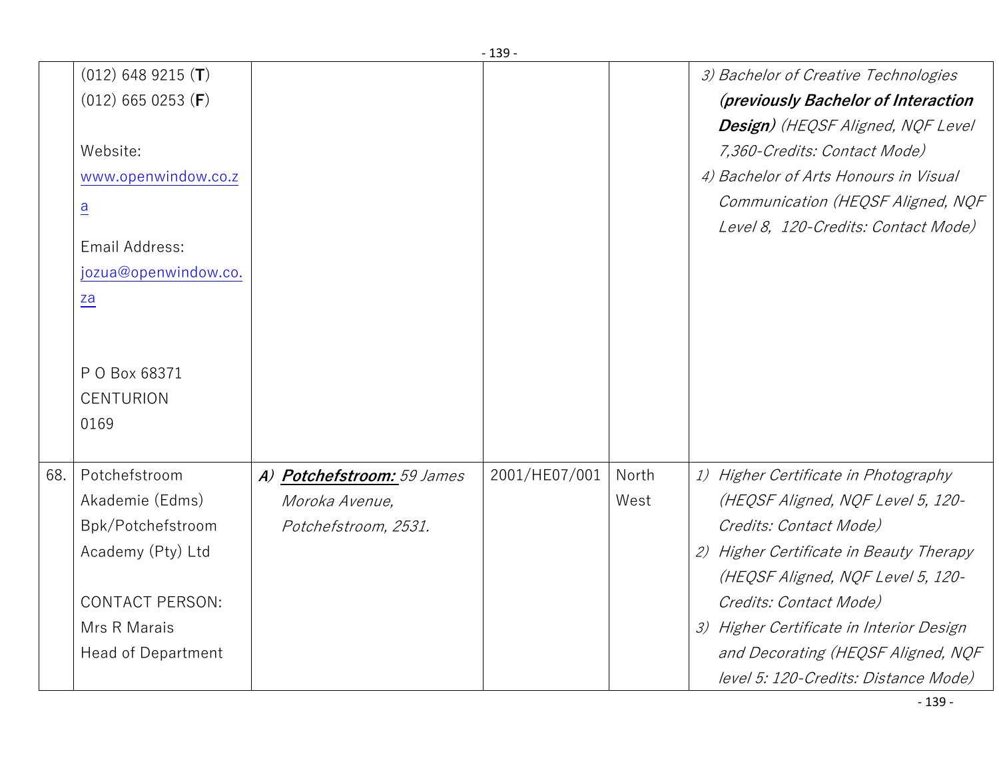|     | $(012)$ 648 9215 (T)      |                            |               |       | 3) Bachelor of Creative Technologies     |
|-----|---------------------------|----------------------------|---------------|-------|------------------------------------------|
|     | $(012)$ 665 0253 (F)      |                            |               |       | (previously Bachelor of Interaction      |
|     |                           |                            |               |       | Design) (HEQSF Aligned, NQF Level        |
|     | Website:                  |                            |               |       | 7,360-Credits: Contact Mode)             |
|     | www.openwindow.co.z       |                            |               |       | 4) Bachelor of Arts Honours in Visual    |
|     | $\overline{a}$            |                            |               |       | Communication (HEQSF Aligned, NQF        |
|     |                           |                            |               |       | Level 8, 120-Credits: Contact Mode)      |
|     | Email Address:            |                            |               |       |                                          |
|     | jozua@openwindow.co.      |                            |               |       |                                          |
|     | za                        |                            |               |       |                                          |
|     |                           |                            |               |       |                                          |
|     |                           |                            |               |       |                                          |
|     | P O Box 68371             |                            |               |       |                                          |
|     | <b>CENTURION</b>          |                            |               |       |                                          |
|     | 0169                      |                            |               |       |                                          |
|     |                           |                            |               |       |                                          |
| 68. | Potchefstroom             | A) Potchefstroom: 59 James | 2001/HE07/001 | North | 1) Higher Certificate in Photography     |
|     | Akademie (Edms)           | Moroka Avenue,             |               | West  | (HEQSF Aligned, NQF Level 5, 120-        |
|     | Bpk/Potchefstroom         | Potchefstroom, 2531.       |               |       | Credits: Contact Mode)                   |
|     | Academy (Pty) Ltd         |                            |               |       | 2) Higher Certificate in Beauty Therapy  |
|     |                           |                            |               |       | (HEQSF Aligned, NQF Level 5, 120-        |
|     | <b>CONTACT PERSON:</b>    |                            |               |       | Credits: Contact Mode)                   |
|     | Mrs R Marais              |                            |               |       | 3) Higher Certificate in Interior Design |
|     | <b>Head of Department</b> |                            |               |       | and Decorating (HEQSF Aligned, NQF       |
|     |                           |                            |               |       | level 5: 120-Credits: Distance Mode)     |
|     |                           |                            |               |       | $-139-$                                  |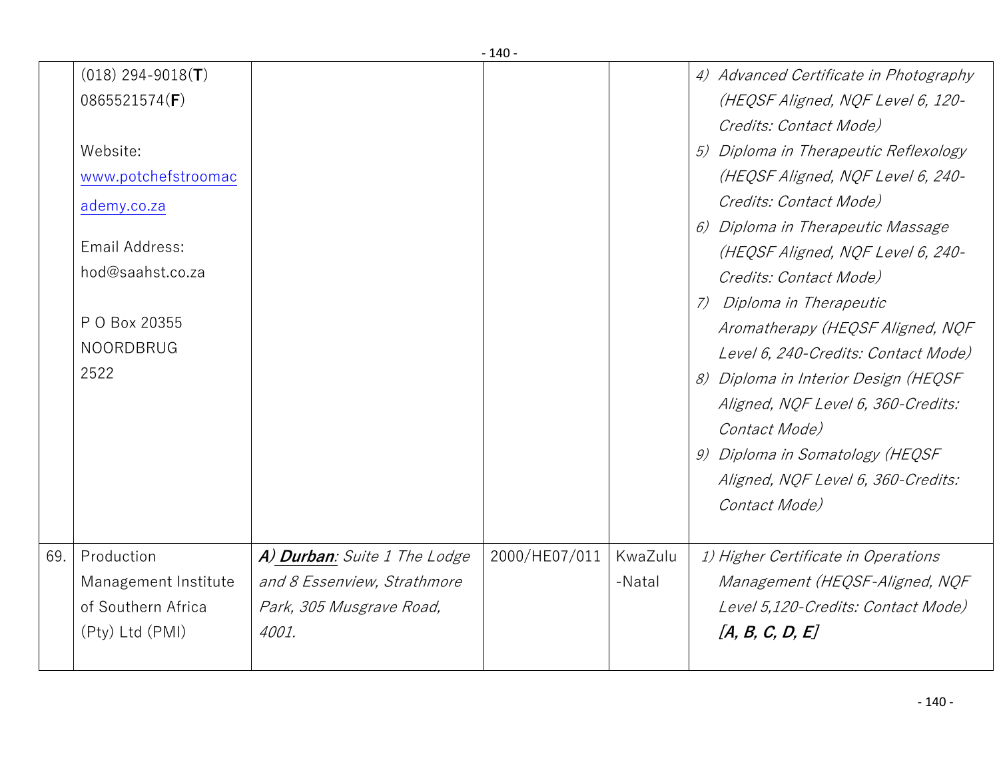| $(018)$ 294-9018( <b>T</b> ) |  | 4) Advanced Certificate in Photography |
|------------------------------|--|----------------------------------------|
| 0865521574(F)                |  | (HEQSF Aligned, NQF Level 6, 120-      |
|                              |  | Credits: Contact Mode)                 |
| Website:                     |  | 5) Diploma in Therapeutic Reflexology  |
| www.potchefstroomac          |  | (HEQSF Aligned, NQF Level 6, 240-      |
| ademy.co.za                  |  | Credits: Contact Mode)                 |
|                              |  | 6) Diploma in Therapeutic Massage      |
| Email Address:               |  | (HEQSF Aligned, NQF Level 6, 240-      |
| hod@saahst.co.za             |  | Credits: Contact Mode)                 |
|                              |  | Diploma in Therapeutic<br>(7)          |
| P O Box 20355                |  | Aromatherapy (HEQSF Aligned, NQF       |
| <b>NOORDBRUG</b>             |  | Level 6, 240-Credits: Contact Mode)    |
| 2522                         |  | 8) Diploma in Interior Design (HEQSF   |
|                              |  | Aligned, NQF Level 6, 360-Credits:     |
|                              |  | Contact Mode)                          |
|                              |  | 9) Diploma in Somatology (HEQSF        |
|                              |  | Aligned, NQF Level 6, 360-Credits:     |
|                              |  | Contact Mode)                          |
|                              |  |                                        |
|                              |  |                                        |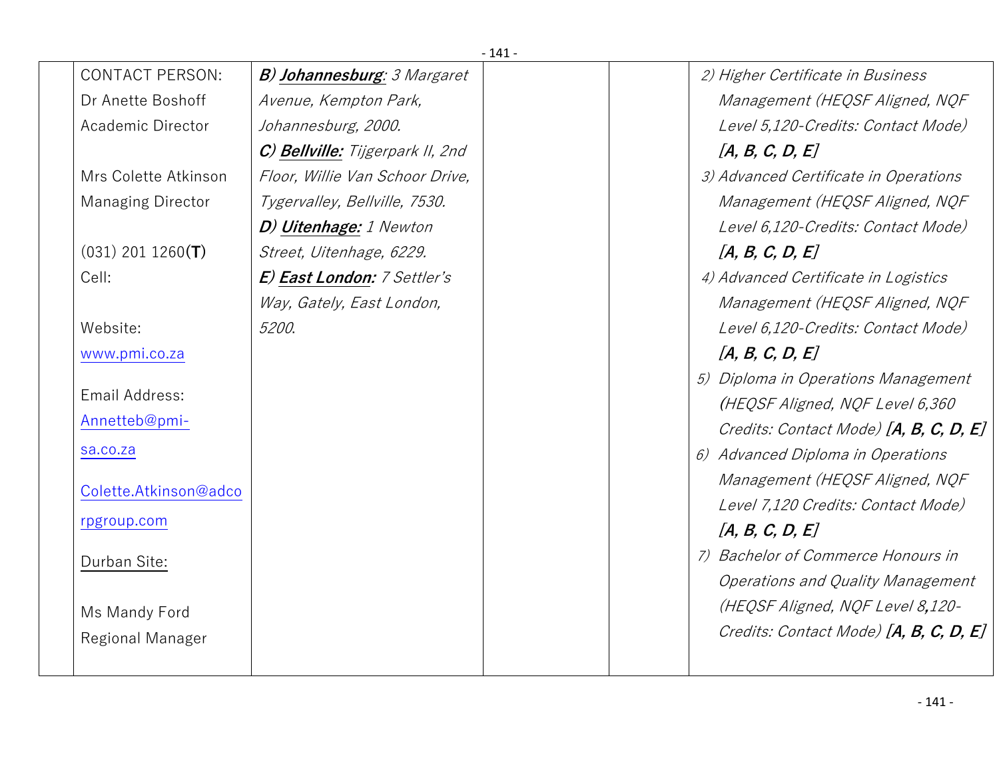| $-141-$                  |                                     |  |  |                                        |  |  |
|--------------------------|-------------------------------------|--|--|----------------------------------------|--|--|
| <b>CONTACT PERSON:</b>   | <b>B) Johannesburg</b> : 3 Margaret |  |  | 2) Higher Certificate in Business      |  |  |
| Dr Anette Boshoff        | Avenue, Kempton Park,               |  |  | Management (HEQSF Aligned, NQF         |  |  |
| Academic Director        | Johannesburg, 2000.                 |  |  | Level 5,120-Credits: Contact Mode)     |  |  |
|                          | C) Bellville: Tijgerpark II, 2nd    |  |  | [A, B, C, D, E]                        |  |  |
| Mrs Colette Atkinson     | Floor, Willie Van Schoor Drive,     |  |  | 3) Advanced Certificate in Operations  |  |  |
| <b>Managing Director</b> | Tygervalley, Bellville, 7530.       |  |  | Management (HEQSF Aligned, NQF         |  |  |
|                          | D) Uitenhage: 1 Newton              |  |  | Level 6,120-Credits: Contact Mode)     |  |  |
| $(031)$ 201 1260(T)      | Street, Uitenhage, 6229.            |  |  | [A, B, C, D, E]                        |  |  |
| Cell:                    | E) East London: 7 Settler's         |  |  | 4) Advanced Certificate in Logistics   |  |  |
|                          | Way, Gately, East London,           |  |  | Management (HEQSF Aligned, NQF         |  |  |
| Website:                 | 5200.                               |  |  | Level 6,120-Credits: Contact Mode)     |  |  |
| www.pmi.co.za            |                                     |  |  | [A, B, C, D, E]                        |  |  |
|                          |                                     |  |  | 5) Diploma in Operations Management    |  |  |
| Email Address:           |                                     |  |  | (HEQSF Aligned, NQF Level 6,360        |  |  |
| Annetteb@pmi-            |                                     |  |  | Credits: Contact Mode) [A, B, C, D, E] |  |  |
| sa.co.za                 |                                     |  |  | 6) Advanced Diploma in Operations      |  |  |
| Colette.Atkinson@adco    |                                     |  |  | Management (HEQSF Aligned, NQF         |  |  |
|                          |                                     |  |  | Level 7,120 Credits: Contact Mode)     |  |  |
| rpgroup.com              |                                     |  |  | [A, B, C, D, E]                        |  |  |
| Durban Site:             |                                     |  |  | 7) Bachelor of Commerce Honours in     |  |  |
|                          |                                     |  |  | Operations and Quality Management      |  |  |
| Ms Mandy Ford            |                                     |  |  | (HEQSF Aligned, NQF Level 8,120-       |  |  |
| Regional Manager         |                                     |  |  | Credits: Contact Mode) [A, B, C, D, E] |  |  |
|                          |                                     |  |  |                                        |  |  |
|                          |                                     |  |  |                                        |  |  |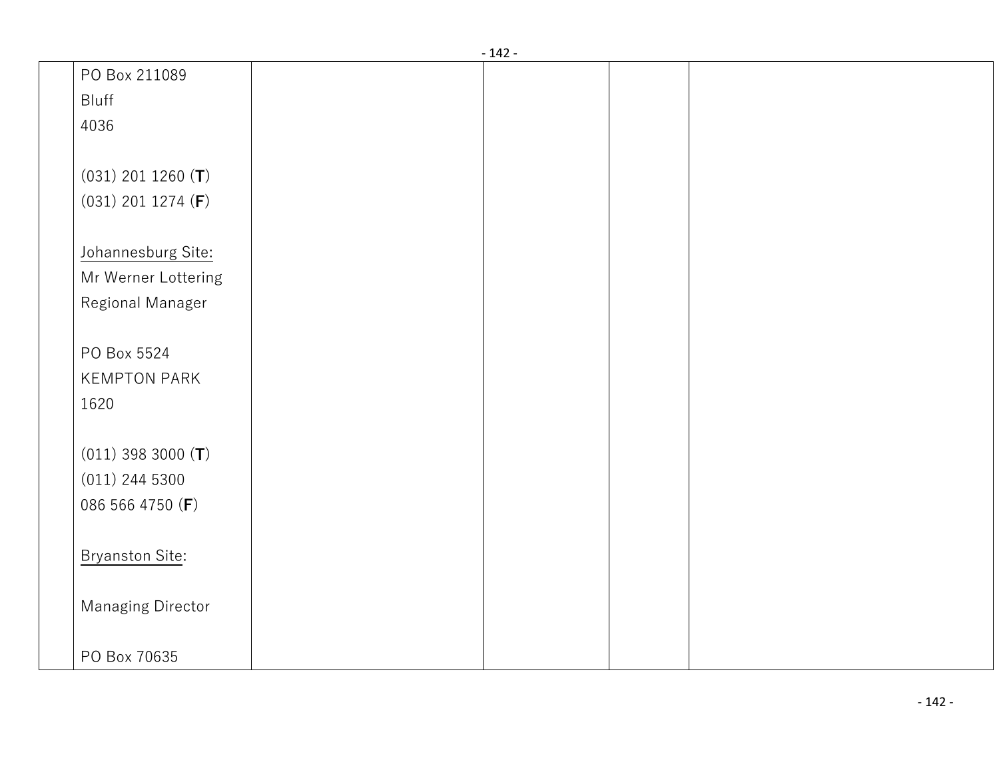|                               | - 142 - |  |  |
|-------------------------------|---------|--|--|
| PO Box 211089                 |         |  |  |
| Bluff                         |         |  |  |
| 4036                          |         |  |  |
|                               |         |  |  |
| $(031)$ 201 1260 ( <b>T</b> ) |         |  |  |
| $(031)$ 201 1274 ( <b>F</b> ) |         |  |  |
|                               |         |  |  |
| Johannesburg Site:            |         |  |  |
| Mr Werner Lottering           |         |  |  |
| Regional Manager              |         |  |  |
|                               |         |  |  |
| PO Box 5524                   |         |  |  |
| <b>KEMPTON PARK</b>           |         |  |  |
| 1620                          |         |  |  |
|                               |         |  |  |
| $(011)$ 398 3000 (T)          |         |  |  |
| $(011)$ 244 5300              |         |  |  |
| 086 566 4750 (F)              |         |  |  |
|                               |         |  |  |
| <b>Bryanston Site:</b>        |         |  |  |
|                               |         |  |  |
| <b>Managing Director</b>      |         |  |  |
|                               |         |  |  |
| PO Box 70635                  |         |  |  |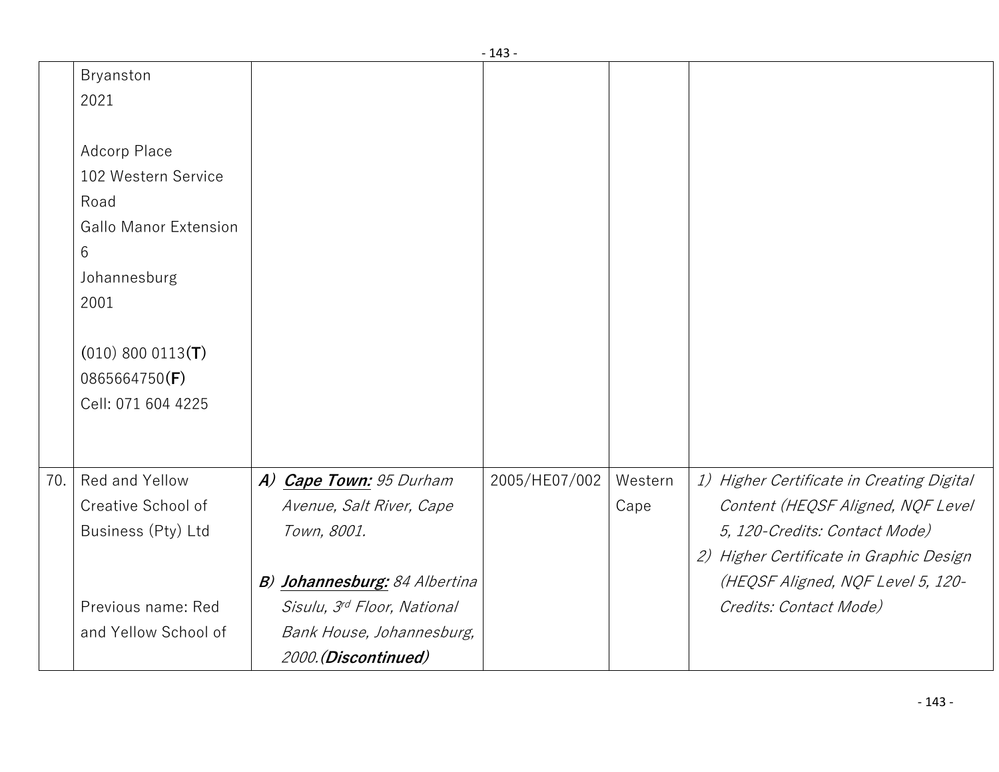|     |                                                                                                  |                                                                                                                   | - 145 -       |                 |                                                                                                                                                            |
|-----|--------------------------------------------------------------------------------------------------|-------------------------------------------------------------------------------------------------------------------|---------------|-----------------|------------------------------------------------------------------------------------------------------------------------------------------------------------|
|     | Bryanston<br>2021<br>Adcorp Place<br>102 Western Service<br>Road<br><b>Gallo Manor Extension</b> |                                                                                                                   |               |                 |                                                                                                                                                            |
|     | 6<br>Johannesburg<br>2001                                                                        |                                                                                                                   |               |                 |                                                                                                                                                            |
|     | $(010) 800 0113$ (T)<br>0865664750(F)<br>Cell: 071 604 4225                                      |                                                                                                                   |               |                 |                                                                                                                                                            |
| 70. | Red and Yellow<br>Creative School of<br>Business (Pty) Ltd                                       | A) Cape Town: 95 Durham<br>Avenue, Salt River, Cape<br>Town, 8001.                                                | 2005/HE07/002 | Western<br>Cape | 1) Higher Certificate in Creating Digital<br>Content (HEQSF Aligned, NQF Level<br>5, 120-Credits: Contact Mode)<br>2) Higher Certificate in Graphic Design |
|     | Previous name: Red<br>and Yellow School of                                                       | B) Johannesburg: 84 Albertina<br>Sisulu, 3rd Floor, National<br>Bank House, Johannesburg,<br>2000. (Discontinued) |               |                 | (HEQSF Aligned, NQF Level 5, 120-<br>Credits: Contact Mode)                                                                                                |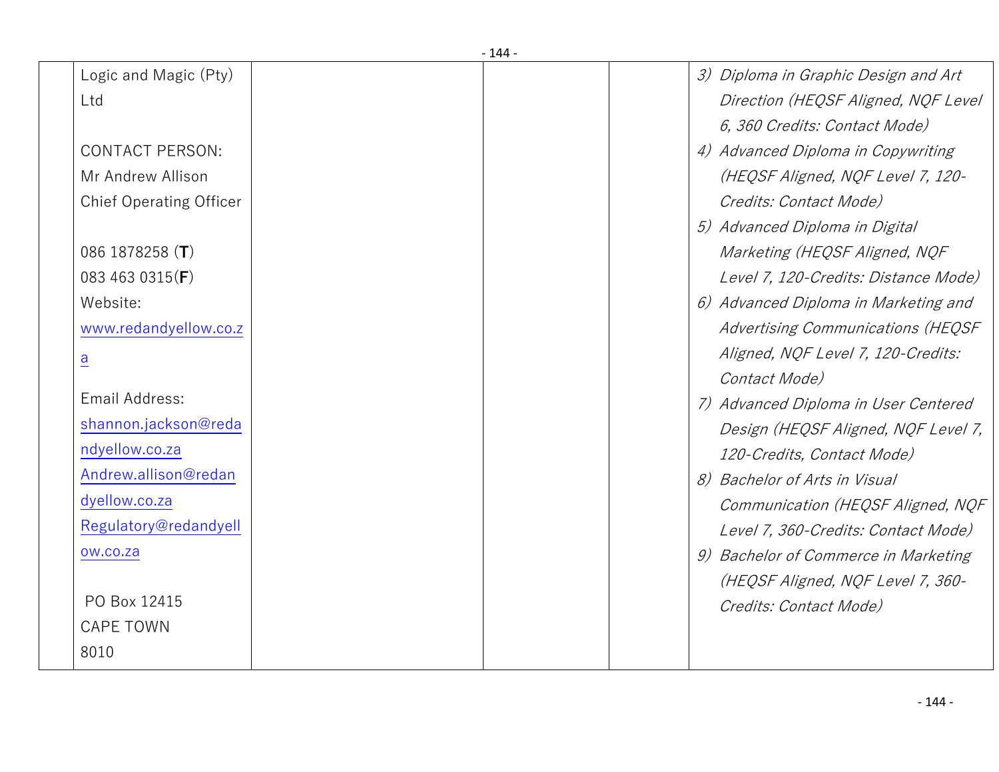| Logic and Magic (Pty)          |  | 3) Diploma in Graphic Design and Art |
|--------------------------------|--|--------------------------------------|
| Ltd                            |  | Direction (HEQSF Aligned, NQF Level  |
|                                |  | 6, 360 Credits: Contact Mode)        |
| <b>CONTACT PERSON:</b>         |  | 4) Advanced Diploma in Copywriting   |
| Mr Andrew Allison              |  | (HEQSF Aligned, NQF Level 7, 120-    |
| <b>Chief Operating Officer</b> |  | Credits: Contact Mode)               |
|                                |  | 5) Advanced Diploma in Digital       |
| 086 1878258 $(T)$              |  | Marketing (HEQSF Aligned, NQF        |
| 083 463 0315(F)                |  | Level 7, 120-Credits: Distance Mode) |
| Website:                       |  | 6) Advanced Diploma in Marketing and |
| www.redandyellow.co.z          |  | Advertising Communications (HEQSF    |
| $\underline{a}$                |  | Aligned, NQF Level 7, 120-Credits:   |
|                                |  | Contact Mode)                        |
| Email Address:                 |  | 7) Advanced Diploma in User Centered |
| shannon.jackson@reda           |  | Design (HEQSF Aligned, NQF Level 7,  |
| ndyellow.co.za                 |  | 120-Credits, Contact Mode)           |
| Andrew.allison@redan           |  | 8) Bachelor of Arts in Visual        |
| dyellow.co.za                  |  | Communication (HEQSF Aligned, NQF    |
| Regulatory@redandyell          |  | Level 7, 360-Credits: Contact Mode)  |
| ow.co.za                       |  | 9) Bachelor of Commerce in Marketing |
|                                |  | (HEQSF Aligned, NQF Level 7, 360-    |
| PO Box 12415                   |  | Credits: Contact Mode)               |
| <b>CAPE TOWN</b>               |  |                                      |
| 8010                           |  |                                      |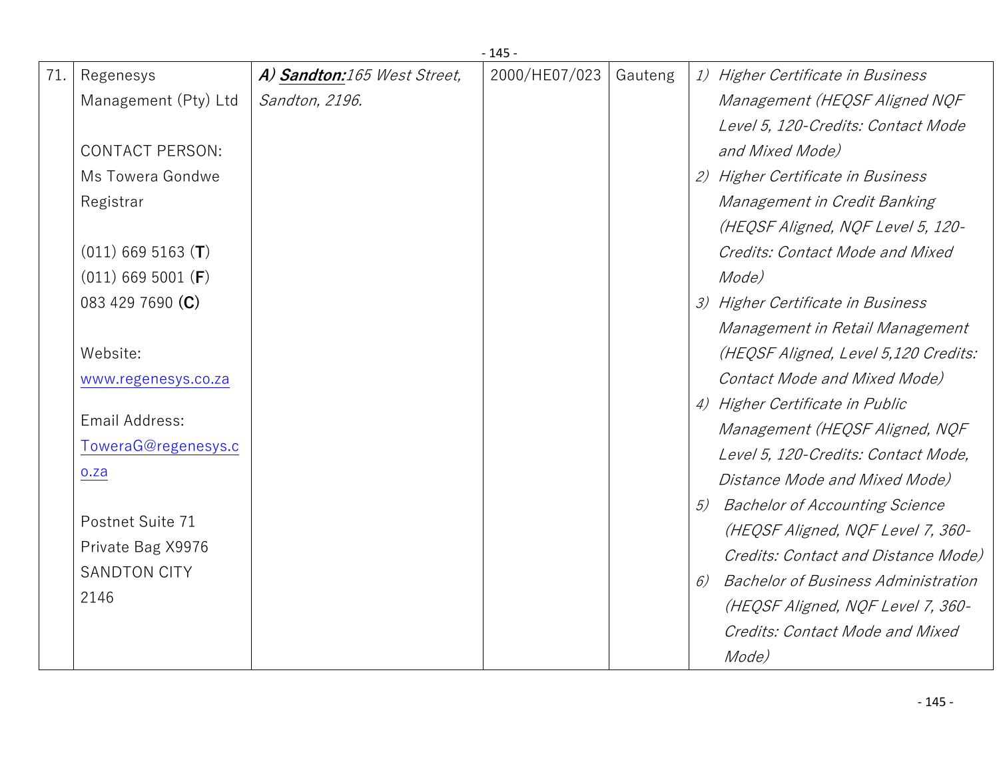|     |                        |                             | $-145-$       |         |    |                                            |
|-----|------------------------|-----------------------------|---------------|---------|----|--------------------------------------------|
| 71. | Regenesys              | A) Sandton:165 West Street, | 2000/HE07/023 | Gauteng |    | 1) Higher Certificate in Business          |
|     | Management (Pty) Ltd   | Sandton, 2196.              |               |         |    | Management (HEQSF Aligned NQF              |
|     |                        |                             |               |         |    | Level 5, 120-Credits: Contact Mode         |
|     | <b>CONTACT PERSON:</b> |                             |               |         |    | and Mixed Mode)                            |
|     | Ms Towera Gondwe       |                             |               |         |    | 2) Higher Certificate in Business          |
|     | Registrar              |                             |               |         |    | Management in Credit Banking               |
|     |                        |                             |               |         |    | (HEQSF Aligned, NQF Level 5, 120-          |
|     | $(011)$ 669 5163 (T)   |                             |               |         |    | Credits: Contact Mode and Mixed            |
|     | $(011)$ 669 5001 (F)   |                             |               |         |    | Mode)                                      |
|     | 083 429 7690 (C)       |                             |               |         |    | 3) Higher Certificate in Business          |
|     |                        |                             |               |         |    | Management in Retail Management            |
|     | Website:               |                             |               |         |    | (HEQSF Aligned, Level 5,120 Credits:       |
|     | www.regenesys.co.za    |                             |               |         |    | Contact Mode and Mixed Mode)               |
|     |                        |                             |               |         |    | 4) Higher Certificate in Public            |
|     | Email Address:         |                             |               |         |    | Management (HEQSF Aligned, NQF             |
|     | ToweraG@regenesys.c    |                             |               |         |    | Level 5, 120-Credits: Contact Mode,        |
|     | 0.2a                   |                             |               |         |    | Distance Mode and Mixed Mode)              |
|     |                        |                             |               |         | 5) | <b>Bachelor of Accounting Science</b>      |
|     | Postnet Suite 71       |                             |               |         |    | (HEQSF Aligned, NQF Level 7, 360-          |
|     | Private Bag X9976      |                             |               |         |    | Credits: Contact and Distance Mode)        |
|     | <b>SANDTON CITY</b>    |                             |               |         | 6) | <b>Bachelor of Business Administration</b> |
|     | 2146                   |                             |               |         |    | (HEQSF Aligned, NQF Level 7, 360-          |
|     |                        |                             |               |         |    | Credits: Contact Mode and Mixed            |
|     |                        |                             |               |         |    | Mode)                                      |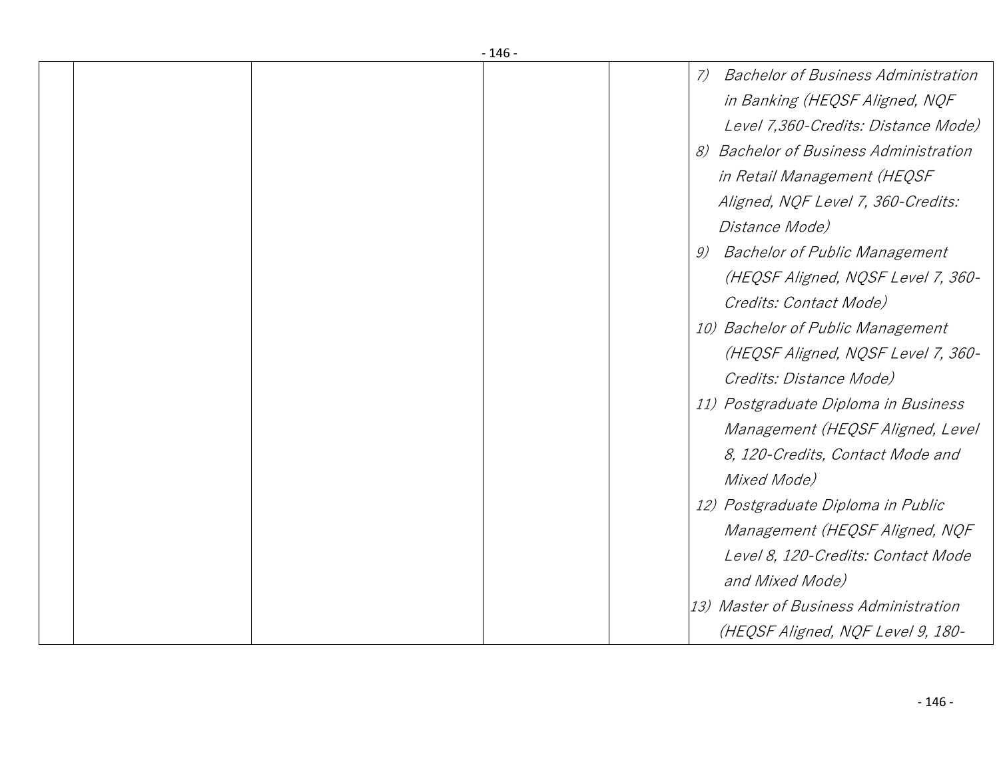|  | - 146 - |                                                    |
|--|---------|----------------------------------------------------|
|  |         | <b>Bachelor of Business Administration</b><br>$7)$ |
|  |         | in Banking (HEQSF Aligned, NQF                     |
|  |         | Level 7,360-Credits: Distance Mode)                |
|  |         | 8) Bachelor of Business Administration             |
|  |         | in Retail Management (HEQSF                        |
|  |         | Aligned, NQF Level 7, 360-Credits:                 |
|  |         | Distance Mode)                                     |
|  |         | <b>Bachelor of Public Management</b><br>9)         |
|  |         | (HEQSF Aligned, NQSF Level 7, 360-                 |
|  |         | Credits: Contact Mode)                             |
|  |         | 10) Bachelor of Public Management                  |
|  |         | (HEQSF Aligned, NQSF Level 7, 360-                 |
|  |         | Credits: Distance Mode)                            |
|  |         | 11) Postgraduate Diploma in Business               |
|  |         | Management (HEQSF Aligned, Level                   |
|  |         | 8, 120-Credits, Contact Mode and                   |
|  |         | Mixed Mode)                                        |
|  |         | 12) Postgraduate Diploma in Public                 |
|  |         | Management (HEQSF Aligned, NQF                     |
|  |         | Level 8, 120-Credits: Contact Mode                 |
|  |         | and Mixed Mode)                                    |
|  |         | 13) Master of Business Administration              |
|  |         | (HEQSF Aligned, NQF Level 9, 180-                  |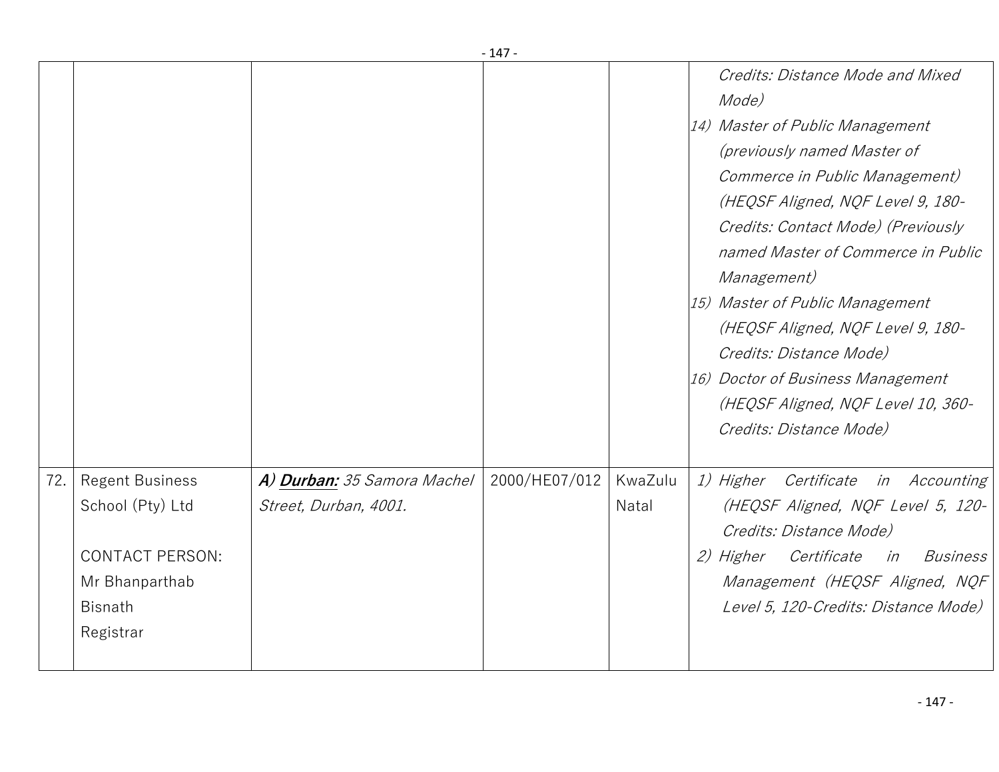|     |                                  |                             | - 147 -       |         |                                                                                                  |
|-----|----------------------------------|-----------------------------|---------------|---------|--------------------------------------------------------------------------------------------------|
|     |                                  |                             |               |         | Credits: Distance Mode and Mixed<br>Mode)                                                        |
|     |                                  |                             |               |         | 14) Master of Public Management<br>(previously named Master of<br>Commerce in Public Management) |
|     |                                  |                             |               |         | (HEQSF Aligned, NQF Level 9, 180-                                                                |
|     |                                  |                             |               |         | Credits: Contact Mode) (Previously                                                               |
|     |                                  |                             |               |         | named Master of Commerce in Public<br><i>Management)</i>                                         |
|     |                                  |                             |               |         | 15) Master of Public Management                                                                  |
|     |                                  |                             |               |         | (HEQSF Aligned, NQF Level 9, 180-                                                                |
|     |                                  |                             |               |         | Credits: Distance Mode)<br>16) Doctor of Business Management                                     |
|     |                                  |                             |               |         | (HEQSF Aligned, NQF Level 10, 360-                                                               |
|     |                                  |                             |               |         | Credits: Distance Mode)                                                                          |
| 72. | <b>Regent Business</b>           | A) Durban: 35 Samora Machel | 2000/HE07/012 | KwaZulu | Certificate in Accounting<br><i>1) Higher</i>                                                    |
|     | School (Pty) Ltd                 | Street, Durban, 4001.       |               | Natal   | (HEQSF Aligned, NQF Level 5, 120-                                                                |
|     |                                  |                             |               |         | Credits: Distance Mode)                                                                          |
|     | <b>CONTACT PERSON:</b>           |                             |               |         | Certificate<br><i>2) Higher</i><br>in<br><b>Business</b>                                         |
|     | Mr Bhanparthab<br><b>Bisnath</b> |                             |               |         | Management (HEQSF Aligned, NQF<br>Level 5, 120-Credits: Distance Mode)                           |
|     | Registrar                        |                             |               |         |                                                                                                  |
|     |                                  |                             |               |         |                                                                                                  |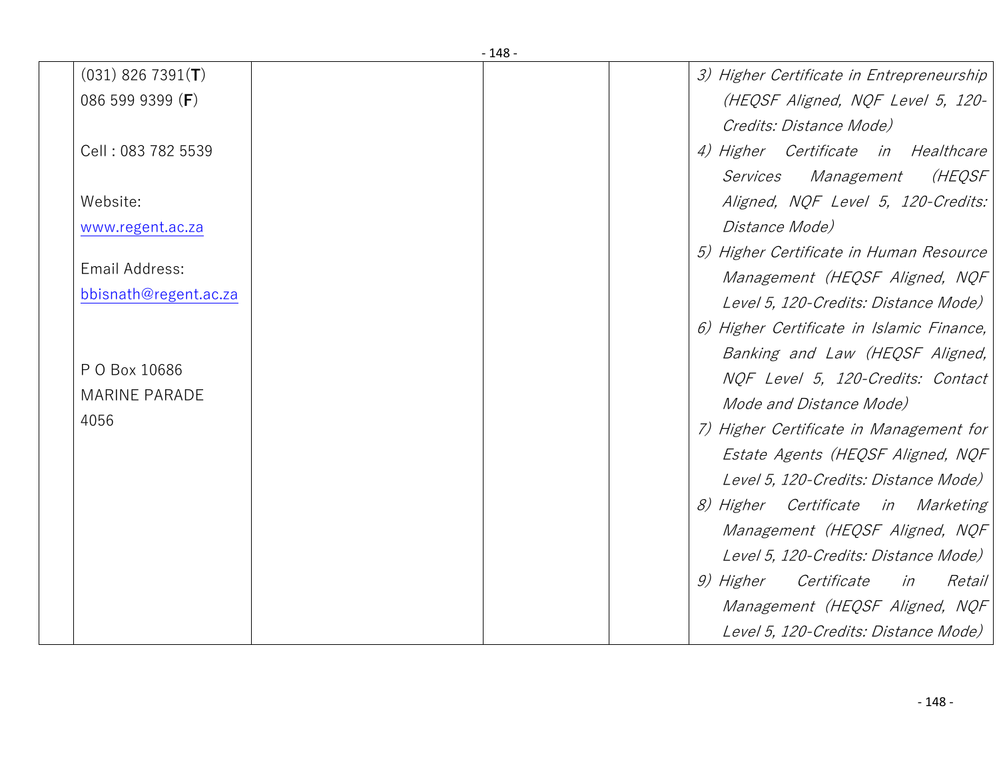|                       | $-148-$ |                                           |
|-----------------------|---------|-------------------------------------------|
| $(031)$ 826 7391(T)   |         | 3) Higher Certificate in Entrepreneurship |
| 086 599 9399 (F)      |         | (HEQSF Aligned, NQF Level 5, 120-         |
|                       |         | Credits: Distance Mode)                   |
| Cell: 083 782 5539    |         | 4) Higher Certificate in Healthcare       |
|                       |         | (HEQSF<br>Services Management             |
| Website:              |         | Aligned, NQF Level 5, 120-Credits:        |
| www.regent.ac.za      |         | <i>Distance Mode)</i>                     |
|                       |         | 5) Higher Certificate in Human Resource   |
| Email Address:        |         | Management (HEQSF Aligned, NQF            |
| bbisnath@regent.ac.za |         | Level 5, 120-Credits: Distance Mode)      |
|                       |         | 6) Higher Certificate in Islamic Finance, |
|                       |         | Banking and Law (HEQSF Aligned,           |
| P O Box 10686         |         | NQF Level 5, 120-Credits: Contact         |
| <b>MARINE PARADE</b>  |         | Mode and Distance Mode)                   |
| 4056                  |         | 7) Higher Certificate in Management for   |
|                       |         | Estate Agents (HEQSF Aligned, NQF         |
|                       |         |                                           |
|                       |         | Level 5, 120-Credits: Distance Mode)      |
|                       |         | 8) Higher Certificate in Marketing        |
|                       |         | Management (HEQSF Aligned, NQF            |
|                       |         | Level 5, 120-Credits: Distance Mode)      |
|                       |         | 9) Higher Certificate in<br>Retail        |
|                       |         | Management (HEQSF Aligned, NQF            |
|                       |         | Level 5, 120-Credits: Distance Mode)      |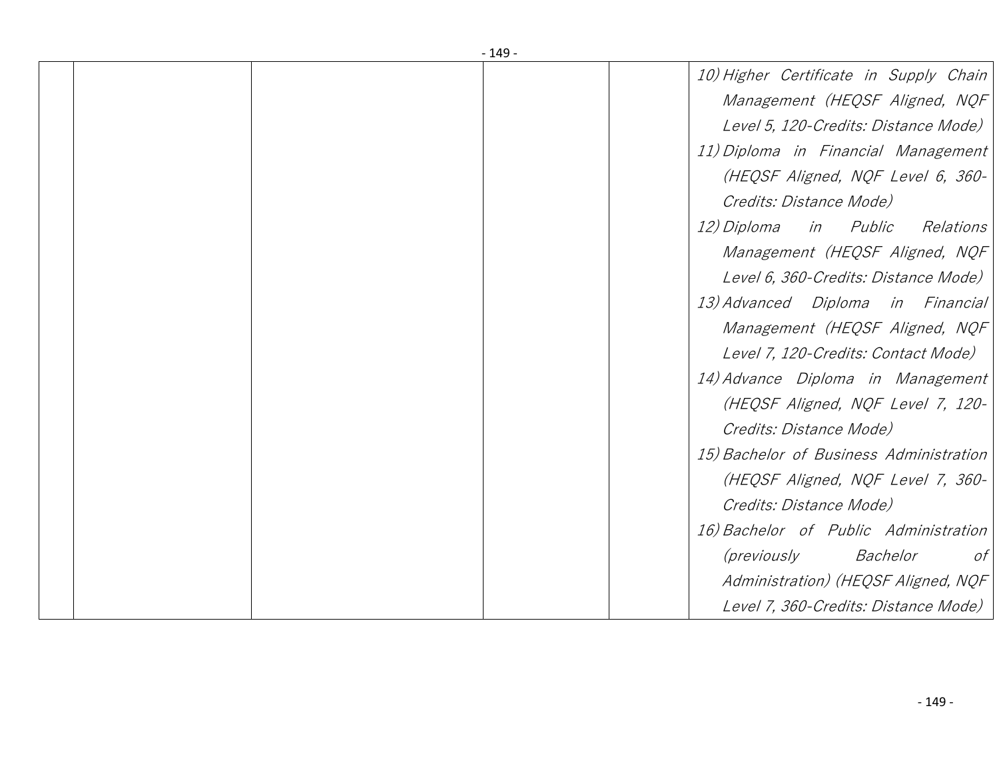|  | - 149 - |                                              |
|--|---------|----------------------------------------------|
|  |         | 10) Higher Certificate in Supply Chain       |
|  |         | Management (HEQSF Aligned, NQF               |
|  |         | Level 5, 120-Credits: Distance Mode)         |
|  |         | 11) Diploma in Financial Management          |
|  |         | (HEQSF Aligned, NQF Level 6, 360-            |
|  |         | Credits: Distance Mode)                      |
|  |         | 12) Diploma<br>in Public<br>Relations        |
|  |         | Management (HEQSF Aligned, NQF               |
|  |         | Level 6, 360-Credits: Distance Mode)         |
|  |         | 13) Advanced Diploma in Financial            |
|  |         | Management (HEQSF Aligned, NQF               |
|  |         | Level 7, 120-Credits: Contact Mode)          |
|  |         | 14) Advance Diploma in Management            |
|  |         | (HEQSF Aligned, NQF Level 7, 120-            |
|  |         | Credits: Distance Mode)                      |
|  |         | 15) Bachelor of Business Administration      |
|  |         | (HEQSF Aligned, NQF Level 7, 360-            |
|  |         | Credits: Distance Mode)                      |
|  |         | 16) Bachelor of Public Administration        |
|  |         | <i>(previously</i><br>Bachelor<br>$\sigma f$ |
|  |         | Administration) (HEQSF Aligned, NQF          |
|  |         | Level 7, 360-Credits: Distance Mode)         |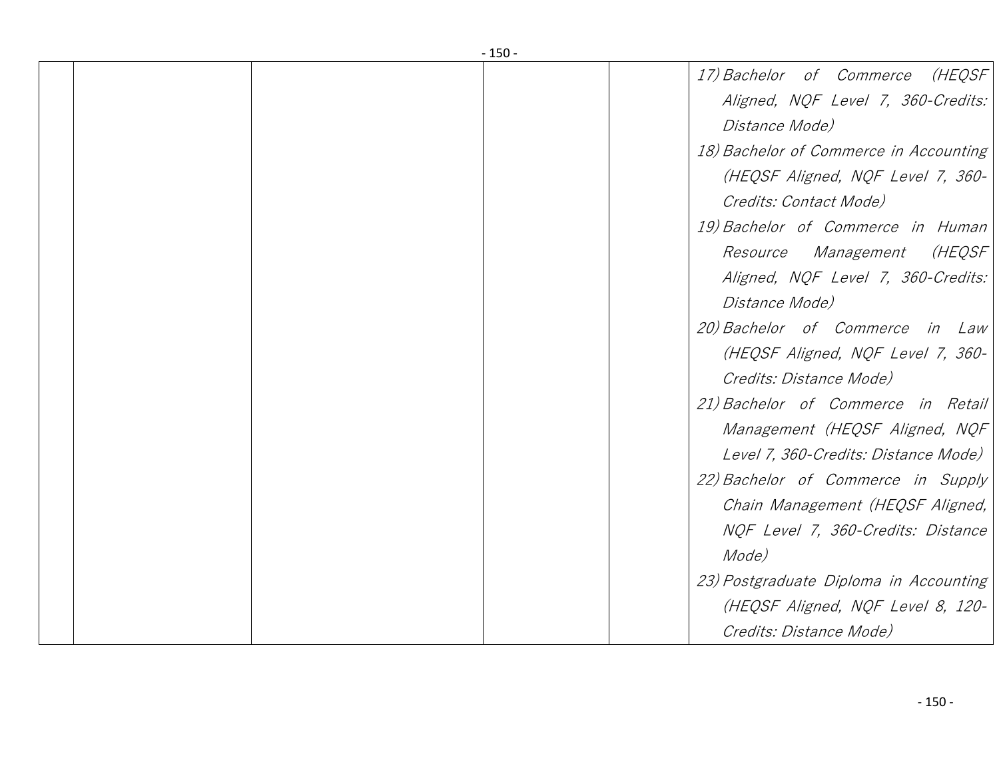|  | $-150-$ |                                        |
|--|---------|----------------------------------------|
|  |         | (HEQSF<br>17) Bachelor of Commerce     |
|  |         | Aligned, NQF Level 7, 360-Credits:     |
|  |         | Distance Mode)                         |
|  |         | 18) Bachelor of Commerce in Accounting |
|  |         | (HEQSF Aligned, NQF Level 7, 360-      |
|  |         | Credits: Contact Mode)                 |
|  |         | 19) Bachelor of Commerce in Human      |
|  |         | Resource Management<br>(HEQSF          |
|  |         | Aligned, NQF Level 7, 360-Credits:     |
|  |         | Distance Mode)                         |
|  |         | 20) Bachelor of Commerce in Law        |
|  |         | (HEQSF Aligned, NQF Level 7, 360-      |
|  |         | Credits: Distance Mode)                |
|  |         | 21) Bachelor of Commerce in Retail     |
|  |         | Management (HEQSF Aligned, NQF         |
|  |         | Level 7, 360-Credits: Distance Mode)   |
|  |         | 22) Bachelor of Commerce in Supply     |
|  |         | Chain Management (HEQSF Aligned,       |
|  |         | NQF Level 7, 360-Credits: Distance     |
|  |         | Mode)                                  |
|  |         | 23) Postgraduate Diploma in Accounting |
|  |         | (HEQSF Aligned, NQF Level 8, 120-      |
|  |         | Credits: Distance Mode)                |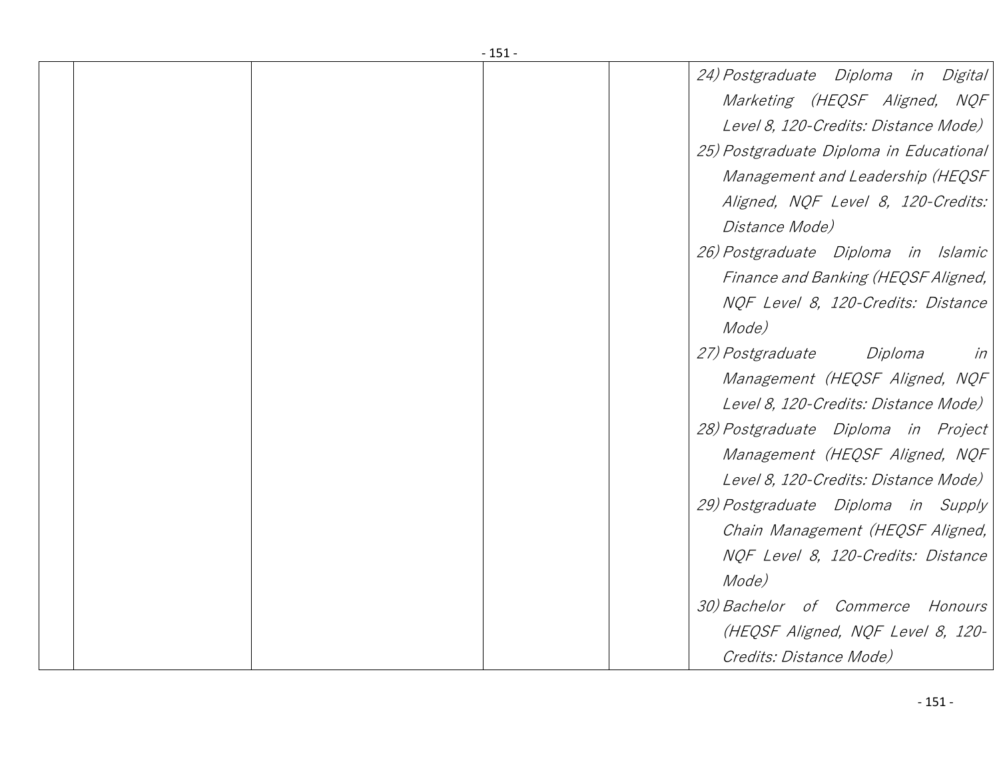|  | - 151 - |                                          |
|--|---------|------------------------------------------|
|  |         | 24) Postgraduate Diploma in Digital      |
|  |         | Marketing (HEQSF Aligned, NQF            |
|  |         | Level 8, 120-Credits: Distance Mode)     |
|  |         | 25) Postgraduate Diploma in Educational  |
|  |         | Management and Leadership (HEQSF)        |
|  |         | Aligned, NQF Level 8, 120-Credits:       |
|  |         | Distance Mode)                           |
|  |         | 26) Postgraduate Diploma in Islamic      |
|  |         | Finance and Banking (HEQSF Aligned,      |
|  |         | NQF Level 8, 120-Credits: Distance       |
|  |         | Mode)                                    |
|  |         | <i>27) Postgraduate</i><br>Diploma<br>in |
|  |         | Management (HEQSF Aligned, NQF)          |
|  |         | Level 8, 120-Credits: Distance Mode)     |
|  |         | 28) Postgraduate Diploma in Project      |
|  |         | Management (HEQSF Aligned, NQF           |
|  |         | Level 8, 120-Credits: Distance Mode)     |
|  |         | 29) Postgraduate Diploma in Supply       |
|  |         | Chain Management (HEQSF Aligned,         |
|  |         | NQF Level 8, 120-Credits: Distance       |
|  |         | Mode)                                    |
|  |         | 30) Bachelor of Commerce Honours         |
|  |         | (HEQSF Aligned, NQF Level 8, 120-        |
|  |         | Credits: Distance Mode)                  |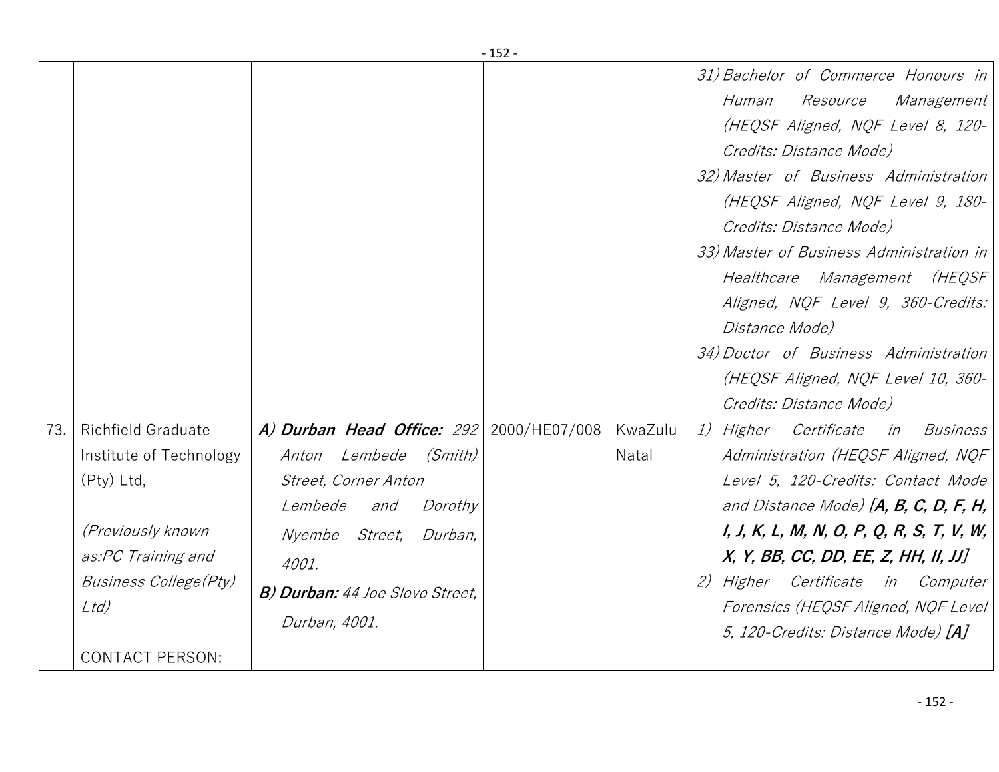|                                                                                                                               |                                                         |                                                                                                                                                                                                                  | ∸J∠           |                  |                                                                                                                                                                                                                                                                                                                                                                                                                                                                                                      |
|-------------------------------------------------------------------------------------------------------------------------------|---------------------------------------------------------|------------------------------------------------------------------------------------------------------------------------------------------------------------------------------------------------------------------|---------------|------------------|------------------------------------------------------------------------------------------------------------------------------------------------------------------------------------------------------------------------------------------------------------------------------------------------------------------------------------------------------------------------------------------------------------------------------------------------------------------------------------------------------|
|                                                                                                                               |                                                         |                                                                                                                                                                                                                  |               |                  | 31) Bachelor of Commerce Honours in<br>Human<br><i>Resource</i><br>Management<br>(HEQSF Aligned, NQF Level 8, 120-<br>Credits: Distance Mode)<br>32) Master of Business Administration<br>(HEQSF Aligned, NQF Level 9, 180-<br>Credits: Distance Mode)<br>33) Master of Business Administration in<br>Healthcare Management (HEQSF<br>Aligned, NQF Level 9, 360-Credits:<br>Distance Mode)<br>34) Doctor of Business Administration<br>(HEQSF Aligned, NQF Level 10, 360-<br>Credits: Distance Mode) |
| <b>Richfield Graduate</b><br>73.<br>$(Pty)$ Ltd,<br>(Previously known<br>as:PC Training and<br>Ltd)<br><b>CONTACT PERSON:</b> | Institute of Technology<br><b>Business College(Pty)</b> | A) Durban Head Office: 292<br>Anton Lembede (Smith)<br>Street, Corner Anton<br>Dorothy<br><i>Lembede</i><br>and<br>Nyembe Street,<br>Durban,<br>4001.<br><b>B) Durban:</b> 44 Joe Slovo Street,<br>Durban, 4001. | 2000/HE07/008 | KwaZulu<br>Natal | 1) Higher Certificate<br>in Business<br>Administration (HEQSF Aligned, NQF<br>Level 5, 120-Credits: Contact Mode<br>and Distance Mode) $[A, B, C, D, F, H,$<br>$I, J, K, L, M, N, O, P, Q, R, S, T, V, W,$<br>X, Y, BB, CC, DD, EE, Z, HH, II, JJ]<br>2) Higher Certificate in Computer<br>Forensics (HEQSF Aligned, NQF Level<br>5, 120-Credits: Distance Mode) [A]                                                                                                                                 |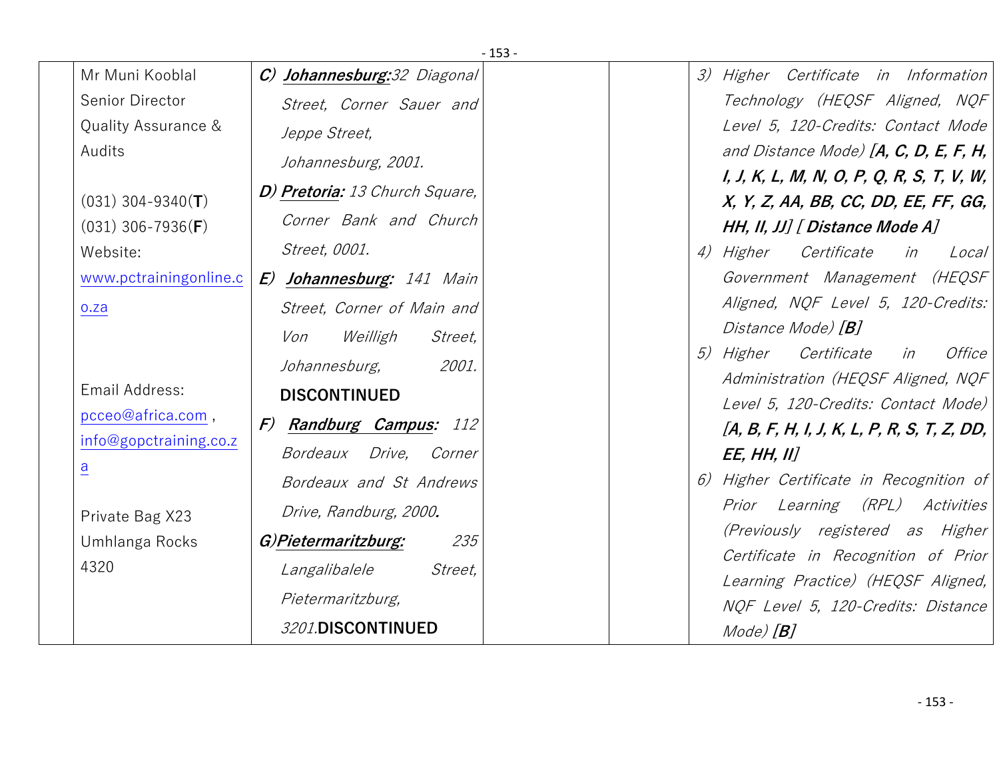|                        |                                   | $-153-$ |                                                 |
|------------------------|-----------------------------------|---------|-------------------------------------------------|
| Mr Muni Kooblal        | C) Johannesburg: 32 Diagonal      |         | 3) Higher Certificate in Information            |
| Senior Director        | Street, Corner Sauer and          |         | Technology (HEQSF Aligned, NQF                  |
| Quality Assurance &    | Jeppe Street,                     |         | Level 5, 120-Credits: Contact Mode              |
| Audits                 | Johannesburg, 2001.               |         | and Distance Mode) $[A, C, D, E, F, H,$         |
|                        | D) Pretoria: 13 Church Square,    |         | I, J, K, L, M, N, O, P, Q, R, S, T, V, W,       |
| $(031)$ 304-9340(T)    |                                   |         | X, Y, Z, AA, BB, CC, DD, EE, FF, GG,            |
| $(031)$ 306-7936(F)    | Corner Bank and Church            |         | HH, II, JJ] [ Distance Mode A]                  |
| Website:               | Street, 0001.                     |         | 4) Higher Certificate<br>in<br>Local            |
| www.pctrainingonline.c | E) Johannesburg: 141 Main         |         | Government Management (HEQSF)                   |
| o.za                   | Street, Corner of Main and        |         | Aligned, NQF Level 5, 120-Credits:              |
|                        | Weilligh<br>Von<br><i>Street,</i> |         | Distance Mode) [ <b>B</b> ]                     |
|                        | 2001.<br>Johannesburg,            |         | Certificate<br><i>5) Higher</i><br>in<br>Office |
| Email Address:         | <b>DISCONTINUED</b>               |         | Administration (HEQSF Aligned, NQF              |
| pcceo@africa.com,      | F) Randburg Campus: 112           |         | Level 5, 120-Credits: Contact Mode)             |
| info@gopctraining.co.z |                                   |         | $[A, B, F, H, I, J, K, L, P, R, S, T, Z, DD,$   |
| $\underline{a}$        | Bordeaux Drive, Corner            |         | <b>EE, HH, II]</b>                              |
|                        | Bordeaux and St Andrews           |         | 6) Higher Certificate in Recognition of         |
| Private Bag X23        | Drive, Randburg, 2000.            |         | Prior Learning (RPL) Activities                 |
| Umhlanga Rocks         | G)Pietermaritzburg:<br>235        |         | (Previously registered as Higher                |
| 4320                   | Langalibalele<br>Street,          |         | Certificate in Recognition of Prior             |
|                        | Pietermaritzburg,                 |         | Learning Practice) (HEQSF Aligned,              |
|                        | 3201.DISCONTINUED                 |         | NQF Level 5, 120-Credits: Distance              |
|                        |                                   |         | $Mode$ $[B]$                                    |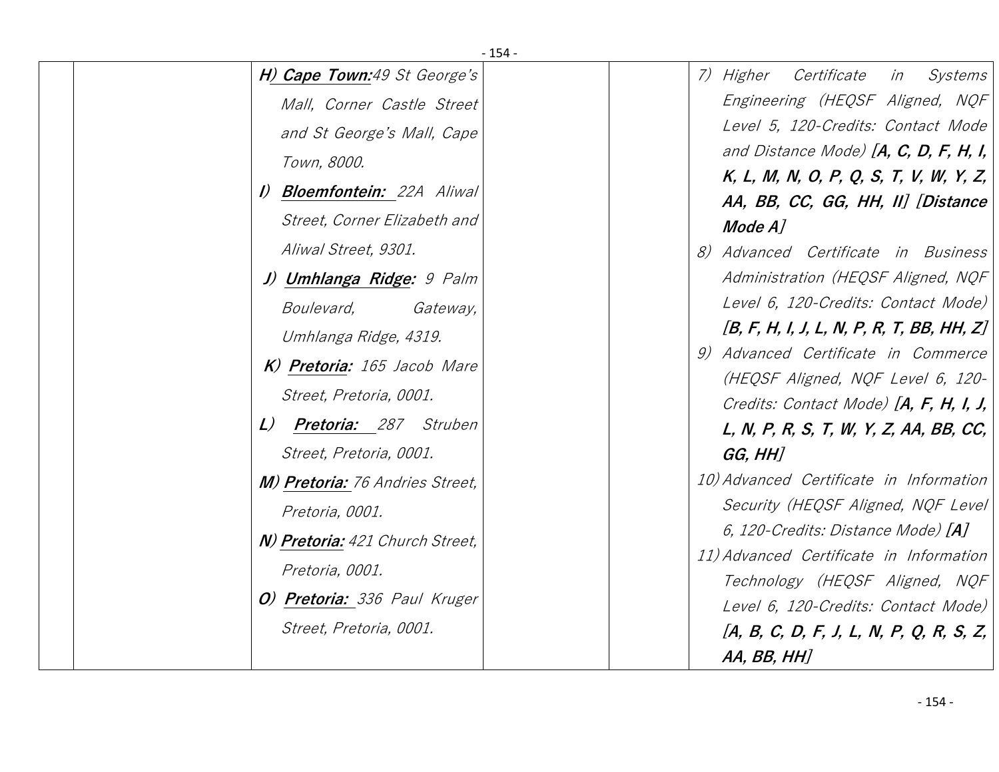|                                                                                                                                                                                                                                                                                                                                                                                                                                                                                                                                                                                     | $-154-$ |                                                                                                                                                                                                                                                                                                                                                                                                                                                                                                                                                                                                                                                                                                                                                                                                                                                                                                                 |
|-------------------------------------------------------------------------------------------------------------------------------------------------------------------------------------------------------------------------------------------------------------------------------------------------------------------------------------------------------------------------------------------------------------------------------------------------------------------------------------------------------------------------------------------------------------------------------------|---------|-----------------------------------------------------------------------------------------------------------------------------------------------------------------------------------------------------------------------------------------------------------------------------------------------------------------------------------------------------------------------------------------------------------------------------------------------------------------------------------------------------------------------------------------------------------------------------------------------------------------------------------------------------------------------------------------------------------------------------------------------------------------------------------------------------------------------------------------------------------------------------------------------------------------|
| H) Cape Town:49 St George's<br>Mall, Corner Castle Street<br>and St George's Mall, Cape<br>Town, 8000.<br>I) <b>Bloemfontein:</b> 22A Aliwal<br>Street, Corner Elizabeth and<br>Aliwal Street, 9301.<br>J) Umhlanga Ridge: 9 Palm<br><i>Boulevard,</i><br>Gateway,<br>Umhlanga Ridge, 4319.<br>K) Pretoria: 165 Jacob Mare<br>Street, Pretoria, 0001.<br>L) Pretoria: 287 Struben<br>Street, Pretoria, 0001.<br>M) Pretoria: 76 Andries Street,<br>Pretoria, 0001.<br>N) Pretoria: 421 Church Street,<br>Pretoria, 0001.<br>O) Pretoria: 336 Paul Kruger<br>Street, Pretoria, 0001. |         | Certificate<br>Systems<br>7) Higher<br>in<br>Engineering (HEQSF Aligned, NQF<br>Level 5, 120-Credits: Contact Mode<br>and Distance Mode) $[A, C, D, F, H, I,$<br>K, L, M, N, O, P, Q, S, T, V, W, Y, Z,<br>AA, BB, CC, GG, HH, II] [Distance<br>Mode A]<br>8) Advanced Certificate in Business<br>Administration (HEQSF Aligned, NQF<br>Level 6, 120-Credits: Contact Mode)<br>$[B, F, H, I, J, L, N, P, R, T, BB, HH, Z]$<br>9) Advanced Certificate in Commerce<br>(HEQSF Aligned, NQF Level 6, 120-<br>Credits: Contact Mode) $[A, F, H, I, J,$<br>L, N, P, R, S, T, W, Y, Z, AA, BB, CC,<br>GG, HH]<br>10) Advanced Certificate in Information<br>Security (HEQSF Aligned, NQF Level)<br>6, 120-Credits: Distance Mode) [A]<br>11) Advanced Certificate in Information<br>Technology (HEQSF Aligned, NQF<br>Level 6, 120-Credits: Contact Mode)<br>$[A, B, C, D, F, J, L, N, P, Q, R, S, Z,$<br>AA, BB, HH] |
|                                                                                                                                                                                                                                                                                                                                                                                                                                                                                                                                                                                     |         |                                                                                                                                                                                                                                                                                                                                                                                                                                                                                                                                                                                                                                                                                                                                                                                                                                                                                                                 |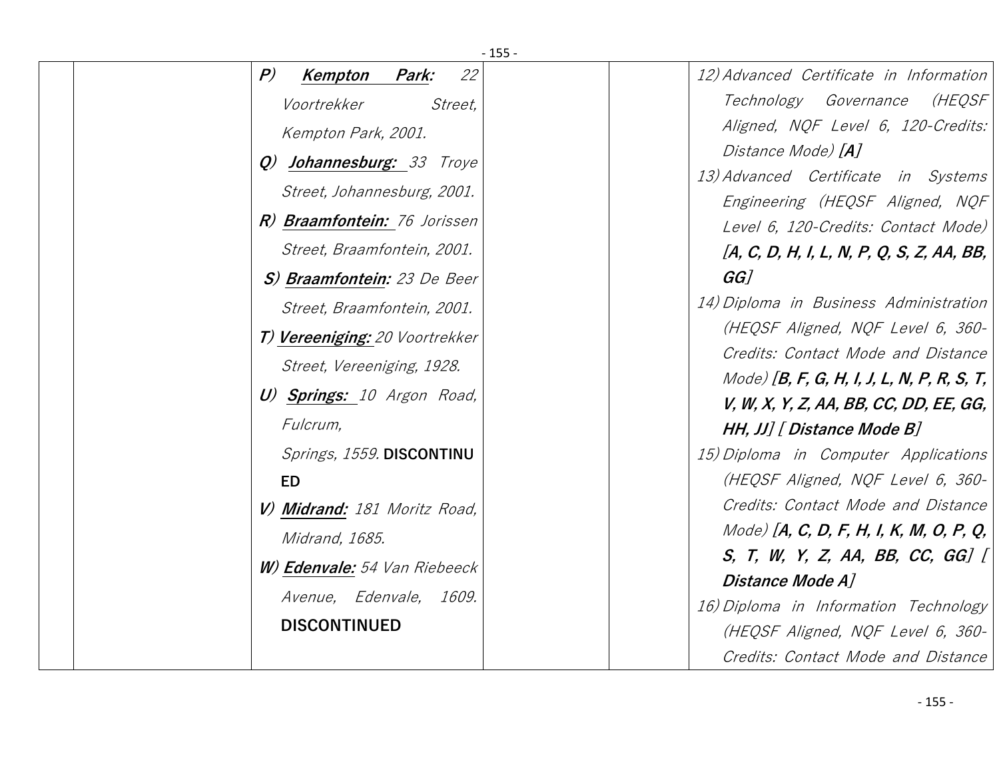| $-155-$                                            |                                                                      |
|----------------------------------------------------|----------------------------------------------------------------------|
| $\left  P \right\rangle$<br>22<br>Park:<br>Kempton | 12) Advanced Certificate in Information                              |
| Voortrekker<br>Street,                             | Technology Governance<br>(HEQSF                                      |
| Kempton Park, 2001.                                | Aligned, NQF Level 6, 120-Credits:                                   |
| Q) Johannesburg: 33 Troye                          | Distance Mode) [A]                                                   |
| Street, Johannesburg, 2001.                        | 13) Advanced Certificate in Systems                                  |
| R) Braamfontein: 76 Jorissen                       | Engineering (HEQSF Aligned, NQF                                      |
|                                                    | Level 6, 120-Credits: Contact Mode)                                  |
| Street, Braamfontein, 2001.                        | [A, C, D, H, I, L, N, P, Q, S, Z, AA, BB,                            |
| S) Braamfontein: 23 De Beer                        | $GG$ ]                                                               |
| Street, Braamfontein, 2001.                        | 14) Diploma in Business Administration                               |
| T) Vereeniging: 20 Voortrekker                     | (HEQSF Aligned, NQF Level 6, 360-                                    |
| Street, Vereeniging, 1928.                         | Credits: Contact Mode and Distance                                   |
| U) Springs: 10 Argon Road,                         | $Model$ [B, F, G, H, I, J, L, N, P, R, S, T,                         |
| Fulcrum,                                           | V, W, X, Y, Z, AA, BB, CC, DD, EE, GG,<br>HH, JJ] [ Distance Mode B] |
| Springs, 1559. DISCONTINU                          | 15) Diploma in Computer Applications                                 |
| ED                                                 | (HEQSF Aligned, NQF Level 6, 360-                                    |
|                                                    | Credits: Contact Mode and Distance                                   |
| V) Midrand: 181 Moritz Road,                       | Mode) [A, C, D, F, H, I, K, M, O, P, Q,                              |
| <i>Midrand, 1685.</i>                              | S, T, W, Y, Z, AA, BB, CC, GG] $[$                                   |
| <b>W) Edenvale:</b> 54 Van Riebeeck                | Distance Mode A]                                                     |
| Avenue, Edenvale,<br>1609.                         | 16) Diploma in Information Technology                                |
| <b>DISCONTINUED</b>                                | (HEQSF Aligned, NQF Level 6, 360-                                    |
|                                                    | Credits: Contact Mode and Distance                                   |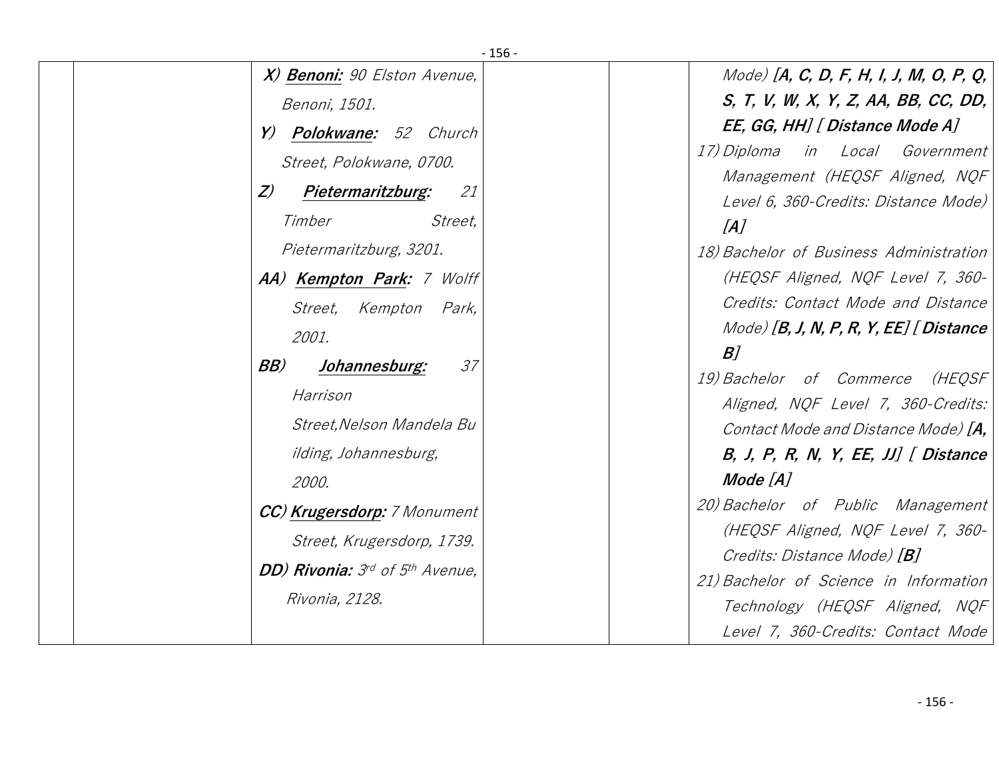| $-156-$                           |                                                                      |
|-----------------------------------|----------------------------------------------------------------------|
| X) Benoni: 90 Elston Avenue,      | Mode) [A, C, D, F, H, I, J, M, O, P, Q,                              |
| Benoni, 1501.                     | S, T, V, W, X, Y, Z, AA, BB, CC, DD,                                 |
| <b>Polokwane:</b> 52 Church<br>Y) | EE, GG, HH] [ Distance Mode A]                                       |
| Street, Polokwane, 0700.          | in Local Government<br>17) Diploma<br>Management (HEQSF Aligned, NQF |
| Z<br>Pietermaritzburg:<br>21      | Level 6, 360-Credits: Distance Mode)                                 |
| Street,<br>Timber                 | [A]                                                                  |
| Pietermaritzburg, 3201.           | 18) Bachelor of Business Administration                              |
| AA) Kempton Park: 7 Wolff         | (HEQSF Aligned, NQF Level 7, 360-                                    |
| Street, Kempton Park,             | Credits: Contact Mode and Distance                                   |
| 2001.                             | $Model$ [B, J, N, P, R, Y, EE] [Distance                             |
| BB)<br>37<br>Johannesburg:        | B]<br>19) Bachelor of Commerce (HEQSF                                |
| Harrison                          | Aligned, NQF Level 7, 360-Credits:                                   |
| Street, Nelson Mandela Bu         | Contact Mode and Distance Mode) [A,                                  |
| ilding, Johannesburg,             | B, J, P, R, N, Y, EE, JJ $\int$ Distance                             |
| 2000.                             | Mode [A]                                                             |
| CC) Krugersdorp: 7 Monument       | 20) Bachelor of Public Management                                    |
| Street, Krugersdorp, 1739.        | (HEQSF Aligned, NQF Level 7, 360-                                    |
| DD) Rivonia: 3rd of 5th Avenue,   | Credits: Distance Mode) [B]                                          |
| Rivonia, 2128.                    | 21) Bachelor of Science in Information                               |
|                                   | Technology (HEQSF Aligned, NQF                                       |
|                                   | Level 7, 360-Credits: Contact Mode                                   |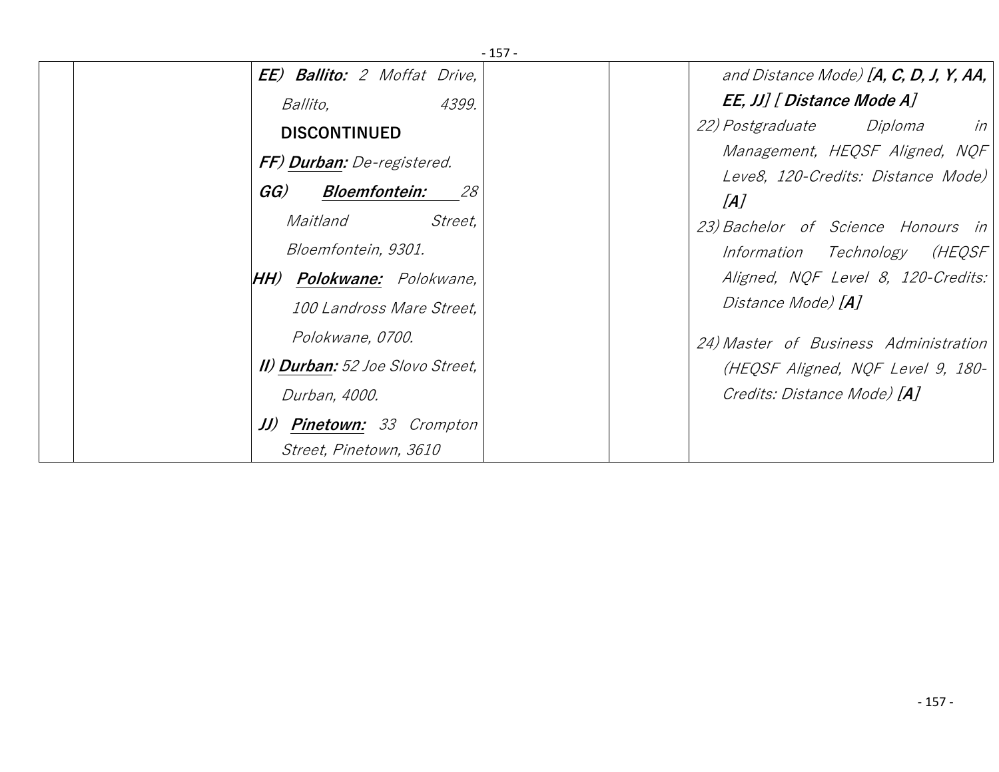| -157-                                   |                                            |  |  |  |  |  |
|-----------------------------------------|--------------------------------------------|--|--|--|--|--|
| <b>EE) Ballito:</b> 2 Moffat Drive,     | and Distance Mode) [A, C, D, J, Y, AA, $ $ |  |  |  |  |  |
| 4399.<br><i>Ballito,</i>                | EE, JJ] [ Distance Mode A]                 |  |  |  |  |  |
| <b>DISCONTINUED</b>                     | <i>22) Postgraduate Diploma</i><br>in      |  |  |  |  |  |
| FF) Durban: De-registered.              | Management, HEQSF Aligned, NQF             |  |  |  |  |  |
|                                         | Leve8, 120-Credits: Distance Mode)         |  |  |  |  |  |
| GG)<br><i>Bloemfontein:</i><br>28       | [A]                                        |  |  |  |  |  |
| Street,<br>Maitland                     | 23) Bachelor of Science Honours in         |  |  |  |  |  |
| Bloemfontein, 9301.                     | Information Technology<br>(HEQSF           |  |  |  |  |  |
| <b>HH) Polokwane:</b> Polokwane,        | Aligned, NQF Level 8, 120-Credits:         |  |  |  |  |  |
| 100 Landross Mare Street,               | Distance Mode) [A]                         |  |  |  |  |  |
| Polokwane, 0700.                        | 24) Master of Business Administration      |  |  |  |  |  |
| <b>II) Durban:</b> 52 Joe Slovo Street, | (HEQSF Aligned, NQF Level 9, 180-          |  |  |  |  |  |
| Durban, 4000.                           | Credits: Distance Mode) [A]                |  |  |  |  |  |
| <b>JJ) Pinetown:</b> 33 Crompton        |                                            |  |  |  |  |  |
| Street, Pinetown, 3610                  |                                            |  |  |  |  |  |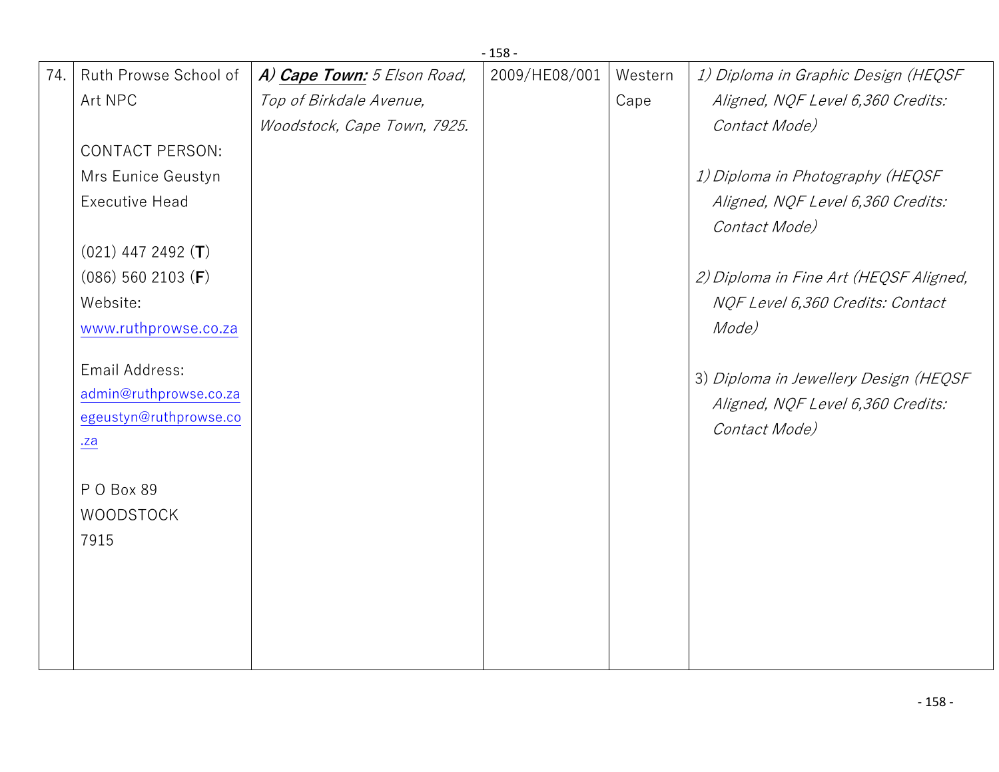|     | $-158-$                |                             |               |         |                                                    |  |  |
|-----|------------------------|-----------------------------|---------------|---------|----------------------------------------------------|--|--|
| 74. | Ruth Prowse School of  | A) Cape Town: 5 Elson Road, | 2009/HE08/001 | Western | 1) Diploma in Graphic Design (HEQSF                |  |  |
|     | Art NPC                | Top of Birkdale Avenue,     |               | Cape    | Aligned, NQF Level 6,360 Credits:                  |  |  |
|     |                        | Woodstock, Cape Town, 7925. |               |         | Contact Mode)                                      |  |  |
|     | <b>CONTACT PERSON:</b> |                             |               |         |                                                    |  |  |
|     | Mrs Eunice Geustyn     |                             |               |         | 1) Diploma in Photography (HEQSF                   |  |  |
|     | <b>Executive Head</b>  |                             |               |         | Aligned, NQF Level 6,360 Credits:<br>Contact Mode) |  |  |
|     | $(021)$ 447 2492 $(T)$ |                             |               |         |                                                    |  |  |
|     | $(086)$ 560 2103 (F)   |                             |               |         | 2) Diploma in Fine Art (HEQSF Aligned,             |  |  |
|     | Website:               |                             |               |         | NQF Level 6,360 Credits: Contact                   |  |  |
|     | www.ruthprowse.co.za   |                             |               |         | Mode)                                              |  |  |
|     | Email Address:         |                             |               |         | 3) Diploma in Jewellery Design (HEQSF              |  |  |
|     | admin@ruthprowse.co.za |                             |               |         | Aligned, NQF Level 6,360 Credits:                  |  |  |
|     | egeustyn@ruthprowse.co |                             |               |         | Contact Mode)                                      |  |  |
|     | $\underline{.za}$      |                             |               |         |                                                    |  |  |
|     | PO Box 89              |                             |               |         |                                                    |  |  |
|     | <b>WOODSTOCK</b>       |                             |               |         |                                                    |  |  |
|     | 7915                   |                             |               |         |                                                    |  |  |
|     |                        |                             |               |         |                                                    |  |  |
|     |                        |                             |               |         |                                                    |  |  |
|     |                        |                             |               |         |                                                    |  |  |
|     |                        |                             |               |         |                                                    |  |  |
|     |                        |                             |               |         |                                                    |  |  |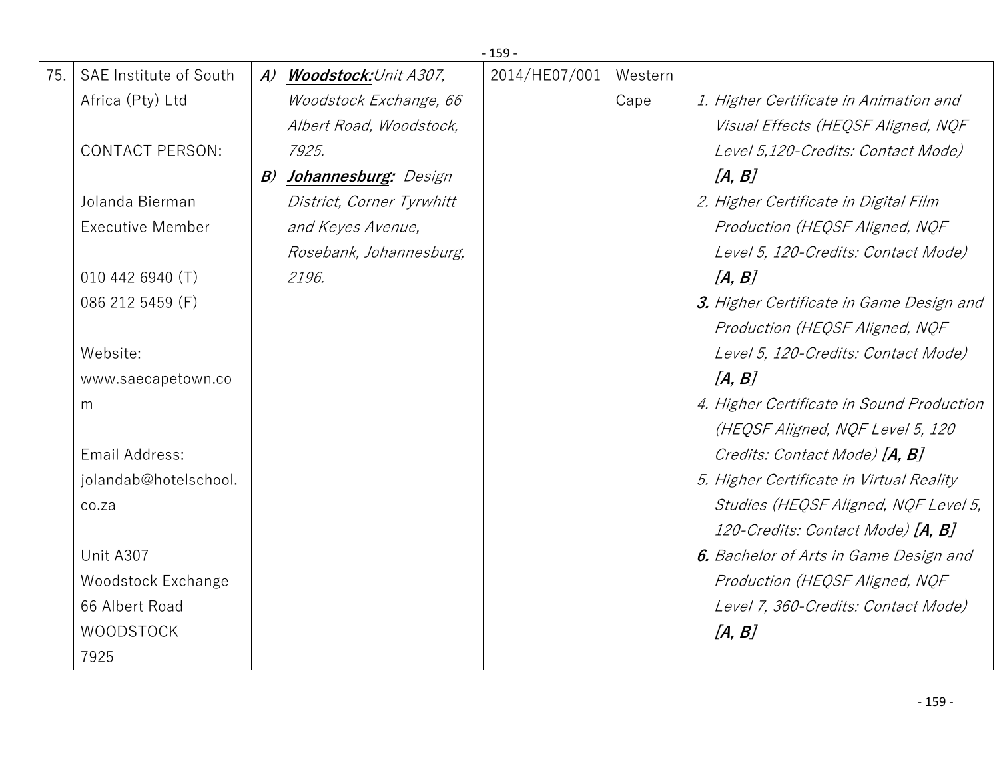|     |                           |               |                              | $-159-$       |         |                                            |
|-----|---------------------------|---------------|------------------------------|---------------|---------|--------------------------------------------|
| 75. | SAE Institute of South    | $\mathcal{A}$ | <b>Woodstock:</b> Unit A307, | 2014/HE07/001 | Western |                                            |
|     | Africa (Pty) Ltd          |               | Woodstock Exchange, 66       |               | Cape    | 1. Higher Certificate in Animation and     |
|     |                           |               | Albert Road, Woodstock,      |               |         | Visual Effects (HEQSF Aligned, NQF         |
|     | <b>CONTACT PERSON:</b>    |               | 7925.                        |               |         | Level 5,120-Credits: Contact Mode)         |
|     |                           | B)            | Johannesburg: Design         |               |         | [A, B]                                     |
|     | Jolanda Bierman           |               | District, Corner Tyrwhitt    |               |         | 2. Higher Certificate in Digital Film      |
|     | <b>Executive Member</b>   |               | and Keyes Avenue,            |               |         | Production (HEQSF Aligned, NQF             |
|     |                           |               | Rosebank, Johannesburg,      |               |         | Level 5, 120-Credits: Contact Mode)        |
|     | 010 442 6940 (T)          |               | 2196.                        |               |         | [A, B]                                     |
|     | 086 212 5459 (F)          |               |                              |               |         | 3. Higher Certificate in Game Design and   |
|     |                           |               |                              |               |         | Production (HEQSF Aligned, NQF             |
|     | Website:                  |               |                              |               |         | Level 5, 120-Credits: Contact Mode)        |
|     | www.saecapetown.co        |               |                              |               |         | [A, B]                                     |
|     | m                         |               |                              |               |         | 4. Higher Certificate in Sound Production  |
|     |                           |               |                              |               |         | (HEQSF Aligned, NQF Level 5, 120           |
|     | Email Address:            |               |                              |               |         | Credits: Contact Mode) [A, B]              |
|     | jolandab@hotelschool.     |               |                              |               |         | 5. Higher Certificate in Virtual Reality   |
|     | co.za                     |               |                              |               |         | Studies (HEQSF Aligned, NQF Level 5,       |
|     |                           |               |                              |               |         | 120-Credits: Contact Mode) [ <b>A, B</b> ] |
|     | Unit A307                 |               |                              |               |         | 6. Bachelor of Arts in Game Design and     |
|     | <b>Woodstock Exchange</b> |               |                              |               |         | Production (HEQSF Aligned, NQF             |
|     | 66 Albert Road            |               |                              |               |         | Level 7, 360-Credits: Contact Mode)        |
|     | <b>WOODSTOCK</b>          |               |                              |               |         | [A, B]                                     |
|     | 7925                      |               |                              |               |         |                                            |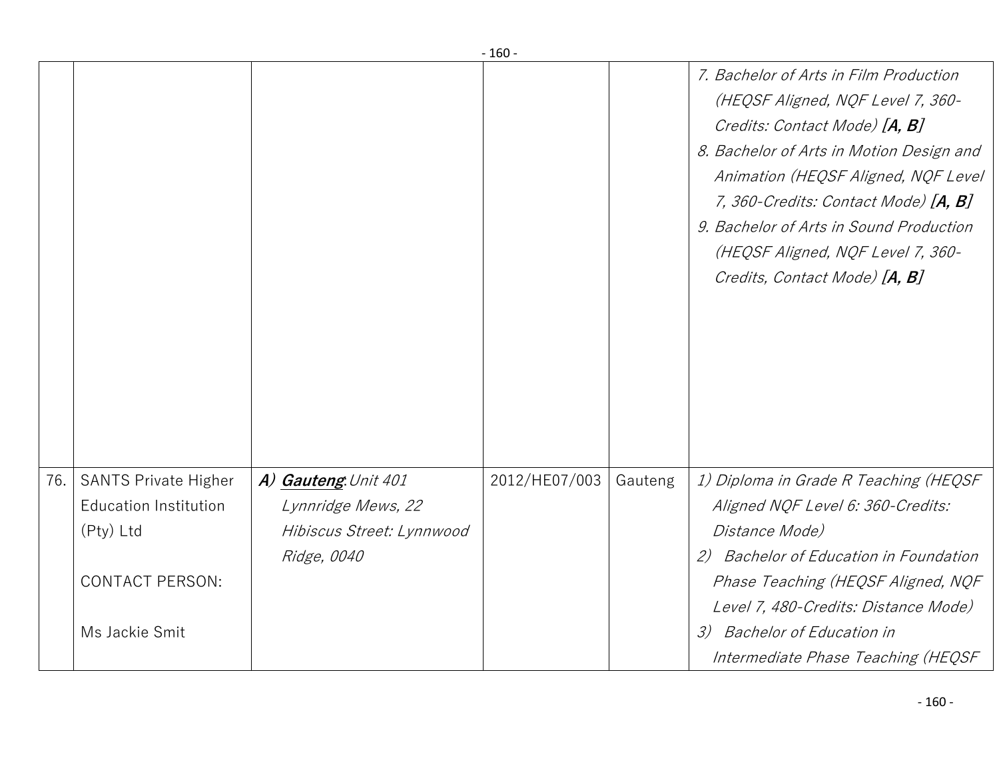|     |                                                             |                                            | - טסד -       |         |                                                                                                                                                                                                                                                                                                                                                          |
|-----|-------------------------------------------------------------|--------------------------------------------|---------------|---------|----------------------------------------------------------------------------------------------------------------------------------------------------------------------------------------------------------------------------------------------------------------------------------------------------------------------------------------------------------|
|     |                                                             |                                            |               |         | 7. Bachelor of Arts in Film Production<br>(HEQSF Aligned, NQF Level 7, 360-<br>Credits: Contact Mode) [A, B]<br>8. Bachelor of Arts in Motion Design and<br>Animation (HEQSF Aligned, NQF Level<br>7, 360-Credits: Contact Mode) [A, B]<br>9. Bachelor of Arts in Sound Production<br>(HEQSF Aligned, NQF Level 7, 360-<br>Credits, Contact Mode) [A, B] |
| 76. | <b>SANTS Private Higher</b><br><b>Education Institution</b> | A) Gauteng. Unit 401<br>Lynnridge Mews, 22 | 2012/HE07/003 | Gauteng | 1) Diploma in Grade R Teaching (HEQSF<br>Aligned NQF Level 6: 360-Credits:                                                                                                                                                                                                                                                                               |
|     | (Pty) Ltd                                                   | Hibiscus Street: Lynnwood                  |               |         | Distance Mode)                                                                                                                                                                                                                                                                                                                                           |
|     |                                                             | Ridge, 0040                                |               |         | Bachelor of Education in Foundation<br>2)                                                                                                                                                                                                                                                                                                                |
|     | <b>CONTACT PERSON:</b>                                      |                                            |               |         | Phase Teaching (HEQSF Aligned, NQF                                                                                                                                                                                                                                                                                                                       |
|     |                                                             |                                            |               |         | Level 7, 480-Credits: Distance Mode)                                                                                                                                                                                                                                                                                                                     |
|     | Ms Jackie Smit                                              |                                            |               |         | <b>Bachelor of Education in</b><br>$\mathcal{Z}$                                                                                                                                                                                                                                                                                                         |
|     |                                                             |                                            |               |         | Intermediate Phase Teaching (HEQSF                                                                                                                                                                                                                                                                                                                       |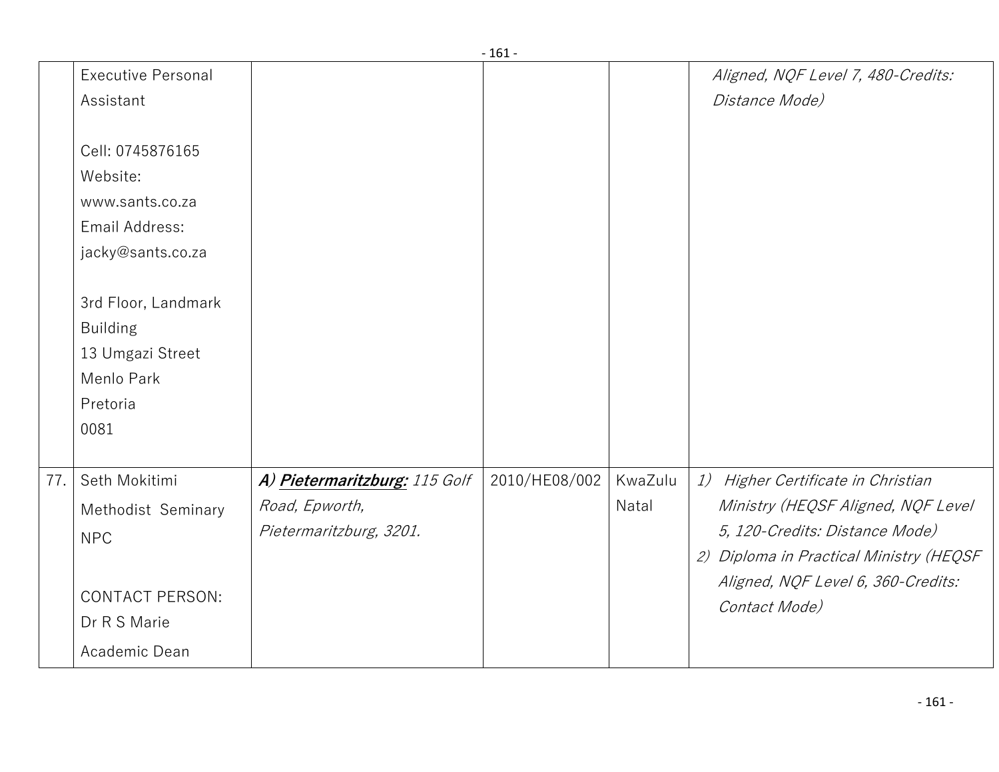|     |                                                                                                              |                                                                            | - 161 -       |                  |                                                                                                                                                                                                              |
|-----|--------------------------------------------------------------------------------------------------------------|----------------------------------------------------------------------------|---------------|------------------|--------------------------------------------------------------------------------------------------------------------------------------------------------------------------------------------------------------|
|     | <b>Executive Personal</b><br>Assistant                                                                       |                                                                            |               |                  | Aligned, NQF Level 7, 480-Credits:<br>Distance Mode)                                                                                                                                                         |
|     | Cell: 0745876165<br>Website:<br>www.sants.co.za<br>Email Address:<br>jacky@sants.co.za                       |                                                                            |               |                  |                                                                                                                                                                                                              |
|     | 3rd Floor, Landmark<br><b>Building</b><br>13 Umgazi Street<br>Menlo Park<br>Pretoria<br>0081                 |                                                                            |               |                  |                                                                                                                                                                                                              |
| 77. | Seth Mokitimi<br>Methodist Seminary<br><b>NPC</b><br><b>CONTACT PERSON:</b><br>Dr R S Marie<br>Academic Dean | A) Pietermaritzburg: 115 Golf<br>Road, Epworth,<br>Pietermaritzburg, 3201. | 2010/HE08/002 | KwaZulu<br>Natal | 1) Higher Certificate in Christian<br>Ministry (HEQSF Aligned, NQF Level<br>5, 120-Credits: Distance Mode)<br>2) Diploma in Practical Ministry (HEQSF<br>Aligned, NQF Level 6, 360-Credits:<br>Contact Mode) |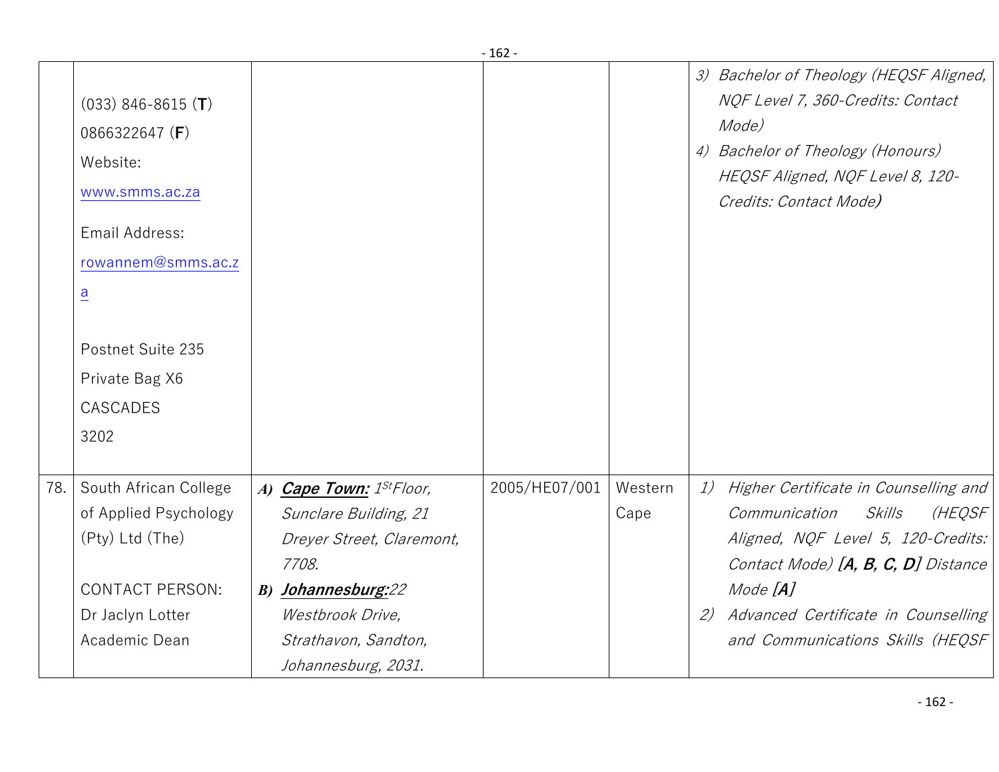|     |                                                                                                                                                                                                    |                                                                                                                                                                                                     | - 107 -       |                 |                                                                                                                                                                                                                                                               |
|-----|----------------------------------------------------------------------------------------------------------------------------------------------------------------------------------------------------|-----------------------------------------------------------------------------------------------------------------------------------------------------------------------------------------------------|---------------|-----------------|---------------------------------------------------------------------------------------------------------------------------------------------------------------------------------------------------------------------------------------------------------------|
|     | $(033)$ 846-8615 $(T)$<br>0866322647 (F)<br>Website:<br>www.smms.ac.za<br>Email Address:<br>rowannem@smms.ac.z<br>$\overline{a}$<br>Postnet Suite 235<br>Private Bag X6<br><b>CASCADES</b><br>3202 |                                                                                                                                                                                                     |               |                 | 3) Bachelor of Theology (HEQSF Aligned,<br>NQF Level 7, 360-Credits: Contact<br>Mode)<br>4) Bachelor of Theology (Honours)<br>HEQSF Aligned, NQF Level 8, 120-<br>Credits: Contact Mode)                                                                      |
| 78. | South African College<br>of Applied Psychology<br>(Pty) Ltd (The)<br><b>CONTACT PERSON:</b><br>Dr Jaclyn Lotter<br>Academic Dean                                                                   | A) Cape Town: 1 <sup>St</sup> Floor,<br>Sunclare Building, 21<br>Dreyer Street, Claremont,<br>7708.<br><b>B)</b> Johannesburg:22<br>Westbrook Drive,<br>Strathavon, Sandton,<br>Johannesburg, 2031. | 2005/HE07/001 | Western<br>Cape | 1)<br>Higher Certificate in Counselling and<br>Communication<br>Skills<br>(HEQSF<br>Aligned, NQF Level 5, 120-Credits:<br>Contact Mode) [A, B, C, D] Distance<br>Mode $[A]$<br>Advanced Certificate in Counselling<br>(2)<br>and Communications Skills (HEQSF |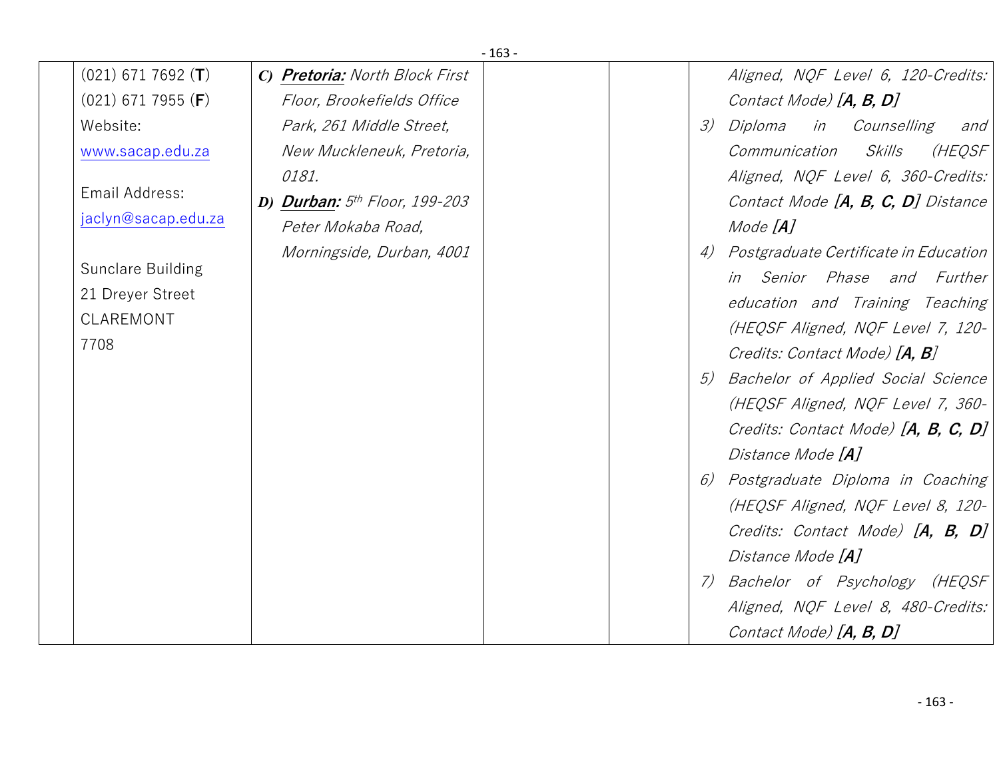|                               |                                 | $-163-$ |               |                                        |
|-------------------------------|---------------------------------|---------|---------------|----------------------------------------|
| $(021)$ 671 7692 (T)          | C) Pretoria: North Block First  |         |               | Aligned, NQF Level 6, 120-Credits:     |
| $(021)$ 671 7955 ( <b>F</b> ) | Floor, Brookefields Office      |         |               | Contact Mode) [A, B, D]                |
| Website:                      | Park, 261 Middle Street,        |         | $\mathcal{Z}$ | Diploma<br>in Counselling<br>and       |
| www.sacap.edu.za              | New Muckleneuk, Pretoria,       |         |               | (HEQSF<br>Communication<br>Skills      |
|                               | 0181.                           |         |               | Aligned, NQF Level 6, 360-Credits:     |
| Email Address:                | D) Durban: $5th$ Floor, 199-203 |         |               | Contact Mode [A, B, C, D] Distance     |
| jaclyn@sacap.edu.za           | Peter Mokaba Road,              |         |               | Mode [ <b>A</b> ]                      |
|                               | Morningside, Durban, 4001       |         | 4)            | Postgraduate Certificate in Education  |
| Sunclare Building             |                                 |         |               | in Senior Phase and Further            |
| 21 Dreyer Street              |                                 |         |               | education and Training Teaching        |
| CLAREMONT                     |                                 |         |               | (HEQSF Aligned, NQF Level 7, 120-      |
| 7708                          |                                 |         |               | Credits: Contact Mode) [ <b>A, B</b> ] |
|                               |                                 |         | 5)            | Bachelor of Applied Social Science     |
|                               |                                 |         |               | (HEQSF Aligned, NQF Level 7, 360-      |
|                               |                                 |         |               | Credits: Contact Mode) $[A, B, C, D]$  |
|                               |                                 |         |               | Distance Mode [A]                      |
|                               |                                 |         | 6)            | Postgraduate Diploma in Coaching       |
|                               |                                 |         |               | (HEQSF Aligned, NQF Level 8, 120-      |
|                               |                                 |         |               | Credits: Contact Mode) [A, B, D]       |
|                               |                                 |         |               | Distance Mode [A]                      |
|                               |                                 |         | $7)$          | Bachelor of Psychology (HEQSF)         |
|                               |                                 |         |               | Aligned, NQF Level 8, 480-Credits:     |
|                               |                                 |         |               | Contact Mode) [A, B, D]                |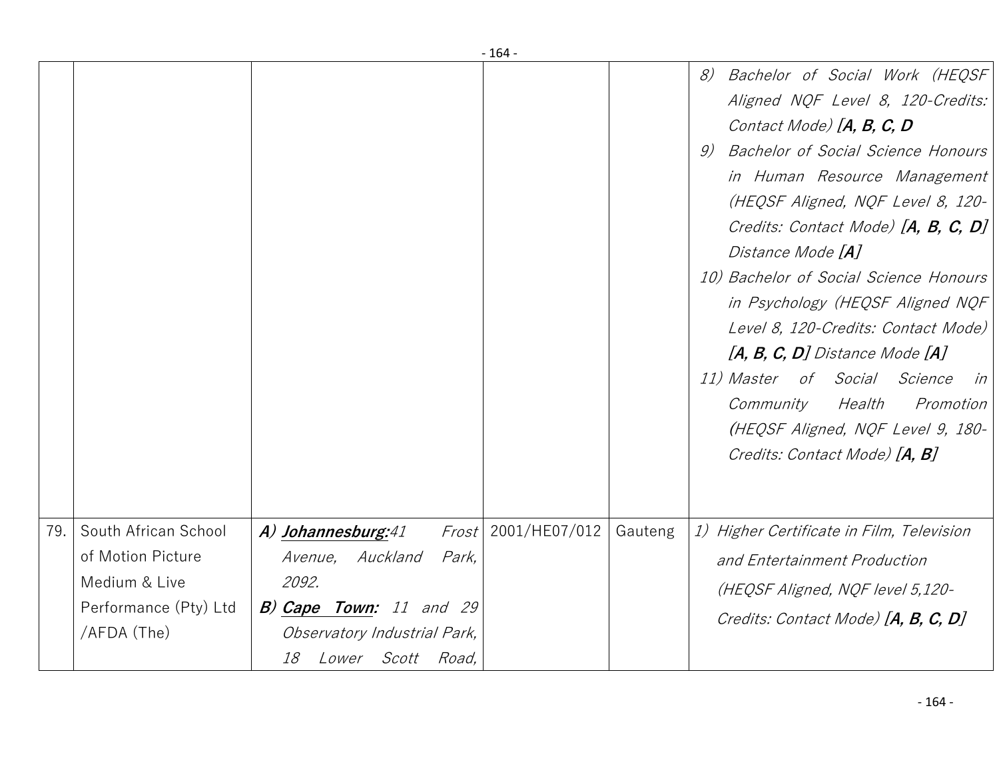|     |                       |                                |       | - 164 -               |         |                                                                                                                                                                                                                                                                                                                                                                                                                                                                                                                                                                                                |
|-----|-----------------------|--------------------------------|-------|-----------------------|---------|------------------------------------------------------------------------------------------------------------------------------------------------------------------------------------------------------------------------------------------------------------------------------------------------------------------------------------------------------------------------------------------------------------------------------------------------------------------------------------------------------------------------------------------------------------------------------------------------|
|     |                       |                                |       |                       |         | Bachelor of Social Work (HEQSF<br>8)<br>Aligned NQF Level 8, 120-Credits:<br>Contact Mode) [A, B, C, D<br>Bachelor of Social Science Honours<br>9)<br>in Human Resource Management<br>(HEQSF Aligned, NQF Level 8, 120-<br>Credits: Contact Mode) [A, B, C, D]<br>Distance Mode [A]<br>10) Bachelor of Social Science Honours<br>in Psychology (HEQSF Aligned NQF<br>Level 8, 120-Credits: Contact Mode)<br>$[A, B, C, D]$ Distance Mode $[A]$<br>11) Master of Social Science<br>in<br>Health<br>Promotion<br>Community<br>(HEQSF Aligned, NQF Level 9, 180-<br>Credits: Contact Mode) [A, B] |
| 79. | South African School  | A) Johannesburg:41             |       | $Frost$ 2001/HE07/012 | Gauteng | 1) Higher Certificate in Film, Television                                                                                                                                                                                                                                                                                                                                                                                                                                                                                                                                                      |
|     | of Motion Picture     | Avenue, Auckland               | Park, |                       |         | and Entertainment Production                                                                                                                                                                                                                                                                                                                                                                                                                                                                                                                                                                   |
|     | Medium & Live         | 2092.                          |       |                       |         | (HEQSF Aligned, NQF level 5,120-                                                                                                                                                                                                                                                                                                                                                                                                                                                                                                                                                               |
|     | Performance (Pty) Ltd | B) Cape Town: 11 and 29        |       |                       |         | Credits: Contact Mode) [A, B, C, D]                                                                                                                                                                                                                                                                                                                                                                                                                                                                                                                                                            |
|     | /AFDA (The)           | Observatory Industrial Park,   |       |                       |         |                                                                                                                                                                                                                                                                                                                                                                                                                                                                                                                                                                                                |
|     |                       | <i>Lower Scott Road,</i><br>18 |       |                       |         |                                                                                                                                                                                                                                                                                                                                                                                                                                                                                                                                                                                                |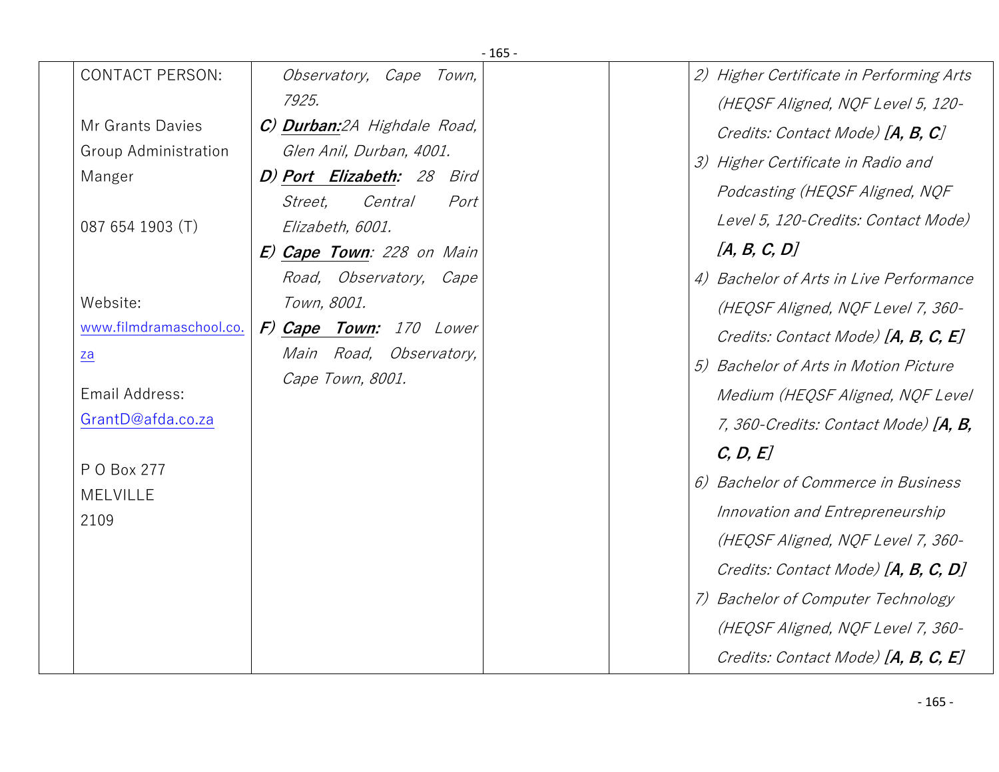| $-165-$                        |                                                          |  |                                          |  |  |  |  |
|--------------------------------|----------------------------------------------------------|--|------------------------------------------|--|--|--|--|
| <b>CONTACT PERSON:</b>         | Observatory, Cape Town,                                  |  | 2) Higher Certificate in Performing Arts |  |  |  |  |
|                                | 7925.                                                    |  | (HEQSF Aligned, NQF Level 5, 120-        |  |  |  |  |
| Mr Grants Davies               | C) Durban:2A Highdale Road,                              |  | Credits: Contact Mode) [A, B, C]         |  |  |  |  |
| Group Administration           | Glen Anil, Durban, 4001.                                 |  | 3) Higher Certificate in Radio and       |  |  |  |  |
| Manger                         | D) Port Elizabeth: 28 Bird<br>Central<br>Street,<br>Port |  | Podcasting (HEQSF Aligned, NQF           |  |  |  |  |
| 087 654 1903 (T)               | Elizabeth, 6001.                                         |  | Level 5, 120-Credits: Contact Mode)      |  |  |  |  |
|                                | E) Cape Town: 228 on Main                                |  | [A, B, C, D]                             |  |  |  |  |
|                                | Road, Observatory, Cape                                  |  | 4) Bachelor of Arts in Live Performance  |  |  |  |  |
| Website:                       | Town, 8001.                                              |  | (HEQSF Aligned, NQF Level 7, 360-        |  |  |  |  |
| www.filmdramaschool.co.        | F) Cape Town: 170 Lower                                  |  | Credits: Contact Mode) [A, B, C, E]      |  |  |  |  |
| $\underline{z}\underline{a}$   | Main Road, Observatory,                                  |  | 5) Bachelor of Arts in Motion Picture    |  |  |  |  |
| Email Address:                 | Cape Town, 8001.                                         |  | Medium (HEQSF Aligned, NQF Level         |  |  |  |  |
| GrantD@afda.co.za              |                                                          |  | 7, 360-Credits: Contact Mode) [A, B,     |  |  |  |  |
|                                |                                                          |  | C, D, E                                  |  |  |  |  |
| P O Box 277<br><b>MELVILLE</b> |                                                          |  | 6) Bachelor of Commerce in Business      |  |  |  |  |
| 2109                           |                                                          |  | Innovation and Entrepreneurship          |  |  |  |  |
|                                |                                                          |  | (HEQSF Aligned, NQF Level 7, 360-        |  |  |  |  |
|                                |                                                          |  | Credits: Contact Mode) [A, B, C, D]      |  |  |  |  |
|                                |                                                          |  | 7) Bachelor of Computer Technology       |  |  |  |  |
|                                |                                                          |  | (HEQSF Aligned, NQF Level 7, 360-        |  |  |  |  |
|                                |                                                          |  | Credits: Contact Mode) [A, B, C, E]      |  |  |  |  |
|                                |                                                          |  |                                          |  |  |  |  |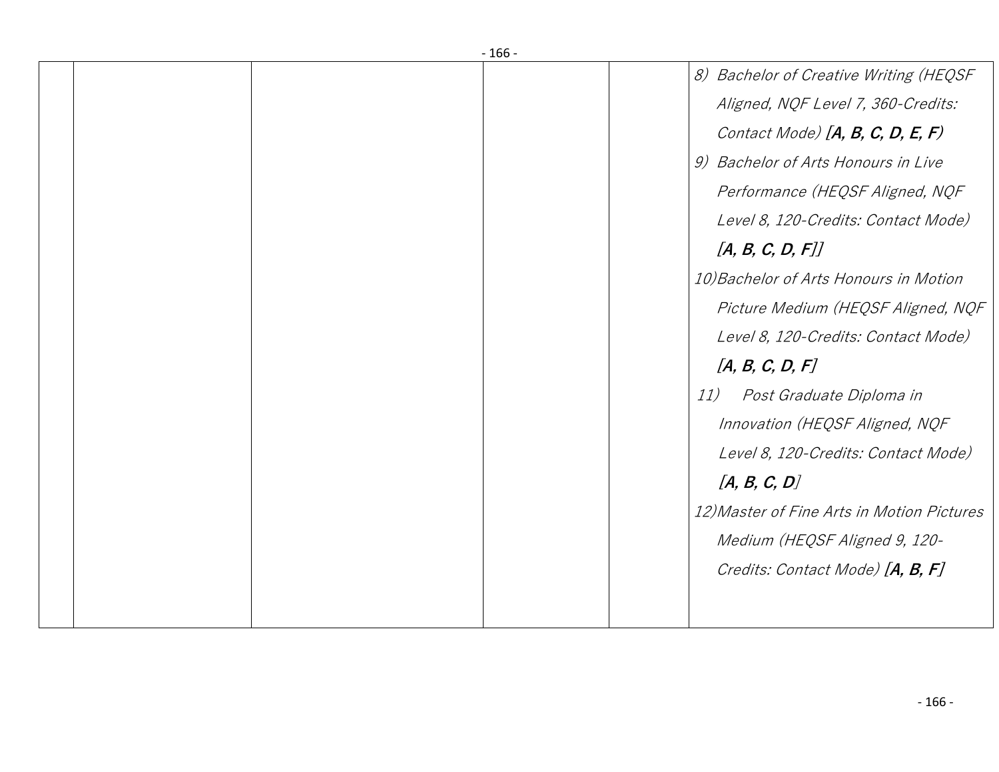|  | $-166-$ |                                            |
|--|---------|--------------------------------------------|
|  |         | 8) Bachelor of Creative Writing (HEQSF     |
|  |         | Aligned, NQF Level 7, 360-Credits:         |
|  |         | Contact Mode) $[A, B, C, D, E, F)$         |
|  |         | 9) Bachelor of Arts Honours in Live        |
|  |         | Performance (HEQSF Aligned, NQF            |
|  |         | Level 8, 120-Credits: Contact Mode)        |
|  |         | [A, B, C, D, F]]                           |
|  |         | 10) Bachelor of Arts Honours in Motion     |
|  |         | Picture Medium (HEQSF Aligned, NQF         |
|  |         | Level 8, 120-Credits: Contact Mode)        |
|  |         | [A, B, C, D, F]                            |
|  |         | Post Graduate Diploma in<br>11)            |
|  |         | Innovation (HEQSF Aligned, NQF             |
|  |         | Level 8, 120-Credits: Contact Mode)        |
|  |         | [A, B, C, D]                               |
|  |         | 12) Master of Fine Arts in Motion Pictures |
|  |         | Medium (HEQSF Aligned 9, 120-              |
|  |         | Credits: Contact Mode) [A, B, F]           |
|  |         |                                            |
|  |         |                                            |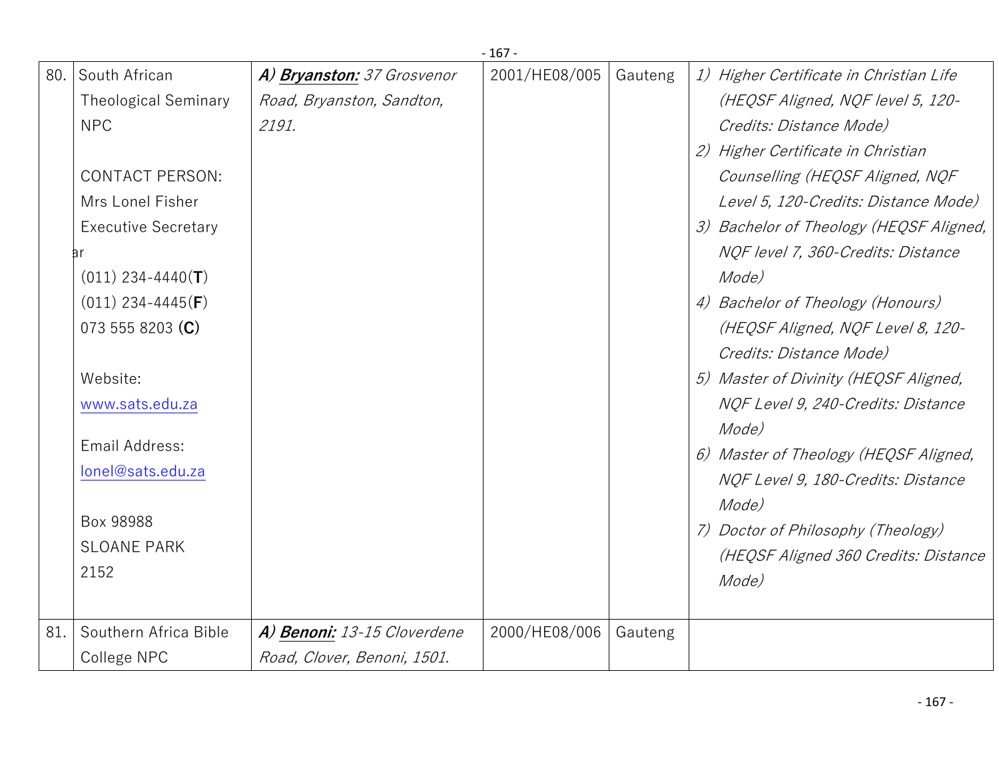|     |                              |                             | $-167-$       |         |                                         |
|-----|------------------------------|-----------------------------|---------------|---------|-----------------------------------------|
| 80. | South African                | A) Bryanston: 37 Grosvenor  | 2001/HE08/005 | Gauteng | 1) Higher Certificate in Christian Life |
|     | <b>Theological Seminary</b>  | Road, Bryanston, Sandton,   |               |         | (HEQSF Aligned, NQF level 5, 120-       |
|     | <b>NPC</b>                   | 2191.                       |               |         | Credits: Distance Mode)                 |
|     |                              |                             |               |         | 2) Higher Certificate in Christian      |
|     | <b>CONTACT PERSON:</b>       |                             |               |         | Counselling (HEQSF Aligned, NQF         |
|     | Mrs Lonel Fisher             |                             |               |         | Level 5, 120-Credits: Distance Mode)    |
|     | <b>Executive Secretary</b>   |                             |               |         | 3) Bachelor of Theology (HEQSF Aligned, |
|     | аr                           |                             |               |         | NQF level 7, 360-Credits: Distance      |
|     | $(011)$ 234-4440(T)          |                             |               |         | Mode)                                   |
|     | $(011)$ 234-4445( <b>F</b> ) |                             |               |         | 4) Bachelor of Theology (Honours)       |
|     | 073 555 8203 (C)             |                             |               |         | (HEQSF Aligned, NQF Level 8, 120-       |
|     |                              |                             |               |         | Credits: Distance Mode)                 |
|     | Website:                     |                             |               |         | 5) Master of Divinity (HEQSF Aligned,   |
|     | www.sats.edu.za              |                             |               |         | NQF Level 9, 240-Credits: Distance      |
|     |                              |                             |               |         | Mode)                                   |
|     | Email Address:               |                             |               |         | 6) Master of Theology (HEQSF Aligned,   |
|     | lonel@sats.edu.za            |                             |               |         | NQF Level 9, 180-Credits: Distance      |
|     |                              |                             |               |         | Mode)                                   |
|     | Box 98988                    |                             |               |         | 7) Doctor of Philosophy (Theology)      |
|     | <b>SLOANE PARK</b>           |                             |               |         | (HEQSF Aligned 360 Credits: Distance    |
|     | 2152                         |                             |               |         | Mode)                                   |
|     |                              |                             |               |         |                                         |
| 81. | Southern Africa Bible        | A) Benoni: 13-15 Cloverdene | 2000/HE08/006 | Gauteng |                                         |
|     | College NPC                  | Road, Clover, Benoni, 1501. |               |         |                                         |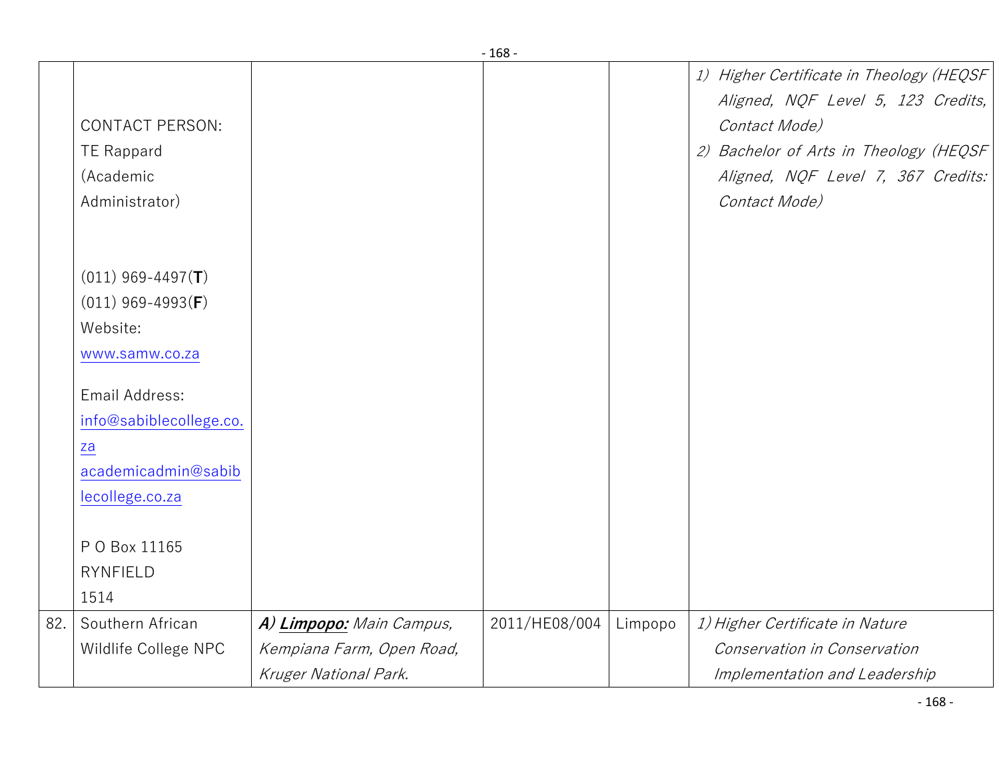|     |                         |                           | - 108 -       |         |                                          |
|-----|-------------------------|---------------------------|---------------|---------|------------------------------------------|
|     |                         |                           |               |         | 1) Higher Certificate in Theology (HEQSF |
|     |                         |                           |               |         | Aligned, NQF Level 5, 123 Credits,       |
|     | <b>CONTACT PERSON:</b>  |                           |               |         | Contact Mode)                            |
|     | <b>TE Rappard</b>       |                           |               |         | 2) Bachelor of Arts in Theology (HEQSF   |
|     | (Academic               |                           |               |         | Aligned, NQF Level 7, 367 Credits:       |
|     | Administrator)          |                           |               |         | Contact Mode)                            |
|     |                         |                           |               |         |                                          |
|     |                         |                           |               |         |                                          |
|     | $(011)$ 969-4497(T)     |                           |               |         |                                          |
|     | $(011)$ 969-4993(F)     |                           |               |         |                                          |
|     | Website:                |                           |               |         |                                          |
|     | www.samw.co.za          |                           |               |         |                                          |
|     |                         |                           |               |         |                                          |
|     | Email Address:          |                           |               |         |                                          |
|     | info@sabiblecollege.co. |                           |               |         |                                          |
|     | za                      |                           |               |         |                                          |
|     | academicadmin@sabib     |                           |               |         |                                          |
|     | lecollege.co.za         |                           |               |         |                                          |
|     |                         |                           |               |         |                                          |
|     | P O Box 11165           |                           |               |         |                                          |
|     | <b>RYNFIELD</b>         |                           |               |         |                                          |
|     | 1514                    |                           |               |         |                                          |
| 82. | Southern African        | A) Limpopo: Main Campus,  | 2011/HE08/004 | Limpopo | 1) Higher Certificate in Nature          |
|     | Wildlife College NPC    | Kempiana Farm, Open Road, |               |         | Conservation in Conservation             |
|     |                         | Kruger National Park.     |               |         | Implementation and Leadership            |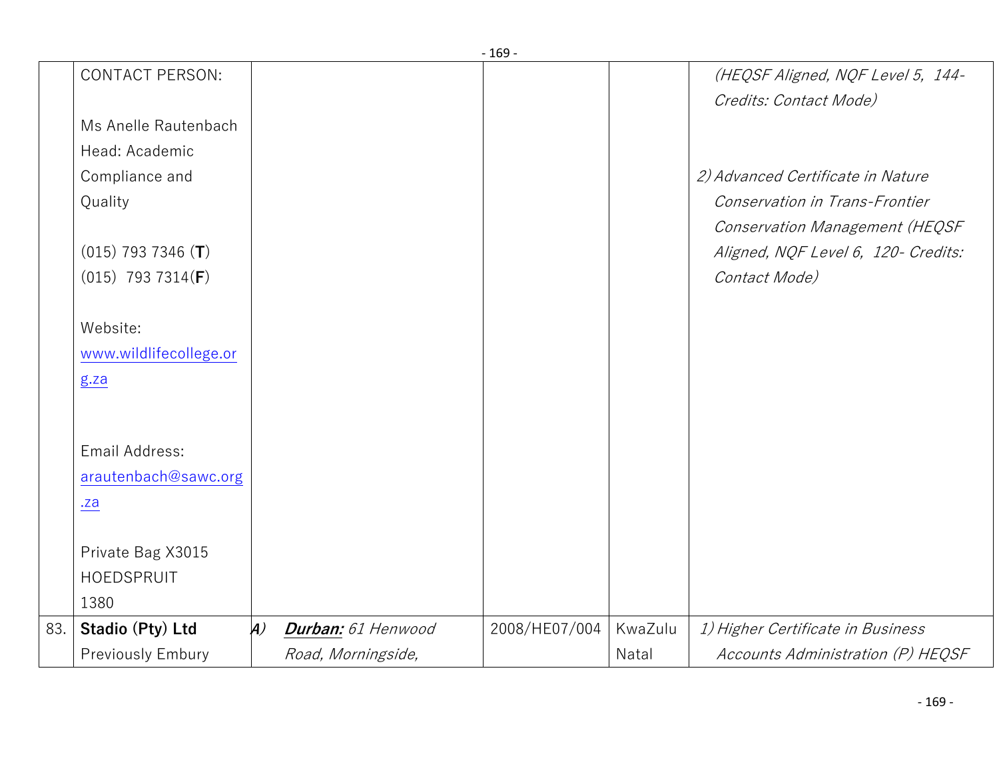| <b>CONTACT PERSON:</b> |                  |                    |               |         | (HEQSF Aligned, NQF Level 5, 144-   |
|------------------------|------------------|--------------------|---------------|---------|-------------------------------------|
|                        |                  |                    |               |         | Credits: Contact Mode)              |
| Ms Anelle Rautenbach   |                  |                    |               |         |                                     |
| Head: Academic         |                  |                    |               |         |                                     |
| Compliance and         |                  |                    |               |         | 2) Advanced Certificate in Nature   |
| Quality                |                  |                    |               |         | Conservation in Trans-Frontier      |
|                        |                  |                    |               |         | Conservation Management (HEQSF      |
| $(015)$ 793 7346 (T)   |                  |                    |               |         | Aligned, NQF Level 6, 120- Credits: |
| $(015)$ 793 7314(F)    |                  |                    |               |         | Contact Mode)                       |
|                        |                  |                    |               |         |                                     |
| Website:               |                  |                    |               |         |                                     |
| www.wildlifecollege.or |                  |                    |               |         |                                     |
|                        |                  |                    |               |         |                                     |
|                        |                  |                    |               |         |                                     |
|                        |                  |                    |               |         |                                     |
| Email Address:         |                  |                    |               |         |                                     |
| arautenbach@sawc.org   |                  |                    |               |         |                                     |
| $. \overline{a}$       |                  |                    |               |         |                                     |
|                        |                  |                    |               |         |                                     |
| Private Bag X3015      |                  |                    |               |         |                                     |
| HOEDSPRUIT             |                  |                    |               |         |                                     |
| 1380                   |                  |                    |               |         |                                     |
| Stadio (Pty) Ltd       | $\boldsymbol{A}$ | Durban: 61 Henwood | 2008/HE07/004 | KwaZulu | 1) Higher Certificate in Business   |
| Previously Embury      |                  | Road, Morningside, |               | Natal   | Accounts Administration (P) HEQSF   |
|                        | g.za             |                    |               |         |                                     |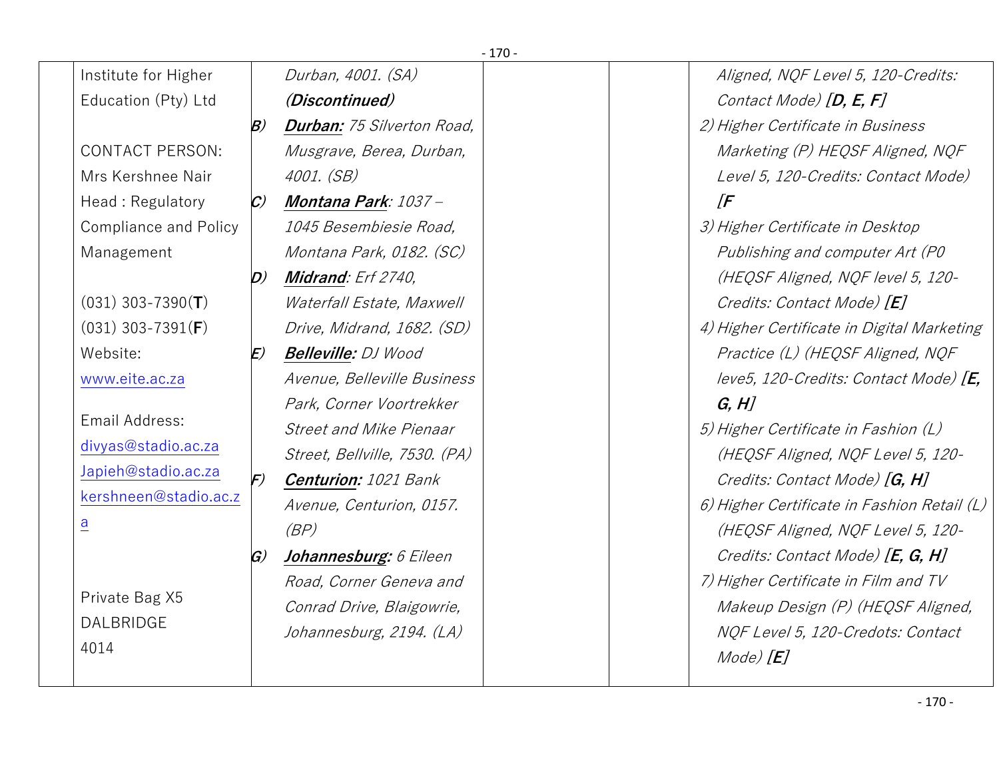| $-170-$                      |                                    |                                   |  |                                             |  |
|------------------------------|------------------------------------|-----------------------------------|--|---------------------------------------------|--|
| Institute for Higher         |                                    | Durban, 4001. (SA)                |  | Aligned, NQF Level 5, 120-Credits:          |  |
| Education (Pty) Ltd          |                                    | (Discontinued)                    |  | Contact Mode) [D, E, F]                     |  |
|                              | B)                                 | <b>Durban: 75 Silverton Road,</b> |  | 2) Higher Certificate in Business           |  |
| <b>CONTACT PERSON:</b>       |                                    | Musgrave, Berea, Durban,          |  | Marketing (P) HEQSF Aligned, NQF            |  |
| Mrs Kershnee Nair            |                                    | 4001. (SB)                        |  | Level 5, 120-Credits: Contact Mode)         |  |
| Head: Regulatory             | $\mathcal{C}$                      | Montana Park: 1037 –              |  | $\sqrt{F}$                                  |  |
| <b>Compliance and Policy</b> |                                    | 1045 Besembiesie Road,            |  | 3) Higher Certificate in Desktop            |  |
| Management                   |                                    | Montana Park, 0182. (SC)          |  | Publishing and computer Art (PO             |  |
|                              | $\bm{D}$                           | <b>Midrand:</b> Erf 2740,         |  | (HEQSF Aligned, NQF level 5, 120-           |  |
| $(031)$ 303-7390(T)          |                                    | Waterfall Estate, Maxwell         |  | Credits: Contact Mode) [E]                  |  |
| $(031)$ 303-7391(F)          |                                    | Drive, Midrand, 1682. (SD)        |  | 4) Higher Certificate in Digital Marketing  |  |
| Website:                     | E)                                 | <b>Belleville:</b> DJ Wood        |  | Practice (L) (HEQSF Aligned, NQF            |  |
| www.eite.ac.za               |                                    | Avenue, Belleville Business       |  | leve5, 120-Credits: Contact Mode) [E,       |  |
|                              |                                    | Park, Corner Voortrekker          |  | G, H                                        |  |
| Email Address:               |                                    | <b>Street and Mike Pienaar</b>    |  | 5) Higher Certificate in Fashion (L)        |  |
| divyas@stadio.ac.za          |                                    | Street, Bellville, 7530. (PA)     |  | (HEQSF Aligned, NQF Level 5, 120-           |  |
| Japieh@stadio.ac.za          | $\left  \mathcal{F} \right\rangle$ | <b>Centurion: 1021 Bank</b>       |  | Credits: Contact Mode) [G, H]               |  |
| kershneen@stadio.ac.z        |                                    | Avenue, Centurion, 0157.          |  | 6) Higher Certificate in Fashion Retail (L) |  |
| $\overline{a}$               |                                    | (BP)                              |  | (HEQSF Aligned, NQF Level 5, 120-           |  |
|                              | $\mathcal{G}$                      | Johannesburg: 6 Eileen            |  | Credits: Contact Mode) [E, G, H]            |  |
|                              |                                    | Road, Corner Geneva and           |  | 7) Higher Certificate in Film and TV        |  |
| Private Bag X5               |                                    | Conrad Drive, Blaigowrie,         |  | Makeup Design (P) (HEQSF Aligned,           |  |
| DALBRIDGE                    |                                    | Johannesburg, 2194. (LA)          |  | NQF Level 5, 120-Credots: Contact           |  |
| 4014                         |                                    |                                   |  | $Mode$ $[E]$                                |  |
|                              |                                    |                                   |  |                                             |  |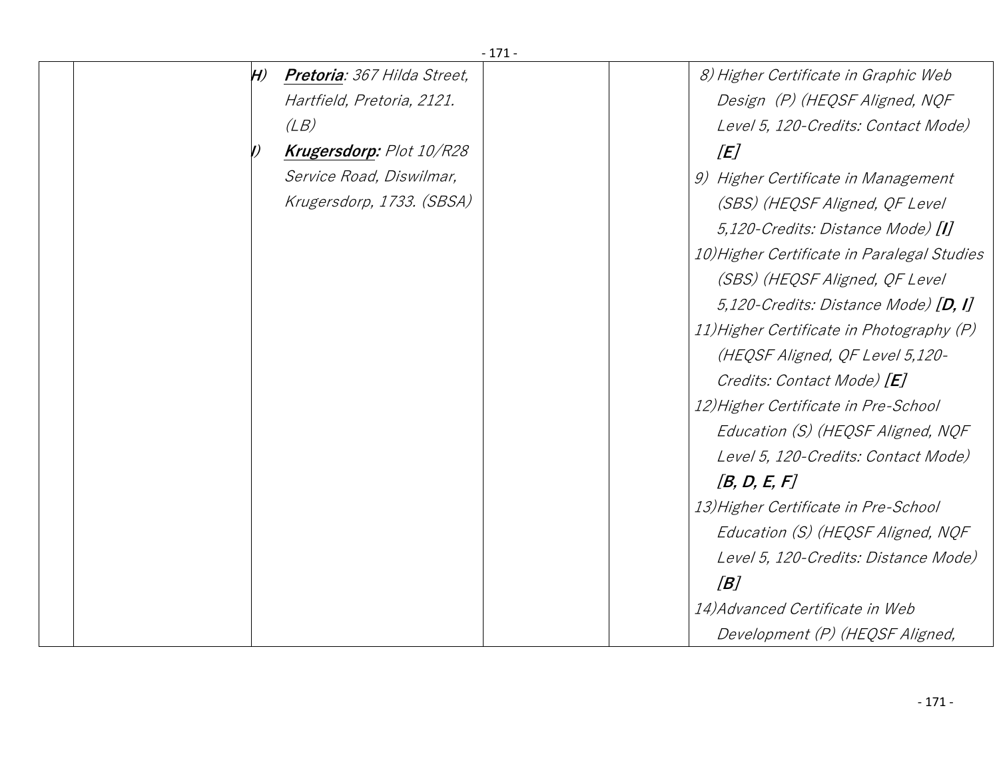| $-171-$ |    |                                 |  |  |                                             |
|---------|----|---------------------------------|--|--|---------------------------------------------|
|         | H) | Pretoria: 367 Hilda Street,     |  |  | 8) Higher Certificate in Graphic Web        |
|         |    | Hartfield, Pretoria, 2121.      |  |  | Design (P) (HEQSF Aligned, NQF              |
|         |    | (LB)                            |  |  | Level 5, 120-Credits: Contact Mode)         |
|         |    | <b>Krugersdorp:</b> Plot 10/R28 |  |  | [E]                                         |
|         |    | Service Road, Diswilmar,        |  |  | 9) Higher Certificate in Management         |
|         |    | Krugersdorp, 1733. (SBSA)       |  |  | (SBS) (HEQSF Aligned, QF Level              |
|         |    |                                 |  |  | 5,120-Credits: Distance Mode) [I]           |
|         |    |                                 |  |  | 10) Higher Certificate in Paralegal Studies |
|         |    |                                 |  |  | (SBS) (HEQSF Aligned, QF Level              |
|         |    |                                 |  |  | 5,120-Credits: Distance Mode) $[D, I]$      |
|         |    |                                 |  |  | 11) Higher Certificate in Photography (P)   |
|         |    |                                 |  |  | (HEQSF Aligned, QF Level 5,120-             |
|         |    |                                 |  |  | Credits: Contact Mode) [E]                  |
|         |    |                                 |  |  | 12) Higher Certificate in Pre-School        |
|         |    |                                 |  |  | Education (S) (HEQSF Aligned, NQF           |
|         |    |                                 |  |  | Level 5, 120-Credits: Contact Mode)         |
|         |    |                                 |  |  | [B, D, E, F]                                |
|         |    |                                 |  |  | 13) Higher Certificate in Pre-School        |
|         |    |                                 |  |  | Education (S) (HEQSF Aligned, NQF           |
|         |    |                                 |  |  | Level 5, 120-Credits: Distance Mode)        |
|         |    |                                 |  |  | $\sqrt{B}$                                  |
|         |    |                                 |  |  | 14) Advanced Certificate in Web             |
|         |    |                                 |  |  | Development (P) (HEQSF Aligned,             |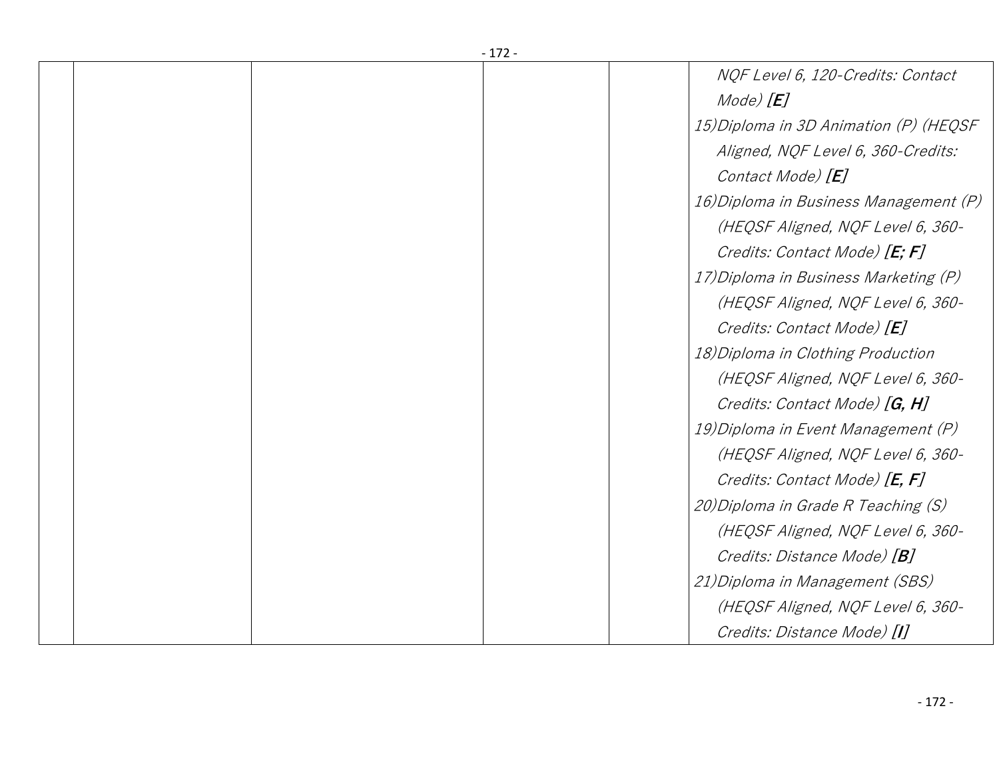|  | -172- |                                        |
|--|-------|----------------------------------------|
|  |       | NOF Level 6, 120-Credits: Contact      |
|  |       | Mode) $[E]$                            |
|  |       | 15) Diploma in 3D Animation (P) (HEQSF |
|  |       | Aligned, NQF Level 6, 360-Credits:     |
|  |       | Contact Mode) [E]                      |
|  |       | 16) Diploma in Business Management (P) |
|  |       | (HEQSF Aligned, NQF Level 6, 360-      |
|  |       | Credits: Contact Mode) [E; F]          |
|  |       | 17) Diploma in Business Marketing (P)  |
|  |       | (HEQSF Aligned, NQF Level 6, 360-      |
|  |       | Credits: Contact Mode) [E]             |
|  |       | 18) Diploma in Clothing Production     |
|  |       | (HEQSF Aligned, NQF Level 6, 360-      |
|  |       | Credits: Contact Mode) [G, H]          |
|  |       | 19) Diploma in Event Management (P)    |
|  |       | (HEQSF Aligned, NQF Level 6, 360-      |
|  |       | Credits: Contact Mode) [E, F]          |
|  |       | 20) Diploma in Grade R Teaching (S)    |
|  |       | (HEQSF Aligned, NQF Level 6, 360-      |
|  |       | Credits: Distance Mode) [B]            |
|  |       | 21) Diploma in Management (SBS)        |
|  |       | (HEQSF Aligned, NQF Level 6, 360-      |
|  |       | Credits: Distance Mode) [I]            |

- 172 -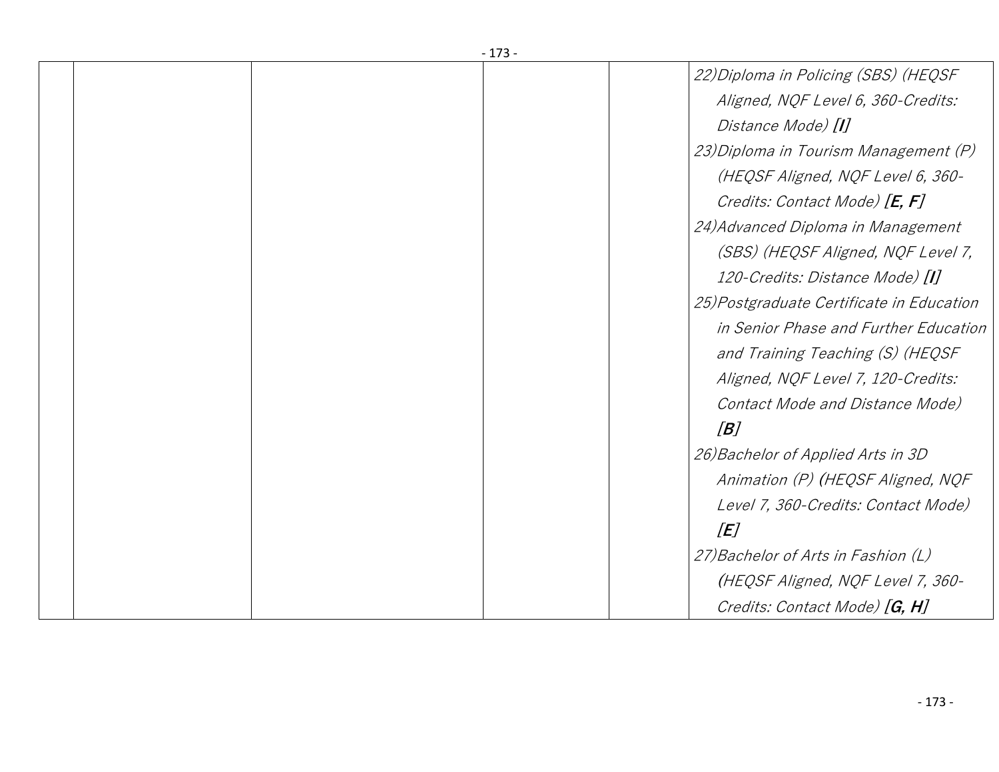| -173- |                                           |
|-------|-------------------------------------------|
|       | 22)Diploma in Policing (SBS) (HEQSF       |
|       | Aligned, NQF Level 6, 360-Credits:        |
|       | Distance Mode) [I]                        |
|       | 23) Diploma in Tourism Management (P)     |
|       | (HEQSF Aligned, NQF Level 6, 360-         |
|       | Credits: Contact Mode) [E, F]             |
|       | 24) Advanced Diploma in Management        |
|       | (SBS) (HEQSF Aligned, NQF Level 7,        |
|       | 120-Credits: Distance Mode) [I]           |
|       | 25) Postgraduate Certificate in Education |
|       | in Senior Phase and Further Education     |
|       | and Training Teaching (S) (HEQSF          |
|       | Aligned, NQF Level 7, 120-Credits:        |
|       | Contact Mode and Distance Mode)           |
|       | B                                         |
|       | 26) Bachelor of Applied Arts in 3D        |
|       | Animation (P) (HEQSF Aligned, NQF         |
|       | Level 7, 360-Credits: Contact Mode)       |
|       | [E]                                       |
|       | 27) Bachelor of Arts in Fashion (L)       |
|       | (HEQSF Aligned, NQF Level 7, 360-         |
|       | Credits: Contact Mode) [G, H]             |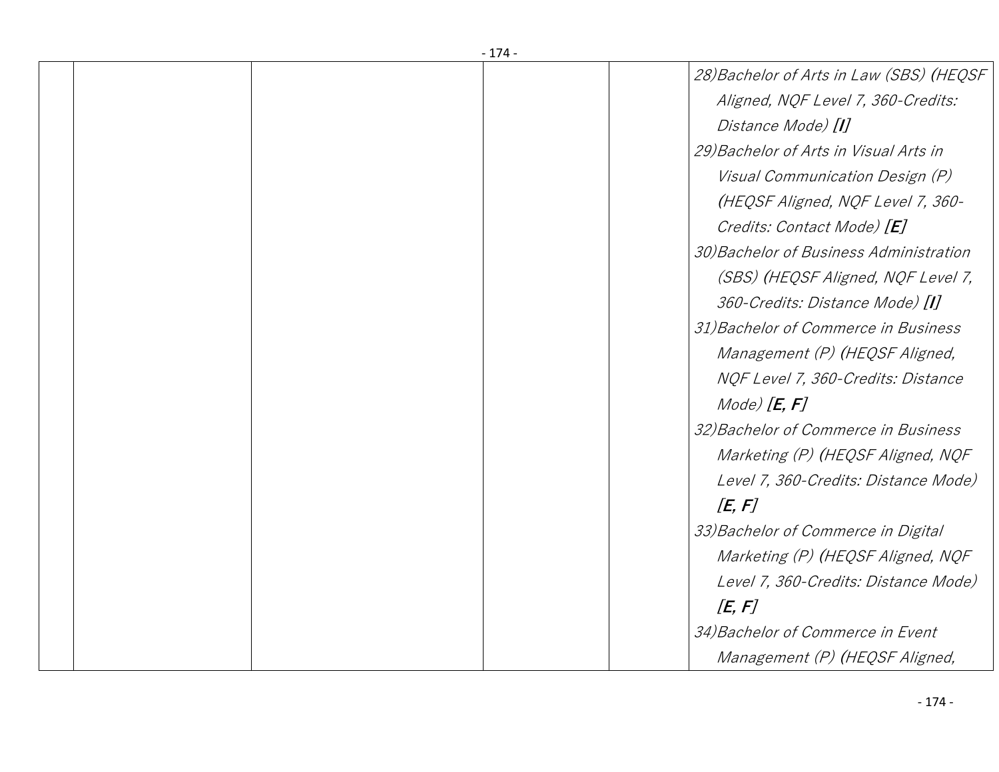| -1/4- |  |                                          |  |  |
|-------|--|------------------------------------------|--|--|
|       |  | 28) Bachelor of Arts in Law (SBS) (HEQSF |  |  |
|       |  | Aligned, NQF Level 7, 360-Credits:       |  |  |
|       |  | Distance Mode) [1]                       |  |  |
|       |  | 29) Bachelor of Arts in Visual Arts in   |  |  |
|       |  | Visual Communication Design (P)          |  |  |
|       |  | (HEQSF Aligned, NQF Level 7, 360-        |  |  |
|       |  | Credits: Contact Mode) [E]               |  |  |
|       |  | 30) Bachelor of Business Administration  |  |  |
|       |  | (SBS) (HEQSF Aligned, NQF Level 7,       |  |  |
|       |  | 360-Credits: Distance Mode) [I]          |  |  |
|       |  | 31) Bachelor of Commerce in Business     |  |  |
|       |  | Management (P) (HEQSF Aligned,           |  |  |
|       |  | NQF Level 7, 360-Credits: Distance       |  |  |
|       |  | Mode) $[E, F]$                           |  |  |
|       |  | 32) Bachelor of Commerce in Business     |  |  |
|       |  | Marketing (P) (HEQSF Aligned, NQF        |  |  |
|       |  | Level 7, 360-Credits: Distance Mode)     |  |  |
|       |  | [E, F]                                   |  |  |
|       |  | 33) Bachelor of Commerce in Digital      |  |  |
|       |  | Marketing (P) (HEQSF Aligned, NQF        |  |  |
|       |  | Level 7, 360-Credits: Distance Mode)     |  |  |
|       |  | $E$ , F                                  |  |  |
|       |  | 34) Bachelor of Commerce in Event        |  |  |
|       |  | Management (P) (HEQSF Aligned,           |  |  |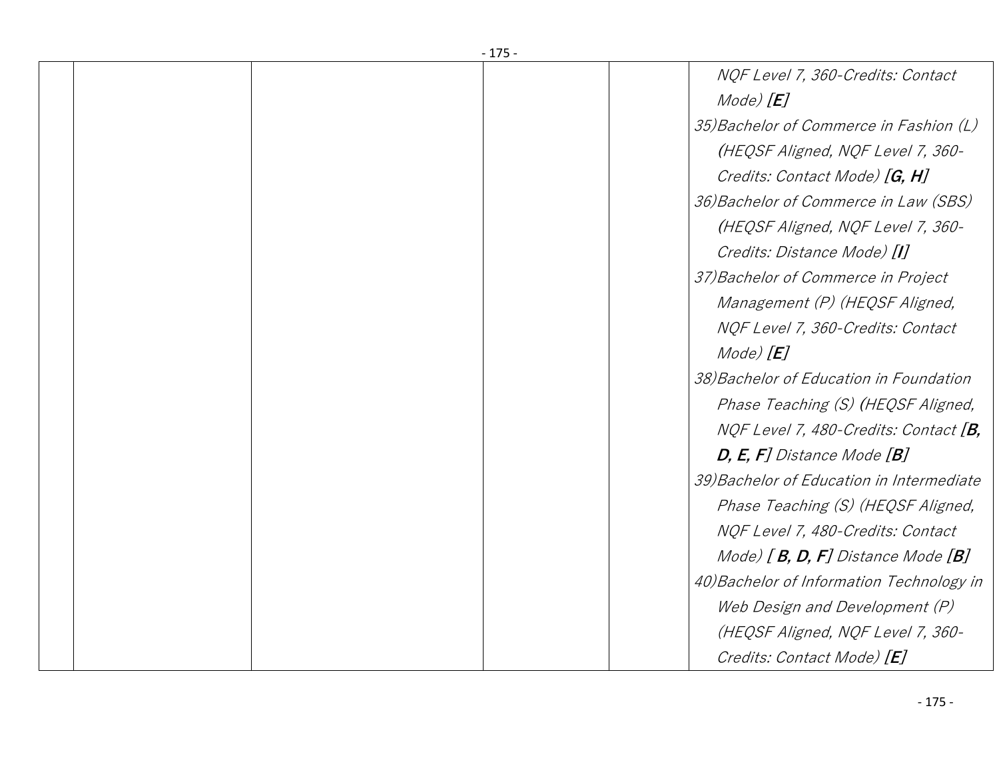|  | -175- |                                           |
|--|-------|-------------------------------------------|
|  |       | NQF Level 7, 360-Credits: Contact         |
|  |       | $Mode$ $[E]$                              |
|  |       | 35) Bachelor of Commerce in Fashion (L)   |
|  |       | (HEQSF Aligned, NQF Level 7, 360-         |
|  |       | Credits: Contact Mode) [G, H]             |
|  |       | 36) Bachelor of Commerce in Law (SBS)     |
|  |       | (HEQSF Aligned, NQF Level 7, 360-         |
|  |       | Credits: Distance Mode) [I]               |
|  |       | 37) Bachelor of Commerce in Project       |
|  |       | Management (P) (HEQSF Aligned,            |
|  |       | NQF Level 7, 360-Credits: Contact         |
|  |       | $Mode$ $[E]$                              |
|  |       | 38) Bachelor of Education in Foundation   |
|  |       | Phase Teaching (S) (HEQSF Aligned,        |
|  |       | NQF Level 7, 480-Credits: Contact [B,     |
|  |       | $D, E, F$ ] Distance Mode $[B]$           |
|  |       | 39) Bachelor of Education in Intermediate |
|  |       | Phase Teaching (S) (HEQSF Aligned,        |
|  |       | NQF Level 7, 480-Credits: Contact         |
|  |       | Mode) $[B, D, F]$ Distance Mode $[B]$     |
|  |       | 40) Bachelor of Information Technology in |
|  |       | Web Design and Development (P)            |
|  |       | (HEQSF Aligned, NQF Level 7, 360-         |
|  |       | Credits: Contact Mode) [E]                |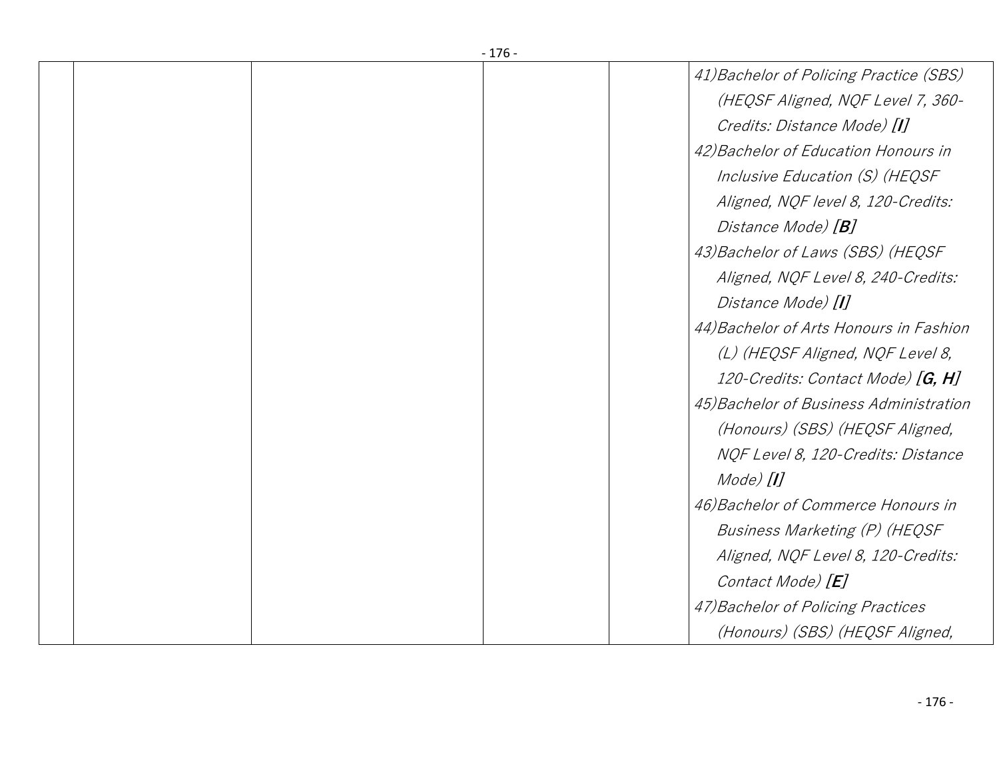|  | -170- |                                         |
|--|-------|-----------------------------------------|
|  |       | 41) Bachelor of Policing Practice (SBS) |
|  |       | (HEQSF Aligned, NQF Level 7, 360-       |
|  |       | Credits: Distance Mode) [I]             |
|  |       | 42) Bachelor of Education Honours in    |
|  |       | Inclusive Education (S) (HEQSF          |
|  |       | Aligned, NQF level 8, 120-Credits:      |
|  |       | Distance Mode) [ <b>B</b> ]             |
|  |       | 43) Bachelor of Laws (SBS) (HEQSF       |
|  |       | Aligned, NQF Level 8, 240-Credits:      |
|  |       | Distance Mode) [1]                      |
|  |       | 44) Bachelor of Arts Honours in Fashion |
|  |       | (L) (HEQSF Aligned, NQF Level 8,        |
|  |       | 120-Credits: Contact Mode) [G, H]       |
|  |       | 45) Bachelor of Business Administration |
|  |       | (Honours) (SBS) (HEQSF Aligned,         |
|  |       | NQF Level 8, 120-Credits: Distance      |
|  |       | Mode) [ <b>I</b> ]                      |
|  |       | 46) Bachelor of Commerce Honours in     |
|  |       | Business Marketing (P) (HEQSF           |
|  |       | Aligned, NQF Level 8, 120-Credits:      |
|  |       | Contact Mode) [E]                       |
|  |       | 47) Bachelor of Policing Practices      |
|  |       | (Honours) (SBS) (HEQSF Aligned,         |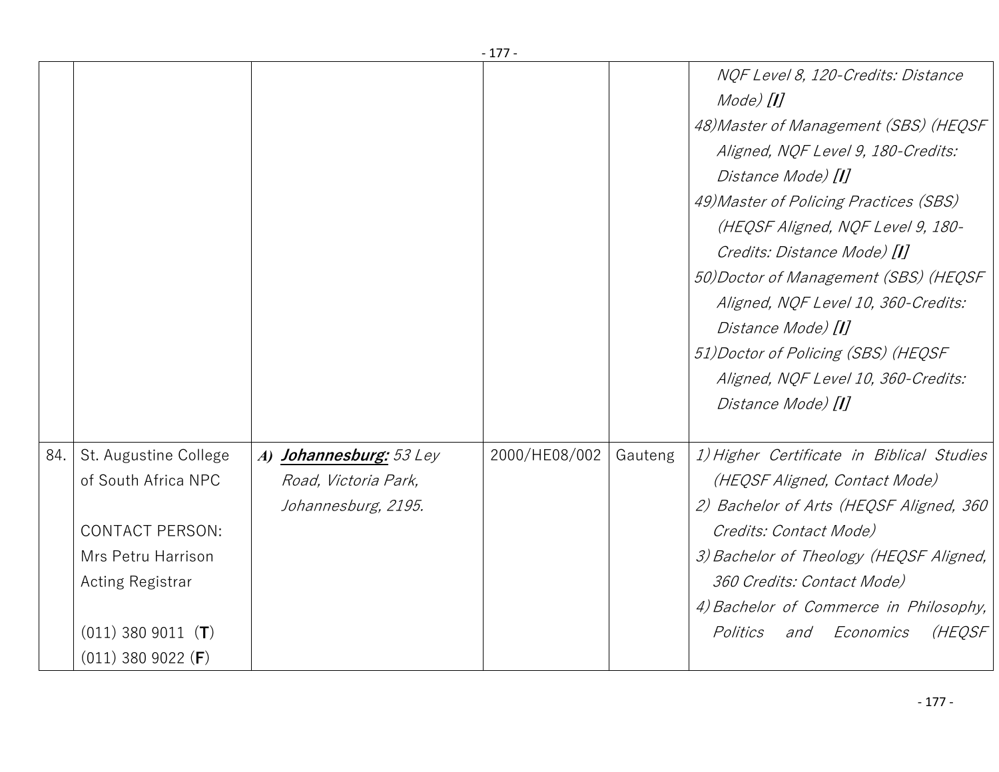|     |                                                                                                                                                                         |                                                                        | - 177         |         |                                                                                                                                                                                                                                                                                                                                                                                                                                                                                 |
|-----|-------------------------------------------------------------------------------------------------------------------------------------------------------------------------|------------------------------------------------------------------------|---------------|---------|---------------------------------------------------------------------------------------------------------------------------------------------------------------------------------------------------------------------------------------------------------------------------------------------------------------------------------------------------------------------------------------------------------------------------------------------------------------------------------|
|     |                                                                                                                                                                         |                                                                        |               |         | NOF Level 8, 120-Credits: Distance<br>$Mode$ $[1]$<br>48) Master of Management (SBS) (HEQSF<br>Aligned, NQF Level 9, 180-Credits:<br>Distance Mode) [I]<br>49) Master of Policing Practices (SBS)<br>(HEQSF Aligned, NQF Level 9, 180-<br>Credits: Distance Mode) [I]<br>50) Doctor of Management (SBS) (HEQSF<br>Aligned, NQF Level 10, 360-Credits:<br>Distance Mode) [I]<br>51) Doctor of Policing (SBS) (HEQSF<br>Aligned, NQF Level 10, 360-Credits:<br>Distance Mode) [I] |
| 84. | St. Augustine College<br>of South Africa NPC<br><b>CONTACT PERSON:</b><br>Mrs Petru Harrison<br><b>Acting Registrar</b><br>$(011)$ 380 9011 (T)<br>$(011)$ 380 9022 (F) | A) Johannesburg: 53 Ley<br>Road, Victoria Park,<br>Johannesburg, 2195. | 2000/HE08/002 | Gauteng | 1) Higher Certificate in Biblical Studies<br>(HEQSF Aligned, Contact Mode)<br>2) Bachelor of Arts (HEQSF Aligned, 360<br>Credits: Contact Mode)<br>3) Bachelor of Theology (HEQSF Aligned,<br>360 Credits: Contact Mode)<br>4) Bachelor of Commerce in Philosophy,<br>(HEQSF<br>Politics<br>Economics<br>and                                                                                                                                                                    |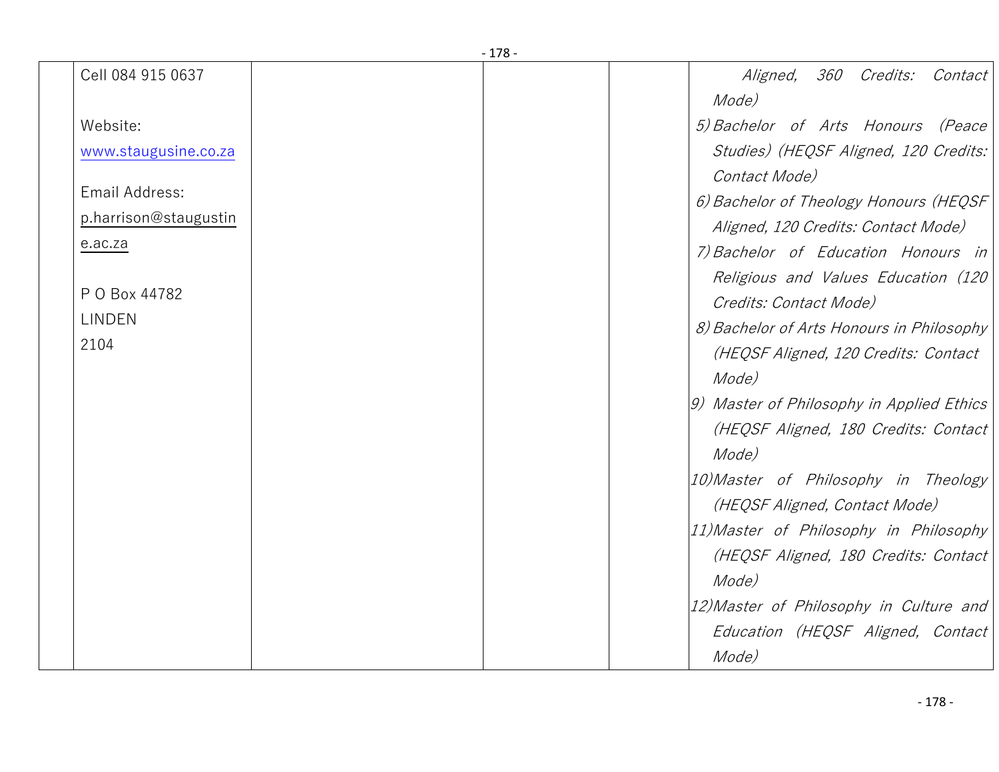| Cell 084 915 0637     |  | 360 Credits:<br>Contact<br><i>Aligned,</i> |
|-----------------------|--|--------------------------------------------|
|                       |  | Mode)                                      |
| Website:              |  | 5) Bachelor of Arts Honours (Peace         |
| www.staugusine.co.za  |  | Studies) (HEQSF Aligned, 120 Credits:      |
|                       |  | Contact Mode)                              |
| Email Address:        |  | 6) Bachelor of Theology Honours (HEQSF     |
| p.harrison@staugustin |  | Aligned, 120 Credits: Contact Mode)        |
| e.ac.za               |  | 7) Bachelor of Education Honours in        |
|                       |  | Religious and Values Education (120        |
| P O Box 44782         |  | Credits: Contact Mode)                     |
| <b>LINDEN</b>         |  | 8) Bachelor of Arts Honours in Philosophy  |
| 2104                  |  | (HEQSF Aligned, 120 Credits: Contact       |
|                       |  | Mode)                                      |
|                       |  | 9) Master of Philosophy in Applied Ethics  |
|                       |  | (HEQSF Aligned, 180 Credits: Contact       |
|                       |  | Mode)                                      |
|                       |  | 10) Master of Philosophy in Theology       |
|                       |  | (HEQSF Aligned, Contact Mode)              |
|                       |  | 11) Master of Philosophy in Philosophy     |
|                       |  | (HEQSF Aligned, 180 Credits: Contact       |
|                       |  | Mode)                                      |
|                       |  | 12) Master of Philosophy in Culture and    |
|                       |  | Education (HEQSF Aligned, Contact          |
|                       |  | Mode)                                      |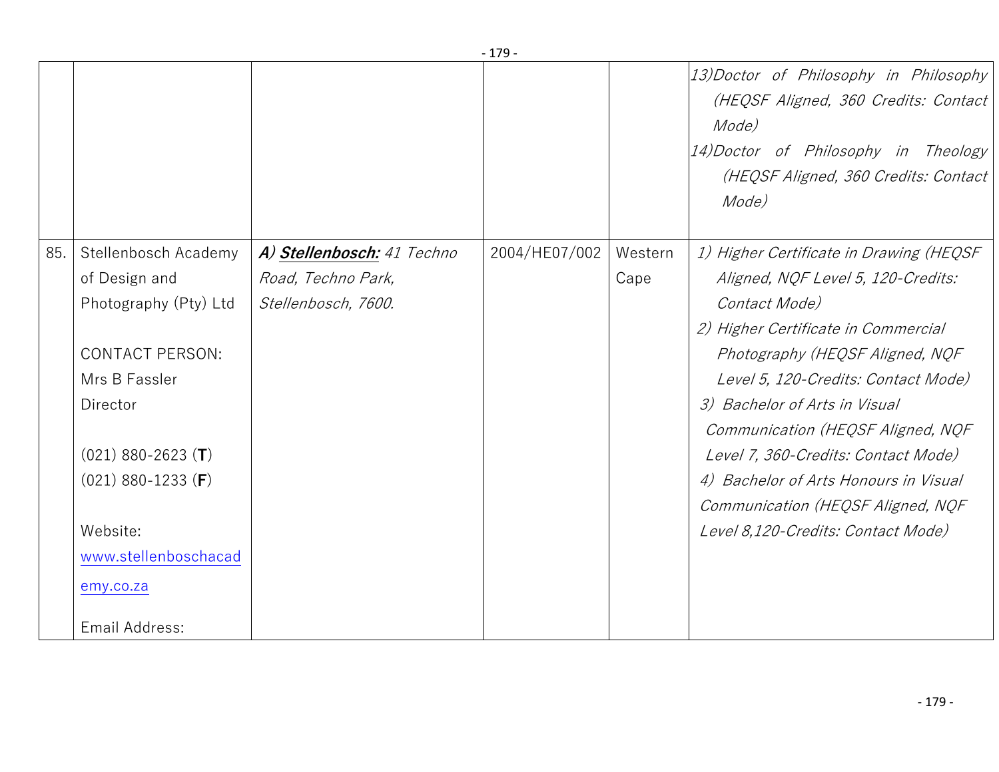|     |                                                                                                                                                                                                                                          |                                                                         | $-179-$       |                 |                                                                                                                                                                                                                                                                                                                                                                                                                                                  |
|-----|------------------------------------------------------------------------------------------------------------------------------------------------------------------------------------------------------------------------------------------|-------------------------------------------------------------------------|---------------|-----------------|--------------------------------------------------------------------------------------------------------------------------------------------------------------------------------------------------------------------------------------------------------------------------------------------------------------------------------------------------------------------------------------------------------------------------------------------------|
|     |                                                                                                                                                                                                                                          |                                                                         |               |                 | 13) Doctor of Philosophy in Philosophy<br>(HEQSF Aligned, 360 Credits: Contact<br>Mode)<br>14) Doctor of Philosophy in Theology<br>(HEQSF Aligned, 360 Credits: Contact<br>Mode)                                                                                                                                                                                                                                                                 |
| 85. | Stellenbosch Academy<br>of Design and<br>Photography (Pty) Ltd<br><b>CONTACT PERSON:</b><br>Mrs B Fassler<br>Director<br>$(021)$ 880-2623 (T)<br>$(021)$ 880-1233 (F)<br>Website:<br>www.stellenboschacad<br>emy.co.za<br>Email Address: | A) Stellenbosch: 41 Techno<br>Road, Techno Park,<br>Stellenbosch, 7600. | 2004/HE07/002 | Western<br>Cape | 1) Higher Certificate in Drawing (HEQSF<br>Aligned, NQF Level 5, 120-Credits:<br>Contact Mode)<br>2) Higher Certificate in Commercial<br>Photography (HEQSF Aligned, NQF<br>Level 5, 120-Credits: Contact Mode)<br>3) Bachelor of Arts in Visual<br>Communication (HEQSF Aligned, NQF<br>Level 7, 360-Credits: Contact Mode)<br>4) Bachelor of Arts Honours in Visual<br>Communication (HEQSF Aligned, NQF<br>Level 8,120-Credits: Contact Mode) |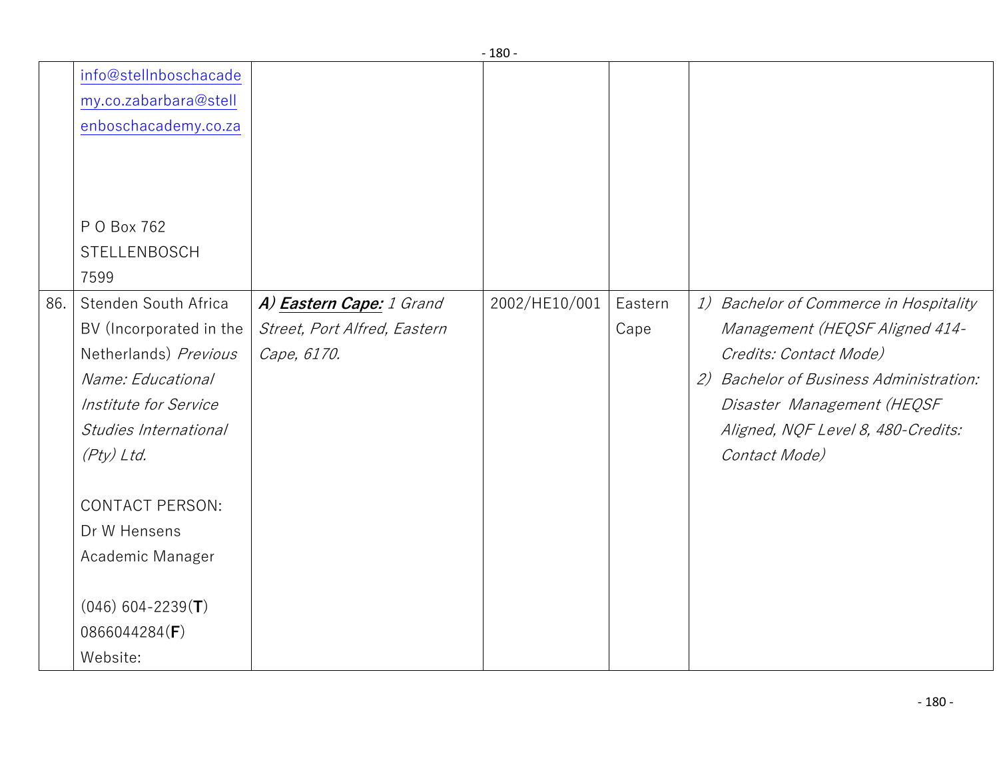|     |                         |                                 | ∸∪∪           |         |                                            |
|-----|-------------------------|---------------------------------|---------------|---------|--------------------------------------------|
|     | info@stellnboschacade   |                                 |               |         |                                            |
|     | my.co.zabarbara@stell   |                                 |               |         |                                            |
|     | enboschacademy.co.za    |                                 |               |         |                                            |
|     |                         |                                 |               |         |                                            |
|     |                         |                                 |               |         |                                            |
|     |                         |                                 |               |         |                                            |
|     | P O Box 762             |                                 |               |         |                                            |
|     | STELLENBOSCH            |                                 |               |         |                                            |
|     | 7599                    |                                 |               |         |                                            |
| 86. | Stenden South Africa    | A) <b>Eastern Cape:</b> 1 Grand | 2002/HE10/001 | Eastern | 1) Bachelor of Commerce in Hospitality     |
|     | BV (Incorporated in the | Street, Port Alfred, Eastern    |               | Cape    | Management (HEQSF Aligned 414-             |
|     | Netherlands) Previous   | Cape, 6170.                     |               |         | Credits: Contact Mode)                     |
|     | Name: Educational       |                                 |               |         | Bachelor of Business Administration:<br>2) |
|     | Institute for Service   |                                 |               |         | Disaster Management (HEQSF                 |
|     | Studies International   |                                 |               |         | Aligned, NQF Level 8, 480-Credits:         |
|     | (Pty) Ltd.              |                                 |               |         | Contact Mode)                              |
|     |                         |                                 |               |         |                                            |
|     | <b>CONTACT PERSON:</b>  |                                 |               |         |                                            |
|     | Dr W Hensens            |                                 |               |         |                                            |
|     | Academic Manager        |                                 |               |         |                                            |
|     |                         |                                 |               |         |                                            |
|     | $(046)$ 604-2239(T)     |                                 |               |         |                                            |
|     | 0866044284(F)           |                                 |               |         |                                            |
|     | Website:                |                                 |               |         |                                            |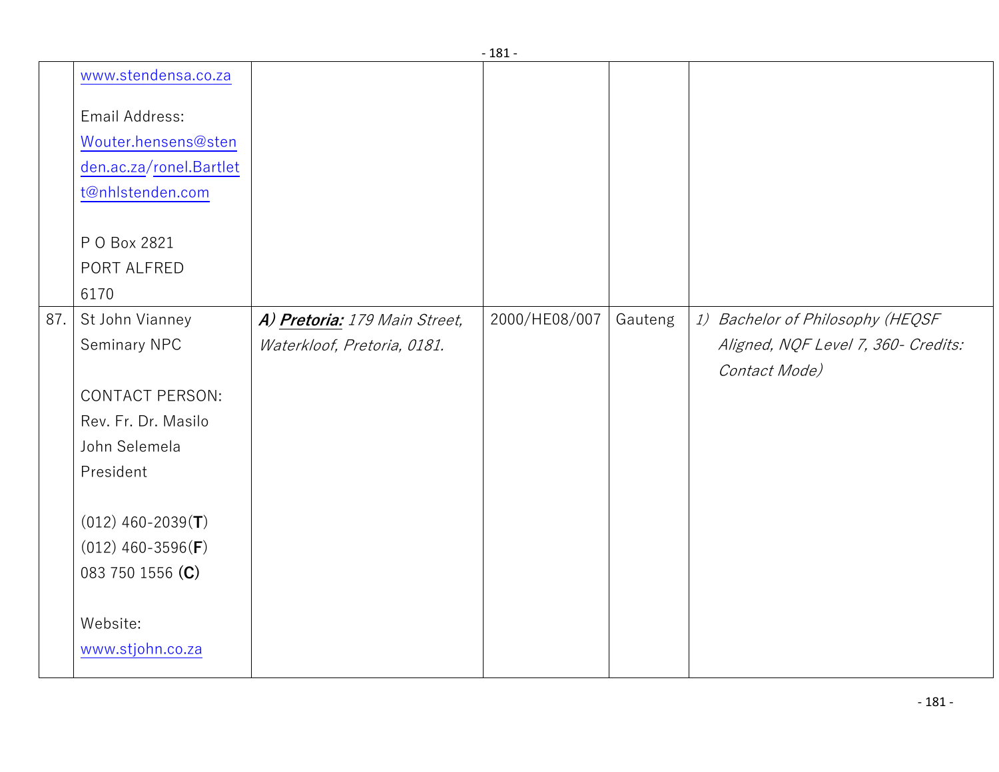|     |                         |                               | . TO T        |         |                                     |
|-----|-------------------------|-------------------------------|---------------|---------|-------------------------------------|
|     | www.stendensa.co.za     |                               |               |         |                                     |
|     | Email Address:          |                               |               |         |                                     |
|     | Wouter.hensens@sten     |                               |               |         |                                     |
|     | den.ac.za/ronel.Bartlet |                               |               |         |                                     |
|     | t@nhlstenden.com        |                               |               |         |                                     |
|     |                         |                               |               |         |                                     |
|     | P O Box 2821            |                               |               |         |                                     |
|     | PORT ALFRED             |                               |               |         |                                     |
|     | 6170                    |                               |               |         |                                     |
| 87. | St John Vianney         | A) Pretoria: 179 Main Street, | 2000/HE08/007 | Gauteng | 1) Bachelor of Philosophy (HEQSF    |
|     | Seminary NPC            | Waterkloof, Pretoria, 0181.   |               |         | Aligned, NQF Level 7, 360- Credits: |
|     |                         |                               |               |         | Contact Mode)                       |
|     | <b>CONTACT PERSON:</b>  |                               |               |         |                                     |
|     | Rev. Fr. Dr. Masilo     |                               |               |         |                                     |
|     | John Selemela           |                               |               |         |                                     |
|     | President               |                               |               |         |                                     |
|     |                         |                               |               |         |                                     |
|     | $(012)$ 460-2039(T)     |                               |               |         |                                     |
|     | $(012)$ 460-3596(F)     |                               |               |         |                                     |
|     | 083 750 1556 (C)        |                               |               |         |                                     |
|     |                         |                               |               |         |                                     |
|     | Website:                |                               |               |         |                                     |
|     | www.stjohn.co.za        |                               |               |         |                                     |
|     |                         |                               |               |         |                                     |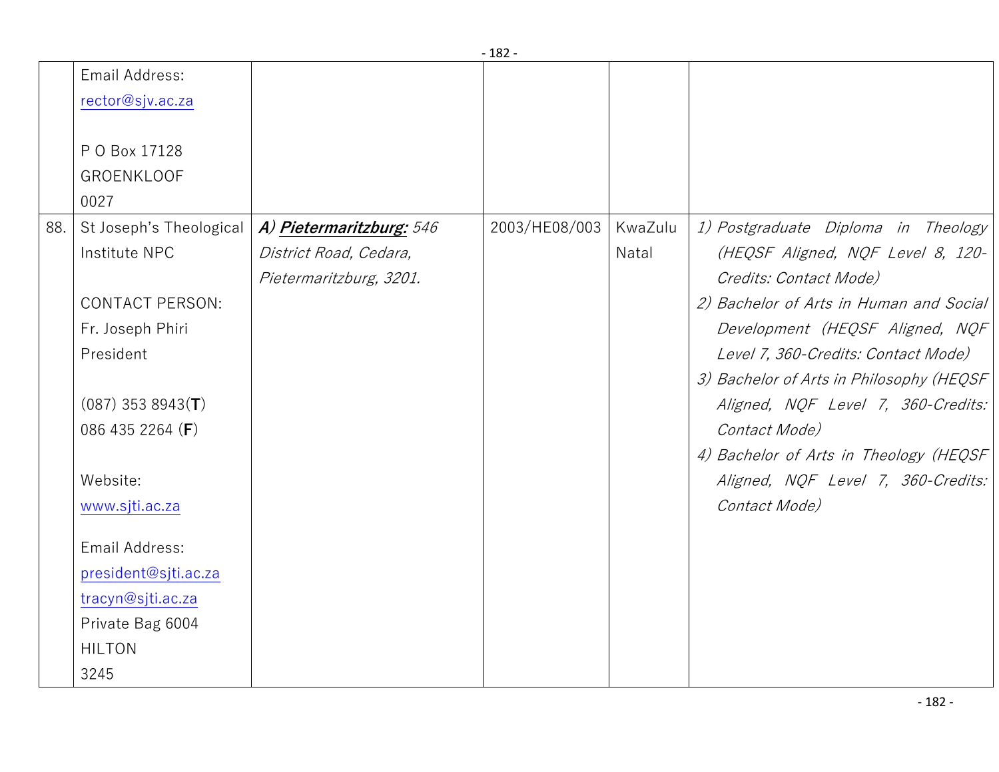|     | Email Address:<br>rector@sjv.ac.za                                                                                                                                                             |                                                                               |               |                  |                                                                                                                                                                                                                                                                                                                                                                                                                             |
|-----|------------------------------------------------------------------------------------------------------------------------------------------------------------------------------------------------|-------------------------------------------------------------------------------|---------------|------------------|-----------------------------------------------------------------------------------------------------------------------------------------------------------------------------------------------------------------------------------------------------------------------------------------------------------------------------------------------------------------------------------------------------------------------------|
|     | P O Box 17128<br><b>GROENKLOOF</b><br>0027                                                                                                                                                     |                                                                               |               |                  |                                                                                                                                                                                                                                                                                                                                                                                                                             |
| 88. | St Joseph's Theological<br>Institute NPC<br><b>CONTACT PERSON:</b><br>Fr. Joseph Phiri<br>President<br>$(087)$ 353 8943(T)<br>086 435 2264 (F)<br>Website:<br>www.sjti.ac.za<br>Email Address: | A) Pietermaritzburg: 546<br>District Road, Cedara,<br>Pietermaritzburg, 3201. | 2003/HE08/003 | KwaZulu<br>Natal | 1) Postgraduate Diploma in Theology<br>(HEQSF Aligned, NQF Level 8, 120-<br>Credits: Contact Mode)<br>2) Bachelor of Arts in Human and Social<br>Development (HEQSF Aligned, NQF<br>Level 7, 360-Credits: Contact Mode)<br>3) Bachelor of Arts in Philosophy (HEQSF<br>Aligned, NQF Level 7, 360-Credits:<br>Contact Mode)<br>4) Bachelor of Arts in Theology (HEQSF<br>Aligned, NQF Level 7, 360-Credits:<br>Contact Mode) |
|     | president@sjti.ac.za<br>tracyn@sjti.ac.za<br>Private Bag 6004<br><b>HILTON</b><br>3245                                                                                                         |                                                                               |               |                  |                                                                                                                                                                                                                                                                                                                                                                                                                             |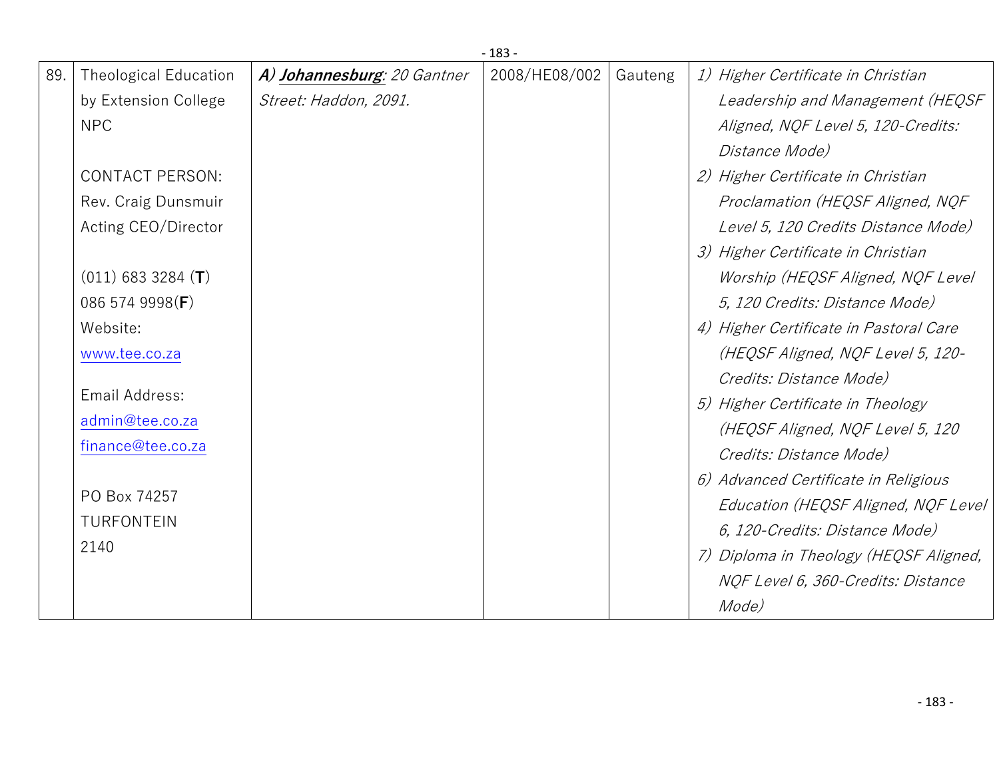|     | $-183-$                      |                             |               |         |                                        |  |  |
|-----|------------------------------|-----------------------------|---------------|---------|----------------------------------------|--|--|
| 89. | <b>Theological Education</b> | A) Johannesburg: 20 Gantner | 2008/HE08/002 | Gauteng | 1) Higher Certificate in Christian     |  |  |
|     | by Extension College         | Street: Haddon, 2091.       |               |         | Leadership and Management (HEQSF       |  |  |
|     | <b>NPC</b>                   |                             |               |         | Aligned, NQF Level 5, 120-Credits:     |  |  |
|     |                              |                             |               |         | Distance Mode)                         |  |  |
|     | <b>CONTACT PERSON:</b>       |                             |               |         | 2) Higher Certificate in Christian     |  |  |
|     | Rev. Craig Dunsmuir          |                             |               |         | Proclamation (HEQSF Aligned, NQF       |  |  |
|     | Acting CEO/Director          |                             |               |         | Level 5, 120 Credits Distance Mode)    |  |  |
|     |                              |                             |               |         | 3) Higher Certificate in Christian     |  |  |
|     | $(011)$ 683 3284 (T)         |                             |               |         | Worship (HEQSF Aligned, NQF Level      |  |  |
|     | 086 574 9998(F)              |                             |               |         | 5, 120 Credits: Distance Mode)         |  |  |
|     | Website:                     |                             |               |         | 4) Higher Certificate in Pastoral Care |  |  |
|     | www.tee.co.za                |                             |               |         | (HEQSF Aligned, NQF Level 5, 120-      |  |  |
|     |                              |                             |               |         | Credits: Distance Mode)                |  |  |
|     | Email Address:               |                             |               |         | 5) Higher Certificate in Theology      |  |  |
|     | admin@tee.co.za              |                             |               |         | (HEQSF Aligned, NQF Level 5, 120       |  |  |
|     | finance@tee.co.za            |                             |               |         | Credits: Distance Mode)                |  |  |
|     |                              |                             |               |         | 6) Advanced Certificate in Religious   |  |  |
|     | PO Box 74257                 |                             |               |         | Education (HEQSF Aligned, NQF Level    |  |  |
|     | <b>TURFONTEIN</b>            |                             |               |         | 6, 120-Credits: Distance Mode)         |  |  |
|     | 2140                         |                             |               |         | 7) Diploma in Theology (HEQSF Aligned, |  |  |
|     |                              |                             |               |         | NOF Level 6, 360-Credits: Distance     |  |  |
|     |                              |                             |               |         | Mode)                                  |  |  |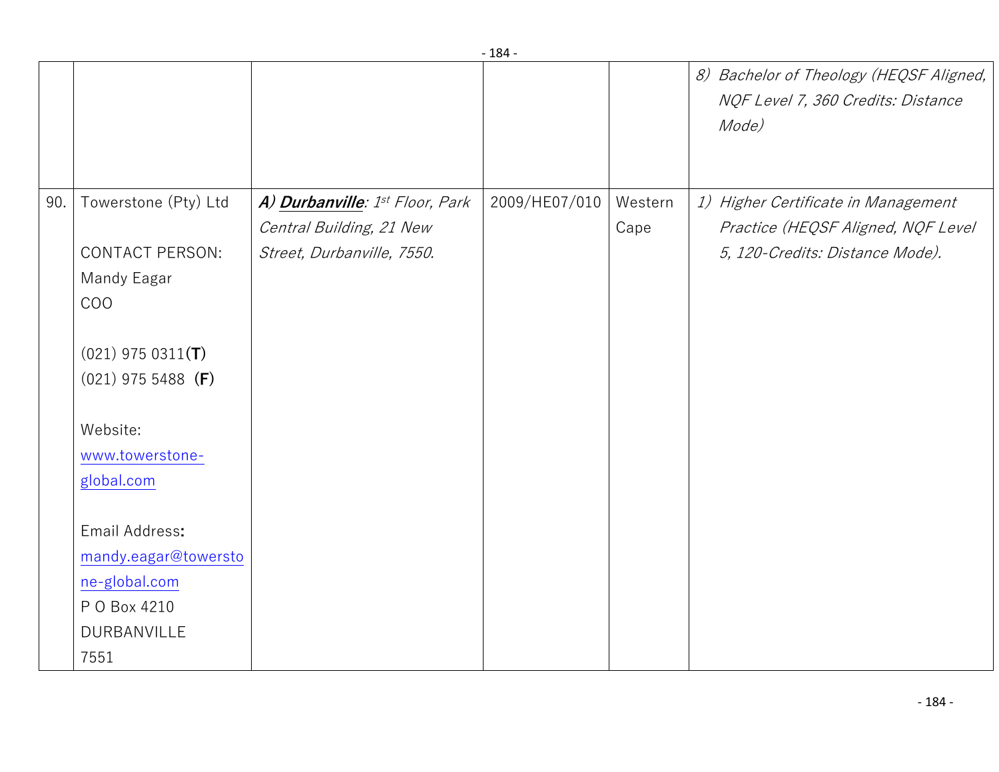|     |                        |                                 | ∸∪−           |         |                                                                                        |
|-----|------------------------|---------------------------------|---------------|---------|----------------------------------------------------------------------------------------|
|     |                        |                                 |               |         | 8) Bachelor of Theology (HEQSF Aligned,<br>NQF Level 7, 360 Credits: Distance<br>Mode) |
| 90. | Towerstone (Pty) Ltd   | A) Durbanville: 1st Floor, Park | 2009/HE07/010 | Western | 1) Higher Certificate in Management                                                    |
|     |                        | Central Building, 21 New        |               | Cape    | Practice (HEQSF Aligned, NQF Level                                                     |
|     | <b>CONTACT PERSON:</b> | Street, Durbanville, 7550.      |               |         | 5, 120-Credits: Distance Mode).                                                        |
|     | Mandy Eagar            |                                 |               |         |                                                                                        |
|     | <b>COO</b>             |                                 |               |         |                                                                                        |
|     | $(021)$ 975 0311(T)    |                                 |               |         |                                                                                        |
|     | $(021)$ 975 5488 (F)   |                                 |               |         |                                                                                        |
|     | Website:               |                                 |               |         |                                                                                        |
|     | www.towerstone-        |                                 |               |         |                                                                                        |
|     | global.com             |                                 |               |         |                                                                                        |
|     | Email Address:         |                                 |               |         |                                                                                        |
|     | mandy.eagar@towersto   |                                 |               |         |                                                                                        |
|     | ne-global.com          |                                 |               |         |                                                                                        |
|     | P O Box 4210           |                                 |               |         |                                                                                        |
|     | DURBANVILLE            |                                 |               |         |                                                                                        |
|     | 7551                   |                                 |               |         |                                                                                        |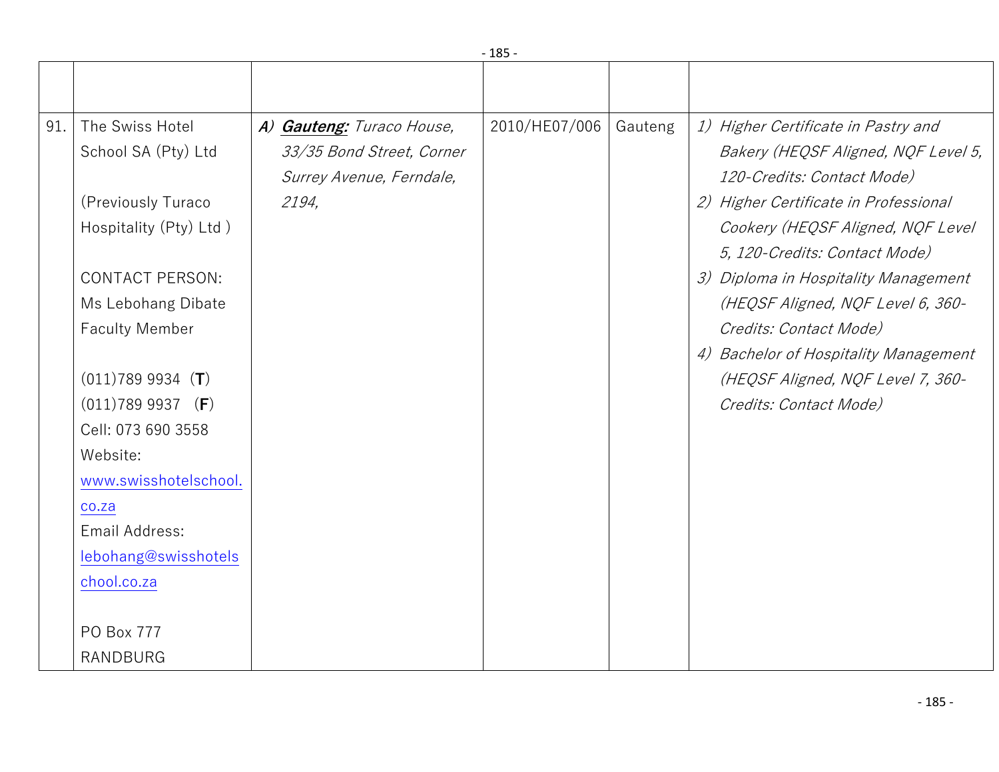|     | $-185-$                |                           |               |         |                                       |  |  |  |
|-----|------------------------|---------------------------|---------------|---------|---------------------------------------|--|--|--|
|     |                        |                           |               |         |                                       |  |  |  |
|     |                        |                           |               |         |                                       |  |  |  |
| 91. | The Swiss Hotel        | A) Gauteng: Turaco House, | 2010/HE07/006 | Gauteng | 1) Higher Certificate in Pastry and   |  |  |  |
|     | School SA (Pty) Ltd    | 33/35 Bond Street, Corner |               |         | Bakery (HEQSF Aligned, NQF Level 5,   |  |  |  |
|     |                        | Surrey Avenue, Ferndale,  |               |         | 120-Credits: Contact Mode)            |  |  |  |
|     | (Previously Turaco     | 2194,                     |               |         | 2) Higher Certificate in Professional |  |  |  |
|     | Hospitality (Pty) Ltd) |                           |               |         | Cookery (HEQSF Aligned, NQF Level     |  |  |  |
|     |                        |                           |               |         | 5, 120-Credits: Contact Mode)         |  |  |  |
|     | <b>CONTACT PERSON:</b> |                           |               |         | 3) Diploma in Hospitality Management  |  |  |  |
|     | Ms Lebohang Dibate     |                           |               |         | (HEQSF Aligned, NQF Level 6, 360-     |  |  |  |
|     | <b>Faculty Member</b>  |                           |               |         | Credits: Contact Mode)                |  |  |  |
|     |                        |                           |               |         | 4) Bachelor of Hospitality Management |  |  |  |
|     | $(011)7899934$ (T)     |                           |               |         | (HEQSF Aligned, NQF Level 7, 360-     |  |  |  |
|     | $(011)7899937$ (F)     |                           |               |         | Credits: Contact Mode)                |  |  |  |
|     | Cell: 073 690 3558     |                           |               |         |                                       |  |  |  |
|     | Website:               |                           |               |         |                                       |  |  |  |
|     | www.swisshotelschool.  |                           |               |         |                                       |  |  |  |
|     | co.za                  |                           |               |         |                                       |  |  |  |
|     | Email Address:         |                           |               |         |                                       |  |  |  |
|     | lebohang@swisshotels   |                           |               |         |                                       |  |  |  |
|     | chool.co.za            |                           |               |         |                                       |  |  |  |
|     |                        |                           |               |         |                                       |  |  |  |
|     | PO Box 777             |                           |               |         |                                       |  |  |  |
|     | <b>RANDBURG</b>        |                           |               |         |                                       |  |  |  |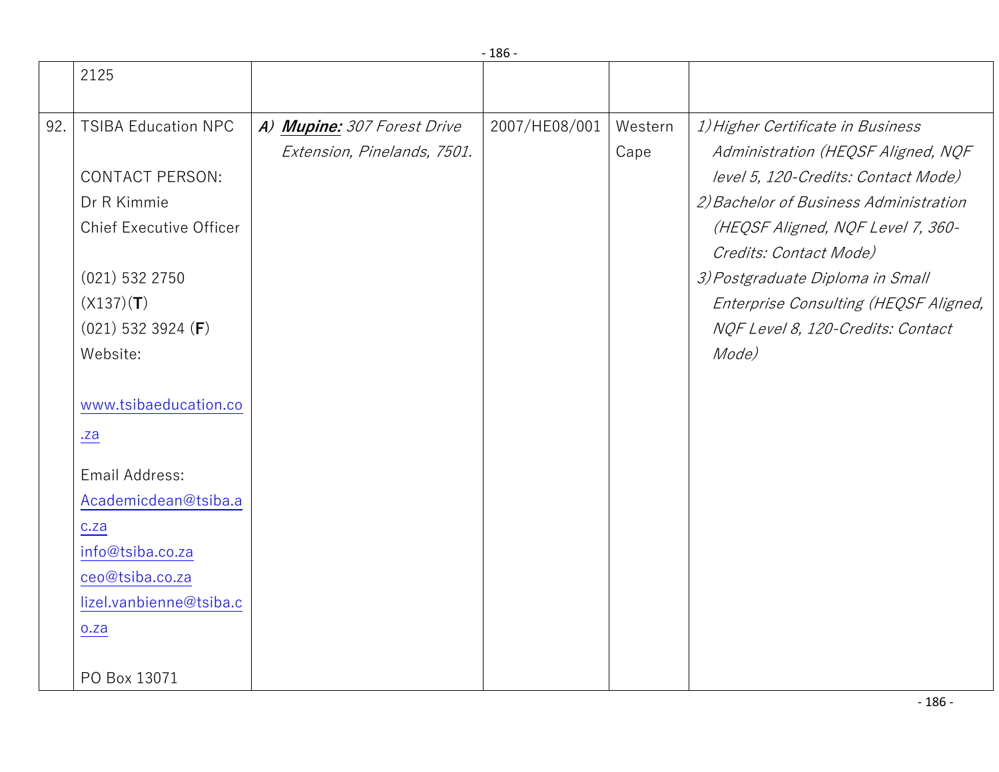|     |                                                                                                                                                                                                                                                                                                                                        |                                                            | $-186-$       |                 |                                                                                                                                                                                                                                                                                                                                                    |
|-----|----------------------------------------------------------------------------------------------------------------------------------------------------------------------------------------------------------------------------------------------------------------------------------------------------------------------------------------|------------------------------------------------------------|---------------|-----------------|----------------------------------------------------------------------------------------------------------------------------------------------------------------------------------------------------------------------------------------------------------------------------------------------------------------------------------------------------|
|     | 2125                                                                                                                                                                                                                                                                                                                                   |                                                            |               |                 |                                                                                                                                                                                                                                                                                                                                                    |
| 92. | <b>TSIBA Education NPC</b><br><b>CONTACT PERSON:</b><br>Dr R Kimmie<br><b>Chief Executive Officer</b><br>$(021)$ 532 2750<br>(X137)(T)<br>$(021)$ 532 3924 (F)<br>Website:<br>www.tsibaeducation.co<br>.za<br>Email Address:<br>Academicdean@tsiba.a<br>c.za<br>info@tsiba.co.za<br>ceo@tsiba.co.za<br>lizel.vanbienne@tsiba.c<br>o.za | A) Mupine: 307 Forest Drive<br>Extension, Pinelands, 7501. | 2007/HE08/001 | Western<br>Cape | 1) Higher Certificate in Business<br>Administration (HEQSF Aligned, NQF<br>level 5, 120-Credits: Contact Mode)<br>2) Bachelor of Business Administration<br>(HEQSF Aligned, NQF Level 7, 360-<br>Credits: Contact Mode)<br>3) Postgraduate Diploma in Small<br>Enterprise Consulting (HEQSF Aligned,<br>NQF Level 8, 120-Credits: Contact<br>Mode) |
|     | PO Box 13071                                                                                                                                                                                                                                                                                                                           |                                                            |               |                 |                                                                                                                                                                                                                                                                                                                                                    |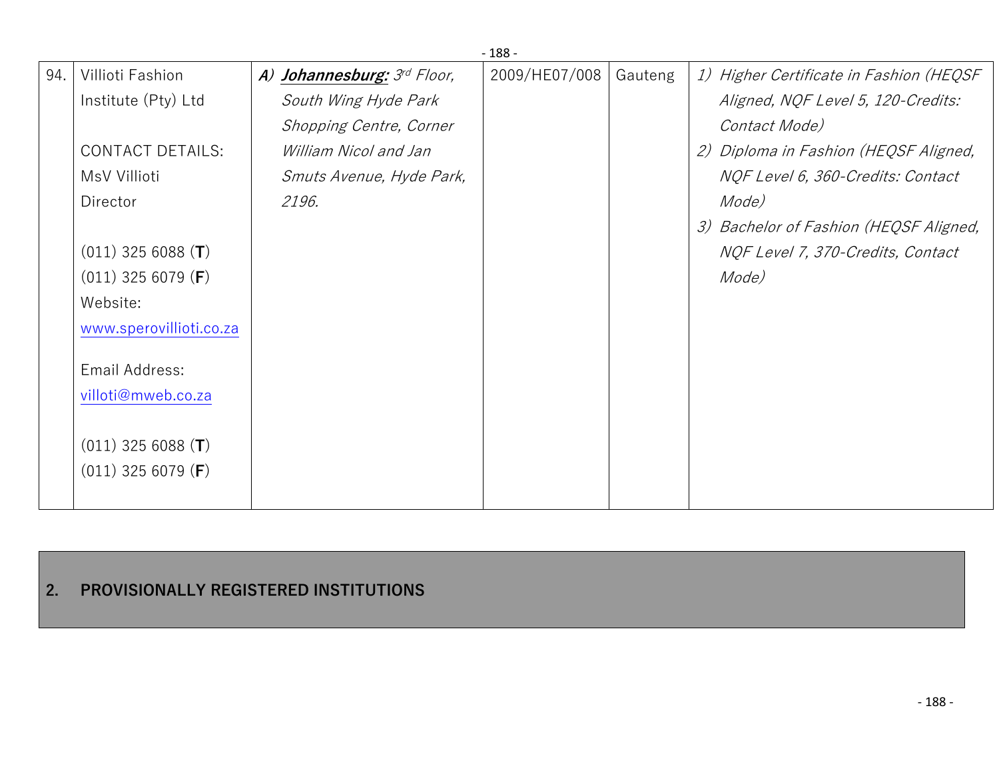|     | $-188-$                       |                             |               |         |                                         |  |  |  |
|-----|-------------------------------|-----------------------------|---------------|---------|-----------------------------------------|--|--|--|
| 94. | Villioti Fashion              | A) Johannesburg: 3rd Floor, | 2009/HE07/008 | Gauteng | 1) Higher Certificate in Fashion (HEQSF |  |  |  |
|     | Institute (Pty) Ltd           | South Wing Hyde Park        |               |         | Aligned, NQF Level 5, 120-Credits:      |  |  |  |
|     |                               | Shopping Centre, Corner     |               |         | Contact Mode)                           |  |  |  |
|     | <b>CONTACT DETAILS:</b>       | William Nicol and Jan       |               |         | 2) Diploma in Fashion (HEQSF Aligned,   |  |  |  |
|     | MsV Villioti                  | Smuts Avenue, Hyde Park,    |               |         | NQF Level 6, 360-Credits: Contact       |  |  |  |
|     | Director                      | 2196.                       |               |         | Mode)                                   |  |  |  |
|     |                               |                             |               |         | 3) Bachelor of Fashion (HEQSF Aligned,  |  |  |  |
|     | $(011)$ 325 6088 (T)          |                             |               |         | NQF Level 7, 370-Credits, Contact       |  |  |  |
|     | $(011)$ 325 6079 ( <b>F</b> ) |                             |               |         | Mode)                                   |  |  |  |
|     | Website:                      |                             |               |         |                                         |  |  |  |
|     | www.sperovillioti.co.za       |                             |               |         |                                         |  |  |  |
|     | Email Address:                |                             |               |         |                                         |  |  |  |
|     | villoti@mweb.co.za            |                             |               |         |                                         |  |  |  |
|     | $(011)$ 325 6088 (T)          |                             |               |         |                                         |  |  |  |
|     | $(011)$ 325 6079 ( <b>F</b> ) |                             |               |         |                                         |  |  |  |

## **2. PROVISIONALLY REGISTERED INSTITUTIONS**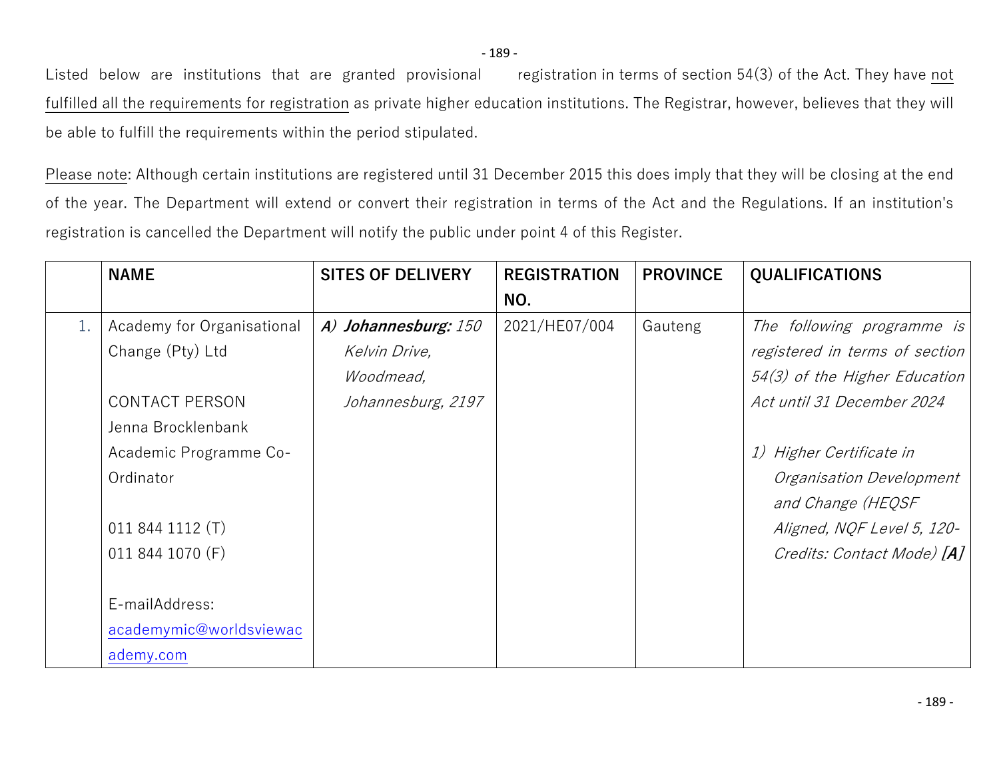Listed below are institutions that are granted provisional registration in terms of section 54(3) of the Act. They have not fulfilled all the requirements for registration as private higher education institutions. The Registrar, however, believes that they will be able to fulfill the requirements within the period stipulated.

Please note: Although certain institutions are registered until 31 December 2015 this does imply that they will be closing at the end of the year. The Department will extend or convert their registration in terms of the Act and the Regulations. If an institution's registration is cancelled the Department will notify the public under point 4 of this Register.

|    | <b>NAME</b>                                                                                                                          | <b>SITES OF DELIVERY</b>                                                 | <b>REGISTRATION</b> | <b>PROVINCE</b> | <b>QUALIFICATIONS</b>                                                                                                                                                               |
|----|--------------------------------------------------------------------------------------------------------------------------------------|--------------------------------------------------------------------------|---------------------|-----------------|-------------------------------------------------------------------------------------------------------------------------------------------------------------------------------------|
|    |                                                                                                                                      |                                                                          | NO.                 |                 |                                                                                                                                                                                     |
| 1. | Academy for Organisational<br>Change (Pty) Ltd<br><b>CONTACT PERSON</b><br>Jenna Brocklenbank<br>Academic Programme Co-<br>Ordinator | A) Johannesburg: 150<br>Kelvin Drive,<br>Woodmead,<br>Johannesburg, 2197 | 2021/HE07/004       | Gauteng         | The following programme is<br>registered in terms of section<br>54(3) of the Higher Education<br>Act until 31 December 2024<br>1) Higher Certificate in<br>Organisation Development |
|    | 011 844 1112 (T)<br>011 844 1070 (F)                                                                                                 |                                                                          |                     |                 | and Change (HEQSF<br>Aligned, NQF Level 5, 120-<br>Credits: Contact Mode) [A]                                                                                                       |
|    | E-mailAddress:<br>academymic@worldsviewac<br>ademy.com                                                                               |                                                                          |                     |                 |                                                                                                                                                                                     |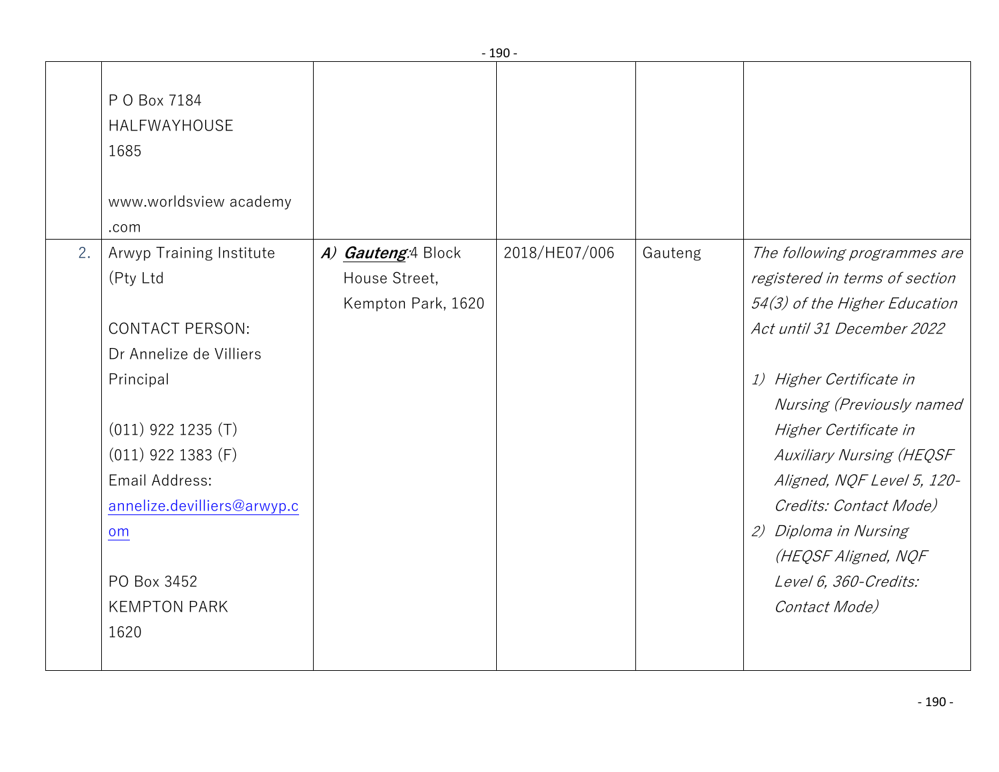|    |                                                                                                                                                                                                                                                             |                                                           | - טכב -       |         |                                                                                                                                                                                                                                                                                                                                                                                                      |
|----|-------------------------------------------------------------------------------------------------------------------------------------------------------------------------------------------------------------------------------------------------------------|-----------------------------------------------------------|---------------|---------|------------------------------------------------------------------------------------------------------------------------------------------------------------------------------------------------------------------------------------------------------------------------------------------------------------------------------------------------------------------------------------------------------|
|    | P O Box 7184<br>HALFWAYHOUSE<br>1685<br>www.worldsview academy<br>.com                                                                                                                                                                                      |                                                           |               |         |                                                                                                                                                                                                                                                                                                                                                                                                      |
| 2. | Arwyp Training Institute<br>(Pty Ltd<br><b>CONTACT PERSON:</b><br>Dr Annelize de Villiers<br>Principal<br>$(011)$ 922 1235 (T)<br>$(011)$ 922 1383 (F)<br>Email Address:<br>annelize.devilliers@arwyp.c<br>om<br>PO Box 3452<br><b>KEMPTON PARK</b><br>1620 | A) Gauteng:4 Block<br>House Street,<br>Kempton Park, 1620 | 2018/HE07/006 | Gauteng | The following programmes are<br>registered in terms of section<br>54(3) of the Higher Education<br>Act until 31 December 2022<br>1) Higher Certificate in<br>Nursing (Previously named<br>Higher Certificate in<br><b>Auxiliary Nursing (HEQSF</b><br>Aligned, NQF Level 5, 120-<br>Credits: Contact Mode)<br>2) Diploma in Nursing<br>(HEQSF Aligned, NQF<br>Level 6, 360-Credits:<br>Contact Mode) |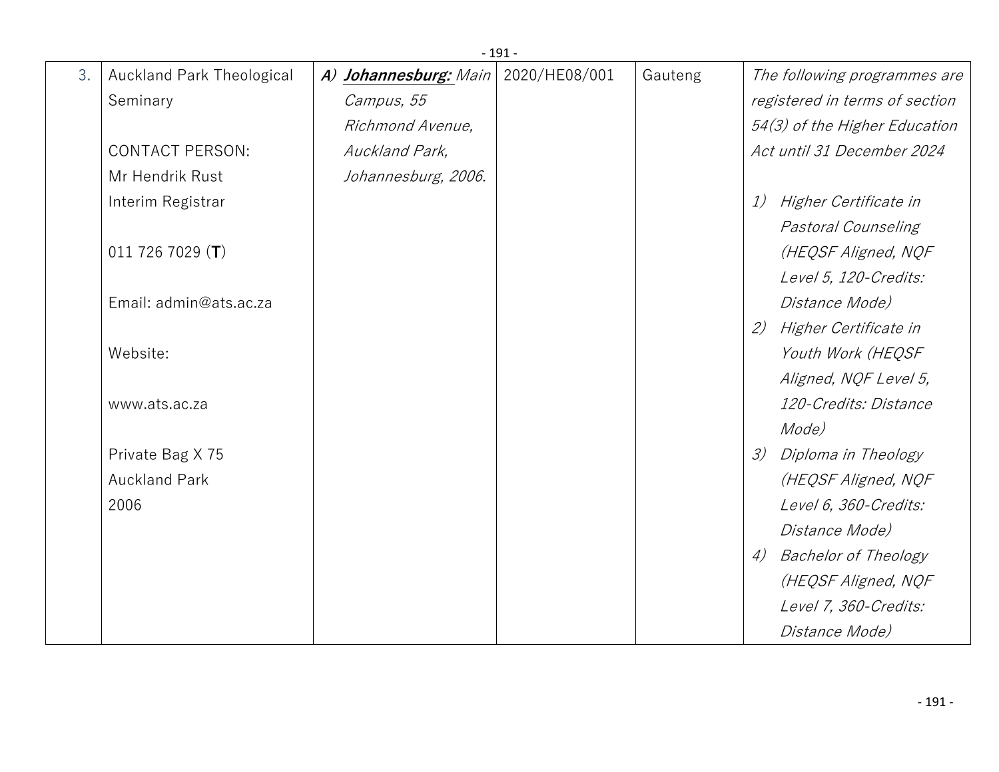|    | $-191-$                          |                       |               |         |                                   |  |
|----|----------------------------------|-----------------------|---------------|---------|-----------------------------------|--|
| 3. | <b>Auckland Park Theological</b> | A) Johannesburg: Main | 2020/HE08/001 | Gauteng | The following programmes are      |  |
|    | Seminary                         | Campus, 55            |               |         | registered in terms of section    |  |
|    |                                  | Richmond Avenue,      |               |         | 54(3) of the Higher Education     |  |
|    | <b>CONTACT PERSON:</b>           | Auckland Park,        |               |         | Act until 31 December 2024        |  |
|    | Mr Hendrik Rust                  | Johannesburg, 2006.   |               |         |                                   |  |
|    | Interim Registrar                |                       |               |         | Higher Certificate in<br>1)       |  |
|    |                                  |                       |               |         | Pastoral Counseling               |  |
|    | 011 726 7029 $(T)$               |                       |               |         | (HEQSF Aligned, NQF               |  |
|    |                                  |                       |               |         | Level 5, 120-Credits:             |  |
|    | Email: admin@ats.ac.za           |                       |               |         | Distance Mode)                    |  |
|    |                                  |                       |               |         | 2)<br>Higher Certificate in       |  |
|    | Website:                         |                       |               |         | Youth Work (HEQSF                 |  |
|    |                                  |                       |               |         | Aligned, NQF Level 5,             |  |
|    | www.ats.ac.za                    |                       |               |         | 120-Credits: Distance             |  |
|    |                                  |                       |               |         | Mode)                             |  |
|    | Private Bag X 75                 |                       |               |         | 3)<br>Diploma in Theology         |  |
|    | <b>Auckland Park</b>             |                       |               |         | (HEQSF Aligned, NQF               |  |
|    | 2006                             |                       |               |         | Level 6, 360-Credits:             |  |
|    |                                  |                       |               |         | Distance Mode)                    |  |
|    |                                  |                       |               |         | <b>Bachelor of Theology</b><br>4) |  |
|    |                                  |                       |               |         | (HEQSF Aligned, NQF               |  |
|    |                                  |                       |               |         | Level 7, 360-Credits:             |  |
|    |                                  |                       |               |         | Distance Mode)                    |  |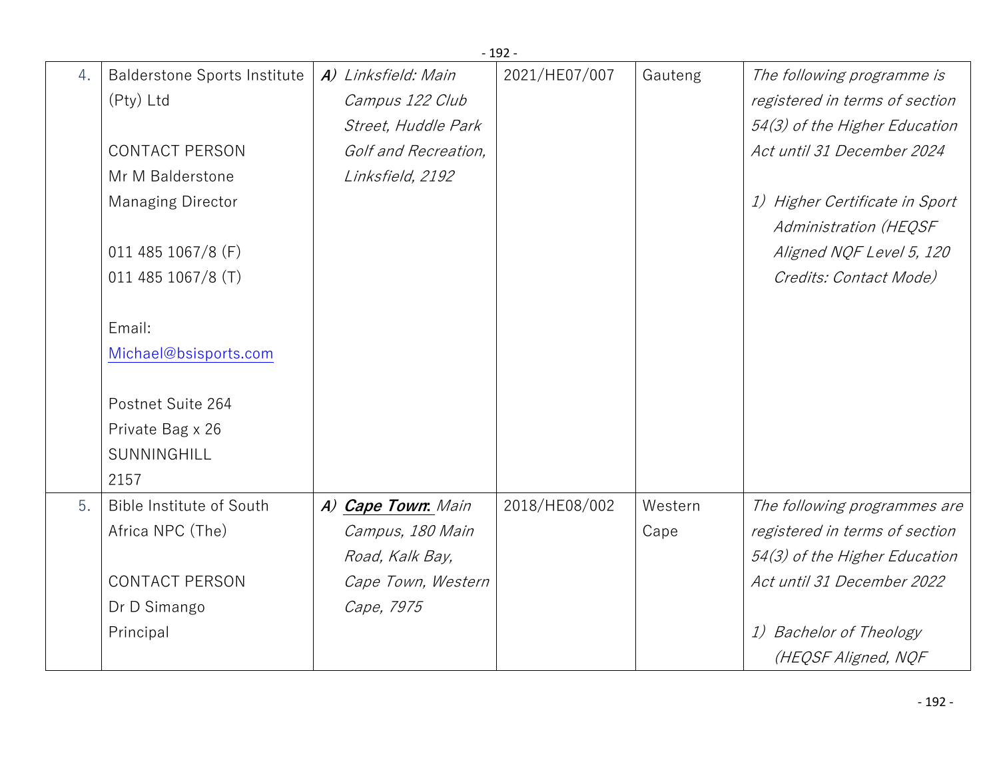|    |                                     |                      | $-192-$       |         |                                   |
|----|-------------------------------------|----------------------|---------------|---------|-----------------------------------|
| 4. | <b>Balderstone Sports Institute</b> | A) Linksfield: Main  | 2021/HE07/007 | Gauteng | The following programme is        |
|    | (Pty) Ltd                           | Campus 122 Club      |               |         | registered in terms of section    |
|    |                                     | Street, Huddle Park  |               |         | 54(3) of the Higher Education     |
|    | <b>CONTACT PERSON</b>               | Golf and Recreation, |               |         | Act until 31 December 2024        |
|    | Mr M Balderstone                    | Linksfield, 2192     |               |         |                                   |
|    | <b>Managing Director</b>            |                      |               |         | Higher Certificate in Sport<br>1) |
|    |                                     |                      |               |         | Administration (HEQSF             |
|    | 011 485 1067/8 (F)                  |                      |               |         | Aligned NQF Level 5, 120          |
|    | 011 485 1067/8 (T)                  |                      |               |         | Credits: Contact Mode)            |
|    |                                     |                      |               |         |                                   |
|    | Email:                              |                      |               |         |                                   |
|    | Michael@bsisports.com               |                      |               |         |                                   |
|    |                                     |                      |               |         |                                   |
|    | Postnet Suite 264                   |                      |               |         |                                   |
|    | Private Bag x 26                    |                      |               |         |                                   |
|    | SUNNINGHILL                         |                      |               |         |                                   |
|    | 2157                                |                      |               |         |                                   |
| 5. | Bible Institute of South            | A) Cape Town: Main   | 2018/HE08/002 | Western | The following programmes are      |
|    | Africa NPC (The)                    | Campus, 180 Main     |               | Cape    | registered in terms of section    |
|    |                                     | Road, Kalk Bay,      |               |         | 54(3) of the Higher Education     |
|    | <b>CONTACT PERSON</b>               | Cape Town, Western   |               |         | Act until 31 December 2022        |
|    | Dr D Simango                        | Cape, 7975           |               |         |                                   |
|    | Principal                           |                      |               |         | <b>Bachelor of Theology</b><br>1) |
|    |                                     |                      |               |         | (HEQSF Aligned, NQF               |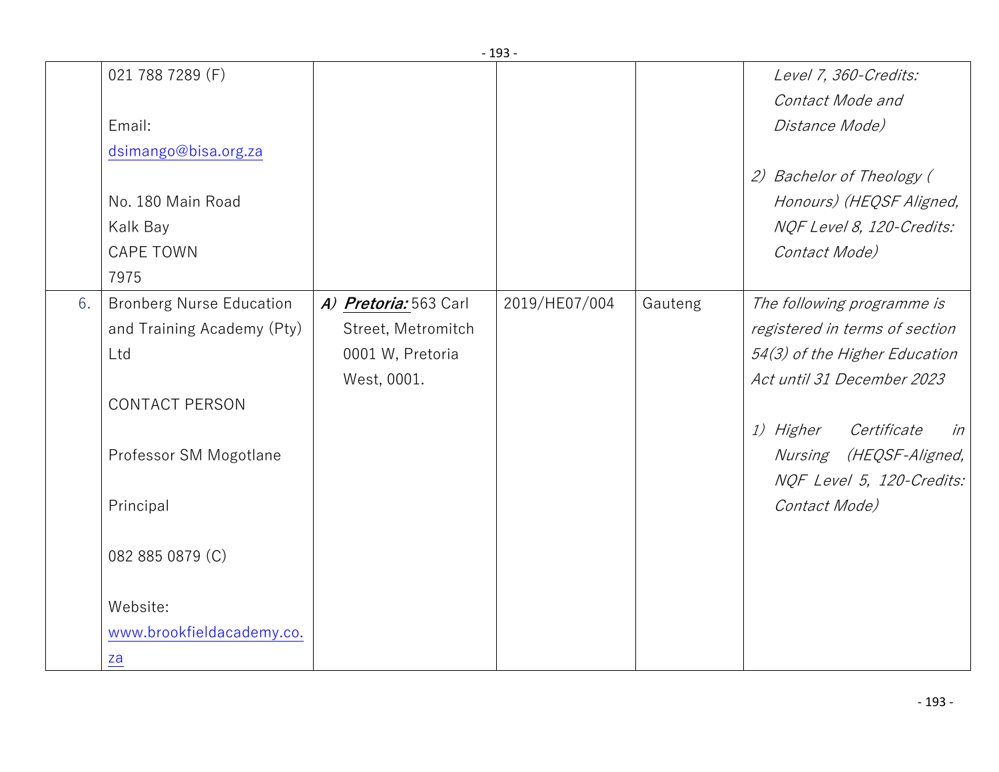|    | 021 788 7289 (F)                |                       |               |         | Level 7, 360-Credits:          |
|----|---------------------------------|-----------------------|---------------|---------|--------------------------------|
|    |                                 |                       |               |         | Contact Mode and               |
|    | Email:                          |                       |               |         | Distance Mode)                 |
|    | dsimango@bisa.org.za            |                       |               |         |                                |
|    |                                 |                       |               |         | 2) Bachelor of Theology (      |
|    | No. 180 Main Road               |                       |               |         | Honours) (HEQSF Aligned,       |
|    | Kalk Bay                        |                       |               |         | NQF Level 8, 120-Credits:      |
|    | <b>CAPE TOWN</b>                |                       |               |         | Contact Mode)                  |
|    | 7975                            |                       |               |         |                                |
| 6. | <b>Bronberg Nurse Education</b> | A) Pretoria: 563 Carl | 2019/HE07/004 | Gauteng | The following programme is     |
|    | and Training Academy (Pty)      | Street, Metromitch    |               |         | registered in terms of section |
|    | Ltd                             | 0001 W, Pretoria      |               |         | 54(3) of the Higher Education  |
|    |                                 | West, 0001.           |               |         | Act until 31 December 2023     |
|    | <b>CONTACT PERSON</b>           |                       |               |         |                                |
|    |                                 |                       |               |         | 1) Higher<br>Certificate<br>in |
|    | Professor SM Mogotlane          |                       |               |         | Nursing (HEQSF-Aligned,        |
|    |                                 |                       |               |         | NQF Level 5, 120-Credits:      |
|    | Principal                       |                       |               |         | Contact Mode)                  |
|    |                                 |                       |               |         |                                |
|    | 082 885 0879 (C)                |                       |               |         |                                |
|    |                                 |                       |               |         |                                |
|    | Website:                        |                       |               |         |                                |
|    | www.brookfieldacademy.co.       |                       |               |         |                                |
|    | za                              |                       |               |         |                                |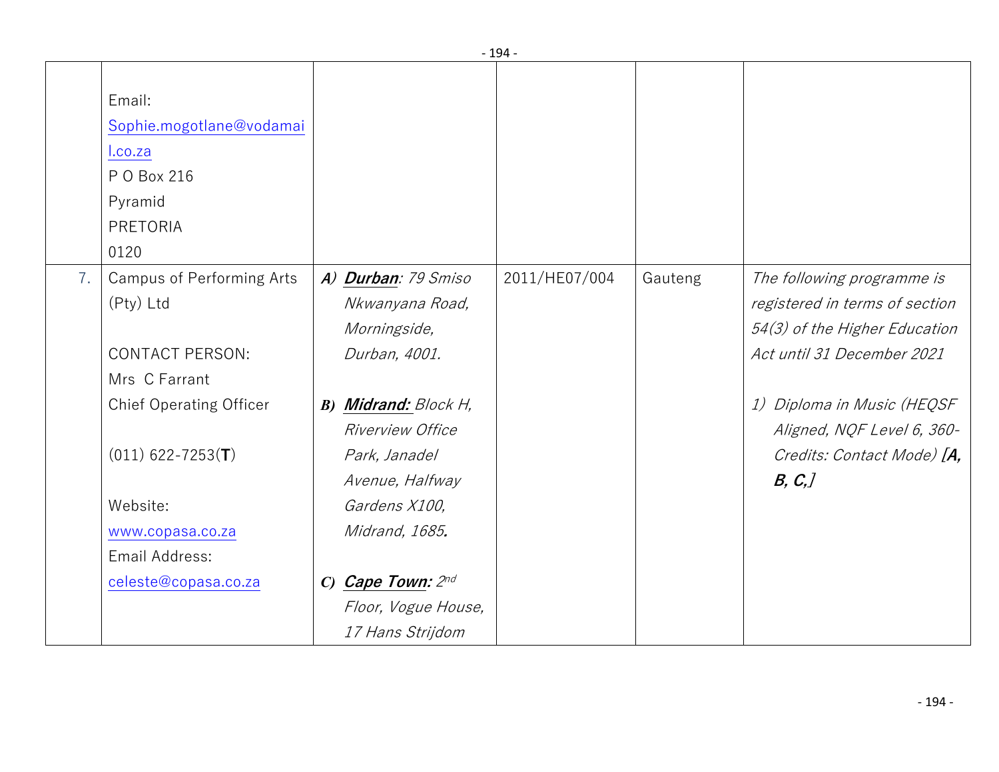|    |                                                                                             |                                                        | - 194 -       |         |                                                                                               |
|----|---------------------------------------------------------------------------------------------|--------------------------------------------------------|---------------|---------|-----------------------------------------------------------------------------------------------|
|    | Email:<br>Sophie.mogotlane@vodamai<br>I.co.za<br>P O Box 216<br>Pyramid<br>PRETORIA<br>0120 |                                                        |               |         |                                                                                               |
| 7. | <b>Campus of Performing Arts</b><br>(Pty) Ltd                                               | A) Durban: 79 Smiso<br>Nkwanyana Road,<br>Morningside, | 2011/HE07/004 | Gauteng | The following programme is<br>registered in terms of section<br>54(3) of the Higher Education |
|    | <b>CONTACT PERSON:</b><br>Mrs C Farrant                                                     | Durban, 4001.                                          |               |         | Act until 31 December 2021                                                                    |
|    | <b>Chief Operating Officer</b>                                                              | <b>B) Midrand:</b> Block H,<br>Riverview Office        |               |         | 1) Diploma in Music (HEQSF<br>Aligned, NQF Level 6, 360-                                      |
|    | $(011)$ 622-7253(T)                                                                         | Park, Janadel<br>Avenue, Halfway                       |               |         | Credits: Contact Mode) [A,<br>B, C,                                                           |
|    | Website:                                                                                    | Gardens X100,                                          |               |         |                                                                                               |
|    | www.copasa.co.za<br>Email Address:                                                          | Midrand, 1685.                                         |               |         |                                                                                               |
|    | celeste@copasa.co.za                                                                        | C) Cape Town: $2^{nd}$                                 |               |         |                                                                                               |
|    |                                                                                             | Floor, Vogue House,                                    |               |         |                                                                                               |
|    |                                                                                             | 17 Hans Strijdom                                       |               |         |                                                                                               |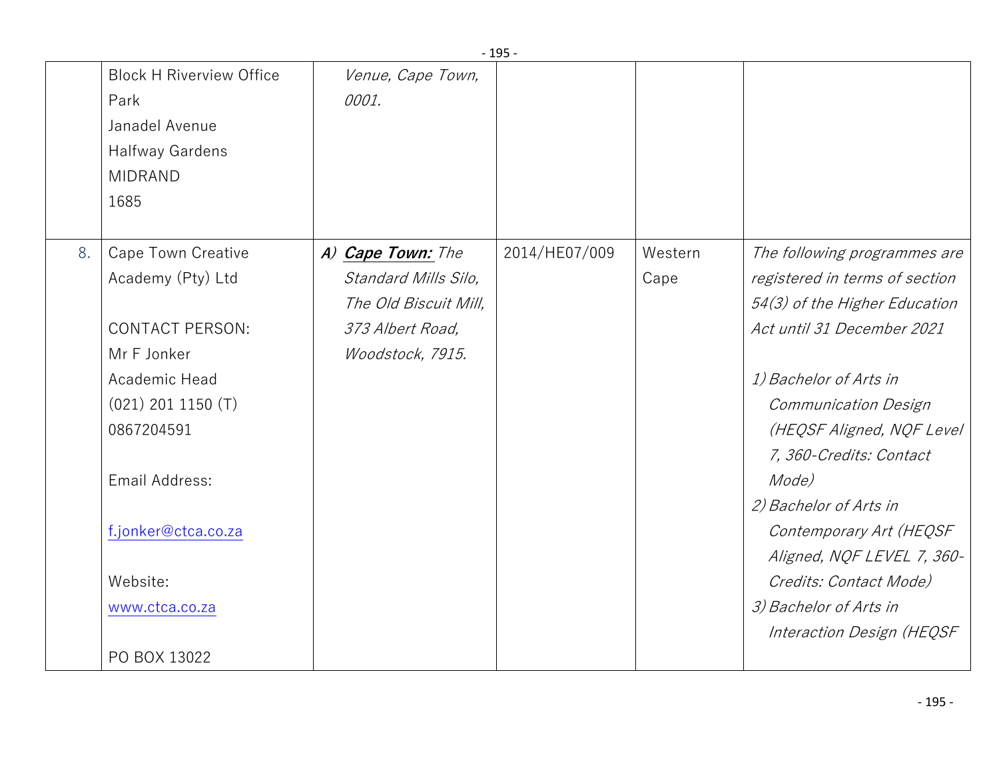|                                                                                                                                                                                        | <b>Block H Riverview Office</b>              |                                                                                                            |               |                 |                                                                                                                                                                                                                                                                                                                                                                                                                      |
|----------------------------------------------------------------------------------------------------------------------------------------------------------------------------------------|----------------------------------------------|------------------------------------------------------------------------------------------------------------|---------------|-----------------|----------------------------------------------------------------------------------------------------------------------------------------------------------------------------------------------------------------------------------------------------------------------------------------------------------------------------------------------------------------------------------------------------------------------|
| Park<br>Janadel Avenue<br><b>Halfway Gardens</b><br><b>MIDRAND</b><br>1685                                                                                                             |                                              | Venue, Cape Town,<br>0001.                                                                                 |               |                 |                                                                                                                                                                                                                                                                                                                                                                                                                      |
| 8.<br>Academy (Pty) Ltd<br>Mr F Jonker<br>Academic Head<br>$(021)$ 201 1150 $(T)$<br>0867204591<br>Email Address:<br>f.jonker@ctca.co.za<br>Website:<br>www.ctca.co.za<br>PO BOX 13022 | Cape Town Creative<br><b>CONTACT PERSON:</b> | A) Cape Town: The<br>Standard Mills Silo,<br>The Old Biscuit Mill,<br>373 Albert Road,<br>Woodstock, 7915. | 2014/HE07/009 | Western<br>Cape | The following programmes are<br>registered in terms of section<br>54(3) of the Higher Education<br>Act until 31 December 2021<br>1) Bachelor of Arts in<br>Communication Design<br>(HEQSF Aligned, NQF Level<br>7, 360-Credits: Contact<br>Mode)<br>2) Bachelor of Arts in<br>Contemporary Art (HEQSF<br>Aligned, NQF LEVEL 7, 360-<br>Credits: Contact Mode)<br>3) Bachelor of Arts in<br>Interaction Design (HEQSF |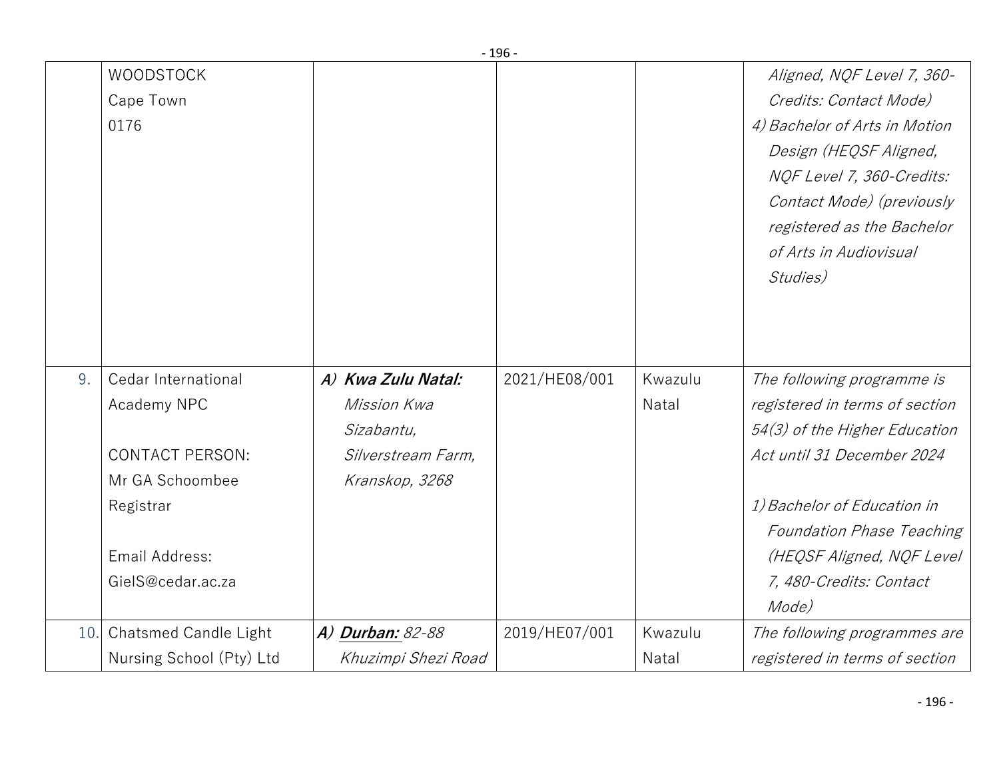|     | <b>WOODSTOCK</b>       |                    |               |         | Aligned, NQF Level 7, 360-       |
|-----|------------------------|--------------------|---------------|---------|----------------------------------|
|     | Cape Town              |                    |               |         | Credits: Contact Mode)           |
|     | 0176                   |                    |               |         | 4) Bachelor of Arts in Motion    |
|     |                        |                    |               |         | Design (HEQSF Aligned,           |
|     |                        |                    |               |         | NQF Level 7, 360-Credits:        |
|     |                        |                    |               |         | Contact Mode) (previously        |
|     |                        |                    |               |         | registered as the Bachelor       |
|     |                        |                    |               |         | of Arts in Audiovisual           |
|     |                        |                    |               |         | Studies)                         |
|     |                        |                    |               |         |                                  |
|     |                        |                    |               |         |                                  |
|     |                        |                    |               |         |                                  |
| 9.  | Cedar International    | A) Kwa Zulu Natal: | 2021/HE08/001 | Kwazulu | The following programme is       |
|     | Academy NPC            | Mission Kwa        |               | Natal   | registered in terms of section   |
|     |                        | Sizabantu,         |               |         | 54(3) of the Higher Education    |
|     | <b>CONTACT PERSON:</b> | Silverstream Farm, |               |         | Act until 31 December 2024       |
|     | Mr GA Schoombee        | Kranskop, 3268     |               |         |                                  |
|     | Registrar              |                    |               |         | 1) Bachelor of Education in      |
|     |                        |                    |               |         | <b>Foundation Phase Teaching</b> |
|     | Email Address:         |                    |               |         | (HEQSF Aligned, NQF Level        |
|     | GielS@cedar.ac.za      |                    |               |         | 7, 480-Credits: Contact          |
|     |                        |                    |               |         | Mode)                            |
| 10. | Chatsmed Candle Light  | A) Durban: 82-88   | 2019/HE07/001 | Kwazulu | The following programmes are     |
|     |                        |                    |               |         |                                  |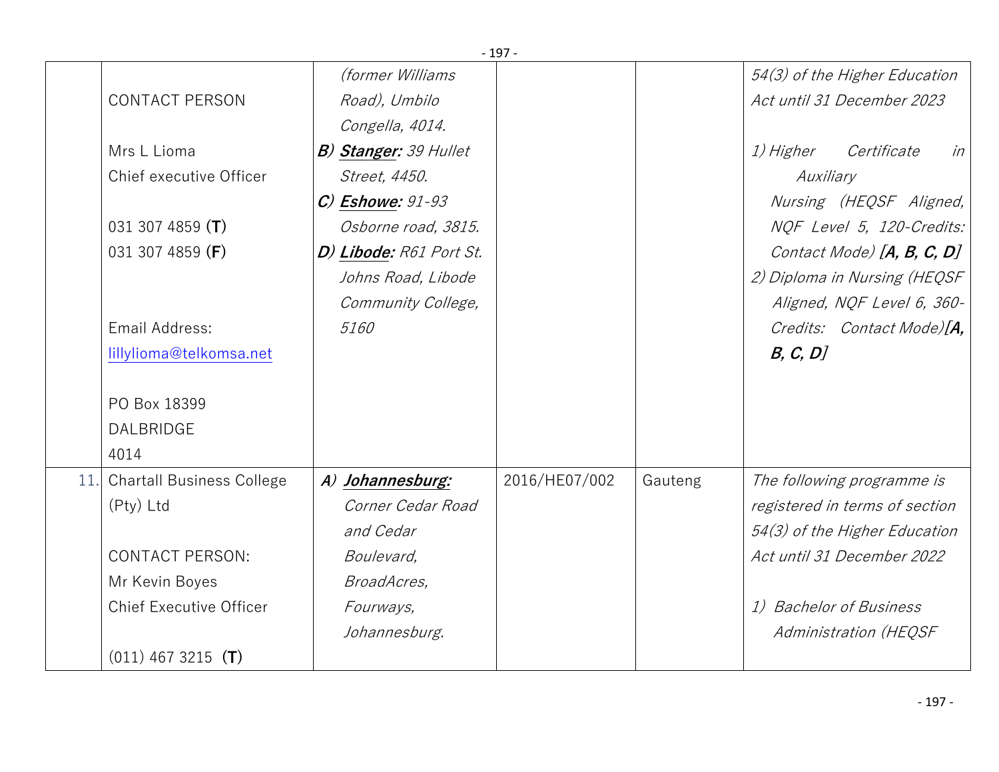|      |                                  |                              | $-197-$       |         |                                |
|------|----------------------------------|------------------------------|---------------|---------|--------------------------------|
|      |                                  | <i>(former Williams</i>      |               |         | 54(3) of the Higher Education  |
|      | <b>CONTACT PERSON</b>            | Road), Umbilo                |               |         | Act until 31 December 2023     |
|      |                                  | Congella, 4014.              |               |         |                                |
|      | Mrs L Lioma                      | <b>B) Stanger:</b> 39 Hullet |               |         | 1) Higher Certificate<br>in    |
|      | Chief executive Officer          | Street, 4450.                |               |         | Auxiliary                      |
|      |                                  | $C$ ) Eshowe: $91-93$        |               |         | Nursing (HEQSF Aligned,        |
|      | 031 307 4859 (T)                 | Osborne road, 3815.          |               |         | NQF Level 5, 120-Credits:      |
|      | 031 307 4859 (F)                 | D) Libode: R61 Port St.      |               |         | Contact Mode) $[A, B, C, D]$   |
|      |                                  | Johns Road, Libode           |               |         | 2) Diploma in Nursing (HEQSF   |
|      |                                  | Community College,           |               |         | Aligned, NQF Level 6, 360-     |
|      | Email Address:                   | 5160                         |               |         | Credits: Contact Mode)[A,      |
|      | lillylioma@telkomsa.net          |                              |               |         | B, C, D                        |
|      |                                  |                              |               |         |                                |
|      | PO Box 18399                     |                              |               |         |                                |
|      | <b>DALBRIDGE</b>                 |                              |               |         |                                |
|      | 4014                             |                              |               |         |                                |
| 11.1 | <b>Chartall Business College</b> | A) Johannesburg:             | 2016/HE07/002 | Gauteng | The following programme is     |
|      | (Pty) Ltd                        | Corner Cedar Road            |               |         | registered in terms of section |
|      |                                  | and Cedar                    |               |         | 54(3) of the Higher Education  |
|      | <b>CONTACT PERSON:</b>           | Boulevard,                   |               |         | Act until 31 December 2022     |
|      | Mr Kevin Boyes                   | BroadAcres,                  |               |         |                                |
|      | <b>Chief Executive Officer</b>   | Fourways,                    |               |         | 1) Bachelor of Business        |
|      |                                  | Johannesburg.                |               |         | Administration (HEQSF          |
|      | $(011)$ 467 3215 (T)             |                              |               |         |                                |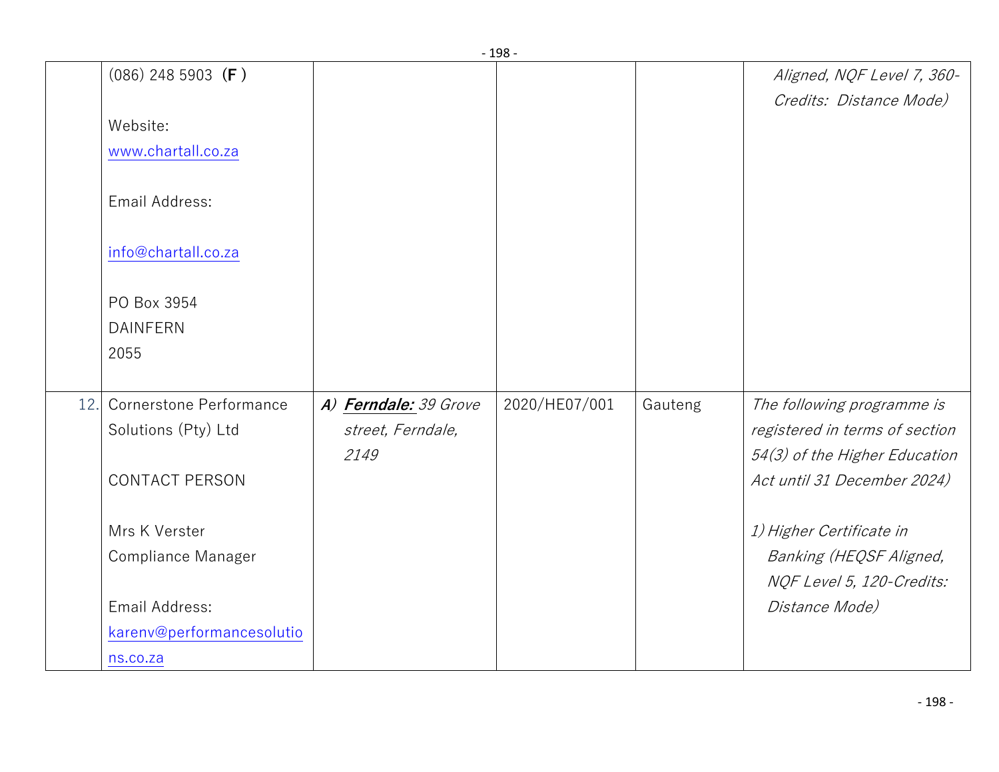|     |                           |                       | - סכד -       |         |                                |
|-----|---------------------------|-----------------------|---------------|---------|--------------------------------|
|     | $(086)$ 248 5903 (F)      |                       |               |         | Aligned, NQF Level 7, 360-     |
|     |                           |                       |               |         | Credits: Distance Mode)        |
|     | Website:                  |                       |               |         |                                |
|     | www.chartall.co.za        |                       |               |         |                                |
|     | Email Address:            |                       |               |         |                                |
|     | info@chartall.co.za       |                       |               |         |                                |
|     | PO Box 3954               |                       |               |         |                                |
|     | <b>DAINFERN</b>           |                       |               |         |                                |
|     | 2055                      |                       |               |         |                                |
|     |                           |                       |               |         |                                |
| 12. | Cornerstone Performance   | A) Ferndale: 39 Grove | 2020/HE07/001 | Gauteng | The following programme is     |
|     | Solutions (Pty) Ltd       | street, Ferndale,     |               |         | registered in terms of section |
|     |                           | 2149                  |               |         | 54(3) of the Higher Education  |
|     | <b>CONTACT PERSON</b>     |                       |               |         | Act until 31 December 2024)    |
|     | Mrs K Verster             |                       |               |         | 1) Higher Certificate in       |
|     | Compliance Manager        |                       |               |         | Banking (HEQSF Aligned,        |
|     |                           |                       |               |         | NQF Level 5, 120-Credits:      |
|     | Email Address:            |                       |               |         | Distance Mode)                 |
|     | karenv@performancesolutio |                       |               |         |                                |
|     | ns.co.za                  |                       |               |         |                                |
|     |                           |                       |               |         |                                |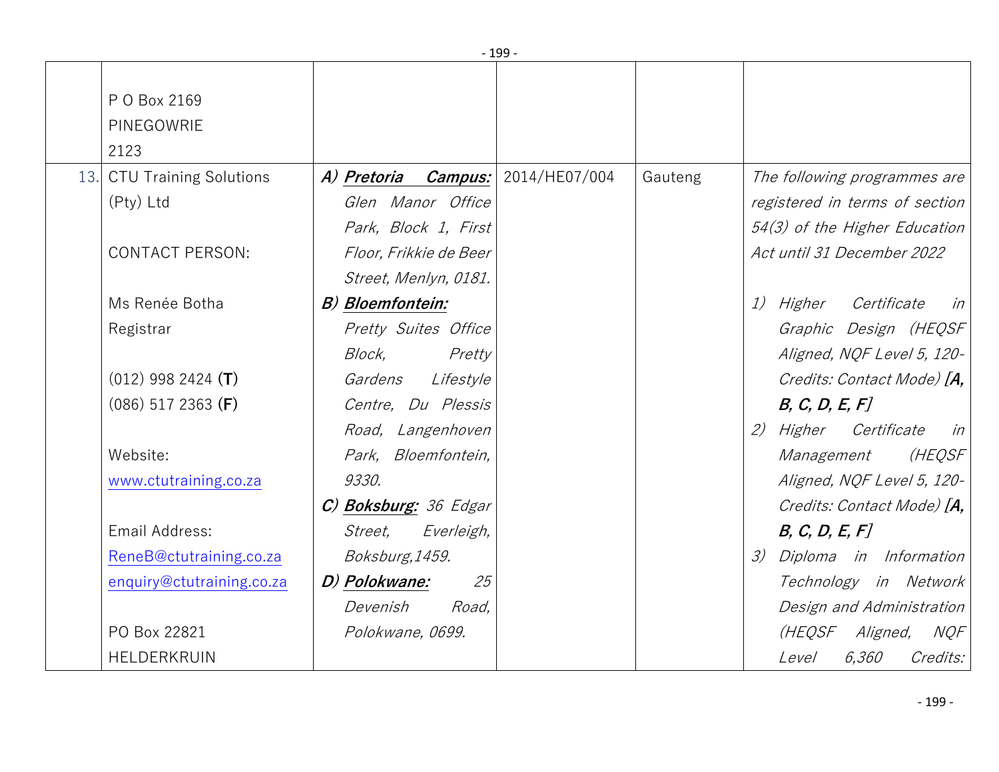|     |                                    |                                   | - 199 |         |                                              |
|-----|------------------------------------|-----------------------------------|-------|---------|----------------------------------------------|
|     | P O Box 2169<br>PINEGOWRIE<br>2123 |                                   |       |         |                                              |
| 13. | <b>CTU Training Solutions</b>      | A) Pretoria Campus: 2014/HE07/004 |       | Gauteng | The following programmes are                 |
|     | (Pty) Ltd                          | Glen Manor Office                 |       |         | registered in terms of section               |
|     |                                    | Park, Block 1, First              |       |         | $54(3)$ of the Higher Education              |
|     | <b>CONTACT PERSON:</b>             | Floor, Frikkie de Beer            |       |         | Act until 31 December 2022                   |
|     |                                    | Street, Menlyn, 0181.             |       |         |                                              |
|     | Ms Renée Botha                     | B) Bloemfontein:                  |       |         | <i>1) Higher</i><br>Certificate<br>$in \,  $ |
|     | Registrar                          | Pretty Suites Office              |       |         | Graphic Design (HEQSF)                       |
|     |                                    | Block,<br>Pretty                  |       |         | Aligned, NQF Level 5, 120-                   |
|     | $(012)$ 998 2424 (T)               | Gardens<br>Lifestyle              |       |         | Credits: Contact Mode) [A,                   |
|     | $(086)$ 517 2363 (F)               | Centre, Du Plessis                |       |         | B, C, D, E, F                                |
|     |                                    | Road, Langenhoven                 |       |         | 2) Higher Certificate<br>in                  |
|     | Website:                           | Park, Bloemfontein,               |       |         | (HEQSF)<br>Management                        |
|     | www.ctutraining.co.za              | 9330.                             |       |         | Aligned, NQF Level 5, 120-                   |
|     |                                    | C) Boksburg: 36 Edgar             |       |         | Credits: Contact Mode) [A,                   |
|     | Email Address:                     | Street,<br>Everleigh,             |       |         | B, C, D, E, F                                |
|     | ReneB@ctutraining.co.za            | Boksburg, 1459.                   |       |         | Diploma in Information<br>$\mathcal{Z}$      |
|     | enquiry@ctutraining.co.za          | D) Polokwane:<br>25               |       |         | Technology in Network                        |
|     |                                    | Devenish<br>Road,                 |       |         | Design and Administration                    |
|     | PO Box 22821                       | Polokwane, 0699.                  |       |         | (HEQSF Aligned,<br>NQF                       |
|     | HELDERKRUIN                        |                                   |       |         | 6,360<br>Credits:<br><i>Level</i>            |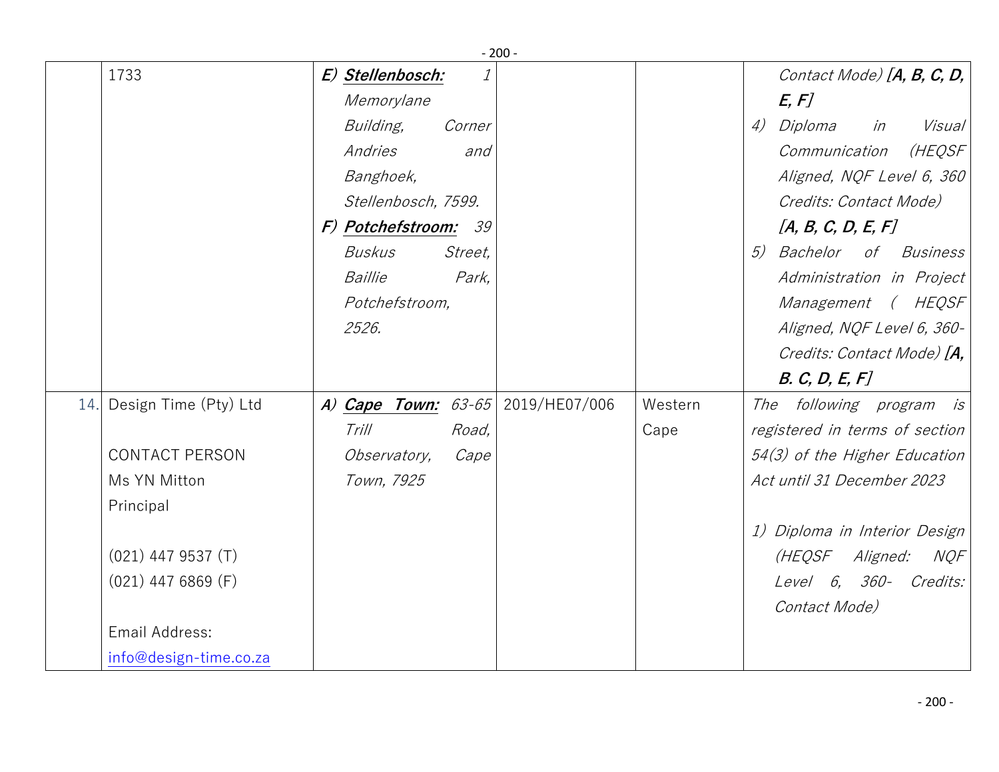|     |                        |                       | $-200-$       |         |                                   |
|-----|------------------------|-----------------------|---------------|---------|-----------------------------------|
|     | 1733                   | E) Stellenbosch:      |               |         | Contact Mode) $[A, B, C, D,$      |
|     |                        | Memorylane            |               |         | E, F                              |
|     |                        | Building,             | Corner        |         | 4) Diploma<br>in<br>Visual        |
|     |                        | Andries               | and           |         | Communication<br>(HEQSF           |
|     |                        | Banghoek,             |               |         | Aligned, NQF Level 6, 360         |
|     |                        | Stellenbosch, 7599.   |               |         | Credits: Contact Mode)            |
|     |                        | F) Potchefstroom: 39  |               |         | [A, B, C, D, E, F]                |
|     |                        | Buskus                | Street,       |         | 5)<br><i>Bachelor of Business</i> |
|     |                        | Baillie               | Park,         |         | Administration in Project         |
|     |                        | Potchefstroom,        |               |         | Management (HEQSF                 |
|     |                        | 2526.                 |               |         | Aligned, NQF Level 6, 360-        |
|     |                        |                       |               |         | Credits: Contact Mode) [A,        |
|     |                        |                       |               |         | B. C, D, E, F                     |
| 14. | Design Time (Pty) Ltd  | A) Cape Town: $63-65$ | 2019/HE07/006 | Western | The following program is          |
|     |                        | Trill                 | Road,         | Cape    | registered in terms of section    |
|     | <b>CONTACT PERSON</b>  | Observatory,          | Cape          |         | 54(3) of the Higher Education     |
|     | Ms YN Mitton           | Town, 7925            |               |         | Act until 31 December 2023        |
|     | Principal              |                       |               |         |                                   |
|     |                        |                       |               |         | 1) Diploma in Interior Design     |
|     | $(021)$ 447 9537 (T)   |                       |               |         | (HEQSF Aligned:<br>NQF            |
|     | $(021)$ 447 6869 (F)   |                       |               |         | Level 6, 360-<br>Credits:         |
|     |                        |                       |               |         | Contact Mode)                     |
|     | Email Address:         |                       |               |         |                                   |
|     | info@design-time.co.za |                       |               |         |                                   |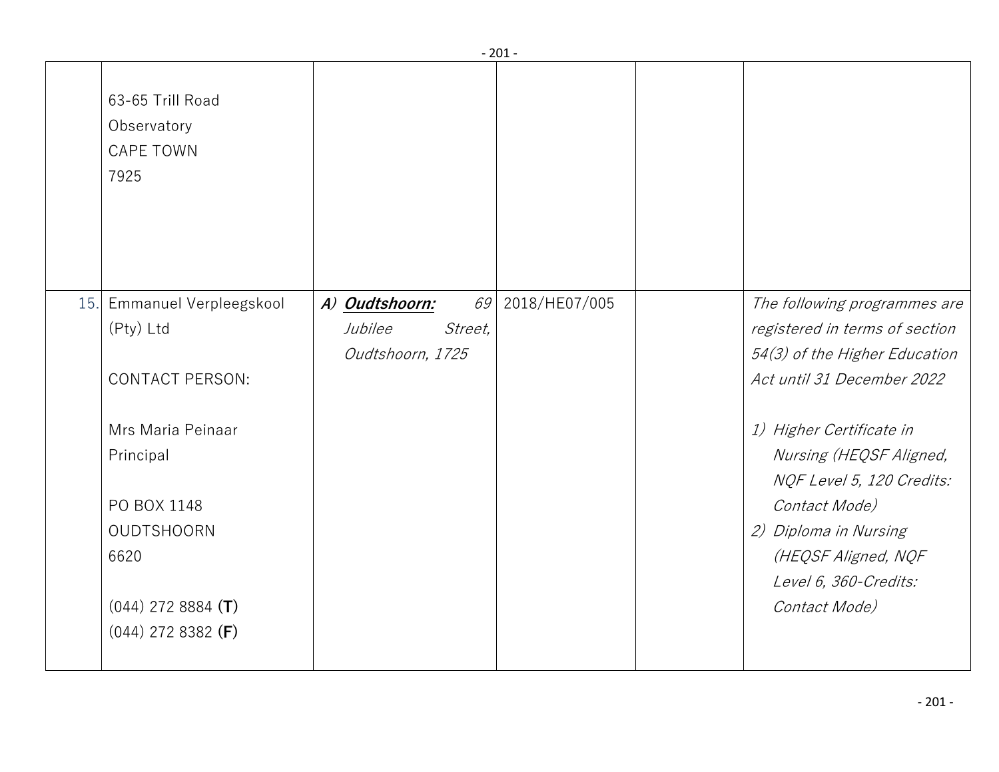|                                                                                                                            |                                                                | - 201 -       |                                                                                                                                                                                             |
|----------------------------------------------------------------------------------------------------------------------------|----------------------------------------------------------------|---------------|---------------------------------------------------------------------------------------------------------------------------------------------------------------------------------------------|
| 63-65 Trill Road<br>Observatory<br><b>CAPE TOWN</b><br>7925                                                                |                                                                |               |                                                                                                                                                                                             |
| 15. Emmanuel Verpleegskool<br>(Pty) Ltd                                                                                    | 69<br>A) Oudtshoorn:<br>Jubilee<br>Street,<br>Oudtshoorn, 1725 | 2018/HE07/005 | The following programmes are<br>registered in terms of section<br>54(3) of the Higher Education                                                                                             |
| <b>CONTACT PERSON:</b>                                                                                                     |                                                                |               | Act until 31 December 2022                                                                                                                                                                  |
| Mrs Maria Peinaar<br>Principal<br>PO BOX 1148<br><b>OUDTSHOORN</b><br>6620<br>$(044)$ 272 8884 (T)<br>$(044)$ 272 8382 (F) |                                                                |               | 1) Higher Certificate in<br>Nursing (HEQSF Aligned,<br>NQF Level 5, 120 Credits:<br>Contact Mode)<br>2) Diploma in Nursing<br>(HEQSF Aligned, NQF<br>Level 6, 360-Credits:<br>Contact Mode) |
|                                                                                                                            |                                                                |               |                                                                                                                                                                                             |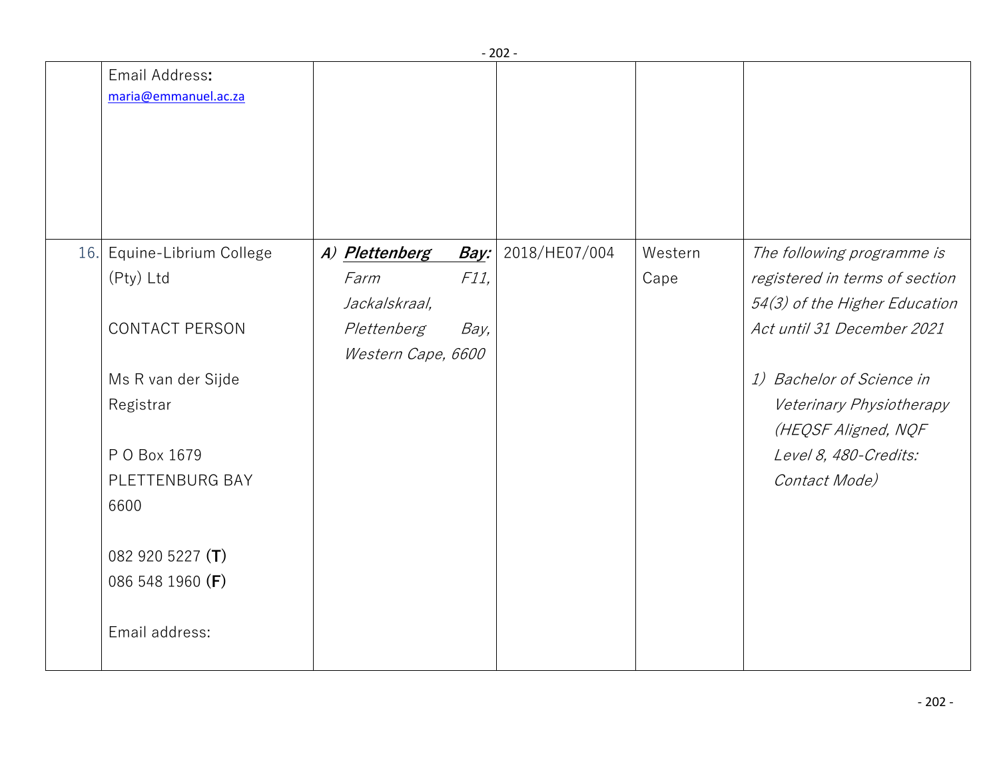|                                        |                    |      | - 202 -       |         |                                                 |
|----------------------------------------|--------------------|------|---------------|---------|-------------------------------------------------|
| Email Address:<br>maria@emmanuel.ac.za |                    |      |               |         |                                                 |
| 16. Equine-Librium College             | A) Plettenberg     | Bay: | 2018/HE07/004 | Western | The following programme is                      |
| (Pty) Ltd                              | Farm               | F11, |               | Cape    | registered in terms of section                  |
|                                        | Jackalskraal,      |      |               |         | 54(3) of the Higher Education                   |
| <b>CONTACT PERSON</b>                  | Plettenberg        | Bay, |               |         | Act until 31 December 2021                      |
|                                        | Western Cape, 6600 |      |               |         |                                                 |
| Ms R van der Sijde                     |                    |      |               |         | 1) Bachelor of Science in                       |
| Registrar                              |                    |      |               |         | Veterinary Physiotherapy<br>(HEQSF Aligned, NQF |
| P O Box 1679                           |                    |      |               |         | Level 8, 480-Credits:                           |
| PLETTENBURG BAY                        |                    |      |               |         | Contact Mode)                                   |
| 6600                                   |                    |      |               |         |                                                 |
| 082 920 5227 (T)                       |                    |      |               |         |                                                 |
| 086 548 1960 (F)                       |                    |      |               |         |                                                 |
| Email address:                         |                    |      |               |         |                                                 |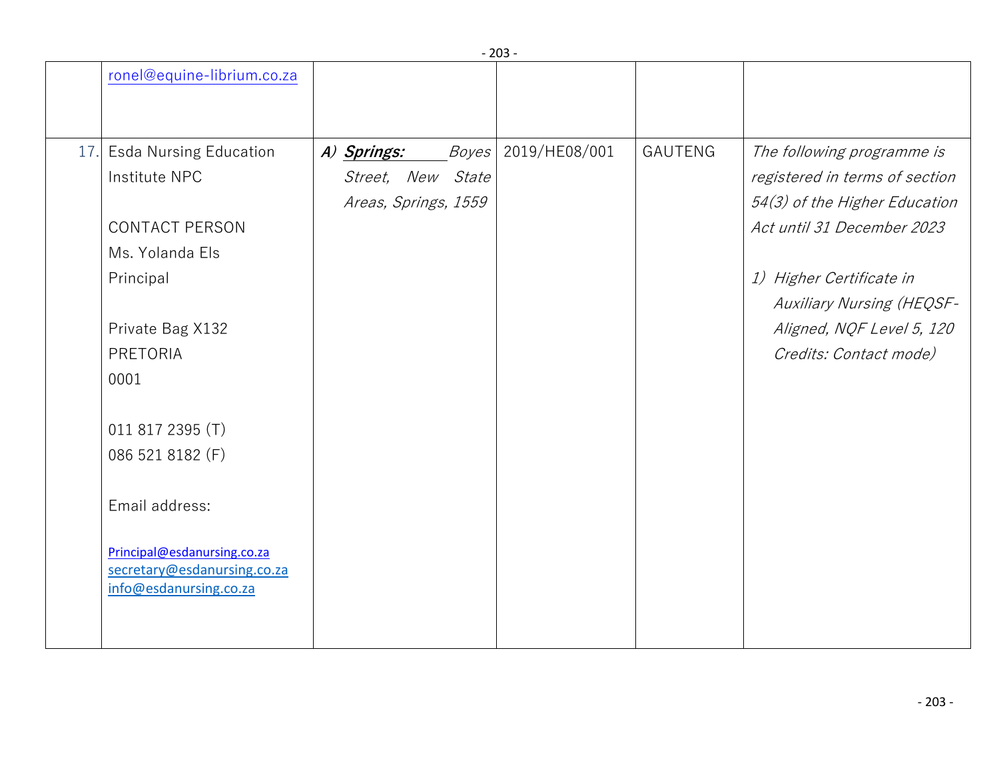|                                                            |                      |       | ∠ບປ           |                |                                  |
|------------------------------------------------------------|----------------------|-------|---------------|----------------|----------------------------------|
| ronel@equine-librium.co.za                                 |                      |       |               |                |                                  |
|                                                            |                      |       |               |                |                                  |
| 17. Esda Nursing Education                                 | A) Springs:          | Boyes | 2019/HE08/001 | <b>GAUTENG</b> | The following programme is       |
| Institute NPC                                              | Street, New State    |       |               |                | registered in terms of section   |
|                                                            | Areas, Springs, 1559 |       |               |                | 54(3) of the Higher Education    |
| <b>CONTACT PERSON</b>                                      |                      |       |               |                | Act until 31 December 2023       |
| Ms. Yolanda Els                                            |                      |       |               |                |                                  |
| Principal                                                  |                      |       |               |                | 1) Higher Certificate in         |
|                                                            |                      |       |               |                | <b>Auxiliary Nursing (HEQSF-</b> |
| Private Bag X132                                           |                      |       |               |                | Aligned, NQF Level 5, 120        |
| PRETORIA                                                   |                      |       |               |                | Credits: Contact mode)           |
| 0001                                                       |                      |       |               |                |                                  |
|                                                            |                      |       |               |                |                                  |
| 011 817 2395 (T)                                           |                      |       |               |                |                                  |
| 086 521 8182 (F)                                           |                      |       |               |                |                                  |
|                                                            |                      |       |               |                |                                  |
| Email address:                                             |                      |       |               |                |                                  |
|                                                            |                      |       |               |                |                                  |
| Principal@esdanursing.co.za<br>secretary@esdanursing.co.za |                      |       |               |                |                                  |
| info@esdanursing.co.za                                     |                      |       |               |                |                                  |
|                                                            |                      |       |               |                |                                  |
|                                                            |                      |       |               |                |                                  |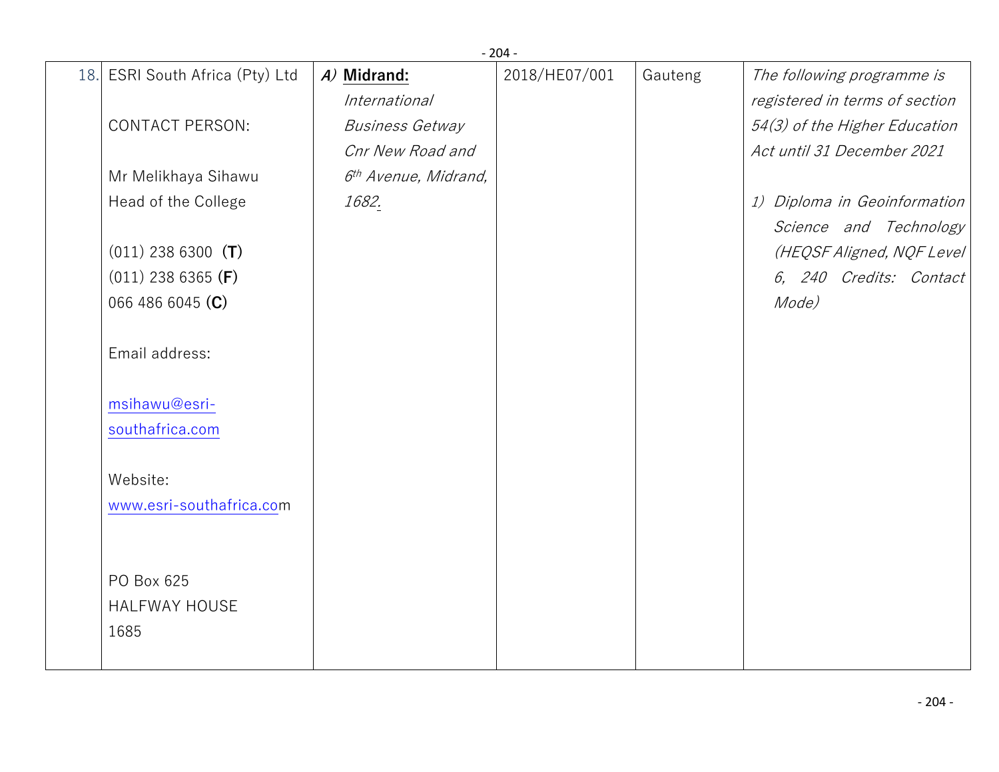|     |                             |                                  | $-204-$       |         |                                |
|-----|-----------------------------|----------------------------------|---------------|---------|--------------------------------|
| 18. | ESRI South Africa (Pty) Ltd | A) Midrand:                      | 2018/HE07/001 | Gauteng | The following programme is     |
|     |                             | International                    |               |         | registered in terms of section |
|     | <b>CONTACT PERSON:</b>      | <b>Business Getway</b>           |               |         | 54(3) of the Higher Education  |
|     |                             | Cnr New Road and                 |               |         | Act until 31 December 2021     |
|     | Mr Melikhaya Sihawu         | 6 <sup>th</sup> Avenue, Midrand, |               |         |                                |
|     | Head of the College         | 1682.                            |               |         | 1) Diploma in Geoinformation   |
|     |                             |                                  |               |         | Science and Technology         |
|     | $(011)$ 238 6300 (T)        |                                  |               |         | (HEQSF Aligned, NQF Level)     |
|     | $(011)$ 238 6365 (F)        |                                  |               |         | 6, 240 Credits: Contact        |
|     | 066 486 6045 (C)            |                                  |               |         | Mode)                          |
|     | Email address:              |                                  |               |         |                                |
|     | msihawu@esri-               |                                  |               |         |                                |
|     | southafrica.com             |                                  |               |         |                                |
|     |                             |                                  |               |         |                                |
|     | Website:                    |                                  |               |         |                                |
|     | www.esri-southafrica.com    |                                  |               |         |                                |
|     |                             |                                  |               |         |                                |
|     |                             |                                  |               |         |                                |
|     | PO Box 625                  |                                  |               |         |                                |
|     | <b>HALFWAY HOUSE</b>        |                                  |               |         |                                |
|     | 1685                        |                                  |               |         |                                |
|     |                             |                                  |               |         |                                |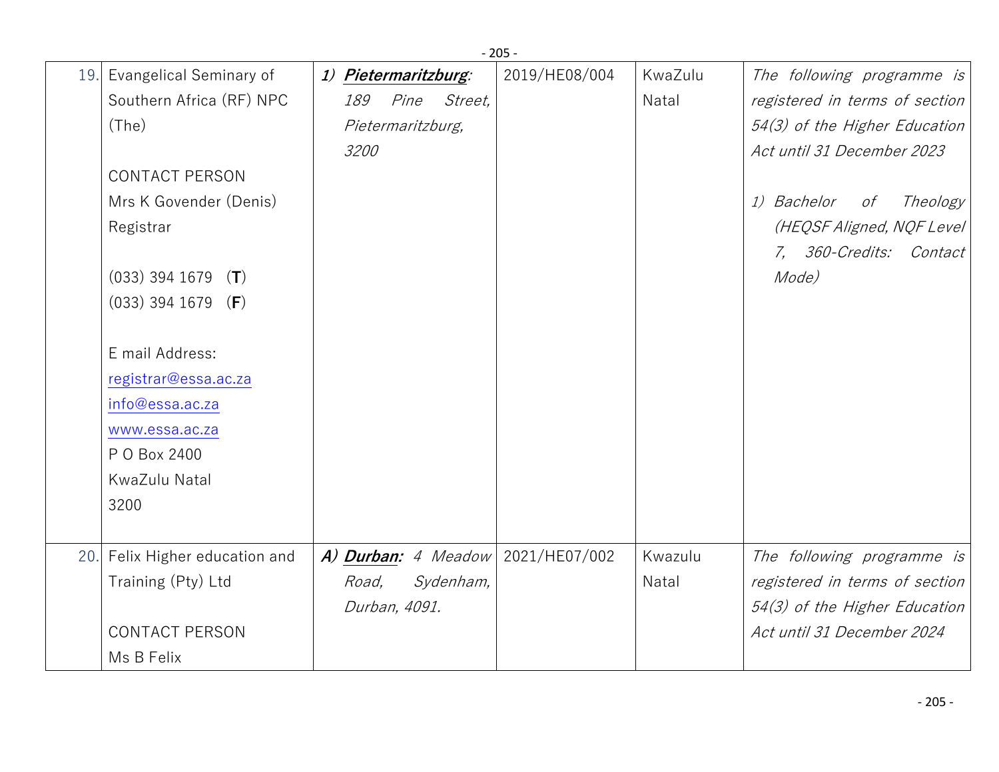|     | $-205 -$                    |                      |                   |                     |               |         |                                |
|-----|-----------------------------|----------------------|-------------------|---------------------|---------------|---------|--------------------------------|
|     | 19. Evangelical Seminary of | 1) Pietermaritzburg: |                   |                     | 2019/HE08/004 | KwaZulu | The following programme is     |
|     | Southern Africa (RF) NPC    | 189                  | Pine              | <i>Street.</i>      |               | Natal   | registered in terms of section |
|     | (The)                       |                      | Pietermaritzburg, |                     |               |         | 54(3) of the Higher Education  |
|     |                             | 3200                 |                   |                     |               |         | Act until 31 December 2023     |
|     | <b>CONTACT PERSON</b>       |                      |                   |                     |               |         |                                |
|     | Mrs K Govender (Denis)      |                      |                   |                     |               |         | 1) Bachelor<br>Theology<br>оf  |
|     | Registrar                   |                      |                   |                     |               |         | (HEQSF Aligned, NQF Level      |
|     |                             |                      |                   |                     |               |         | 7, 360-Credits: Contact        |
|     | $(033)$ 394 1679<br>(T)     |                      |                   |                     |               |         | Mode)                          |
|     | $(033)$ 394 1679 (F)        |                      |                   |                     |               |         |                                |
|     |                             |                      |                   |                     |               |         |                                |
|     | E mail Address:             |                      |                   |                     |               |         |                                |
|     | registrar@essa.ac.za        |                      |                   |                     |               |         |                                |
|     | info@essa.ac.za             |                      |                   |                     |               |         |                                |
|     | www.essa.ac.za              |                      |                   |                     |               |         |                                |
|     | P O Box 2400                |                      |                   |                     |               |         |                                |
|     | KwaZulu Natal               |                      |                   |                     |               |         |                                |
|     | 3200                        |                      |                   |                     |               |         |                                |
|     |                             |                      |                   |                     |               |         |                                |
| 20. | Felix Higher education and  |                      |                   | A) Durban: 4 Meadow | 2021/HE07/002 | Kwazulu | The following programme is     |
|     | Training (Pty) Ltd          | Road,                |                   | Sydenham,           |               | Natal   | registered in terms of section |
|     |                             |                      | Durban, 4091.     |                     |               |         | 54(3) of the Higher Education  |
|     | <b>CONTACT PERSON</b>       |                      |                   |                     |               |         | Act until 31 December 2024     |
|     | Ms B Felix                  |                      |                   |                     |               |         |                                |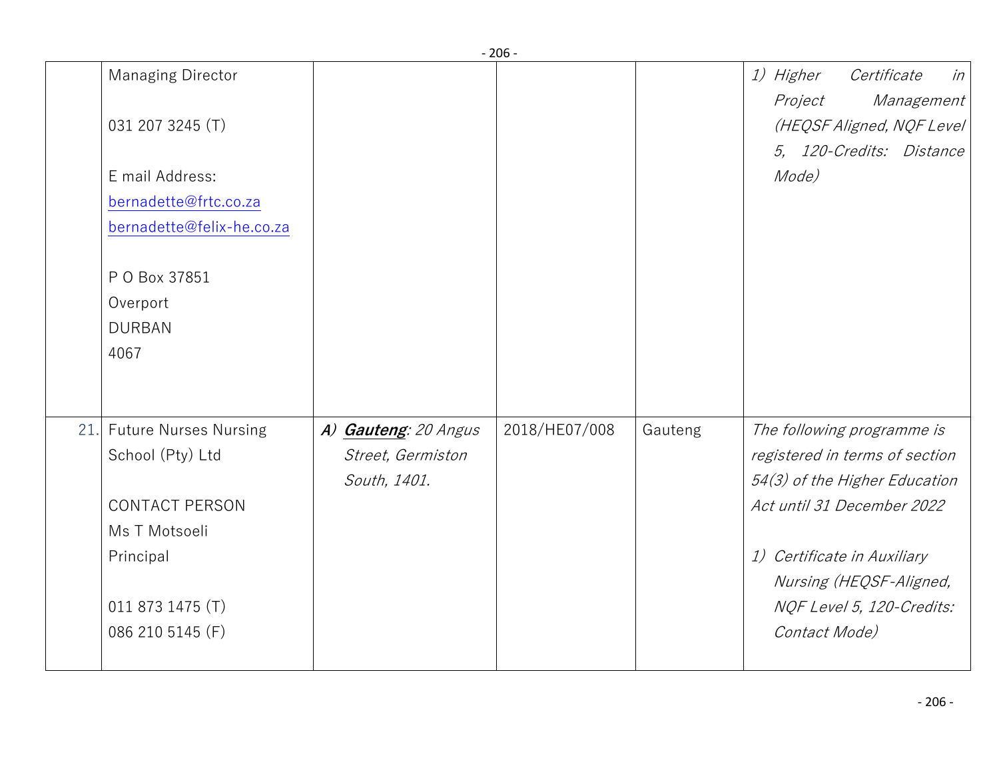|     |                              |                      | - טט -        |         |                                   |
|-----|------------------------------|----------------------|---------------|---------|-----------------------------------|
|     | <b>Managing Director</b>     |                      |               |         | 1) Higher<br>Certificate<br>in    |
|     |                              |                      |               |         | Project<br>Management             |
|     | 031 207 3245 (T)             |                      |               |         | (HEQSF Aligned, NQF Level)        |
|     | E mail Address:              |                      |               |         | 5, 120-Credits: Distance<br>Mode) |
|     | bernadette@frtc.co.za        |                      |               |         |                                   |
|     | bernadette@felix-he.co.za    |                      |               |         |                                   |
|     |                              |                      |               |         |                                   |
|     | P O Box 37851                |                      |               |         |                                   |
|     | Overport                     |                      |               |         |                                   |
|     | <b>DURBAN</b>                |                      |               |         |                                   |
|     | 4067                         |                      |               |         |                                   |
|     |                              |                      |               |         |                                   |
|     |                              |                      |               |         |                                   |
| 21. | <b>Future Nurses Nursing</b> | A) Gauteng: 20 Angus | 2018/HE07/008 | Gauteng | The following programme is        |
|     | School (Pty) Ltd             | Street, Germiston    |               |         | registered in terms of section    |
|     |                              | South, 1401.         |               |         | 54(3) of the Higher Education     |
|     | <b>CONTACT PERSON</b>        |                      |               |         | Act until 31 December 2022        |
|     | Ms T Motsoeli                |                      |               |         |                                   |
|     | Principal                    |                      |               |         | 1) Certificate in Auxiliary       |
|     |                              |                      |               |         | Nursing (HEQSF-Aligned,           |
|     | 011 873 1475 (T)             |                      |               |         | NQF Level 5, 120-Credits:         |
|     | 086 210 5145 (F)             |                      |               |         | Contact Mode)                     |
|     |                              |                      |               |         |                                   |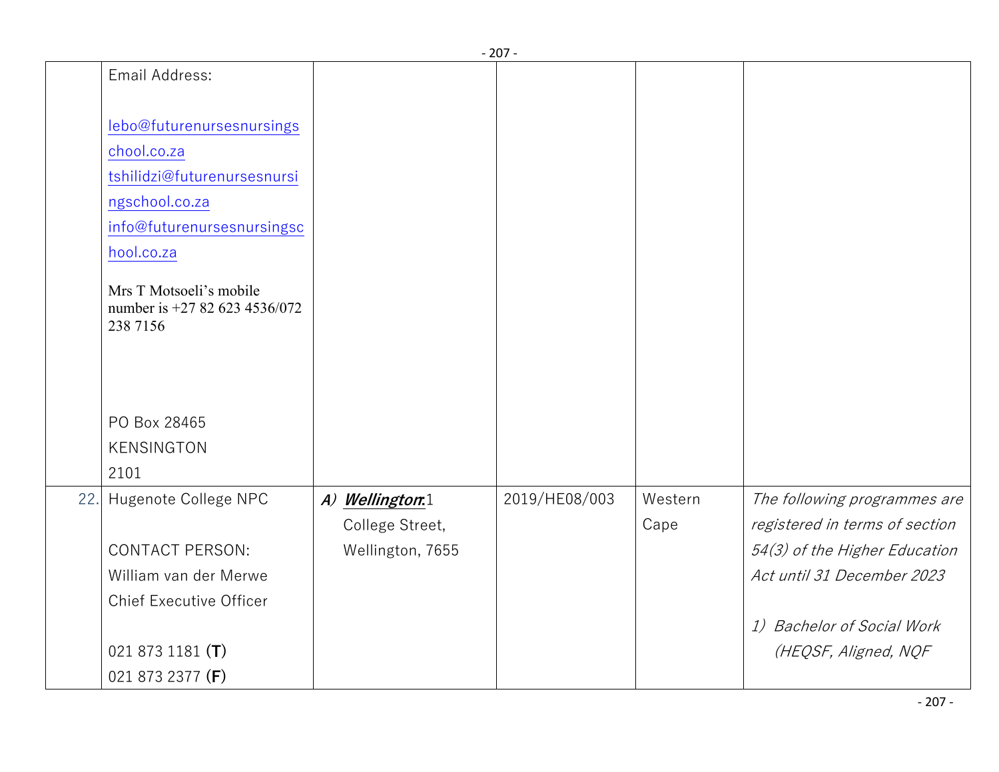|     |                                                                      |                  | - 207 -       |         |                                |
|-----|----------------------------------------------------------------------|------------------|---------------|---------|--------------------------------|
|     | Email Address:                                                       |                  |               |         |                                |
|     | lebo@futurenursesnursings                                            |                  |               |         |                                |
|     | chool.co.za                                                          |                  |               |         |                                |
|     | tshilidzi@futurenursesnursi                                          |                  |               |         |                                |
|     | ngschool.co.za                                                       |                  |               |         |                                |
|     | info@futurenursesnursingsc                                           |                  |               |         |                                |
|     | hool.co.za                                                           |                  |               |         |                                |
|     | Mrs T Motsoeli's mobile<br>number is +27 82 623 4536/072<br>238 7156 |                  |               |         |                                |
|     |                                                                      |                  |               |         |                                |
|     | PO Box 28465                                                         |                  |               |         |                                |
|     | <b>KENSINGTON</b>                                                    |                  |               |         |                                |
|     | 2101                                                                 |                  |               |         |                                |
| 22. | Hugenote College NPC                                                 | A) Wellington:1  | 2019/HE08/003 | Western | The following programmes are   |
|     |                                                                      | College Street,  |               | Cape    | registered in terms of section |
|     | <b>CONTACT PERSON:</b>                                               | Wellington, 7655 |               |         | 54(3) of the Higher Education  |
|     | William van der Merwe                                                |                  |               |         | Act until 31 December 2023     |
|     | <b>Chief Executive Officer</b>                                       |                  |               |         |                                |
|     |                                                                      |                  |               |         | 1) Bachelor of Social Work     |
|     | 021 873 1181 $(T)$                                                   |                  |               |         | (HEQSF, Aligned, NQF           |
|     | 021 873 2377 (F)                                                     |                  |               |         |                                |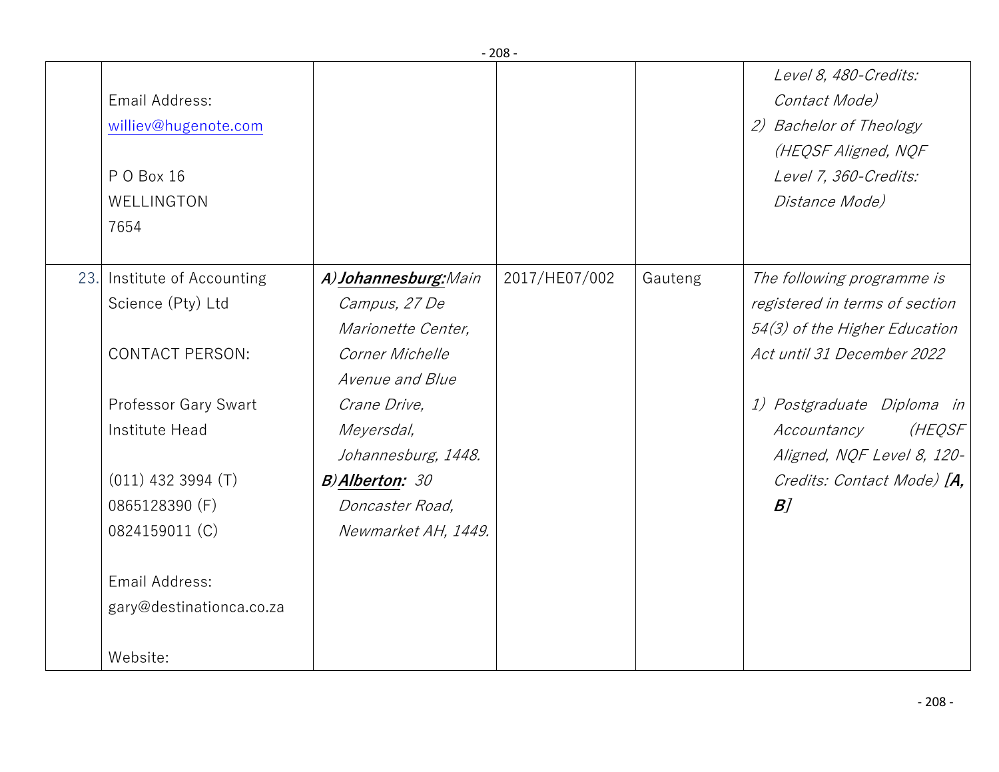|                                                                                                                                                                                                                                  |                                                                                                                                                                                                                            | $-208-$       |         |                                                                                                                                                                                                                                                         |
|----------------------------------------------------------------------------------------------------------------------------------------------------------------------------------------------------------------------------------|----------------------------------------------------------------------------------------------------------------------------------------------------------------------------------------------------------------------------|---------------|---------|---------------------------------------------------------------------------------------------------------------------------------------------------------------------------------------------------------------------------------------------------------|
| Email Address:<br>williev@hugenote.com<br>PO Box 16<br>WELLINGTON<br>7654                                                                                                                                                        |                                                                                                                                                                                                                            |               |         | Level 8, 480-Credits:<br>Contact Mode)<br>2) Bachelor of Theology<br>(HEQSF Aligned, NQF<br>Level 7, 360-Credits:<br>Distance Mode)                                                                                                                     |
| 23. Institute of Accounting<br>Science (Pty) Ltd<br><b>CONTACT PERSON:</b><br>Professor Gary Swart<br>Institute Head<br>$(011)$ 432 3994 $(T)$<br>0865128390 (F)<br>0824159011 (C)<br>Email Address:<br>gary@destinationca.co.za | A) Johannesburg: Main<br>Campus, 27 De<br>Marionette Center,<br>Corner Michelle<br>Avenue and Blue<br>Crane Drive,<br>Meyersdal,<br>Johannesburg, 1448.<br><b>B)Alberton: 30</b><br>Doncaster Road,<br>Newmarket AH, 1449. | 2017/HE07/002 | Gauteng | The following programme is<br>registered in terms of section<br>54(3) of the Higher Education<br>Act until 31 December 2022<br>1) Postgraduate Diploma in<br>(HEQSF<br>Accountancy<br>Aligned, NQF Level 8, 120-<br>Credits: Contact Mode) [A,<br>$B$ ] |
| Website:                                                                                                                                                                                                                         |                                                                                                                                                                                                                            |               |         |                                                                                                                                                                                                                                                         |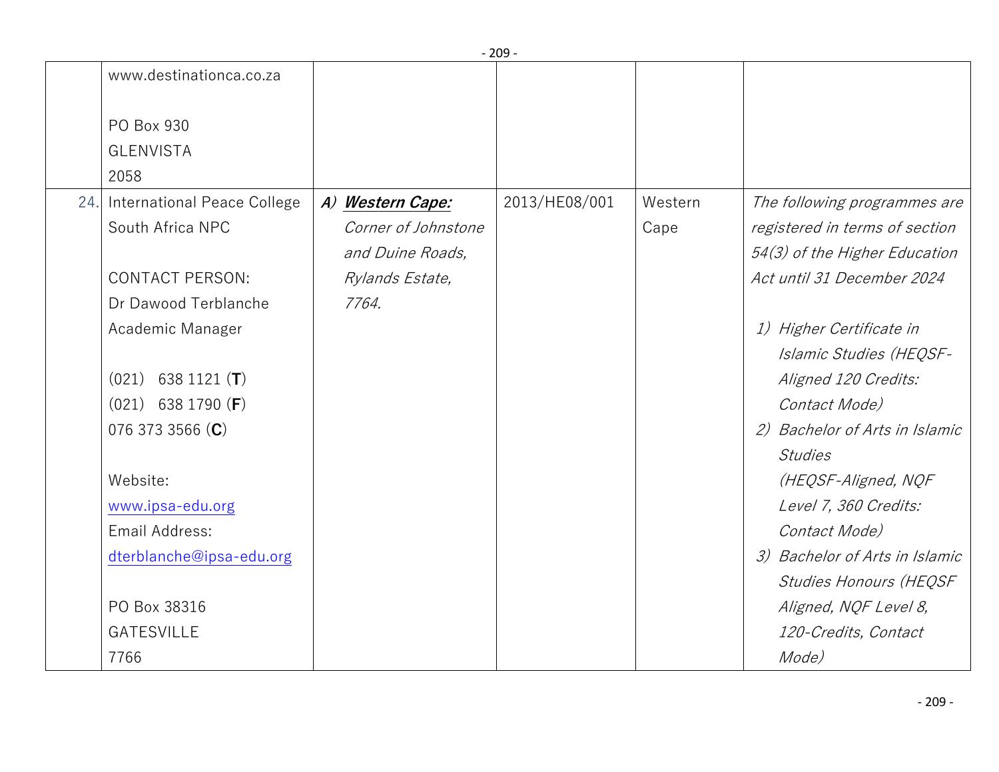|     |                               |                     | 20J           |         |                                |
|-----|-------------------------------|---------------------|---------------|---------|--------------------------------|
|     | www.destinationca.co.za       |                     |               |         |                                |
|     | PO Box 930                    |                     |               |         |                                |
|     | <b>GLENVISTA</b>              |                     |               |         |                                |
|     | 2058                          |                     |               |         |                                |
| 24. | International Peace College   | A) Western Cape:    | 2013/HE08/001 | Western | The following programmes are   |
|     | South Africa NPC              | Corner of Johnstone |               | Cape    | registered in terms of section |
|     |                               | and Duine Roads,    |               |         | 54(3) of the Higher Education  |
|     | <b>CONTACT PERSON:</b>        | Rylands Estate,     |               |         | Act until 31 December 2024     |
|     | Dr Dawood Terblanche          | 7764.               |               |         |                                |
|     | Academic Manager              |                     |               |         | 1) Higher Certificate in       |
|     |                               |                     |               |         | Islamic Studies (HEQSF-        |
|     | $(021)$ 638 1121 ( <b>T</b> ) |                     |               |         | Aligned 120 Credits:           |
|     | $(021)$ 638 1790 (F)          |                     |               |         | Contact Mode)                  |
|     | 076 373 3566 (C)              |                     |               |         | 2) Bachelor of Arts in Islamic |
|     |                               |                     |               |         | <b>Studies</b>                 |
|     | Website:                      |                     |               |         | (HEQSF-Aligned, NQF            |
|     | www.ipsa-edu.org              |                     |               |         | Level 7, 360 Credits:          |
|     | Email Address:                |                     |               |         | Contact Mode)                  |
|     | dterblanche@ipsa-edu.org      |                     |               |         | 3) Bachelor of Arts in Islamic |
|     |                               |                     |               |         | <b>Studies Honours (HEQSF</b>  |
|     | PO Box 38316                  |                     |               |         | Aligned, NQF Level 8,          |
|     | <b>GATESVILLE</b>             |                     |               |         | 120-Credits, Contact           |
|     | 7766                          |                     |               |         | Mode)                          |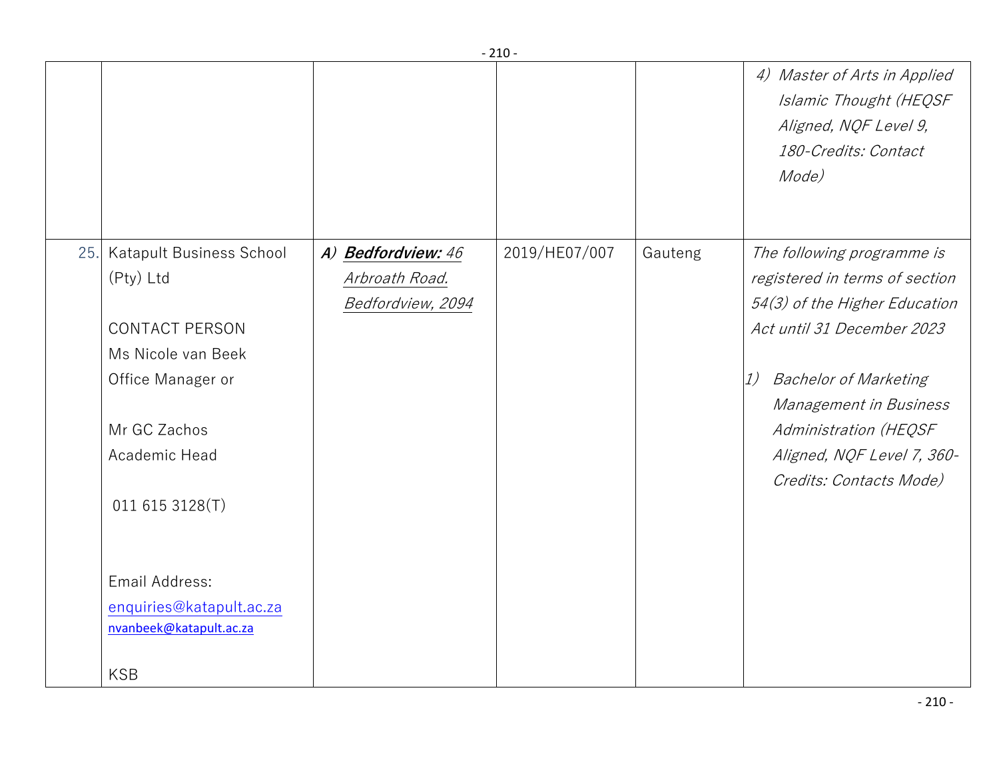|     |                                                                                                                                                               |                                                           |               |         | 4) Master of Arts in Applied<br>Islamic Thought (HEQSF<br>Aligned, NQF Level 9,<br>180-Credits: Contact<br>Mode)                                                                                                                                                              |
|-----|---------------------------------------------------------------------------------------------------------------------------------------------------------------|-----------------------------------------------------------|---------------|---------|-------------------------------------------------------------------------------------------------------------------------------------------------------------------------------------------------------------------------------------------------------------------------------|
| 25. | Katapult Business School<br>(Pty) Ltd<br><b>CONTACT PERSON</b><br>Ms Nicole van Beek<br>Office Manager or<br>Mr GC Zachos<br>Academic Head<br>011 615 3128(T) | A) Bedfordview: 46<br>Arbroath Road.<br>Bedfordview, 2094 | 2019/HE07/007 | Gauteng | The following programme is<br>registered in terms of section<br>54(3) of the Higher Education<br>Act until 31 December 2023<br><b>Bachelor of Marketing</b><br>1)<br>Management in Business<br>Administration (HEQSF<br>Aligned, NQF Level 7, 360-<br>Credits: Contacts Mode) |
|     | Email Address:<br>enquiries@katapult.ac.za<br>nvanbeek@katapult.ac.za<br><b>KSB</b>                                                                           |                                                           |               |         |                                                                                                                                                                                                                                                                               |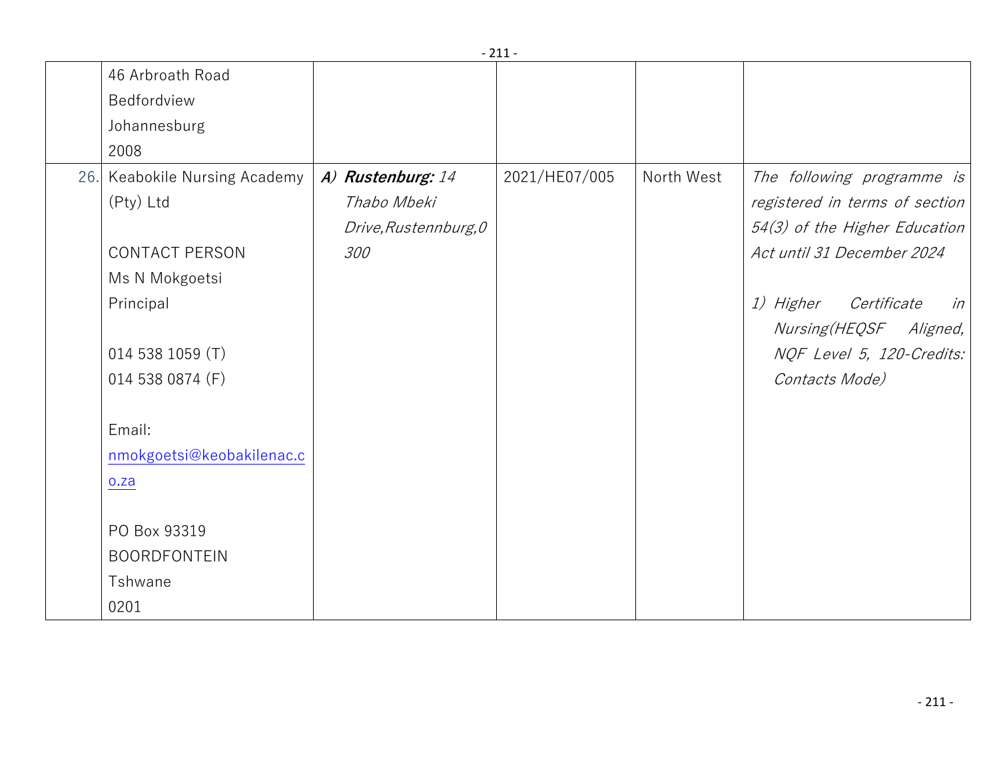|                               |                       | <u>_ + +</u>  |            |                                       |
|-------------------------------|-----------------------|---------------|------------|---------------------------------------|
| 46 Arbroath Road              |                       |               |            |                                       |
| Bedfordview                   |                       |               |            |                                       |
| Johannesburg                  |                       |               |            |                                       |
| 2008                          |                       |               |            |                                       |
| 26. Keabokile Nursing Academy | A) Rustenburg: 14     | 2021/HE07/005 | North West | The following programme is            |
| (Pty) Ltd                     | Thabo Mbeki           |               |            | registered in terms of section        |
|                               | Drive, Rustennburg, 0 |               |            | 54(3) of the Higher Education         |
| <b>CONTACT PERSON</b>         | 300                   |               |            | Act until 31 December 2024            |
| Ms N Mokgoetsi                |                       |               |            |                                       |
| Principal                     |                       |               |            | <i>1) Higher</i><br>Certificate<br>in |
|                               |                       |               |            | <i>Nursing (HEQSF</i><br>Aligned,     |
| 014 538 1059 (T)              |                       |               |            | NQF Level 5, 120-Credits:             |
| 014 538 0874 (F)              |                       |               |            | Contacts Mode)                        |
|                               |                       |               |            |                                       |
| Email:                        |                       |               |            |                                       |
| nmokgoetsi@keobakilenac.c     |                       |               |            |                                       |
| o.za                          |                       |               |            |                                       |
|                               |                       |               |            |                                       |
| PO Box 93319                  |                       |               |            |                                       |
| <b>BOORDFONTEIN</b>           |                       |               |            |                                       |
| Tshwane                       |                       |               |            |                                       |
| 0201                          |                       |               |            |                                       |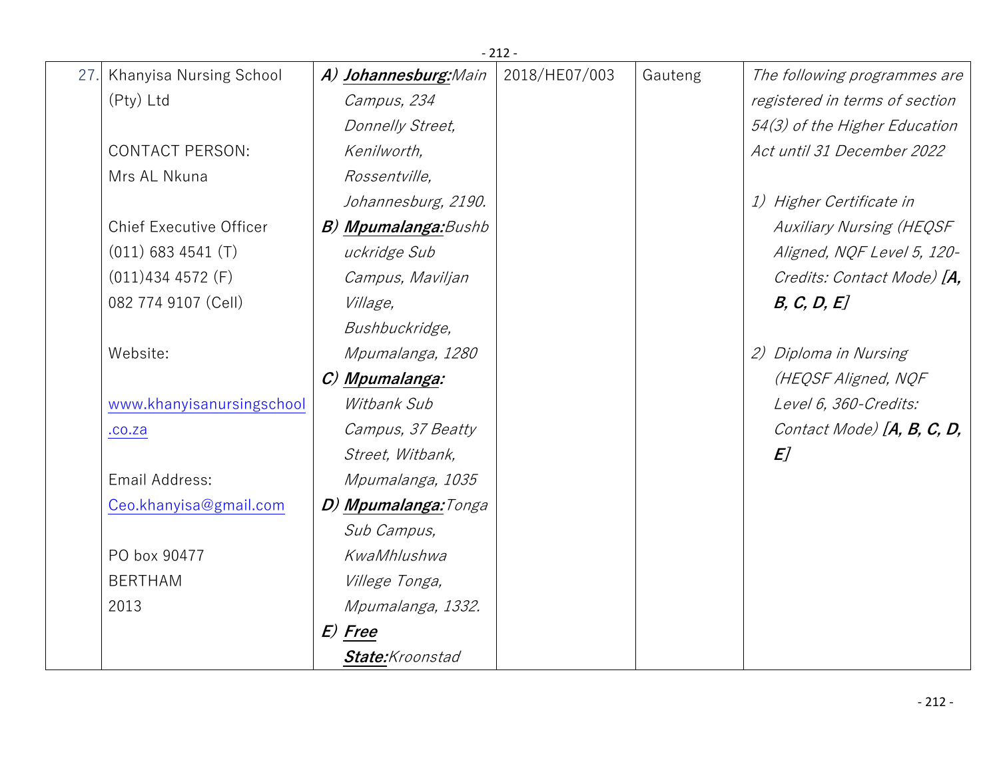|     |                                |                             | $-212-$       |         |                                 |
|-----|--------------------------------|-----------------------------|---------------|---------|---------------------------------|
| 27. | Khanyisa Nursing School        | A) Johannesburg: Main       | 2018/HE07/003 | Gauteng | The following programmes are    |
|     | (Pty) Ltd                      | Campus, 234                 |               |         | registered in terms of section  |
|     |                                | Donnelly Street,            |               |         | 54(3) of the Higher Education   |
|     | <b>CONTACT PERSON:</b>         | Kenilworth,                 |               |         | Act until 31 December 2022      |
|     | Mrs AL Nkuna                   | Rossentville,               |               |         |                                 |
|     |                                | Johannesburg, 2190.         |               |         | 1) Higher Certificate in        |
|     | <b>Chief Executive Officer</b> | <b>B) Mpumalanga:</b> Bushb |               |         | <b>Auxiliary Nursing (HEQSF</b> |
|     | $(011)$ 683 4541 (T)           | uckridge Sub                |               |         | Aligned, NQF Level 5, 120-      |
|     | $(011)4344572$ (F)             | Campus, Maviljan            |               |         | Credits: Contact Mode) [A,      |
|     | 082 774 9107 (Cell)            | <i>Village,</i>             |               |         | B, C, D, E                      |
|     |                                | Bushbuckridge,              |               |         |                                 |
|     | Website:                       | Mpumalanga, 1280            |               |         | 2) Diploma in Nursing           |
|     |                                | C) Mpumalanga:              |               |         | (HEQSF Aligned, NQF             |
|     | www.khanyisanursingschool      | Witbank Sub                 |               |         | Level 6, 360-Credits:           |
|     | .00.2a                         | Campus, 37 Beatty           |               |         | Contact Mode) $[A, B, C, D,$    |
|     |                                | Street, Witbank,            |               |         | E <sub>l</sub>                  |
|     | Email Address:                 | Mpumalanga, 1035            |               |         |                                 |
|     | Ceo.khanyisa@gmail.com         | D) Mpumalanga: Tonga        |               |         |                                 |
|     |                                | Sub Campus,                 |               |         |                                 |
|     | PO box 90477                   | KwaMhlushwa                 |               |         |                                 |
|     | <b>BERTHAM</b>                 | Villege Tonga,              |               |         |                                 |
|     | 2013                           | Mpumalanga, 1332.           |               |         |                                 |
|     |                                | E) Free                     |               |         |                                 |
|     |                                | State:Kroonstad             |               |         |                                 |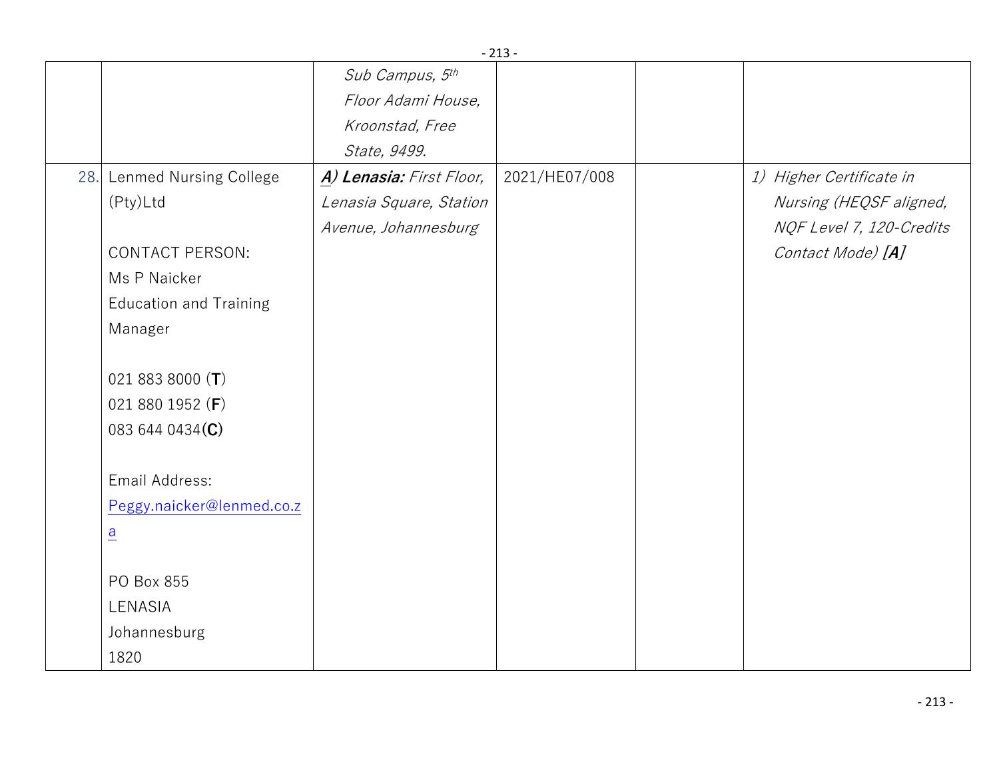|     |                               |                          | ᅩᅩJ           |                          |
|-----|-------------------------------|--------------------------|---------------|--------------------------|
|     |                               | Sub Campus, 5th          |               |                          |
|     |                               | Floor Adami House,       |               |                          |
|     |                               | Kroonstad, Free          |               |                          |
|     |                               | State, 9499.             |               |                          |
| 28. | Lenmed Nursing College        | A) Lenasia: First Floor, | 2021/HE07/008 | 1) Higher Certificate in |
|     | (Pty)Ltd                      | Lenasia Square, Station  |               | Nursing (HEQSF aligned,  |
|     |                               | Avenue, Johannesburg     |               | NQF Level 7, 120-Credits |
|     | <b>CONTACT PERSON:</b>        |                          |               | Contact Mode) [A]        |
|     | Ms P Naicker                  |                          |               |                          |
|     | <b>Education and Training</b> |                          |               |                          |
|     | Manager                       |                          |               |                          |
|     |                               |                          |               |                          |
|     | 021 883 8000 $(T)$            |                          |               |                          |
|     | 021 880 1952 (F)              |                          |               |                          |
|     | 083 644 0434(C)               |                          |               |                          |
|     |                               |                          |               |                          |
|     | Email Address:                |                          |               |                          |
|     | Peggy.naicker@lenmed.co.z     |                          |               |                          |
|     | $\underline{a}$               |                          |               |                          |
|     |                               |                          |               |                          |
|     | PO Box 855                    |                          |               |                          |
|     | LENASIA                       |                          |               |                          |
|     | Johannesburg                  |                          |               |                          |
|     | 1820                          |                          |               |                          |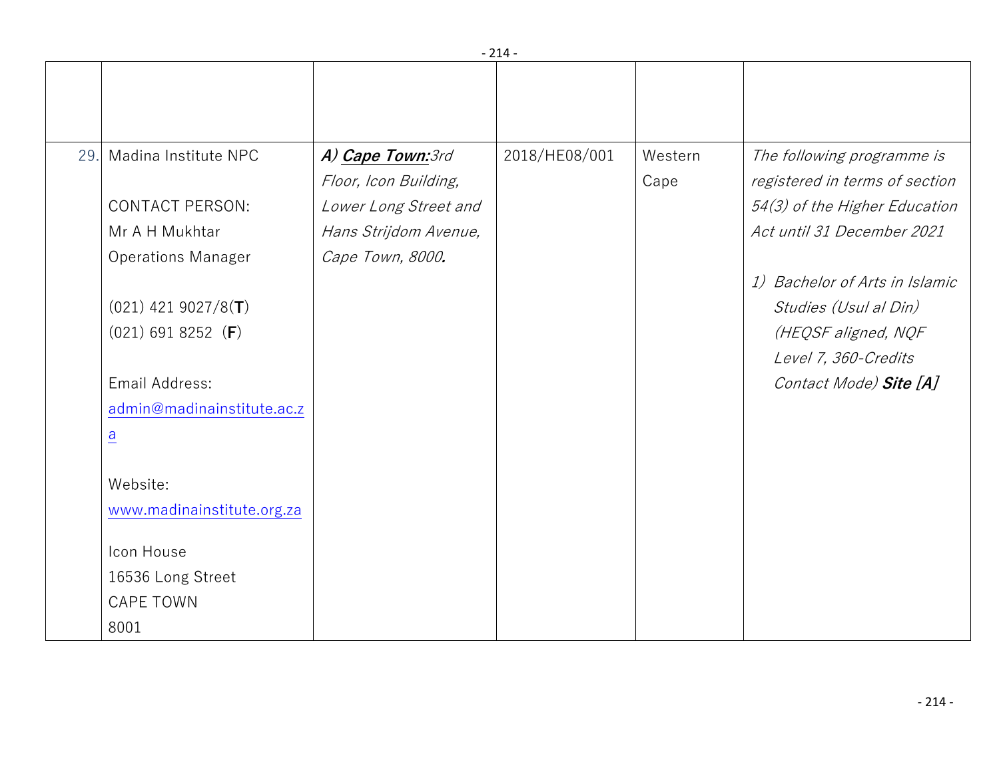|     |                            |                       | $-214-$       |         |                                |
|-----|----------------------------|-----------------------|---------------|---------|--------------------------------|
|     |                            |                       |               |         |                                |
| 29. | Madina Institute NPC       | A) Cape Town: 3rd     | 2018/HE08/001 | Western | The following programme is     |
|     |                            | Floor, Icon Building, |               | Cape    | registered in terms of section |
|     | <b>CONTACT PERSON:</b>     | Lower Long Street and |               |         | 54(3) of the Higher Education  |
|     | Mr A H Mukhtar             | Hans Strijdom Avenue, |               |         | Act until 31 December 2021     |
|     | <b>Operations Manager</b>  | Cape Town, 8000.      |               |         |                                |
|     |                            |                       |               |         | 1) Bachelor of Arts in Islamic |
|     | $(021)$ 421 9027/8(T)      |                       |               |         | Studies (Usul al Din)          |
|     | $(021)$ 691 8252 (F)       |                       |               |         | (HEQSF aligned, NQF            |
|     |                            |                       |               |         | Level 7, 360-Credits           |
|     | Email Address:             |                       |               |         | Contact Mode) Site [A]         |
|     | admin@madinainstitute.ac.z |                       |               |         |                                |
|     | $\underline{a}$            |                       |               |         |                                |
|     |                            |                       |               |         |                                |
|     | Website:                   |                       |               |         |                                |
|     | www.madinainstitute.org.za |                       |               |         |                                |
|     | Icon House                 |                       |               |         |                                |
|     | 16536 Long Street          |                       |               |         |                                |
|     | <b>CAPE TOWN</b>           |                       |               |         |                                |
|     | 8001                       |                       |               |         |                                |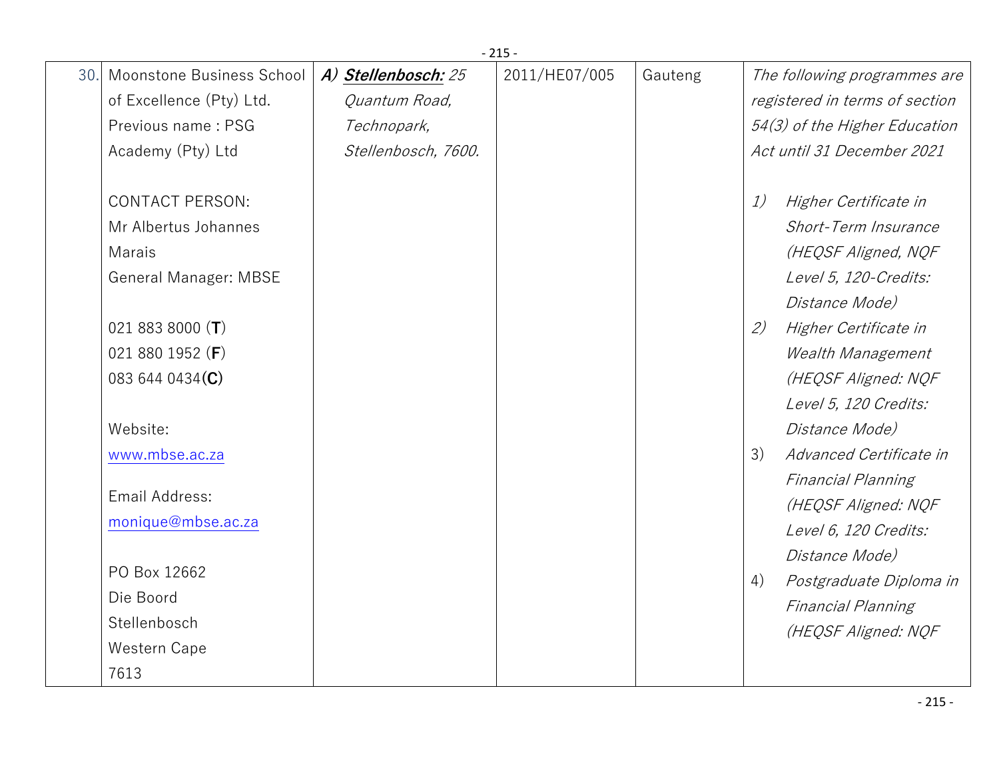|     |                           |                     | $-215-$       |         |                                |
|-----|---------------------------|---------------------|---------------|---------|--------------------------------|
| 30. | Moonstone Business School | A) Stellenbosch: 25 | 2011/HE07/005 | Gauteng | The following programmes are   |
|     | of Excellence (Pty) Ltd.  | Quantum Road,       |               |         | registered in terms of section |
|     | Previous name: PSG        | Technopark,         |               |         | 54(3) of the Higher Education  |
|     | Academy (Pty) Ltd         | Stellenbosch, 7600. |               |         | Act until 31 December 2021     |
|     |                           |                     |               |         |                                |
|     | <b>CONTACT PERSON:</b>    |                     |               |         | 1)<br>Higher Certificate in    |
|     | Mr Albertus Johannes      |                     |               |         | Short-Term Insurance           |
|     | Marais                    |                     |               |         | (HEQSF Aligned, NQF            |
|     | General Manager: MBSE     |                     |               |         | Level 5, 120-Credits:          |
|     |                           |                     |               |         | Distance Mode)                 |
|     | 021 883 8000 $(T)$        |                     |               |         | (2)<br>Higher Certificate in   |
|     | 021 880 1952 (F)          |                     |               |         | Wealth Management              |
|     | 083 644 0434(C)           |                     |               |         | (HEQSF Aligned: NQF            |
|     |                           |                     |               |         | Level 5, 120 Credits:          |
|     | Website:                  |                     |               |         | Distance Mode)                 |
|     | www.mbse.ac.za            |                     |               |         | 3)<br>Advanced Certificate in  |
|     |                           |                     |               |         | <b>Financial Planning</b>      |
|     | Email Address:            |                     |               |         | (HEQSF Aligned: NQF            |
|     | monique@mbse.ac.za        |                     |               |         | Level 6, 120 Credits:          |
|     |                           |                     |               |         | Distance Mode)                 |
|     | PO Box 12662              |                     |               |         | 4)<br>Postgraduate Diploma in  |
|     | Die Boord                 |                     |               |         | <b>Financial Planning</b>      |
|     | Stellenbosch              |                     |               |         | (HEQSF Aligned: NQF            |
|     | Western Cape              |                     |               |         |                                |
|     | 7613                      |                     |               |         |                                |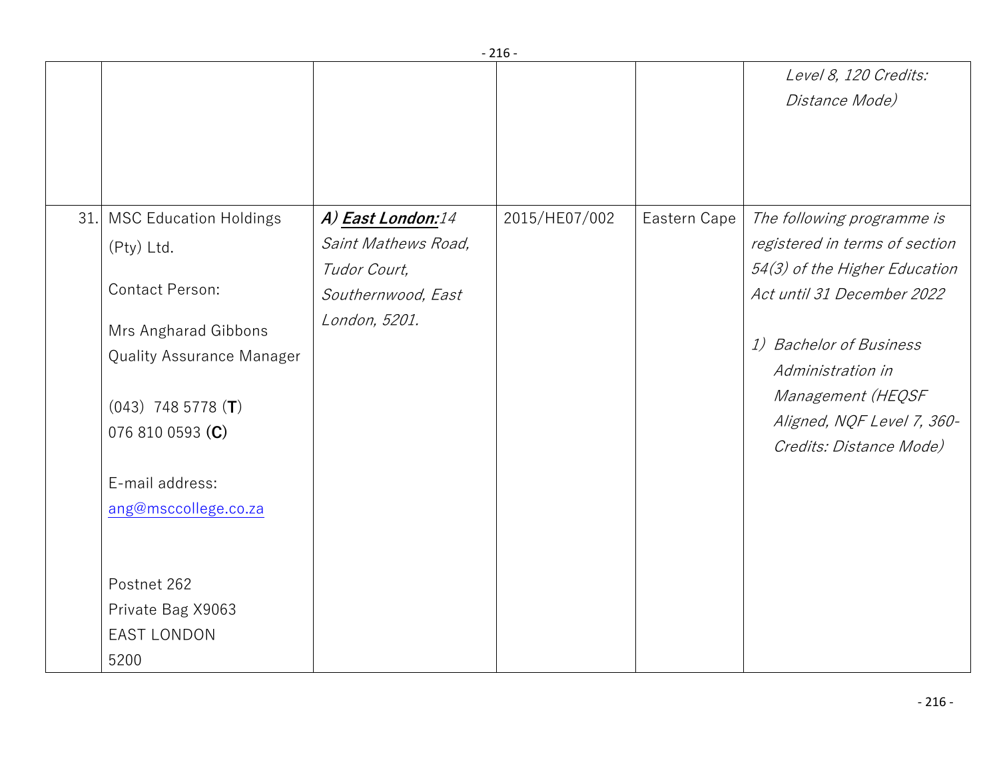|     |                               |                     |               |              | Level 8, 120 Credits:          |
|-----|-------------------------------|---------------------|---------------|--------------|--------------------------------|
|     |                               |                     |               |              | Distance Mode)                 |
|     |                               |                     |               |              |                                |
|     |                               |                     |               |              |                                |
|     |                               |                     |               |              |                                |
|     |                               |                     |               |              |                                |
| 31. | <b>MSC Education Holdings</b> | A) East London:14   | 2015/HE07/002 | Eastern Cape | The following programme is     |
|     | (Pty) Ltd.                    | Saint Mathews Road, |               |              | registered in terms of section |
|     |                               | Tudor Court,        |               |              | 54(3) of the Higher Education  |
|     | Contact Person:               | Southernwood, East  |               |              | Act until 31 December 2022     |
|     |                               |                     |               |              |                                |
|     | Mrs Angharad Gibbons          | London, 5201.       |               |              |                                |
|     | Quality Assurance Manager     |                     |               |              | 1) Bachelor of Business        |
|     |                               |                     |               |              | Administration in              |
|     |                               |                     |               |              | Management (HEQSF              |
|     | $(043)$ 748 5778 (T)          |                     |               |              | Aligned, NQF Level 7, 360-     |
|     | 076 810 0593 (C)              |                     |               |              |                                |
|     |                               |                     |               |              | Credits: Distance Mode)        |
|     | E-mail address:               |                     |               |              |                                |
|     | ang@msccollege.co.za          |                     |               |              |                                |
|     |                               |                     |               |              |                                |
|     |                               |                     |               |              |                                |
|     |                               |                     |               |              |                                |
|     | Postnet 262                   |                     |               |              |                                |
|     | Private Bag X9063             |                     |               |              |                                |
|     | <b>EAST LONDON</b>            |                     |               |              |                                |
|     | 5200                          |                     |               |              |                                |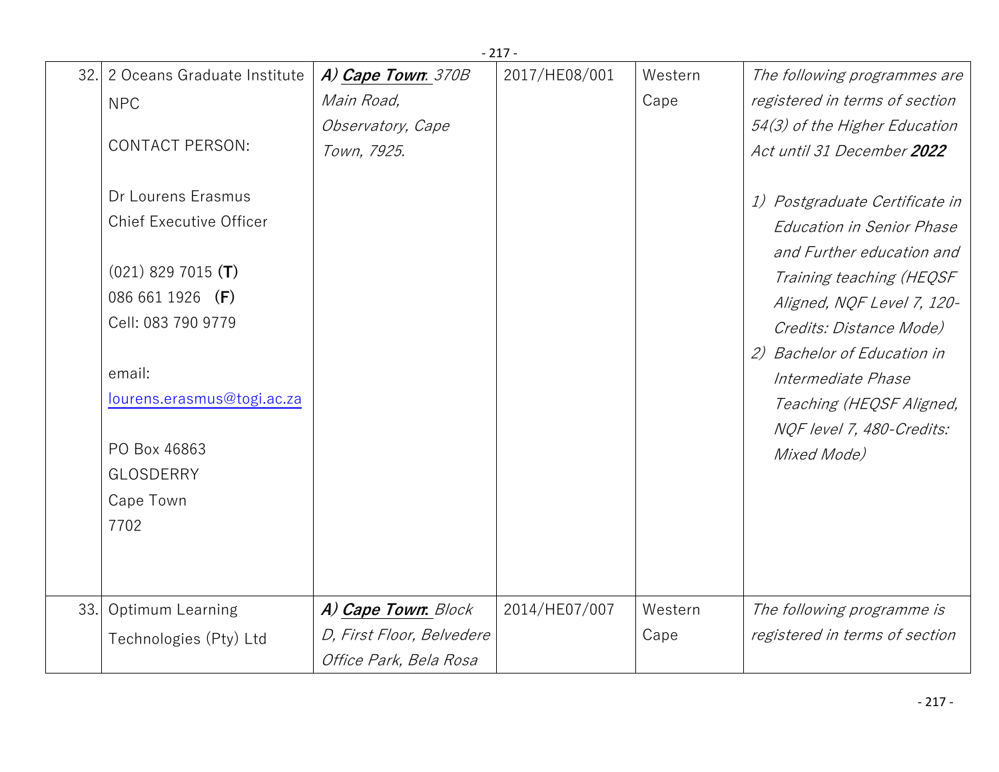|     | $-217-$                                              |                           |               |         |                                                                               |  |  |  |
|-----|------------------------------------------------------|---------------------------|---------------|---------|-------------------------------------------------------------------------------|--|--|--|
|     | 32. 2 Oceans Graduate Institute                      | A) Cape Town: 370B        | 2017/HE08/001 | Western | The following programmes are                                                  |  |  |  |
|     | <b>NPC</b>                                           | Main Road,                |               | Cape    | registered in terms of section                                                |  |  |  |
|     |                                                      | Observatory, Cape         |               |         | 54(3) of the Higher Education                                                 |  |  |  |
|     | <b>CONTACT PERSON:</b>                               | Town, 7925.               |               |         | Act until 31 December 2022                                                    |  |  |  |
|     | Dr Lourens Erasmus<br><b>Chief Executive Officer</b> |                           |               |         | Postgraduate Certificate in<br>1)                                             |  |  |  |
|     |                                                      |                           |               |         | <b>Education in Senior Phase</b><br>and Further education and                 |  |  |  |
|     | $(021)$ 829 7015 (T)                                 |                           |               |         | Training teaching (HEQSF                                                      |  |  |  |
|     | 086 661 1926 (F)                                     |                           |               |         | Aligned, NQF Level 7, 120-                                                    |  |  |  |
|     | Cell: 083 790 9779                                   |                           |               |         | Credits: Distance Mode)                                                       |  |  |  |
|     | email:<br>lourens.erasmus@togi.ac.za                 |                           |               |         | 2) Bachelor of Education in<br>Intermediate Phase<br>Teaching (HEQSF Aligned, |  |  |  |
|     | PO Box 46863                                         |                           |               |         | NQF level 7, 480-Credits:<br>Mixed Mode)                                      |  |  |  |
|     | <b>GLOSDERRY</b>                                     |                           |               |         |                                                                               |  |  |  |
|     | Cape Town                                            |                           |               |         |                                                                               |  |  |  |
|     | 7702                                                 |                           |               |         |                                                                               |  |  |  |
|     |                                                      |                           |               |         |                                                                               |  |  |  |
| 33. | Optimum Learning                                     | A) Cape Town: Block       | 2014/HE07/007 | Western | The following programme is                                                    |  |  |  |
|     | Technologies (Pty) Ltd                               | D, First Floor, Belvedere |               | Cape    | registered in terms of section                                                |  |  |  |
|     |                                                      | Office Park, Bela Rosa    |               |         |                                                                               |  |  |  |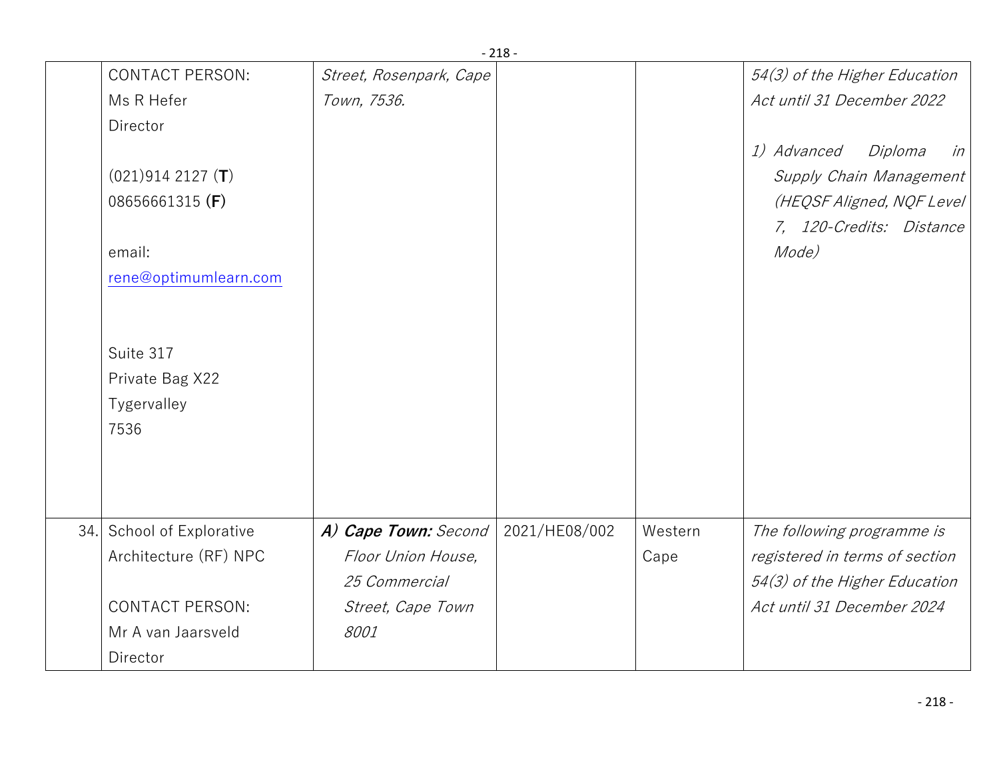|                                                     | - 210                   |               |         |                                                                                                                   |
|-----------------------------------------------------|-------------------------|---------------|---------|-------------------------------------------------------------------------------------------------------------------|
| <b>CONTACT PERSON:</b>                              | Street, Rosenpark, Cape |               |         | 54(3) of the Higher Education                                                                                     |
| Ms R Hefer                                          | Town, 7536.             |               |         | Act until 31 December 2022                                                                                        |
| Director                                            |                         |               |         |                                                                                                                   |
| $(021)9142127$ (T)<br>08656661315 (F)               |                         |               |         | 1) Advanced<br>Diploma<br>in<br>Supply Chain Management<br>(HEQSF Aligned, NQF Level)<br>7, 120-Credits: Distance |
| email:                                              |                         |               |         | Mode)                                                                                                             |
| rene@optimumlearn.com                               |                         |               |         |                                                                                                                   |
| Suite 317<br>Private Bag X22<br>Tygervalley<br>7536 |                         | 2021/HE08/002 | Western |                                                                                                                   |
| 34. School of Explorative                           | A) Cape Town: Second    |               |         | The following programme is                                                                                        |
| Architecture (RF) NPC                               | Floor Union House,      |               | Cape    | registered in terms of section                                                                                    |
|                                                     | 25 Commercial           |               |         | 54(3) of the Higher Education                                                                                     |
| <b>CONTACT PERSON:</b>                              | Street, Cape Town       |               |         | Act until 31 December 2024                                                                                        |
| Mr A van Jaarsveld                                  | 8001                    |               |         |                                                                                                                   |
| Director                                            |                         |               |         |                                                                                                                   |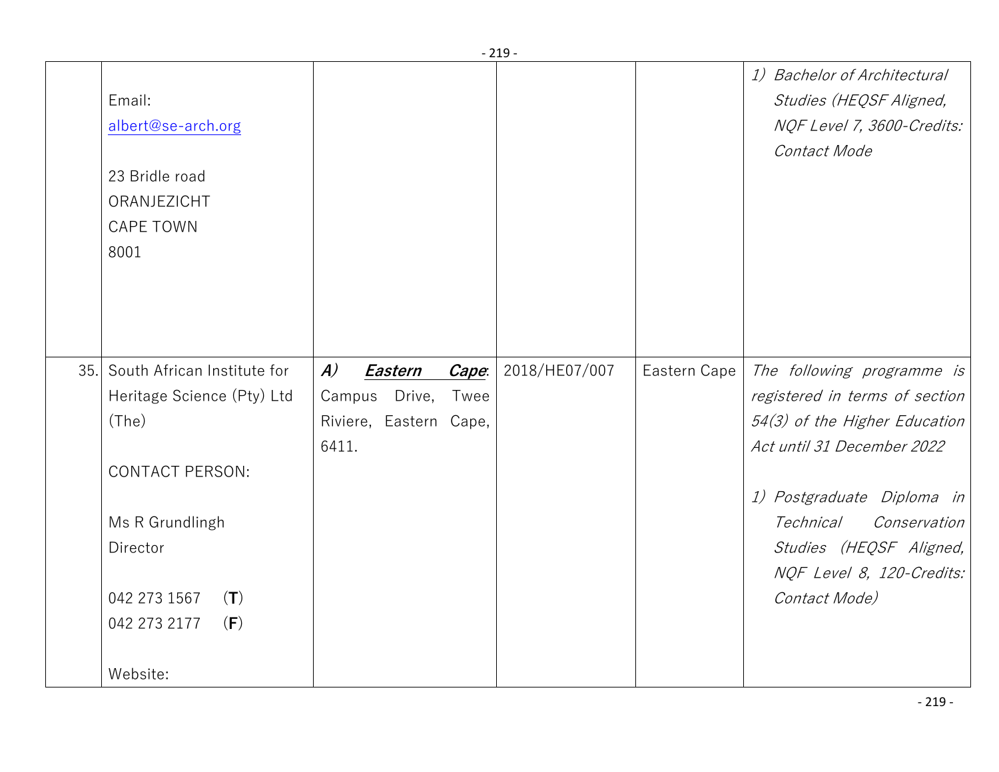|     |                             |                             |       | - 219 -       |              |                                |
|-----|-----------------------------|-----------------------------|-------|---------------|--------------|--------------------------------|
|     |                             |                             |       |               |              | 1) Bachelor of Architectural   |
|     | Email:                      |                             |       |               |              | Studies (HEQSF Aligned,        |
|     | albert@se-arch.org          |                             |       |               |              | NQF Level 7, 3600-Credits:     |
|     |                             |                             |       |               |              | Contact Mode                   |
|     | 23 Bridle road              |                             |       |               |              |                                |
|     | ORANJEZICHT                 |                             |       |               |              |                                |
|     | <b>CAPE TOWN</b>            |                             |       |               |              |                                |
|     | 8001                        |                             |       |               |              |                                |
|     |                             |                             |       |               |              |                                |
|     |                             |                             |       |               |              |                                |
|     |                             |                             |       |               |              |                                |
|     |                             |                             |       |               |              |                                |
| 35. | South African Institute for | $\boldsymbol{A}$<br>Eastern | Cape: | 2018/HE07/007 | Eastern Cape | The following programme is     |
|     | Heritage Science (Pty) Ltd  | Campus Drive,               | Twee  |               |              | registered in terms of section |
|     | (The)                       | Riviere, Eastern Cape,      |       |               |              | 54(3) of the Higher Education  |
|     |                             | 6411.                       |       |               |              | Act until 31 December 2022     |
|     | <b>CONTACT PERSON:</b>      |                             |       |               |              |                                |
|     |                             |                             |       |               |              | 1) Postgraduate Diploma in     |
|     | Ms R Grundlingh             |                             |       |               |              | Technical<br>Conservation      |
|     | Director                    |                             |       |               |              | Studies (HEQSF Aligned,        |
|     |                             |                             |       |               |              | NQF Level 8, 120-Credits:      |
|     | 042 273 1567<br>(T)         |                             |       |               |              | Contact Mode)                  |
|     | 042 273 2177<br>(F)         |                             |       |               |              |                                |
|     |                             |                             |       |               |              |                                |
|     | Website:                    |                             |       |               |              |                                |
|     |                             |                             |       |               |              |                                |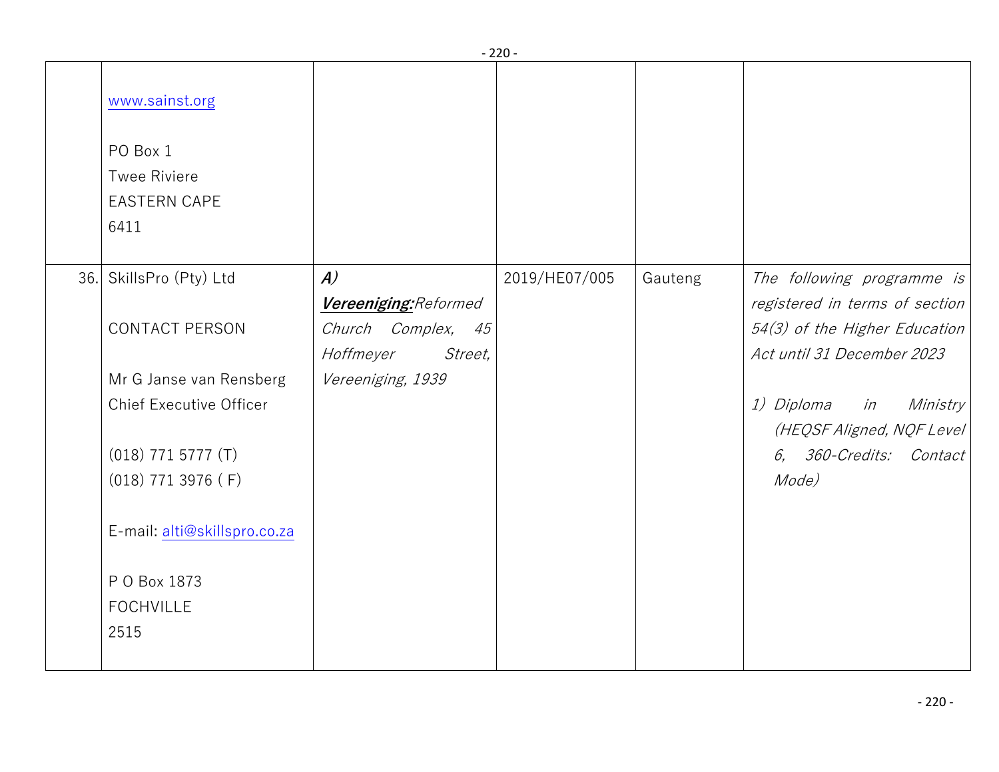|  |                                                                |                                               | $-220-$       |         |                                                               |
|--|----------------------------------------------------------------|-----------------------------------------------|---------------|---------|---------------------------------------------------------------|
|  | www.sainst.org                                                 |                                               |               |         |                                                               |
|  | PO Box 1<br><b>Twee Riviere</b><br><b>EASTERN CAPE</b><br>6411 |                                               |               |         |                                                               |
|  | 36. SkillsPro (Pty) Ltd                                        | $\boldsymbol{A}$<br>Vereeniging: Reformed     | 2019/HE07/005 | Gauteng | The following programme is<br>registered in terms of section  |
|  | <b>CONTACT PERSON</b>                                          | Church Complex,<br>45<br>Hoffmeyer<br>Street, |               |         | 54(3) of the Higher Education<br>Act until 31 December 2023   |
|  | Mr G Janse van Rensberg<br><b>Chief Executive Officer</b>      | Vereeniging, 1939                             |               |         | <i>1) Diploma in</i><br>Ministry<br>(HEQSF Aligned, NQF Level |
|  | $(018)$ 771 5777 $(T)$<br>$(018)$ 771 3976 (F)                 |                                               |               |         | 6, 360-Credits: Contact<br>Mode)                              |
|  | E-mail: alti@skillspro.co.za                                   |                                               |               |         |                                                               |
|  | P O Box 1873<br><b>FOCHVILLE</b><br>2515                       |                                               |               |         |                                                               |
|  |                                                                |                                               |               |         |                                                               |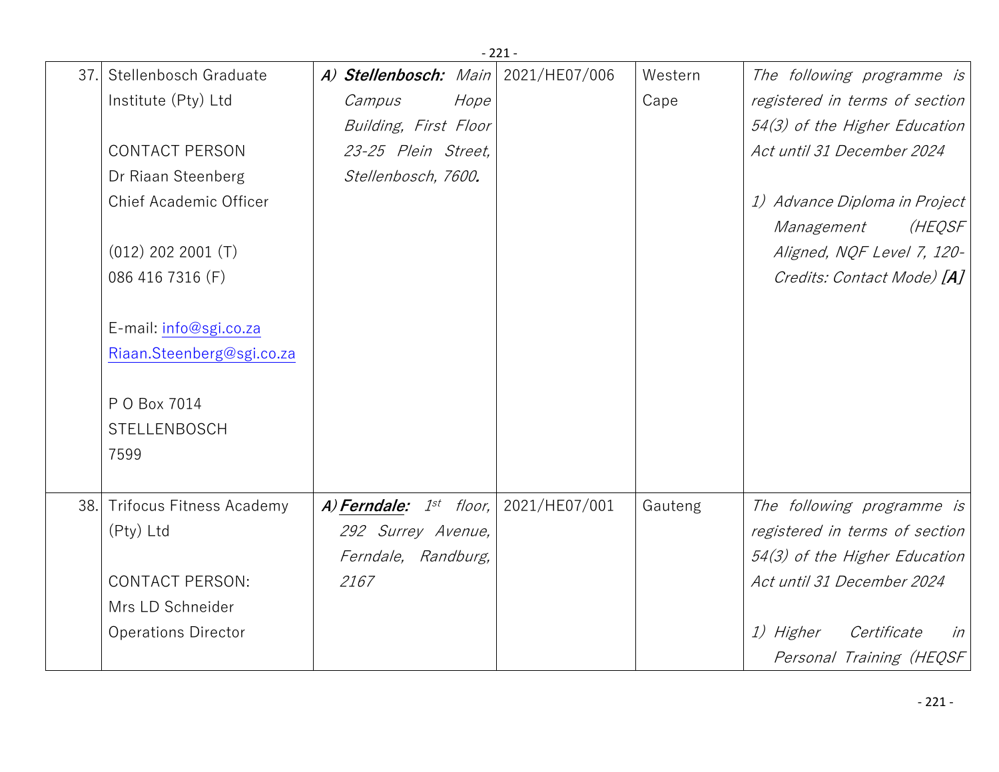|     |                                 |                              |      | $-221-$       |         |                                |
|-----|---------------------------------|------------------------------|------|---------------|---------|--------------------------------|
| 37. | Stellenbosch Graduate           | A) Stellenbosch: Main        |      | 2021/HE07/006 | Western | The following programme is     |
|     | Institute (Pty) Ltd             | Campus                       | Hope |               | Cape    | registered in terms of section |
|     |                                 | Building, First Floor        |      |               |         | 54(3) of the Higher Education  |
|     | <b>CONTACT PERSON</b>           | 23-25 Plein Street,          |      |               |         | Act until 31 December 2024     |
|     | Dr Riaan Steenberg              | Stellenbosch, 7600.          |      |               |         |                                |
|     | Chief Academic Officer          |                              |      |               |         | 1) Advance Diploma in Project  |
|     |                                 |                              |      |               |         | (HEQSF<br>Management           |
|     | $(012)$ 202 2001 $(T)$          |                              |      |               |         | Aligned, NQF Level 7, 120-     |
|     | 086 416 7316 (F)                |                              |      |               |         | Credits: Contact Mode) [A]     |
|     |                                 |                              |      |               |         |                                |
|     | E-mail: info@sgi.co.za          |                              |      |               |         |                                |
|     | Riaan.Steenberg@sgi.co.za       |                              |      |               |         |                                |
|     |                                 |                              |      |               |         |                                |
|     | P O Box 7014                    |                              |      |               |         |                                |
|     | <b>STELLENBOSCH</b>             |                              |      |               |         |                                |
|     | 7599                            |                              |      |               |         |                                |
|     |                                 |                              |      |               |         |                                |
| 38. | <b>Trifocus Fitness Academy</b> | A) Ferndale: $1^{st}$ floor, |      | 2021/HE07/001 | Gauteng | The following programme is     |
|     | (Pty) Ltd                       | 292 Surrey Avenue,           |      |               |         | registered in terms of section |
|     |                                 | Ferndale, Randburg,          |      |               |         | 54(3) of the Higher Education  |
|     | <b>CONTACT PERSON:</b>          | 2167                         |      |               |         | Act until 31 December 2024     |
|     | Mrs LD Schneider                |                              |      |               |         |                                |
|     | <b>Operations Director</b>      |                              |      |               |         | 1) Higher<br>Certificate<br>in |
|     |                                 |                              |      |               |         | Personal Training (HEQSF       |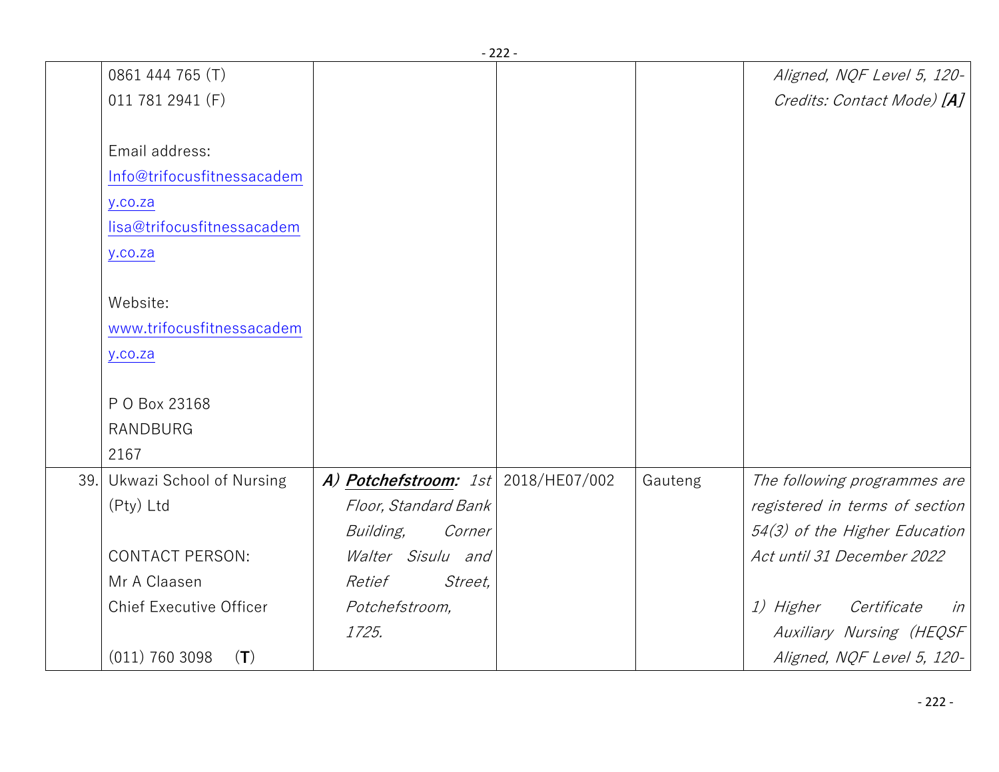|     |                                 |                                       | - 222 - |         |                                       |
|-----|---------------------------------|---------------------------------------|---------|---------|---------------------------------------|
|     | 0861 444 765 (T)                |                                       |         |         | Aligned, NQF Level 5, 120-            |
|     | 011 781 2941 (F)                |                                       |         |         | Credits: Contact Mode) [A]            |
|     |                                 |                                       |         |         |                                       |
|     | Email address:                  |                                       |         |         |                                       |
|     | Info@trifocusfitnessacadem      |                                       |         |         |                                       |
|     | y.co.za                         |                                       |         |         |                                       |
|     | lisa@trifocusfitnessacadem      |                                       |         |         |                                       |
|     | y.co.za                         |                                       |         |         |                                       |
|     |                                 |                                       |         |         |                                       |
|     | Website:                        |                                       |         |         |                                       |
|     | www.trifocusfitnessacadem       |                                       |         |         |                                       |
|     | y.co.za                         |                                       |         |         |                                       |
|     |                                 |                                       |         |         |                                       |
|     | P O Box 23168                   |                                       |         |         |                                       |
|     | <b>RANDBURG</b>                 |                                       |         |         |                                       |
|     | 2167                            |                                       |         |         |                                       |
| 39. | <b>Ukwazi School of Nursing</b> | A) Potchefstroom: $1st$ 2018/HE07/002 |         | Gauteng | The following programmes are          |
|     | (Pty) Ltd                       | Floor, Standard Bank                  |         |         | registered in terms of section        |
|     |                                 | Building,<br>Corner                   |         |         | 54(3) of the Higher Education         |
|     | <b>CONTACT PERSON:</b>          | Walter Sisulu and                     |         |         | Act until 31 December 2022            |
|     | Mr A Claasen                    | Street,<br>Retief                     |         |         |                                       |
|     | <b>Chief Executive Officer</b>  | Potchefstroom,                        |         |         | <i>1)</i> Higher<br>Certificate<br>in |
|     |                                 | 1725.                                 |         |         | Auxiliary Nursing (HEQSF              |
|     | $(011)$ 760 3098<br>(T)         |                                       |         |         | Aligned, NQF Level 5, 120-            |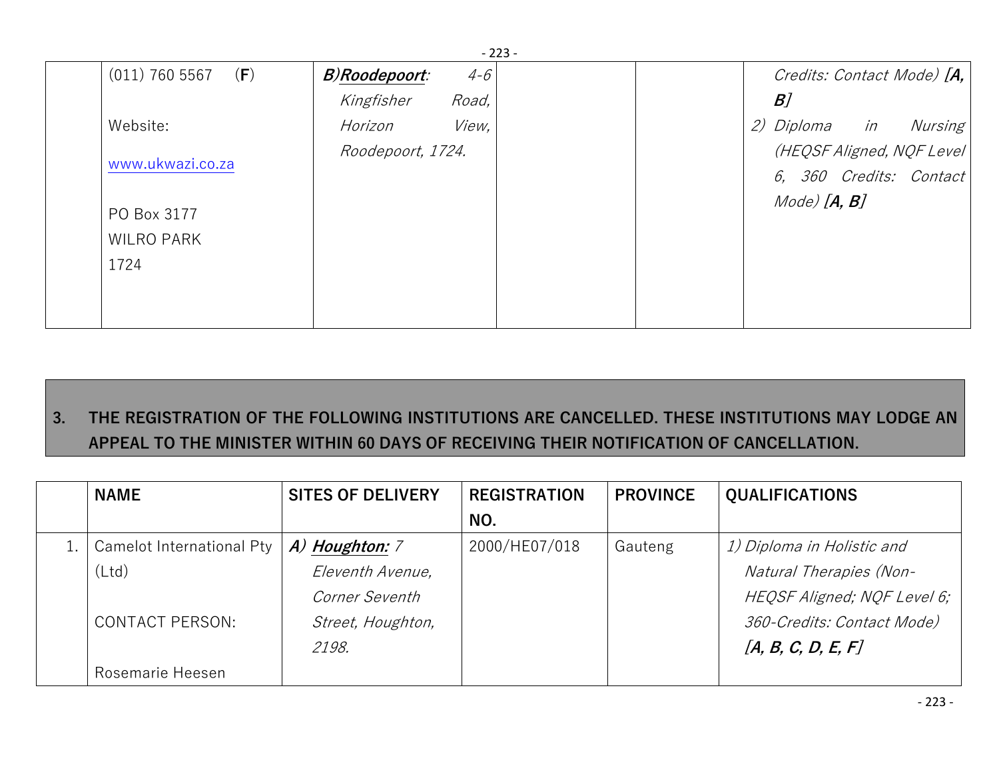|               | - 223 - |                                             |    |                                                                                                                                   |
|---------------|---------|---------------------------------------------|----|-----------------------------------------------------------------------------------------------------------------------------------|
| B)Roodepoort: | $4 - 6$ |                                             |    |                                                                                                                                   |
| Kingfisher    |         |                                             | B] |                                                                                                                                   |
| Horizon       |         |                                             |    | Nursing                                                                                                                           |
|               |         |                                             |    |                                                                                                                                   |
|               |         |                                             |    |                                                                                                                                   |
|               |         |                                             |    |                                                                                                                                   |
|               |         |                                             |    |                                                                                                                                   |
|               |         |                                             |    |                                                                                                                                   |
|               |         |                                             |    |                                                                                                                                   |
|               |         |                                             |    |                                                                                                                                   |
|               |         | Road,<br><i>View</i> ,<br>Roodepoort, 1724. |    | Credits: Contact Mode) [A,  <br><i>2) Diploma in</i><br>(HEQSF Aligned, NQF Level)<br>6, 360 Credits: Contact<br>$Mode)$ $[A, B]$ |

## **3. THE REGISTRATION OF THE FOLLOWING INSTITUTIONS ARE CANCELLED. THESE INSTITUTIONS MAY LODGE AN APPEAL TO THE MINISTER WITHIN 60 DAYS OF RECEIVING THEIR NOTIFICATION OF CANCELLATION.**

| <b>NAME</b>               | <b>SITES OF DELIVERY</b> | <b>REGISTRATION</b> | <b>PROVINCE</b> | <b>QUALIFICATIONS</b>       |
|---------------------------|--------------------------|---------------------|-----------------|-----------------------------|
|                           |                          | NO.                 |                 |                             |
| Camelot International Pty | A) Houghton: 7           | 2000/HE07/018       | Gauteng         | 1) Diploma in Holistic and  |
| (Ltd)                     | Eleventh Avenue,         |                     |                 | Natural Therapies (Non-     |
|                           | Corner Seventh           |                     |                 | HEQSF Aligned; NQF Level 6; |
| <b>CONTACT PERSON:</b>    | Street, Houghton,        |                     |                 | 360-Credits: Contact Mode)  |
|                           | 2198.                    |                     |                 | [A, B, C, D, E, F]          |
| Rosemarie Heesen          |                          |                     |                 |                             |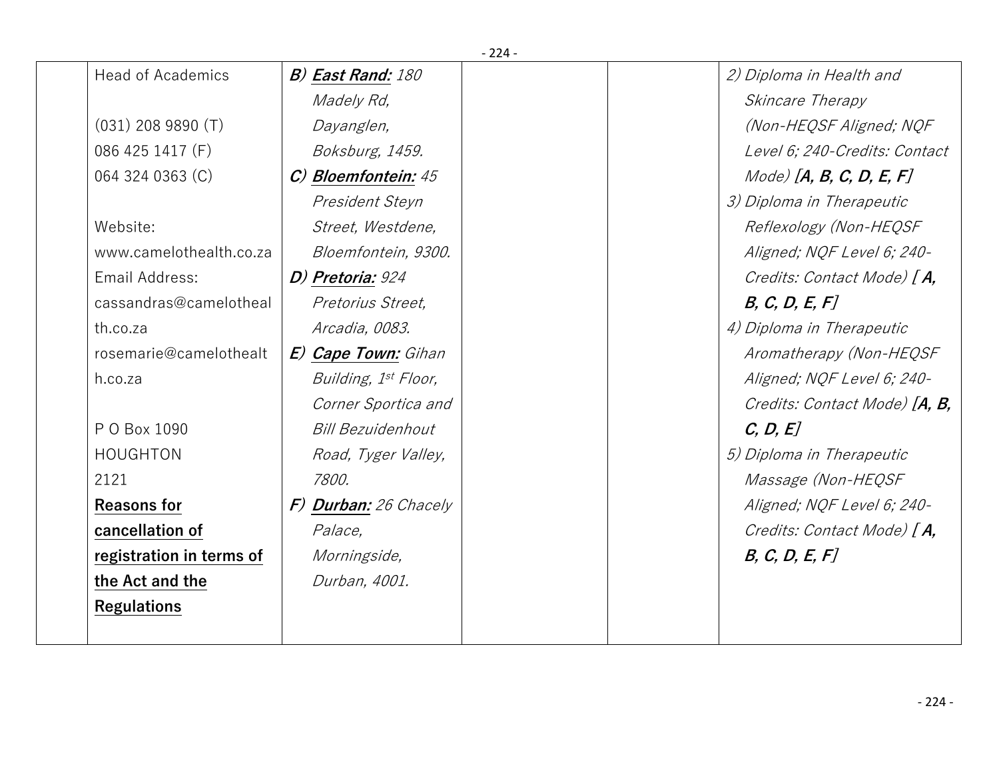|                          |                          | $-224-$ |                               |
|--------------------------|--------------------------|---------|-------------------------------|
| <b>Head of Academics</b> | <b>B) East Rand:</b> 180 |         | 2) Diploma in Health and      |
|                          | Madely Rd,               |         | Skincare Therapy              |
| $(031)$ 208 9890 $(T)$   | Dayanglen,               |         | (Non-HEQSF Aligned; NQF       |
| 086 425 1417 (F)         | Boksburg, 1459.          |         | Level 6; 240-Credits: Contact |
| 064 324 0363 (C)         | C) Bloemfontein: 45      |         | $Mode)$ [A, B, C, D, E, F]    |
|                          | President Steyn          |         | 3) Diploma in Therapeutic     |
| Website:                 | Street, Westdene,        |         | Reflexology (Non-HEQSF        |
| www.camelothealth.co.za  | Bloemfontein, 9300.      |         | Aligned; NQF Level 6; 240-    |
| Email Address:           | D) Pretoria: 924         |         | Credits: Contact Mode) [A,    |
| cassandras@camelotheal   | Pretorius Street,        |         | B, C, D, E, F                 |
| th.co.za                 | Arcadia, 0083.           |         | 4) Diploma in Therapeutic     |
| rosemarie@camelothealt   | E) Cape Town: Gihan      |         | Aromatherapy (Non-HEQSF       |
| h.co.za                  | Building, 1st Floor,     |         | Aligned; NQF Level 6; 240-    |
|                          | Corner Sportica and      |         | Credits: Contact Mode) [A, B, |
| P O Box 1090             | <b>Bill Bezuidenhout</b> |         | C, D, E                       |
| <b>HOUGHTON</b>          | Road, Tyger Valley,      |         | 5) Diploma in Therapeutic     |
| 2121                     | 7800.                    |         | <i>Massage (Non-HEQSF</i>     |
| <b>Reasons for</b>       | F) Durban: 26 Chacely    |         | Aligned; NQF Level 6; 240-    |
| cancellation of          | Palace,                  |         | Credits: Contact Mode) [A,    |
| registration in terms of | Morningside,             |         | B, C, D, E, F                 |
| the Act and the          | Durban, 4001.            |         |                               |
| <b>Regulations</b>       |                          |         |                               |
|                          |                          |         |                               |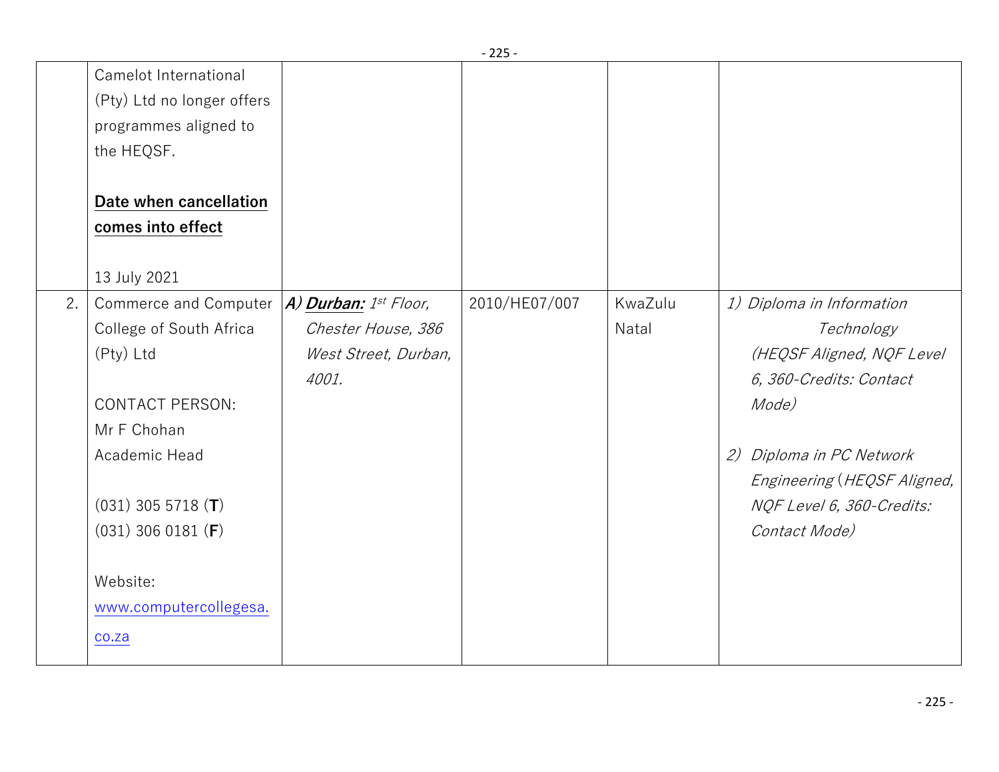|    |                              |                              | - 225 -       |         |                              |
|----|------------------------------|------------------------------|---------------|---------|------------------------------|
|    | Camelot International        |                              |               |         |                              |
|    | (Pty) Ltd no longer offers   |                              |               |         |                              |
|    | programmes aligned to        |                              |               |         |                              |
|    | the HEQSF.                   |                              |               |         |                              |
|    |                              |                              |               |         |                              |
|    | Date when cancellation       |                              |               |         |                              |
|    | comes into effect            |                              |               |         |                              |
|    |                              |                              |               |         |                              |
|    | 13 July 2021                 |                              |               |         |                              |
| 2. | <b>Commerce and Computer</b> | $A)$ Durban: $1^{st}$ Floor, | 2010/HE07/007 | KwaZulu | 1) Diploma in Information    |
|    | College of South Africa      | Chester House, 386           |               | Natal   | Technology                   |
|    | (Pty) Ltd                    | West Street, Durban,         |               |         | (HEQSF Aligned, NQF Level    |
|    |                              | 4001.                        |               |         | 6, 360-Credits: Contact      |
|    | <b>CONTACT PERSON:</b>       |                              |               |         | Mode)                        |
|    | Mr F Chohan                  |                              |               |         |                              |
|    | Academic Head                |                              |               |         | Diploma in PC Network<br>(2) |
|    |                              |                              |               |         | Engineering (HEQSF Aligned,  |
|    | $(031)$ 305 5718 (T)         |                              |               |         | NQF Level 6, 360-Credits:    |
|    | $(031)$ 306 0181 (F)         |                              |               |         | Contact Mode)                |
|    |                              |                              |               |         |                              |
|    | Website:                     |                              |               |         |                              |
|    | www.computercollegesa.       |                              |               |         |                              |
|    | co.za                        |                              |               |         |                              |
|    |                              |                              |               |         |                              |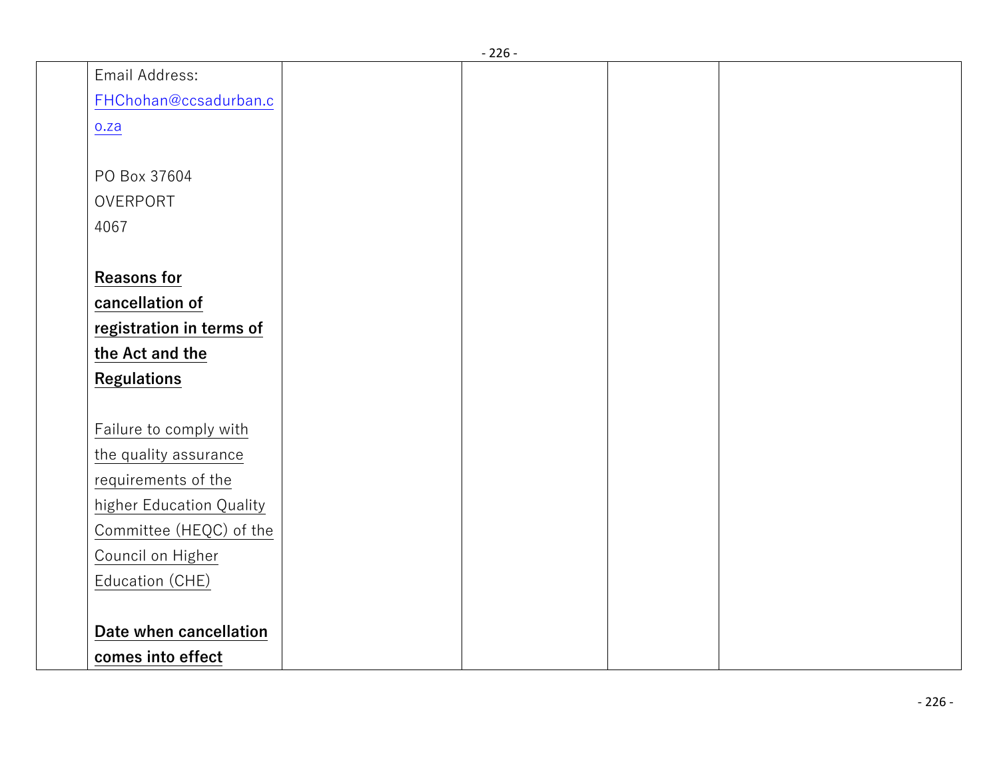|                          | - 220 - |  |
|--------------------------|---------|--|
| Email Address:           |         |  |
| FHChohan@ccsadurban.c    |         |  |
| 0.2a                     |         |  |
|                          |         |  |
| PO Box 37604             |         |  |
| OVERPORT                 |         |  |
| 4067                     |         |  |
|                          |         |  |
| <b>Reasons for</b>       |         |  |
| cancellation of          |         |  |
| registration in terms of |         |  |
| the Act and the          |         |  |
| <b>Regulations</b>       |         |  |
|                          |         |  |
| Failure to comply with   |         |  |
| the quality assurance    |         |  |
| requirements of the      |         |  |
| higher Education Quality |         |  |
| Committee (HEQC) of the  |         |  |
| Council on Higher        |         |  |
| Education (CHE)          |         |  |
|                          |         |  |
| Date when cancellation   |         |  |
| comes into effect        |         |  |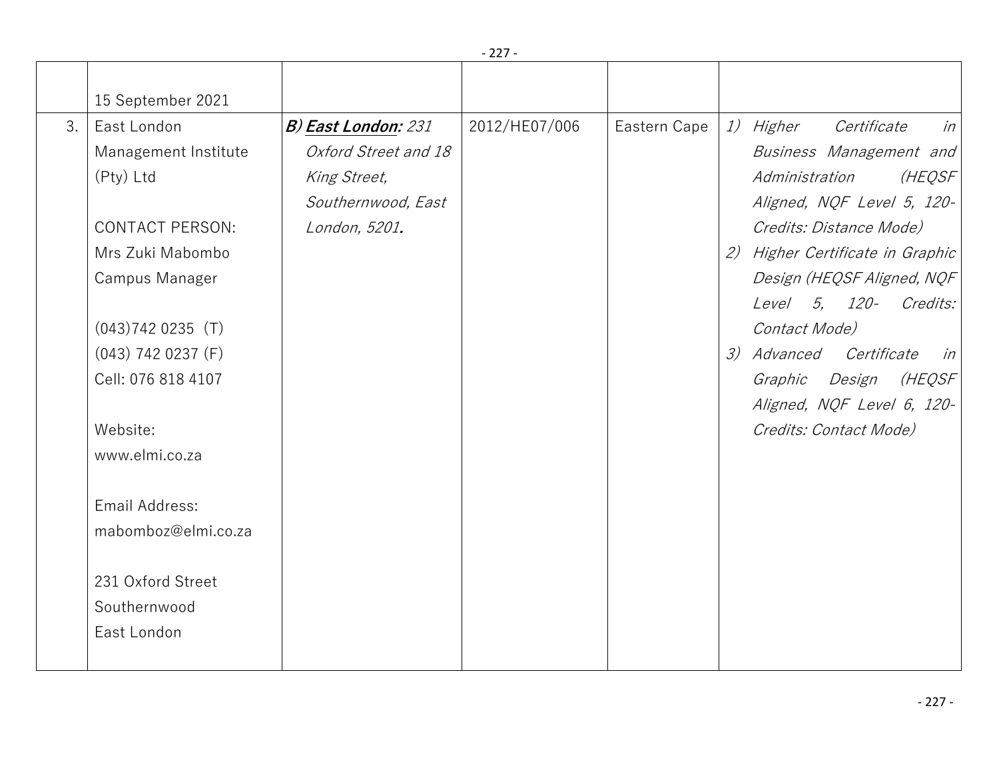|    | 15 September 2021      |                            |               |              |     |                                |
|----|------------------------|----------------------------|---------------|--------------|-----|--------------------------------|
| 3. | East London            | <b>B) East London: 231</b> | 2012/HE07/006 | Eastern Cape |     | 1) Higher<br>Certificate<br>in |
|    | Management Institute   | Oxford Street and 18       |               |              |     | Business Management and        |
|    | (Pty) Ltd              | King Street,               |               |              |     | (HEQSF<br>Administration       |
|    |                        | Southernwood, East         |               |              |     | Aligned, NQF Level 5, 120-     |
|    | <b>CONTACT PERSON:</b> | London, 5201.              |               |              |     | Credits: Distance Mode)        |
|    | Mrs Zuki Mabombo       |                            |               |              | (2) | Higher Certificate in Graphic  |
|    | Campus Manager         |                            |               |              |     | Design (HEQSF Aligned, NQF     |
|    |                        |                            |               |              |     | 5, 120-<br>Credits:<br>Level   |
|    | $(043)7420235$ (T)     |                            |               |              |     | Contact Mode)                  |
|    | $(043)$ 742 0237 (F)   |                            |               |              |     | 3) Advanced Certificate<br>in  |
|    | Cell: 076 818 4107     |                            |               |              |     | (HEQSF<br>Graphic<br>Design    |
|    |                        |                            |               |              |     | Aligned, NQF Level 6, 120-     |
|    | Website:               |                            |               |              |     | Credits: Contact Mode)         |
|    | www.elmi.co.za         |                            |               |              |     |                                |
|    |                        |                            |               |              |     |                                |
|    | Email Address:         |                            |               |              |     |                                |
|    | mabomboz@elmi.co.za    |                            |               |              |     |                                |
|    |                        |                            |               |              |     |                                |
|    | 231 Oxford Street      |                            |               |              |     |                                |
|    | Southernwood           |                            |               |              |     |                                |
|    | East London            |                            |               |              |     |                                |
|    |                        |                            |               |              |     |                                |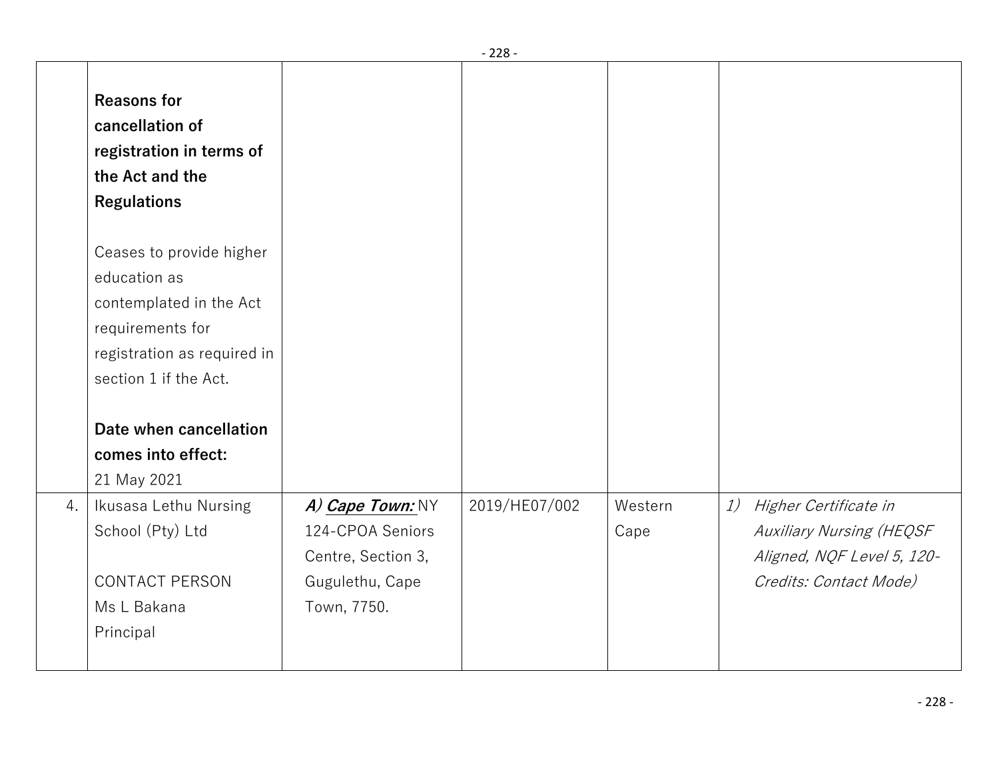|    |                                                                                                                                                                                                                |                                                                                              | - 228 -       |                 |                                                                                                                        |
|----|----------------------------------------------------------------------------------------------------------------------------------------------------------------------------------------------------------------|----------------------------------------------------------------------------------------------|---------------|-----------------|------------------------------------------------------------------------------------------------------------------------|
|    | <b>Reasons for</b><br>cancellation of<br>registration in terms of<br>the Act and the<br><b>Regulations</b>                                                                                                     |                                                                                              |               |                 |                                                                                                                        |
|    | Ceases to provide higher<br>education as<br>contemplated in the Act<br>requirements for<br>registration as required in<br>section 1 if the Act.<br>Date when cancellation<br>comes into effect:<br>21 May 2021 |                                                                                              |               |                 |                                                                                                                        |
| 4. | Ikusasa Lethu Nursing<br>School (Pty) Ltd<br><b>CONTACT PERSON</b><br>Ms L Bakana<br>Principal                                                                                                                 | A) Cape Town: NY<br>124-CPOA Seniors<br>Centre, Section 3,<br>Gugulethu, Cape<br>Town, 7750. | 2019/HE07/002 | Western<br>Cape | Higher Certificate in<br>1)<br><b>Auxiliary Nursing (HEQSF</b><br>Aligned, NQF Level 5, 120-<br>Credits: Contact Mode) |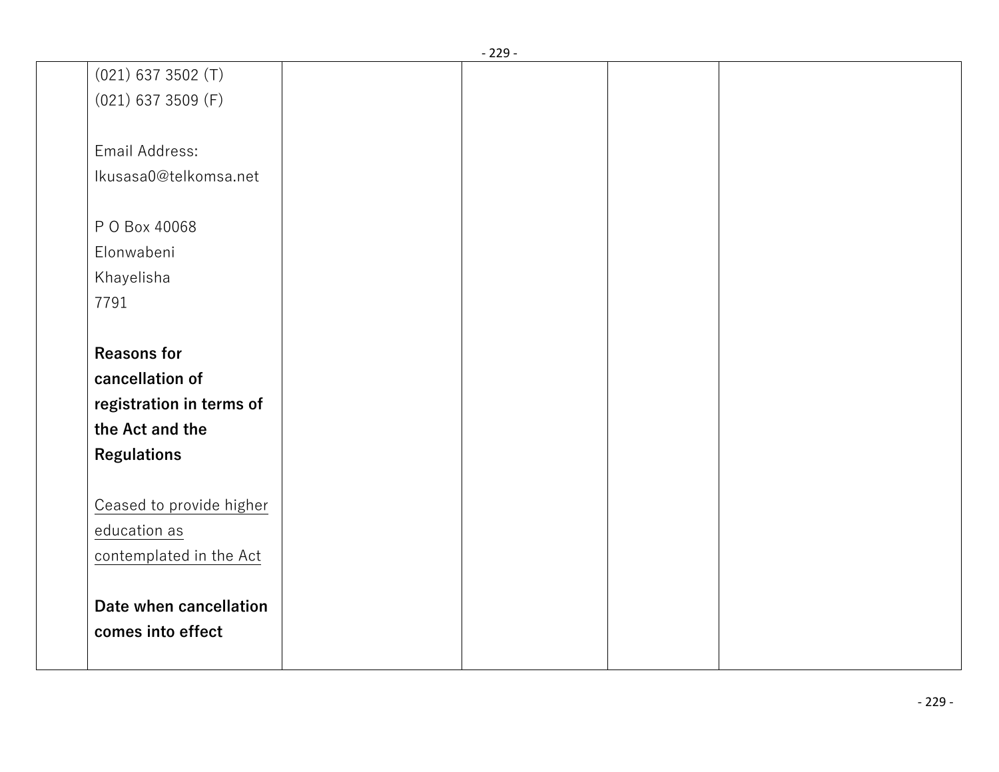|                          | - 229 - |  |
|--------------------------|---------|--|
| $(021)$ 637 3502 (T)     |         |  |
| $(021)$ 637 3509 (F)     |         |  |
|                          |         |  |
| Email Address:           |         |  |
| Ikusasa0@telkomsa.net    |         |  |
|                          |         |  |
| P O Box 40068            |         |  |
| Elonwabeni               |         |  |
| Khayelisha               |         |  |
| 7791                     |         |  |
|                          |         |  |
| <b>Reasons for</b>       |         |  |
| cancellation of          |         |  |
| registration in terms of |         |  |
| the Act and the          |         |  |
| <b>Regulations</b>       |         |  |
|                          |         |  |
| Ceased to provide higher |         |  |
| education as             |         |  |
| contemplated in the Act  |         |  |
|                          |         |  |
| Date when cancellation   |         |  |
| comes into effect        |         |  |
|                          |         |  |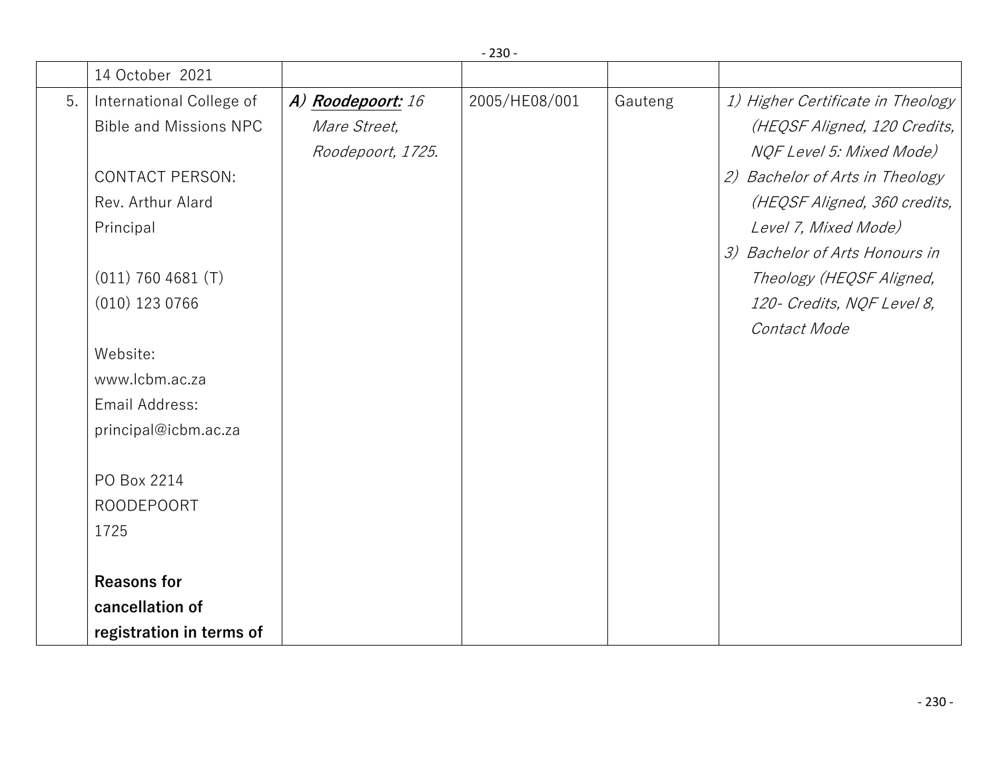|    | 14 October 2021               |                   |               |         |                                   |
|----|-------------------------------|-------------------|---------------|---------|-----------------------------------|
| 5. | International College of      | A) Roodepoort: 16 | 2005/HE08/001 | Gauteng | 1) Higher Certificate in Theology |
|    | <b>Bible and Missions NPC</b> | Mare Street,      |               |         | (HEQSF Aligned, 120 Credits,      |
|    |                               | Roodepoort, 1725. |               |         | NQF Level 5: Mixed Mode)          |
|    | <b>CONTACT PERSON:</b>        |                   |               |         | 2) Bachelor of Arts in Theology   |
|    | Rev. Arthur Alard             |                   |               |         | (HEQSF Aligned, 360 credits,      |
|    | Principal                     |                   |               |         | Level 7, Mixed Mode)              |
|    |                               |                   |               |         | 3) Bachelor of Arts Honours in    |
|    | (011) 760 4681 (T)            |                   |               |         | Theology (HEQSF Aligned,          |
|    | $(010)$ 123 0766              |                   |               |         | 120- Credits, NQF Level 8,        |
|    |                               |                   |               |         | Contact Mode                      |
|    | Website:                      |                   |               |         |                                   |
|    | www.lcbm.ac.za                |                   |               |         |                                   |
|    | Email Address:                |                   |               |         |                                   |
|    | principal@icbm.ac.za          |                   |               |         |                                   |
|    |                               |                   |               |         |                                   |
|    | PO Box 2214                   |                   |               |         |                                   |
|    | <b>ROODEPOORT</b>             |                   |               |         |                                   |
|    | 1725                          |                   |               |         |                                   |
|    |                               |                   |               |         |                                   |
|    | <b>Reasons for</b>            |                   |               |         |                                   |
|    | cancellation of               |                   |               |         |                                   |
|    | registration in terms of      |                   |               |         |                                   |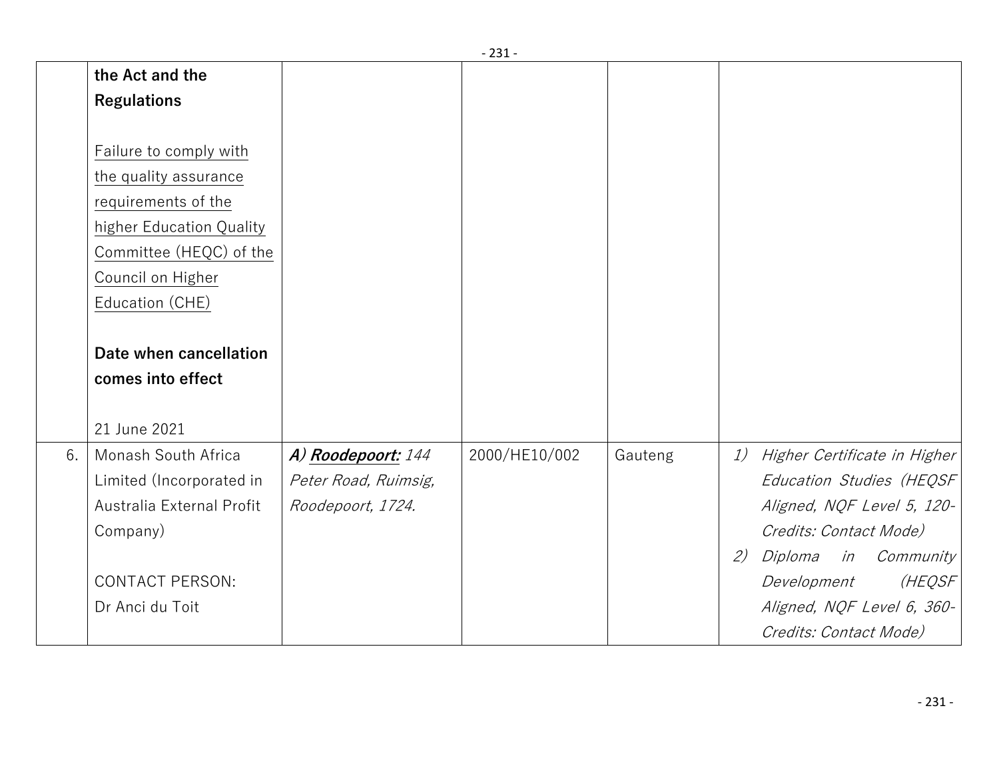|    |                           |                      | - 431 -       |         |                                    |
|----|---------------------------|----------------------|---------------|---------|------------------------------------|
|    | the Act and the           |                      |               |         |                                    |
|    | <b>Regulations</b>        |                      |               |         |                                    |
|    |                           |                      |               |         |                                    |
|    | Failure to comply with    |                      |               |         |                                    |
|    | the quality assurance     |                      |               |         |                                    |
|    | requirements of the       |                      |               |         |                                    |
|    | higher Education Quality  |                      |               |         |                                    |
|    | Committee (HEQC) of the   |                      |               |         |                                    |
|    | Council on Higher         |                      |               |         |                                    |
|    | Education (CHE)           |                      |               |         |                                    |
|    |                           |                      |               |         |                                    |
|    | Date when cancellation    |                      |               |         |                                    |
|    | comes into effect         |                      |               |         |                                    |
|    |                           |                      |               |         |                                    |
|    | 21 June 2021              |                      |               |         |                                    |
| 6. | Monash South Africa       | A) Roodepoort: 144   | 2000/HE10/002 | Gauteng | Higher Certificate in Higher<br>1) |
|    | Limited (Incorporated in  | Peter Road, Ruimsig, |               |         | Education Studies (HEQSF           |
|    | Australia External Profit | Roodepoort, 1724.    |               |         | Aligned, NQF Level 5, 120-         |
|    | Company)                  |                      |               |         | Credits: Contact Mode)             |
|    |                           |                      |               |         | Diploma in Community<br>2)         |
|    | <b>CONTACT PERSON:</b>    |                      |               |         | (HEQSF<br>Development              |
|    | Dr Anci du Toit           |                      |               |         | Aligned, NQF Level 6, 360-         |
|    |                           |                      |               |         | Credits: Contact Mode)             |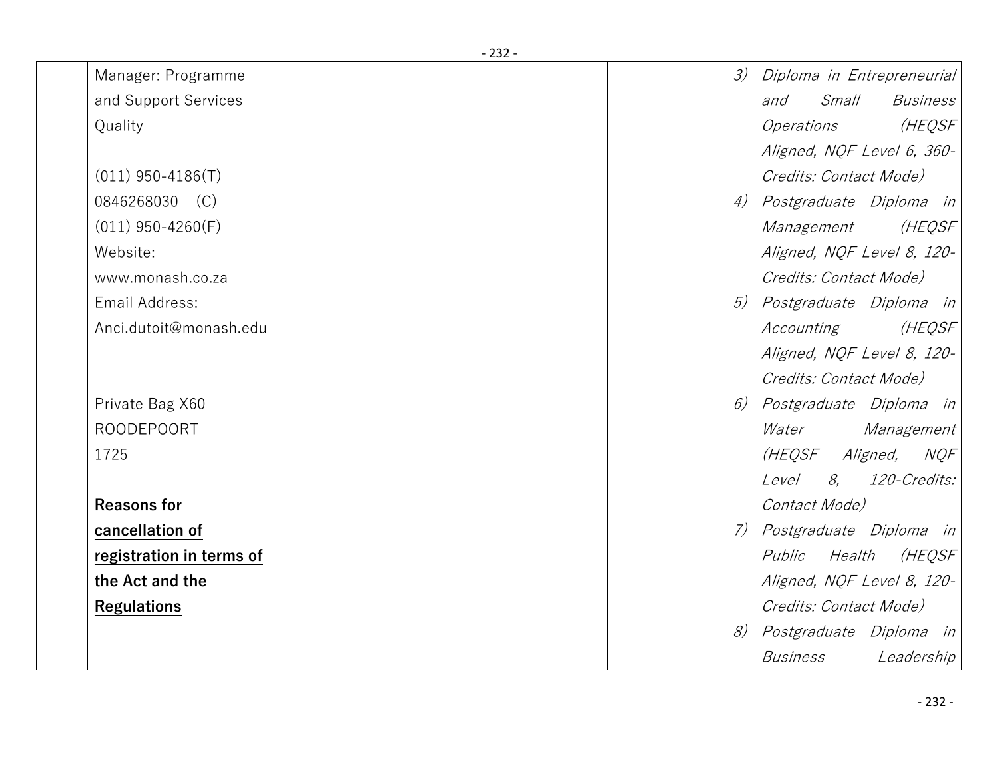| Manager: Programme       |  | 3) | Diploma in Entrepreneurial             |
|--------------------------|--|----|----------------------------------------|
| and Support Services     |  |    | <i>Small</i><br><i>Business</i><br>and |
| Quality                  |  |    | <i>Operations</i><br>(HEQSF            |
|                          |  |    | Aligned, NQF Level 6, 360-             |
| $(011)$ 950-4186(T)      |  |    | Credits: Contact Mode)                 |
| 0846268030 (C)           |  | 4) | Postgraduate Diploma in                |
| $(011)$ 950-4260(F)      |  |    | (HEQSF<br><i>Management</i>            |
| Website:                 |  |    | Aligned, NQF Level 8, 120-             |
| www.monash.co.za         |  |    | Credits: Contact Mode)                 |
| Email Address:           |  |    | 5) Postgraduate Diploma in             |
| Anci.dutoit@monash.edu   |  |    | (HEQSF<br>Accounting                   |
|                          |  |    | Aligned, NQF Level 8, 120-             |
|                          |  |    | Credits: Contact Mode)                 |
| Private Bag X60          |  | 6) | Postgraduate Diploma in                |
| <b>ROODEPOORT</b>        |  |    | Water Management                       |
| 1725                     |  |    | (HEQSF Aligned, NQF                    |
|                          |  |    | Level 8, 120-Credits:                  |
| <b>Reasons for</b>       |  |    | Contact Mode)                          |
| cancellation of          |  |    | 7) Postgraduate Diploma in             |
| registration in terms of |  |    | (HEQSF<br>Health<br>Public             |
| the Act and the          |  |    | Aligned, NQF Level 8, 120-             |
| <b>Regulations</b>       |  |    | Credits: Contact Mode)                 |
|                          |  | 8) | Postgraduate Diploma in                |
|                          |  |    | <i>Business</i><br>Leadership          |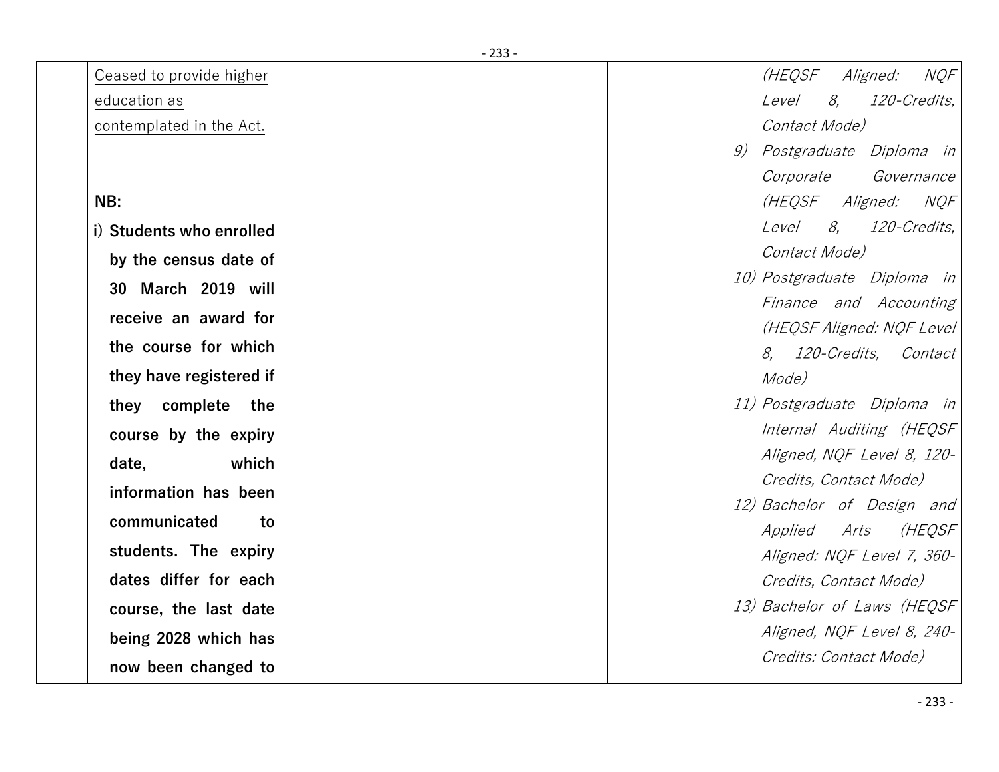|                          | - 233 - |                                                      |
|--------------------------|---------|------------------------------------------------------|
| Ceased to provide higher |         | (HEQSF<br><b>NOF</b><br>Aligned:                     |
| education as             |         | 120-Credits,<br><i>Level</i><br>8,                   |
| contemplated in the Act. |         | Contact Mode)                                        |
|                          |         | Postgraduate Diploma in<br>9)                        |
|                          |         | Corporate<br>Governance                              |
| NB:                      |         | (HEQSF Aligned: NQF                                  |
| i) Students who enrolled |         | 8,<br>120-Credits,<br>Level                          |
| by the census date of    |         | Contact Mode)                                        |
| 30 March 2019 will       |         | 10) Postgraduate Diploma in                          |
| receive an award for     |         | Finance and Accounting                               |
| the course for which     |         | (HEQSF Aligned: NQF Level                            |
|                          |         | 8, 120-Credits, Contact                              |
| they have registered if  |         | Mode)                                                |
| they complete the        |         | 11) Postgraduate Diploma in                          |
| course by the expiry     |         | Internal Auditing (HEQSF                             |
| which<br>date,           |         | Aligned, NQF Level 8, 120-<br>Credits, Contact Mode) |
| information has been     |         | 12) Bachelor of Design and                           |
| communicated<br>to       |         | (HEQSF<br><i>Applied</i><br>Arts                     |
| students. The expiry     |         | Aligned: NQF Level 7, 360-                           |
| dates differ for each    |         | Credits, Contact Mode)                               |
| course, the last date    |         | 13) Bachelor of Laws (HEQSF                          |
| being 2028 which has     |         | Aligned, NQF Level 8, 240-                           |
| now been changed to      |         | Credits: Contact Mode)                               |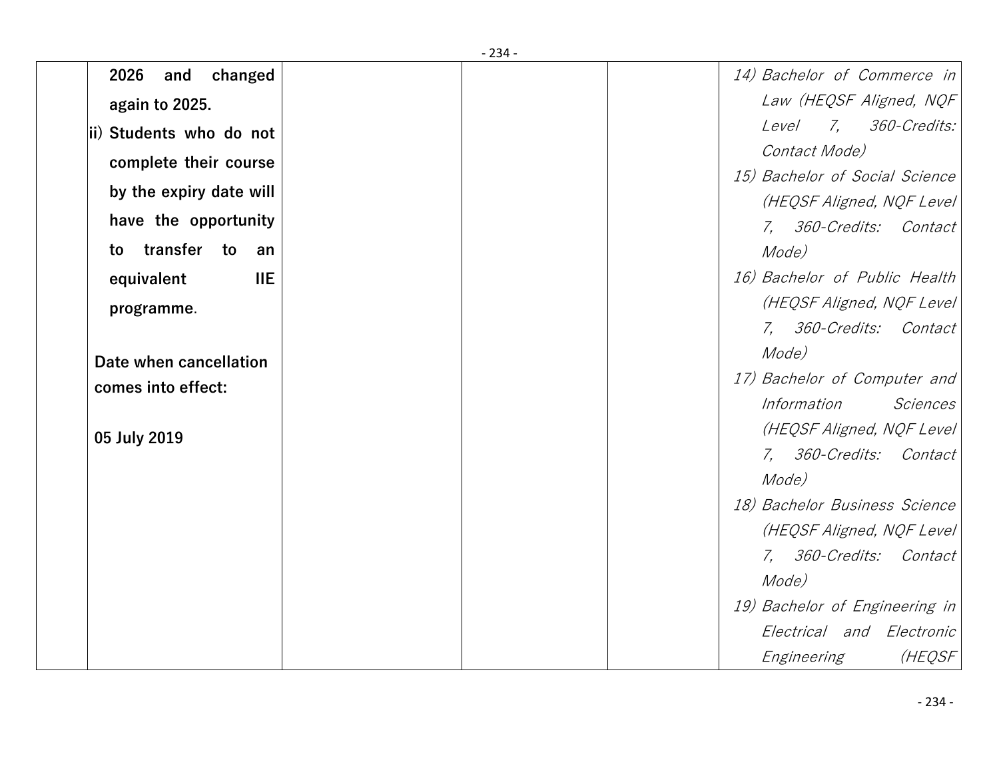| 2026<br>changed<br>and     |  | 14) Bachelor of Commerce in    |
|----------------------------|--|--------------------------------|
| again to 2025.             |  | Law (HEQSF Aligned, NQF        |
| ii) Students who do not    |  | 7, 360-Credits:<br>Level       |
| complete their course      |  | Contact Mode)                  |
| by the expiry date will    |  | 15) Bachelor of Social Science |
|                            |  | (HEQSF Aligned, NQF Level      |
| have the opportunity       |  | 7, 360-Credits: Contact        |
| transfer<br>to<br>to<br>an |  | Mode)                          |
| <b>IIE</b><br>equivalent   |  | 16) Bachelor of Public Health  |
| programme.                 |  | (HEQSF Aligned, NQF Level      |
|                            |  | 7, 360-Credits: Contact        |
| Date when cancellation     |  | Mode)                          |
| comes into effect:         |  | 17) Bachelor of Computer and   |
|                            |  | Information<br>Sciences        |
| 05 July 2019               |  | (HEQSF Aligned, NQF Level      |
|                            |  | 7, 360-Credits: Contact        |
|                            |  | Mode)                          |
|                            |  | 18) Bachelor Business Science  |
|                            |  | (HEQSF Aligned, NQF Level      |
|                            |  | 7, 360-Credits: Contact        |
|                            |  | Mode)                          |
|                            |  | 19) Bachelor of Engineering in |
|                            |  | Electrical and Electronic      |
|                            |  | (HEQSF<br>Engineering          |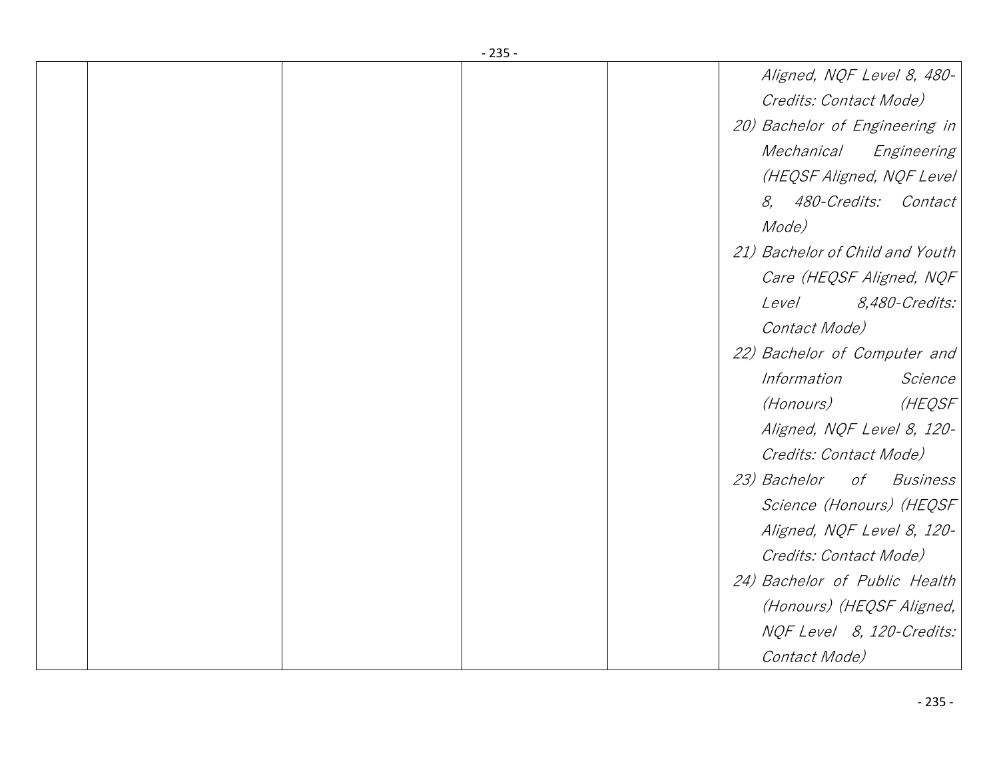|  | - 233 - |                                 |
|--|---------|---------------------------------|
|  |         | Aligned, NQF Level 8, 480-      |
|  |         | Credits: Contact Mode)          |
|  |         | 20) Bachelor of Engineering in  |
|  |         | Mechanical<br>Engineering       |
|  |         | (HEQSF Aligned, NQF Level       |
|  |         | 8, 480-Credits: Contact         |
|  |         | Mode)                           |
|  |         | 21) Bachelor of Child and Youth |
|  |         | Care (HEQSF Aligned, NQF        |
|  |         | Level<br><i>8,480-Credits:</i>  |
|  |         | Contact Mode)                   |
|  |         | 22) Bachelor of Computer and    |
|  |         | Information<br>Science          |
|  |         | (HEQSF<br>(Honours)             |
|  |         | Aligned, NQF Level 8, 120-      |
|  |         | Credits: Contact Mode)          |
|  |         | 23) Bachelor of Business        |
|  |         | Science (Honours) (HEQSF        |
|  |         | Aligned, NQF Level 8, 120-      |
|  |         | Credits: Contact Mode)          |
|  |         | 24) Bachelor of Public Health   |
|  |         | (Honours) (HEQSF Aligned,       |
|  |         | NQF Level 8, 120-Credits:       |
|  |         | Contact Mode)                   |
|  |         |                                 |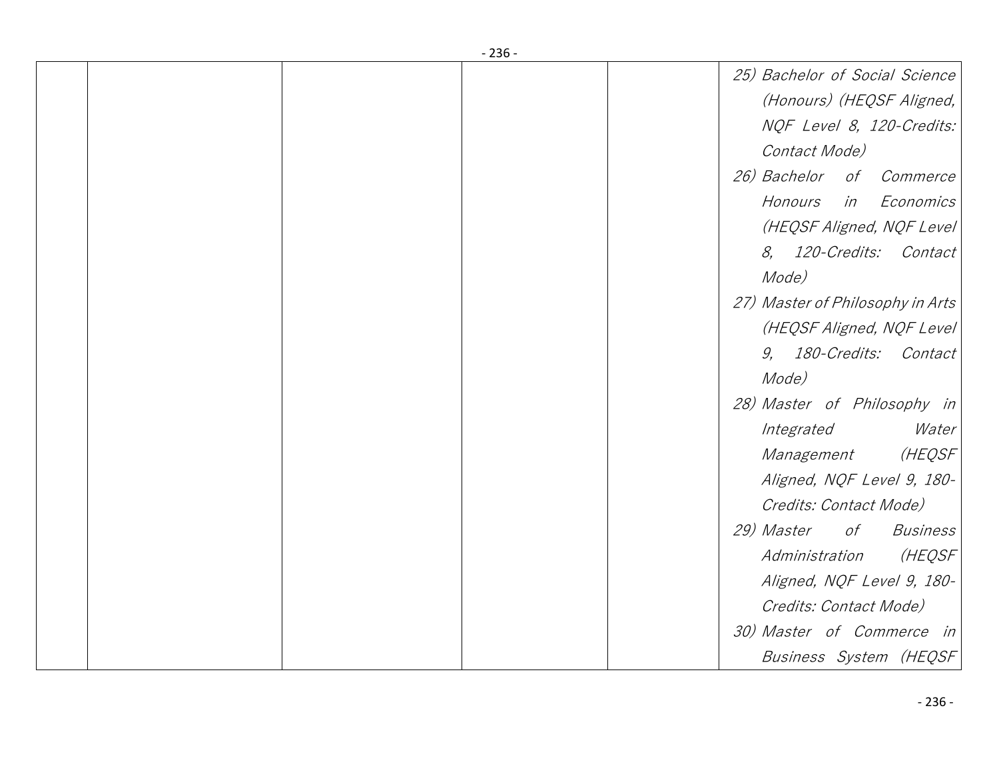|  | - 250 - |                                  |
|--|---------|----------------------------------|
|  |         | 25) Bachelor of Social Science   |
|  |         | (Honours) (HEQSF Aligned,        |
|  |         | NQF Level 8, 120-Credits:        |
|  |         | Contact Mode)                    |
|  |         | 26) Bachelor of Commerce         |
|  |         | in Economics<br>Honours          |
|  |         | (HEQSF Aligned, NQF Level)       |
|  |         | 8, 120-Credits: Contact          |
|  |         | Mode)                            |
|  |         | 27) Master of Philosophy in Arts |
|  |         | (HEQSF Aligned, NQF Level)       |
|  |         | 9, 180-Credits: Contact          |
|  |         | Mode)                            |
|  |         | 28) Master of Philosophy in      |
|  |         | Integrated<br>Water              |
|  |         | (HEQSF)<br>Management            |
|  |         | Aligned, NQF Level 9, 180-       |
|  |         | Credits: Contact Mode)           |
|  |         | 29) Master of Business           |
|  |         | (HEQSF)<br>Administration        |
|  |         | Aligned, NQF Level 9, 180-       |
|  |         | Credits: Contact Mode)           |
|  |         | 30) Master of Commerce in        |
|  |         | Business System (HEQSF)          |
|  |         |                                  |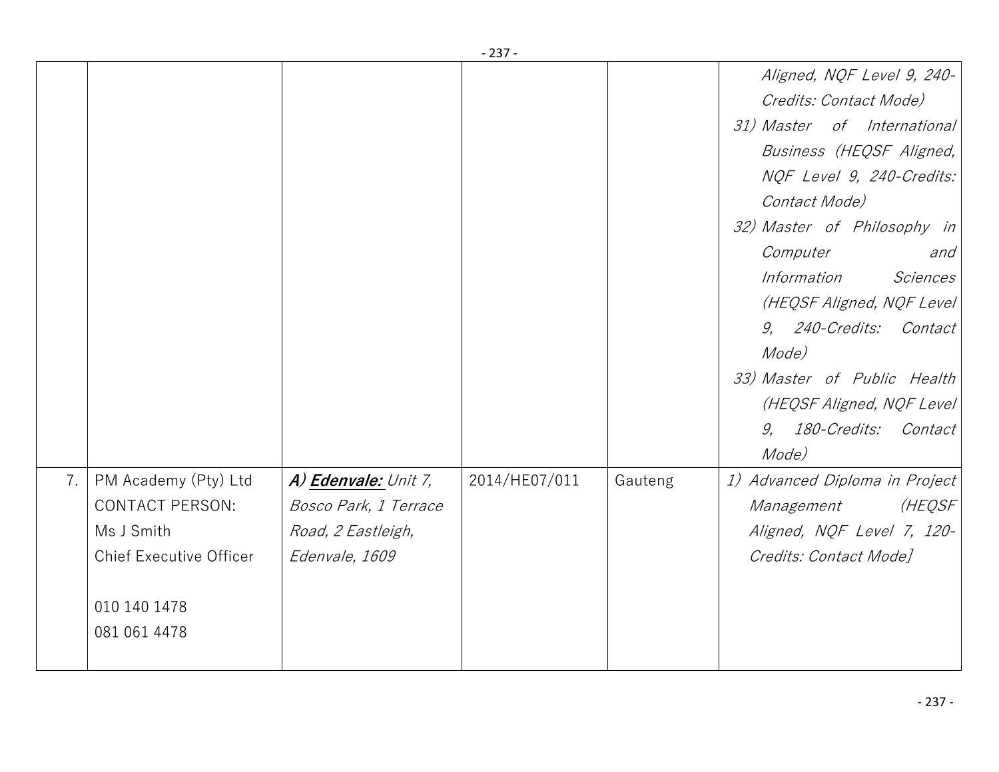|    |                                |                       | - دە -        |         |                                |
|----|--------------------------------|-----------------------|---------------|---------|--------------------------------|
|    |                                |                       |               |         | Aligned, NQF Level 9, 240-     |
|    |                                |                       |               |         | Credits: Contact Mode)         |
|    |                                |                       |               |         | 31) Master of International    |
|    |                                |                       |               |         | Business (HEQSF Aligned,       |
|    |                                |                       |               |         | NQF Level 9, 240-Credits:      |
|    |                                |                       |               |         | Contact Mode)                  |
|    |                                |                       |               |         | 32) Master of Philosophy in    |
|    |                                |                       |               |         | Computer<br>and                |
|    |                                |                       |               |         | Sciences<br>Information        |
|    |                                |                       |               |         | (HEQSF Aligned, NQF Level      |
|    |                                |                       |               |         | 9, 240-Credits: Contact        |
|    |                                |                       |               |         | Mode)                          |
|    |                                |                       |               |         | 33) Master of Public Health    |
|    |                                |                       |               |         | (HEQSF Aligned, NQF Level      |
|    |                                |                       |               |         | 9, 180-Credits: Contact        |
|    |                                |                       |               |         | Mode)                          |
| 7. | PM Academy (Pty) Ltd           | A) Edenvale: Unit 7,  | 2014/HE07/011 | Gauteng | 1) Advanced Diploma in Project |
|    | <b>CONTACT PERSON:</b>         | Bosco Park, 1 Terrace |               |         | (HEQSF<br>Management           |
|    | Ms J Smith                     | Road, 2 Eastleigh,    |               |         | Aligned, NQF Level 7, 120-     |
|    | <b>Chief Executive Officer</b> | Edenvale, 1609        |               |         | Credits: Contact Mode]         |
|    |                                |                       |               |         |                                |
|    | 010 140 1478                   |                       |               |         |                                |
|    | 081 061 4478                   |                       |               |         |                                |
|    |                                |                       |               |         |                                |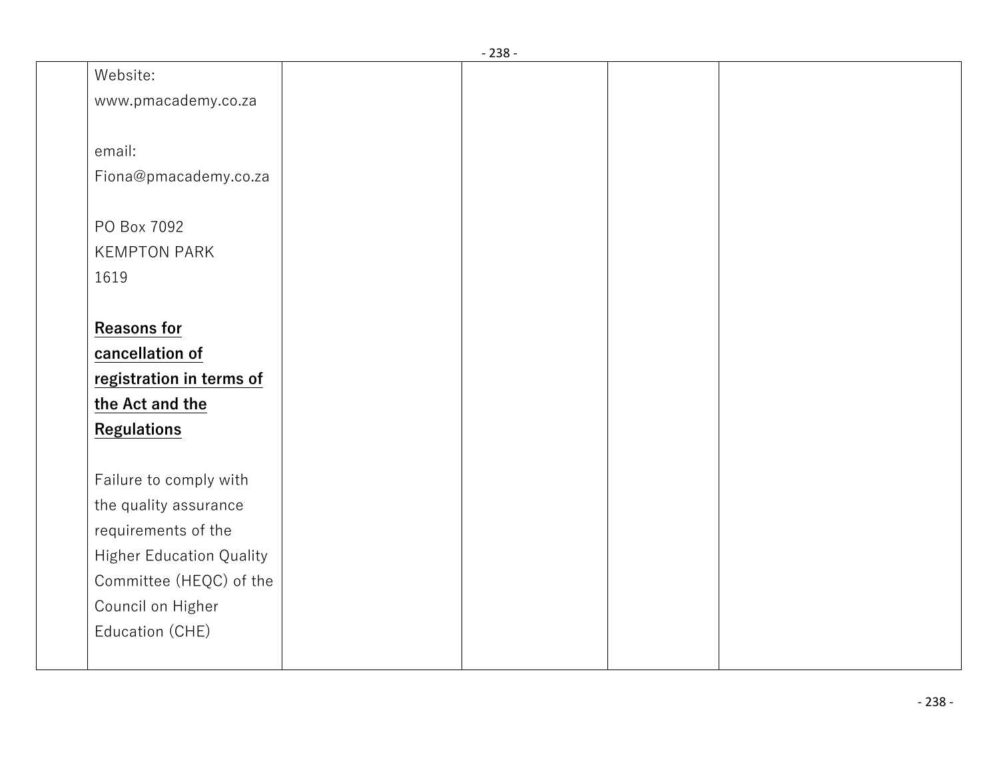|                                 | - 238 - |  |  |
|---------------------------------|---------|--|--|
| Website:                        |         |  |  |
| www.pmacademy.co.za             |         |  |  |
|                                 |         |  |  |
| email:                          |         |  |  |
| Fiona@pmacademy.co.za           |         |  |  |
|                                 |         |  |  |
| PO Box 7092                     |         |  |  |
| <b>KEMPTON PARK</b>             |         |  |  |
| 1619                            |         |  |  |
|                                 |         |  |  |
| <b>Reasons for</b>              |         |  |  |
| cancellation of                 |         |  |  |
| registration in terms of        |         |  |  |
| the Act and the                 |         |  |  |
| <b>Regulations</b>              |         |  |  |
|                                 |         |  |  |
| Failure to comply with          |         |  |  |
| the quality assurance           |         |  |  |
| requirements of the             |         |  |  |
| <b>Higher Education Quality</b> |         |  |  |
| Committee (HEQC) of the         |         |  |  |
| Council on Higher               |         |  |  |
| Education (CHE)                 |         |  |  |
|                                 |         |  |  |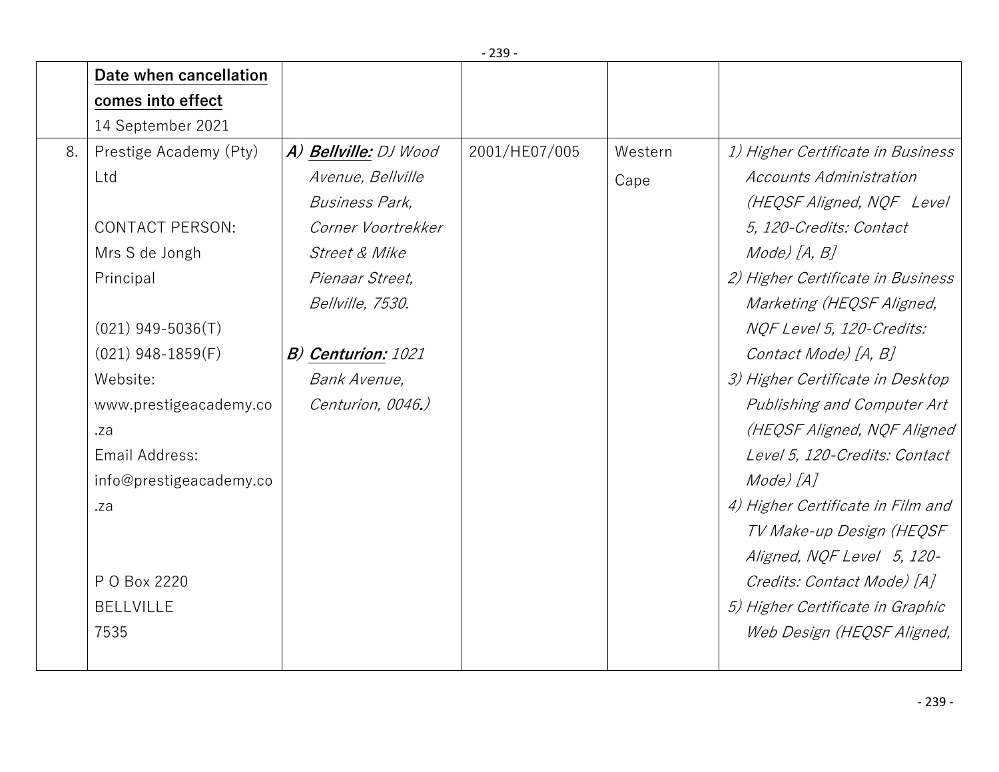|    | Date when cancellation  |                           |               |         |                                   |
|----|-------------------------|---------------------------|---------------|---------|-----------------------------------|
|    | comes into effect       |                           |               |         |                                   |
|    | 14 September 2021       |                           |               |         |                                   |
| 8. | Prestige Academy (Pty)  | A) Bellville: DJ Wood     | 2001/HE07/005 | Western | 1) Higher Certificate in Business |
|    | Ltd                     | Avenue, Bellville         |               | Cape    | Accounts Administration           |
|    |                         | <b>Business Park,</b>     |               |         | (HEQSF Aligned, NQF Level         |
|    | <b>CONTACT PERSON:</b>  | Corner Voortrekker        |               |         | 5, 120-Credits: Contact           |
|    | Mrs S de Jongh          | Street & Mike             |               |         | Mode) [A, B]                      |
|    | Principal               | Pienaar Street,           |               |         | 2) Higher Certificate in Business |
|    |                         | Bellville, 7530.          |               |         | Marketing (HEQSF Aligned,         |
|    | $(021)$ 949-5036(T)     |                           |               |         | NQF Level 5, 120-Credits:         |
|    | $(021)$ 948-1859(F)     | <b>B)</b> Centurion: 1021 |               |         | Contact Mode) [A, B]              |
|    | Website:                | Bank Avenue,              |               |         | 3) Higher Certificate in Desktop  |
|    | www.prestigeacademy.co  | Centurion, 0046.)         |               |         | Publishing and Computer Art       |
|    | .za                     |                           |               |         | (HEQSF Aligned, NQF Aligned       |
|    | Email Address:          |                           |               |         | Level 5, 120-Credits: Contact     |
|    | info@prestigeacademy.co |                           |               |         | Mode) [A]                         |
|    | .za                     |                           |               |         | 4) Higher Certificate in Film and |
|    |                         |                           |               |         | TV Make-up Design (HEQSF          |
|    |                         |                           |               |         | Aligned, NQF Level 5, 120-        |
|    | P O Box 2220            |                           |               |         | Credits: Contact Mode) [A]        |
|    | <b>BELLVILLE</b>        |                           |               |         | 5) Higher Certificate in Graphic  |
|    | 7535                    |                           |               |         | Web Design (HEQSF Aligned,        |
|    |                         |                           |               |         |                                   |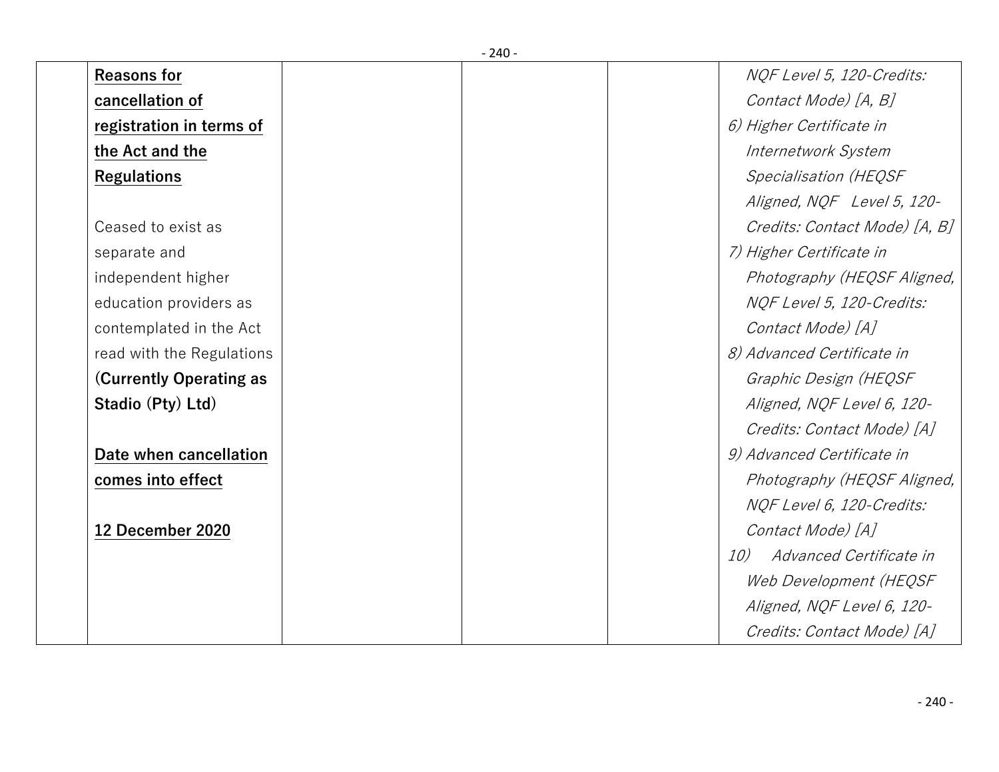| <b>Reasons for</b>        |  | NOF Level 5, 120-Credits:      |
|---------------------------|--|--------------------------------|
| cancellation of           |  | Contact Mode) [A, B]           |
| registration in terms of  |  | 6) Higher Certificate in       |
| the Act and the           |  | Internetwork System            |
| <b>Regulations</b>        |  | <b>Specialisation (HEQSF</b>   |
|                           |  | Aligned, NQF Level 5, 120-     |
| Ceased to exist as        |  | Credits: Contact Mode) [A, B]  |
| separate and              |  | 7) Higher Certificate in       |
| independent higher        |  | Photography (HEQSF Aligned,    |
| education providers as    |  | NQF Level 5, 120-Credits:      |
| contemplated in the Act   |  | Contact Mode) [A]              |
| read with the Regulations |  | 8) Advanced Certificate in     |
| (Currently Operating as   |  | Graphic Design (HEQSF          |
| Stadio (Pty) Ltd)         |  | Aligned, NOF Level 6, 120-     |
|                           |  | Credits: Contact Mode) [A]     |
| Date when cancellation    |  | 9) Advanced Certificate in     |
| comes into effect         |  | Photography (HEQSF Aligned,    |
|                           |  | NQF Level 6, 120-Credits:      |
| 12 December 2020          |  | Contact Mode) [A]              |
|                           |  | Advanced Certificate in<br>10) |
|                           |  | Web Development (HEQSF         |
|                           |  | Aligned, NQF Level 6, 120-     |
|                           |  | Credits: Contact Mode) [A]     |

- 240 -

## - 240 -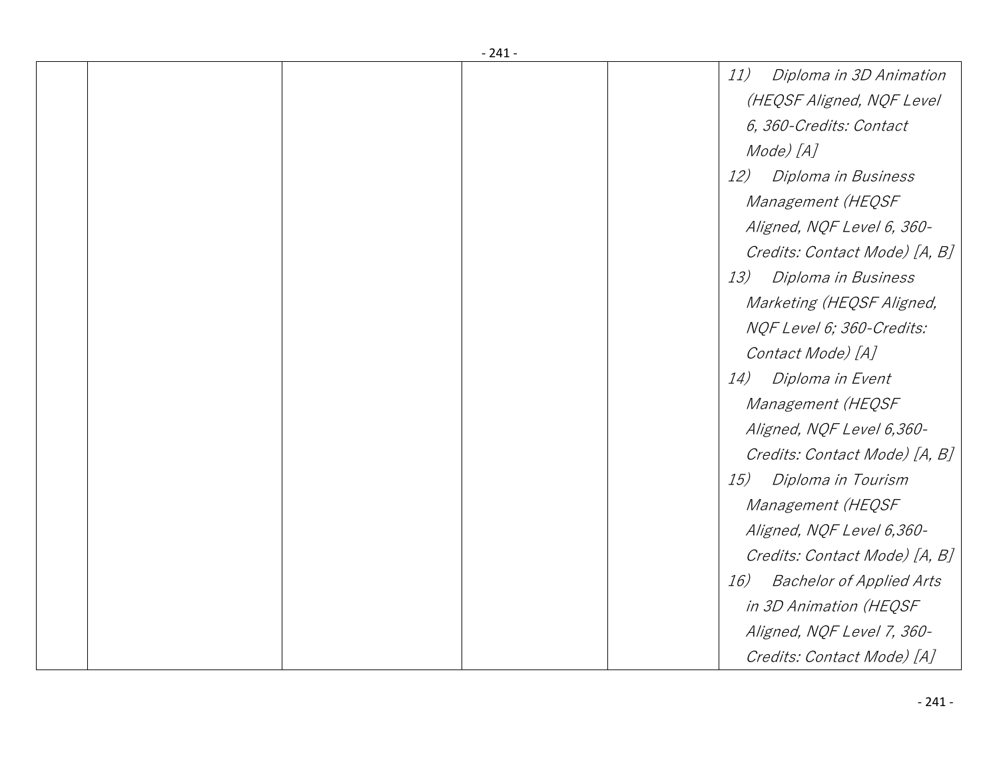|  | - 241 - |                                        |
|--|---------|----------------------------------------|
|  |         | 11)<br>Diploma in 3D Animation         |
|  |         | (HEQSF Aligned, NQF Level              |
|  |         | 6, 360-Credits: Contact                |
|  |         | Mode) [A]                              |
|  |         | 12)<br>Diploma in Business             |
|  |         | Management (HEQSF                      |
|  |         | Aligned, NQF Level 6, 360-             |
|  |         | Credits: Contact Mode) [A, B]          |
|  |         | Diploma in Business<br>13)             |
|  |         | Marketing (HEQSF Aligned,              |
|  |         | NQF Level 6; 360-Credits:              |
|  |         | Contact Mode) [A]                      |
|  |         | Diploma in Event<br>14)                |
|  |         | Management (HEQSF                      |
|  |         | Aligned, NQF Level 6,360-              |
|  |         | Credits: Contact Mode) [A, B]          |
|  |         | Diploma in Tourism<br>15)              |
|  |         | Management (HEQSF                      |
|  |         | Aligned, NQF Level 6,360-              |
|  |         | Credits: Contact Mode) [A, B]          |
|  |         | <b>Bachelor of Applied Arts</b><br>16) |
|  |         | in 3D Animation (HEQSF                 |
|  |         | Aligned, NQF Level 7, 360-             |
|  |         | Credits: Contact Mode) [A]             |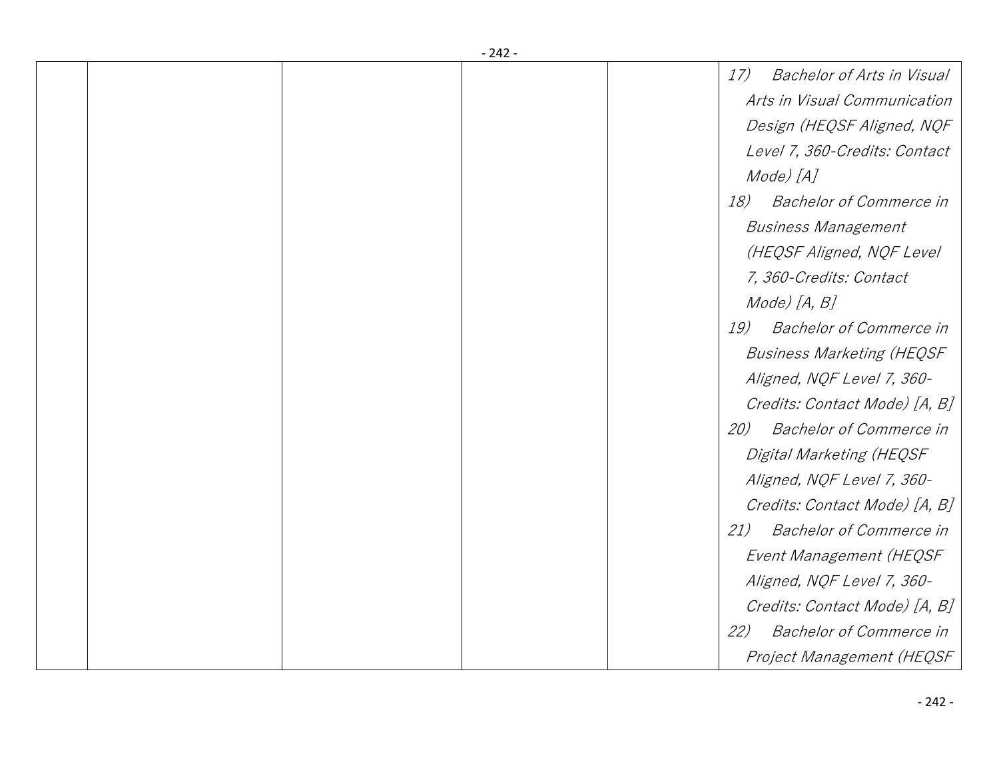|  | - 242 - |                                          |
|--|---------|------------------------------------------|
|  |         | 17)<br><b>Bachelor of Arts in Visual</b> |
|  |         | Arts in Visual Communication             |
|  |         | Design (HEQSF Aligned, NQF               |
|  |         | Level 7, 360-Credits: Contact            |
|  |         | Mode) [A]                                |
|  |         | 18)<br><b>Bachelor of Commerce in</b>    |
|  |         | <b>Business Management</b>               |
|  |         | (HEQSF Aligned, NQF Level                |
|  |         | 7, 360-Credits: Contact                  |
|  |         | Mode) [A, B]                             |
|  |         | 19)<br><b>Bachelor of Commerce in</b>    |
|  |         | <b>Business Marketing (HEQSF</b>         |
|  |         | Aligned, NQF Level 7, 360-               |
|  |         | Credits: Contact Mode) [A, B]            |
|  |         | <b>Bachelor of Commerce in</b><br>20)    |
|  |         | Digital Marketing (HEQSF                 |
|  |         | Aligned, NQF Level 7, 360-               |
|  |         | Credits: Contact Mode) [A, B]            |
|  |         | <b>Bachelor of Commerce in</b><br>21)    |
|  |         | Event Management (HEQSF                  |
|  |         | Aligned, NQF Level 7, 360-               |
|  |         | Credits: Contact Mode) [A, B]            |
|  |         | <b>Bachelor of Commerce in</b><br>22)    |
|  |         |                                          |
|  |         | Project Management (HEQSF                |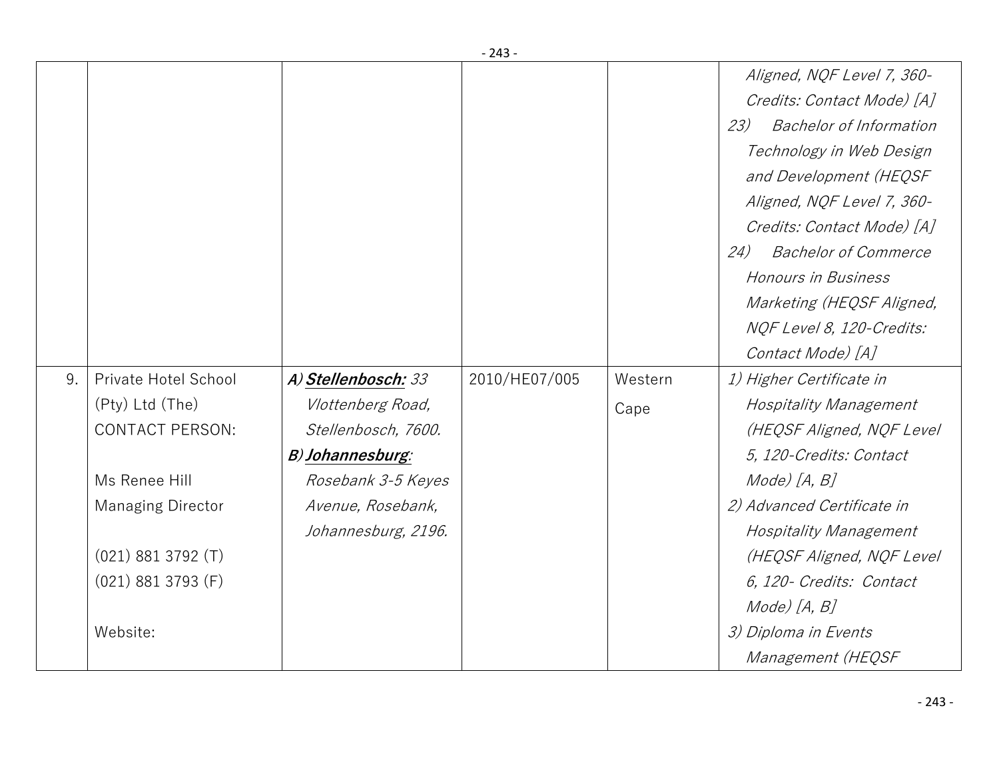|    |                          |                     |               |         | Aligned, NQF Level 7, 360-            |
|----|--------------------------|---------------------|---------------|---------|---------------------------------------|
|    |                          |                     |               |         | Credits: Contact Mode) [A]            |
|    |                          |                     |               |         | <b>Bachelor of Information</b><br>23) |
|    |                          |                     |               |         | Technology in Web Design              |
|    |                          |                     |               |         | and Development (HEQSF                |
|    |                          |                     |               |         | Aligned, NQF Level 7, 360-            |
|    |                          |                     |               |         | Credits: Contact Mode) [A]            |
|    |                          |                     |               |         | 24)<br><b>Bachelor of Commerce</b>    |
|    |                          |                     |               |         | Honours in Business                   |
|    |                          |                     |               |         | Marketing (HEQSF Aligned,             |
|    |                          |                     |               |         | NQF Level 8, 120-Credits:             |
|    |                          |                     |               |         | Contact Mode) [A]                     |
| 9. | Private Hotel School     | A) Stellenbosch: 33 | 2010/HE07/005 | Western | 1) Higher Certificate in              |
|    | (Pty) Ltd (The)          | Vlottenberg Road,   |               | Cape    | <b>Hospitality Management</b>         |
|    | <b>CONTACT PERSON:</b>   | Stellenbosch, 7600. |               |         | (HEQSF Aligned, NQF Level             |
|    |                          | B) Johannesburg:    |               |         | 5, 120-Credits: Contact               |
|    | Ms Renee Hill            | Rosebank 3-5 Keyes  |               |         | Mode) [A, B]                          |
|    | <b>Managing Director</b> | Avenue, Rosebank,   |               |         | 2) Advanced Certificate in            |
|    |                          | Johannesburg, 2196. |               |         | <b>Hospitality Management</b>         |
|    | $(021)$ 881 3792 $(T)$   |                     |               |         | (HEQSF Aligned, NQF Level             |
|    | $(021)$ 881 3793 (F)     |                     |               |         | 6, 120- Credits: Contact              |
|    |                          |                     |               |         | Mode) [A, B]                          |
|    | Website:                 |                     |               |         | 3) Diploma in Events                  |
|    |                          |                     |               |         | Management (HEQSF                     |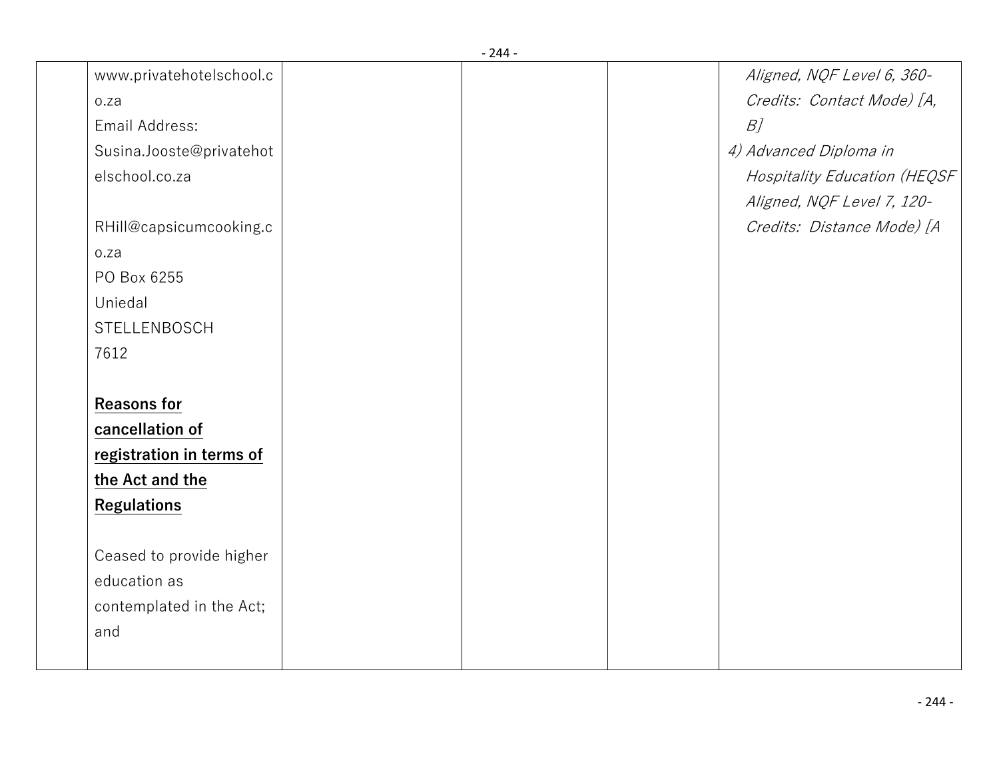|                          | - 244 - |                               |
|--------------------------|---------|-------------------------------|
| www.privatehotelschool.c |         | Aligned, NQF Level 6, 360-    |
| o.za                     |         | Credits: Contact Mode) [A,    |
| Email Address:           |         | $B$ ]                         |
| Susina.Jooste@privatehot |         | 4) Advanced Diploma in        |
| elschool.co.za           |         | Hospitality Education (HEQSF) |
|                          |         | Aligned, NQF Level 7, 120-    |
| RHill@capsicumcooking.c  |         | Credits: Distance Mode) [A    |
| o.za                     |         |                               |
| PO Box 6255              |         |                               |
| Uniedal                  |         |                               |
| STELLENBOSCH             |         |                               |
| 7612                     |         |                               |
| <b>Reasons for</b>       |         |                               |
| cancellation of          |         |                               |
| registration in terms of |         |                               |
| the Act and the          |         |                               |
| <b>Regulations</b>       |         |                               |
| Ceased to provide higher |         |                               |
| education as             |         |                               |
| contemplated in the Act; |         |                               |
| and                      |         |                               |
|                          |         |                               |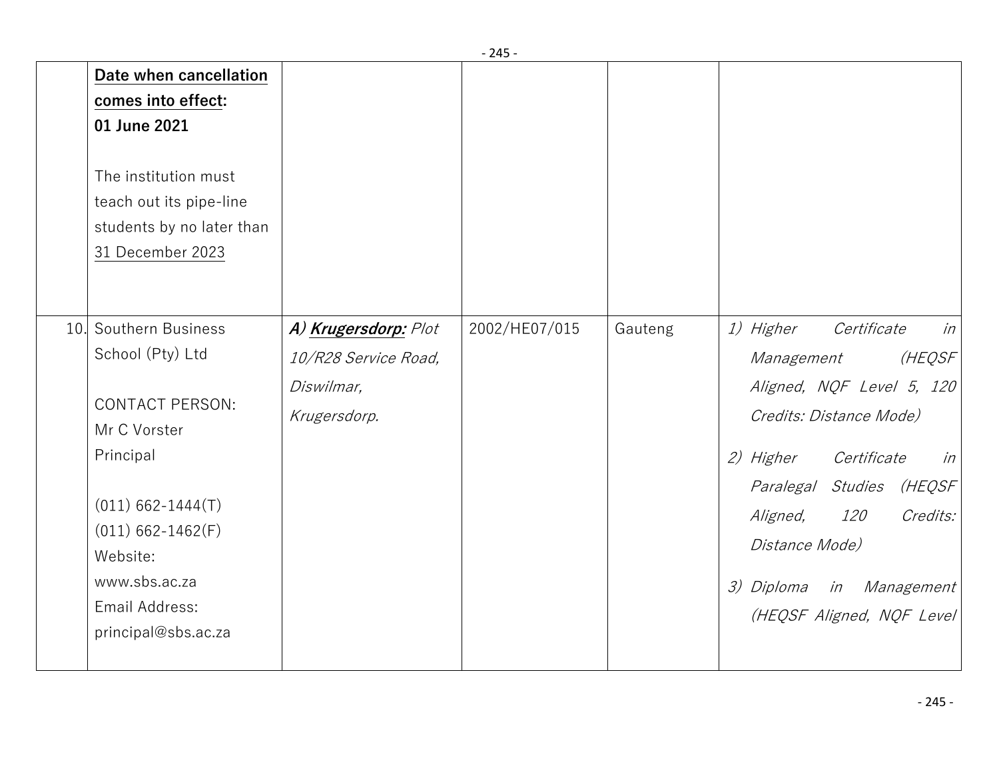|                                                                                                                                                                                                |                                                                                                        |                                                                            | - 45 -        |         |                                                                                                                                                                                                                                                                                                             |
|------------------------------------------------------------------------------------------------------------------------------------------------------------------------------------------------|--------------------------------------------------------------------------------------------------------|----------------------------------------------------------------------------|---------------|---------|-------------------------------------------------------------------------------------------------------------------------------------------------------------------------------------------------------------------------------------------------------------------------------------------------------------|
| comes into effect:<br>01 June 2021<br>31 December 2023                                                                                                                                         | Date when cancellation<br>The institution must<br>teach out its pipe-line<br>students by no later than |                                                                            |               |         |                                                                                                                                                                                                                                                                                                             |
| 10. Southern Business<br>School (Pty) Ltd<br>Mr C Vorster<br>Principal<br>$(011) 662 - 1444(T)$<br>$(011) 662 - 1462(F)$<br>Website:<br>www.sbs.ac.za<br>Email Address:<br>principal@sbs.ac.za | <b>CONTACT PERSON:</b>                                                                                 | A) Krugersdorp: Plot<br>10/R28 Service Road,<br>Diswilmar,<br>Krugersdorp. | 2002/HE07/015 | Gauteng | <i>1) Higher</i><br>Certificate<br>in<br>(HEQSF<br>Management<br>Aligned, NQF Level 5, 120<br>Credits: Distance Mode)<br>2) Higher<br>Certificate<br>in<br>Paralegal Studies<br>(HEQSF<br>Credits:<br>Aligned,<br><i>120</i><br>Distance Mode)<br>in Management<br>3) Diploma<br>(HEQSF Aligned, NQF Level) |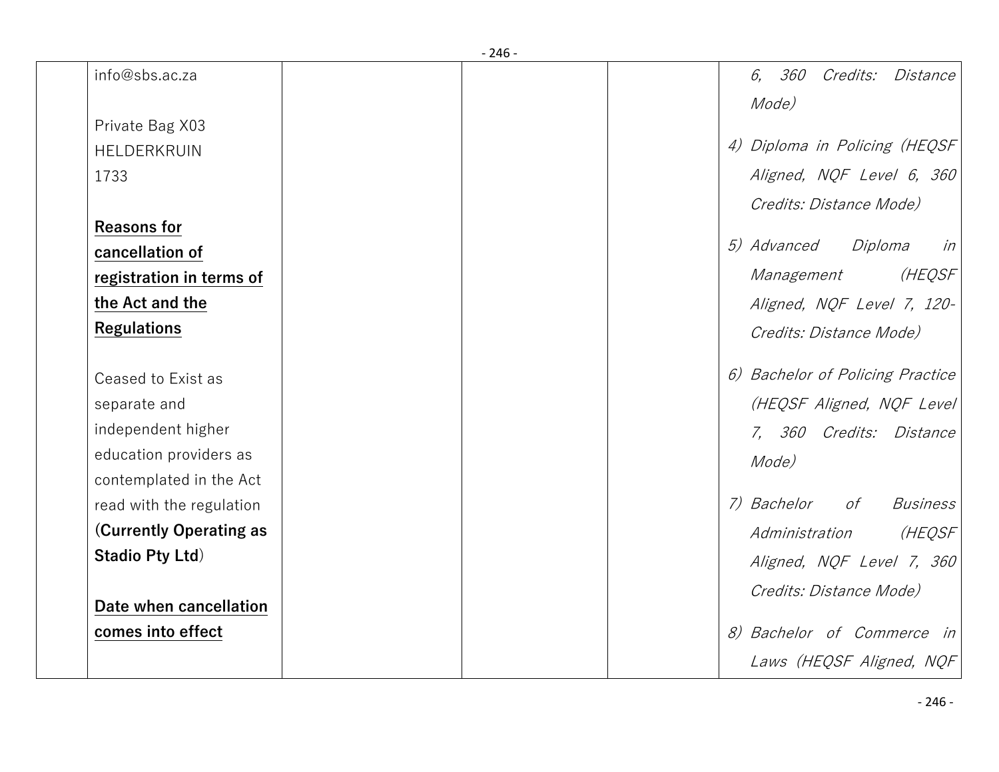|                                | - 246 - |                                             |
|--------------------------------|---------|---------------------------------------------|
| info@sbs.ac.za                 |         | <i>360 Credits: Distance</i><br>6,<br>Mode) |
| Private Bag X03                |         |                                             |
| HELDERKRUIN                    |         | 4) Diploma in Policing (HEQSF               |
| 1733                           |         | Aligned, NQF Level 6, 360                   |
|                                |         | Credits: Distance Mode)                     |
| <b>Reasons for</b>             |         |                                             |
| cancellation of                |         | <i>5) Advanced</i><br>Diploma<br>in         |
| registration in terms of       |         | (HEQSF<br>Management                        |
| the Act and the                |         | Aligned, NQF Level 7, 120-                  |
| <b>Regulations</b>             |         | Credits: Distance Mode)                     |
| Ceased to Exist as             |         | 6) Bachelor of Policing Practice            |
| separate and                   |         | (HEQSF Aligned, NQF Level                   |
| independent higher             |         | 7, 360 Credits: Distance                    |
| education providers as         |         | Mode)                                       |
| contemplated in the Act        |         |                                             |
| read with the regulation       |         | 7) Bachelor<br>of<br><b>Business</b>        |
| <b>(Currently Operating as</b> |         | (HEQSF<br>Administration                    |
| <b>Stadio Pty Ltd)</b>         |         | Aligned, NQF Level 7, 360                   |
|                                |         | Credits: Distance Mode)                     |
| Date when cancellation         |         |                                             |
| comes into effect              |         | 8) Bachelor of Commerce in                  |
|                                |         | Laws (HEQSF Aligned, NQF                    |
|                                |         |                                             |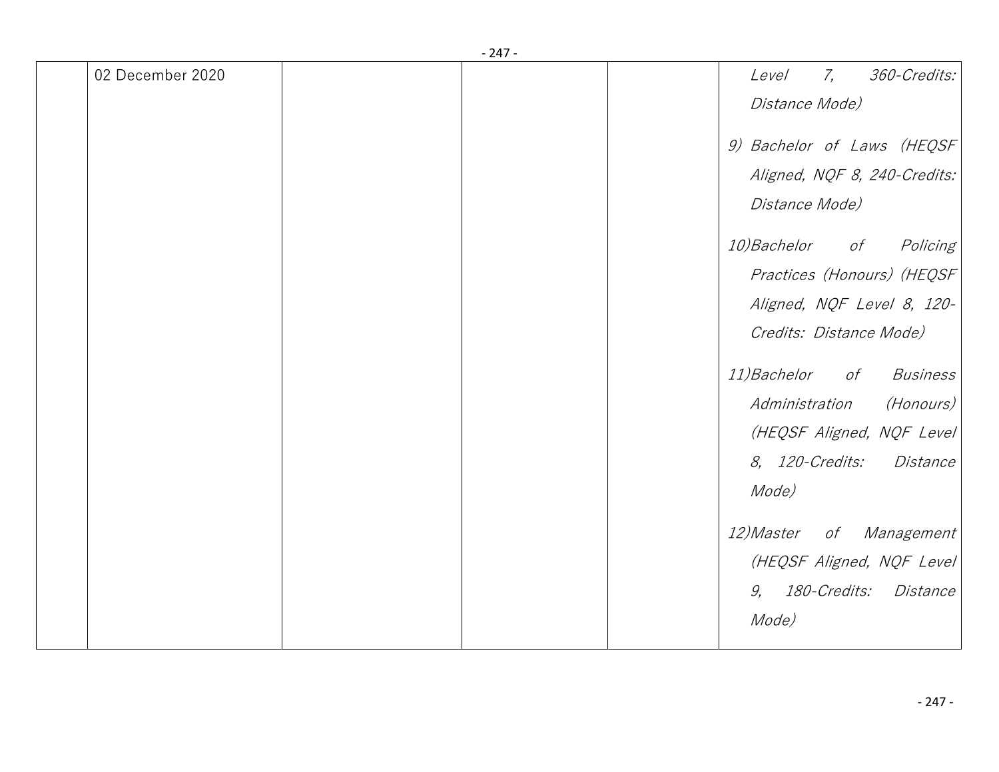|                  | $-247-$ |                                           |
|------------------|---------|-------------------------------------------|
| 02 December 2020 |         | 7,<br>360-Credits:<br>Level               |
|                  |         | Distance Mode)                            |
|                  |         | 9) Bachelor of Laws (HEQSF                |
|                  |         | Aligned, NQF 8, 240-Credits:              |
|                  |         | Distance Mode)                            |
|                  |         | <i>10)Bachelor</i><br>of<br>Policing      |
|                  |         | Practices (Honours) (HEQSF                |
|                  |         | Aligned, NQF Level 8, 120-                |
|                  |         | Credits: Distance Mode)                   |
|                  |         | <i>11)Bachelor</i><br>of Business         |
|                  |         | Administration (Honours)                  |
|                  |         | (HEQSF Aligned, NQF Level)                |
|                  |         | <i>8, 120-Credits:</i><br><i>Distance</i> |
|                  |         | Mode)                                     |
|                  |         | <i>12)Master</i><br>of Management         |
|                  |         | (HEQSF Aligned, NQF Level)                |
|                  |         | 9, 180-Credits: Distance                  |
|                  |         | Mode)                                     |
|                  |         |                                           |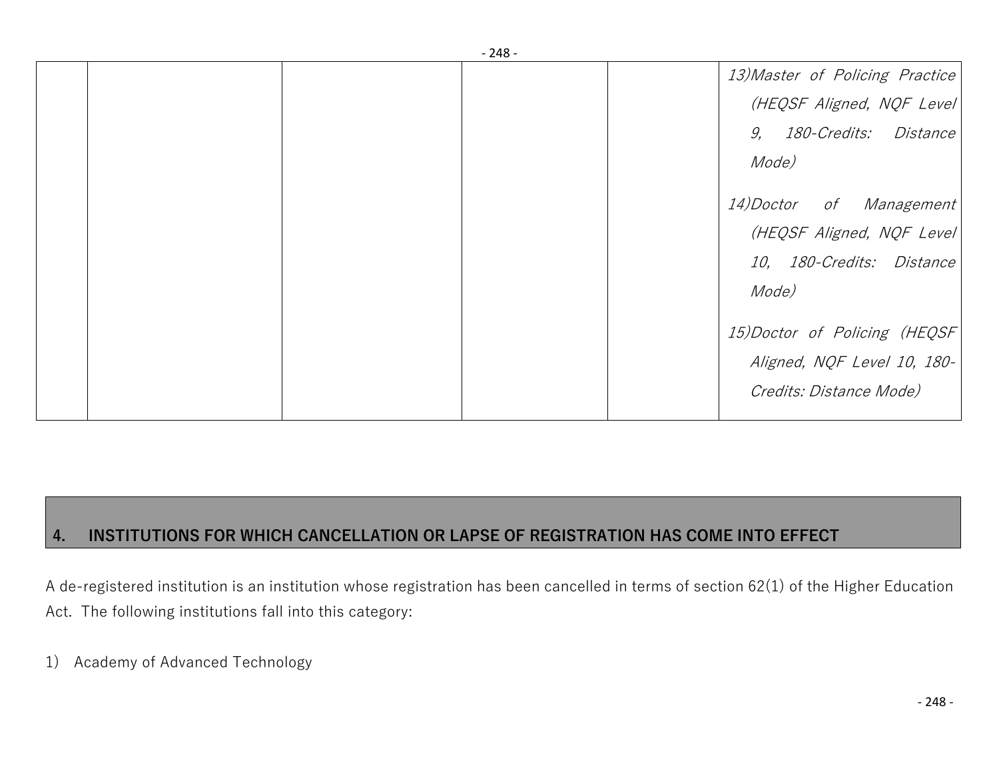| - 40 - |                                 |
|--------|---------------------------------|
|        | 13) Master of Policing Practice |
|        | (HEQSF Aligned, NQF Level)      |
|        | 9, 180-Credits: Distance        |
|        | Mode)                           |
|        | 14) Doctor of Management        |
|        | (HEQSF Aligned, NQF Level       |
|        | 10, 180-Credits: Distance       |
|        | Mode)                           |
|        | 15) Doctor of Policing (HEQSF   |
|        | Aligned, NQF Level 10, 180-     |
|        | Credits: Distance Mode)         |
|        |                                 |

## **4. INSTITUTIONS FOR WHICH CANCELLATION OR LAPSE OF REGISTRATION HAS COME INTO EFFECT**

A de-registered institution is an institution whose registration has been cancelled in terms of section 62(1) of the Higher Education Act. The following institutions fall into this category:

1) Academy of Advanced Technology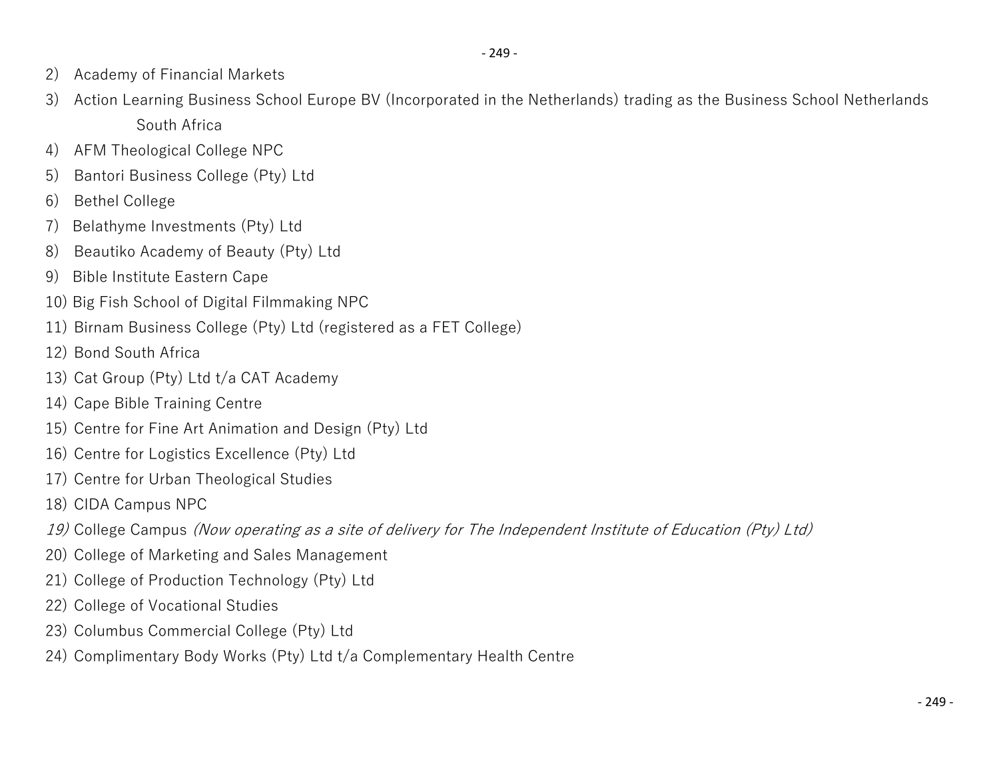- 2) Academy of Financial Markets
- 3) Action Learning Business School Europe BV (Incorporated in the Netherlands) trading as the Business School Netherlands South Africa
- 4) AFM Theological College NPC
- 5) Bantori Business College (Pty) Ltd
- 6) Bethel College
- 7) Belathyme Investments (Pty) Ltd
- 8) Beautiko Academy of Beauty (Pty) Ltd
- 9) Bible Institute Eastern Cape
- 10) Big Fish School of Digital Filmmaking NPC
- 11) Birnam Business College (Pty) Ltd (registered as a FET College)
- 12) Bond South Africa
- 13) Cat Group (Pty) Ltd t/a CAT Academy
- 14) Cape Bible Training Centre
- 15) Centre for Fine Art Animation and Design (Pty) Ltd
- 16) Centre for Logistics Excellence (Pty) Ltd
- 17) Centre for Urban Theological Studies
- 18) CIDA Campus NPC
- *19)* College Campus *(Now operating as a site of delivery for The Independent Institute of Education (Pty) Ltd)*
- 20) College of Marketing and Sales Management
- 21) College of Production Technology (Pty) Ltd
- 22) College of Vocational Studies
- 23) Columbus Commercial College (Pty) Ltd
- 24) Complimentary Body Works (Pty) Ltd t/a Complementary Health Centre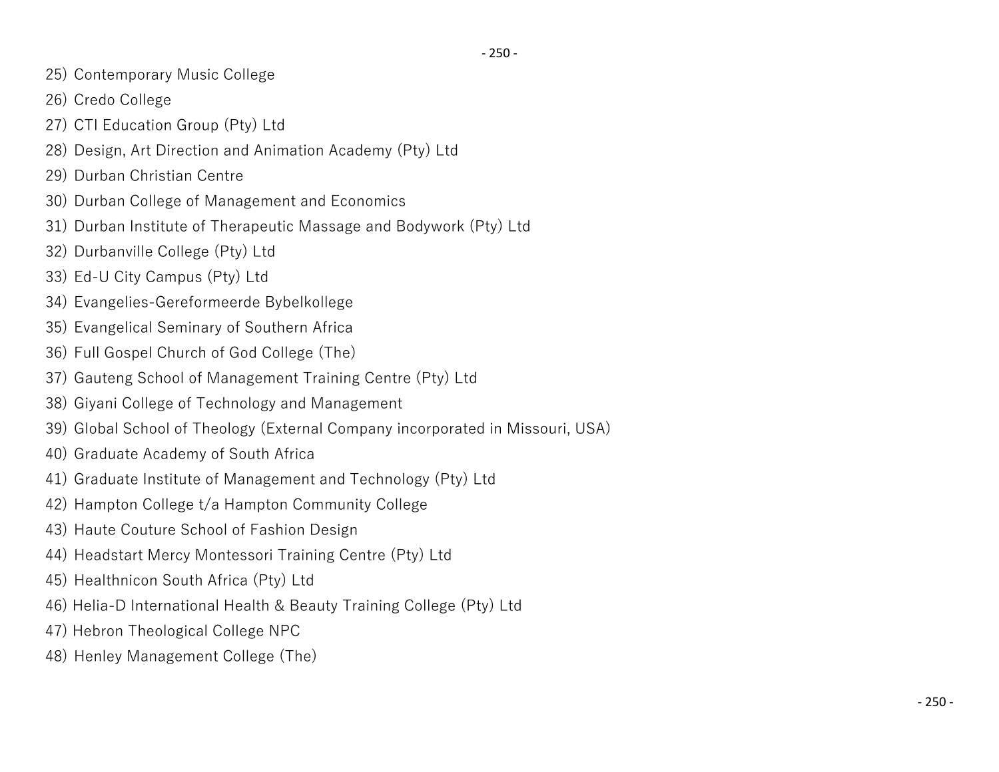- 25) Contemporary Music College
- 26) Credo College
- 27) CTI Education Group (Pty) Ltd
- 28) Design, Art Direction and Animation Academy (Pty) Ltd
- 29) Durban Christian Centre
- 30) Durban College of Management and Economics
- 31) Durban Institute of Therapeutic Massage and Bodywork (Pty) Ltd
- 32) Durbanville College (Pty) Ltd
- 33) Ed-U City Campus (Pty) Ltd
- 34) Evangelies-Gereformeerde Bybelkollege
- 35) Evangelical Seminary of Southern Africa
- 36) Full Gospel Church of God College (The)
- 37) Gauteng School of Management Training Centre (Pty) Ltd
- 38) Giyani College of Technology and Management
- 39) Global School of Theology (External Company incorporated in Missouri, USA)
- 40) Graduate Academy of South Africa
- 41) Graduate Institute of Management and Technology (Pty) Ltd
- 42) Hampton College t/a Hampton Community College
- 43) Haute Couture School of Fashion Design
- 44) Headstart Mercy Montessori Training Centre (Pty) Ltd
- 45) Healthnicon South Africa (Pty) Ltd
- 46) Helia-D International Health & Beauty Training College (Pty) Ltd
- 47) Hebron Theological College NPC
- 48) Henley Management College (The)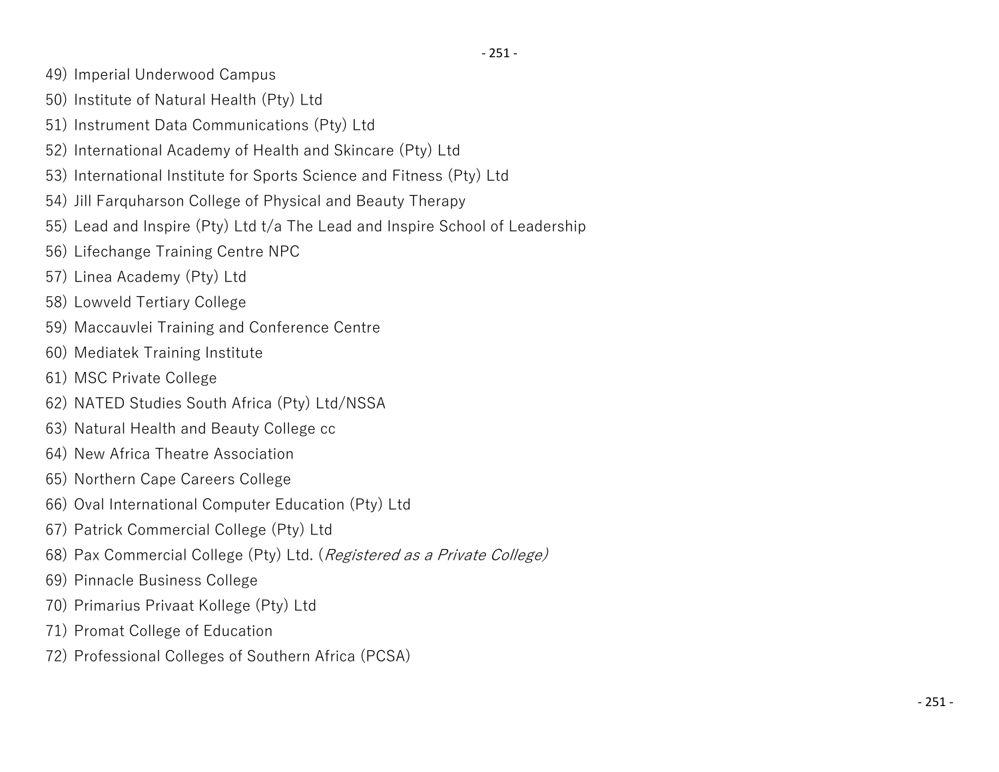- 49) Imperial Underwood Campus
- 50) Institute of Natural Health (Pty) Ltd
- 51) Instrument Data Communications (Pty) Ltd
- 52) International Academy of Health and Skincare (Pty) Ltd
- 53) International Institute for Sports Science and Fitness (Pty) Ltd
- 54) Jill Farquharson College of Physical and Beauty Therapy
- 55) Lead and Inspire (Pty) Ltd t/a The Lead and Inspire School of Leadership
- 56) Lifechange Training Centre NPC
- 57) Linea Academy (Pty) Ltd
- 58) Lowveld Tertiary College
- 59) Maccauvlei Training and Conference Centre
- 60) Mediatek Training Institute
- 61) MSC Private College
- 62) NATED Studies South Africa (Pty) Ltd/NSSA
- 63) Natural Health and Beauty College cc
- 64) New Africa Theatre Association
- 65) Northern Cape Careers College
- 66) Oval International Computer Education (Pty) Ltd
- 67) Patrick Commercial College (Pty) Ltd
- 68) Pax Commercial College (Pty) Ltd. (*Registered as a Private College)*
- 69) Pinnacle Business College
- 70) Primarius Privaat Kollege (Pty) Ltd
- 71) Promat College of Education
- 72) Professional Colleges of Southern Africa (PCSA)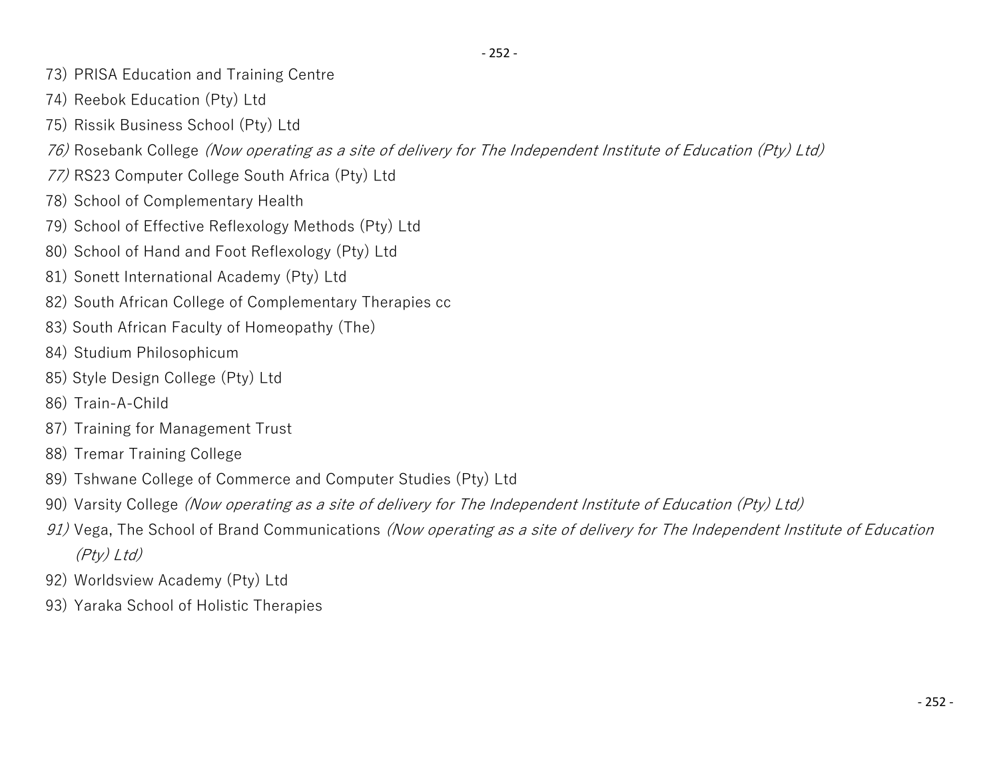- 252 -

- 73) PRISA Education and Training Centre
- 74) Reebok Education (Pty) Ltd
- 75) Rissik Business School (Pty) Ltd
- *76)* Rosebank College *(Now operating as a site of delivery for The Independent Institute of Education (Pty) Ltd)*
- *77)* RS23 Computer College South Africa (Pty) Ltd
- 78) School of Complementary Health
- 79) School of Effective Reflexology Methods (Pty) Ltd
- 80) School of Hand and Foot Reflexology (Pty) Ltd
- 81) Sonett International Academy (Pty) Ltd
- 82) South African College of Complementary Therapies cc
- 83) South African Faculty of Homeopathy (The)
- 84) Studium Philosophicum
- 85) Style Design College (Pty) Ltd
- 86) Train-A-Child
- 87) Training for Management Trust
- 88) Tremar Training College
- 89) Tshwane College of Commerce and Computer Studies (Pty) Ltd
- 90) Varsity College *(Now operating as a site of delivery for The Independent Institute of Education (Pty) Ltd)*
- *91)* Vega, The School of Brand Communications *(Now operating as a site of delivery for The Independent Institute of Education (Pty) Ltd)*
- 92) Worldsview Academy (Pty) Ltd
- 93) Yaraka School of Holistic Therapies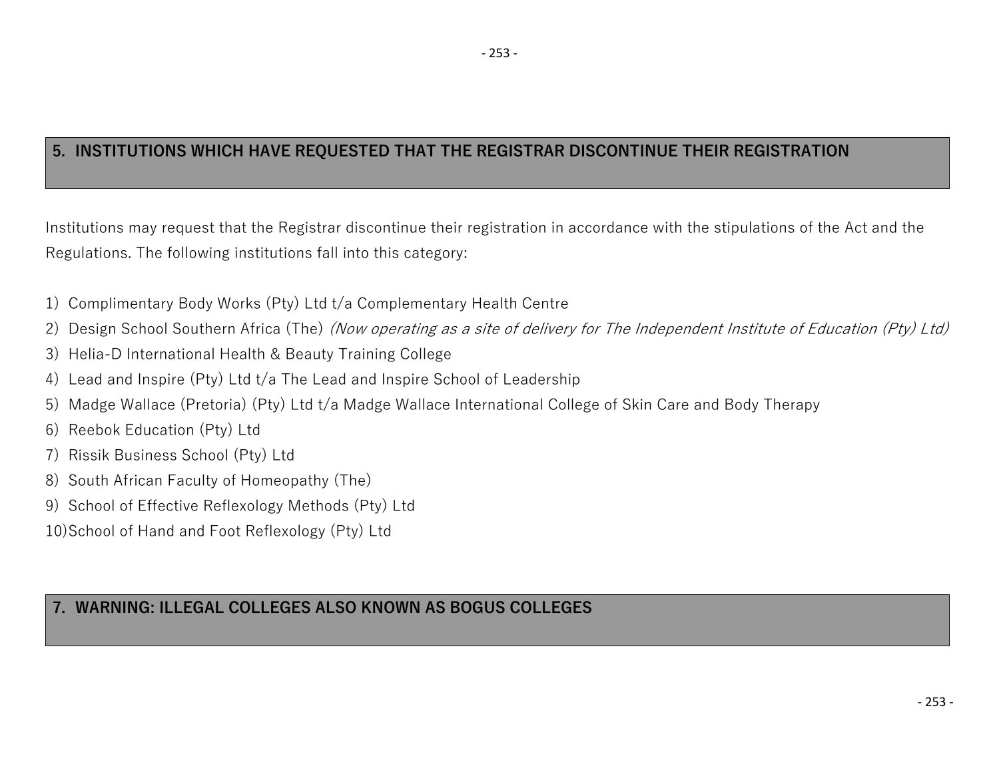## **5. INSTITUTIONS WHICH HAVE REQUESTED THAT THE REGISTRAR DISCONTINUE THEIR REGISTRATION**

Institutions may request that the Registrar discontinue their registration in accordance with the stipulations of the Act and the Regulations. The following institutions fall into this category:

- 1) Complimentary Body Works (Pty) Ltd t/a Complementary Health Centre
- 2) Design School Southern Africa (The) *(Now operating as a site of delivery for The Independent Institute of Education (Pty) Ltd)*
- 3) Helia-D International Health & Beauty Training College
- 4) Lead and Inspire (Pty) Ltd t/a The Lead and Inspire School of Leadership
- 5) Madge Wallace (Pretoria) (Pty) Ltd t/a Madge Wallace International College of Skin Care and Body Therapy
- 6) Reebok Education (Pty) Ltd
- 7) Rissik Business School (Pty) Ltd
- 8) South African Faculty of Homeopathy (The)
- 9) School of Effective Reflexology Methods (Pty) Ltd

10)School of Hand and Foot Reflexology (Pty) Ltd

## **7. WARNING: ILLEGAL COLLEGES ALSO KNOWN AS BOGUS COLLEGES**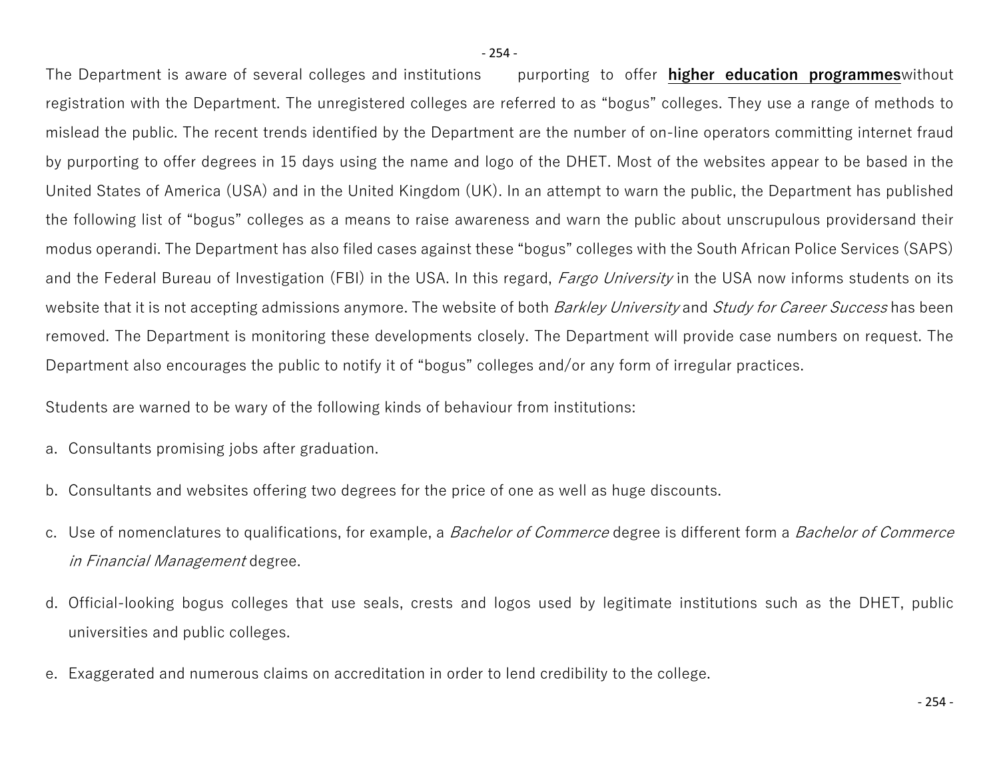The Department is aware of several colleges and institutions purporting to offer **higher education programmes**without registration with the Department. The unregistered colleges are referred to as "bogus" colleges. They use a range of methods to mislead the public. The recent trends identified by the Department are the number of on-line operators committing internet fraud by purporting to offer degrees in 15 days using the name and logo of the DHET. Most of the websites appear to be based in the United States of America (USA) and in the United Kingdom (UK). In an attempt to warn the public, the Department has published the following list of "bogus" colleges as a means to raise awareness and warn the public about unscrupulous providersand their modus operandi. The Department has also filed cases against these "bogus" colleges with the South African Police Services (SAPS) and the Federal Bureau of Investigation (FBI) in the USA. In this regard, *Fargo University* in the USA now informs students on its website that it is not accepting admissions anymore. The website of both *Barkley University* and *Study for Career Success* has been removed. The Department is monitoring these developments closely. The Department will provide case numbers on request. The Department also encourages the public to notify it of "bogus" colleges and/or any form of irregular practices.

Students are warned to be wary of the following kinds of behaviour from institutions:

- a. Consultants promising jobs after graduation.
- b. Consultants and websites offering two degrees for the price of one as well as huge discounts.
- c. Use of nomenclatures to qualifications, for example, a *Bachelor of Commerce* degree is different form a *Bachelor of Commerce in Financial Management* degree.
- d. Official-looking bogus colleges that use seals, crests and logos used by legitimate institutions such as the DHET, public universities and public colleges.
- e. Exaggerated and numerous claims on accreditation in order to lend credibility to the college.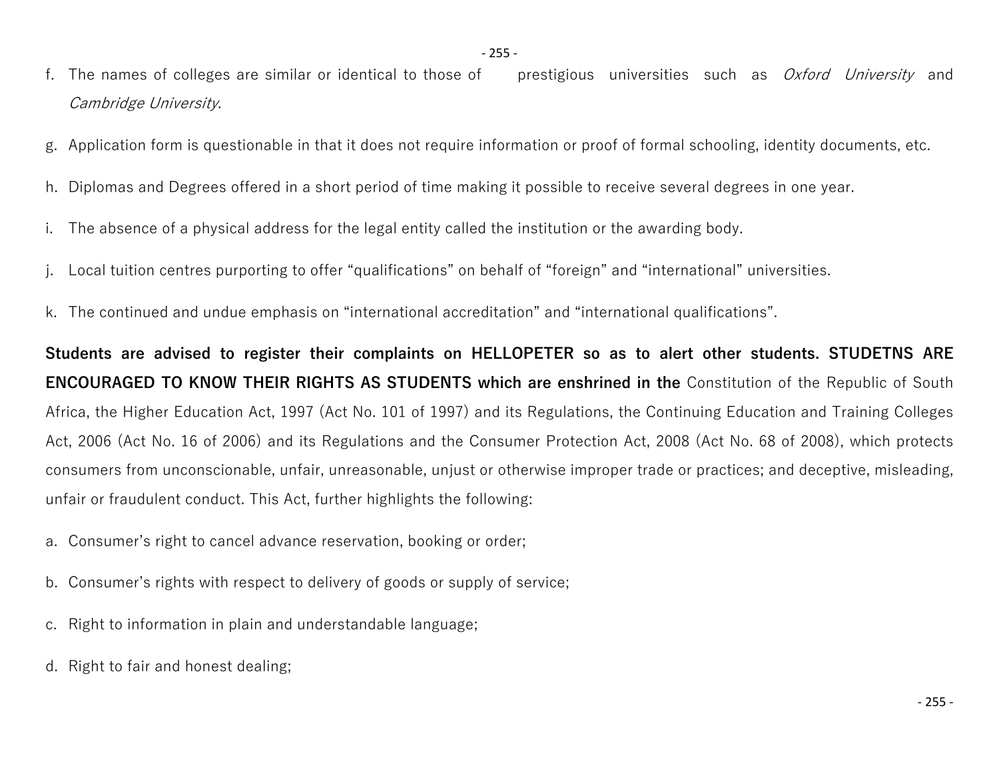- f. The names of colleges are similar or identical to those of prestigious universities such as *Oxford University* and *Cambridge University*.
- g. Application form is questionable in that it does not require information or proof of formal schooling, identity documents, etc.
- h. Diplomas and Degrees offered in a short period of time making it possible to receive several degrees in one year.
- i. The absence of a physical address for the legal entity called the institution or the awarding body.
- j. Local tuition centres purporting to offer "qualifications" on behalf of "foreign" and "international" universities.
- k. The continued and undue emphasis on "international accreditation" and "international qualifications".

**Students are advised to register their complaints on HELLOPETER so as to alert other students. STUDETNS ARE ENCOURAGED TO KNOW THEIR RIGHTS AS STUDENTS which are enshrined in the** Constitution of the Republic of South Africa, the Higher Education Act, 1997 (Act No. 101 of 1997) and its Regulations, the Continuing Education and Training Colleges Act, 2006 (Act No. 16 of 2006) and its Regulations and the Consumer Protection Act, 2008 (Act No. 68 of 2008), which protects consumers from unconscionable, unfair, unreasonable, unjust or otherwise improper trade or practices; and deceptive, misleading, unfair or fraudulent conduct. This Act, further highlights the following:

- a. Consumer's right to cancel advance reservation, booking or order;
- b. Consumer's rights with respect to delivery of goods or supply of service;
- c. Right to information in plain and understandable language;
- d. Right to fair and honest dealing;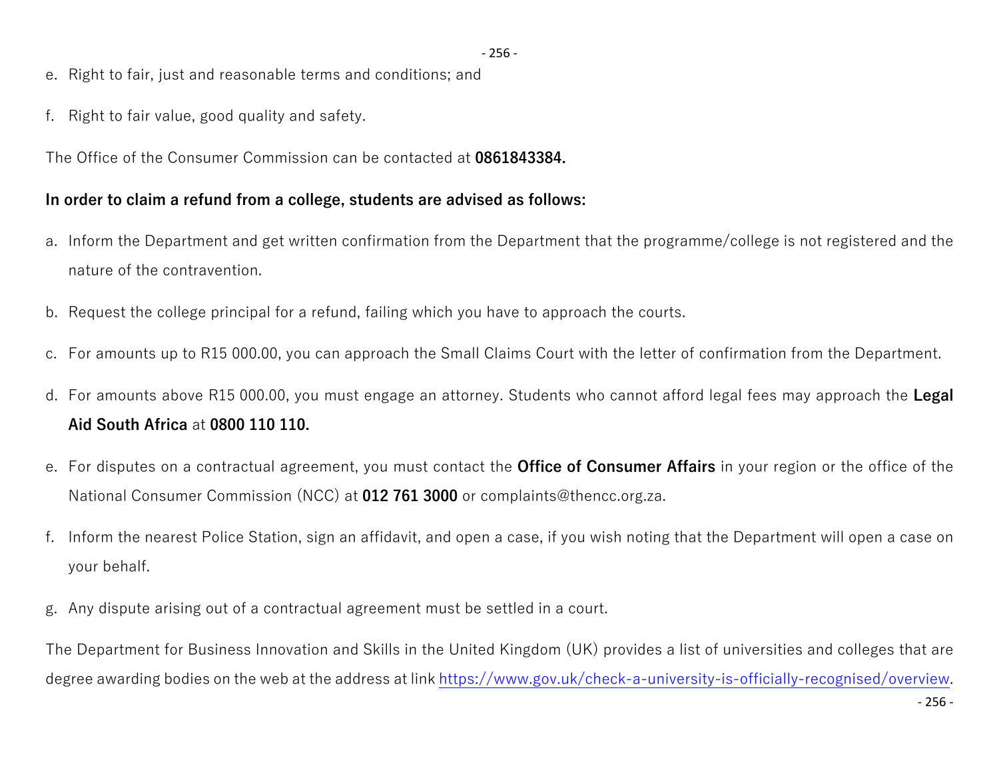- 256 -

- e. Right to fair, just and reasonable terms and conditions; and
- f. Right to fair value, good quality and safety.

The Office of the Consumer Commission can be contacted at **0861843384.**

## **In order to claim a refund from a college, students are advised as follows:**

- a. Inform the Department and get written confirmation from the Department that the programme/college is not registered and the nature of the contravention.
- b. Request the college principal for a refund, failing which you have to approach the courts.
- c. For amounts up to R15 000.00, you can approach the Small Claims Court with the letter of confirmation from the Department.
- d. For amounts above R15 000.00, you must engage an attorney. Students who cannot afford legal fees may approach the **Legal Aid South Africa** at **0800 110 110.**
- e. For disputes on a contractual agreement, you must contact the **Office of Consumer Affairs** in your region or the office of the National Consumer Commission (NCC) at **012 761 3000** or complaints@thencc.org.za.
- f. Inform the nearest Police Station, sign an affidavit, and open a case, if you wish noting that the Department will open a case on your behalf.
- g. Any dispute arising out of a contractual agreement must be settled in a court.

The Department for Business Innovation and Skills in the United Kingdom (UK) provides a list of universities and colleges that are degree awarding bodies on the web at the address at link [https://www.gov.uk/check-a-university-is-officially-recognised/overview.](https://www.gov.uk/check-a-university-is-officially-recognised/overview)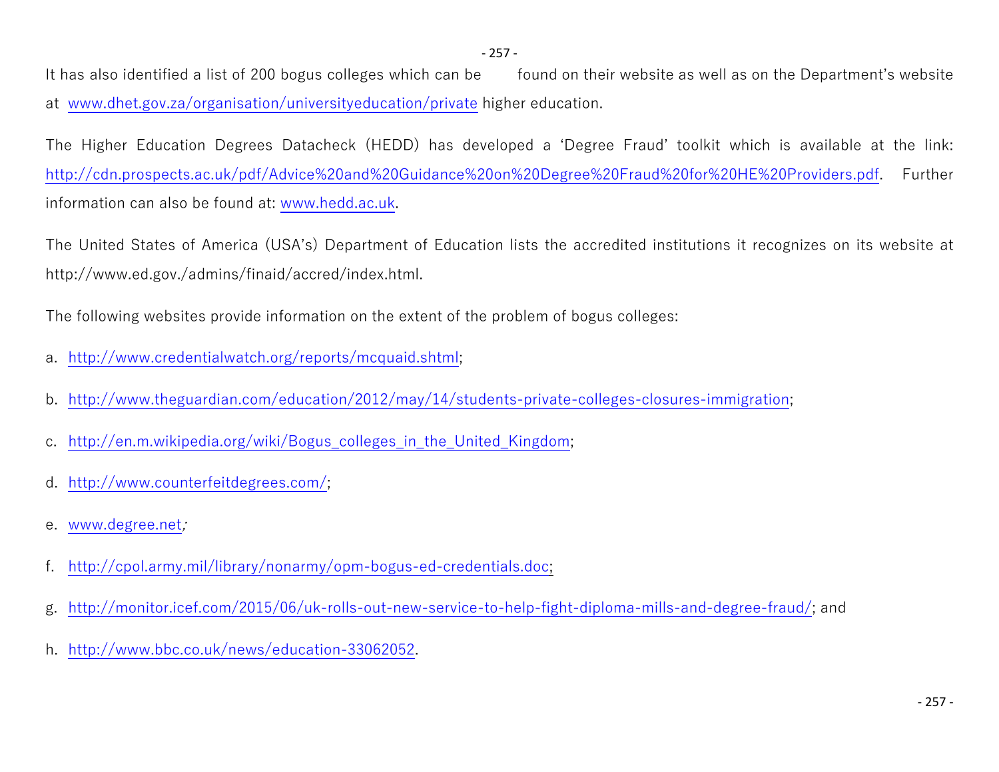It has also identified a list of 200 bogus colleges which can be found on their website as well as on the Department's website at [www.dhet.gov.za/organisation/universityeducation/private](http://www.dhet.gov.za/organisation/universityeducation/private) higher education.

The Higher Education Degrees Datacheck (HEDD) has developed a 'Degree Fraud' toolkit which is available at the link: <http://cdn.prospects.ac.uk/pdf/Advice%20and%20Guidance%20on%20Degree%20Fraud%20for%20HE%20Providers.pdf>. Further information can also be found at: [www.hedd.ac.uk](http://www.hedd.ac.uk/).

The United States of America (USA's) Department of Education lists the accredited institutions it recognizes on its website at http://www.ed.gov./admins/finaid/accred/index.html.

The following websites provide information on the extent of the problem of bogus colleges:

- a. [http://www.credentialwatch.org/reports/mcquaid.shtml;](http://www.credentialwatch.org/reports/mcquaid.shtml)
- b. [http://www.theguardian.com/education/2012/may/14/students-private-colleges-closures-immigration;](http://www.theguardian.com/education/2012/may/14/students-private-colleges-closures-immigration)
- c. [http://en.m.wikipedia.org/wiki/Bogus\\_colleges\\_in\\_the\\_United\\_Kingdom;](http://en.m.wikipedia.org/wiki/Bogus_colleges_in_the_United_Kingdom)
- d. <http://www.counterfeitdegrees.com/>;
- e. [www.degree.net](http://www.degree.net/)*;*
- f. <http://cpol.army.mil/library/nonarmy/opm-bogus-ed-credentials.doc>;
- g. [http://monitor.icef.com/2015/06/uk-rolls-out-new-service-to-help-fight-diploma-mills-and-degree-fraud/;](http://monitor.icef.com/2015/06/uk-rolls-out-new-service-to-help-fight-diploma-mills-and-degree-fraud/) and
- h. [http://www.bbc.co.uk/news/education-33062052.](http://www.bbc.co.uk/news/education-33062052)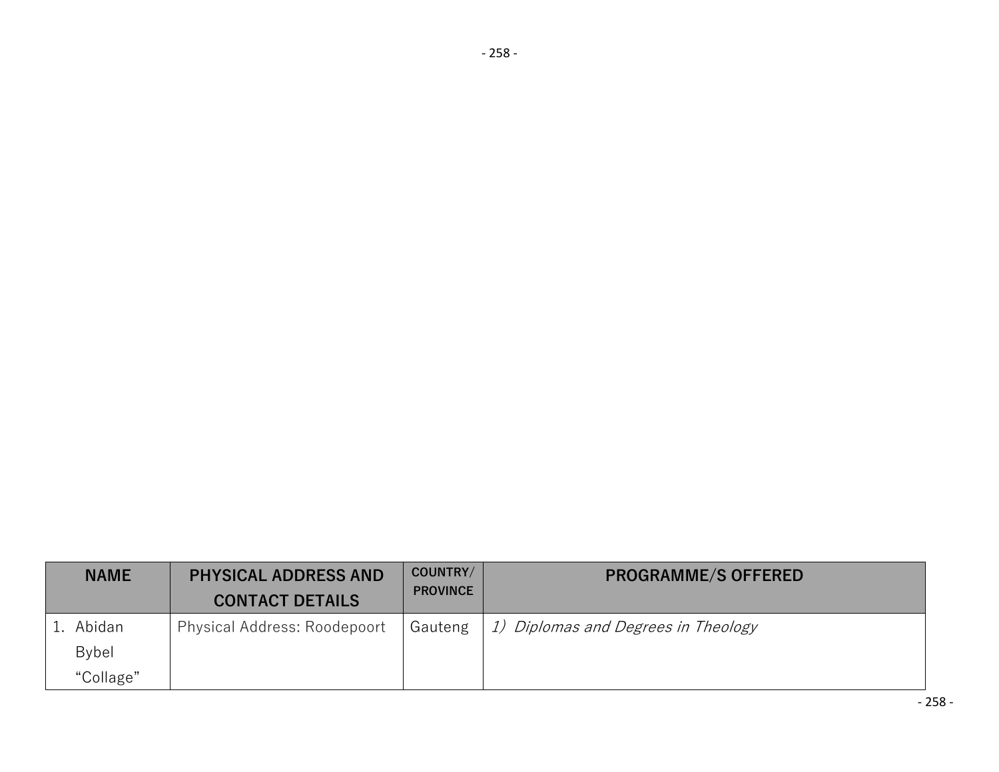| <b>NAME</b> | <b>PHYSICAL ADDRESS AND</b><br><b>CONTACT DETAILS</b> | COUNTRY/<br><b>PROVINCE</b> | <b>PROGRAMME/S OFFERED</b>          |
|-------------|-------------------------------------------------------|-----------------------------|-------------------------------------|
| 1. Abidan   | Physical Address: Roodepoort                          | Gauteng                     | 1) Diplomas and Degrees in Theology |
| Bybel       |                                                       |                             |                                     |
| "Collage"   |                                                       |                             |                                     |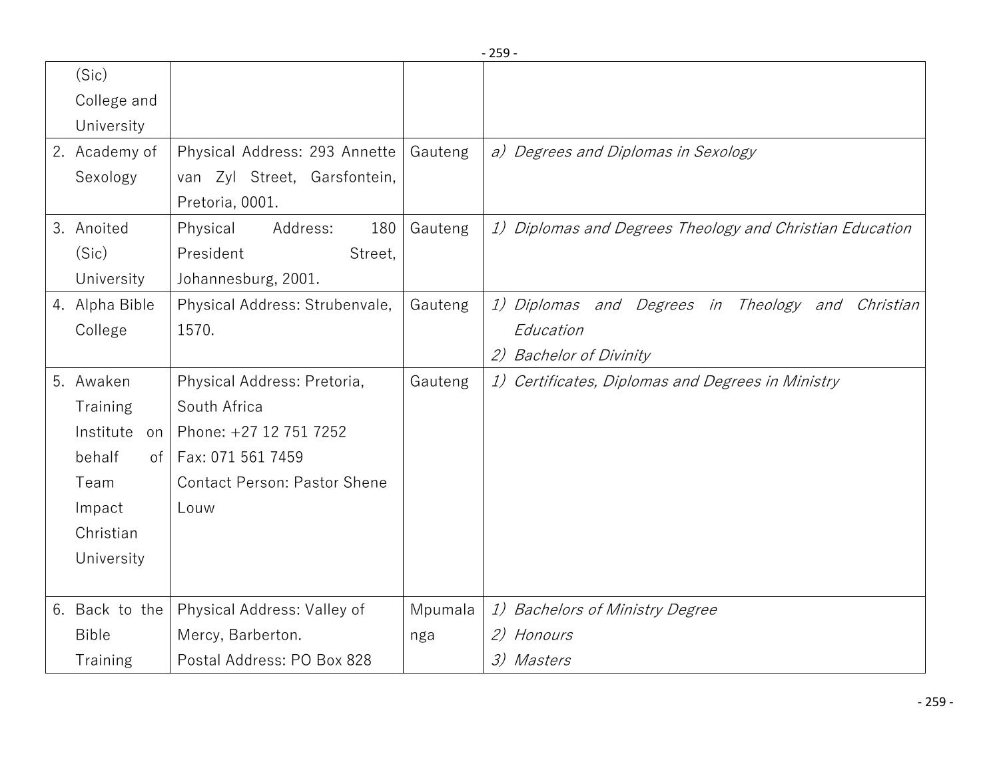|                     |                                     |         | $-259-$                                                  |
|---------------------|-------------------------------------|---------|----------------------------------------------------------|
| (Sic)               |                                     |         |                                                          |
| College and         |                                     |         |                                                          |
| University          |                                     |         |                                                          |
| 2. Academy of       | Physical Address: 293 Annette       | Gauteng | a) Degrees and Diplomas in Sexology                      |
| Sexology            | van Zyl Street, Garsfontein,        |         |                                                          |
|                     | Pretoria, 0001.                     |         |                                                          |
| 3. Anoited          | 180<br>Physical<br>Address:         | Gauteng | 1) Diplomas and Degrees Theology and Christian Education |
| (Sic)               | President<br>Street,                |         |                                                          |
| University          | Johannesburg, 2001.                 |         |                                                          |
| 4. Alpha Bible      | Physical Address: Strubenvale,      | Gauteng | 1) Diplomas and Degrees in Theology and Christian        |
| College             | 1570.                               |         | Education                                                |
|                     |                                     |         | <b>Bachelor of Divinity</b><br>(2)                       |
| 5. Awaken           | Physical Address: Pretoria,         | Gauteng | 1) Certificates, Diplomas and Degrees in Ministry        |
| Training            | South Africa                        |         |                                                          |
| Institute<br>on     | Phone: +27 12 751 7252              |         |                                                          |
| behalf<br>$\circ$ f | Fax: 071 561 7459                   |         |                                                          |
| Team                | <b>Contact Person: Pastor Shene</b> |         |                                                          |
| Impact              | Louw                                |         |                                                          |
| Christian           |                                     |         |                                                          |
| University          |                                     |         |                                                          |
|                     |                                     |         |                                                          |
| 6. Back to the      | Physical Address: Valley of         | Mpumala | 1) Bachelors of Ministry Degree                          |
| <b>Bible</b>        | Mercy, Barberton.                   | nga     | 2) Honours                                               |
| Training            | Postal Address: PO Box 828          |         | 3) Masters                                               |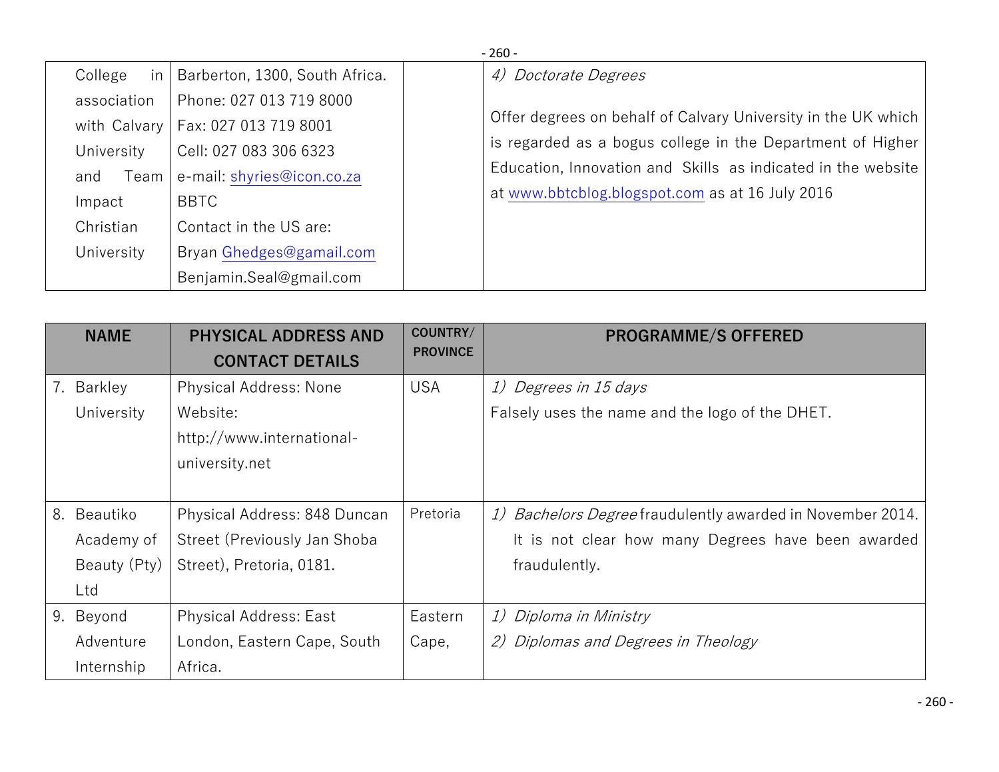|               | $-260-$                        |                                                               |  |  |  |  |
|---------------|--------------------------------|---------------------------------------------------------------|--|--|--|--|
| College<br>in | Barberton, 1300, South Africa. | 4) Doctorate Degrees                                          |  |  |  |  |
| association   | Phone: 027 013 719 8000        | Offer degrees on behalf of Calvary University in the UK which |  |  |  |  |
| with Calvary  | Fax: 027 013 719 8001          | is regarded as a bogus college in the Department of Higher    |  |  |  |  |
| University    | Cell: 027 083 306 6323         | Education, Innovation and Skills as indicated in the website  |  |  |  |  |
| Team<br>and   | e-mail: shyries@icon.co.za     | at www.bbtcblog.blogspot.com as at 16 July 2016               |  |  |  |  |
| Impact        | <b>BBTC</b>                    |                                                               |  |  |  |  |
| Christian     | Contact in the US are:         |                                                               |  |  |  |  |
| University    | Bryan Ghedges@gamail.com       |                                                               |  |  |  |  |
|               | Benjamin.Seal@gmail.com        |                                                               |  |  |  |  |

| <b>NAME</b>    | <b>PHYSICAL ADDRESS AND</b><br><b>CONTACT DETAILS</b> | COUNTRY/<br><b>PROVINCE</b> | <b>PROGRAMME/S OFFERED</b>                                 |
|----------------|-------------------------------------------------------|-----------------------------|------------------------------------------------------------|
| 7.<br>Barkley  | <b>Physical Address: None</b>                         | <b>USA</b>                  | 1) Degrees in 15 days                                      |
| University     | Website:                                              |                             | Falsely uses the name and the logo of the DHET.            |
|                | http://www.international-                             |                             |                                                            |
|                | university.net                                        |                             |                                                            |
|                |                                                       |                             |                                                            |
| 8.<br>Beautiko | Physical Address: 848 Duncan                          | Pretoria                    | 1) Bachelors Degree fraudulently awarded in November 2014. |
| Academy of     | Street (Previously Jan Shoba                          |                             | It is not clear how many Degrees have been awarded         |
| Beauty (Pty)   | Street), Pretoria, 0181.                              |                             | fraudulently.                                              |
| Ltd            |                                                       |                             |                                                            |
| 9.<br>Beyond   | <b>Physical Address: East</b>                         | Eastern                     | 1) Diploma in Ministry                                     |
| Adventure      | London, Eastern Cape, South                           | Cape,                       | 2) Diplomas and Degrees in Theology                        |
| Internship     | Africa.                                               |                             |                                                            |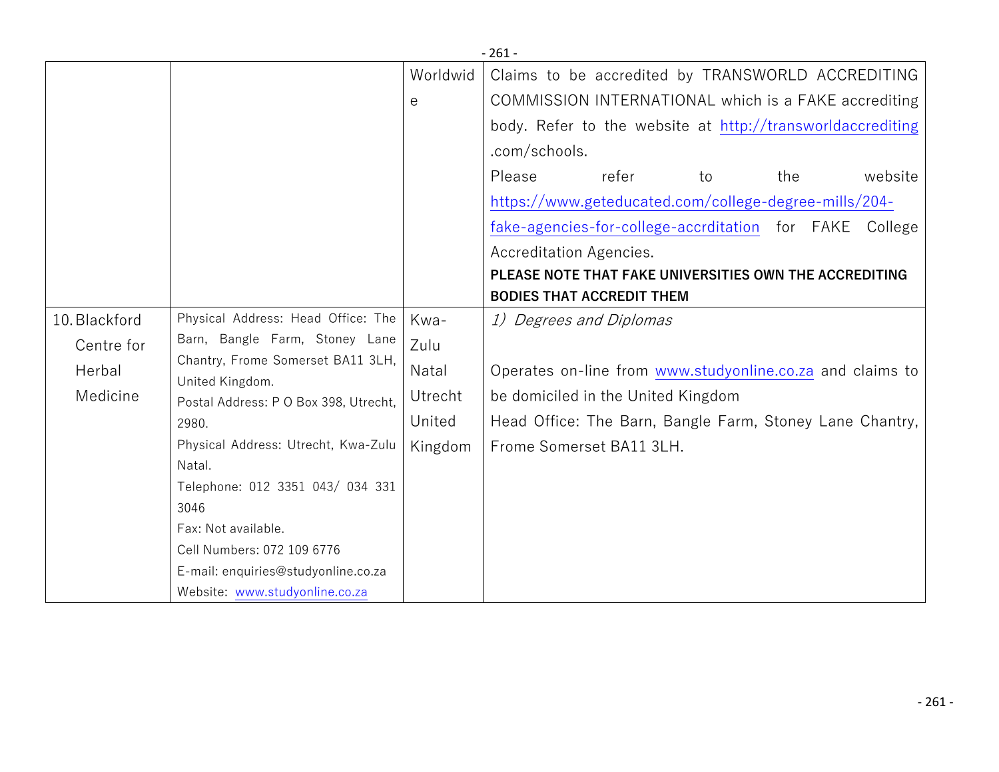|               |                                                                                                        |                   | $-261-$                                                    |
|---------------|--------------------------------------------------------------------------------------------------------|-------------------|------------------------------------------------------------|
|               |                                                                                                        | Worldwid          | Claims to be accredited by TRANSWORLD ACCREDITING          |
|               |                                                                                                        | е                 | COMMISSION INTERNATIONAL which is a FAKE accrediting       |
|               |                                                                                                        |                   | body. Refer to the website at http://transworldaccrediting |
|               |                                                                                                        |                   | .com/schools.                                              |
|               |                                                                                                        |                   | Please<br>refer<br>website<br>to<br>the                    |
|               |                                                                                                        |                   | https://www.geteducated.com/college-degree-mills/204-      |
|               |                                                                                                        |                   | fake-agencies-for-college-accrditation for FAKE College    |
|               |                                                                                                        |                   | Accreditation Agencies.                                    |
|               |                                                                                                        |                   | PLEASE NOTE THAT FAKE UNIVERSITIES OWN THE ACCREDITING     |
|               |                                                                                                        |                   | <b>BODIES THAT ACCREDIT THEM</b>                           |
| 10. Blackford | Physical Address: Head Office: The                                                                     | Kwa-              | 1) Degrees and Diplomas                                    |
| Centre for    | Barn, Bangle Farm, Stoney Lane                                                                         | Zulu              |                                                            |
| Herbal        | Chantry, Frome Somerset BA11 3LH,<br>United Kingdom.<br>Postal Address: P O Box 398, Utrecht,<br>2980. | Natal             | Operates on-line from www.studyonline.co.za and claims to  |
| Medicine      |                                                                                                        | Utrecht<br>United | be domiciled in the United Kingdom                         |
|               |                                                                                                        |                   | Head Office: The Barn, Bangle Farm, Stoney Lane Chantry,   |
|               | Physical Address: Utrecht, Kwa-Zulu                                                                    | Kingdom           | Frome Somerset BA11 3LH.                                   |
|               | Natal.                                                                                                 |                   |                                                            |
|               | Telephone: 012 3351 043/ 034 331                                                                       |                   |                                                            |
|               | 3046                                                                                                   |                   |                                                            |
|               | Fax: Not available.                                                                                    |                   |                                                            |
|               | Cell Numbers: 072 109 6776                                                                             |                   |                                                            |
|               | E-mail: enquiries@studyonline.co.za                                                                    |                   |                                                            |
|               | Website: www.studyonline.co.za                                                                         |                   |                                                            |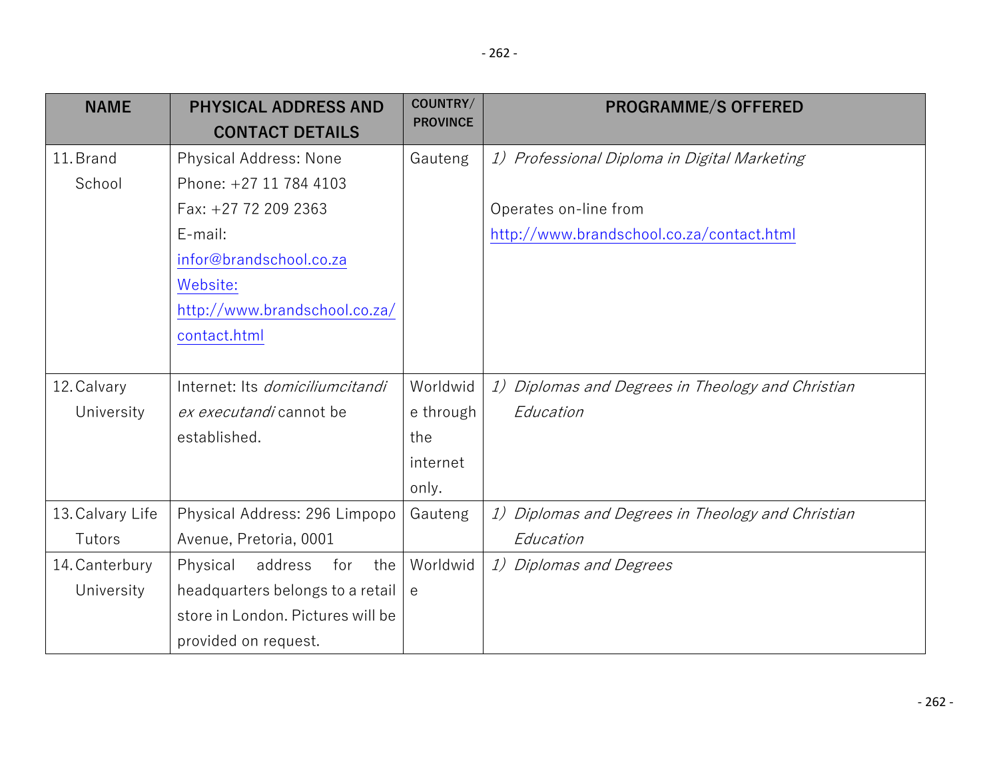| <b>NAME</b>      | <b>PHYSICAL ADDRESS AND</b><br><b>CONTACT DETAILS</b> | COUNTRY/<br><b>PROVINCE</b> | <b>PROGRAMME/S OFFERED</b>                        |
|------------------|-------------------------------------------------------|-----------------------------|---------------------------------------------------|
| 11. Brand        | Physical Address: None                                | Gauteng                     | 1) Professional Diploma in Digital Marketing      |
| School           | Phone: +27 11 784 4103                                |                             |                                                   |
|                  | Fax: +27 72 209 2363                                  |                             | Operates on-line from                             |
|                  | E-mail:                                               |                             | http://www.brandschool.co.za/contact.html         |
|                  | infor@brandschool.co.za                               |                             |                                                   |
|                  | Website:                                              |                             |                                                   |
|                  | http://www.brandschool.co.za/                         |                             |                                                   |
|                  | contact.html                                          |                             |                                                   |
|                  |                                                       |                             |                                                   |
| 12. Calvary      | Internet: Its <i>domiciliumcitandi</i>                | Worldwid                    | 1) Diplomas and Degrees in Theology and Christian |
| University       | ex executandi cannot be                               | e through                   | Education                                         |
|                  | established.                                          | the                         |                                                   |
|                  |                                                       | internet                    |                                                   |
|                  |                                                       | only.                       |                                                   |
| 13. Calvary Life | Physical Address: 296 Limpopo                         | Gauteng                     | 1) Diplomas and Degrees in Theology and Christian |
| Tutors           | Avenue, Pretoria, 0001                                |                             | Education                                         |
| 14. Canterbury   | address<br>Physical<br>the<br>for                     | Worldwid                    | 1) Diplomas and Degrees                           |
| University       | headquarters belongs to a retail                      | $\theta$                    |                                                   |
|                  | store in London. Pictures will be                     |                             |                                                   |
|                  | provided on request.                                  |                             |                                                   |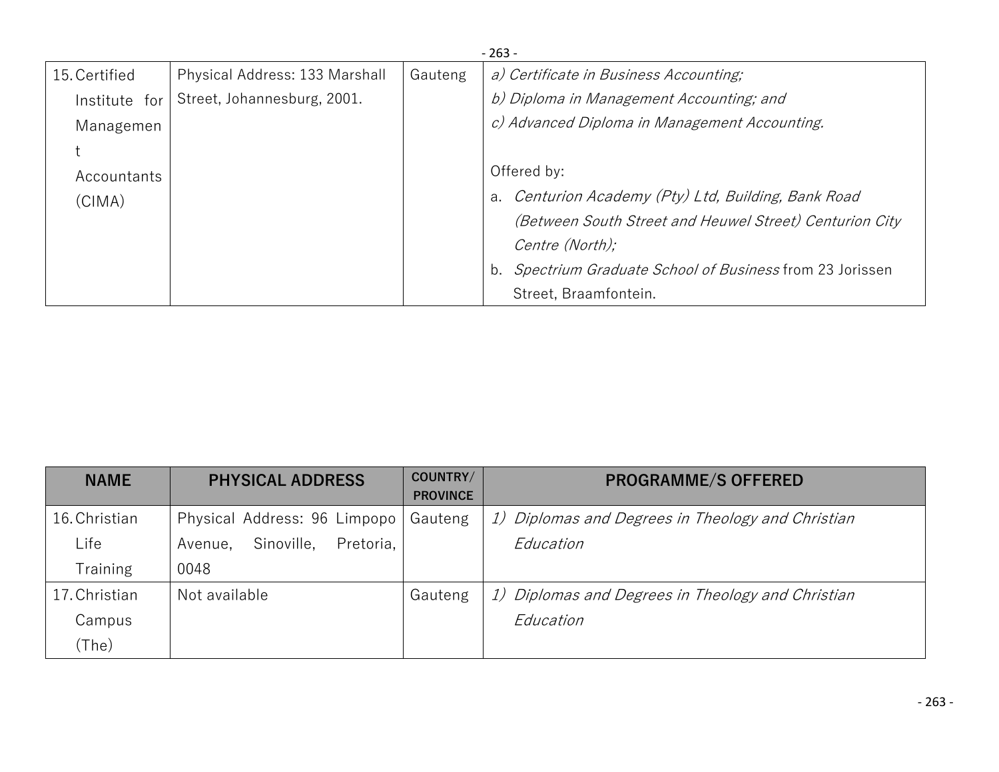|               | $-263-$                        |         |                                                         |  |  |  |
|---------------|--------------------------------|---------|---------------------------------------------------------|--|--|--|
| 15. Certified | Physical Address: 133 Marshall | Gauteng | a) Certificate in Business Accounting;                  |  |  |  |
| Institute for | Street, Johannesburg, 2001.    |         | b) Diploma in Management Accounting; and                |  |  |  |
| Managemen     |                                |         | c) Advanced Diploma in Management Accounting.           |  |  |  |
|               |                                |         |                                                         |  |  |  |
| Accountants   |                                |         | Offered by:                                             |  |  |  |
| (CIMA)        |                                |         | a. Centurion Academy (Pty) Ltd, Building, Bank Road     |  |  |  |
|               |                                |         | (Between South Street and Heuwel Street) Centurion City |  |  |  |
|               |                                |         | Centre (North);                                         |  |  |  |
|               |                                |         | Spectrium Graduate School of Business from 23 Jorissen  |  |  |  |
|               |                                |         | Street, Braamfontein.                                   |  |  |  |

| <b>NAME</b>   | <b>PHYSICAL ADDRESS</b>            | COUNTRY/<br><b>PROVINCE</b> | <b>PROGRAMME/S OFFERED</b>                        |
|---------------|------------------------------------|-----------------------------|---------------------------------------------------|
| 16. Christian | Physical Address: 96 Limpopo       | Gauteng                     | 1) Diplomas and Degrees in Theology and Christian |
| Life          | Pretoria,<br>Sinoville,<br>Avenue, |                             | Education                                         |
| Training      | 0048                               |                             |                                                   |
| 17. Christian | Not available                      | Gauteng                     | 1) Diplomas and Degrees in Theology and Christian |
| Campus        |                                    |                             | Education                                         |
| (The)         |                                    |                             |                                                   |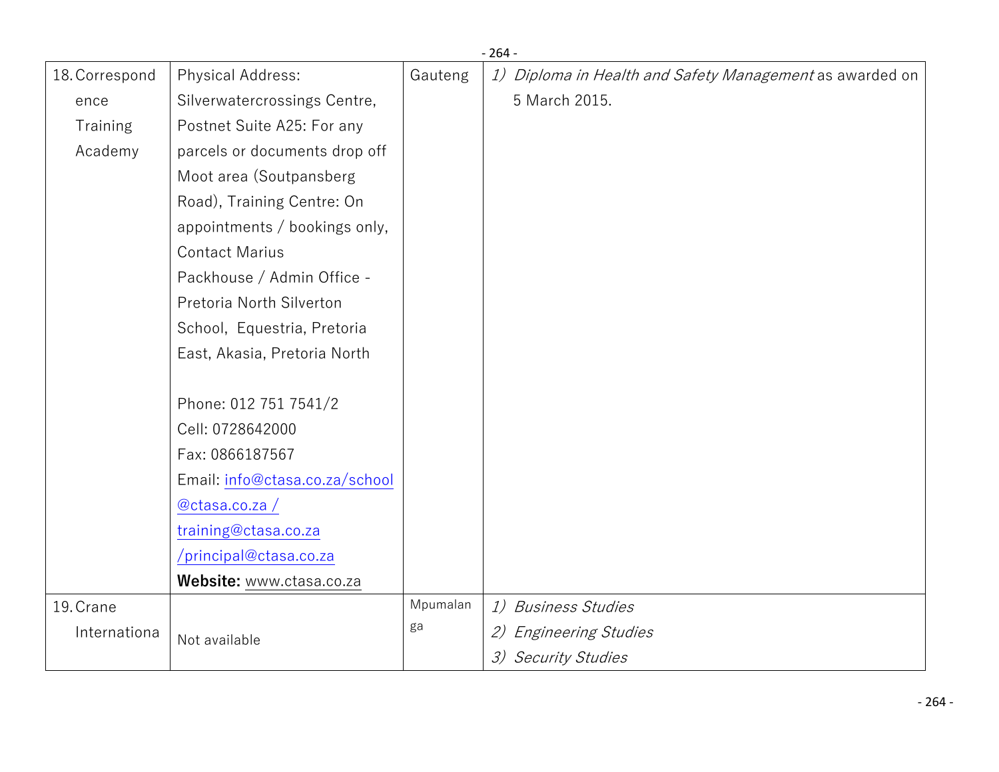|                |                                |          | $-264-$                                                  |
|----------------|--------------------------------|----------|----------------------------------------------------------|
| 18. Correspond | Physical Address:              | Gauteng  | 1) Diploma in Health and Safety Management as awarded on |
| ence           | Silverwatercrossings Centre,   |          | 5 March 2015.                                            |
| Training       | Postnet Suite A25: For any     |          |                                                          |
| Academy        | parcels or documents drop off  |          |                                                          |
|                | Moot area (Soutpansberg        |          |                                                          |
|                | Road), Training Centre: On     |          |                                                          |
|                | appointments / bookings only,  |          |                                                          |
|                | <b>Contact Marius</b>          |          |                                                          |
|                | Packhouse / Admin Office -     |          |                                                          |
|                | Pretoria North Silverton       |          |                                                          |
|                | School, Equestria, Pretoria    |          |                                                          |
|                | East, Akasia, Pretoria North   |          |                                                          |
|                |                                |          |                                                          |
|                | Phone: 012 751 7541/2          |          |                                                          |
|                | Cell: 0728642000               |          |                                                          |
|                | Fax: 0866187567                |          |                                                          |
|                | Email: info@ctasa.co.za/school |          |                                                          |
|                | @ctasa.co.za/                  |          |                                                          |
|                | training@ctasa.co.za           |          |                                                          |
|                | /principal@ctasa.co.za         |          |                                                          |
|                | Website: www.ctasa.co.za       |          |                                                          |
| 19. Crane      |                                | Mpumalan | 1) Business Studies                                      |
| Internationa   | Not available                  | ga       | 2) Engineering Studies                                   |
|                |                                |          | 3) Security Studies                                      |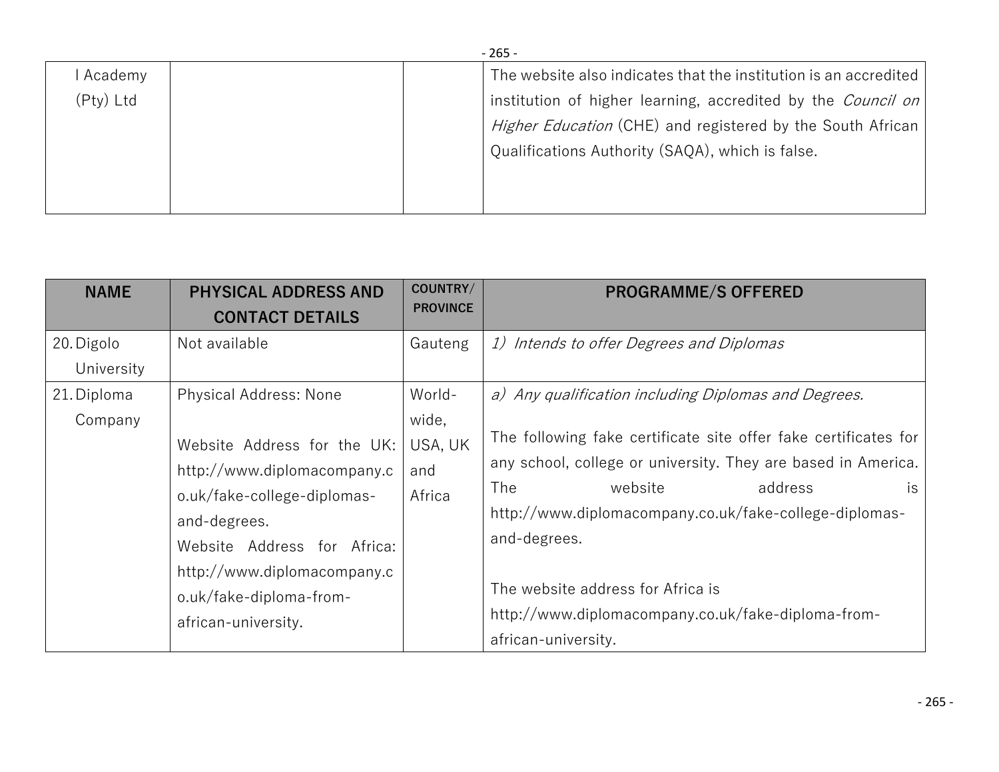|           | $-265-$ |  |                                                                  |  |  |
|-----------|---------|--|------------------------------------------------------------------|--|--|
| Academy   |         |  | The website also indicates that the institution is an accredited |  |  |
| (Pty) Ltd |         |  | institution of higher learning, accredited by the Council on     |  |  |
|           |         |  | Higher Education (CHE) and registered by the South African       |  |  |
|           |         |  | Qualifications Authority (SAQA), which is false.                 |  |  |
|           |         |  |                                                                  |  |  |
|           |         |  |                                                                  |  |  |

| <b>NAME</b>              | <b>PHYSICAL ADDRESS AND</b>                                                                                                                                                                                                                                | COUNTRY/                                    | <b>PROGRAMME/S OFFERED</b>                                                                                                                                                                                                                                                                                                                                                                                               |
|--------------------------|------------------------------------------------------------------------------------------------------------------------------------------------------------------------------------------------------------------------------------------------------------|---------------------------------------------|--------------------------------------------------------------------------------------------------------------------------------------------------------------------------------------------------------------------------------------------------------------------------------------------------------------------------------------------------------------------------------------------------------------------------|
|                          | <b>CONTACT DETAILS</b>                                                                                                                                                                                                                                     | <b>PROVINCE</b>                             |                                                                                                                                                                                                                                                                                                                                                                                                                          |
| 20. Digolo<br>University | Not available                                                                                                                                                                                                                                              | Gauteng                                     | 1) Intends to offer Degrees and Diplomas                                                                                                                                                                                                                                                                                                                                                                                 |
| 21. Diploma<br>Company   | <b>Physical Address: None</b><br>Website Address for the UK:<br>http://www.diplomacompany.c<br>o.uk/fake-college-diplomas-<br>and-degrees.<br>Website Address for Africa:<br>http://www.diplomacompany.c<br>o.uk/fake-diploma-from-<br>african-university. | World-<br>wide,<br>USA, UK<br>and<br>Africa | a) Any qualification including Diplomas and Degrees.<br>The following fake certificate site offer fake certificates for<br>any school, college or university. They are based in America.<br>The<br>address<br>website<br>is.<br>http://www.diplomacompany.co.uk/fake-college-diplomas-<br>and-degrees.<br>The website address for Africa is<br>http://www.diplomacompany.co.uk/fake-diploma-from-<br>african-university. |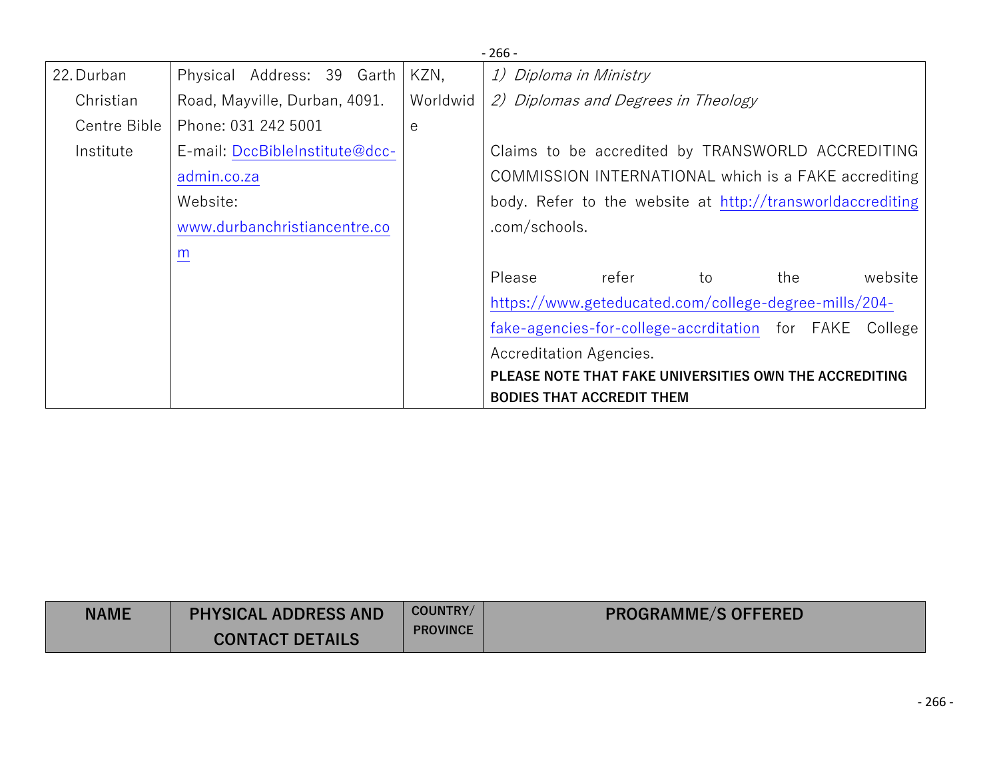|              |                                |          | $-266-$                                                    |
|--------------|--------------------------------|----------|------------------------------------------------------------|
| 22. Durban   | Physical Address: 39 Garth     | KZN,     | 1) Diploma in Ministry                                     |
| Christian    | Road, Mayville, Durban, 4091.  | Worldwid | 2) Diplomas and Degrees in Theology                        |
| Centre Bible | Phone: 031 242 5001            | e        |                                                            |
| Institute    | E-mail: DccBibleInstitute@dcc- |          | Claims to be accredited by TRANSWORLD ACCREDITING          |
|              | admin.co.za                    |          | COMMISSION INTERNATIONAL which is a FAKE accrediting       |
|              | Website:                       |          | body. Refer to the website at http://transworldaccrediting |
|              | www.durbanchristiancentre.co   |          | .com/schools.                                              |
|              | m                              |          |                                                            |
|              |                                |          | Please<br>website<br>refer<br>the<br>to                    |
|              |                                |          | https://www.geteducated.com/college-degree-mills/204-      |
|              |                                |          | fake-agencies-for-college-accrditation for FAKE College    |
|              |                                |          | Accreditation Agencies.                                    |
|              |                                |          | PLEASE NOTE THAT FAKE UNIVERSITIES OWN THE ACCREDITING     |
|              |                                |          | <b>BODIES THAT ACCREDIT THEM</b>                           |

| <b>NAME</b> | <b>PHYSICAL ADDRESS AND</b> | COUNTRY/        | <b>PROGRAMME/S OFFERED</b> |
|-------------|-----------------------------|-----------------|----------------------------|
|             | <b>CONTACT DETAILS</b>      | <b>PROVINCE</b> |                            |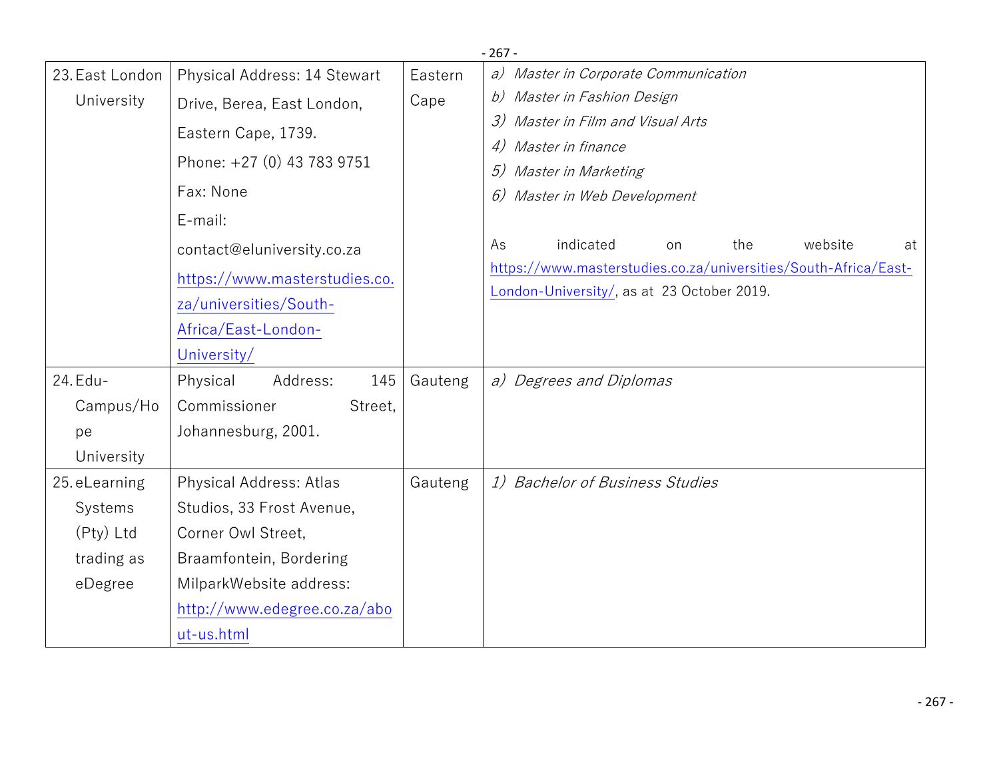|                 |                               |         | $-267-$                                                                                                       |  |  |
|-----------------|-------------------------------|---------|---------------------------------------------------------------------------------------------------------------|--|--|
| 23. East London | Physical Address: 14 Stewart  | Eastern | a) Master in Corporate Communication                                                                          |  |  |
| University      | Drive, Berea, East London,    | Cape    | b) Master in Fashion Design                                                                                   |  |  |
|                 | Eastern Cape, 1739.           |         | Master in Film and Visual Arts<br>3)<br>Master in finance<br>4)                                               |  |  |
|                 | Phone: +27 (0) 43 783 9751    |         | Master in Marketing                                                                                           |  |  |
|                 | Fax: None                     |         | 6) Master in Web Development                                                                                  |  |  |
|                 | E-mail:                       |         |                                                                                                               |  |  |
|                 | contact@eluniversity.co.za    |         | indicated<br>website<br>As<br>the<br>at<br>on                                                                 |  |  |
|                 | https://www.masterstudies.co. |         | https://www.masterstudies.co.za/universities/South-Africa/East-<br>London-University/, as at 23 October 2019. |  |  |
|                 | za/universities/South-        |         |                                                                                                               |  |  |
|                 | Africa/East-London-           |         |                                                                                                               |  |  |
|                 | University/                   |         |                                                                                                               |  |  |
| 24. Edu-        | 145<br>Physical<br>Address:   | Gauteng | a) Degrees and Diplomas                                                                                       |  |  |
| Campus/Ho       | Commissioner<br>Street,       |         |                                                                                                               |  |  |
| pe              | Johannesburg, 2001.           |         |                                                                                                               |  |  |
| University      |                               |         |                                                                                                               |  |  |
| 25. eLearning   | Physical Address: Atlas       | Gauteng | 1) Bachelor of Business Studies                                                                               |  |  |
| Systems         | Studios, 33 Frost Avenue,     |         |                                                                                                               |  |  |
| (Pty) Ltd       | Corner Owl Street,            |         |                                                                                                               |  |  |
| trading as      | Braamfontein, Bordering       |         |                                                                                                               |  |  |
| eDegree         | MilparkWebsite address:       |         |                                                                                                               |  |  |
|                 | http://www.edegree.co.za/abo  |         |                                                                                                               |  |  |
|                 | ut-us.html                    |         |                                                                                                               |  |  |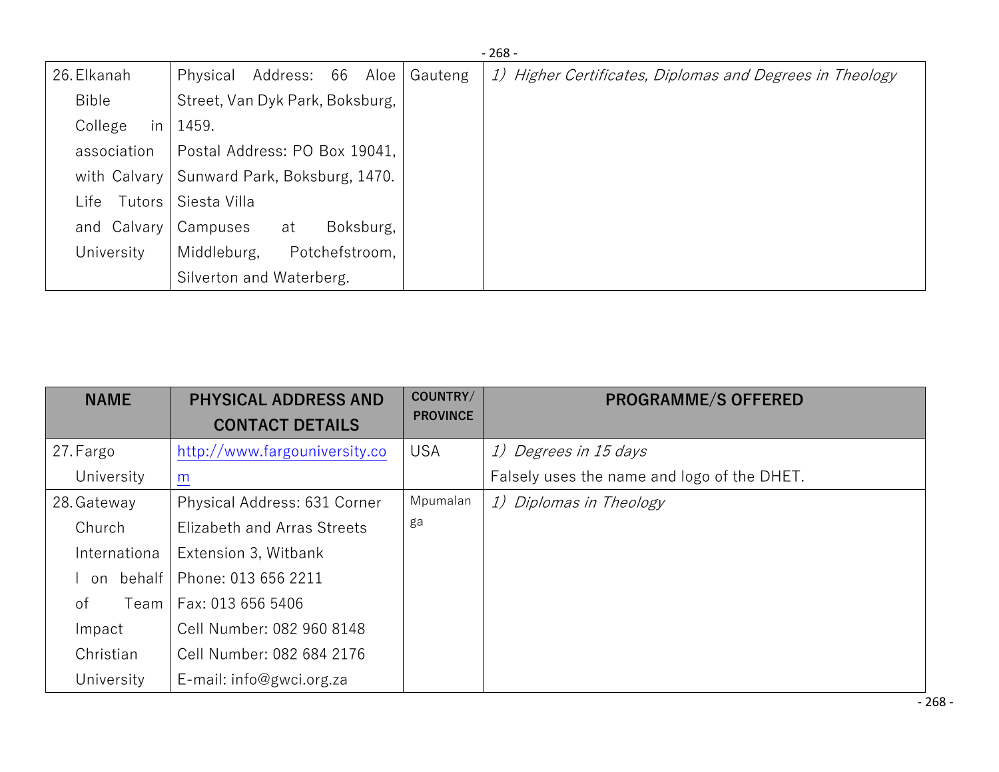|                 |                                 |         | $-268-$                                                  |
|-----------------|---------------------------------|---------|----------------------------------------------------------|
| 26. Elkanah     | Address: 66 Aloe<br>Physical    | Gauteng | 1) Higher Certificates, Diplomas and Degrees in Theology |
| Bible           | Street, Van Dyk Park, Boksburg, |         |                                                          |
| College<br>in   | 1459.                           |         |                                                          |
| association     | Postal Address: PO Box 19041,   |         |                                                          |
| with Calvary    | Sunward Park, Boksburg, 1470.   |         |                                                          |
| Tutors<br>∟ife⊥ | Siesta Villa                    |         |                                                          |
| and Calvary     | Boksburg,<br>Campuses<br>at     |         |                                                          |
| University      | Potchefstroom,<br>Middleburg,   |         |                                                          |
|                 | Silverton and Waterberg.        |         |                                                          |

| <b>NAME</b>  | <b>PHYSICAL ADDRESS AND</b><br><b>CONTACT DETAILS</b> | COUNTRY/<br><b>PROVINCE</b> | <b>PROGRAMME/S OFFERED</b>                  |
|--------------|-------------------------------------------------------|-----------------------------|---------------------------------------------|
| 27. Fargo    | http://www.fargouniversity.co                         | <b>USA</b>                  | 1) Degrees in 15 days                       |
| University   | $\underline{m}$                                       |                             | Falsely uses the name and logo of the DHET. |
| 28. Gateway  | Physical Address: 631 Corner                          | Mpumalan                    | 1) Diplomas in Theology                     |
| Church       | Elizabeth and Arras Streets                           | ga                          |                                             |
| Internationa | Extension 3, Witbank                                  |                             |                                             |
| behalf<br>on | Phone: 013 656 2211                                   |                             |                                             |
| οf<br>Team   | Fax: 013 656 5406                                     |                             |                                             |
| Impact       | Cell Number: 082 960 8148                             |                             |                                             |
| Christian    | Cell Number: 082 684 2176                             |                             |                                             |
| University   | E-mail: info@gwci.org.za                              |                             |                                             |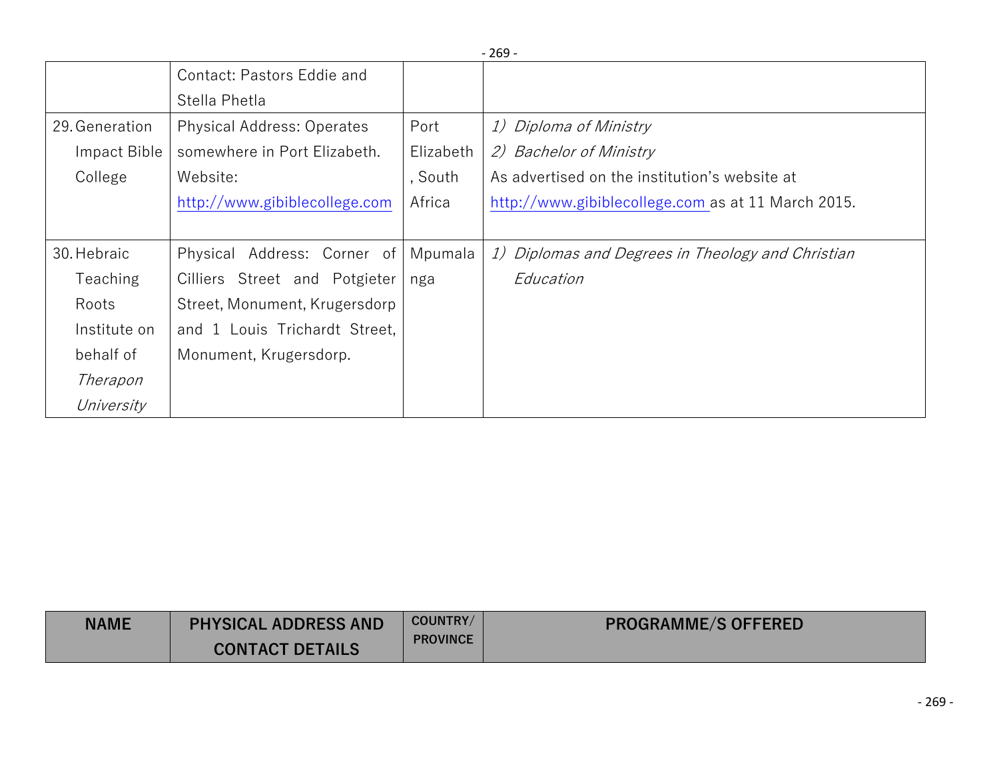|                 |                                   |           | $-269-$                                            |
|-----------------|-----------------------------------|-----------|----------------------------------------------------|
|                 | Contact: Pastors Eddie and        |           |                                                    |
|                 | Stella Phetla                     |           |                                                    |
| 29. Generation  | <b>Physical Address: Operates</b> | Port      | 1) Diploma of Ministry                             |
| Impact Bible    | somewhere in Port Elizabeth.      | Elizabeth | 2) Bachelor of Ministry                            |
| College         | Website:                          | , South   | As advertised on the institution's website at      |
|                 | http://www.gibiblecollege.com     | Africa    | http://www.gibiblecollege.com as at 11 March 2015. |
|                 |                                   |           |                                                    |
| 30. Hebraic     | Physical Address: Corner of       | Mpumala   | 1) Diplomas and Degrees in Theology and Christian  |
| <b>Teaching</b> | Cilliers Street and Potgieter     | nga       | Education                                          |
| Roots           | Street, Monument, Krugersdorp     |           |                                                    |
| Institute on    | and 1 Louis Trichardt Street,     |           |                                                    |
| behalf of       | Monument, Krugersdorp.            |           |                                                    |
| Therapon        |                                   |           |                                                    |
| University      |                                   |           |                                                    |

| <b>NAME</b> | <b>PHYSICAL ADDRESS AND</b><br><b>CONTACT DETAILS</b> | COUNTRY/<br><b>PROVINCE</b> | <b>PROGRAMME/S OFFERED</b> |
|-------------|-------------------------------------------------------|-----------------------------|----------------------------|
|-------------|-------------------------------------------------------|-----------------------------|----------------------------|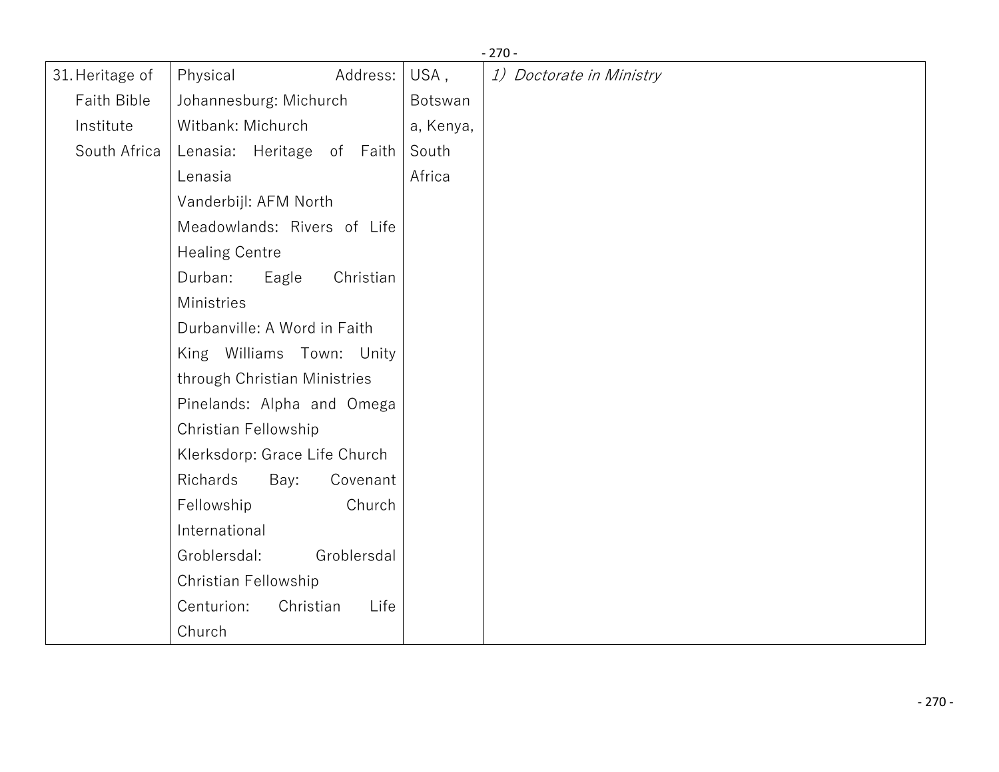| 31. Heritage of    | Physical<br>Address:            | USA,      | - 270 -<br>1) Doctorate in Ministry |
|--------------------|---------------------------------|-----------|-------------------------------------|
| <b>Faith Bible</b> | Johannesburg: Michurch          | Botswan   |                                     |
|                    |                                 |           |                                     |
| Institute          | Witbank: Michurch               | a, Kenya, |                                     |
| South Africa       | Lenasia: Heritage of Faith      | South     |                                     |
|                    | Lenasia                         | Africa    |                                     |
|                    | Vanderbijl: AFM North           |           |                                     |
|                    | Meadowlands: Rivers of Life     |           |                                     |
|                    | <b>Healing Centre</b>           |           |                                     |
|                    | Durban:<br>Eagle<br>Christian   |           |                                     |
|                    | Ministries                      |           |                                     |
|                    | Durbanville: A Word in Faith    |           |                                     |
|                    | King Williams Town: Unity       |           |                                     |
|                    | through Christian Ministries    |           |                                     |
|                    | Pinelands: Alpha and Omega      |           |                                     |
|                    | Christian Fellowship            |           |                                     |
|                    | Klerksdorp: Grace Life Church   |           |                                     |
|                    | Richards<br>Bay:<br>Covenant    |           |                                     |
|                    | Church<br>Fellowship            |           |                                     |
|                    | International                   |           |                                     |
|                    | Groblersdal<br>Groblersdal:     |           |                                     |
|                    | Christian Fellowship            |           |                                     |
|                    | Centurion:<br>Christian<br>Life |           |                                     |
|                    | Church                          |           |                                     |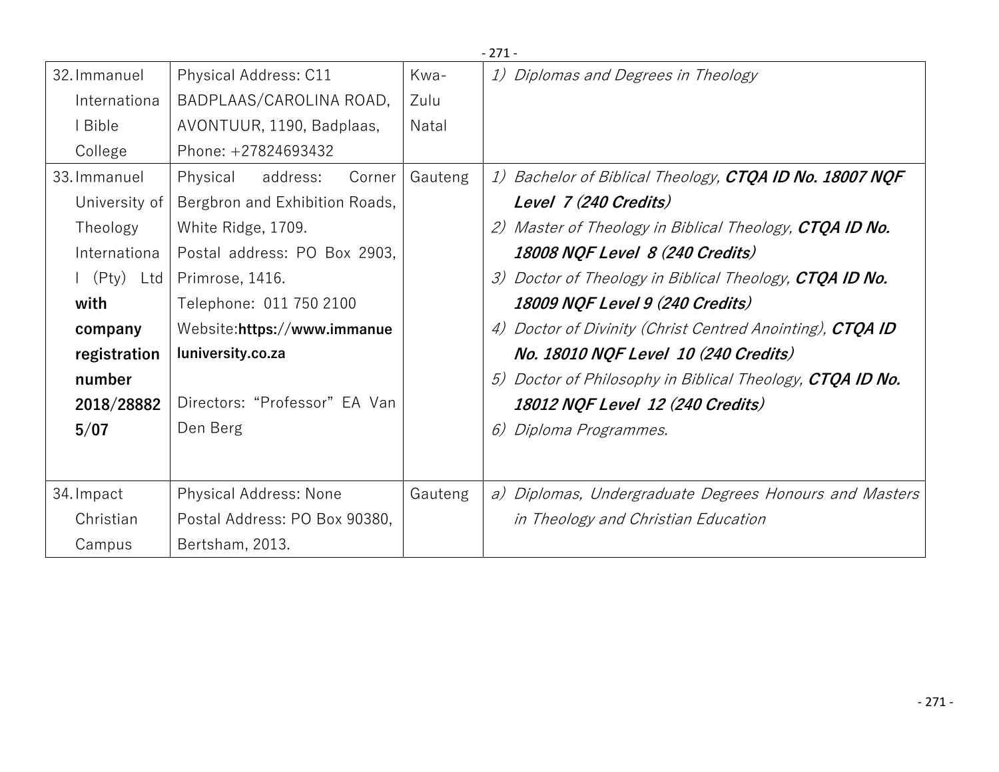|                                             |                                |         | -271-                                                          |
|---------------------------------------------|--------------------------------|---------|----------------------------------------------------------------|
| 32. Immanuel                                | Physical Address: C11          | Kwa-    | 1) Diplomas and Degrees in Theology                            |
| Internationa                                | BADPLAAS/CAROLINA ROAD,        | Zulu    |                                                                |
| l Bible                                     | AVONTUUR, 1190, Badplaas,      | Natal   |                                                                |
| College                                     | Phone: +27824693432            |         |                                                                |
| 33. Immanuel                                | address:<br>Physical<br>Corner | Gauteng | 1) Bachelor of Biblical Theology, <b>CTQA ID No. 18007 NQF</b> |
| University of                               | Bergbron and Exhibition Roads, |         | Level 7 (240 Credits)                                          |
| Theology                                    | White Ridge, 1709.             |         | 2) Master of Theology in Biblical Theology, <b>CTQA ID No.</b> |
| Internationa                                | Postal address: PO Box 2903,   |         | 18008 NQF Level 8 (240 Credits)                                |
| $\left  \right $ (Pty) Ltd $\left  \right $ | Primrose, 1416.                |         | Doctor of Theology in Biblical Theology, <b>CTQA ID No.</b>    |
| with                                        | Telephone: 011 750 2100        |         | 18009 NQF Level 9 (240 Credits)                                |
| company                                     | Website:https://www.immanue    |         | Doctor of Divinity (Christ Centred Anointing), CTQA ID<br>4)   |
| registration                                | luniversity.co.za              |         | No. 18010 NQF Level 10 (240 Credits)                           |
| number                                      |                                |         | Doctor of Philosophy in Biblical Theology, <b>CTQA ID No.</b>  |
| 2018/28882                                  | Directors: "Professor" EA Van  |         | 18012 NQF Level 12 (240 Credits)                               |
| 5/07                                        | Den Berg                       |         | 6) Diploma Programmes.                                         |
|                                             |                                |         |                                                                |
|                                             |                                |         |                                                                |
| 34. Impact                                  | <b>Physical Address: None</b>  | Gauteng | a) Diplomas, Undergraduate Degrees Honours and Masters         |
| Christian                                   | Postal Address: PO Box 90380,  |         | in Theology and Christian Education                            |
| Campus                                      | Bertsham, 2013.                |         |                                                                |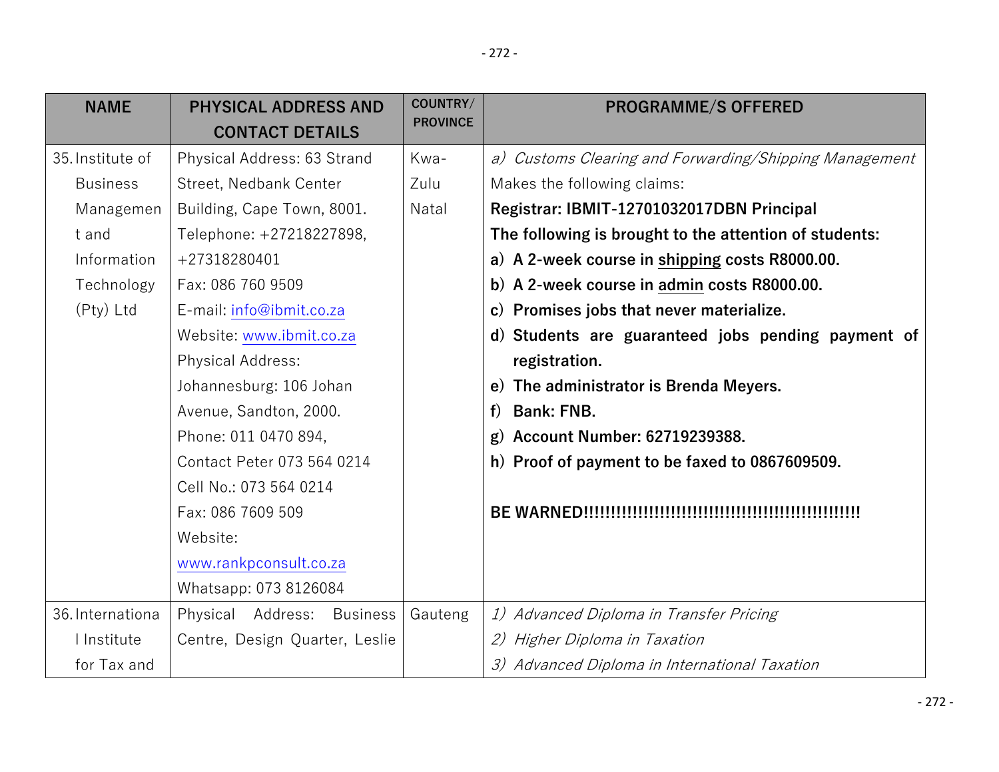| <b>NAME</b>      | <b>PHYSICAL ADDRESS AND</b>          | COUNTRY/<br><b>PROVINCE</b> | <b>PROGRAMME/S OFFERED</b>                             |
|------------------|--------------------------------------|-----------------------------|--------------------------------------------------------|
|                  | <b>CONTACT DETAILS</b>               |                             |                                                        |
| 35. Institute of | Physical Address: 63 Strand          | Kwa-                        | a) Customs Clearing and Forwarding/Shipping Management |
| <b>Business</b>  | Street, Nedbank Center               | Zulu                        | Makes the following claims:                            |
| Managemen        | Building, Cape Town, 8001.           | Natal                       | Registrar: IBMIT-12701032017DBN Principal              |
| t and            | Telephone: +27218227898,             |                             | The following is brought to the attention of students: |
| Information      | +27318280401                         |                             | a) A 2-week course in shipping costs R8000.00.         |
| Technology       | Fax: 086 760 9509                    |                             | b) A 2-week course in admin costs R8000.00.            |
| (Pty) Ltd        | E-mail: info@ibmit.co.za             |                             | c) Promises jobs that never materialize.               |
|                  | Website: www.ibmit.co.za             |                             | d) Students are guaranteed jobs pending payment of     |
|                  | Physical Address:                    |                             | registration.                                          |
|                  | Johannesburg: 106 Johan              |                             | e) The administrator is Brenda Meyers.                 |
|                  | Avenue, Sandton, 2000.               |                             | <b>Bank: FNB.</b><br>f                                 |
|                  | Phone: 011 0470 894,                 |                             | g) Account Number: 62719239388.                        |
|                  | Contact Peter 073 564 0214           |                             | h) Proof of payment to be faxed to 0867609509.         |
|                  | Cell No.: 073 564 0214               |                             |                                                        |
|                  | Fax: 086 7609 509                    |                             |                                                        |
|                  | Website:                             |                             |                                                        |
|                  | www.rankpconsult.co.za               |                             |                                                        |
|                  | Whatsapp: 073 8126084                |                             |                                                        |
| 36. Internationa | Physical Address:<br><b>Business</b> | Gauteng                     | 1) Advanced Diploma in Transfer Pricing                |
| I Institute      | Centre, Design Quarter, Leslie       |                             | 2) Higher Diploma in Taxation                          |
| for Tax and      |                                      |                             | 3) Advanced Diploma in International Taxation          |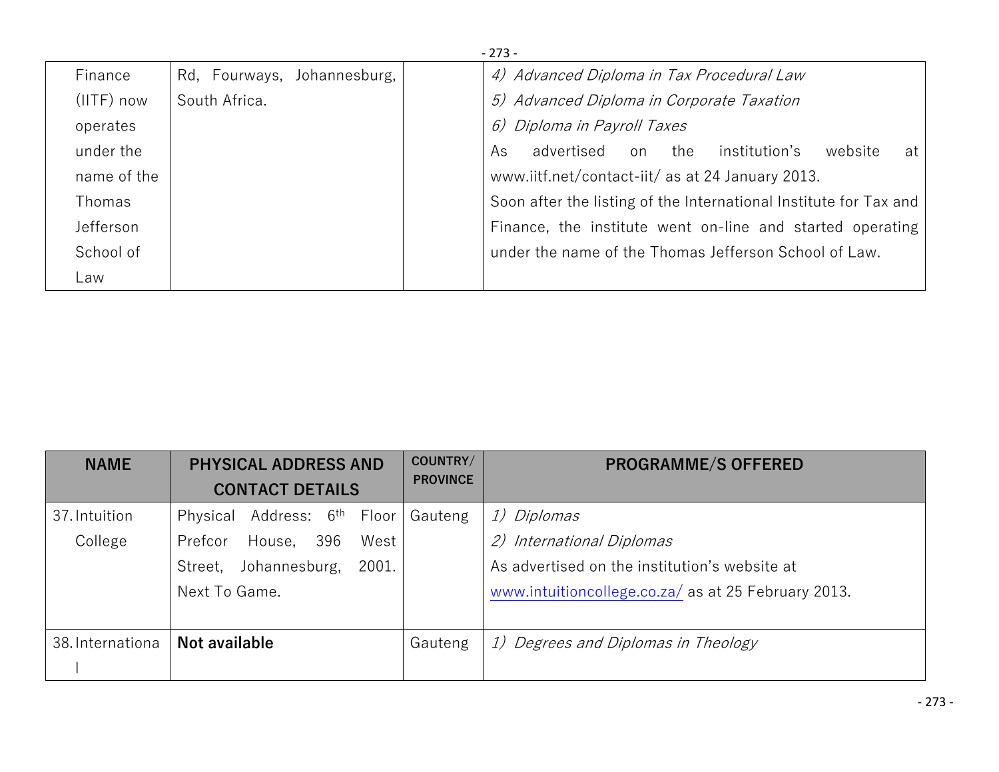|              |                             | $-273-$                                                           |
|--------------|-----------------------------|-------------------------------------------------------------------|
| Finance      | Rd, Fourways, Johannesburg, | 4) Advanced Diploma in Tax Procedural Law                         |
| $(IITF)$ now | South Africa.               | 5) Advanced Diploma in Corporate Taxation                         |
| operates     |                             | 6) Diploma in Payroll Taxes                                       |
| under the    |                             | institution's<br>advertised on the<br>As<br>website<br>at         |
| name of the  |                             | www.iitf.net/contact-iit/ as at 24 January 2013.                  |
| Thomas       |                             | Soon after the listing of the International Institute for Tax and |
| Jefferson    |                             | Finance, the institute went on-line and started operating         |
| School of    |                             | under the name of the Thomas Jefferson School of Law.             |
| Law          |                             |                                                                   |

| <b>NAME</b>      | <b>PHYSICAL ADDRESS AND</b><br><b>CONTACT DETAILS</b> | COUNTRY/<br><b>PROVINCE</b> | <b>PROGRAMME/S OFFERED</b>                          |
|------------------|-------------------------------------------------------|-----------------------------|-----------------------------------------------------|
| 37. Intuition    | Address: 6 <sup>th</sup> Floor<br>Physical            | Gauteng                     | 1) Diplomas                                         |
| College          | 396<br>House,<br>West<br>Prefcor                      |                             | 2) International Diplomas                           |
|                  | 2001.<br>Johannesburg,<br>Street,                     |                             | As advertised on the institution's website at       |
|                  | Next To Game.                                         |                             | www.intuitioncollege.co.za/ as at 25 February 2013. |
|                  |                                                       |                             |                                                     |
| 38. Internationa | Not available                                         | Gauteng                     | 1) Degrees and Diplomas in Theology                 |
|                  |                                                       |                             |                                                     |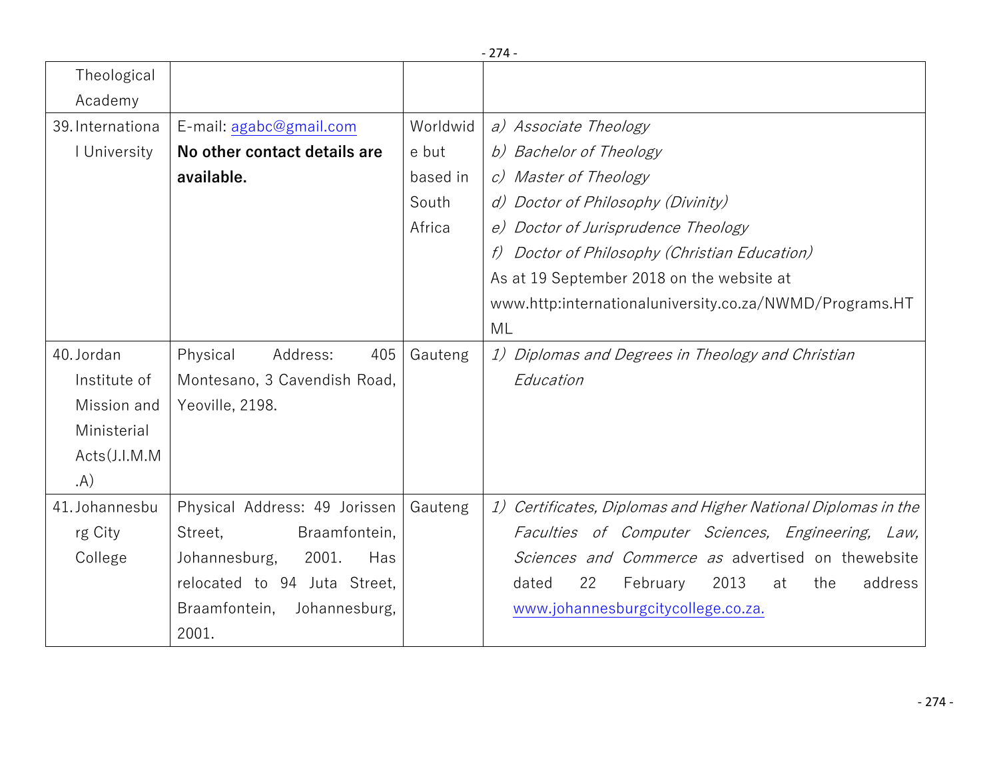| Theological             |                                |          | - 214                                                         |
|-------------------------|--------------------------------|----------|---------------------------------------------------------------|
| Academy                 |                                |          |                                                               |
| 39. Internationa        | E-mail: agabc@gmail.com        | Worldwid | a) Associate Theology                                         |
| I University            | No other contact details are   | e but    | b) Bachelor of Theology                                       |
|                         | available.                     | based in | c) Master of Theology                                         |
|                         |                                | South    | d) Doctor of Philosophy (Divinity)                            |
|                         |                                | Africa   | e) Doctor of Jurisprudence Theology                           |
|                         |                                |          | Doctor of Philosophy (Christian Education)<br>f)              |
|                         |                                |          | As at 19 September 2018 on the website at                     |
|                         |                                |          | www.http:internationaluniversity.co.za/NWMD/Programs.HT       |
|                         |                                |          | ML                                                            |
| 40. Jordan              | 405<br>Physical<br>Address:    | Gauteng  | 1) Diplomas and Degrees in Theology and Christian             |
| Institute of            | Montesano, 3 Cavendish Road,   |          | Education                                                     |
| Mission and             | Yeoville, 2198.                |          |                                                               |
| Ministerial             |                                |          |                                                               |
| $Acts$ ( <i>J.I.M.M</i> |                                |          |                                                               |
| (A)                     |                                |          |                                                               |
| 41. Johannesbu          | Physical Address: 49 Jorissen  | Gauteng  | 1) Certificates, Diplomas and Higher National Diplomas in the |
| rg City                 | Braamfontein,<br>Street,       |          | Faculties of Computer Sciences, Engineering, Law,             |
| College                 | 2001.<br>Johannesburg,<br>Has  |          | Sciences and Commerce as advertised on thewebsite             |
|                         | relocated to 94 Juta Street,   |          | 22<br>2013<br>address<br>February<br>the<br>dated<br>at       |
|                         | Braamfontein,<br>Johannesburg, |          | www.johannesburgcitycollege.co.za.                            |
|                         | 2001.                          |          |                                                               |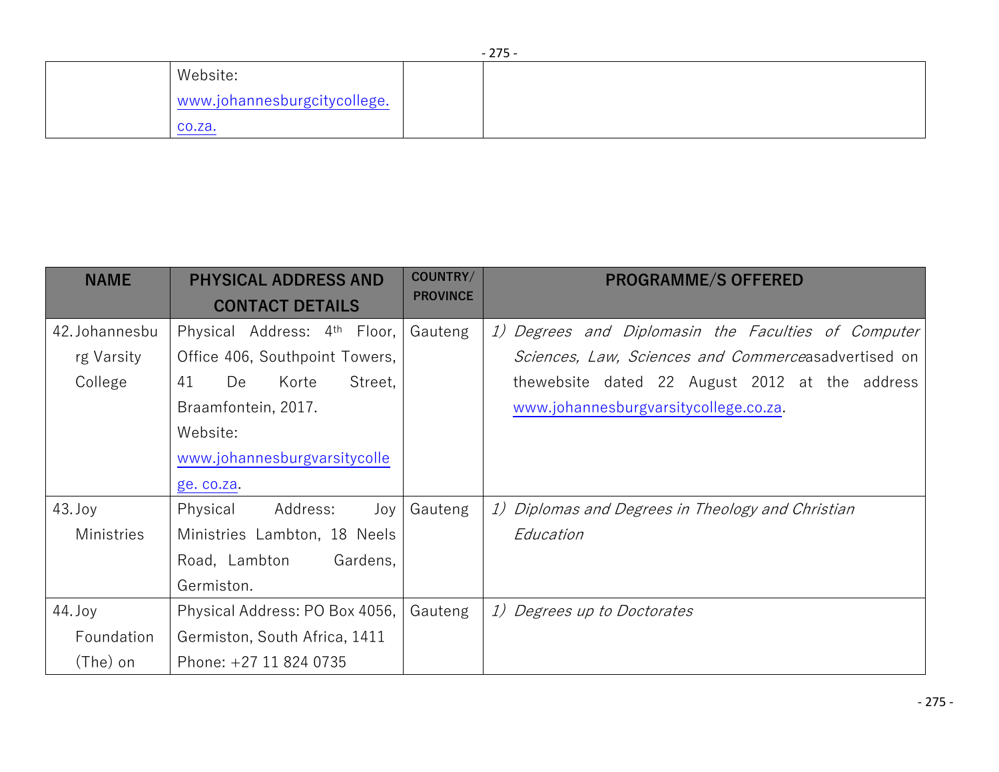| $-275-$                      |  |  |  |
|------------------------------|--|--|--|
| Website:                     |  |  |  |
| www.johannesburgcitycollege. |  |  |  |
| CO.Za.                       |  |  |  |

| <b>NAME</b>    | <b>PHYSICAL ADDRESS AND</b><br><b>CONTACT DETAILS</b> | COUNTRY/<br><b>PROVINCE</b> | <b>PROGRAMME/S OFFERED</b>                          |
|----------------|-------------------------------------------------------|-----------------------------|-----------------------------------------------------|
| 42. Johannesbu | Physical Address: 4 <sup>th</sup> Floor,              | Gauteng                     | 1) Degrees and Diplomasin the Faculties of Computer |
| rg Varsity     | Office 406, Southpoint Towers,                        |                             | Sciences, Law, Sciences and Commerceasadvertised on |
| College        | 41<br>Street,<br>De<br>Korte                          |                             | thewebsite dated 22 August 2012 at the address      |
|                | Braamfontein, 2017.                                   |                             | www.johannesburgvarsitycollege.co.za.               |
|                | Website:                                              |                             |                                                     |
|                | www.johannesburgvarsitycolle                          |                             |                                                     |
|                | ge. co.za.                                            |                             |                                                     |
| $43.$ Joy      | Physical<br>Address:<br>Joy                           | Gauteng                     | 1) Diplomas and Degrees in Theology and Christian   |
| Ministries     | Ministries Lambton, 18 Neels                          |                             | Education                                           |
|                | Road, Lambton<br>Gardens,                             |                             |                                                     |
|                | Germiston.                                            |                             |                                                     |
| $44.$ Joy      | Physical Address: PO Box 4056,                        | Gauteng                     | 1) Degrees up to Doctorates                         |
| Foundation     | Germiston, South Africa, 1411                         |                             |                                                     |
| (The) on       | Phone: +27 11 824 0735                                |                             |                                                     |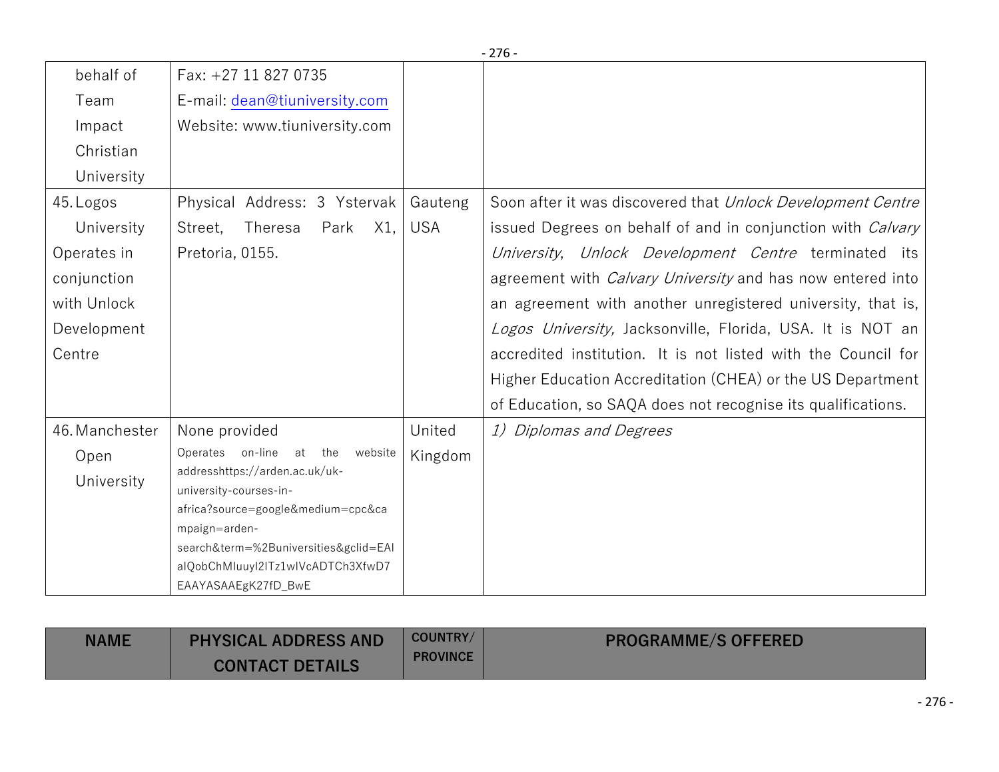|                                                                                                                                                                                                                                                         |                       | $-276-$                                                                                                                                                                                                                                                                                                                                                                                                                                                                                                                    |
|---------------------------------------------------------------------------------------------------------------------------------------------------------------------------------------------------------------------------------------------------------|-----------------------|----------------------------------------------------------------------------------------------------------------------------------------------------------------------------------------------------------------------------------------------------------------------------------------------------------------------------------------------------------------------------------------------------------------------------------------------------------------------------------------------------------------------------|
| Fax: +27 11 827 0735                                                                                                                                                                                                                                    |                       |                                                                                                                                                                                                                                                                                                                                                                                                                                                                                                                            |
| E-mail: dean@tiuniversity.com                                                                                                                                                                                                                           |                       |                                                                                                                                                                                                                                                                                                                                                                                                                                                                                                                            |
| Website: www.tiuniversity.com                                                                                                                                                                                                                           |                       |                                                                                                                                                                                                                                                                                                                                                                                                                                                                                                                            |
|                                                                                                                                                                                                                                                         |                       |                                                                                                                                                                                                                                                                                                                                                                                                                                                                                                                            |
|                                                                                                                                                                                                                                                         |                       |                                                                                                                                                                                                                                                                                                                                                                                                                                                                                                                            |
| Physical Address: 3 Ystervak<br>X1,<br>Theresa<br>Park<br>Street,<br>Pretoria, 0155.                                                                                                                                                                    | Gauteng<br><b>USA</b> | Soon after it was discovered that Unlock Development Centre<br>issued Degrees on behalf of and in conjunction with <i>Calvary</i><br>University, Unlock Development Centre terminated its<br>agreement with <i>Calvary University</i> and has now entered into<br>an agreement with another unregistered university, that is,<br>Logos University, Jacksonville, Florida, USA. It is NOT an<br>accredited institution. It is not listed with the Council for<br>Higher Education Accreditation (CHEA) or the US Department |
|                                                                                                                                                                                                                                                         |                       | of Education, so SAQA does not recognise its qualifications.                                                                                                                                                                                                                                                                                                                                                                                                                                                               |
| None provided<br>Operates on-line<br>at the<br>website<br>addresshttps://arden.ac.uk/uk-<br>university-courses-in-<br>africa?source=google&medium=cpc&ca<br>mpaign=arden-<br>search&term=%2Buniversities&gclid=EAI<br>alQobChMluuyl2lTz1wlVcADTCh3XfwD7 | United<br>Kingdom     | 1) Diplomas and Degrees                                                                                                                                                                                                                                                                                                                                                                                                                                                                                                    |
|                                                                                                                                                                                                                                                         | EAAYASAAEgK27fD_BwE   |                                                                                                                                                                                                                                                                                                                                                                                                                                                                                                                            |

| <b>NAME</b> | <b>PHYSICAL ADDRESS AND</b><br><b>CONTACT DETAILS</b> | <b>COUNTRY/</b><br><b>PROVINCE</b> | <b>PROGRAMME/S OFFERED</b> |
|-------------|-------------------------------------------------------|------------------------------------|----------------------------|
|-------------|-------------------------------------------------------|------------------------------------|----------------------------|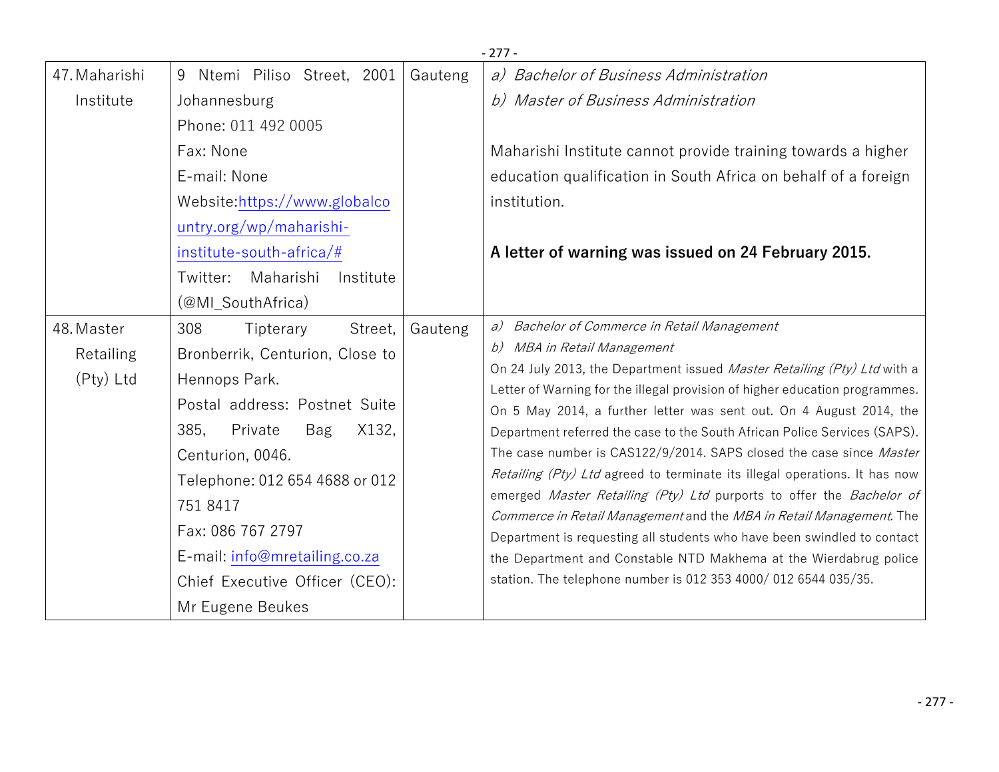|                                      |                                                                                                                                                                         |         | - 277                                                                                                                                                                                                                                                                                                                                                                                                                                                             |
|--------------------------------------|-------------------------------------------------------------------------------------------------------------------------------------------------------------------------|---------|-------------------------------------------------------------------------------------------------------------------------------------------------------------------------------------------------------------------------------------------------------------------------------------------------------------------------------------------------------------------------------------------------------------------------------------------------------------------|
| 47. Maharishi                        | Ntemi Piliso Street, 2001<br>9                                                                                                                                          | Gauteng | a) Bachelor of Business Administration                                                                                                                                                                                                                                                                                                                                                                                                                            |
| Institute                            | Johannesburg                                                                                                                                                            |         | b) Master of Business Administration                                                                                                                                                                                                                                                                                                                                                                                                                              |
|                                      | Phone: 011 492 0005                                                                                                                                                     |         |                                                                                                                                                                                                                                                                                                                                                                                                                                                                   |
|                                      | Fax: None                                                                                                                                                               |         | Maharishi Institute cannot provide training towards a higher                                                                                                                                                                                                                                                                                                                                                                                                      |
|                                      | E-mail: None                                                                                                                                                            |         | education qualification in South Africa on behalf of a foreign                                                                                                                                                                                                                                                                                                                                                                                                    |
|                                      | Website:https://www.globalco                                                                                                                                            |         | institution.                                                                                                                                                                                                                                                                                                                                                                                                                                                      |
|                                      | untry.org/wp/maharishi-                                                                                                                                                 |         |                                                                                                                                                                                                                                                                                                                                                                                                                                                                   |
|                                      | $institute-south-africa/\#$                                                                                                                                             |         | A letter of warning was issued on 24 February 2015.                                                                                                                                                                                                                                                                                                                                                                                                               |
|                                      | Maharishi<br>Twitter:<br>Institute                                                                                                                                      |         |                                                                                                                                                                                                                                                                                                                                                                                                                                                                   |
|                                      | (@MI_SouthAfrica)                                                                                                                                                       |         |                                                                                                                                                                                                                                                                                                                                                                                                                                                                   |
| 48. Master<br>Retailing<br>(Pty) Ltd | 308<br>Street,<br>Tipterary<br>Bronberrik, Centurion, Close to<br>Hennops Park.<br>Postal address: Postnet Suite<br>385,<br>X132,<br>Private<br>Bag<br>Centurion, 0046. | Gauteng | a) Bachelor of Commerce in Retail Management<br>b) MBA in Retail Management<br>On 24 July 2013, the Department issued Master Retailing (Pty) Ltd with a<br>Letter of Warning for the illegal provision of higher education programmes.<br>On 5 May 2014, a further letter was sent out. On 4 August 2014, the<br>Department referred the case to the South African Police Services (SAPS).<br>The case number is CAS122/9/2014. SAPS closed the case since Master |
|                                      | Telephone: 012 654 4688 or 012<br>751 8417<br>Fax: 086 767 2797<br>E-mail: info@mretailing.co.za<br>Chief Executive Officer (CEO):<br>Mr Eugene Beukes                  |         | Retailing (Pty) Ltd agreed to terminate its illegal operations. It has now<br>emerged Master Retailing (Pty) Ltd purports to offer the Bachelor of<br>Commerce in Retail Management and the MBA in Retail Management. The<br>Department is requesting all students who have been swindled to contact<br>the Department and Constable NTD Makhema at the Wierdabrug police<br>station. The telephone number is 012 353 4000/ 012 6544 035/35.                      |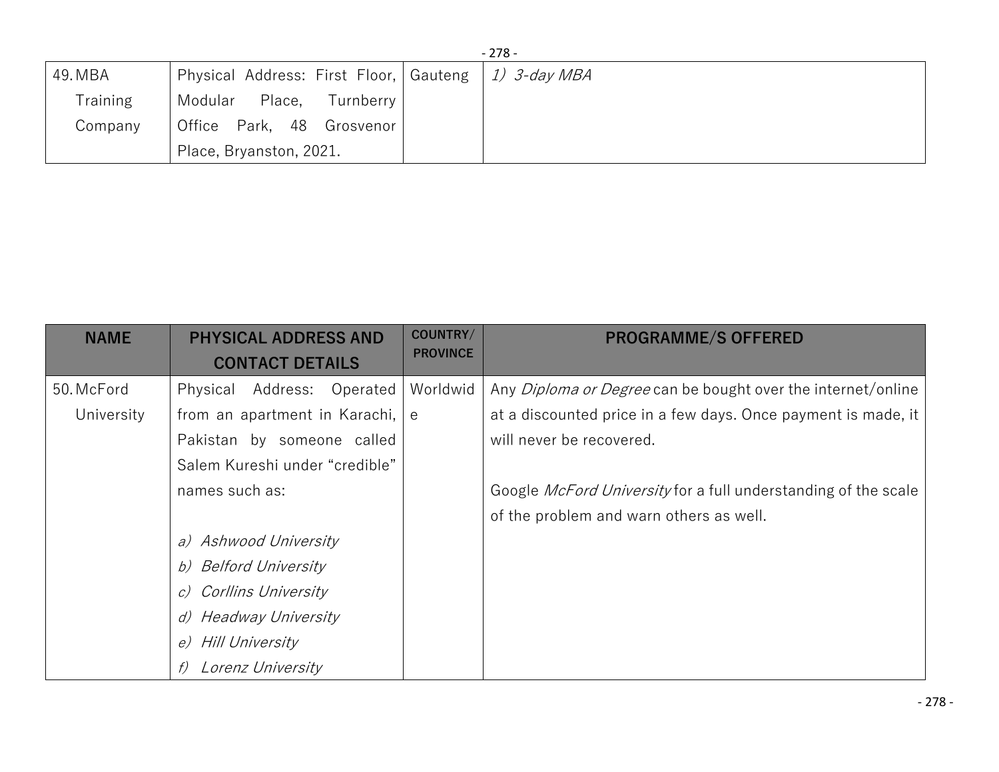|                 |                                                         | $-278-$ |
|-----------------|---------------------------------------------------------|---------|
| 49. MBA         | Physical Address: First Floor,   Gauteng   1) 3-day MBA |         |
| <b>Training</b> | Modular Place, Turnberry                                |         |
| Company         | Office Park, 48 Grosvenor                               |         |
|                 | Place, Bryanston, 2021.                                 |         |

| <b>NAME</b> | <b>PHYSICAL ADDRESS AND</b><br><b>CONTACT DETAILS</b> | COUNTRY/<br><b>PROVINCE</b> | <b>PROGRAMME/S OFFERED</b>                                          |
|-------------|-------------------------------------------------------|-----------------------------|---------------------------------------------------------------------|
|             |                                                       |                             |                                                                     |
| 50. McFord  | Physical Address:<br>Operated                         | Worldwid                    | Any <i>Diploma or Degree</i> can be bought over the internet/online |
| University  | from an apartment in Karachi,                         | e                           | at a discounted price in a few days. Once payment is made, it       |
|             | Pakistan by someone called                            |                             | will never be recovered.                                            |
|             | Salem Kureshi under "credible"                        |                             |                                                                     |
|             | names such as:                                        |                             | Google McFord University for a full understanding of the scale      |
|             |                                                       |                             | of the problem and warn others as well.                             |
|             | a) Ashwood University                                 |                             |                                                                     |
|             | b) Belford University                                 |                             |                                                                     |
|             | c) Corllins University                                |                             |                                                                     |
|             | d) Headway University                                 |                             |                                                                     |
|             | e) Hill University                                    |                             |                                                                     |
|             | Lorenz University                                     |                             |                                                                     |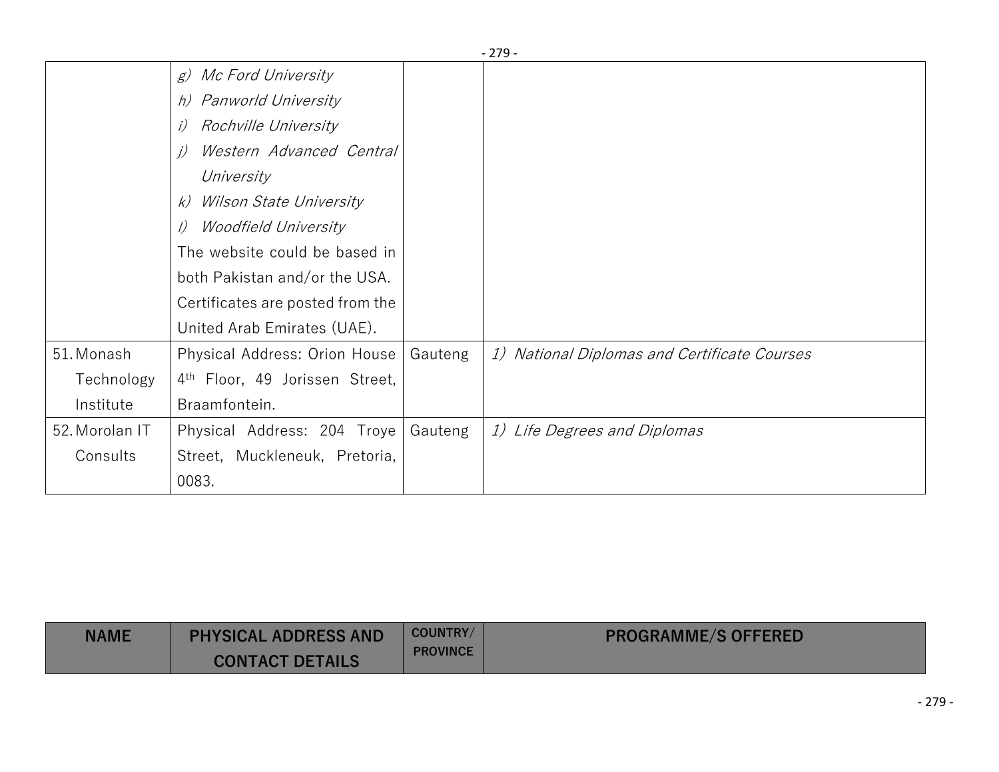|                |                                                 |         | $-279-$                                      |
|----------------|-------------------------------------------------|---------|----------------------------------------------|
|                | <i>Mc Ford University</i><br>g)                 |         |                                              |
|                | h) Panworld University                          |         |                                              |
|                | Rochville University<br>i)                      |         |                                              |
|                | Western Advanced Central<br>$\left( i\right)$   |         |                                              |
|                | University                                      |         |                                              |
|                | Wilson State University<br>k)                   |         |                                              |
|                | <i>Woodfield University</i><br>$\left( \right)$ |         |                                              |
|                | The website could be based in                   |         |                                              |
|                | both Pakistan and/or the USA.                   |         |                                              |
|                | Certificates are posted from the                |         |                                              |
|                | United Arab Emirates (UAE).                     |         |                                              |
| 51. Monash     | Physical Address: Orion House                   | Gauteng | 1) National Diplomas and Certificate Courses |
| Technology     | 4 <sup>th</sup> Floor, 49 Jorissen Street,      |         |                                              |
| Institute      | Braamfontein.                                   |         |                                              |
| 52. Morolan IT | Physical Address: 204 Troye                     | Gauteng | 1) Life Degrees and Diplomas                 |
| Consults       | Street, Muckleneuk, Pretoria,                   |         |                                              |
|                | 0083.                                           |         |                                              |

| <b>NAME</b> | <b>PHYSICAL ADDRESS AND</b> | <b>COUNTRY/</b> | <b>PROGRAMME/S OFFERED</b> |
|-------------|-----------------------------|-----------------|----------------------------|
|             | <b>CONTACT DETAILS</b>      | <b>PROVINCE</b> |                            |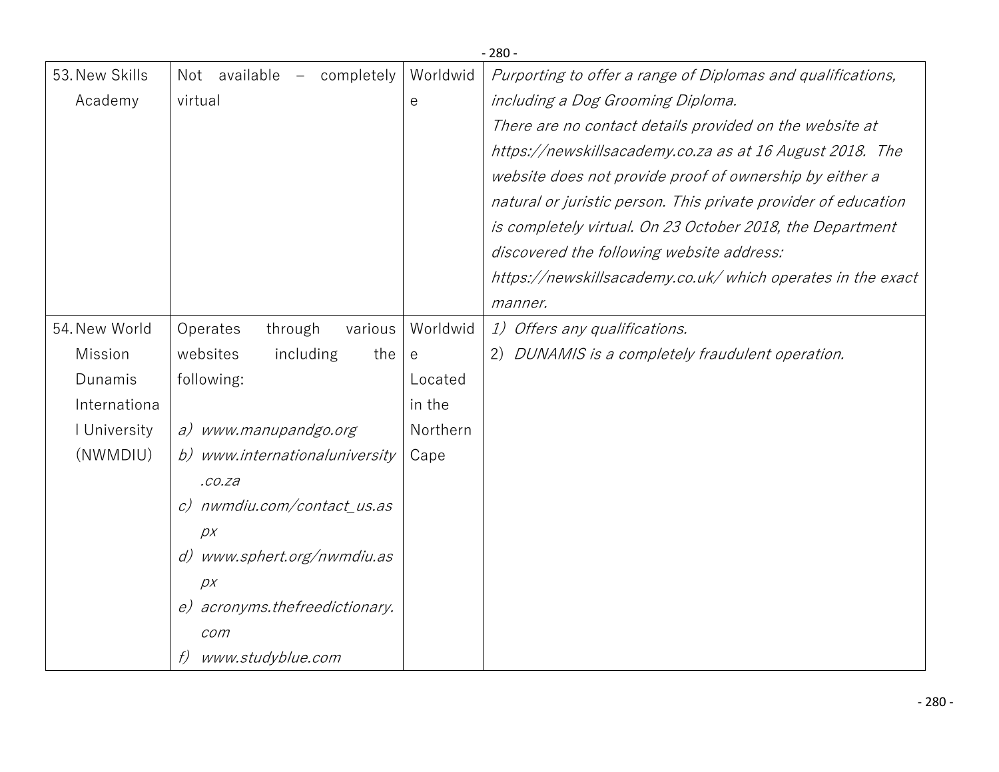|                |                                                                |                       | $-280-$                                                        |
|----------------|----------------------------------------------------------------|-----------------------|----------------------------------------------------------------|
| 53. New Skills | Not available<br>completely<br>$\hspace{0.1mm}-\hspace{0.1mm}$ | Worldwid              | Purporting to offer a range of Diplomas and qualifications,    |
| Academy        | virtual                                                        | $\mathop{\mathrm{e}}$ | including a Dog Grooming Diploma.                              |
|                |                                                                |                       | There are no contact details provided on the website at        |
|                |                                                                |                       | https://newskillsacademy.co.za as at 16 August 2018. The       |
|                |                                                                |                       | website does not provide proof of ownership by either a        |
|                |                                                                |                       | natural or juristic person. This private provider of education |
|                |                                                                |                       | is completely virtual. On 23 October 2018, the Department      |
|                |                                                                |                       | discovered the following website address:                      |
|                |                                                                |                       | https://newskillsacademy.co.uk/which operates in the exact     |
|                |                                                                |                       | manner.                                                        |
| 54. New World  | Operates<br>through<br>various                                 | Worldwid              | 1) Offers any qualifications.                                  |
| Mission        | websites<br>including<br>the                                   | $\mathsf{e}$          | DUNAMIS is a completely fraudulent operation.<br>2)            |
| Dunamis        | following:                                                     | Located               |                                                                |
| Internationa   |                                                                | in the                |                                                                |
| I University   | a) www.manupandgo.org                                          | Northern              |                                                                |
| (NWMDIU)       | b) www.internationaluniversity                                 | Cape                  |                                                                |
|                | . co. za                                                       |                       |                                                                |
|                | c) nwmdiu.com/contact_us.as                                    |                       |                                                                |
|                | DX                                                             |                       |                                                                |
|                | www.sphert.org/nwmdiu.as<br>d)                                 |                       |                                                                |
|                | DX                                                             |                       |                                                                |
|                | e) acronyms.thefreedictionary.                                 |                       |                                                                |
|                | com                                                            |                       |                                                                |
|                | www.studyblue.com                                              |                       |                                                                |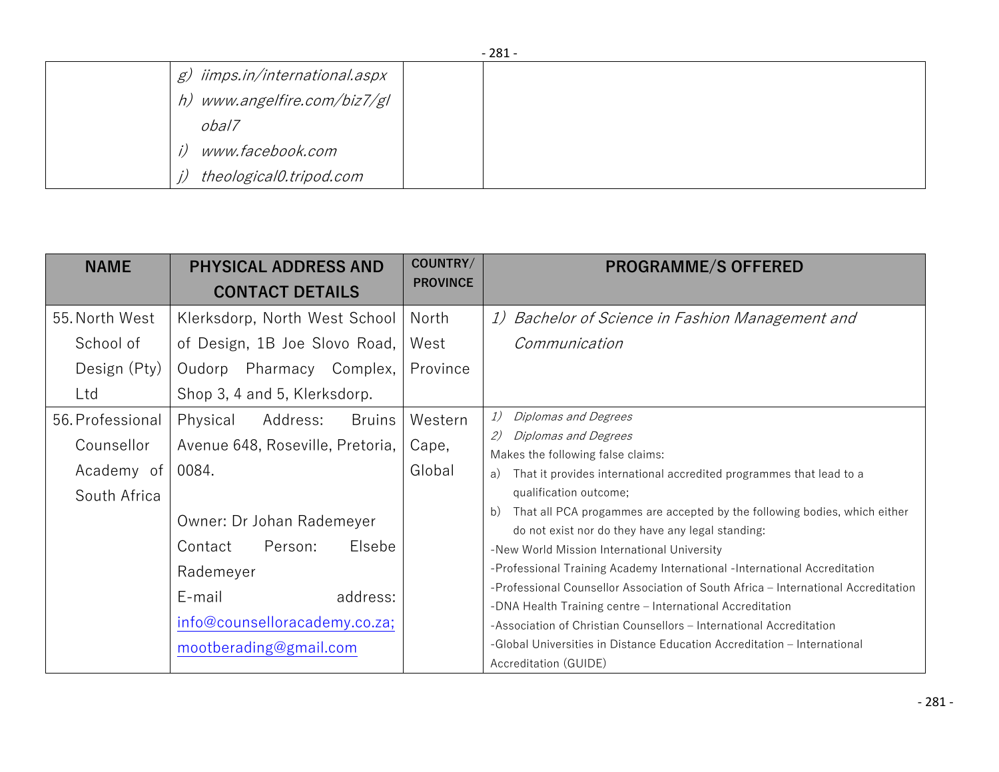|                                | $-201 -$ |
|--------------------------------|----------|
| g) iimps.in/international.aspx |          |
| h) www.angelfire.com/biz7/gl   |          |
| obal7                          |          |
| www.facebook.com               |          |
| theological0.tripod.com        |          |

| <b>NAME</b>                                                  | <b>PHYSICAL ADDRESS AND</b><br><b>CONTACT DETAILS</b>                                                                                                                                                                                  | COUNTRY/<br><b>PROVINCE</b> | <b>PROGRAMME/S OFFERED</b>                                                                                                                                                                                                                                                                                                                                                                                                                                                                                                                                                                                                                                                                                                                                                                              |
|--------------------------------------------------------------|----------------------------------------------------------------------------------------------------------------------------------------------------------------------------------------------------------------------------------------|-----------------------------|---------------------------------------------------------------------------------------------------------------------------------------------------------------------------------------------------------------------------------------------------------------------------------------------------------------------------------------------------------------------------------------------------------------------------------------------------------------------------------------------------------------------------------------------------------------------------------------------------------------------------------------------------------------------------------------------------------------------------------------------------------------------------------------------------------|
| 55. North West<br>School of<br>Design (Pty)<br>Ltd           | Klerksdorp, North West School<br>of Design, 1B Joe Slovo Road,<br>Oudorp Pharmacy Complex,<br>Shop 3, 4 and 5, Klerksdorp.                                                                                                             | North<br>West<br>Province   | 1) Bachelor of Science in Fashion Management and<br>Communication                                                                                                                                                                                                                                                                                                                                                                                                                                                                                                                                                                                                                                                                                                                                       |
| 56. Professional<br>Counsellor<br>Academy of<br>South Africa | Address:<br>Physical<br>Bruins<br>Avenue 648, Roseville, Pretoria,<br>0084.<br>Owner: Dr Johan Rademeyer<br>Elsebe<br>Person:<br>Contact<br>Rademeyer<br>address:<br>E-mail<br>info@counselloracademy.co.za;<br>mootberading@gmail.com | Western<br>Cape,<br>Global  | 1)<br>Diplomas and Degrees<br>2)<br>Diplomas and Degrees<br>Makes the following false claims:<br>That it provides international accredited programmes that lead to a<br>a)<br>qualification outcome;<br>That all PCA progammes are accepted by the following bodies, which either<br>b)<br>do not exist nor do they have any legal standing:<br>-New World Mission International University<br>-Professional Training Academy International -International Accreditation<br>-Professional Counsellor Association of South Africa – International Accreditation<br>-DNA Health Training centre - International Accreditation<br>-Association of Christian Counsellors - International Accreditation<br>-Global Universities in Distance Education Accreditation - International<br>Accreditation (GUIDE) |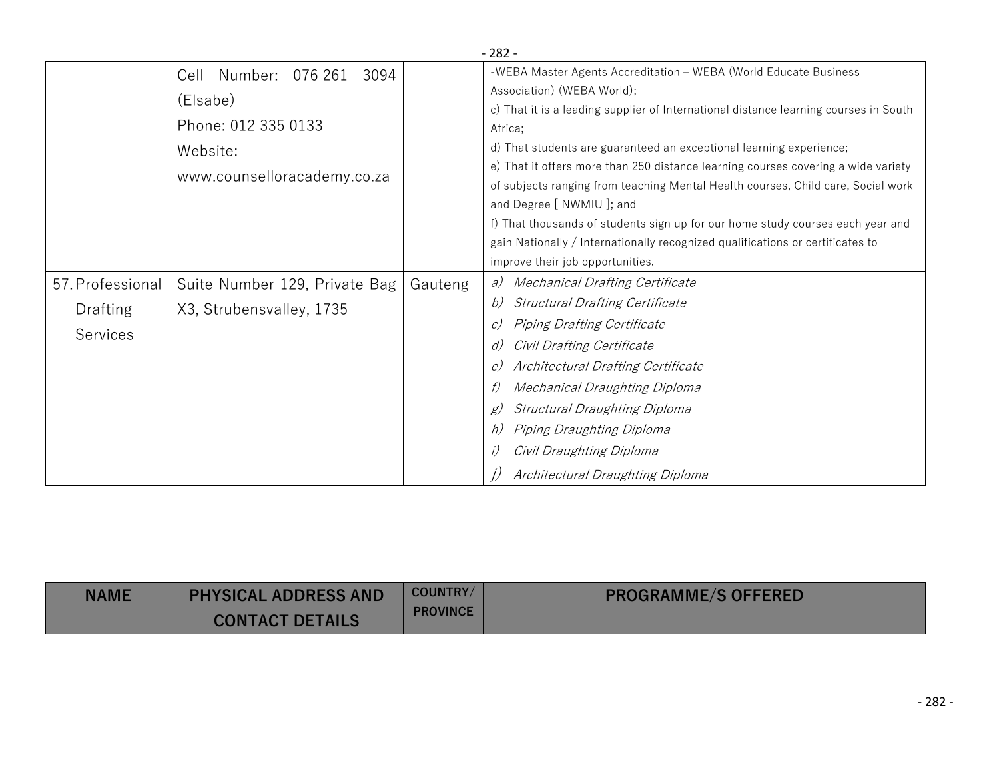|                  | $-282-$                            |         |                                                                                      |  |  |
|------------------|------------------------------------|---------|--------------------------------------------------------------------------------------|--|--|
|                  | Number:<br>076 261<br>3094<br>Cell |         | -WEBA Master Agents Accreditation - WEBA (World Educate Business                     |  |  |
|                  | (Elsabe)                           |         | Association) (WEBA World);                                                           |  |  |
|                  |                                    |         | c) That it is a leading supplier of International distance learning courses in South |  |  |
|                  | Phone: 012 335 0133                |         | Africa:                                                                              |  |  |
|                  | Website:                           |         | d) That students are guaranteed an exceptional learning experience;                  |  |  |
|                  | www.counselloracademy.co.za        |         | e) That it offers more than 250 distance learning courses covering a wide variety    |  |  |
|                  |                                    |         | of subjects ranging from teaching Mental Health courses, Child care, Social work     |  |  |
|                  |                                    |         | and Degree [ NWMIU ]; and                                                            |  |  |
|                  |                                    |         | f) That thousands of students sign up for our home study courses each year and       |  |  |
|                  |                                    |         | gain Nationally / Internationally recognized qualifications or certificates to       |  |  |
|                  |                                    |         | improve their job opportunities.                                                     |  |  |
| 57. Professional | Suite Number 129, Private Bag      | Gauteng | <b>Mechanical Drafting Certificate</b><br>a)                                         |  |  |
| Drafting         | X3, Strubensvalley, 1735           |         | <b>Structural Drafting Certificate</b><br>b)                                         |  |  |
|                  |                                    |         | Piping Drafting Certificate<br>C)                                                    |  |  |
| <b>Services</b>  |                                    |         | Civil Drafting Certificate<br>d)                                                     |  |  |
|                  |                                    |         | Architectural Drafting Certificate<br>e)                                             |  |  |
|                  |                                    |         | Mechanical Draughting Diploma                                                        |  |  |
|                  |                                    |         | <b>Structural Draughting Diploma</b><br>g)                                           |  |  |
|                  |                                    |         | Piping Draughting Diploma<br>h)                                                      |  |  |
|                  |                                    |         | Civil Draughting Diploma                                                             |  |  |
|                  |                                    |         | Architectural Draughting Diploma                                                     |  |  |

| <b>NAME</b> | <b>PHYSICAL ADDRESS AND</b> | COUNTRY/        | <b>PROGRAMME/S OFFERED</b> |
|-------------|-----------------------------|-----------------|----------------------------|
|             | <b>CONTACT DETAILS</b>      | <b>PROVINCE</b> |                            |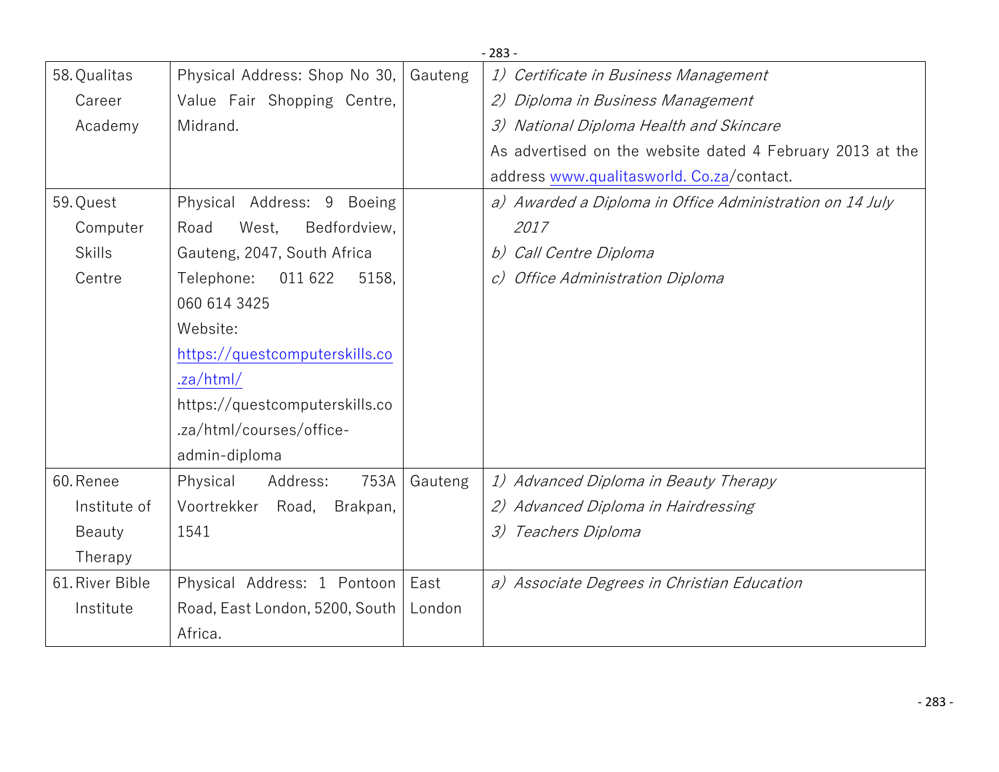|                 |                                |         | $-283-$                                                   |
|-----------------|--------------------------------|---------|-----------------------------------------------------------|
| 58. Qualitas    | Physical Address: Shop No 30,  | Gauteng | 1) Certificate in Business Management                     |
| Career          | Value Fair Shopping Centre,    |         | 2) Diploma in Business Management                         |
| Academy         | Midrand.                       |         | 3) National Diploma Health and Skincare                   |
|                 |                                |         | As advertised on the website dated 4 February 2013 at the |
|                 |                                |         | address www.qualitasworld. Co.za/contact.                 |
| 59. Quest       | Physical Address: 9 Boeing     |         | a) Awarded a Diploma in Office Administration on 14 July  |
| Computer        | Bedfordview,<br>West,<br>Road  |         | 2017                                                      |
| <b>Skills</b>   | Gauteng, 2047, South Africa    |         | b) Call Centre Diploma                                    |
| Centre          | 011 622<br>Telephone:<br>5158, |         | c) Office Administration Diploma                          |
|                 | 060 614 3425                   |         |                                                           |
|                 | Website:                       |         |                                                           |
|                 | https://questcomputerskills.co |         |                                                           |
|                 | .za/html/                      |         |                                                           |
|                 | https://questcomputerskills.co |         |                                                           |
|                 | .za/html/courses/office-       |         |                                                           |
|                 | admin-diploma                  |         |                                                           |
| 60. Renee       | 753A<br>Physical<br>Address:   | Gauteng | 1) Advanced Diploma in Beauty Therapy                     |
| Institute of    | Voortrekker Road,<br>Brakpan,  |         | 2) Advanced Diploma in Hairdressing                       |
| Beauty          | 1541                           |         | 3) Teachers Diploma                                       |
| Therapy         |                                |         |                                                           |
| 61. River Bible | Physical Address: 1 Pontoon    | East    | a) Associate Degrees in Christian Education               |
| Institute       | Road, East London, 5200, South | London  |                                                           |
|                 | Africa.                        |         |                                                           |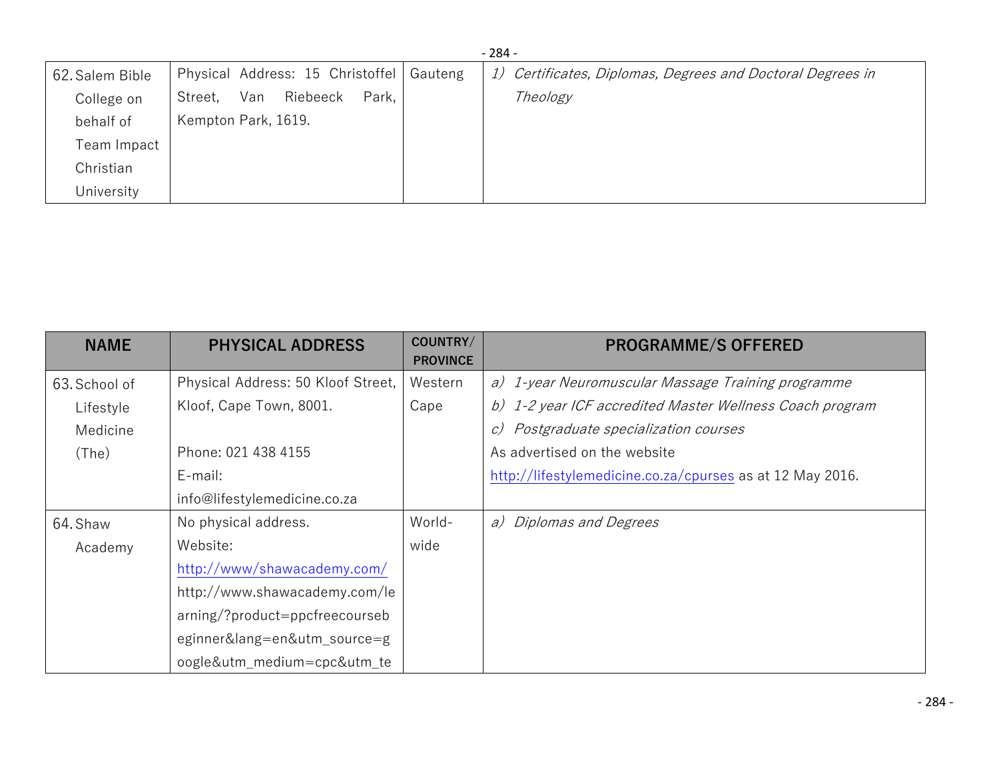| $-284-$         |                                            |  |                                                            |  |
|-----------------|--------------------------------------------|--|------------------------------------------------------------|--|
| 62. Salem Bible | Physical Address: 15 Christoffel   Gauteng |  | 1) Certificates, Diplomas, Degrees and Doctoral Degrees in |  |
| College on      | Park,<br>Riebeeck<br>Van<br>Street,        |  | Theology                                                   |  |
| behalf of       | Kempton Park, 1619.                        |  |                                                            |  |
| Team Impact     |                                            |  |                                                            |  |
| Christian       |                                            |  |                                                            |  |
| University      |                                            |  |                                                            |  |

| <b>NAME</b>   | <b>PHYSICAL ADDRESS</b>            | COUNTRY/<br><b>PROVINCE</b> | <b>PROGRAMME/S OFFERED</b>                                |
|---------------|------------------------------------|-----------------------------|-----------------------------------------------------------|
| 63. School of | Physical Address: 50 Kloof Street, | Western                     | a) 1-year Neuromuscular Massage Training programme        |
| Lifestyle     | Kloof, Cape Town, 8001.            | Cape                        | b) 1-2 year ICF accredited Master Wellness Coach program  |
| Medicine      |                                    |                             | c) Postgraduate specialization courses                    |
| (The)         | Phone: 021 438 4155                |                             | As advertised on the website                              |
|               | E-mail:                            |                             | http://lifestylemedicine.co.za/cpurses as at 12 May 2016. |
|               | info@lifestylemedicine.co.za       |                             |                                                           |
| 64. Shaw      | No physical address.               | World-                      | a) Diplomas and Degrees                                   |
| Academy       | Website:                           | wide                        |                                                           |
|               | http://www/shawacademy.com/        |                             |                                                           |
|               | http://www.shawacademy.com/le      |                             |                                                           |
|               | arning/?product=ppcfreecourseb     |                             |                                                           |
|               | eginner⟨=en&utm_source=g           |                             |                                                           |
|               | oogle&utm medium=cpc&utm te        |                             |                                                           |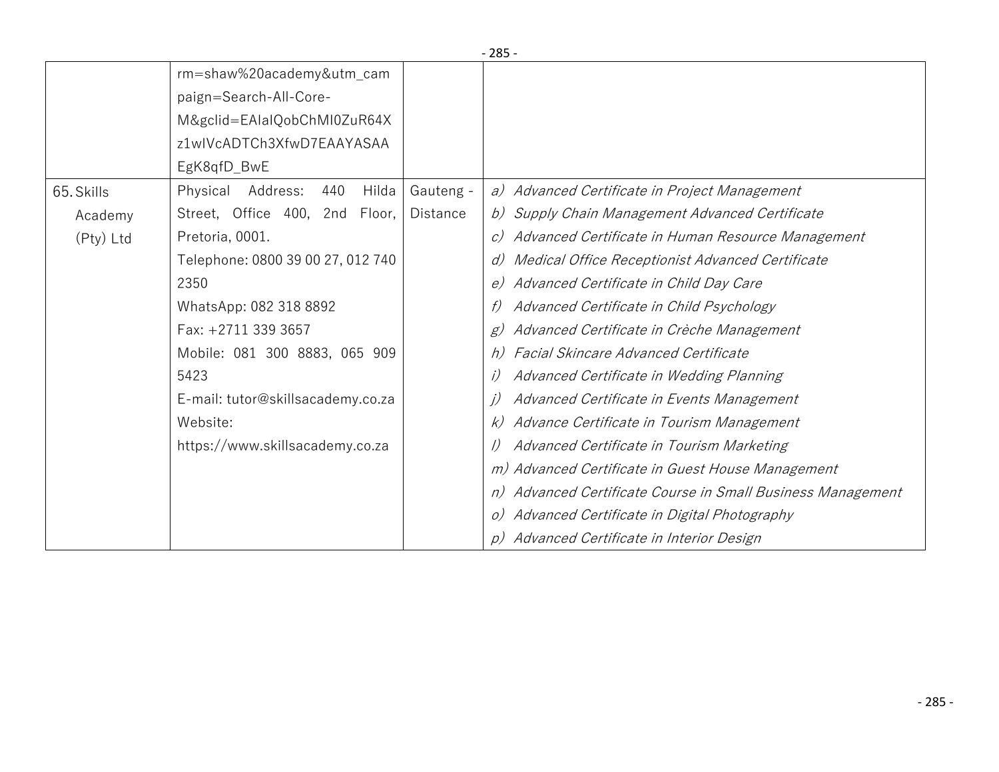|            |                                                   | ر ن                                                                  |
|------------|---------------------------------------------------|----------------------------------------------------------------------|
|            | rm=shaw%20academy&utm_cam                         |                                                                      |
|            | paign=Search-All-Core-                            |                                                                      |
|            | M&gclid=EAIaIQobChMI0ZuR64X                       |                                                                      |
|            | z1wlVcADTCh3XfwD7EAAYASAA                         |                                                                      |
|            | EgK8qfD_BwE                                       |                                                                      |
| 65. Skills | Address:<br>Hilda<br>Gauteng -<br>Physical<br>440 | a) Advanced Certificate in Project Management                        |
| Academy    | Street, Office 400, 2nd Floor,<br><b>Distance</b> | b) Supply Chain Management Advanced Certificate                      |
| (Pty) Ltd  | Pretoria, 0001.                                   | Advanced Certificate in Human Resource Management<br>$\mathcal{C}$ ) |
|            | Telephone: 0800 39 00 27, 012 740                 | Medical Office Receptionist Advanced Certificate<br>d)               |
|            | 2350                                              | e) Advanced Certificate in Child Day Care                            |
|            | WhatsApp: 082 318 8892                            | Advanced Certificate in Child Psychology                             |
|            | Fax: +2711 339 3657                               | Advanced Certificate in Crèche Management<br>g)                      |
|            | Mobile: 081 300 8883, 065 909                     | <b>Facial Skincare Advanced Certificate</b><br>h)                    |
|            | 5423                                              | Advanced Certificate in Wedding Planning                             |
|            | E-mail: tutor@skillsacademy.co.za                 | Advanced Certificate in Events Management                            |
|            | Website:                                          | Advance Certificate in Tourism Management<br>k)                      |
|            | https://www.skillsacademy.co.za                   | Advanced Certificate in Tourism Marketing                            |
|            |                                                   | m) Advanced Certificate in Guest House Management                    |
|            |                                                   | n) Advanced Certificate Course in Small Business Management          |
|            |                                                   | Advanced Certificate in Digital Photography                          |
|            |                                                   | Advanced Certificate in Interior Design                              |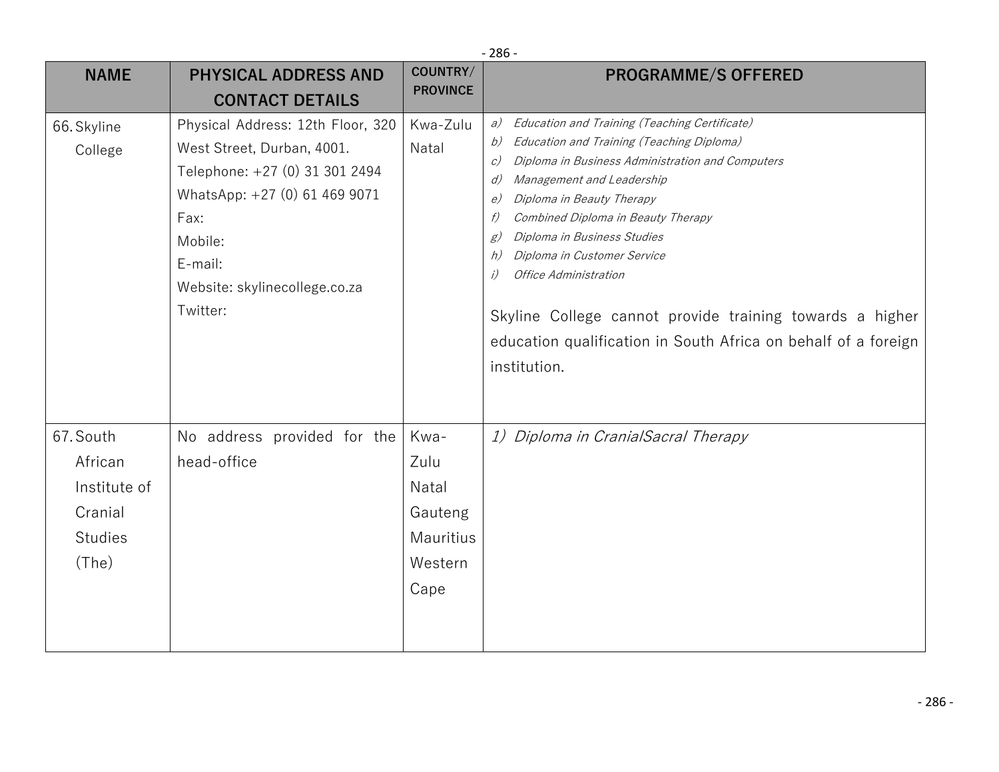|                                                                            | $-286-$                                                                                                                                                                                                       |                                                                  |                                                                                                                                                                                                                                                                                                                                                                                                                                                                                                                                           |  |
|----------------------------------------------------------------------------|---------------------------------------------------------------------------------------------------------------------------------------------------------------------------------------------------------------|------------------------------------------------------------------|-------------------------------------------------------------------------------------------------------------------------------------------------------------------------------------------------------------------------------------------------------------------------------------------------------------------------------------------------------------------------------------------------------------------------------------------------------------------------------------------------------------------------------------------|--|
| <b>NAME</b>                                                                | <b>PHYSICAL ADDRESS AND</b>                                                                                                                                                                                   | COUNTRY/                                                         | <b>PROGRAMME/S OFFERED</b>                                                                                                                                                                                                                                                                                                                                                                                                                                                                                                                |  |
|                                                                            | <b>PROVINCE</b><br><b>CONTACT DETAILS</b>                                                                                                                                                                     |                                                                  |                                                                                                                                                                                                                                                                                                                                                                                                                                                                                                                                           |  |
| 66. Skyline<br>College                                                     | Physical Address: 12th Floor, 320<br>West Street, Durban, 4001.<br>Telephone: +27 (0) 31 301 2494<br>WhatsApp: +27 (0) 61 469 9071<br>Fax:<br>Mobile:<br>E-mail:<br>Website: skylinecollege.co.za<br>Twitter: | Kwa-Zulu<br>Natal                                                | Education and Training (Teaching Certificate)<br>a)<br>Education and Training (Teaching Diploma)<br>b)<br>Diploma in Business Administration and Computers<br>c)<br>Management and Leadership<br>d)<br>Diploma in Beauty Therapy<br>e)<br>Combined Diploma in Beauty Therapy<br>f)<br>Diploma in Business Studies<br>g)<br>Diploma in Customer Service<br>h)<br>Office Administration<br>i)<br>Skyline College cannot provide training towards a higher<br>education qualification in South Africa on behalf of a foreign<br>institution. |  |
| 67. South<br>African<br>Institute of<br>Cranial<br><b>Studies</b><br>(The) | No address provided for the<br>head-office                                                                                                                                                                    | Kwa-<br>Zulu<br>Natal<br>Gauteng<br>Mauritius<br>Western<br>Cape | 1) Diploma in CranialSacral Therapy                                                                                                                                                                                                                                                                                                                                                                                                                                                                                                       |  |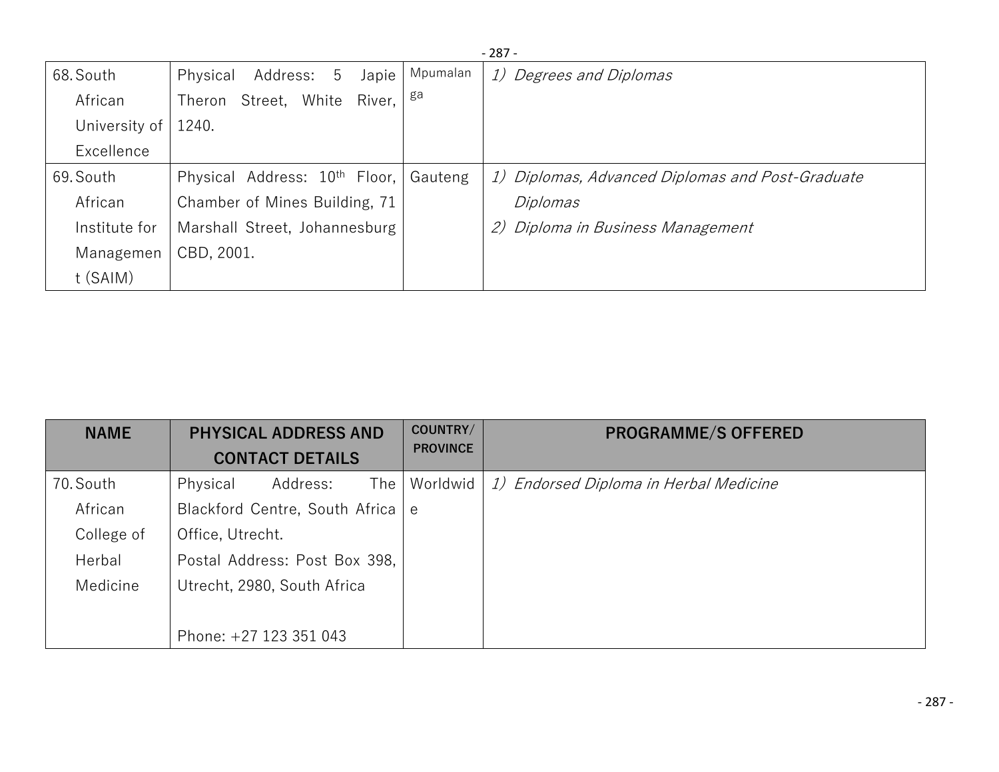|               | $-287-$                                   |          |                                                  |  |  |
|---------------|-------------------------------------------|----------|--------------------------------------------------|--|--|
| 68. South     | Address: 5<br>Japie<br>Physical           | Mpumalan | 1) Degrees and Diplomas                          |  |  |
| African       | Street, White<br>River,<br>Theron         | ga       |                                                  |  |  |
| University of | 1240.                                     |          |                                                  |  |  |
| Excellence    |                                           |          |                                                  |  |  |
| 69. South     | Physical Address: 10 <sup>th</sup> Floor, | Gauteng  | 1) Diplomas, Advanced Diplomas and Post-Graduate |  |  |
| African       | Chamber of Mines Building, 71             |          | Diplomas                                         |  |  |
| Institute for | Marshall Street, Johannesburg             |          | Diploma in Business Management<br>2)             |  |  |
| Managemen     | CBD, 2001.                                |          |                                                  |  |  |
| t (SAIM)      |                                           |          |                                                  |  |  |

| <b>NAME</b> | <b>PHYSICAL ADDRESS AND</b><br><b>CONTACT DETAILS</b> | COUNTRY/<br><b>PROVINCE</b> | <b>PROGRAMME/S OFFERED</b>             |
|-------------|-------------------------------------------------------|-----------------------------|----------------------------------------|
| 70. South   | The <sub>l</sub><br>Address:<br>Physical              | Worldwid                    | 1) Endorsed Diploma in Herbal Medicine |
| African     | Blackford Centre, South Africa e                      |                             |                                        |
| College of  | Office, Utrecht.                                      |                             |                                        |
| Herbal      | Postal Address: Post Box 398,                         |                             |                                        |
| Medicine    | Utrecht, 2980, South Africa                           |                             |                                        |
|             |                                                       |                             |                                        |
|             | Phone: +27 123 351 043                                |                             |                                        |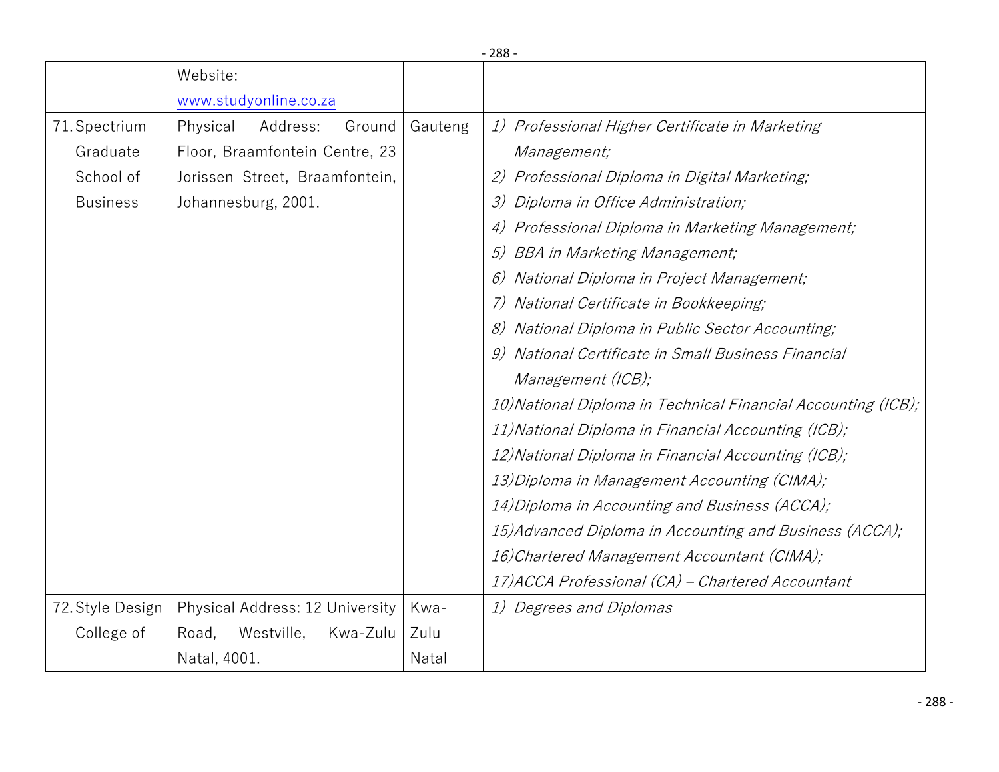|                  |                                 |         | $-288-$                                                       |
|------------------|---------------------------------|---------|---------------------------------------------------------------|
|                  | Website:                        |         |                                                               |
|                  | www.studyonline.co.za           |         |                                                               |
| 71. Spectrium    | Physical<br>Address:<br>Ground  | Gauteng | 1) Professional Higher Certificate in Marketing               |
| Graduate         | Floor, Braamfontein Centre, 23  |         | Management;                                                   |
| School of        | Jorissen Street, Braamfontein,  |         | Professional Diploma in Digital Marketing;<br>(2)             |
| <b>Business</b>  | Johannesburg, 2001.             |         | Diploma in Office Administration;<br>3)                       |
|                  |                                 |         | Professional Diploma in Marketing Management;                 |
|                  |                                 |         | BBA in Marketing Management;<br>5)                            |
|                  |                                 |         | National Diploma in Project Management;                       |
|                  |                                 |         | National Certificate in Bookkeeping;                          |
|                  |                                 |         | National Diploma in Public Sector Accounting;                 |
|                  |                                 |         | National Certificate in Small Business Financial              |
|                  |                                 |         | Management (ICB);                                             |
|                  |                                 |         | 10) National Diploma in Technical Financial Accounting (ICB); |
|                  |                                 |         | 11) National Diploma in Financial Accounting (ICB);           |
|                  |                                 |         | 12) National Diploma in Financial Accounting (ICB);           |
|                  |                                 |         | 13) Diploma in Management Accounting (CIMA);                  |
|                  |                                 |         | 14) Diploma in Accounting and Business (ACCA);                |
|                  |                                 |         | 15) Advanced Diploma in Accounting and Business (ACCA);       |
|                  |                                 |         | 16) Chartered Management Accountant (CIMA);                   |
|                  |                                 |         | 17) ACCA Professional (CA) - Chartered Accountant             |
| 72. Style Design | Physical Address: 12 University | Kwa-    | 1) Degrees and Diplomas                                       |
| College of       | Westville,<br>Kwa-Zulu<br>Road, | Zulu    |                                                               |
|                  | Natal, 4001.                    | Natal   |                                                               |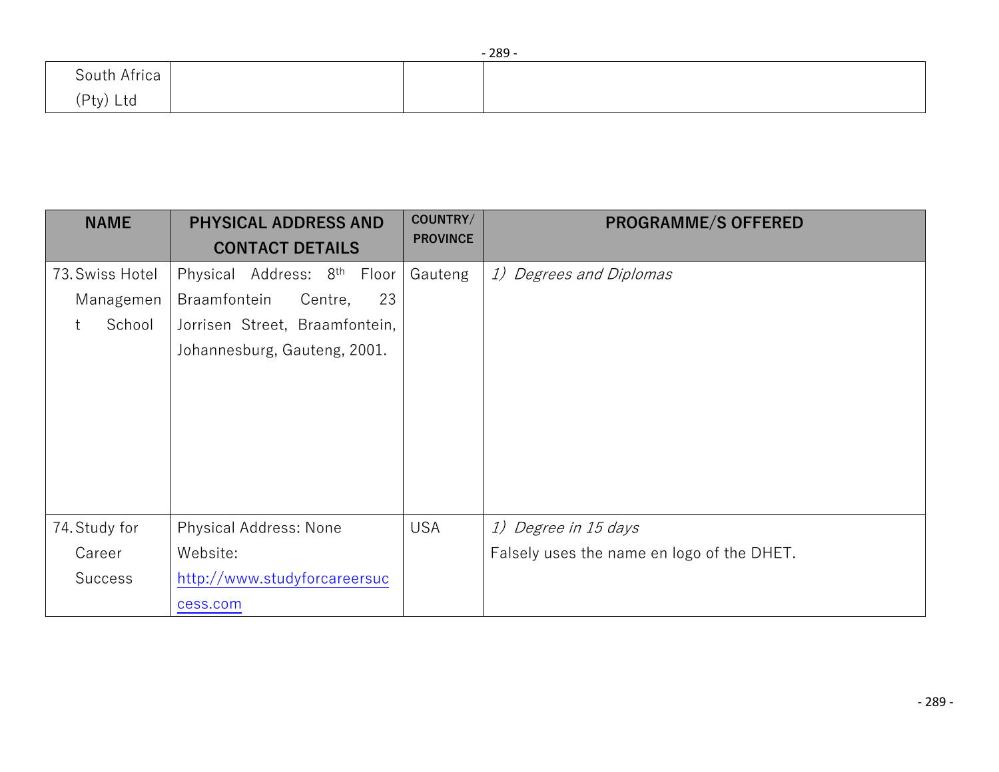|              |  | $-289-$ |
|--------------|--|---------|
| South Africa |  |         |
| (Pty) Ltd    |  |         |

| <b>NAME</b>     | <b>PHYSICAL ADDRESS AND</b><br><b>CONTACT DETAILS</b> | COUNTRY/<br><b>PROVINCE</b> | <b>PROGRAMME/S OFFERED</b>                 |
|-----------------|-------------------------------------------------------|-----------------------------|--------------------------------------------|
| 73. Swiss Hotel | Physical Address: 8 <sup>th</sup> Floor               | Gauteng                     | 1) Degrees and Diplomas                    |
| Managemen       | 23<br>Braamfontein<br>Centre,                         |                             |                                            |
| School          | Jorrisen Street, Braamfontein,                        |                             |                                            |
|                 | Johannesburg, Gauteng, 2001.                          |                             |                                            |
|                 |                                                       |                             |                                            |
|                 |                                                       |                             |                                            |
|                 |                                                       |                             |                                            |
|                 |                                                       |                             |                                            |
|                 |                                                       |                             |                                            |
|                 |                                                       |                             |                                            |
| 74. Study for   | <b>Physical Address: None</b>                         | <b>USA</b>                  | 1) Degree in 15 days                       |
| Career          | Website:                                              |                             | Falsely uses the name en logo of the DHET. |
| <b>Success</b>  | http://www.studyforcareersuc                          |                             |                                            |
|                 | cess.com                                              |                             |                                            |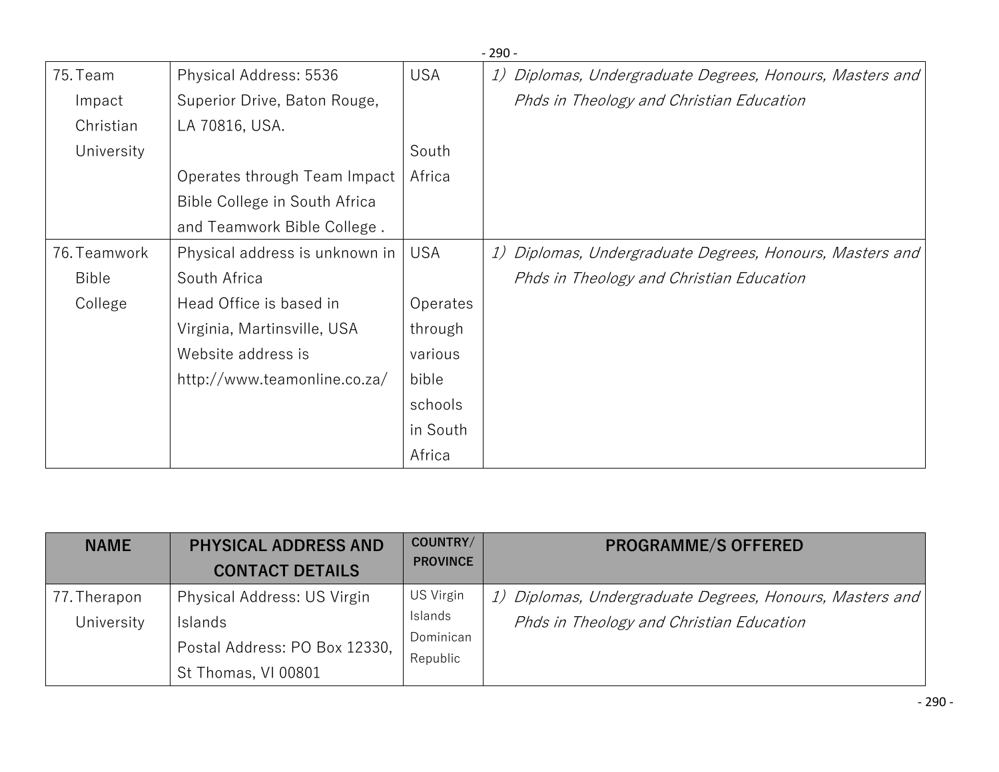|              |                                |            | - 250 -                                                  |
|--------------|--------------------------------|------------|----------------------------------------------------------|
| 75. Team     | Physical Address: 5536         | <b>USA</b> | 1) Diplomas, Undergraduate Degrees, Honours, Masters and |
| Impact       | Superior Drive, Baton Rouge,   |            | Phds in Theology and Christian Education                 |
| Christian    | LA 70816, USA.                 |            |                                                          |
| University   |                                | South      |                                                          |
|              | Operates through Team Impact   | Africa     |                                                          |
|              | Bible College in South Africa  |            |                                                          |
|              | and Teamwork Bible College.    |            |                                                          |
| 76. Teamwork | Physical address is unknown in | <b>USA</b> | 1) Diplomas, Undergraduate Degrees, Honours, Masters and |
| <b>Bible</b> | South Africa                   |            | Phds in Theology and Christian Education                 |
| College      | Head Office is based in        | Operates   |                                                          |
|              | Virginia, Martinsville, USA    | through    |                                                          |
|              | Website address is             | various    |                                                          |
|              | http://www.teamonline.co.za/   | bible      |                                                          |
|              |                                | schools    |                                                          |
|              |                                | in South   |                                                          |
|              |                                | Africa     |                                                          |

| <b>NAME</b>                | <b>PHYSICAL ADDRESS AND</b><br><b>CONTACT DETAILS</b>                                          | COUNTRY/<br><b>PROVINCE</b>                   | <b>PROGRAMME/S OFFERED</b>                                                                           |
|----------------------------|------------------------------------------------------------------------------------------------|-----------------------------------------------|------------------------------------------------------------------------------------------------------|
| 77. Therapon<br>University | Physical Address: US Virgin<br>Islands<br>Postal Address: PO Box 12330,<br>St Thomas, VI 00801 | US Virgin<br>Islands<br>Dominican<br>Republic | 1) Diplomas, Undergraduate Degrees, Honours, Masters and<br>Phds in Theology and Christian Education |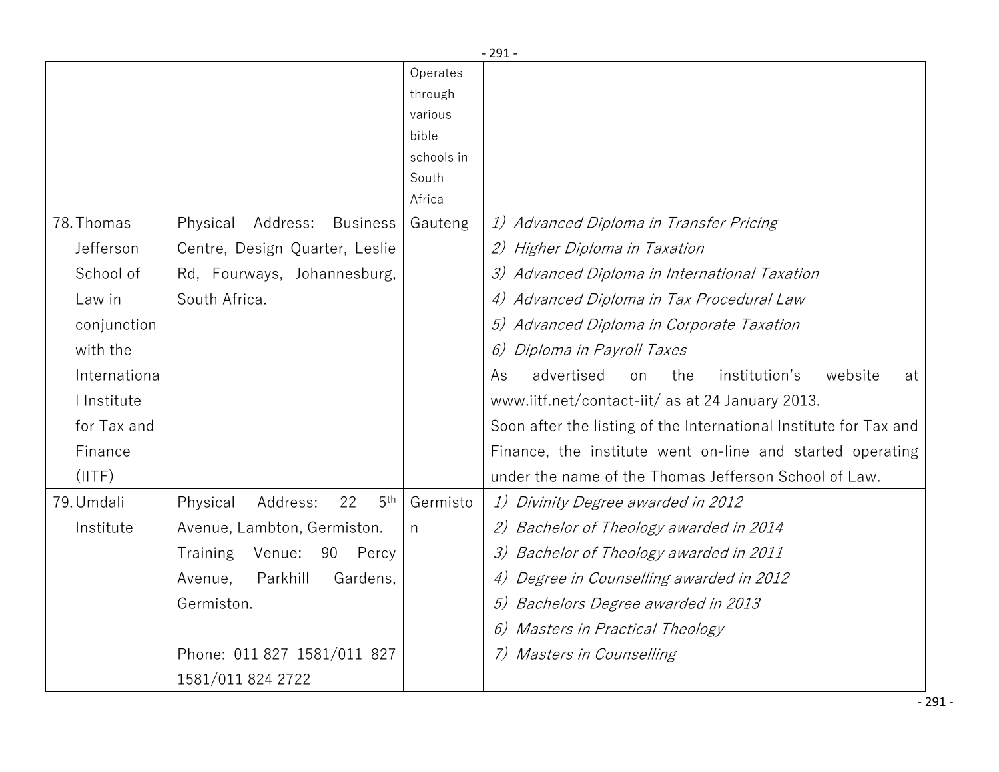|              |                                               |            | $-291-$                                                           |
|--------------|-----------------------------------------------|------------|-------------------------------------------------------------------|
|              |                                               | Operates   |                                                                   |
|              |                                               | through    |                                                                   |
|              |                                               | various    |                                                                   |
|              |                                               | bible      |                                                                   |
|              |                                               | schools in |                                                                   |
|              |                                               | South      |                                                                   |
|              |                                               | Africa     |                                                                   |
| 78. Thomas   | Address:<br><b>Business</b><br>Physical       | Gauteng    | 1) Advanced Diploma in Transfer Pricing                           |
| Jefferson    | Centre, Design Quarter, Leslie                |            | 2) Higher Diploma in Taxation                                     |
| School of    | Rd, Fourways, Johannesburg,                   |            | 3) Advanced Diploma in International Taxation                     |
| Law in       | South Africa.                                 |            | 4) Advanced Diploma in Tax Procedural Law                         |
| conjunction  |                                               |            | Advanced Diploma in Corporate Taxation                            |
| with the     |                                               |            | 6)<br>Diploma in Payroll Taxes                                    |
| Internationa |                                               |            | advertised<br>the<br>institution's<br>website<br>As<br>on<br>at   |
| I Institute  |                                               |            | www.iitf.net/contact-iit/ as at 24 January 2013.                  |
| for Tax and  |                                               |            | Soon after the listing of the International Institute for Tax and |
| Finance      |                                               |            | Finance, the institute went on-line and started operating         |
| (IITF)       |                                               |            | under the name of the Thomas Jefferson School of Law.             |
| 79. Umdali   | 22<br>5 <sup>th</sup><br>Address:<br>Physical | Germisto   | 1) Divinity Degree awarded in 2012                                |
| Institute    | Avenue, Lambton, Germiston.                   | n          | Bachelor of Theology awarded in 2014<br>2)                        |
|              | Training<br>Venue:<br>90<br>Percy             |            | Bachelor of Theology awarded in 2011                              |
|              | Parkhill<br>Avenue,<br>Gardens,               |            | Degree in Counselling awarded in 2012                             |
|              | Germiston.                                    |            | Bachelors Degree awarded in 2013                                  |
|              |                                               |            | Masters in Practical Theology                                     |
|              | Phone: 011 827 1581/011 827                   |            | Masters in Counselling                                            |
|              | 1581/011 824 2722                             |            |                                                                   |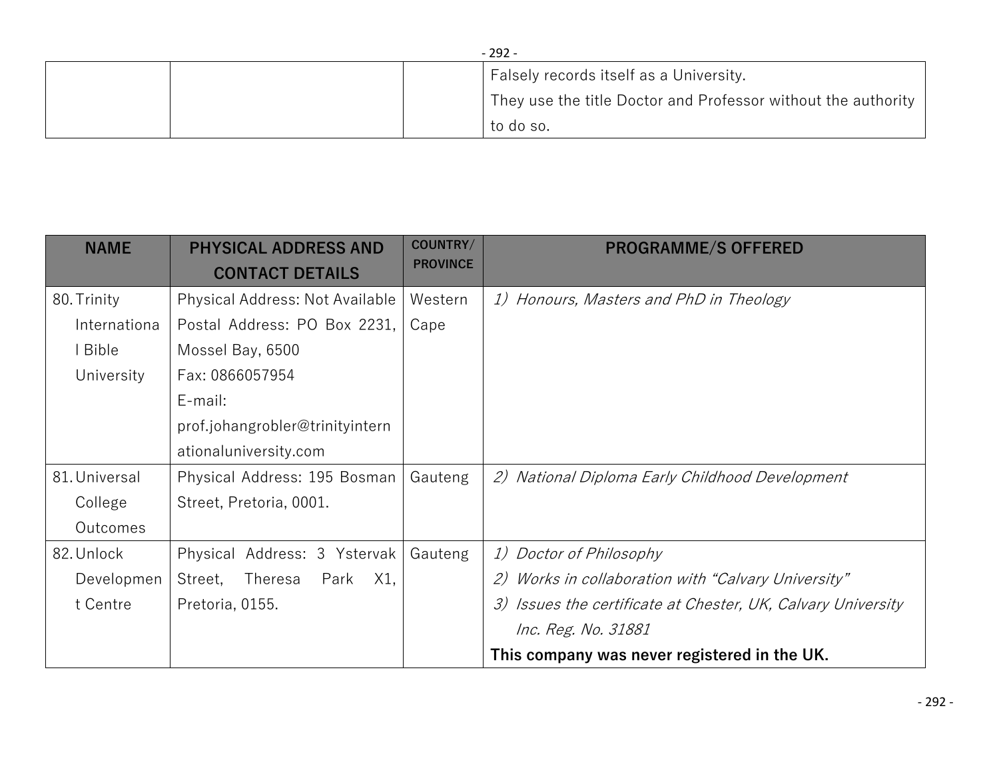| $-292-$ |  |  |                                                               |
|---------|--|--|---------------------------------------------------------------|
|         |  |  | Falsely records itself as a University.                       |
|         |  |  | They use the title Doctor and Professor without the authority |
|         |  |  | to do so.                                                     |

| <b>NAME</b>   | <b>PHYSICAL ADDRESS AND</b><br><b>CONTACT DETAILS</b> | COUNTRY/<br><b>PROVINCE</b> | <b>PROGRAMME/S OFFERED</b>                                                 |
|---------------|-------------------------------------------------------|-----------------------------|----------------------------------------------------------------------------|
| 80. Trinity   | Physical Address: Not Available                       | Western                     | 1) Honours, Masters and PhD in Theology                                    |
| Internationa  | Postal Address: PO Box 2231,                          | Cape                        |                                                                            |
| I Bible       | Mossel Bay, 6500                                      |                             |                                                                            |
| University    | Fax: 0866057954                                       |                             |                                                                            |
|               | E-mail:                                               |                             |                                                                            |
|               | prof.johangrobler@trinityintern                       |                             |                                                                            |
|               | ationaluniversity.com                                 |                             |                                                                            |
| 81. Universal | Physical Address: 195 Bosman                          | Gauteng                     | 2) National Diploma Early Childhood Development                            |
| College       | Street, Pretoria, 0001.                               |                             |                                                                            |
| Outcomes      |                                                       |                             |                                                                            |
| 82. Unlock    | Physical Address: 3 Ystervak                          | Gauteng                     | 1) Doctor of Philosophy                                                    |
| Developmen    | Theresa<br>Park<br>X1,<br>Street,                     |                             | Works in collaboration with "Calvary University"<br>2)                     |
| t Centre      | Pretoria, 0155.                                       |                             | Issues the certificate at Chester, UK, Calvary University<br>$\mathcal{Z}$ |
|               |                                                       |                             | <i>Inc. Reg. No. 31881</i>                                                 |
|               |                                                       |                             | This company was never registered in the UK.                               |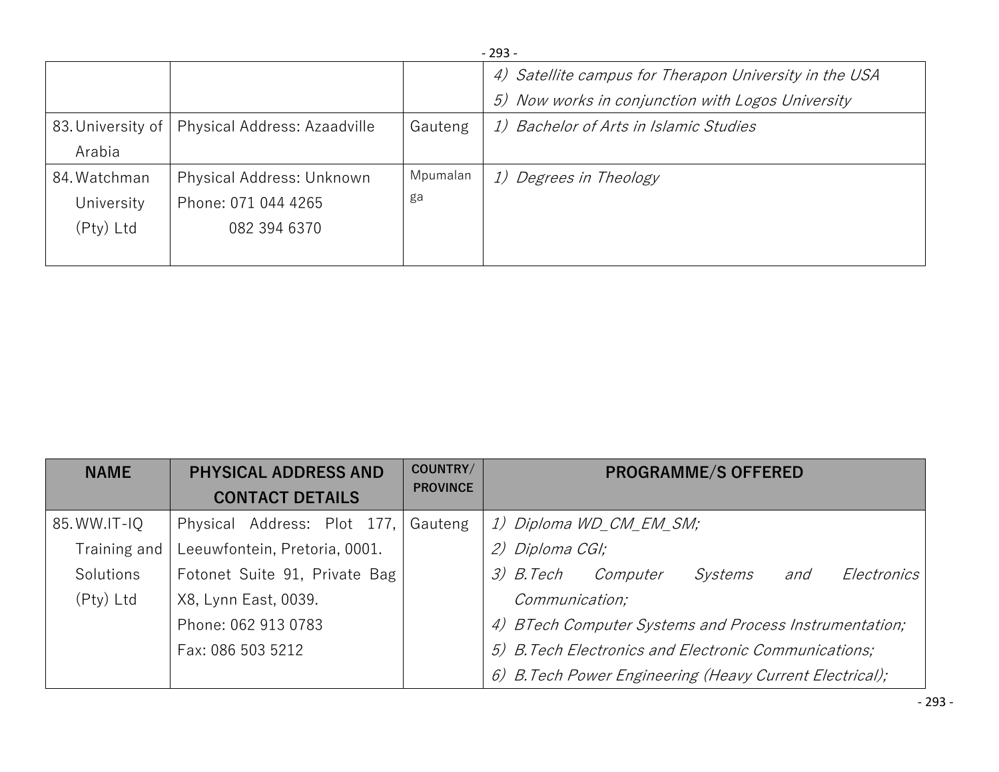|              |                                                  |          | - 293 -                                                |
|--------------|--------------------------------------------------|----------|--------------------------------------------------------|
|              |                                                  |          | 4) Satellite campus for Therapon University in the USA |
|              |                                                  |          | 5) Now works in conjunction with Logos University      |
|              | 83. University of   Physical Address: Azaadville | Gauteng  | 1) Bachelor of Arts in Islamic Studies                 |
| Arabia       |                                                  |          |                                                        |
| 84. Watchman | Physical Address: Unknown                        | Mpumalan | 1) Degrees in Theology                                 |
| University   | Phone: 071 044 4265                              | ga       |                                                        |
| $(Pty)$ Ltd  | 082 394 6370                                     |          |                                                        |
|              |                                                  |          |                                                        |

| <b>NAME</b>  | <b>PHYSICAL ADDRESS AND</b><br><b>CONTACT DETAILS</b> | COUNTRY/<br><b>PROVINCE</b> | <b>PROGRAMME/S OFFERED</b>                               |
|--------------|-------------------------------------------------------|-----------------------------|----------------------------------------------------------|
| 85. WW.IT-IQ | Physical Address: Plot 177,                           | Gauteng                     | 1) Diploma WD_CM_EM_SM;                                  |
| Training and | Leeuwfontein, Pretoria, 0001.                         |                             | 2) Diploma CGI;                                          |
| Solutions    | Fotonet Suite 91, Private Bag                         |                             | 3) B.Tech<br>Computer<br>Electronics<br>Systems<br>and   |
| $(Pty)$ Ltd  | X8, Lynn East, 0039.                                  |                             | Communication;                                           |
|              | Phone: 062 913 0783                                   |                             | 4) BTech Computer Systems and Process Instrumentation;   |
|              | Fax: 086 503 5212                                     |                             | 5) B. Tech Electronics and Electronic Communications;    |
|              |                                                       |                             | 6) B. Tech Power Engineering (Heavy Current Electrical); |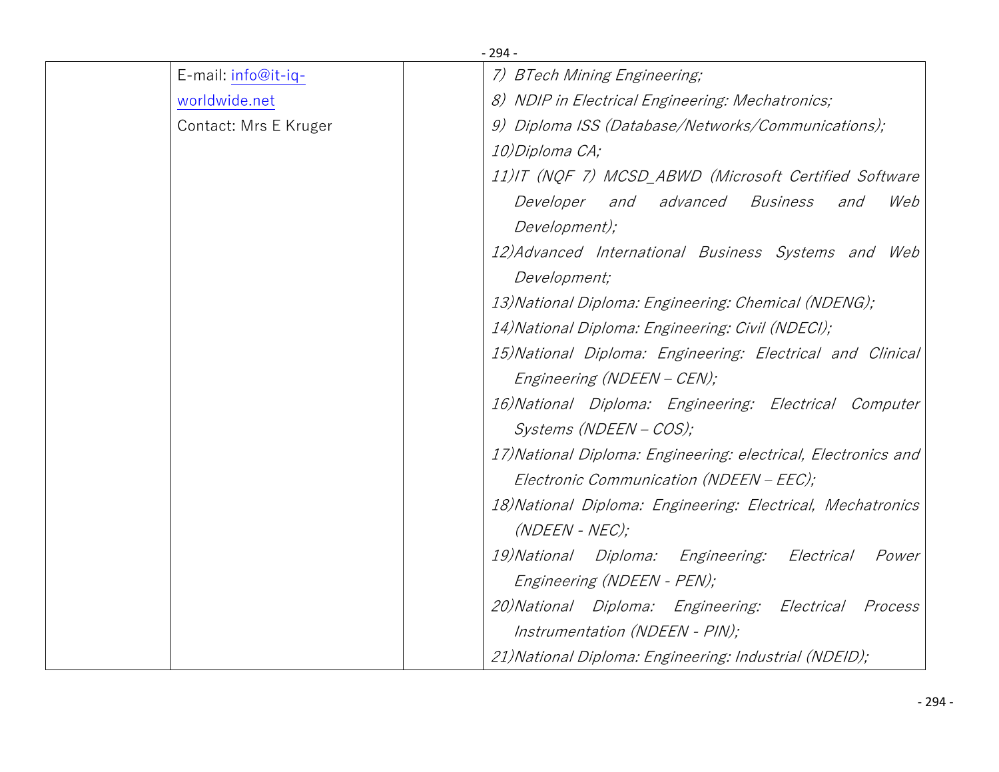|                       | $-294-$                                                        |
|-----------------------|----------------------------------------------------------------|
| E-mail: info@it-iq-   | 7) BTech Mining Engineering;                                   |
| worldwide.net         | 8) NDIP in Electrical Engineering: Mechatronics;               |
| Contact: Mrs E Kruger | 9) Diploma ISS (Database/Networks/Communications);             |
|                       | 10)Diploma CA;                                                 |
|                       | 11)IT (NQF 7) MCSD_ABWD (Microsoft Certified Software          |
|                       | Developer and advanced<br><i>Business</i><br>Web<br>and        |
|                       | Development);                                                  |
|                       | 12) Advanced International Business Systems and Web            |
|                       | Development;                                                   |
|                       | 13) National Diploma: Engineering: Chemical (NDENG);           |
|                       | 14) National Diploma: Engineering: Civil (NDECI);              |
|                       | 15) National Diploma: Engineering: Electrical and Clinical     |
|                       | Engineering (NDEEN - CEN);                                     |
|                       | 16) National Diploma: Engineering: Electrical Computer         |
|                       | Systems (NDEEN - COS);                                         |
|                       | 17) National Diploma: Engineering: electrical, Electronics and |
|                       | Electronic Communication (NDEEN – EEC);                        |
|                       | 18) National Diploma: Engineering: Electrical, Mechatronics    |
|                       | $(NDEEN - NEC);$                                               |
|                       | 19) National Diploma: Engineering:<br>Electrical<br>Power      |
|                       | Engineering (NDEEN - PEN);                                     |
|                       | 20) National Diploma: Engineering: Electrical<br>Process       |
|                       | Instrumentation (NDEEN - PIN);                                 |
|                       | 21) National Diploma: Engineering: Industrial (NDEID);         |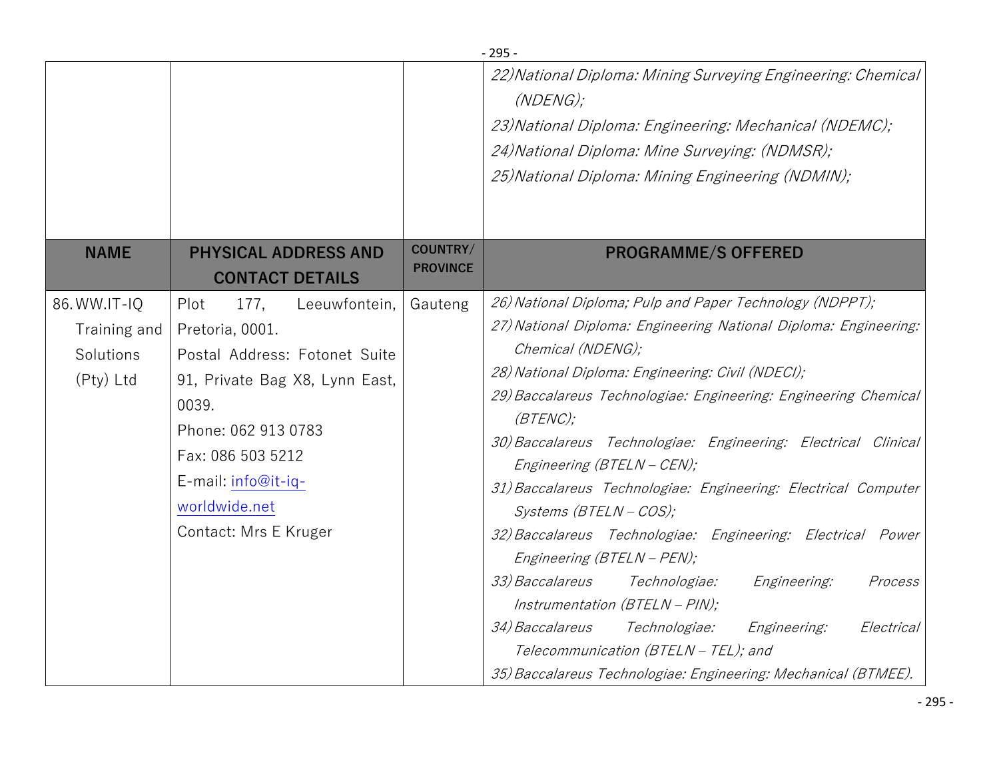|                                                        |                                                                                                                                                                                                                                           |                             | $-295-$                                                                                                                                                                                                                                                                                                                                                                                                                                                                                                                                                                                                                                                                                                                                                                                                                                                                        |
|--------------------------------------------------------|-------------------------------------------------------------------------------------------------------------------------------------------------------------------------------------------------------------------------------------------|-----------------------------|--------------------------------------------------------------------------------------------------------------------------------------------------------------------------------------------------------------------------------------------------------------------------------------------------------------------------------------------------------------------------------------------------------------------------------------------------------------------------------------------------------------------------------------------------------------------------------------------------------------------------------------------------------------------------------------------------------------------------------------------------------------------------------------------------------------------------------------------------------------------------------|
|                                                        |                                                                                                                                                                                                                                           |                             | 22) National Diploma: Mining Surveying Engineering: Chemical<br>(NDENG);<br>23) National Diploma: Engineering: Mechanical (NDEMC);<br>24) National Diploma: Mine Surveying: (NDMSR);<br>25) National Diploma: Mining Engineering (NDMIN);                                                                                                                                                                                                                                                                                                                                                                                                                                                                                                                                                                                                                                      |
| <b>NAME</b>                                            | <b>PHYSICAL ADDRESS AND</b><br><b>CONTACT DETAILS</b>                                                                                                                                                                                     | COUNTRY/<br><b>PROVINCE</b> | <b>PROGRAMME/S OFFERED</b>                                                                                                                                                                                                                                                                                                                                                                                                                                                                                                                                                                                                                                                                                                                                                                                                                                                     |
| 86. WW.IT-IQ<br>Training and<br>Solutions<br>(Pty) Ltd | Plot<br>177,<br>Leeuwfontein,<br>Pretoria, 0001.<br>Postal Address: Fotonet Suite<br>91, Private Bag X8, Lynn East,<br>0039.<br>Phone: 062 913 0783<br>Fax: 086 503 5212<br>E-mail: info@it-iq-<br>worldwide.net<br>Contact: Mrs E Kruger | Gauteng                     | 26) National Diploma; Pulp and Paper Technology (NDPPT);<br>27) National Diploma: Engineering National Diploma: Engineering:<br>Chemical (NDENG);<br>28) National Diploma: Engineering: Civil (NDECI);<br>29) Baccalareus Technologiae: Engineering: Engineering Chemical<br>$(BTENC)$ ;<br>30) Baccalareus Technologiae: Engineering: Electrical Clinical<br>Engineering (BTELN - CEN);<br>31) Baccalareus Technologiae: Engineering: Electrical Computer<br>Systems (BTELN - COS);<br>32) Baccalareus Technologiae: Engineering: Electrical Power<br>Engineering (BTELN - PEN);<br>33) Baccalareus<br><i>Technologiae:</i><br>Engineering:<br>Process<br>Instrumentation $(BTELN - PIN);$<br>34) Baccalareus<br><i>Technologiae:</i><br>Engineering:<br>Electrical<br>Telecommunication (BTELN - TEL); and<br>35) Baccalareus Technologiae: Engineering: Mechanical (BTMEE). |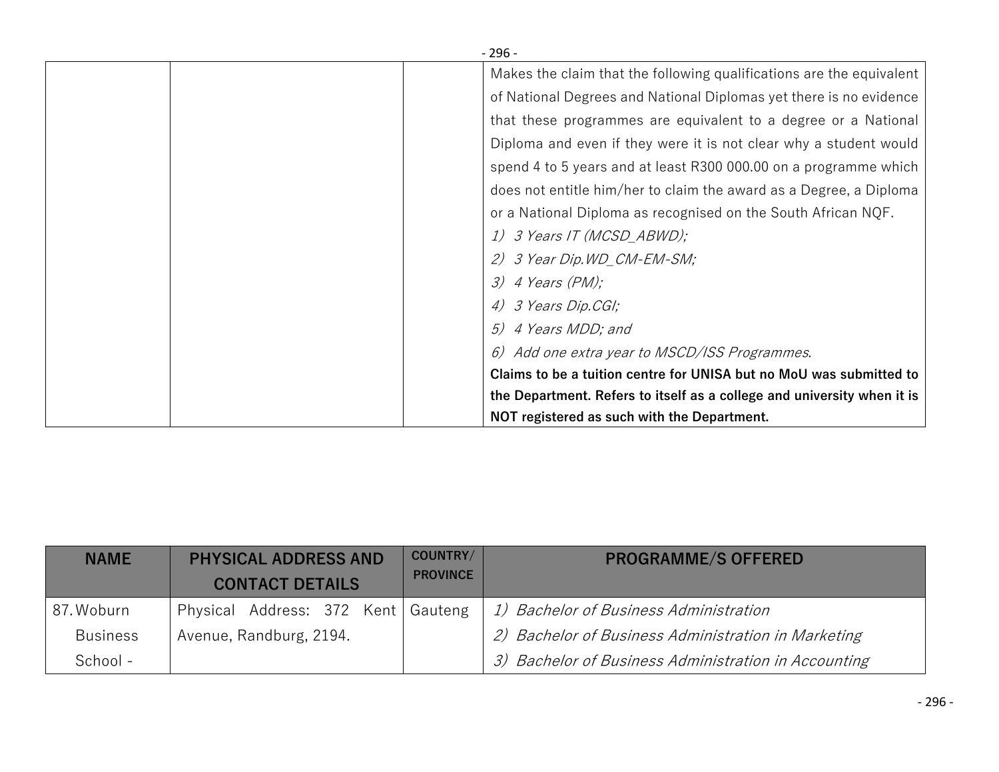| - 296 -                                                                 |
|-------------------------------------------------------------------------|
| Makes the claim that the following qualifications are the equivalent    |
| of National Degrees and National Diplomas yet there is no evidence      |
| that these programmes are equivalent to a degree or a National          |
| Diploma and even if they were it is not clear why a student would       |
| spend 4 to 5 years and at least R300 000.00 on a programme which        |
| does not entitle him/her to claim the award as a Degree, a Diploma      |
| or a National Diploma as recognised on the South African NQF.           |
| 1) 3 Years IT (MCSD_ABWD);                                              |
| 2) 3 Year Dip. WD_CM-EM-SM;                                             |
| $3)$ 4 Years (PM);                                                      |
| 4) 3 Years Dip.CGI;                                                     |
| 5) 4 Years MDD; and                                                     |
| 6) Add one extra year to MSCD/ISS Programmes.                           |
| Claims to be a tuition centre for UNISA but no MoU was submitted to     |
| the Department. Refers to itself as a college and university when it is |
| NOT registered as such with the Department.                             |

| <b>NAME</b>     | <b>PHYSICAL ADDRESS AND</b><br><b>CONTACT DETAILS</b> | COUNTRY/<br><b>PROVINCE</b> | <b>PROGRAMME/S OFFERED</b>                           |
|-----------------|-------------------------------------------------------|-----------------------------|------------------------------------------------------|
| 87. Woburn      | Physical Address: 372 Kent   Gauteng                  |                             | 1) Bachelor of Business Administration               |
| <b>Business</b> | Avenue, Randburg, 2194.                               |                             | 2) Bachelor of Business Administration in Marketing  |
| School -        |                                                       |                             | 3) Bachelor of Business Administration in Accounting |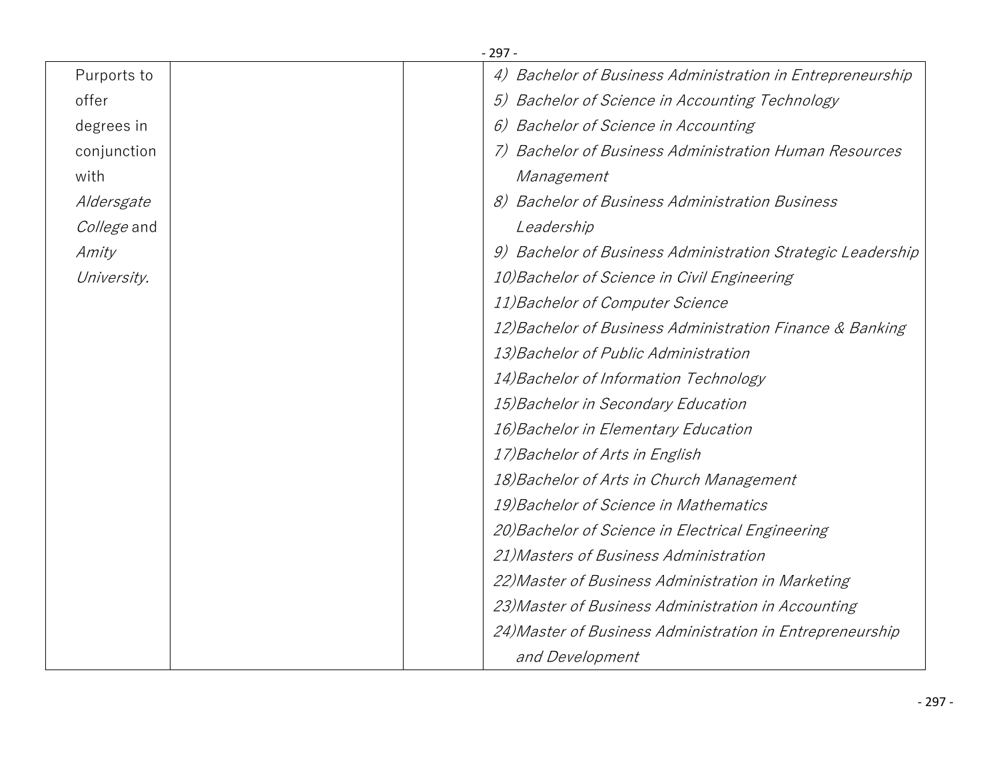|             | - 297 - |                                                             |
|-------------|---------|-------------------------------------------------------------|
| Purports to |         | 4) Bachelor of Business Administration in Entrepreneurship  |
| offer       |         | 5) Bachelor of Science in Accounting Technology             |
| degrees in  |         | 6) Bachelor of Science in Accounting                        |
| conjunction |         | <b>Bachelor of Business Administration Human Resources</b>  |
| with        |         | Management                                                  |
| Aldersgate  |         | 8) Bachelor of Business Administration Business             |
| College and |         | Leadership                                                  |
| Amity       |         | 9) Bachelor of Business Administration Strategic Leadership |
| University. |         | 10) Bachelor of Science in Civil Engineering                |
|             |         | 11) Bachelor of Computer Science                            |
|             |         | 12) Bachelor of Business Administration Finance & Banking   |
|             |         | 13) Bachelor of Public Administration                       |
|             |         | 14) Bachelor of Information Technology                      |
|             |         | 15) Bachelor in Secondary Education                         |
|             |         | 16) Bachelor in Elementary Education                        |
|             |         | 17) Bachelor of Arts in English                             |
|             |         | 18) Bachelor of Arts in Church Management                   |
|             |         | 19) Bachelor of Science in Mathematics                      |
|             |         | 20) Bachelor of Science in Electrical Engineering           |
|             |         | 21) Masters of Business Administration                      |
|             |         | 22) Master of Business Administration in Marketing          |
|             |         | 23) Master of Business Administration in Accounting         |
|             |         | 24) Master of Business Administration in Entrepreneurship   |
|             |         | and Development                                             |
|             |         |                                                             |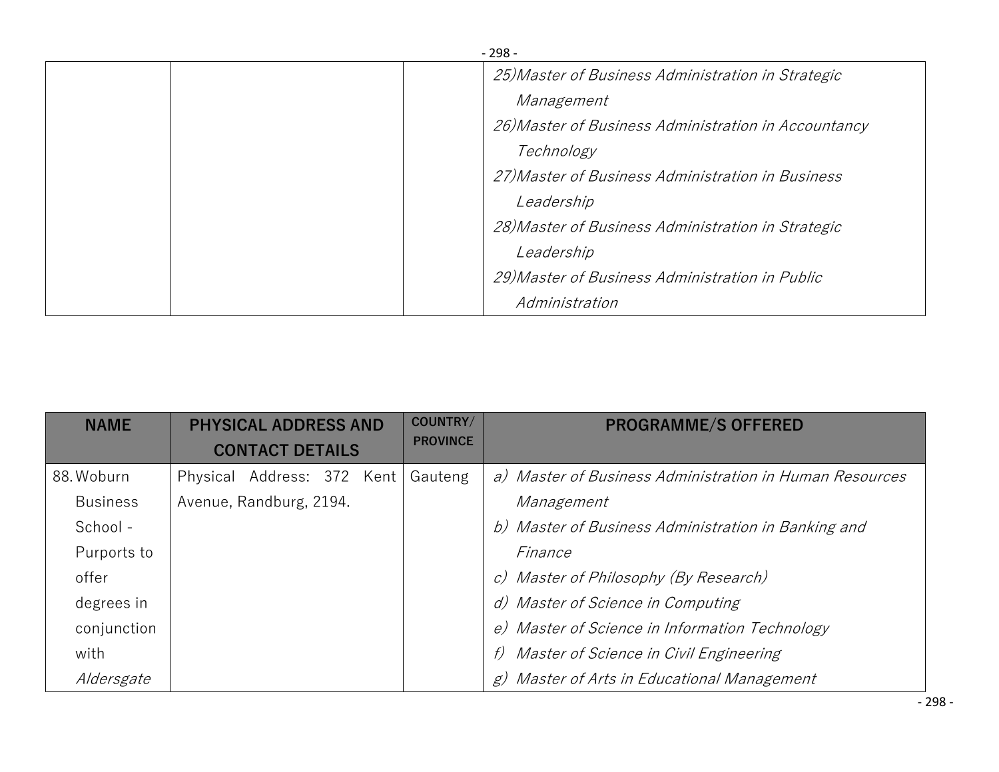| $-298-$ |                                                      |  |  |  |
|---------|------------------------------------------------------|--|--|--|
|         | 25) Master of Business Administration in Strategic   |  |  |  |
|         | Management                                           |  |  |  |
|         | 26) Master of Business Administration in Accountancy |  |  |  |
|         | Technology                                           |  |  |  |
|         | 27) Master of Business Administration in Business    |  |  |  |
|         | Leadership                                           |  |  |  |
|         | 28) Master of Business Administration in Strategic   |  |  |  |
|         | Leadership                                           |  |  |  |
|         | 29) Master of Business Administration in Public      |  |  |  |
|         | Administration                                       |  |  |  |

| <b>NAME</b>     | <b>PHYSICAL ADDRESS AND</b> |                        | COUNTRY/ | <b>PROGRAMME/S OFFERED</b> |                                                         |
|-----------------|-----------------------------|------------------------|----------|----------------------------|---------------------------------------------------------|
|                 |                             | <b>CONTACT DETAILS</b> |          | <b>PROVINCE</b>            |                                                         |
| 88. Woburn      | Physical Address: 372 Kent  |                        |          | Gauteng                    | a) Master of Business Administration in Human Resources |
| <b>Business</b> | Avenue, Randburg, 2194.     |                        |          |                            | Management                                              |
| School -        |                             |                        |          |                            | b) Master of Business Administration in Banking and     |
| Purports to     |                             |                        |          |                            | Finance                                                 |
| offer           |                             |                        |          |                            | c) Master of Philosophy (By Research)                   |
| degrees in      |                             |                        |          |                            | d) Master of Science in Computing                       |
| conjunction     |                             |                        |          |                            | e) Master of Science in Information Technology          |
| with            |                             |                        |          |                            | Master of Science in Civil Engineering<br>f)            |
| Aldersgate      |                             |                        |          |                            | Master of Arts in Educational Management<br>g)          |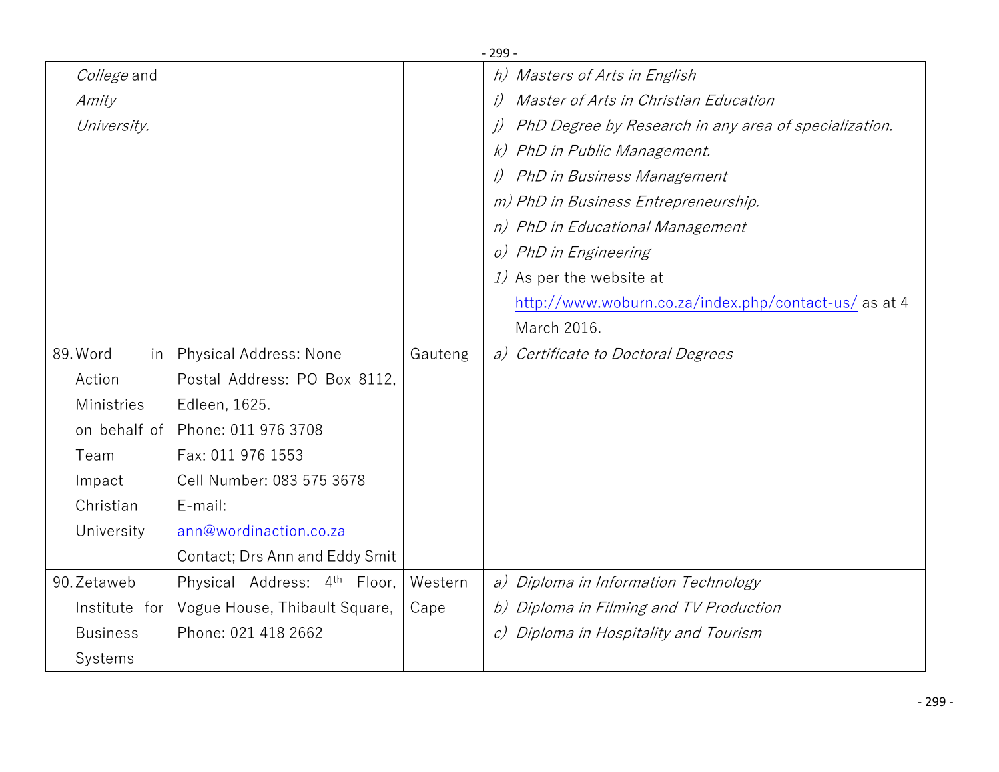|                 |                                          |         | <u>- 299 - </u>                                             |
|-----------------|------------------------------------------|---------|-------------------------------------------------------------|
| College and     |                                          |         | h) Masters of Arts in English                               |
| Amity           |                                          |         | Master of Arts in Christian Education                       |
| University.     |                                          |         | PhD Degree by Research in any area of specialization.<br>j) |
|                 |                                          |         | PhD in Public Management.<br>k)                             |
|                 |                                          |         | PhD in Business Management                                  |
|                 |                                          |         | m) PhD in Business Entrepreneurship.                        |
|                 |                                          |         | n) PhD in Educational Management                            |
|                 |                                          |         | o) PhD in Engineering                                       |
|                 |                                          |         | 1) As per the website at                                    |
|                 |                                          |         | http://www.woburn.co.za/index.php/contact-us/ as at 4       |
|                 |                                          |         | March 2016.                                                 |
| 89. Word<br>in  | Physical Address: None                   | Gauteng | a) Certificate to Doctoral Degrees                          |
| Action          | Postal Address: PO Box 8112.             |         |                                                             |
| Ministries      | Edleen, 1625.                            |         |                                                             |
| on behalf of    | Phone: 011 976 3708                      |         |                                                             |
| Team            | Fax: 011 976 1553                        |         |                                                             |
| Impact          | Cell Number: 083 575 3678                |         |                                                             |
| Christian       | E-mail:                                  |         |                                                             |
| University      | ann@wordinaction.co.za                   |         |                                                             |
|                 | Contact; Drs Ann and Eddy Smit           |         |                                                             |
| 90. Zetaweb     | Physical Address: 4 <sup>th</sup> Floor, | Western | a) Diploma in Information Technology                        |
| Institute for   | Vogue House, Thibault Square,            | Cape    | b) Diploma in Filming and TV Production                     |
| <b>Business</b> | Phone: 021 418 2662                      |         | Diploma in Hospitality and Tourism<br>$\mathcal{C}$         |
| Systems         |                                          |         |                                                             |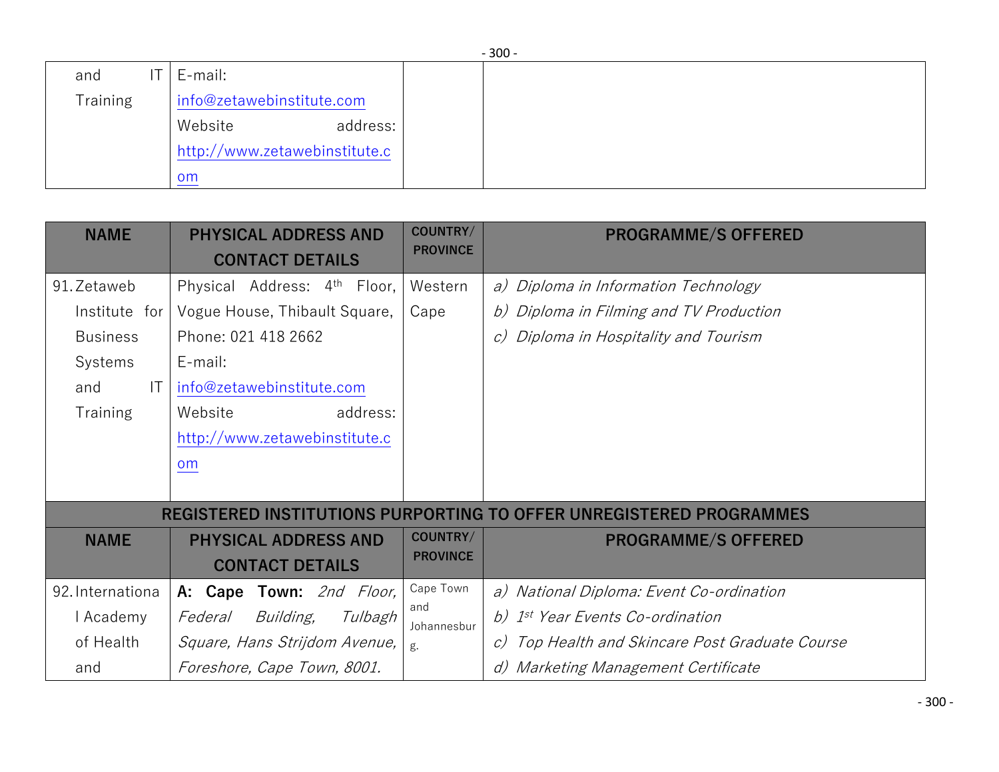|                 | $-300-$ |                               |  |  |  |  |
|-----------------|---------|-------------------------------|--|--|--|--|
| and             | T       | E-mail:                       |  |  |  |  |
| <b>Training</b> |         | info@zetawebinstitute.com     |  |  |  |  |
|                 |         | address:<br>Website           |  |  |  |  |
|                 |         | http://www.zetawebinstitute.c |  |  |  |  |
|                 |         | om                            |  |  |  |  |

| <b>NAME</b>      | <b>PHYSICAL ADDRESS AND</b><br><b>CONTACT DETAILS</b> | COUNTRY/<br><b>PROVINCE</b> | <b>PROGRAMME/S OFFERED</b>                                          |
|------------------|-------------------------------------------------------|-----------------------------|---------------------------------------------------------------------|
| 91. Zetaweb      | Physical Address: 4th Floor,                          | Western                     | a) Diploma in Information Technology                                |
| Institute for    | Vogue House, Thibault Square,                         | Cape                        | b) Diploma in Filming and TV Production                             |
| <b>Business</b>  | Phone: 021 418 2662                                   |                             | Diploma in Hospitality and Tourism<br>C                             |
| Systems          | E-mail:                                               |                             |                                                                     |
| T <br>and        | info@zetawebinstitute.com                             |                             |                                                                     |
| <b>Training</b>  | address:<br>Website                                   |                             |                                                                     |
|                  | http://www.zetawebinstitute.c                         |                             |                                                                     |
|                  | <b>om</b>                                             |                             |                                                                     |
|                  |                                                       |                             |                                                                     |
|                  |                                                       |                             | REGISTERED INSTITUTIONS PURPORTING TO OFFER UNREGISTERED PROGRAMMES |
| <b>NAME</b>      | <b>PHYSICAL ADDRESS AND</b>                           | COUNTRY/                    | <b>PROGRAMME/S OFFERED</b>                                          |
|                  | <b>CONTACT DETAILS</b>                                | <b>PROVINCE</b>             |                                                                     |
| 92. Internationa | A: Cape Town: 2nd Floor,                              | Cape Town                   | a) National Diploma: Event Co-ordination                            |
| I Academy        | <i>Building,</i><br>Federal<br>Tulbagh                | and<br>Johannesbur          | b) 1 <sup>st</sup> Year Events Co-ordination                        |
| of Health        | Square, Hans Strijdom Avenue,                         | g.                          | Top Health and Skincare Post Graduate Course                        |
| and              | Foreshore, Cape Town, 8001.                           |                             | Marketing Management Certificate                                    |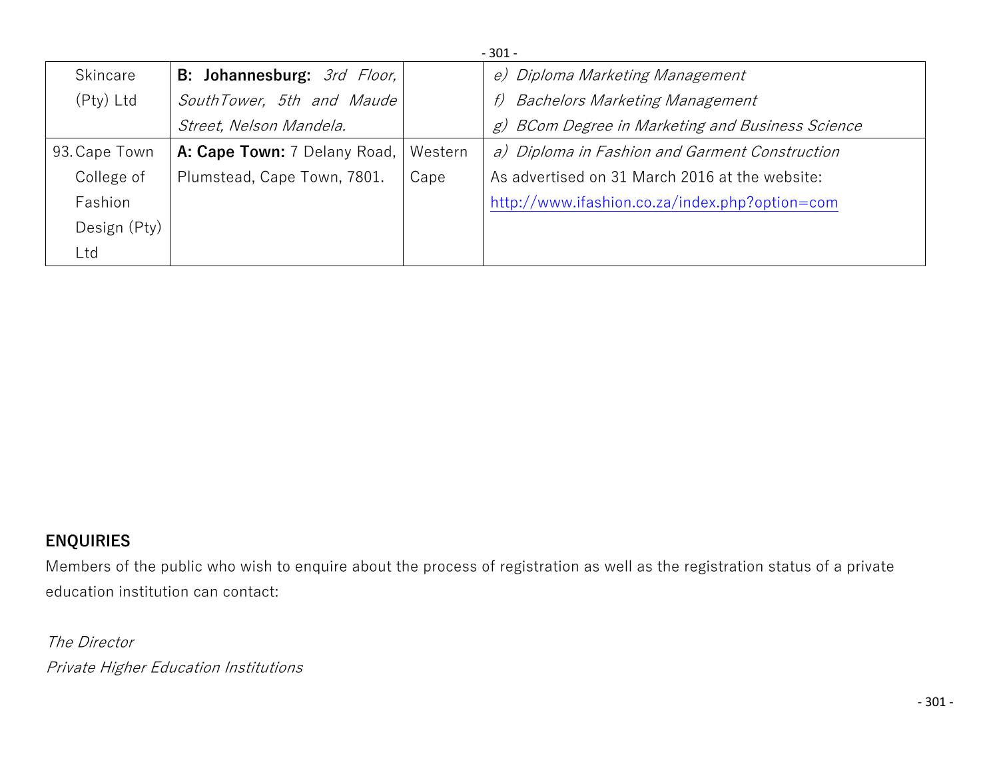| $-301 -$      |                              |         |                                                     |  |  |
|---------------|------------------------------|---------|-----------------------------------------------------|--|--|
| Skincare      | B: Johannesburg: 3rd Floor,  |         | e) Diploma Marketing Management                     |  |  |
| (Pty) Ltd     | SouthTower, 5th and Maude    |         | <b>Bachelors Marketing Management</b><br>f)         |  |  |
|               | Street, Nelson Mandela.      |         | BCom Degree in Marketing and Business Science<br>g) |  |  |
| 93. Cape Town | A: Cape Town: 7 Delany Road, | Western | a) Diploma in Fashion and Garment Construction      |  |  |
| College of    | Plumstead, Cape Town, 7801.  | Cape    | As advertised on 31 March 2016 at the website:      |  |  |
| Fashion       |                              |         | http://www.ifashion.co.za/index.php?option=com      |  |  |
| Design (Pty)  |                              |         |                                                     |  |  |
| Ltd           |                              |         |                                                     |  |  |

## **ENQUIRIES**

Members of the public who wish to enquire about the process of registration as well as the registration status of a private education institution can contact:

*The Director Private Higher Education Institutions*